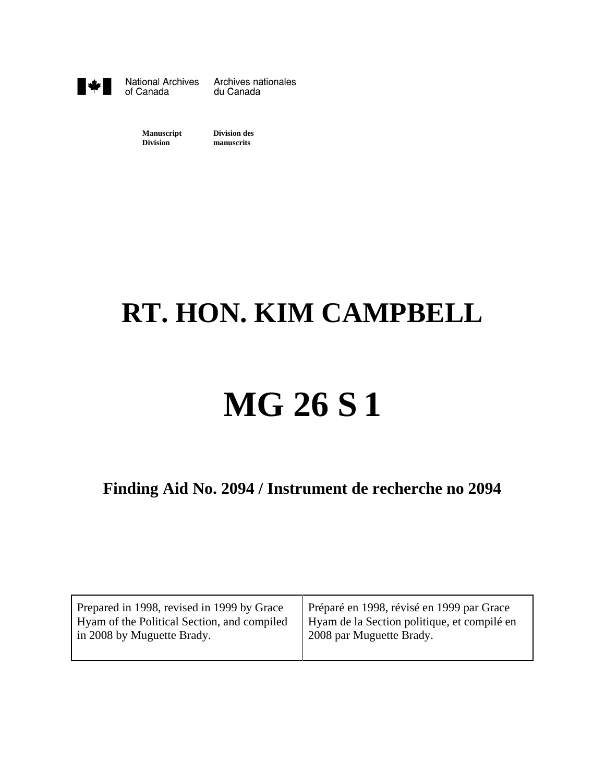

**National Archives** of Canada

Archives nationales du Canada

**Manuscript Division des Division manuscrits**

# **RT. HON. KIM CAMPBELL**

# **MG 26 S 1**

**Finding Aid No. 2094 / Instrument de recherche no 2094**

| Prepared in 1998, revised in 1999 by Grace  | Préparé en 1998, révisé en 1999 par Grace   |
|---------------------------------------------|---------------------------------------------|
| Hyam of the Political Section, and compiled | Hyam de la Section politique, et compilé en |
| in 2008 by Muguette Brady.                  | 2008 par Muguette Brady.                    |
|                                             |                                             |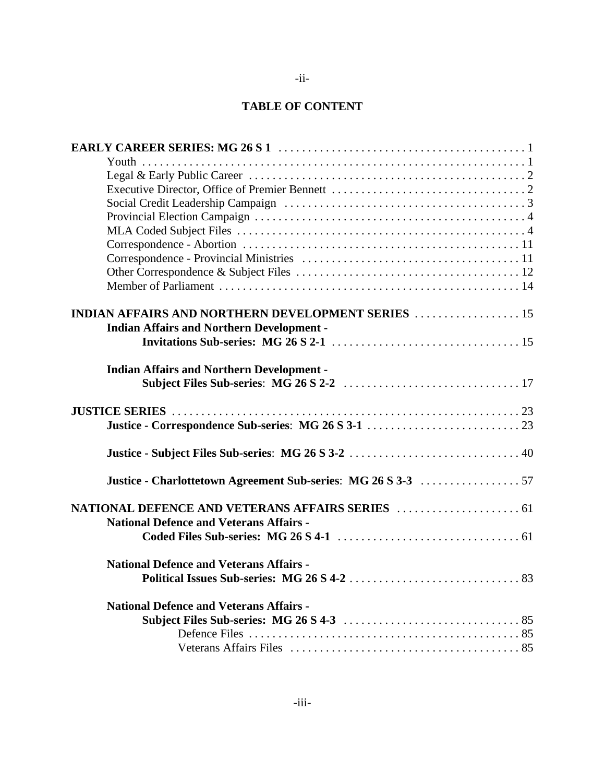### **TABLE OF CONTENT**

| <b>INDIAN AFFAIRS AND NORTHERN DEVELOPMENT SERIES  15</b> |
|-----------------------------------------------------------|
| <b>Indian Affairs and Northern Development -</b>          |
|                                                           |
| <b>Indian Affairs and Northern Development -</b>          |
|                                                           |
|                                                           |
|                                                           |
|                                                           |
|                                                           |
|                                                           |
| <b>National Defence and Veterans Affairs -</b>            |
|                                                           |
| <b>National Defence and Veterans Affairs -</b>            |
|                                                           |
| <b>National Defence and Veterans Affairs -</b>            |
|                                                           |
|                                                           |
|                                                           |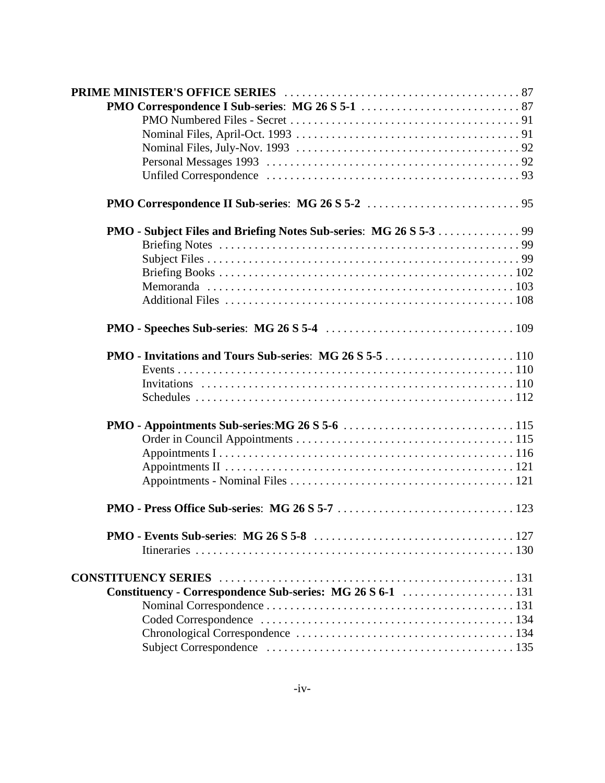| <b>PMO - Invitations and Tours Sub-series: MG 26 S 5-5 </b> 110 |  |
|-----------------------------------------------------------------|--|
|                                                                 |  |
|                                                                 |  |
|                                                                 |  |
|                                                                 |  |
|                                                                 |  |
|                                                                 |  |
|                                                                 |  |
|                                                                 |  |
|                                                                 |  |
|                                                                 |  |
|                                                                 |  |
|                                                                 |  |
| Constituency - Correspondence Sub-series: MG 26 S 6-1  131      |  |
|                                                                 |  |
|                                                                 |  |
|                                                                 |  |
|                                                                 |  |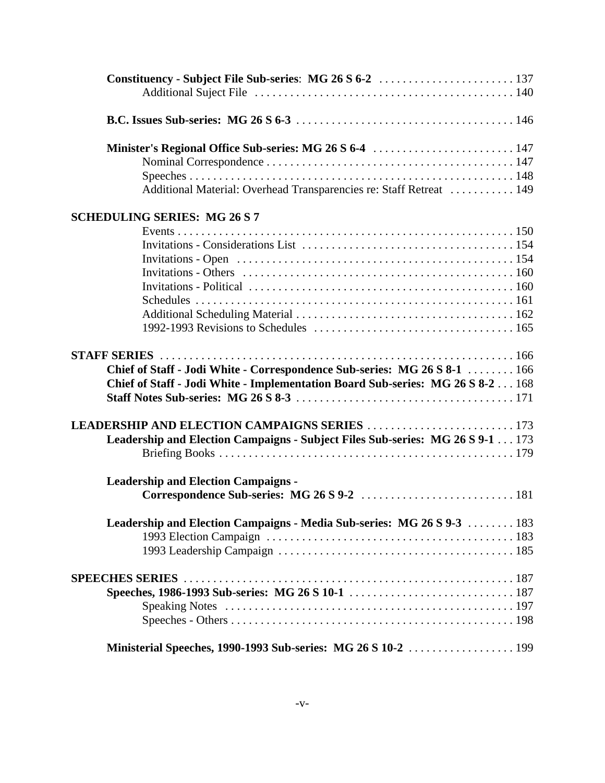| Additional Material: Overhead Transparencies re: Staff Retreat  149             |  |
|---------------------------------------------------------------------------------|--|
| <b>SCHEDULING SERIES: MG 26 S 7</b>                                             |  |
|                                                                                 |  |
|                                                                                 |  |
|                                                                                 |  |
|                                                                                 |  |
|                                                                                 |  |
|                                                                                 |  |
|                                                                                 |  |
|                                                                                 |  |
|                                                                                 |  |
| Chief of Staff - Jodi White - Correspondence Sub-series: MG 26 S 8-1  166       |  |
| Chief of Staff - Jodi White - Implementation Board Sub-series: MG 26 S 8-2  168 |  |
|                                                                                 |  |
|                                                                                 |  |
| Leadership and Election Campaigns - Subject Files Sub-series: MG 26 S 9-1 173   |  |
|                                                                                 |  |
|                                                                                 |  |
| <b>Leadership and Election Campaigns -</b>                                      |  |
|                                                                                 |  |
| Leadership and Election Campaigns - Media Sub-series: MG 26 S 9-3  183          |  |
|                                                                                 |  |
|                                                                                 |  |
|                                                                                 |  |
|                                                                                 |  |
|                                                                                 |  |
|                                                                                 |  |
|                                                                                 |  |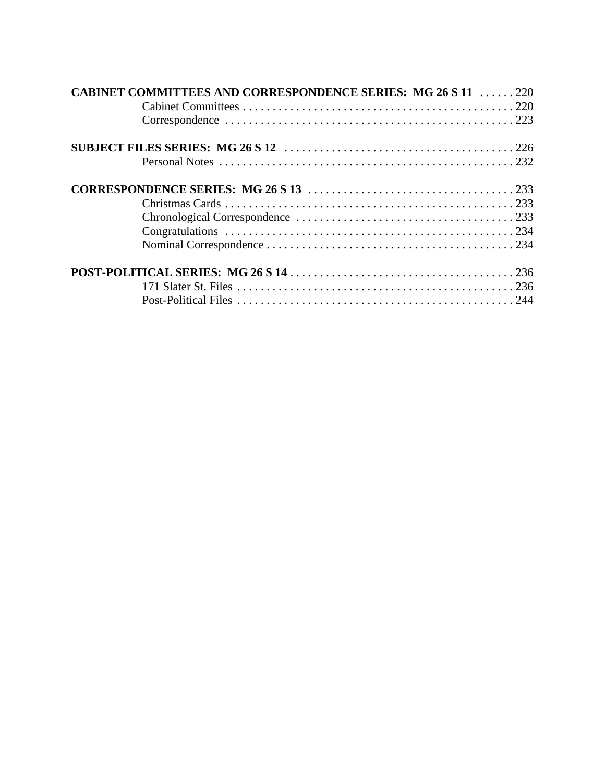| <b>CABINET COMMITTEES AND CORRESPONDENCE SERIES: MG 26 S 11  220</b> |  |
|----------------------------------------------------------------------|--|
|                                                                      |  |
|                                                                      |  |
|                                                                      |  |
|                                                                      |  |
|                                                                      |  |
|                                                                      |  |
|                                                                      |  |
|                                                                      |  |
|                                                                      |  |
|                                                                      |  |
|                                                                      |  |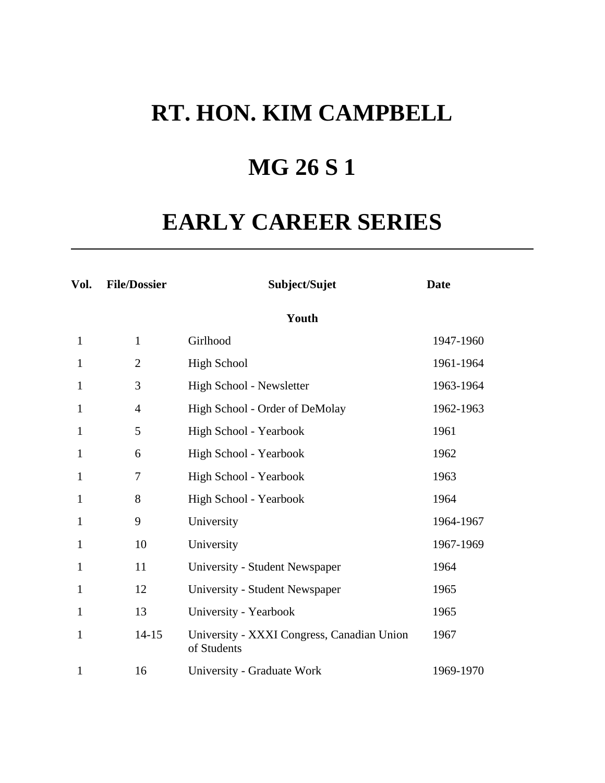## **MG 26 S 1**

## **EARLY CAREER SERIES**

| Vol.         | <b>File/Dossier</b> | Subject/Sujet                                             | <b>Date</b> |
|--------------|---------------------|-----------------------------------------------------------|-------------|
|              |                     | Youth                                                     |             |
| $\mathbf{1}$ | $\mathbf{1}$        | Girlhood                                                  | 1947-1960   |
| 1            | $\overline{2}$      | <b>High School</b>                                        | 1961-1964   |
| 1            | 3                   | High School - Newsletter                                  | 1963-1964   |
| 1            | $\overline{4}$      | High School - Order of DeMolay                            | 1962-1963   |
| 1            | 5                   | High School - Yearbook                                    | 1961        |
| 1            | 6                   | High School - Yearbook                                    | 1962        |
| 1            | 7                   | High School - Yearbook                                    | 1963        |
| 1            | 8                   | High School - Yearbook                                    | 1964        |
| 1            | 9                   | University                                                | 1964-1967   |
| 1            | 10                  | University                                                | 1967-1969   |
| 1            | 11                  | University - Student Newspaper                            | 1964        |
| 1            | 12                  | University - Student Newspaper                            | 1965        |
| 1            | 13                  | University - Yearbook                                     | 1965        |
| $\mathbf{1}$ | $14 - 15$           | University - XXXI Congress, Canadian Union<br>of Students | 1967        |
| 1            | 16                  | University - Graduate Work                                | 1969-1970   |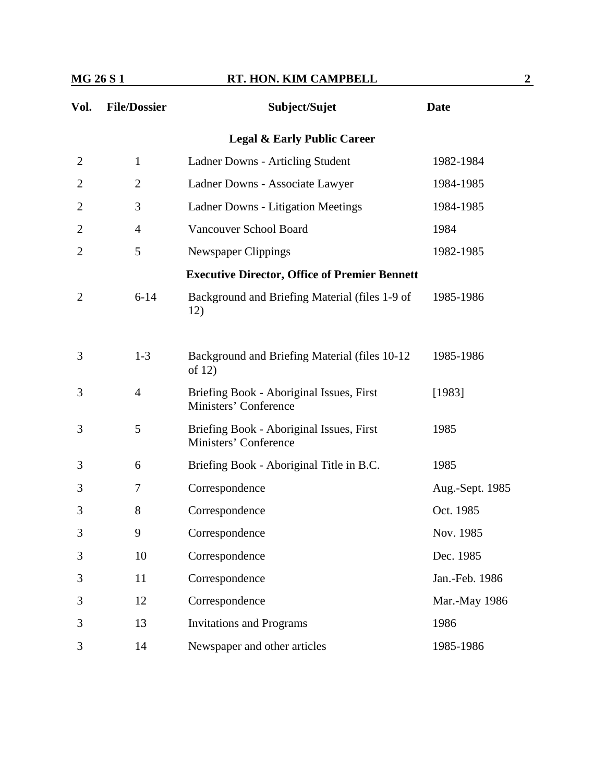| Vol.<br><b>File/Dossier</b> |                | Subject/Sujet                                                     | <b>Date</b>     |  |
|-----------------------------|----------------|-------------------------------------------------------------------|-----------------|--|
|                             |                | <b>Legal &amp; Early Public Career</b>                            |                 |  |
| $\overline{2}$              | $\mathbf{1}$   | Ladner Downs - Articling Student                                  | 1982-1984       |  |
| 2                           | $\overline{2}$ | Ladner Downs - Associate Lawyer                                   | 1984-1985       |  |
| $\overline{2}$              | 3              | <b>Ladner Downs - Litigation Meetings</b>                         | 1984-1985       |  |
| 2                           | $\overline{4}$ | Vancouver School Board                                            | 1984            |  |
| $\overline{2}$              | 5              | Newspaper Clippings                                               | 1982-1985       |  |
|                             |                | <b>Executive Director, Office of Premier Bennett</b>              |                 |  |
| $\overline{2}$              | $6 - 14$       | Background and Briefing Material (files 1-9 of<br>12)             | 1985-1986       |  |
| 3                           | $1 - 3$        | Background and Briefing Material (files 10-12<br>of $12)$         | 1985-1986       |  |
| 3                           | $\overline{4}$ | Briefing Book - Aboriginal Issues, First<br>Ministers' Conference | [1983]          |  |
| 3                           | 5              | Briefing Book - Aboriginal Issues, First<br>Ministers' Conference | 1985            |  |
| 3                           | 6              | Briefing Book - Aboriginal Title in B.C.                          | 1985            |  |
| 3                           | 7              | Correspondence                                                    | Aug.-Sept. 1985 |  |
| 3                           | 8              | Correspondence                                                    | Oct. 1985       |  |
| 3                           | 9              | Correspondence                                                    | Nov. 1985       |  |
| 3                           | 10             | Correspondence                                                    | Dec. 1985       |  |
| 3                           | 11             | Correspondence                                                    | Jan.-Feb. 1986  |  |
| 3                           | 12             | Correspondence                                                    | Mar.-May 1986   |  |
| 3                           | 13             | <b>Invitations and Programs</b>                                   | 1986            |  |
| 3                           | 14             | Newspaper and other articles                                      | 1985-1986       |  |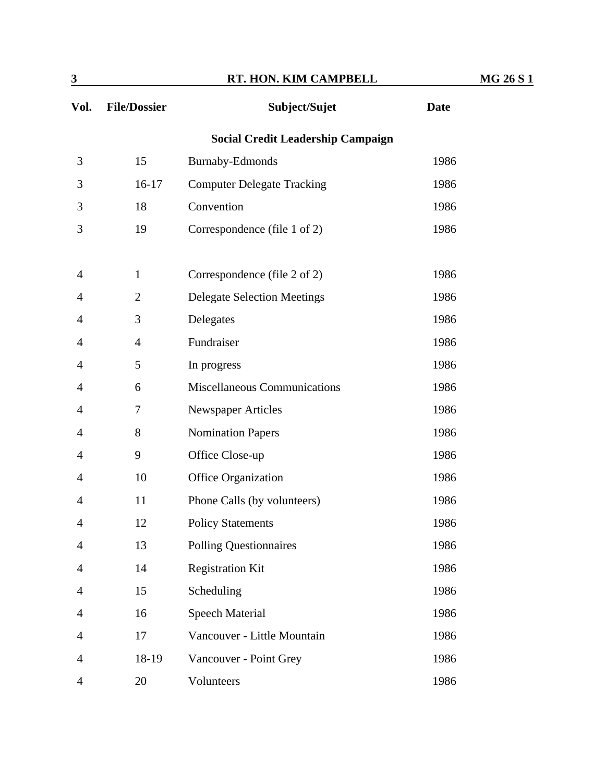| $\mathbf{3}$   |                     | RT. HON. KIM CAMPBELL                    |             | <b>MG 26 S 1</b> |
|----------------|---------------------|------------------------------------------|-------------|------------------|
| Vol.           | <b>File/Dossier</b> | Subject/Sujet                            | <b>Date</b> |                  |
|                |                     | <b>Social Credit Leadership Campaign</b> |             |                  |
| 3              | 15                  | <b>Burnaby-Edmonds</b>                   | 1986        |                  |
| 3              | $16-17$             | <b>Computer Delegate Tracking</b>        | 1986        |                  |
| 3              | 18                  | Convention                               | 1986        |                  |
| 3              | 19                  | Correspondence (file 1 of 2)             | 1986        |                  |
| 4              | $\mathbf{1}$        | Correspondence (file 2 of 2)             | 1986        |                  |
| 4              | $\overline{2}$      | <b>Delegate Selection Meetings</b>       | 1986        |                  |
| 4              | 3                   | Delegates                                | 1986        |                  |
| 4              | $\overline{4}$      | Fundraiser                               | 1986        |                  |
| 4              | 5                   | In progress                              | 1986        |                  |
| 4              | 6                   | Miscellaneous Communications             | 1986        |                  |
| 4              | $\tau$              | <b>Newspaper Articles</b>                | 1986        |                  |
| 4              | 8                   | <b>Nomination Papers</b>                 | 1986        |                  |
| 4              | 9                   | Office Close-up                          | 1986        |                  |
| 4              | 10                  | <b>Office Organization</b>               | 1986        |                  |
| 4              | 11                  | Phone Calls (by volunteers)              | 1986        |                  |
| $\overline{4}$ | 12                  | <b>Policy Statements</b>                 | 1986        |                  |
| 4              | 13                  | <b>Polling Questionnaires</b>            | 1986        |                  |
| 4              | 14                  | <b>Registration Kit</b>                  | 1986        |                  |
| 4              | 15                  | Scheduling                               | 1986        |                  |
| 4              | 16                  | <b>Speech Material</b>                   | 1986        |                  |
| 4              | 17                  | Vancouver - Little Mountain              | 1986        |                  |
| 4              | 18-19               | Vancouver - Point Grey                   | 1986        |                  |
| 4              | 20                  | Volunteers                               | 1986        |                  |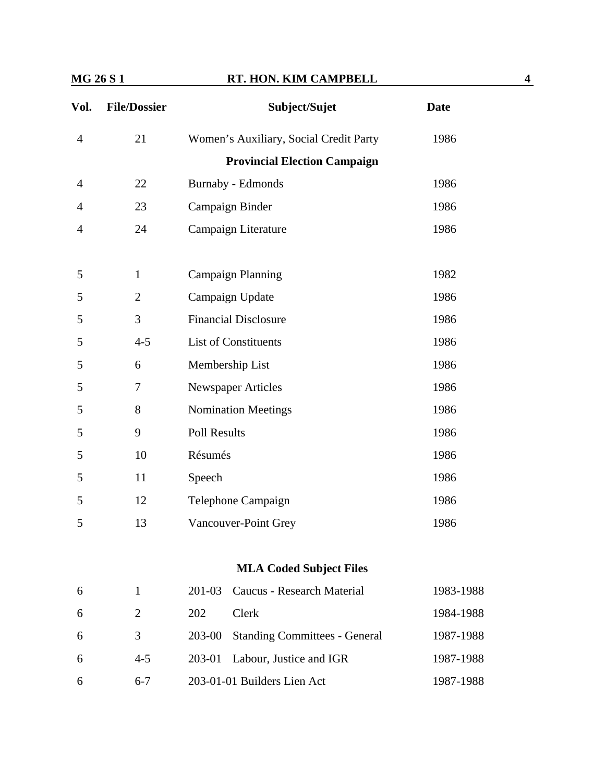| Vol.           | <b>File/Dossier</b> | Subject/Sujet                                  | <b>Date</b> |
|----------------|---------------------|------------------------------------------------|-------------|
| $\overline{4}$ | 21                  | Women's Auxiliary, Social Credit Party         | 1986        |
|                |                     | <b>Provincial Election Campaign</b>            |             |
| 4              | 22                  | <b>Burnaby</b> - Edmonds                       | 1986        |
| 4              | 23                  | Campaign Binder                                | 1986        |
| 4              | 24                  | Campaign Literature                            | 1986        |
| 5              | $\mathbf{1}$        | <b>Campaign Planning</b>                       | 1982        |
| 5              | $\overline{2}$      | Campaign Update                                | 1986        |
| 5              | 3                   | <b>Financial Disclosure</b>                    | 1986        |
| 5              | $4 - 5$             | List of Constituents                           | 1986        |
| 5              | 6                   | Membership List                                | 1986        |
| 5              | 7                   | <b>Newspaper Articles</b>                      | 1986        |
| 5              | 8                   | <b>Nomination Meetings</b>                     | 1986        |
| 5              | 9                   | <b>Poll Results</b>                            | 1986        |
| 5              | 10                  | Résumés                                        | 1986        |
| 5              | 11                  | Speech                                         | 1986        |
| 5              | 12                  | Telephone Campaign                             | 1986        |
| 5              | 13                  | Vancouver-Point Grey                           | 1986        |
|                |                     | <b>MLA Coded Subject Files</b>                 |             |
| 6              | $\mathbf{1}$        | 201-03<br>Caucus - Research Material           | 1983-1988   |
| 6              | $\overline{2}$      | 202<br>Clerk                                   | 1984-1988   |
| 6              | 3                   | 203-00<br><b>Standing Committees - General</b> | 1987-1988   |
| 6              | $4 - 5$             | 203-01<br>Labour, Justice and IGR              | 1987-1988   |
| 6              | $6 - 7$             | 203-01-01 Builders Lien Act                    | 1987-1988   |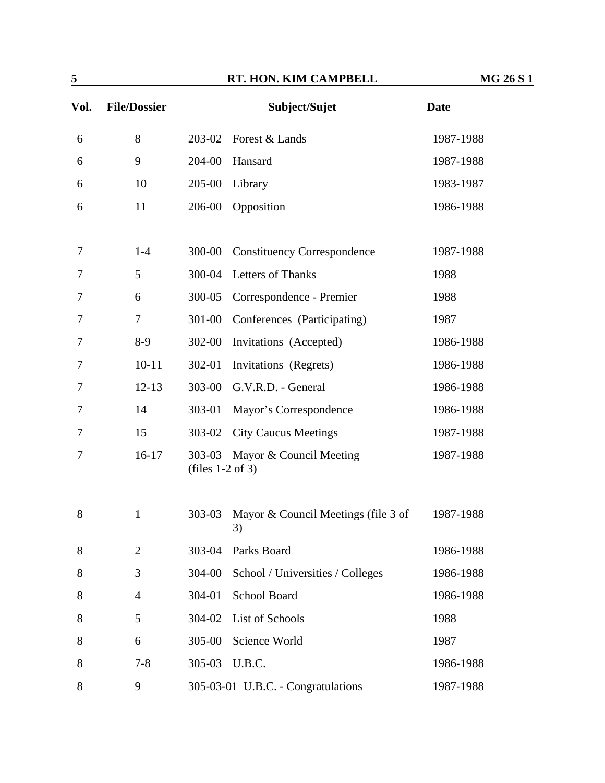| 5      |                     |                              | RT. HON. KIM CAMPBELL                     | <b>MG 26 S 1</b> |
|--------|---------------------|------------------------------|-------------------------------------------|------------------|
| Vol.   | <b>File/Dossier</b> |                              | Subject/Sujet                             | <b>Date</b>      |
| 6      | 8                   | 203-02                       | Forest & Lands                            | 1987-1988        |
| 6      | $\mathbf{9}$        | 204-00                       | Hansard                                   | 1987-1988        |
| 6      | 10                  | 205-00                       | Library                                   | 1983-1987        |
| 6      | 11                  | 206-00                       | Opposition                                | 1986-1988        |
| 7      | $1-4$               | 300-00                       | <b>Constituency Correspondence</b>        | 1987-1988        |
| 7      | 5                   | 300-04                       | Letters of Thanks                         | 1988             |
| $\tau$ | 6                   | 300-05                       | Correspondence - Premier                  | 1988             |
| 7      | $\overline{7}$      | 301-00                       | Conferences (Participating)               | 1987             |
| 7      | $8-9$               | 302-00                       | Invitations (Accepted)                    | 1986-1988        |
| 7      | $10 - 11$           | 302-01                       | Invitations (Regrets)                     | 1986-1988        |
| 7      | $12 - 13$           | 303-00                       | G.V.R.D. - General                        | 1986-1988        |
| 7      | 14                  | 303-01                       | Mayor's Correspondence                    | 1986-1988        |
| 7      | 15                  | 303-02                       | <b>City Caucus Meetings</b>               | 1987-1988        |
| 7      | $16-17$             | 303-03<br>(files $1-2$ of 3) | Mayor & Council Meeting                   | 1987-1988        |
| 8      | 1                   | 303-03                       | Mayor & Council Meetings (file 3 of<br>3) | 1987-1988        |
| $8\,$  | $\overline{2}$      | 303-04                       | Parks Board                               | 1986-1988        |
| 8      | 3                   | 304-00                       | School / Universities / Colleges          | 1986-1988        |
| 8      | $\overline{4}$      | 304-01                       | <b>School Board</b>                       | 1986-1988        |
| 8      | 5                   | 304-02                       | List of Schools                           | 1988             |
| 8      | 6                   | 305-00                       | Science World                             | 1987             |
| 8      | $7 - 8$             | 305-03                       | U.B.C.                                    | 1986-1988        |
| $8\,$  | $\mathbf{9}$        |                              | 305-03-01 U.B.C. - Congratulations        | 1987-1988        |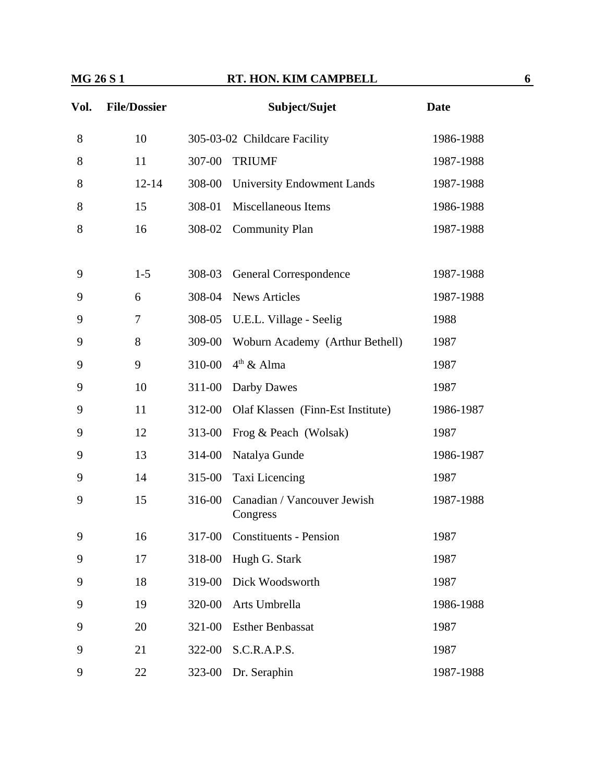| Vol. | <b>File/Dossier</b> |        | Subject/Sujet                           | <b>Date</b> |
|------|---------------------|--------|-----------------------------------------|-------------|
| 8    | 10                  |        | 305-03-02 Childcare Facility            | 1986-1988   |
| 8    | 11                  | 307-00 | <b>TRIUMF</b>                           | 1987-1988   |
| 8    | $12 - 14$           | 308-00 | <b>University Endowment Lands</b>       | 1987-1988   |
| 8    | 15                  | 308-01 | Miscellaneous Items                     | 1986-1988   |
| 8    | 16                  | 308-02 | <b>Community Plan</b>                   | 1987-1988   |
|      |                     |        |                                         |             |
| 9    | $1 - 5$             | 308-03 | General Correspondence                  | 1987-1988   |
| 9    | 6                   | 308-04 | <b>News Articles</b>                    | 1987-1988   |
| 9    | 7                   | 308-05 | U.E.L. Village - Seelig                 | 1988        |
| 9    | 8                   | 309-00 | Woburn Academy (Arthur Bethell)         | 1987        |
| 9    | 9                   | 310-00 | $4th$ & Alma                            | 1987        |
| 9    | 10                  | 311-00 | Darby Dawes                             | 1987        |
| 9    | 11                  | 312-00 | Olaf Klassen (Finn-Est Institute)       | 1986-1987   |
| 9    | 12                  | 313-00 | Frog & Peach (Wolsak)                   | 1987        |
| 9    | 13                  | 314-00 | Natalya Gunde                           | 1986-1987   |
| 9    | 14                  | 315-00 | Taxi Licencing                          | 1987        |
| 9    | 15                  | 316-00 | Canadian / Vancouver Jewish<br>Congress | 1987-1988   |
| 9    | 16                  | 317-00 | <b>Constituents - Pension</b>           | 1987        |
| 9    | 17                  | 318-00 | Hugh G. Stark                           | 1987        |
| 9    | 18                  | 319-00 | Dick Woodsworth                         | 1987        |
| 9    | 19                  | 320-00 | Arts Umbrella                           | 1986-1988   |
| 9    | 20                  | 321-00 | <b>Esther Benbassat</b>                 | 1987        |
| 9    | 21                  | 322-00 | S.C.R.A.P.S.                            | 1987        |
| 9    | 22                  | 323-00 | Dr. Seraphin                            | 1987-1988   |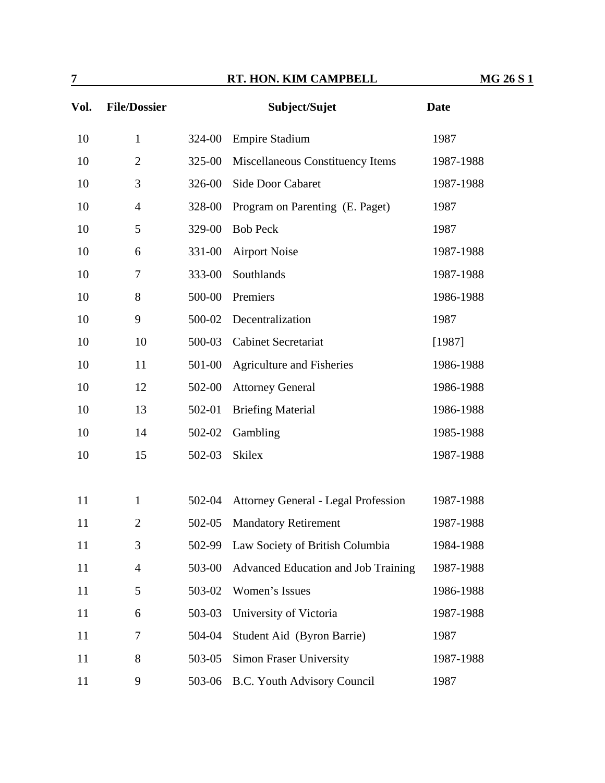| 7    | RT. HON. KIM CAMPBELL<br><b>MG 26 S 1</b> |        |                                     |             |  |
|------|-------------------------------------------|--------|-------------------------------------|-------------|--|
| Vol. | <b>File/Dossier</b>                       |        | Subject/Sujet                       | <b>Date</b> |  |
| 10   | $\mathbf{1}$                              | 324-00 | <b>Empire Stadium</b>               | 1987        |  |
| 10   | $\overline{2}$                            | 325-00 | Miscellaneous Constituency Items    | 1987-1988   |  |
| 10   | 3                                         | 326-00 | Side Door Cabaret                   | 1987-1988   |  |
| 10   | $\overline{4}$                            | 328-00 | Program on Parenting (E. Paget)     | 1987        |  |
| 10   | 5                                         | 329-00 | <b>Bob Peck</b>                     | 1987        |  |
| 10   | 6                                         | 331-00 | <b>Airport Noise</b>                | 1987-1988   |  |
| 10   | $\boldsymbol{7}$                          | 333-00 | Southlands                          | 1987-1988   |  |
| 10   | 8                                         | 500-00 | Premiers                            | 1986-1988   |  |
| 10   | 9                                         | 500-02 | Decentralization                    | 1987        |  |
| 10   | 10                                        | 500-03 | <b>Cabinet Secretariat</b>          | [1987]      |  |
| 10   | 11                                        | 501-00 | <b>Agriculture and Fisheries</b>    | 1986-1988   |  |
| 10   | 12                                        | 502-00 | <b>Attorney General</b>             | 1986-1988   |  |
| 10   | 13                                        | 502-01 | <b>Briefing Material</b>            | 1986-1988   |  |
| 10   | 14                                        | 502-02 | Gambling                            | 1985-1988   |  |
| 10   | 15                                        | 502-03 | <b>Skilex</b>                       | 1987-1988   |  |
|      |                                           |        |                                     |             |  |
| 11   | $\mathbf{1}$                              | 502-04 | Attorney General - Legal Profession | 1987-1988   |  |
| 11   | $\overline{2}$                            | 502-05 | <b>Mandatory Retirement</b>         | 1987-1988   |  |
| 11   | 3                                         | 502-99 | Law Society of British Columbia     | 1984-1988   |  |
| 11   | $\overline{4}$                            | 503-00 | Advanced Education and Job Training | 1987-1988   |  |
| 11   | 5                                         | 503-02 | Women's Issues                      | 1986-1988   |  |
| 11   | 6                                         | 503-03 | University of Victoria              | 1987-1988   |  |
| 11   | 7                                         | 504-04 | Student Aid (Byron Barrie)          | 1987        |  |
| 11   | 8                                         | 503-05 | <b>Simon Fraser University</b>      | 1987-1988   |  |
| 11   | 9                                         | 503-06 | B.C. Youth Advisory Council         | 1987        |  |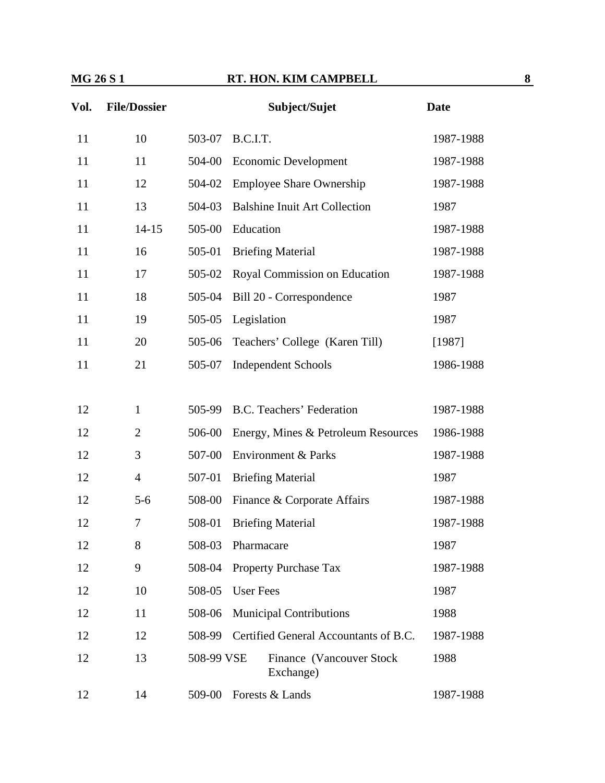| Vol. | <b>File/Dossier</b> |                   |                  | Subject/Sujet                          | <b>Date</b> |
|------|---------------------|-------------------|------------------|----------------------------------------|-------------|
| 11   | 10                  | 503-07            | B.C.I.T.         |                                        | 1987-1988   |
| 11   | 11                  | 504-00            |                  | Economic Development                   | 1987-1988   |
| 11   | 12                  | 504-02            |                  | <b>Employee Share Ownership</b>        | 1987-1988   |
| 11   | 13                  | 504-03            |                  | <b>Balshine Inuit Art Collection</b>   | 1987        |
| 11   | $14 - 15$           | 505-00            | Education        |                                        | 1987-1988   |
| 11   | 16                  | 505-01            |                  | <b>Briefing Material</b>               | 1987-1988   |
| 11   | 17                  | 505-02            |                  | Royal Commission on Education          | 1987-1988   |
| 11   | 18                  | 505-04            |                  | Bill 20 - Correspondence               | 1987        |
| 11   | 19                  | 505-05            | Legislation      |                                        | 1987        |
| 11   | 20                  | 505-06            |                  | Teachers' College (Karen Till)         | [1987]      |
| 11   | 21                  | 505-07            |                  | <b>Independent Schools</b>             | 1986-1988   |
|      |                     |                   |                  |                                        |             |
| 12   | $\mathbf{1}$        | 505-99            |                  | B.C. Teachers' Federation              | 1987-1988   |
| 12   | $\overline{2}$      | 506-00            |                  | Energy, Mines & Petroleum Resources    | 1986-1988   |
| 12   | 3                   | 507-00            |                  | <b>Environment &amp; Parks</b>         | 1987-1988   |
| 12   | $\overline{4}$      | 507-01            |                  | <b>Briefing Material</b>               | 1987        |
| 12   | $5 - 6$             | 508-00            |                  | Finance & Corporate Affairs            | 1987-1988   |
| 12   | 7                   | 508-01            |                  | <b>Briefing Material</b>               | 1987-1988   |
| 12   | 8                   | 508-03 Pharmacare |                  |                                        | 1987        |
| 12   | 9                   | 508-04            |                  | <b>Property Purchase Tax</b>           | 1987-1988   |
| 12   | 10                  | 508-05            | <b>User Fees</b> |                                        | 1987        |
| 12   | 11                  | 508-06            |                  | <b>Municipal Contributions</b>         | 1988        |
| 12   | 12                  | 508-99            |                  | Certified General Accountants of B.C.  | 1987-1988   |
| 12   | 13                  | 508-99 VSE        |                  | Finance (Vancouver Stock)<br>Exchange) | 1988        |
| 12   | 14                  | 509-00            |                  | Forests & Lands                        | 1987-1988   |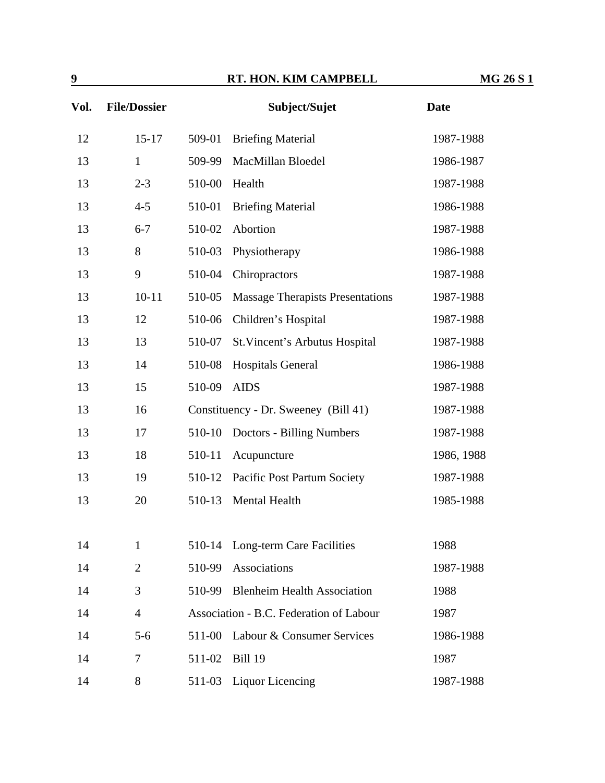| 9    | RT. HON. KIM CAMPBELL |        | <b>MG 26 S 1</b>                        |             |  |
|------|-----------------------|--------|-----------------------------------------|-------------|--|
| Vol. | <b>File/Dossier</b>   |        | Subject/Sujet                           | <b>Date</b> |  |
| 12   | $15-17$               | 509-01 | <b>Briefing Material</b>                | 1987-1988   |  |
| 13   | $\mathbf{1}$          | 509-99 | MacMillan Bloedel                       | 1986-1987   |  |
| 13   | $2 - 3$               | 510-00 | Health                                  | 1987-1988   |  |
| 13   | $4 - 5$               | 510-01 | <b>Briefing Material</b>                | 1986-1988   |  |
| 13   | $6 - 7$               | 510-02 | Abortion                                | 1987-1988   |  |
| 13   | 8                     | 510-03 | Physiotherapy                           | 1986-1988   |  |
| 13   | 9                     | 510-04 | Chiropractors                           | 1987-1988   |  |
| 13   | $10 - 11$             | 510-05 | <b>Massage Therapists Presentations</b> | 1987-1988   |  |
| 13   | 12                    | 510-06 | Children's Hospital                     | 1987-1988   |  |
| 13   | 13                    | 510-07 | St. Vincent's Arbutus Hospital          | 1987-1988   |  |
| 13   | 14                    | 510-08 | <b>Hospitals General</b>                | 1986-1988   |  |
| 13   | 15                    | 510-09 | <b>AIDS</b>                             | 1987-1988   |  |
| 13   | 16                    |        | Constituency - Dr. Sweeney (Bill 41)    | 1987-1988   |  |
| 13   | 17                    | 510-10 | <b>Doctors - Billing Numbers</b>        | 1987-1988   |  |
| 13   | 18                    | 510-11 | Acupuncture                             | 1986, 1988  |  |
| 13   | 19                    | 510-12 | Pacific Post Partum Society             | 1987-1988   |  |
| 13   | 20                    | 510-13 | Mental Health                           | 1985-1988   |  |
|      |                       |        |                                         |             |  |
| 14   | $\mathbf{1}$          | 510-14 | Long-term Care Facilities               | 1988        |  |
| 14   | $\overline{2}$        | 510-99 | Associations                            | 1987-1988   |  |
| 14   | 3                     | 510-99 | <b>Blenheim Health Association</b>      | 1988        |  |
| 14   | $\overline{4}$        |        | Association - B.C. Federation of Labour | 1987        |  |
| 14   | $5-6$                 | 511-00 | Labour & Consumer Services              | 1986-1988   |  |
| 14   | 7                     | 511-02 | <b>Bill 19</b>                          | 1987        |  |
| 14   | 8                     | 511-03 | <b>Liquor Licencing</b>                 | 1987-1988   |  |
|      |                       |        |                                         |             |  |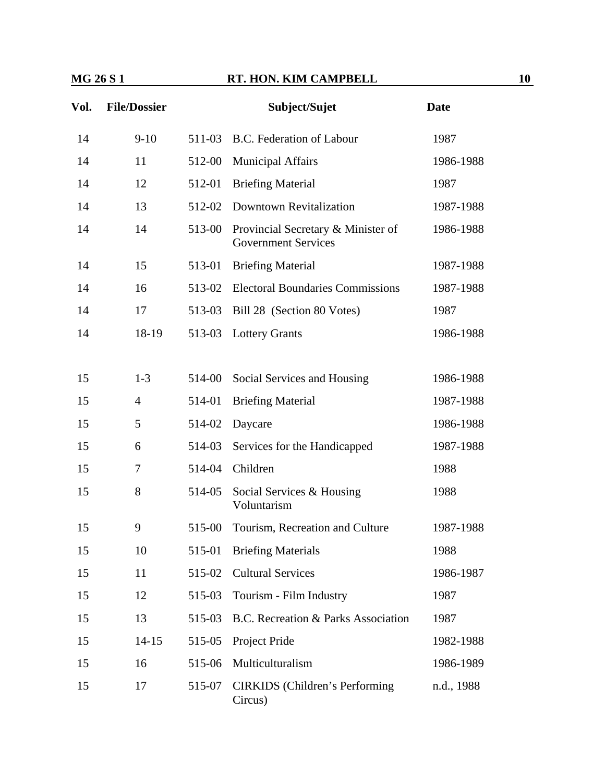| Vol. | <b>File/Dossier</b> |        | Subject/Sujet                                                    | <b>Date</b> |
|------|---------------------|--------|------------------------------------------------------------------|-------------|
| 14   | $9-10$              | 511-03 | B.C. Federation of Labour                                        | 1987        |
| 14   | 11                  | 512-00 | <b>Municipal Affairs</b>                                         | 1986-1988   |
| 14   | 12                  | 512-01 | <b>Briefing Material</b>                                         | 1987        |
| 14   | 13                  | 512-02 | <b>Downtown Revitalization</b>                                   | 1987-1988   |
| 14   | 14                  | 513-00 | Provincial Secretary & Minister of<br><b>Government Services</b> | 1986-1988   |
| 14   | 15                  | 513-01 | <b>Briefing Material</b>                                         | 1987-1988   |
| 14   | 16                  | 513-02 | <b>Electoral Boundaries Commissions</b>                          | 1987-1988   |
| 14   | 17                  | 513-03 | Bill 28 (Section 80 Votes)                                       | 1987        |
| 14   | 18-19               | 513-03 | <b>Lottery Grants</b>                                            | 1986-1988   |
|      |                     |        |                                                                  |             |
| 15   | $1 - 3$             | 514-00 | Social Services and Housing                                      | 1986-1988   |
| 15   | $\overline{4}$      | 514-01 | <b>Briefing Material</b>                                         | 1987-1988   |
| 15   | 5                   | 514-02 | Daycare                                                          | 1986-1988   |
| 15   | 6                   | 514-03 | Services for the Handicapped                                     | 1987-1988   |
| 15   | 7                   | 514-04 | Children                                                         | 1988        |
| 15   | 8                   | 514-05 | Social Services & Housing<br>Voluntarism                         | 1988        |
| 15   | 9                   | 515-00 | Tourism, Recreation and Culture                                  | 1987-1988   |
| 15   | 10                  | 515-01 | <b>Briefing Materials</b>                                        | 1988        |
| 15   | 11                  | 515-02 | <b>Cultural Services</b>                                         | 1986-1987   |
| 15   | 12                  | 515-03 | Tourism - Film Industry                                          | 1987        |
| 15   | 13                  | 515-03 | B.C. Recreation & Parks Association                              | 1987        |
| 15   | $14 - 15$           | 515-05 | Project Pride                                                    | 1982-1988   |
| 15   | 16                  | 515-06 | Multiculturalism                                                 | 1986-1989   |
| 15   | 17                  | 515-07 | <b>CIRKIDS</b> (Children's Performing<br>Circus)                 | n.d., 1988  |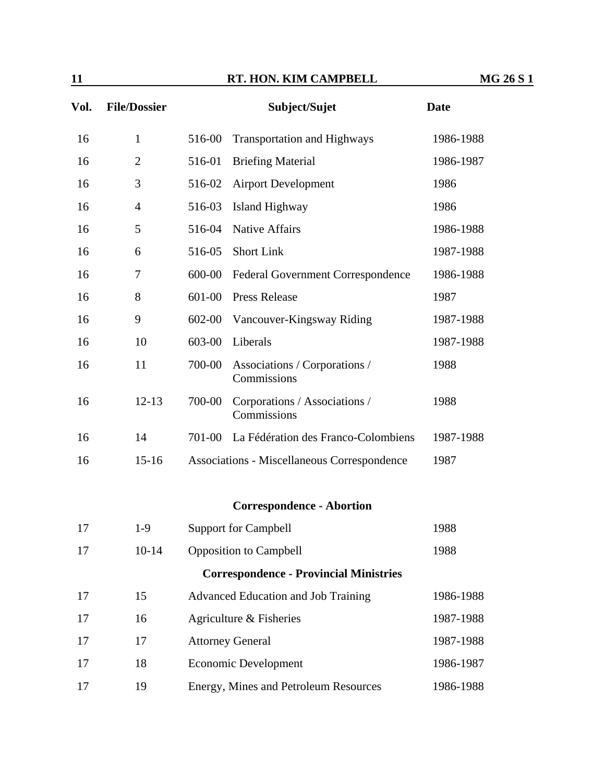| 11   |                     | RT. HON. KIM CAMPBELL |                                               | <b>MG 26 S 1</b> |  |
|------|---------------------|-----------------------|-----------------------------------------------|------------------|--|
| Vol. | <b>File/Dossier</b> |                       | Subject/Sujet                                 | <b>Date</b>      |  |
| 16   | $\mathbf{1}$        | 516-00                | <b>Transportation and Highways</b>            | 1986-1988        |  |
| 16   | $\overline{2}$      | 516-01                | <b>Briefing Material</b>                      | 1986-1987        |  |
| 16   | 3                   | 516-02                | <b>Airport Development</b>                    | 1986             |  |
| 16   | $\overline{4}$      | 516-03                | Island Highway                                | 1986             |  |
| 16   | 5                   | 516-04                | <b>Native Affairs</b>                         | 1986-1988        |  |
| 16   | 6                   | 516-05                | <b>Short Link</b>                             | 1987-1988        |  |
| 16   | 7                   | 600-00                | <b>Federal Government Correspondence</b>      | 1986-1988        |  |
| 16   | 8                   | 601-00                | <b>Press Release</b>                          | 1987             |  |
| 16   | 9                   | 602-00                | Vancouver-Kingsway Riding                     | 1987-1988        |  |
| 16   | 10                  | 603-00                | Liberals                                      | 1987-1988        |  |
| 16   | 11                  | 700-00                | Associations / Corporations /<br>Commissions  | 1988             |  |
| 16   | $12 - 13$           | 700-00                | Corporations / Associations /<br>Commissions  | 1988             |  |
| 16   | 14                  | 701-00                | La Fédération des Franco-Colombiens           | 1987-1988        |  |
| 16   | $15 - 16$           |                       | Associations - Miscellaneous Correspondence   | 1987             |  |
|      |                     |                       | <b>Correspondence - Abortion</b>              |                  |  |
| 17   | $1-9$               |                       | <b>Support for Campbell</b>                   | 1988             |  |
| 17   | $10 - 14$           |                       | <b>Opposition to Campbell</b>                 | 1988             |  |
|      |                     |                       | <b>Correspondence - Provincial Ministries</b> |                  |  |
| 17   | 15                  |                       | Advanced Education and Job Training           | 1986-1988        |  |
| 17   | 16                  |                       | Agriculture & Fisheries                       | 1987-1988        |  |
| 17   | 17                  |                       | <b>Attorney General</b>                       | 1987-1988        |  |
| 17   | 18                  |                       | <b>Economic Development</b>                   | 1986-1987        |  |
| 17   | 19                  |                       | Energy, Mines and Petroleum Resources         | 1986-1988        |  |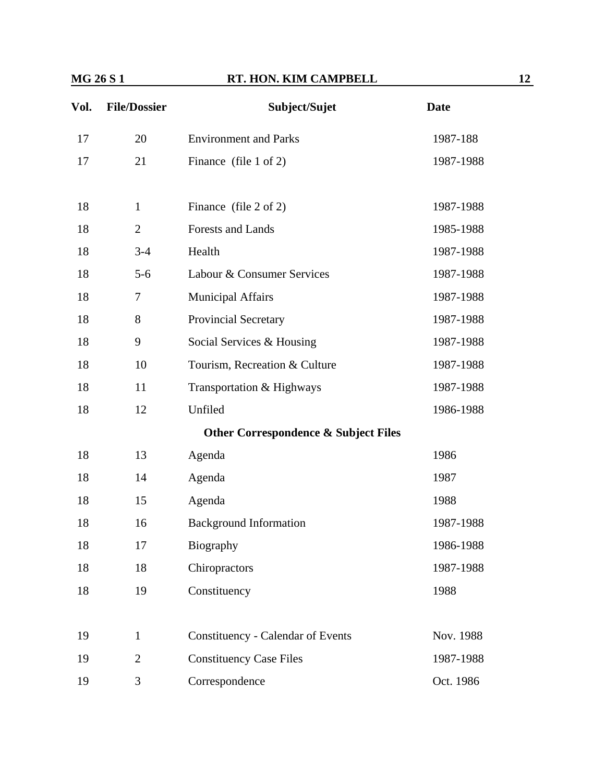| Vol. | <b>File/Dossier</b> | Subject/Sujet                                   | <b>Date</b> |
|------|---------------------|-------------------------------------------------|-------------|
| 17   | 20                  | <b>Environment and Parks</b>                    | 1987-188    |
| 17   | 21                  | Finance (file 1 of 2)                           | 1987-1988   |
|      | $\mathbf{1}$        |                                                 |             |
| 18   | $\overline{2}$      | Finance (file $2$ of $2$ )                      | 1987-1988   |
| 18   |                     | Forests and Lands                               | 1985-1988   |
| 18   | $3 - 4$             | Health                                          | 1987-1988   |
| 18   | $5-6$               | Labour & Consumer Services                      | 1987-1988   |
| 18   | 7                   | <b>Municipal Affairs</b>                        | 1987-1988   |
| 18   | 8                   | Provincial Secretary                            | 1987-1988   |
| 18   | 9                   | Social Services & Housing                       | 1987-1988   |
| 18   | 10                  | Tourism, Recreation & Culture                   | 1987-1988   |
| 18   | 11                  | Transportation & Highways                       | 1987-1988   |
| 18   | 12                  | Unfiled                                         | 1986-1988   |
|      |                     | <b>Other Correspondence &amp; Subject Files</b> |             |
| 18   | 13                  | Agenda                                          | 1986        |
| 18   | 14                  | Agenda                                          | 1987        |
| 18   | 15                  | Agenda                                          | 1988        |
| 18   | 16                  | <b>Background Information</b>                   | 1987-1988   |
| 18   | 17                  | Biography                                       | 1986-1988   |
| 18   | 18                  | Chiropractors                                   | 1987-1988   |
| 18   | 19                  | Constituency                                    | 1988        |
|      |                     |                                                 |             |
| 19   | $\mathbf{1}$        | <b>Constituency - Calendar of Events</b>        | Nov. 1988   |
| 19   | $\overline{2}$      | <b>Constituency Case Files</b>                  | 1987-1988   |
| 19   | 3                   | Correspondence                                  | Oct. 1986   |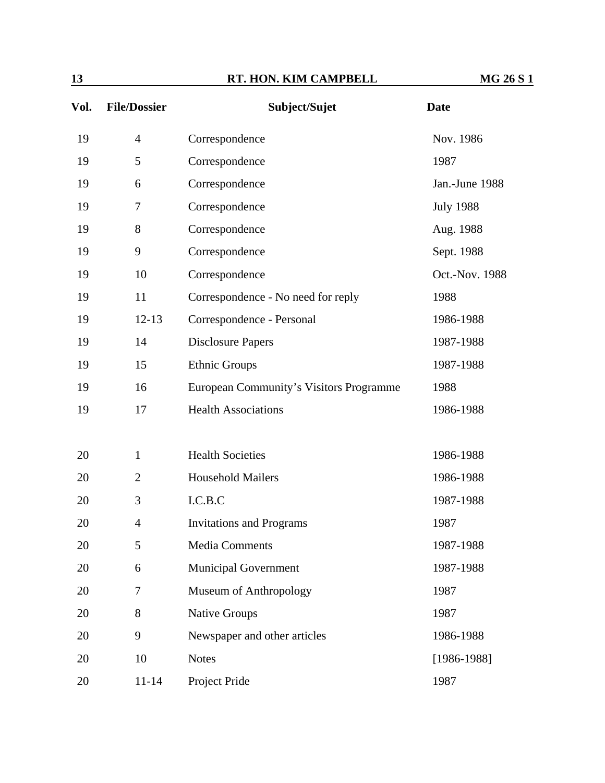| Vol. | <b>File/Dossier</b> | Subject/Sujet                           | <b>Date</b>      |
|------|---------------------|-----------------------------------------|------------------|
| 19   | $\overline{4}$      | Correspondence                          | Nov. 1986        |
| 19   | 5                   | Correspondence                          | 1987             |
| 19   | 6                   | Correspondence                          | Jan.-June 1988   |
| 19   | 7                   | Correspondence                          | <b>July 1988</b> |
| 19   | 8                   | Correspondence                          | Aug. 1988        |
| 19   | 9                   | Correspondence                          | Sept. 1988       |
| 19   | 10                  | Correspondence                          | Oct.-Nov. 1988   |
| 19   | 11                  | Correspondence - No need for reply      | 1988             |
| 19   | $12 - 13$           | Correspondence - Personal               | 1986-1988        |
| 19   | 14                  | <b>Disclosure Papers</b>                | 1987-1988        |
| 19   | 15                  | Ethnic Groups                           | 1987-1988        |
| 19   | 16                  | European Community's Visitors Programme | 1988             |
| 19   | 17                  | <b>Health Associations</b>              | 1986-1988        |
|      |                     |                                         |                  |
| 20   | $\mathbf{1}$        | <b>Health Societies</b>                 | 1986-1988        |
| 20   | $\overline{2}$      | <b>Household Mailers</b>                | 1986-1988        |
| 20   | 3                   | I.C.B.C                                 | 1987-1988        |
| 20   | $\overline{4}$      | <b>Invitations and Programs</b>         | 1987             |
| 20   | 5                   | <b>Media Comments</b>                   | 1987-1988        |
| 20   | 6                   | <b>Municipal Government</b>             | 1987-1988        |
| 20   | 7                   | Museum of Anthropology                  | 1987             |
| 20   | 8                   | <b>Native Groups</b>                    | 1987             |
| 20   | 9                   | Newspaper and other articles            | 1986-1988        |
| 20   | 10                  | <b>Notes</b>                            | $[1986-1988]$    |
| 20   | $11 - 14$           | Project Pride                           | 1987             |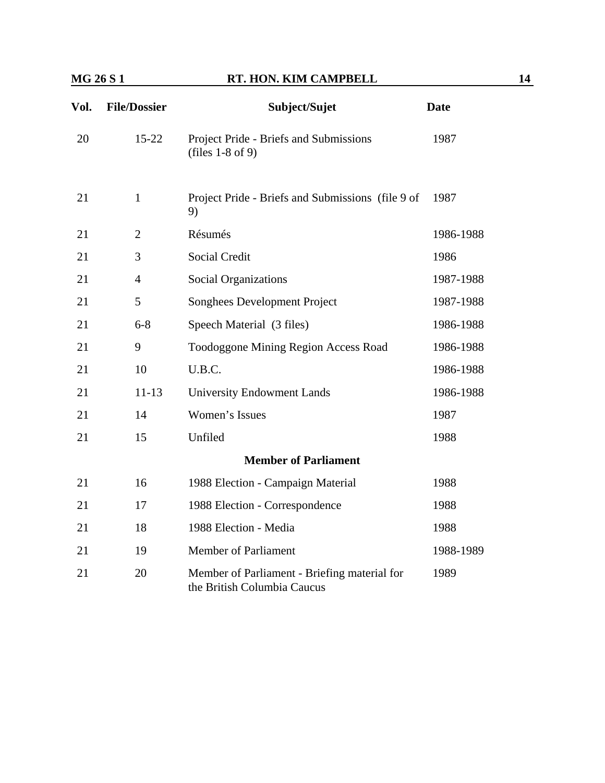| Vol. | <b>File/Dossier</b> | Subject/Sujet                                                               | <b>Date</b> |
|------|---------------------|-----------------------------------------------------------------------------|-------------|
| 20   | $15 - 22$           | Project Pride - Briefs and Submissions<br>(files $1-8$ of 9)                | 1987        |
| 21   | $\mathbf{1}$        | Project Pride - Briefs and Submissions (file 9 of<br>9)                     | 1987        |
| 21   | $\overline{2}$      | Résumés                                                                     | 1986-1988   |
| 21   | 3                   | Social Credit                                                               | 1986        |
| 21   | 4                   | <b>Social Organizations</b>                                                 | 1987-1988   |
| 21   | 5                   | Songhees Development Project                                                | 1987-1988   |
| 21   | $6 - 8$             | Speech Material (3 files)                                                   | 1986-1988   |
| 21   | 9                   | Toodoggone Mining Region Access Road                                        | 1986-1988   |
| 21   | 10                  | U.B.C.                                                                      | 1986-1988   |
| 21   | $11 - 13$           | <b>University Endowment Lands</b>                                           | 1986-1988   |
| 21   | 14                  | Women's Issues                                                              | 1987        |
| 21   | 15                  | Unfiled                                                                     | 1988        |
|      |                     | <b>Member of Parliament</b>                                                 |             |
| 21   | 16                  | 1988 Election - Campaign Material                                           | 1988        |
| 21   | 17                  | 1988 Election - Correspondence                                              | 1988        |
| 21   | 18                  | 1988 Election - Media                                                       | 1988        |
| 21   | 19                  | <b>Member of Parliament</b>                                                 | 1988-1989   |
| 21   | 20                  | Member of Parliament - Briefing material for<br>the British Columbia Caucus | 1989        |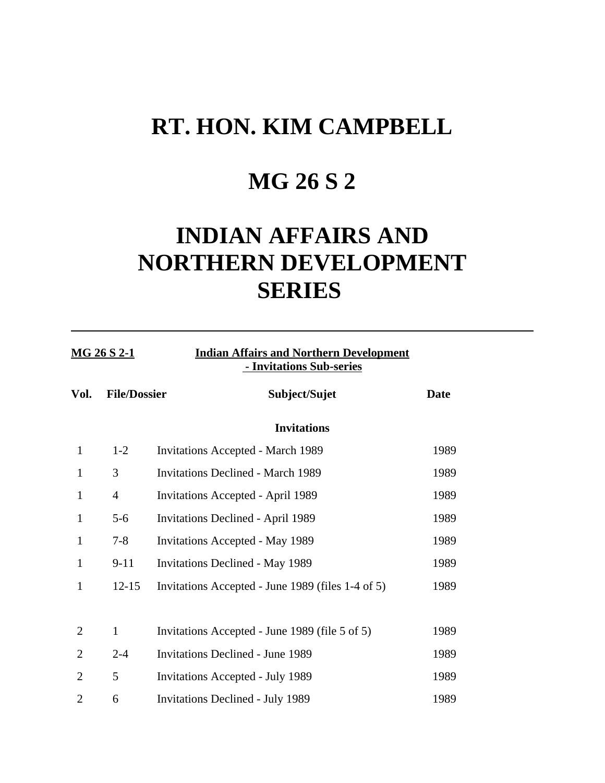## **MG 26 S 2**

## **INDIAN AFFAIRS AND NORTHERN DEVELOPMENT SERIES**

| <b>MG 26 S 2-1</b> |                     | <b>Indian Affairs and Northern Development</b><br>- Invitations Sub-series |             |
|--------------------|---------------------|----------------------------------------------------------------------------|-------------|
| Vol.               | <b>File/Dossier</b> | Subject/Sujet                                                              | <b>Date</b> |
|                    |                     | <b>Invitations</b>                                                         |             |
| $\mathbf{1}$       | $1 - 2$             | <b>Invitations Accepted - March 1989</b>                                   | 1989        |
| $\mathbf{1}$       | 3                   | <b>Invitations Declined - March 1989</b>                                   | 1989        |
| $\mathbf{1}$       | $\overline{4}$      | <b>Invitations Accepted - April 1989</b>                                   | 1989        |
| $\mathbf{1}$       | $5 - 6$             | <b>Invitations Declined - April 1989</b>                                   | 1989        |
| 1                  | $7 - 8$             | <b>Invitations Accepted - May 1989</b>                                     | 1989        |
| $\mathbf{1}$       | $9 - 11$            | <b>Invitations Declined - May 1989</b>                                     | 1989        |
| 1                  | $12 - 15$           | Invitations Accepted - June 1989 (files 1-4 of 5)                          | 1989        |
| $\overline{2}$     | $\mathbf{1}$        | Invitations Accepted - June 1989 (file 5 of 5)                             | 1989        |
| $\overline{2}$     | $2 - 4$             | <b>Invitations Declined - June 1989</b>                                    | 1989        |
| $\overline{2}$     | 5                   | <b>Invitations Accepted - July 1989</b>                                    | 1989        |
| $\overline{2}$     | 6                   | <b>Invitations Declined - July 1989</b>                                    | 1989        |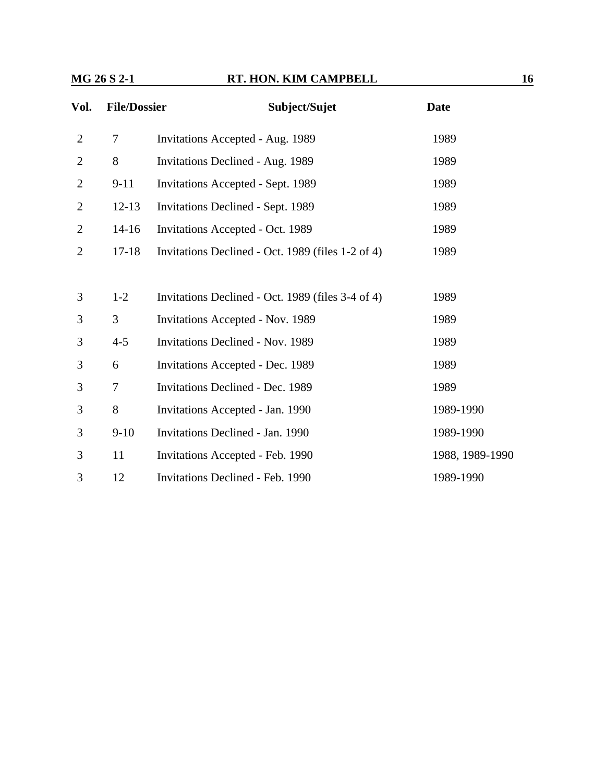| Vol.           | <b>File/Dossier</b> | Subject/Sujet                                     | <b>Date</b>     |  |
|----------------|---------------------|---------------------------------------------------|-----------------|--|
| $\mathfrak{2}$ | 7                   | Invitations Accepted - Aug. 1989                  | 1989            |  |
| $\overline{2}$ | 8                   | Invitations Declined - Aug. 1989                  | 1989            |  |
| $\overline{2}$ | $9 - 11$            | Invitations Accepted - Sept. 1989                 | 1989            |  |
| $\overline{c}$ | $12 - 13$           | Invitations Declined - Sept. 1989                 | 1989            |  |
| $\overline{2}$ | $14 - 16$           | Invitations Accepted - Oct. 1989                  | 1989            |  |
| $\overline{2}$ | $17 - 18$           | Invitations Declined - Oct. 1989 (files 1-2 of 4) | 1989            |  |
|                |                     |                                                   |                 |  |
| 3              | $1-2$               | Invitations Declined - Oct. 1989 (files 3-4 of 4) | 1989            |  |
| 3              | 3                   | Invitations Accepted - Nov. 1989                  | 1989            |  |
| 3              | $4 - 5$             | <b>Invitations Declined - Nov. 1989</b>           | 1989            |  |
| 3              | 6                   | Invitations Accepted - Dec. 1989                  | 1989            |  |
| 3              | 7                   | <b>Invitations Declined - Dec. 1989</b>           | 1989            |  |
| 3              | 8                   | Invitations Accepted - Jan. 1990                  | 1989-1990       |  |
| 3              | $9-10$              | Invitations Declined - Jan. 1990                  | 1989-1990       |  |
| 3              | 11                  | Invitations Accepted - Feb. 1990                  | 1988, 1989-1990 |  |
| 3              | 12                  | <b>Invitations Declined - Feb. 1990</b>           | 1989-1990       |  |
|                |                     |                                                   |                 |  |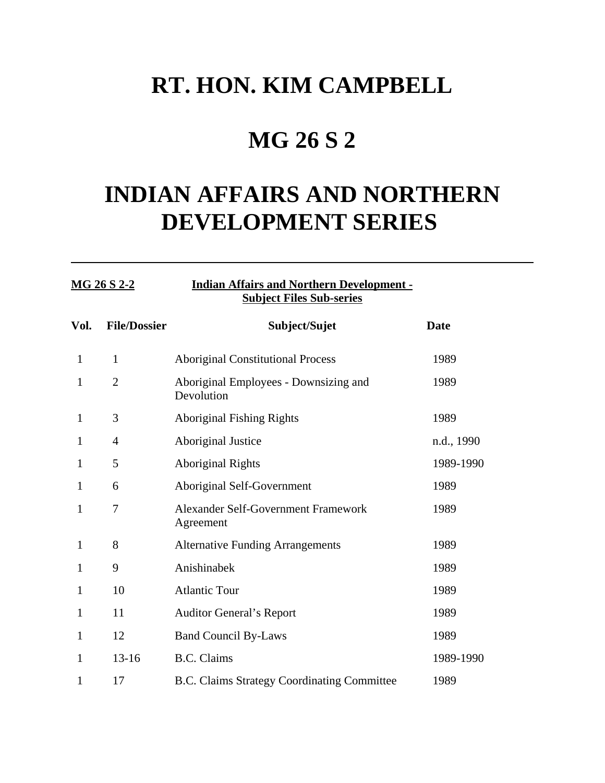## **MG 26 S 2**

## **INDIAN AFFAIRS AND NORTHERN DEVELOPMENT SERIES**

### **MG 26 S 2-2 Indian Affairs and Northern Development - Subject Files Sub-series**

| Vol.         | <b>File/Dossier</b> | Subject/Sujet                                       | <b>Date</b> |
|--------------|---------------------|-----------------------------------------------------|-------------|
| $\mathbf{1}$ | $\mathbf{1}$        | <b>Aboriginal Constitutional Process</b>            | 1989        |
| 1            | $\overline{2}$      | Aboriginal Employees - Downsizing and<br>Devolution | 1989        |
| $\mathbf{1}$ | 3                   | <b>Aboriginal Fishing Rights</b>                    | 1989        |
| 1            | 4                   | Aboriginal Justice                                  | n.d., 1990  |
| 1            | 5                   | <b>Aboriginal Rights</b>                            | 1989-1990   |
| $\mathbf{1}$ | 6                   | Aboriginal Self-Government                          | 1989        |
| 1            | 7                   | Alexander Self-Government Framework<br>Agreement    | 1989        |
| 1            | 8                   | <b>Alternative Funding Arrangements</b>             | 1989        |
| 1            | 9                   | Anishinabek                                         | 1989        |
| 1            | 10                  | <b>Atlantic Tour</b>                                | 1989        |
| 1            | 11                  | <b>Auditor General's Report</b>                     | 1989        |
| 1            | 12                  | <b>Band Council By-Laws</b>                         | 1989        |
| 1            | $13 - 16$           | <b>B.C.</b> Claims                                  | 1989-1990   |
| 1            | 17                  | <b>B.C. Claims Strategy Coordinating Committee</b>  | 1989        |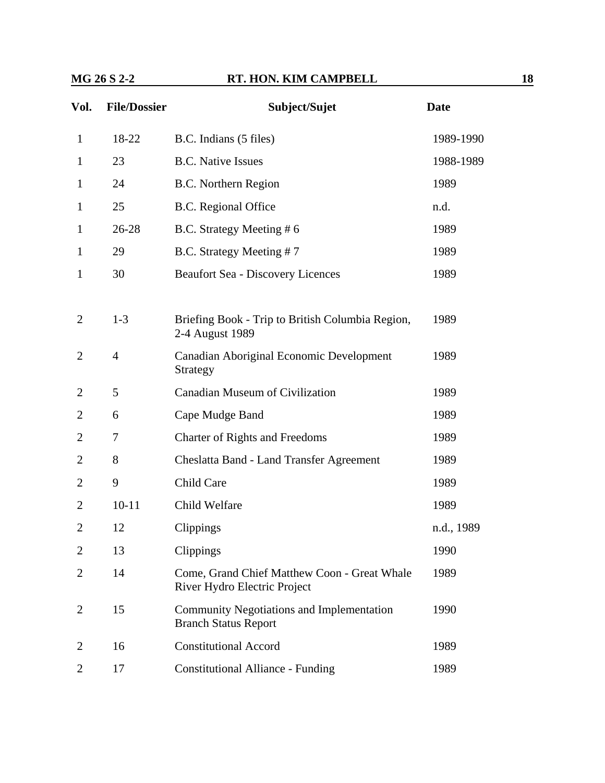| Vol.           | <b>File/Dossier</b> | Subject/Sujet                                                                | <b>Date</b> |
|----------------|---------------------|------------------------------------------------------------------------------|-------------|
| 1              | 18-22               | B.C. Indians (5 files)                                                       | 1989-1990   |
| $\mathbf{1}$   | 23                  | <b>B.C.</b> Native Issues                                                    | 1988-1989   |
| 1              | 24                  | <b>B.C.</b> Northern Region                                                  | 1989        |
| 1              | 25                  | B.C. Regional Office                                                         | n.d.        |
| $\mathbf{1}$   | 26-28               | B.C. Strategy Meeting #6                                                     | 1989        |
| 1              | 29                  | B.C. Strategy Meeting #7                                                     | 1989        |
| 1              | 30                  | <b>Beaufort Sea - Discovery Licences</b>                                     | 1989        |
| 2              | $1 - 3$             | Briefing Book - Trip to British Columbia Region,<br>2-4 August 1989          | 1989        |
| $\overline{2}$ | $\overline{4}$      | Canadian Aboriginal Economic Development<br>Strategy                         | 1989        |
| 2              | 5                   | Canadian Museum of Civilization                                              | 1989        |
| 2              | 6                   | Cape Mudge Band                                                              | 1989        |
| 2              | 7                   | <b>Charter of Rights and Freedoms</b>                                        | 1989        |
| 2              | 8                   | Cheslatta Band - Land Transfer Agreement                                     | 1989        |
| 2              | 9                   | Child Care                                                                   | 1989        |
| 2              | $10 - 11$           | Child Welfare                                                                | 1989        |
| $\overline{2}$ | 12                  | Clippings                                                                    | n.d., 1989  |
| 2              | 13                  | Clippings                                                                    | 1990        |
| 2              | 14                  | Come, Grand Chief Matthew Coon - Great Whale<br>River Hydro Electric Project | 1989        |
| 2              | 15                  | Community Negotiations and Implementation<br><b>Branch Status Report</b>     | 1990        |
| 2              | 16                  | <b>Constitutional Accord</b>                                                 | 1989        |
| 2              | 17                  | <b>Constitutional Alliance - Funding</b>                                     | 1989        |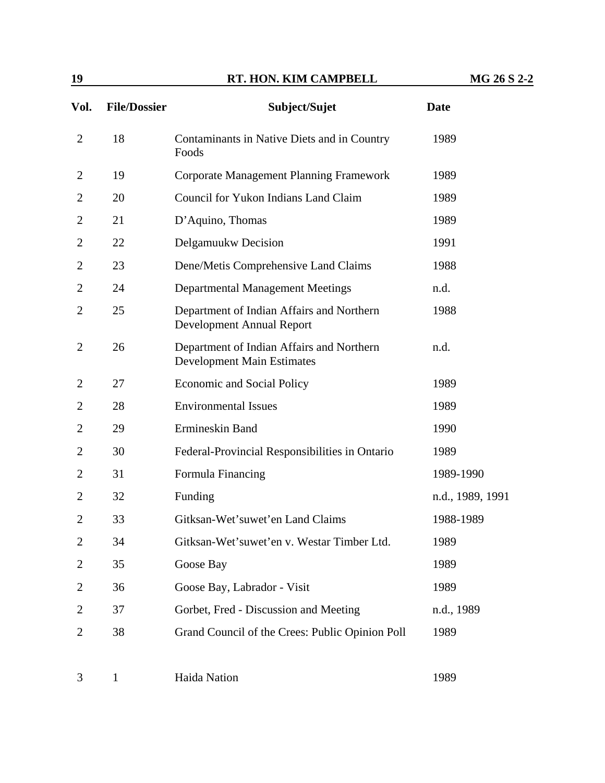| Vol.           | <b>File/Dossier</b> | Subject/Sujet                                                                  | <b>Date</b>      |
|----------------|---------------------|--------------------------------------------------------------------------------|------------------|
| $\overline{2}$ | 18                  | Contaminants in Native Diets and in Country<br>Foods                           | 1989             |
| 2              | 19                  | <b>Corporate Management Planning Framework</b>                                 | 1989             |
| $\overline{2}$ | 20                  | Council for Yukon Indians Land Claim                                           | 1989             |
| $\overline{2}$ | 21                  | D'Aquino, Thomas                                                               | 1989             |
| $\overline{2}$ | 22                  | Delgamuukw Decision                                                            | 1991             |
| $\overline{2}$ | 23                  | Dene/Metis Comprehensive Land Claims                                           | 1988             |
| $\overline{2}$ | 24                  | <b>Departmental Management Meetings</b>                                        | n.d.             |
| $\overline{2}$ | 25                  | Department of Indian Affairs and Northern<br>Development Annual Report         | 1988             |
| $\overline{2}$ | 26                  | Department of Indian Affairs and Northern<br><b>Development Main Estimates</b> | n.d.             |
| $\overline{2}$ | 27                  | <b>Economic and Social Policy</b>                                              | 1989             |
| $\overline{2}$ | 28                  | <b>Environmental Issues</b>                                                    | 1989             |
| $\overline{2}$ | 29                  | Ermineskin Band                                                                | 1990             |
| $\overline{2}$ | 30                  | Federal-Provincial Responsibilities in Ontario                                 | 1989             |
| $\overline{2}$ | 31                  | Formula Financing                                                              | 1989-1990        |
| $\overline{2}$ | 32                  | Funding                                                                        | n.d., 1989, 1991 |
| $\overline{2}$ | 33                  | Gitksan-Wet'suwet'en Land Claims                                               | 1988-1989        |
| $\overline{2}$ | 34                  | Gitksan-Wet'suwet'en v. Westar Timber Ltd.                                     | 1989             |
| $\overline{2}$ | 35                  | Goose Bay                                                                      | 1989             |
| $\overline{2}$ | 36                  | Goose Bay, Labrador - Visit                                                    | 1989             |
| $\overline{c}$ | 37                  | Gorbet, Fred - Discussion and Meeting                                          | n.d., 1989       |
| $\overline{2}$ | 38                  | Grand Council of the Crees: Public Opinion Poll                                | 1989             |

3 1 Haida Nation 1989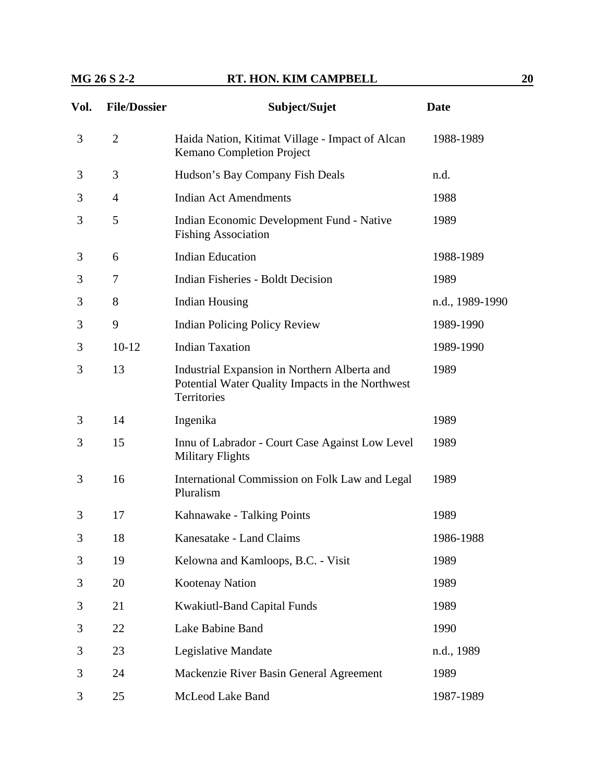| Vol. | <b>File/Dossier</b> | Subject/Sujet                                                                                                   | <b>Date</b>     |
|------|---------------------|-----------------------------------------------------------------------------------------------------------------|-----------------|
| 3    | $\overline{2}$      | Haida Nation, Kitimat Village - Impact of Alcan<br>Kemano Completion Project                                    | 1988-1989       |
| 3    | 3                   | Hudson's Bay Company Fish Deals                                                                                 | n.d.            |
| 3    | $\overline{4}$      | <b>Indian Act Amendments</b>                                                                                    | 1988            |
| 3    | 5                   | Indian Economic Development Fund - Native<br><b>Fishing Association</b>                                         | 1989            |
| 3    | 6                   | <b>Indian Education</b>                                                                                         | 1988-1989       |
| 3    | 7                   | <b>Indian Fisheries - Boldt Decision</b>                                                                        | 1989            |
| 3    | 8                   | <b>Indian Housing</b>                                                                                           | n.d., 1989-1990 |
| 3    | 9                   | <b>Indian Policing Policy Review</b>                                                                            | 1989-1990       |
| 3    | $10-12$             | <b>Indian Taxation</b>                                                                                          | 1989-1990       |
| 3    | 13                  | Industrial Expansion in Northern Alberta and<br>Potential Water Quality Impacts in the Northwest<br>Territories | 1989            |
| 3    | 14                  | Ingenika                                                                                                        | 1989            |
| 3    | 15                  | Innu of Labrador - Court Case Against Low Level<br><b>Military Flights</b>                                      | 1989            |
| 3    | 16                  | International Commission on Folk Law and Legal<br>Pluralism                                                     | 1989            |
| 3    | 17                  | Kahnawake - Talking Points                                                                                      | 1989            |
| 3    | 18                  | Kanesatake - Land Claims                                                                                        | 1986-1988       |
| 3    | 19                  | Kelowna and Kamloops, B.C. - Visit                                                                              | 1989            |
| 3    | 20                  | Kootenay Nation                                                                                                 | 1989            |
| 3    | 21                  | <b>Kwakiutl-Band Capital Funds</b>                                                                              | 1989            |
| 3    | 22                  | Lake Babine Band                                                                                                | 1990            |
| 3    | 23                  | Legislative Mandate                                                                                             | n.d., 1989      |
| 3    | 24                  | Mackenzie River Basin General Agreement                                                                         | 1989            |
| 3    | 25                  | McLeod Lake Band                                                                                                | 1987-1989       |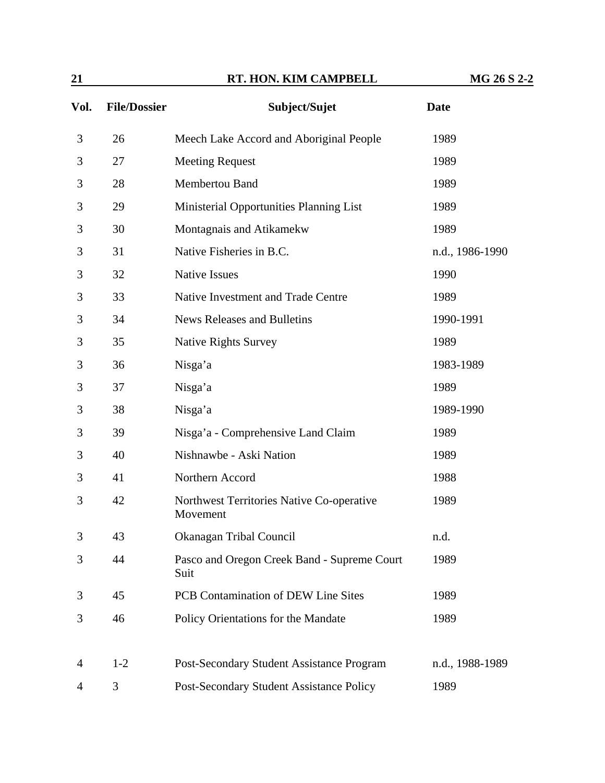| $\overline{21}$ |                     | RT. HON. KIM CAMPBELL                                 | MG 26 S 2-2     |
|-----------------|---------------------|-------------------------------------------------------|-----------------|
| Vol.            | <b>File/Dossier</b> | Subject/Sujet                                         | <b>Date</b>     |
| 3               | 26                  | Meech Lake Accord and Aboriginal People               | 1989            |
| 3               | 27                  | <b>Meeting Request</b>                                | 1989            |
| 3               | 28                  | Membertou Band                                        | 1989            |
| 3               | 29                  | Ministerial Opportunities Planning List               | 1989            |
| 3               | 30                  | Montagnais and Atikamekw                              | 1989            |
| 3               | 31                  | Native Fisheries in B.C.                              | n.d., 1986-1990 |
| 3               | 32                  | <b>Native Issues</b>                                  | 1990            |
| 3               | 33                  | Native Investment and Trade Centre                    | 1989            |
| 3               | 34                  | <b>News Releases and Bulletins</b>                    | 1990-1991       |
| 3               | 35                  | <b>Native Rights Survey</b>                           | 1989            |
| 3               | 36                  | Nisga'a                                               | 1983-1989       |
| 3               | 37                  | Nisga'a                                               | 1989            |
| 3               | 38                  | Nisga'a                                               | 1989-1990       |
| 3               | 39                  | Nisga'a - Comprehensive Land Claim                    | 1989            |
| 3               | 40                  | Nishnawbe - Aski Nation                               | 1989            |
| 3               | 41                  | Northern Accord                                       | 1988            |
| 3               | 42                  | Northwest Territories Native Co-operative<br>Movement | 1989            |
| 3               | 43                  | Okanagan Tribal Council                               | n.d.            |
| 3               | 44                  | Pasco and Oregon Creek Band - Supreme Court<br>Suit   | 1989            |
| 3               | 45                  | PCB Contamination of DEW Line Sites                   | 1989            |
| 3               | 46                  | Policy Orientations for the Mandate                   | 1989            |
| 4               | $1 - 2$             | Post-Secondary Student Assistance Program             | n.d., 1988-1989 |
| 4               | 3                   | Post-Secondary Student Assistance Policy              | 1989            |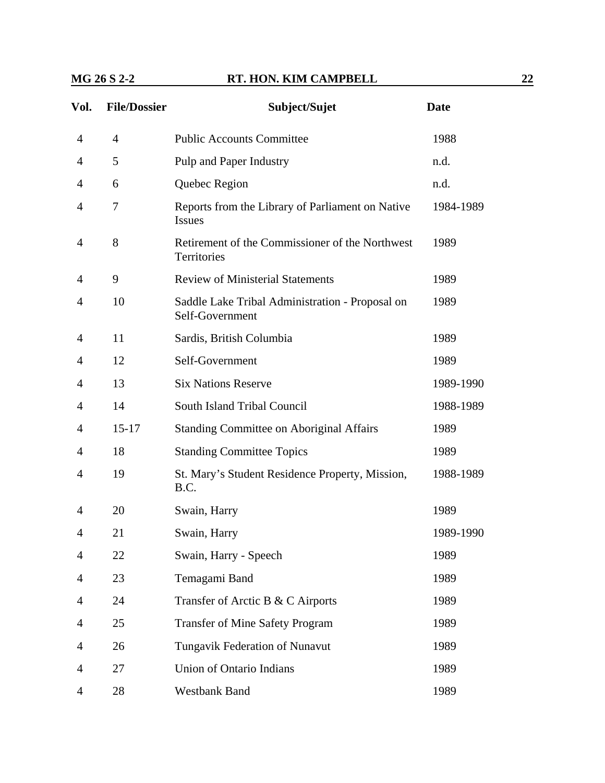| Vol.           | <b>File/Dossier</b> | Subject/Sujet                                                      | <b>Date</b> |
|----------------|---------------------|--------------------------------------------------------------------|-------------|
| $\overline{4}$ | $\overline{4}$      | <b>Public Accounts Committee</b>                                   | 1988        |
| 4              | 5                   | Pulp and Paper Industry                                            | n.d.        |
| 4              | 6                   | Quebec Region                                                      | n.d.        |
| 4              | 7                   | Reports from the Library of Parliament on Native<br><b>Issues</b>  | 1984-1989   |
| 4              | 8                   | Retirement of the Commissioner of the Northwest<br>Territories     | 1989        |
| 4              | 9                   | <b>Review of Ministerial Statements</b>                            | 1989        |
| 4              | 10                  | Saddle Lake Tribal Administration - Proposal on<br>Self-Government | 1989        |
| 4              | 11                  | Sardis, British Columbia                                           | 1989        |
| 4              | 12                  | Self-Government                                                    | 1989        |
| 4              | 13                  | <b>Six Nations Reserve</b>                                         | 1989-1990   |
| $\overline{4}$ | 14                  | South Island Tribal Council                                        | 1988-1989   |
| 4              | $15 - 17$           | <b>Standing Committee on Aboriginal Affairs</b>                    | 1989        |
| 4              | 18                  | <b>Standing Committee Topics</b>                                   | 1989        |
| 4              | 19                  | St. Mary's Student Residence Property, Mission,<br>B.C.            | 1988-1989   |
| 4              | 20                  | Swain, Harry                                                       | 1989        |
| 4              | 21                  | Swain, Harry                                                       | 1989-1990   |
| 4              | 22                  | Swain, Harry - Speech                                              | 1989        |
| 4              | 23                  | Temagami Band                                                      | 1989        |
| 4              | 24                  | Transfer of Arctic B & C Airports                                  | 1989        |
| 4              | 25                  | <b>Transfer of Mine Safety Program</b>                             | 1989        |
| 4              | 26                  | Tungavik Federation of Nunavut                                     | 1989        |
| 4              | 27                  | Union of Ontario Indians                                           | 1989        |
| 4              | 28                  | <b>Westbank Band</b>                                               | 1989        |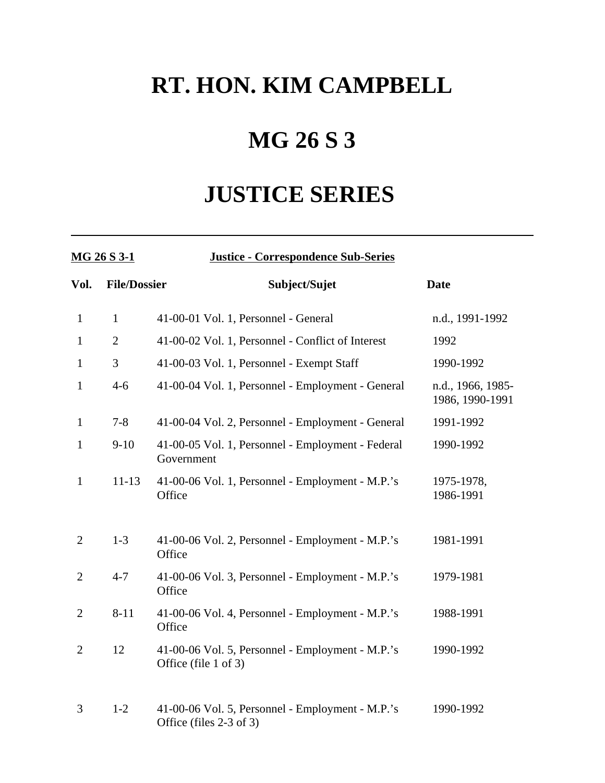## **MG 26 S 3**

## **JUSTICE SERIES**

| MG 26 S 3-1    |                     | <b>Justice - Correspondence Sub-Series</b>                                  |                                      |
|----------------|---------------------|-----------------------------------------------------------------------------|--------------------------------------|
| Vol.           | <b>File/Dossier</b> | Subject/Sujet                                                               | <b>Date</b>                          |
| $\mathbf{1}$   | $\mathbf{1}$        | 41-00-01 Vol. 1, Personnel - General                                        | n.d., 1991-1992                      |
| $\mathbf{1}$   | $\overline{2}$      | 41-00-02 Vol. 1, Personnel - Conflict of Interest                           | 1992                                 |
| $\mathbf{1}$   | 3                   | 41-00-03 Vol. 1, Personnel - Exempt Staff                                   | 1990-1992                            |
| $\mathbf{1}$   | $4 - 6$             | 41-00-04 Vol. 1, Personnel - Employment - General                           | n.d., 1966, 1985-<br>1986, 1990-1991 |
| $\mathbf{1}$   | $7 - 8$             | 41-00-04 Vol. 2, Personnel - Employment - General                           | 1991-1992                            |
| $\mathbf{1}$   | $9 - 10$            | 41-00-05 Vol. 1, Personnel - Employment - Federal<br>Government             | 1990-1992                            |
| $\mathbf{1}$   | $11 - 13$           | 41-00-06 Vol. 1, Personnel - Employment - M.P.'s<br>Office                  | 1975-1978,<br>1986-1991              |
| $\overline{2}$ | $1 - 3$             | 41-00-06 Vol. 2, Personnel - Employment - M.P.'s<br>Office                  | 1981-1991                            |
| $\overline{2}$ | $4 - 7$             | 41-00-06 Vol. 3, Personnel - Employment - M.P.'s<br>Office                  | 1979-1981                            |
| $\overline{2}$ | $8 - 11$            | 41-00-06 Vol. 4, Personnel - Employment - M.P.'s<br>Office                  | 1988-1991                            |
| $\overline{2}$ | 12                  | 41-00-06 Vol. 5, Personnel - Employment - M.P.'s<br>Office (file 1 of 3)    | 1990-1992                            |
| 3              | $1 - 2$             | 41-00-06 Vol. 5, Personnel - Employment - M.P.'s<br>Office (files 2-3 of 3) | 1990-1992                            |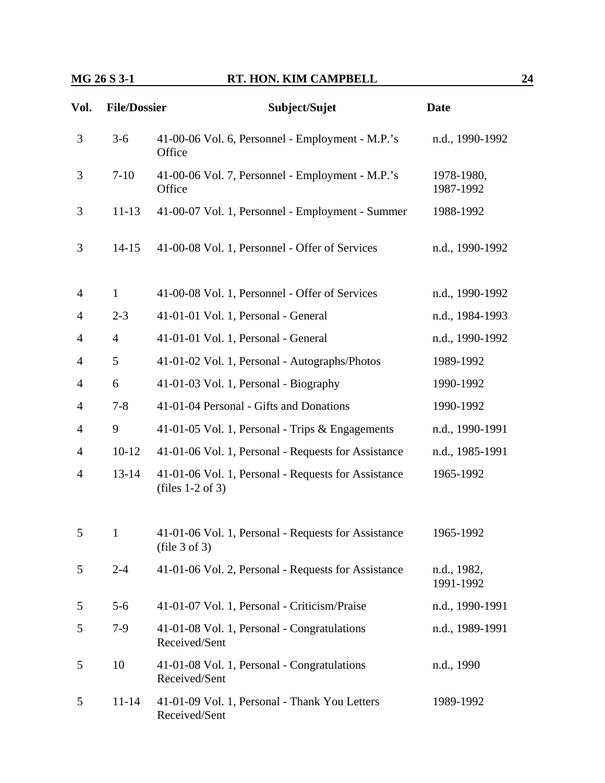| Vol.           | <b>File/Dossier</b> | Subject/Sujet                                                             | <b>Date</b>              |
|----------------|---------------------|---------------------------------------------------------------------------|--------------------------|
| 3              | $3 - 6$             | 41-00-06 Vol. 6, Personnel - Employment - M.P.'s<br>Office                | n.d., 1990-1992          |
| 3              | $7-10$              | 41-00-06 Vol. 7, Personnel - Employment - M.P.'s<br>Office                | 1978-1980,<br>1987-1992  |
| 3              | $11 - 13$           | 41-00-07 Vol. 1, Personnel - Employment - Summer                          | 1988-1992                |
| 3              | $14 - 15$           | 41-00-08 Vol. 1, Personnel - Offer of Services                            | n.d., 1990-1992          |
| $\overline{4}$ | $\mathbf{1}$        | 41-00-08 Vol. 1, Personnel - Offer of Services                            | n.d., 1990-1992          |
| $\overline{4}$ | $2 - 3$             | 41-01-01 Vol. 1, Personal - General                                       | n.d., 1984-1993          |
| $\overline{4}$ | $\overline{4}$      | 41-01-01 Vol. 1, Personal - General                                       | n.d., 1990-1992          |
| $\overline{4}$ | 5                   | 41-01-02 Vol. 1, Personal - Autographs/Photos                             | 1989-1992                |
| 4              | 6                   | 41-01-03 Vol. 1, Personal - Biography                                     | 1990-1992                |
| $\overline{4}$ | $7 - 8$             | 41-01-04 Personal - Gifts and Donations                                   | 1990-1992                |
| $\overline{4}$ | 9                   | 41-01-05 Vol. 1, Personal - Trips & Engagements                           | n.d., 1990-1991          |
| $\overline{4}$ | $10-12$             | 41-01-06 Vol. 1, Personal - Requests for Assistance                       | n.d., 1985-1991          |
| $\overline{4}$ | $13 - 14$           | 41-01-06 Vol. 1, Personal - Requests for Assistance<br>(files $1-2$ of 3) | 1965-1992                |
| 5              | 1                   | 41-01-06 Vol. 1, Personal - Requests for Assistance<br>(file 3 of 3)      | 1965-1992                |
| 5              | $2 - 4$             | 41-01-06 Vol. 2, Personal - Requests for Assistance                       | n.d., 1982,<br>1991-1992 |
| 5              | $5-6$               | 41-01-07 Vol. 1, Personal - Criticism/Praise                              | n.d., 1990-1991          |
| 5              | $7-9$               | 41-01-08 Vol. 1, Personal - Congratulations<br>Received/Sent              | n.d., 1989-1991          |
| 5              | 10                  | 41-01-08 Vol. 1, Personal - Congratulations<br>Received/Sent              | n.d., 1990               |
| 5              | $11 - 14$           | 41-01-09 Vol. 1, Personal - Thank You Letters<br>Received/Sent            | 1989-1992                |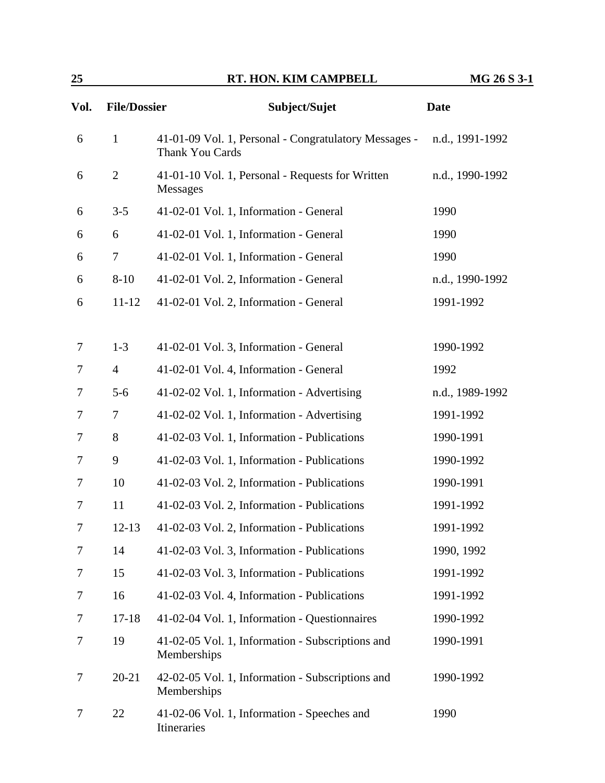| Vol. | <b>File/Dossier</b> | Subject/Sujet                                                            | <b>Date</b>     |
|------|---------------------|--------------------------------------------------------------------------|-----------------|
| 6    | $\mathbf{1}$        | 41-01-09 Vol. 1, Personal - Congratulatory Messages -<br>Thank You Cards | n.d., 1991-1992 |
| 6    | $\overline{2}$      | 41-01-10 Vol. 1, Personal - Requests for Written<br><b>Messages</b>      | n.d., 1990-1992 |
| 6    | $3 - 5$             | 41-02-01 Vol. 1, Information - General                                   | 1990            |
| 6    | 6                   | 41-02-01 Vol. 1, Information - General                                   | 1990            |
| 6    | $\tau$              | 41-02-01 Vol. 1, Information - General                                   | 1990            |
| 6    | $8 - 10$            | 41-02-01 Vol. 2, Information - General                                   | n.d., 1990-1992 |
| 6    | $11 - 12$           | 41-02-01 Vol. 2, Information - General                                   | 1991-1992       |
|      |                     |                                                                          |                 |
| 7    | $1 - 3$             | 41-02-01 Vol. 3, Information - General                                   | 1990-1992       |
| 7    | $\overline{4}$      | 41-02-01 Vol. 4, Information - General                                   | 1992            |
| 7    | $5-6$               | 41-02-02 Vol. 1, Information - Advertising                               | n.d., 1989-1992 |
| 7    | 7                   | 41-02-02 Vol. 1, Information - Advertising                               | 1991-1992       |
| 7    | 8                   | 41-02-03 Vol. 1, Information - Publications                              | 1990-1991       |
| 7    | 9                   | 41-02-03 Vol. 1, Information - Publications                              | 1990-1992       |
| 7    | 10                  | 41-02-03 Vol. 2, Information - Publications                              | 1990-1991       |
| 7    | 11                  | 41-02-03 Vol. 2, Information - Publications                              | 1991-1992       |
| 7    | $12 - 13$           | 41-02-03 Vol. 2, Information - Publications                              | 1991-1992       |
| 7    | 14                  | 41-02-03 Vol. 3, Information - Publications                              | 1990, 1992      |
| 7    | 15                  | 41-02-03 Vol. 3, Information - Publications                              | 1991-1992       |
| 7    | 16                  | 41-02-03 Vol. 4, Information - Publications                              | 1991-1992       |
| 7    | $17 - 18$           | 41-02-04 Vol. 1, Information - Questionnaires                            | 1990-1992       |
| 7    | 19                  | 41-02-05 Vol. 1, Information - Subscriptions and<br>Memberships          | 1990-1991       |
| 7    | $20 - 21$           | 42-02-05 Vol. 1, Information - Subscriptions and<br>Memberships          | 1990-1992       |
| 7    | 22                  | 41-02-06 Vol. 1, Information - Speeches and<br>Itineraries               | 1990            |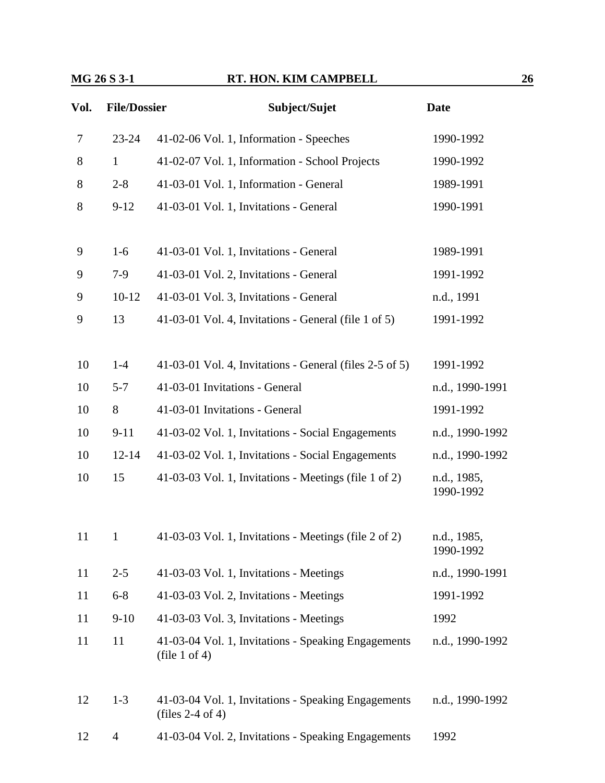| Vol. | <b>File/Dossier</b> | Subject/Sujet                                                             | <b>Date</b>              |
|------|---------------------|---------------------------------------------------------------------------|--------------------------|
| 7    | $23 - 24$           | 41-02-06 Vol. 1, Information - Speeches                                   | 1990-1992                |
| 8    | $\mathbf{1}$        | 41-02-07 Vol. 1, Information - School Projects                            | 1990-1992                |
| 8    | $2 - 8$             | 41-03-01 Vol. 1, Information - General                                    | 1989-1991                |
| 8    | $9 - 12$            | 41-03-01 Vol. 1, Invitations - General                                    | 1990-1991                |
|      |                     |                                                                           |                          |
| 9    | $1-6$               | 41-03-01 Vol. 1, Invitations - General                                    | 1989-1991                |
| 9    | $7-9$               | 41-03-01 Vol. 2, Invitations - General                                    | 1991-1992                |
| 9    | $10-12$             | 41-03-01 Vol. 3, Invitations - General                                    | n.d., 1991               |
| 9    | 13                  | 41-03-01 Vol. 4, Invitations - General (file 1 of 5)                      | 1991-1992                |
| 10   | $1-4$               | 41-03-01 Vol. 4, Invitations - General (files 2-5 of 5)                   | 1991-1992                |
| 10   | $5 - 7$             | 41-03-01 Invitations - General                                            | n.d., 1990-1991          |
| 10   | 8                   | 41-03-01 Invitations - General                                            | 1991-1992                |
| 10   | $9 - 11$            | 41-03-02 Vol. 1, Invitations - Social Engagements                         | n.d., 1990-1992          |
| 10   | $12 - 14$           | 41-03-02 Vol. 1, Invitations - Social Engagements                         | n.d., 1990-1992          |
| 10   | 15                  | 41-03-03 Vol. 1, Invitations - Meetings (file 1 of 2)                     | n.d., 1985,<br>1990-1992 |
|      |                     |                                                                           |                          |
| 11   | $\mathbf{1}$        | 41-03-03 Vol. 1, Invitations - Meetings (file 2 of 2)                     | n.d., 1985,<br>1990-1992 |
| 11   | $2 - 5$             | 41-03-03 Vol. 1, Invitations - Meetings                                   | n.d., 1990-1991          |
| 11   | $6 - 8$             | 41-03-03 Vol. 2, Invitations - Meetings                                   | 1991-1992                |
| 11   | $9 - 10$            | 41-03-03 Vol. 3, Invitations - Meetings                                   | 1992                     |
| 11   | 11                  | 41-03-04 Vol. 1, Invitations - Speaking Engagements<br>(file 1 of 4)      | n.d., 1990-1992          |
|      |                     |                                                                           |                          |
| 12   | $1 - 3$             | 41-03-04 Vol. 1, Invitations - Speaking Engagements<br>(files $2-4$ of 4) | n.d., 1990-1992          |
| 12   | 4                   | 41-03-04 Vol. 2, Invitations - Speaking Engagements                       | 1992                     |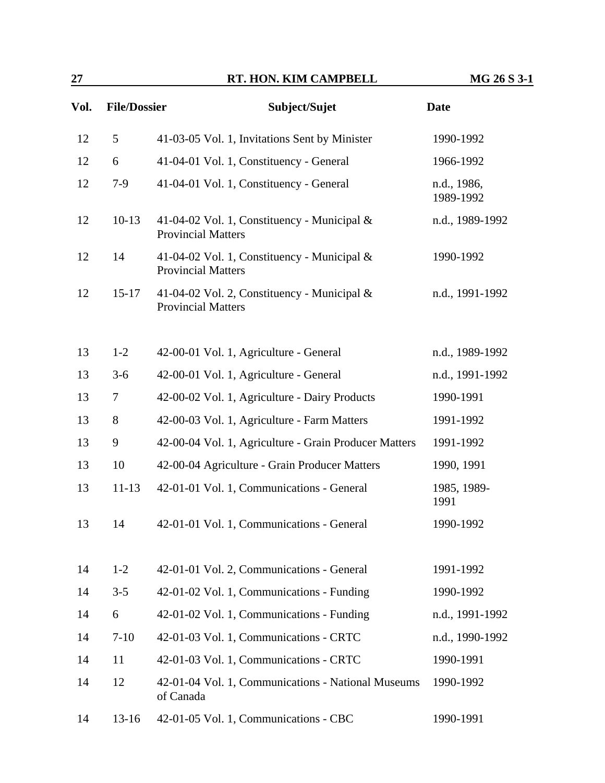| 27   |                     | RT. HON. KIM CAMPBELL                                                    | MG 26 S 3-1              |
|------|---------------------|--------------------------------------------------------------------------|--------------------------|
| Vol. | <b>File/Dossier</b> | Subject/Sujet                                                            | <b>Date</b>              |
| 12   | 5                   | 41-03-05 Vol. 1, Invitations Sent by Minister                            | 1990-1992                |
| 12   | 6                   | 41-04-01 Vol. 1, Constituency - General                                  | 1966-1992                |
| 12   | $7-9$               | 41-04-01 Vol. 1, Constituency - General                                  | n.d., 1986,<br>1989-1992 |
| 12   | $10-13$             | 41-04-02 Vol. 1, Constituency - Municipal &<br><b>Provincial Matters</b> | n.d., 1989-1992          |
| 12   | 14                  | 41-04-02 Vol. 1, Constituency - Municipal &<br><b>Provincial Matters</b> | 1990-1992                |
| 12   | $15 - 17$           | 41-04-02 Vol. 2, Constituency - Municipal &<br><b>Provincial Matters</b> | n.d., 1991-1992          |
| 13   | $1 - 2$             | 42-00-01 Vol. 1, Agriculture - General                                   | n.d., 1989-1992          |
| 13   | $3-6$               | 42-00-01 Vol. 1, Agriculture - General                                   | n.d., 1991-1992          |
| 13   | $\tau$              | 42-00-02 Vol. 1, Agriculture - Dairy Products                            | 1990-1991                |
| 13   | 8                   | 42-00-03 Vol. 1, Agriculture - Farm Matters                              | 1991-1992                |
| 13   | 9                   | 42-00-04 Vol. 1, Agriculture - Grain Producer Matters                    | 1991-1992                |
| 13   | 10                  | 42-00-04 Agriculture - Grain Producer Matters                            | 1990, 1991               |
| 13   | $11 - 13$           | 42-01-01 Vol. 1, Communications - General                                | 1985, 1989-<br>1991      |
| 13   | 14                  | 42-01-01 Vol. 1, Communications - General                                | 1990-1992                |
| 14   | $1 - 2$             | 42-01-01 Vol. 2, Communications - General                                | 1991-1992                |
| 14   | $3 - 5$             | 42-01-02 Vol. 1, Communications - Funding                                | 1990-1992                |
| 14   | 6                   | 42-01-02 Vol. 1, Communications - Funding                                | n.d., 1991-1992          |
| 14   | $7 - 10$            | 42-01-03 Vol. 1, Communications - CRTC                                   | n.d., 1990-1992          |
| 14   | 11                  | 42-01-03 Vol. 1, Communications - CRTC                                   | 1990-1991                |

14 12 42-01-04 Vol. 1, Communications - National Museums 1990-1992 of Canada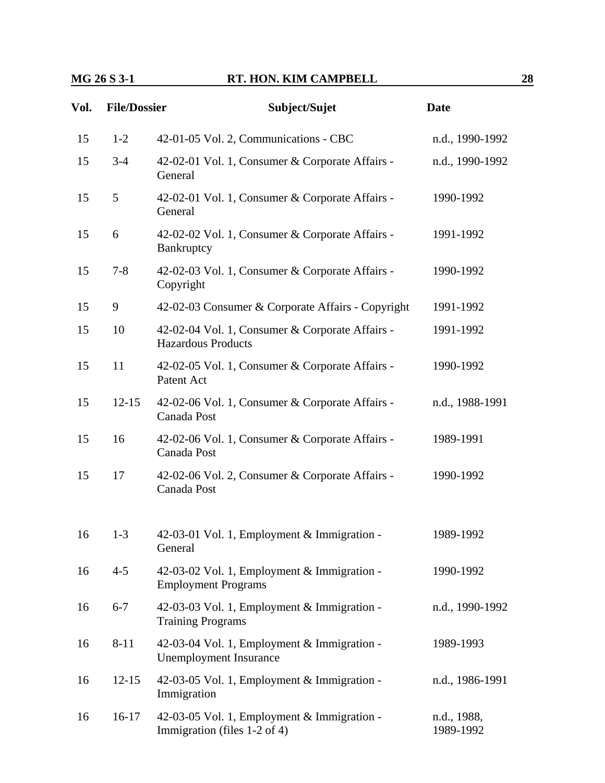| Vol. | <b>File/Dossier</b> | Subject/Sujet                                                                | <b>Date</b>              |
|------|---------------------|------------------------------------------------------------------------------|--------------------------|
| 15   | $1-2$               | 42-01-05 Vol. 2, Communications - CBC                                        | n.d., 1990-1992          |
| 15   | $3 - 4$             | 42-02-01 Vol. 1, Consumer & Corporate Affairs -<br>General                   | n.d., 1990-1992          |
| 15   | 5                   | 42-02-01 Vol. 1, Consumer & Corporate Affairs -<br>General                   | 1990-1992                |
| 15   | 6                   | 42-02-02 Vol. 1, Consumer & Corporate Affairs -<br>Bankruptcy                | 1991-1992                |
| 15   | $7 - 8$             | 42-02-03 Vol. 1, Consumer & Corporate Affairs -<br>Copyright                 | 1990-1992                |
| 15   | 9                   | 42-02-03 Consumer & Corporate Affairs - Copyright                            | 1991-1992                |
| 15   | 10                  | 42-02-04 Vol. 1, Consumer & Corporate Affairs -<br><b>Hazardous Products</b> | 1991-1992                |
| 15   | 11                  | 42-02-05 Vol. 1, Consumer & Corporate Affairs -<br>Patent Act                | 1990-1992                |
| 15   | $12 - 15$           | 42-02-06 Vol. 1, Consumer & Corporate Affairs -<br>Canada Post               | n.d., 1988-1991          |
| 15   | 16                  | 42-02-06 Vol. 1, Consumer & Corporate Affairs -<br>Canada Post               | 1989-1991                |
| 15   | 17                  | 42-02-06 Vol. 2, Consumer & Corporate Affairs -<br>Canada Post               | 1990-1992                |
| 16   | $1 - 3$             | 42-03-01 Vol. 1, Employment & Immigration -<br>General                       | 1989-1992                |
| 16   | $4 - 5$             | 42-03-02 Vol. 1, Employment & Immigration -<br><b>Employment Programs</b>    | 1990-1992                |
| 16   | $6 - 7$             | 42-03-03 Vol. 1, Employment & Immigration -<br><b>Training Programs</b>      | n.d., 1990-1992          |
| 16   | $8 - 11$            | 42-03-04 Vol. 1, Employment & Immigration -<br><b>Unemployment Insurance</b> | 1989-1993                |
| 16   | $12 - 15$           | 42-03-05 Vol. 1, Employment & Immigration -<br>Immigration                   | n.d., 1986-1991          |
| 16   | $16-17$             | 42-03-05 Vol. 1, Employment & Immigration -<br>Immigration (files 1-2 of 4)  | n.d., 1988,<br>1989-1992 |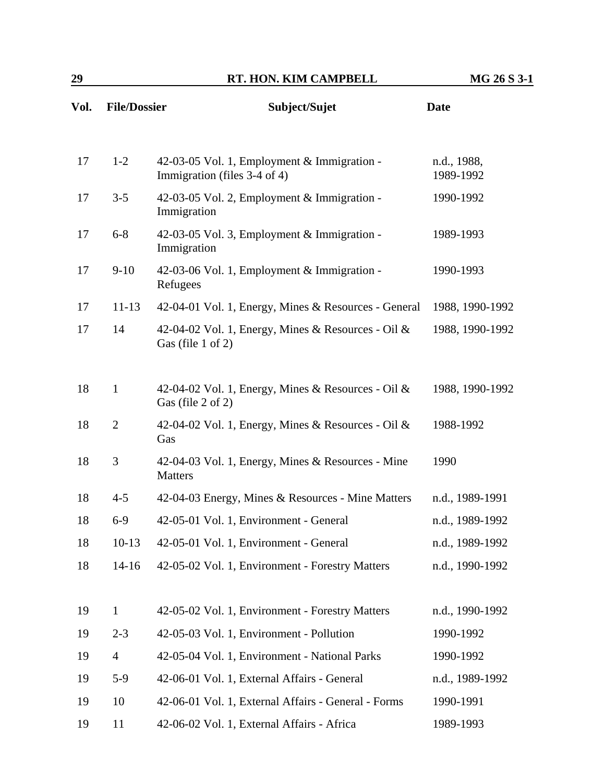| Vol. |                | <b>File/Dossier</b><br>Subject/Sujet                                         | <b>Date</b>     |  |
|------|----------------|------------------------------------------------------------------------------|-----------------|--|
| 17   | $1 - 2$        | 42-03-05 Vol. 1, Employment & Immigration -                                  | n.d., 1988,     |  |
|      |                | Immigration (files 3-4 of 4)                                                 | 1989-1992       |  |
| 17   | $3 - 5$        | 42-03-05 Vol. 2, Employment & Immigration -<br>Immigration                   | 1990-1992       |  |
| 17   | $6 - 8$        | 42-03-05 Vol. 3, Employment & Immigration -<br>Immigration                   | 1989-1993       |  |
| 17   | $9-10$         | 42-03-06 Vol. 1, Employment & Immigration -<br>Refugees                      | 1990-1993       |  |
| 17   | $11 - 13$      | 42-04-01 Vol. 1, Energy, Mines & Resources - General                         | 1988, 1990-1992 |  |
| 17   | 14             | 42-04-02 Vol. 1, Energy, Mines & Resources - Oil &<br>Gas (file $1$ of $2$ ) | 1988, 1990-1992 |  |
| 18   | $\mathbf{1}$   | 42-04-02 Vol. 1, Energy, Mines & Resources - Oil &<br>Gas (file 2 of 2)      | 1988, 1990-1992 |  |
| 18   | $\overline{2}$ | 42-04-02 Vol. 1, Energy, Mines & Resources - Oil &<br>Gas                    | 1988-1992       |  |
| 18   | 3              | 42-04-03 Vol. 1, Energy, Mines & Resources - Mine<br><b>Matters</b>          | 1990            |  |
| 18   | $4 - 5$        | 42-04-03 Energy, Mines & Resources - Mine Matters                            | n.d., 1989-1991 |  |
| 18   | $6-9$          | 42-05-01 Vol. 1, Environment - General                                       | n.d., 1989-1992 |  |
| 18   | $10-13$        | 42-05-01 Vol. 1, Environment - General                                       | n.d., 1989-1992 |  |
| 18   | $14 - 16$      | 42-05-02 Vol. 1, Environment - Forestry Matters                              | n.d., 1990-1992 |  |
| 19   | $\mathbf{1}$   | 42-05-02 Vol. 1, Environment - Forestry Matters                              | n.d., 1990-1992 |  |
| 19   | $2 - 3$        | 42-05-03 Vol. 1, Environment - Pollution                                     | 1990-1992       |  |
| 19   | $\overline{4}$ | 42-05-04 Vol. 1, Environment - National Parks                                | 1990-1992       |  |
| 19   | $5-9$          | 42-06-01 Vol. 1, External Affairs - General                                  | n.d., 1989-1992 |  |
| 19   | 10             | 42-06-01 Vol. 1, External Affairs - General - Forms                          | 1990-1991       |  |
| 19   | 11             | 42-06-02 Vol. 1, External Affairs - Africa                                   | 1989-1993       |  |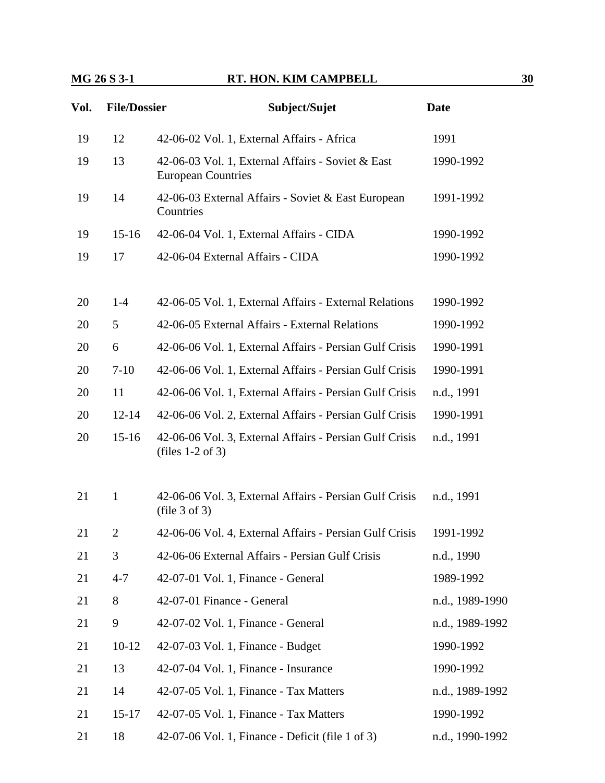| Vol. | <b>File/Dossier</b> | Subject/Sujet                                                                  | <b>Date</b>     |  |
|------|---------------------|--------------------------------------------------------------------------------|-----------------|--|
| 19   | 12                  | 42-06-02 Vol. 1, External Affairs - Africa                                     | 1991            |  |
| 19   | 13                  | 42-06-03 Vol. 1, External Affairs - Soviet & East<br><b>European Countries</b> | 1990-1992       |  |
| 19   | 14                  | 42-06-03 External Affairs - Soviet & East European<br>Countries                | 1991-1992       |  |
| 19   | $15 - 16$           | 42-06-04 Vol. 1, External Affairs - CIDA                                       | 1990-1992       |  |
| 19   | 17                  | 42-06-04 External Affairs - CIDA                                               | 1990-1992       |  |
| 20   | $1 - 4$             | 42-06-05 Vol. 1, External Affairs - External Relations                         | 1990-1992       |  |
| 20   | 5                   | 42-06-05 External Affairs - External Relations                                 | 1990-1992       |  |
| 20   | 6                   | 42-06-06 Vol. 1, External Affairs - Persian Gulf Crisis                        | 1990-1991       |  |
| 20   | $7-10$              | 42-06-06 Vol. 1, External Affairs - Persian Gulf Crisis                        | 1990-1991       |  |
| 20   | 11                  | 42-06-06 Vol. 1, External Affairs - Persian Gulf Crisis                        | n.d., 1991      |  |
| 20   | $12 - 14$           | 42-06-06 Vol. 2, External Affairs - Persian Gulf Crisis                        | 1990-1991       |  |
| 20   | $15 - 16$           | 42-06-06 Vol. 3, External Affairs - Persian Gulf Crisis<br>(files $1-2$ of 3)  | n.d., 1991      |  |
| 21   | $\mathbf{1}$        | 42-06-06 Vol. 3, External Affairs - Persian Gulf Crisis<br>(file 3 of 3)       | n.d., 1991      |  |
| 21   | $\overline{2}$      | 42-06-06 Vol. 4, External Affairs - Persian Gulf Crisis                        | 1991-1992       |  |
| 21   | 3                   | 42-06-06 External Affairs - Persian Gulf Crisis                                | n.d., 1990      |  |
| 21   | $4 - 7$             | 42-07-01 Vol. 1, Finance - General                                             | 1989-1992       |  |
| 21   | 8                   | 42-07-01 Finance - General                                                     | n.d., 1989-1990 |  |
| 21   | 9                   | 42-07-02 Vol. 1, Finance - General                                             | n.d., 1989-1992 |  |
| 21   | $10-12$             | 42-07-03 Vol. 1, Finance - Budget                                              | 1990-1992       |  |
| 21   | 13                  | 42-07-04 Vol. 1, Finance - Insurance                                           | 1990-1992       |  |
| 21   | 14                  | 42-07-05 Vol. 1, Finance - Tax Matters                                         | n.d., 1989-1992 |  |
| 21   | $15 - 17$           | 42-07-05 Vol. 1, Finance - Tax Matters                                         | 1990-1992       |  |
| 21   | 18                  | 42-07-06 Vol. 1, Finance - Deficit (file 1 of 3)                               | n.d., 1990-1992 |  |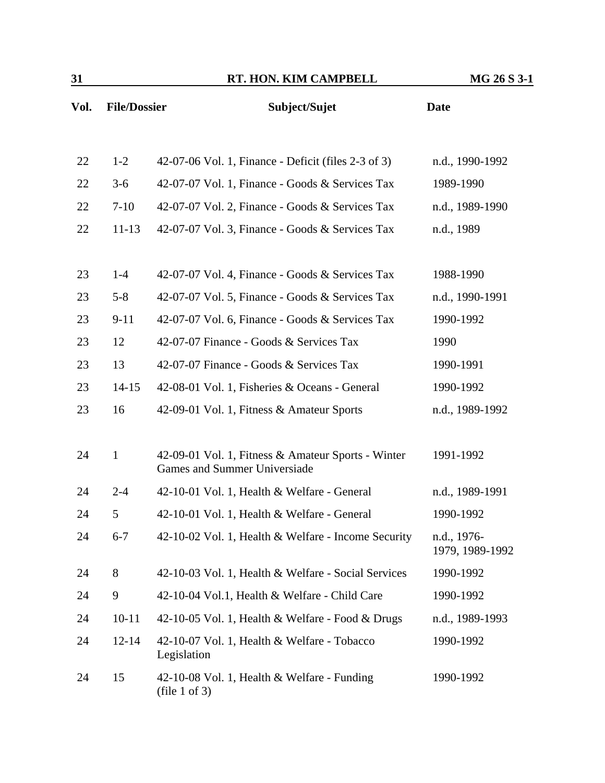| Vol. | <b>File/Dossier</b> | Subject/Sujet                                                                             | <b>Date</b>                    |
|------|---------------------|-------------------------------------------------------------------------------------------|--------------------------------|
|      |                     |                                                                                           |                                |
| 22   | $1 - 2$             | 42-07-06 Vol. 1, Finance - Deficit (files 2-3 of 3)                                       | n.d., 1990-1992                |
| 22   | $3-6$               | 42-07-07 Vol. 1, Finance - Goods & Services Tax                                           | 1989-1990                      |
| 22   | $7-10$              | 42-07-07 Vol. 2, Finance - Goods & Services Tax                                           | n.d., 1989-1990                |
| 22   | $11 - 13$           | 42-07-07 Vol. 3, Finance - Goods & Services Tax                                           | n.d., 1989                     |
|      |                     |                                                                                           |                                |
| 23   | $1-4$               | 42-07-07 Vol. 4, Finance - Goods & Services Tax                                           | 1988-1990                      |
| 23   | $5 - 8$             | 42-07-07 Vol. 5, Finance - Goods & Services Tax                                           | n.d., 1990-1991                |
| 23   | $9 - 11$            | 42-07-07 Vol. 6, Finance - Goods & Services Tax                                           | 1990-1992                      |
| 23   | 12                  | 42-07-07 Finance - Goods & Services Tax                                                   | 1990                           |
| 23   | 13                  | 42-07-07 Finance - Goods & Services Tax                                                   | 1990-1991                      |
| 23   | $14 - 15$           | 42-08-01 Vol. 1, Fisheries & Oceans - General                                             | 1990-1992                      |
| 23   | 16                  | 42-09-01 Vol. 1, Fitness & Amateur Sports                                                 | n.d., 1989-1992                |
|      |                     |                                                                                           |                                |
| 24   | $\mathbf{1}$        | 42-09-01 Vol. 1, Fitness & Amateur Sports - Winter<br><b>Games and Summer Universiade</b> | 1991-1992                      |
| 24   | $2 - 4$             | 42-10-01 Vol. 1, Health & Welfare - General                                               | n.d., 1989-1991                |
| 24   | 5                   | 42-10-01 Vol. 1, Health & Welfare - General                                               | 1990-1992                      |
| 24   | $6 - 7$             | 42-10-02 Vol. 1, Health & Welfare - Income Security                                       | n.d., 1976-<br>1979, 1989-1992 |
| 24   | 8                   | 42-10-03 Vol. 1, Health & Welfare - Social Services                                       | 1990-1992                      |
| 24   | 9                   | 42-10-04 Vol.1, Health & Welfare - Child Care                                             | 1990-1992                      |
| 24   | $10 - 11$           | 42-10-05 Vol. 1, Health & Welfare - Food & Drugs                                          | n.d., 1989-1993                |
| 24   | $12 - 14$           | 42-10-07 Vol. 1, Health & Welfare - Tobacco<br>Legislation                                | 1990-1992                      |
| 24   | 15                  | 42-10-08 Vol. 1, Health & Welfare - Funding<br>(file 1 of 3)                              | 1990-1992                      |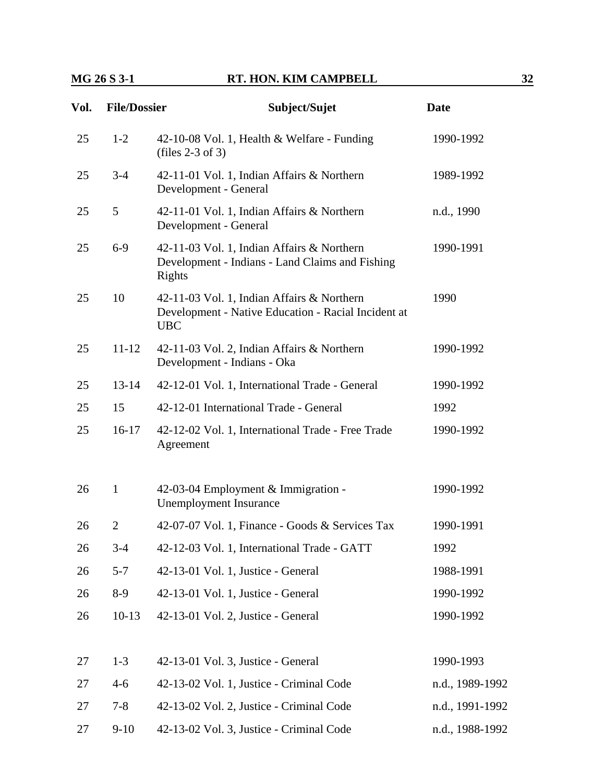| Vol. | <b>File/Dossier</b> | Subject/Sujet                                                                                                   | <b>Date</b>     |
|------|---------------------|-----------------------------------------------------------------------------------------------------------------|-----------------|
| 25   | $1-2$               | 42-10-08 Vol. 1, Health & Welfare - Funding<br>(files $2-3$ of 3)                                               | 1990-1992       |
| 25   | $3-4$               | 42-11-01 Vol. 1, Indian Affairs & Northern<br>Development - General                                             | 1989-1992       |
| 25   | $5\overline{)}$     | 42-11-01 Vol. 1, Indian Affairs & Northern<br>Development - General                                             | n.d., 1990      |
| 25   | $6-9$               | 42-11-03 Vol. 1, Indian Affairs & Northern<br>Development - Indians - Land Claims and Fishing<br>Rights         | 1990-1991       |
| 25   | 10                  | 42-11-03 Vol. 1, Indian Affairs & Northern<br>Development - Native Education - Racial Incident at<br><b>UBC</b> | 1990            |
| 25   | $11 - 12$           | 42-11-03 Vol. 2, Indian Affairs & Northern<br>Development - Indians - Oka                                       | 1990-1992       |
| 25   | $13 - 14$           | 42-12-01 Vol. 1, International Trade - General                                                                  | 1990-1992       |
| 25   | 15                  | 42-12-01 International Trade - General                                                                          | 1992            |
| 25   | $16 - 17$           | 42-12-02 Vol. 1, International Trade - Free Trade<br>Agreement                                                  | 1990-1992       |
| 26   | $\mathbf{1}$        | 42-03-04 Employment & Immigration -<br><b>Unemployment Insurance</b>                                            | 1990-1992       |
| 26   | $\overline{2}$      | 42-07-07 Vol. 1, Finance - Goods & Services Tax                                                                 | 1990-1991       |
| 26   | $3-4$               | 42-12-03 Vol. 1, International Trade - GATT                                                                     | 1992            |
| 26   | $5 - 7$             | 42-13-01 Vol. 1, Justice - General                                                                              | 1988-1991       |
| 26   | $8-9$               | 42-13-01 Vol. 1, Justice - General                                                                              | 1990-1992       |
| 26   | $10-13$             | 42-13-01 Vol. 2, Justice - General                                                                              | 1990-1992       |
| 27   | $1 - 3$             | 42-13-01 Vol. 3, Justice - General                                                                              | 1990-1993       |
| 27   | $4 - 6$             | 42-13-02 Vol. 1, Justice - Criminal Code                                                                        | n.d., 1989-1992 |
| 27   | $7 - 8$             | 42-13-02 Vol. 2, Justice - Criminal Code                                                                        | n.d., 1991-1992 |
| 27   | $9-10$              | 42-13-02 Vol. 3, Justice - Criminal Code                                                                        | n.d., 1988-1992 |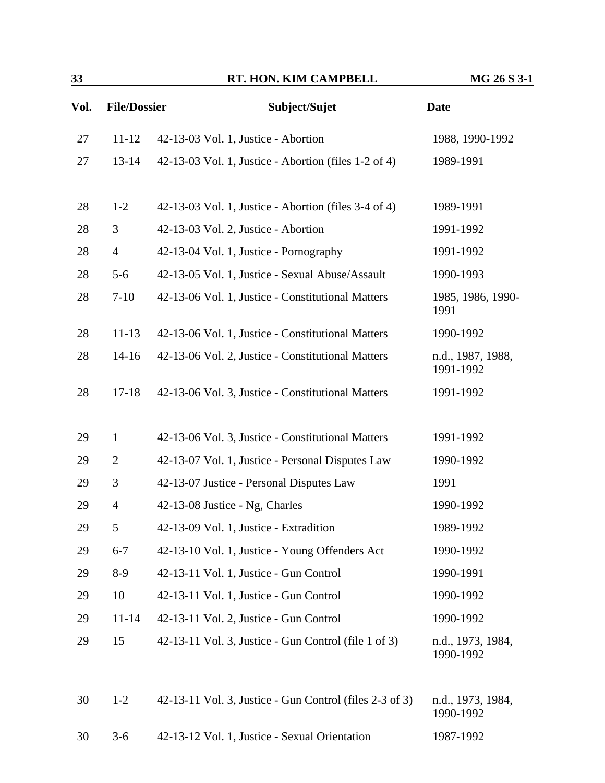| 33   |                     | RT. HON. KIM CAMPBELL                                   | MG 26 S 3-1                    |
|------|---------------------|---------------------------------------------------------|--------------------------------|
| Vol. | <b>File/Dossier</b> | Subject/Sujet                                           | <b>Date</b>                    |
| 27   | $11 - 12$           | 42-13-03 Vol. 1, Justice - Abortion                     | 1988, 1990-1992                |
| 27   | $13 - 14$           | 42-13-03 Vol. 1, Justice - Abortion (files 1-2 of 4)    | 1989-1991                      |
| 28   | $1 - 2$             | 42-13-03 Vol. 1, Justice - Abortion (files 3-4 of 4)    | 1989-1991                      |
| 28   | 3                   | 42-13-03 Vol. 2, Justice - Abortion                     | 1991-1992                      |
| 28   | $\overline{4}$      | 42-13-04 Vol. 1, Justice - Pornography                  | 1991-1992                      |
| 28   | $5 - 6$             | 42-13-05 Vol. 1, Justice - Sexual Abuse/Assault         | 1990-1993                      |
| 28   | $7-10$              | 42-13-06 Vol. 1, Justice - Constitutional Matters       | 1985, 1986, 1990-<br>1991      |
| 28   | $11 - 13$           | 42-13-06 Vol. 1, Justice - Constitutional Matters       | 1990-1992                      |
| 28   | $14 - 16$           | 42-13-06 Vol. 2, Justice - Constitutional Matters       | n.d., 1987, 1988,<br>1991-1992 |
| 28   | $17 - 18$           | 42-13-06 Vol. 3, Justice - Constitutional Matters       | 1991-1992                      |
| 29   | $\mathbf{1}$        | 42-13-06 Vol. 3, Justice - Constitutional Matters       | 1991-1992                      |
| 29   | $\overline{2}$      | 42-13-07 Vol. 1, Justice - Personal Disputes Law        | 1990-1992                      |
| 29   | 3                   | 42-13-07 Justice - Personal Disputes Law                | 1991                           |
| 29   | $\overline{4}$      | 42-13-08 Justice - Ng, Charles                          | 1990-1992                      |
| 29   | 5                   | 42-13-09 Vol. 1, Justice - Extradition                  | 1989-1992                      |
| 29   | $6 - 7$             | 42-13-10 Vol. 1, Justice - Young Offenders Act          | 1990-1992                      |
| 29   | $8-9$               | 42-13-11 Vol. 1, Justice - Gun Control                  | 1990-1991                      |
| 29   | 10                  | 42-13-11 Vol. 1, Justice - Gun Control                  | 1990-1992                      |
| 29   | $11 - 14$           | 42-13-11 Vol. 2, Justice - Gun Control                  | 1990-1992                      |
| 29   | 15                  | 42-13-11 Vol. 3, Justice - Gun Control (file 1 of 3)    | n.d., 1973, 1984,<br>1990-1992 |
| 30   | $1 - 2$             | 42-13-11 Vol. 3, Justice - Gun Control (files 2-3 of 3) | n.d., 1973, 1984,              |

30 3-6 42-13-12 Vol. 1, Justice - Sexual Orientation 1987-1992

1990-1992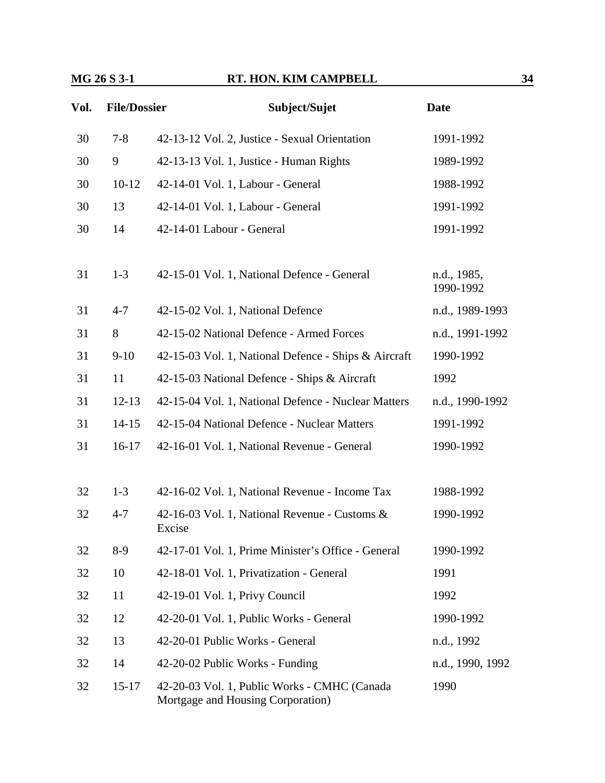| Vol. | <b>File/Dossier</b> | Subject/Sujet                                                                     | <b>Date</b>              |
|------|---------------------|-----------------------------------------------------------------------------------|--------------------------|
| 30   | $7 - 8$             | 42-13-12 Vol. 2, Justice - Sexual Orientation                                     | 1991-1992                |
| 30   | 9                   | 42-13-13 Vol. 1, Justice - Human Rights                                           | 1989-1992                |
| 30   | $10-12$             | 42-14-01 Vol. 1, Labour - General                                                 | 1988-1992                |
| 30   | 13                  | 42-14-01 Vol. 1, Labour - General                                                 | 1991-1992                |
| 30   | 14                  | 42-14-01 Labour - General                                                         | 1991-1992                |
| 31   | $1 - 3$             | 42-15-01 Vol. 1, National Defence - General                                       | n.d., 1985,<br>1990-1992 |
| 31   | $4 - 7$             | 42-15-02 Vol. 1, National Defence                                                 | n.d., 1989-1993          |
| 31   | 8                   | 42-15-02 National Defence - Armed Forces                                          | n.d., 1991-1992          |
| 31   | $9-10$              | 42-15-03 Vol. 1, National Defence - Ships & Aircraft                              | 1990-1992                |
| 31   | 11                  | 42-15-03 National Defence - Ships & Aircraft                                      | 1992                     |
| 31   | $12 - 13$           | 42-15-04 Vol. 1, National Defence - Nuclear Matters                               | n.d., 1990-1992          |
| 31   | $14 - 15$           | 42-15-04 National Defence - Nuclear Matters                                       | 1991-1992                |
| 31   | $16-17$             | 42-16-01 Vol. 1, National Revenue - General                                       | 1990-1992                |
| 32   | $1 - 3$             | 42-16-02 Vol. 1, National Revenue - Income Tax                                    | 1988-1992                |
| 32   | $4 - 7$             | 42-16-03 Vol. 1, National Revenue - Customs &<br>Excise                           | 1990-1992                |
| 32   | $8-9$               | 42-17-01 Vol. 1, Prime Minister's Office - General                                | 1990-1992                |
| 32   | 10                  | 42-18-01 Vol. 1, Privatization - General                                          | 1991                     |
| 32   | 11                  | 42-19-01 Vol. 1, Privy Council                                                    | 1992                     |
| 32   | 12                  | 42-20-01 Vol. 1, Public Works - General                                           | 1990-1992                |
| 32   | 13                  | 42-20-01 Public Works - General                                                   | n.d., 1992               |
| 32   | 14                  | 42-20-02 Public Works - Funding                                                   | n.d., 1990, 1992         |
| 32   | $15 - 17$           | 42-20-03 Vol. 1, Public Works - CMHC (Canada<br>Mortgage and Housing Corporation) | 1990                     |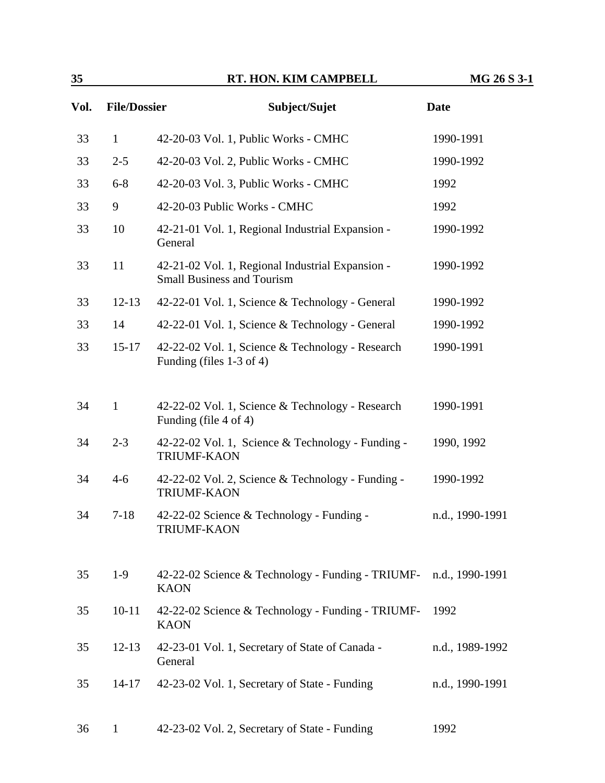| 35   |                     | RT. HON. KIM CAMPBELL                                                                 | MG 26 S 3-1     |
|------|---------------------|---------------------------------------------------------------------------------------|-----------------|
| Vol. | <b>File/Dossier</b> | Subject/Sujet                                                                         | <b>Date</b>     |
| 33   | $\mathbf{1}$        | 42-20-03 Vol. 1, Public Works - CMHC                                                  | 1990-1991       |
| 33   | $2 - 5$             | 42-20-03 Vol. 2, Public Works - CMHC                                                  | 1990-1992       |
| 33   | $6 - 8$             | 42-20-03 Vol. 3, Public Works - CMHC                                                  | 1992            |
| 33   | 9                   | 42-20-03 Public Works - CMHC                                                          | 1992            |
| 33   | 10                  | 42-21-01 Vol. 1, Regional Industrial Expansion -<br>General                           | 1990-1992       |
| 33   | 11                  | 42-21-02 Vol. 1, Regional Industrial Expansion -<br><b>Small Business and Tourism</b> | 1990-1992       |
| 33   | $12-13$             | 42-22-01 Vol. 1, Science & Technology - General                                       | 1990-1992       |
| 33   | 14                  | 42-22-01 Vol. 1, Science & Technology - General                                       | 1990-1992       |
| 33   | $15-17$             | 42-22-02 Vol. 1, Science & Technology - Research<br>Funding (files $1-3$ of 4)        | 1990-1991       |
| 34   | $\mathbf{1}$        | 42-22-02 Vol. 1, Science & Technology - Research<br>Funding (file 4 of 4)             | 1990-1991       |
| 34   | $2 - 3$             | 42-22-02 Vol. 1, Science & Technology - Funding -<br><b>TRIUMF-KAON</b>               | 1990, 1992      |
| 34   | $4 - 6$             | 42-22-02 Vol. 2, Science & Technology - Funding -<br><b>TRIUMF-KAON</b>               | 1990-1992       |
| 34   | $7 - 18$            | 42-22-02 Science & Technology - Funding -<br><b>TRIUMF-KAON</b>                       | n.d., 1990-1991 |
| 35   | $1-9$               | 42-22-02 Science & Technology - Funding - TRIUMF-<br><b>KAON</b>                      | n.d., 1990-1991 |
| 35   | $10 - 11$           | 42-22-02 Science & Technology - Funding - TRIUMF-<br><b>KAON</b>                      | 1992            |
| 35   | $12 - 13$           | 42-23-01 Vol. 1, Secretary of State of Canada -<br>General                            | n.d., 1989-1992 |
| 35   | $14 - 17$           | 42-23-02 Vol. 1, Secretary of State - Funding                                         | n.d., 1990-1991 |
| 36   | $\mathbf{1}$        | 42-23-02 Vol. 2, Secretary of State - Funding                                         | 1992            |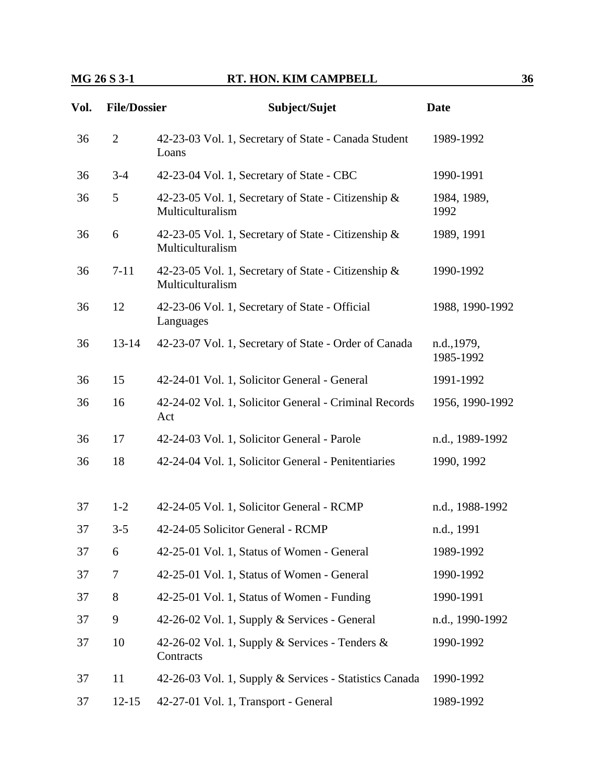| Vol. | <b>File/Dossier</b> | Subject/Sujet                                                           | <b>Date</b>              |
|------|---------------------|-------------------------------------------------------------------------|--------------------------|
| 36   | $\overline{2}$      | 42-23-03 Vol. 1, Secretary of State - Canada Student<br>Loans           | 1989-1992                |
| 36   | $3 - 4$             | 42-23-04 Vol. 1, Secretary of State - CBC                               | 1990-1991                |
| 36   | 5                   | 42-23-05 Vol. 1, Secretary of State - Citizenship &<br>Multiculturalism | 1984, 1989,<br>1992      |
| 36   | 6                   | 42-23-05 Vol. 1, Secretary of State - Citizenship &<br>Multiculturalism | 1989, 1991               |
| 36   | $7 - 11$            | 42-23-05 Vol. 1, Secretary of State - Citizenship &<br>Multiculturalism | 1990-1992                |
| 36   | 12                  | 42-23-06 Vol. 1, Secretary of State - Official<br>Languages             | 1988, 1990-1992          |
| 36   | $13 - 14$           | 42-23-07 Vol. 1, Secretary of State - Order of Canada                   | n.d., 1979,<br>1985-1992 |
| 36   | 15                  | 42-24-01 Vol. 1, Solicitor General - General                            | 1991-1992                |
| 36   | 16                  | 42-24-02 Vol. 1, Solicitor General - Criminal Records<br>Act            | 1956, 1990-1992          |
| 36   | 17                  | 42-24-03 Vol. 1, Solicitor General - Parole                             | n.d., 1989-1992          |
| 36   | 18                  | 42-24-04 Vol. 1, Solicitor General - Penitentiaries                     | 1990, 1992               |
| 37   | $1 - 2$             | 42-24-05 Vol. 1, Solicitor General - RCMP                               | n.d., 1988-1992          |
| 37   | $3 - 5$             | 42-24-05 Solicitor General - RCMP                                       | n.d., 1991               |
| 37   | 6                   | 42-25-01 Vol. 1, Status of Women - General                              | 1989-1992                |
| 37   | $\tau$              | 42-25-01 Vol. 1, Status of Women - General                              | 1990-1992                |
| 37   | 8                   | 42-25-01 Vol. 1, Status of Women - Funding                              | 1990-1991                |
| 37   | 9                   | 42-26-02 Vol. 1, Supply & Services - General                            | n.d., 1990-1992          |
| 37   | 10                  | 42-26-02 Vol. 1, Supply & Services - Tenders &<br>Contracts             | 1990-1992                |
| 37   | 11                  | 42-26-03 Vol. 1, Supply & Services - Statistics Canada                  | 1990-1992                |
| 37   | $12 - 15$           | 42-27-01 Vol. 1, Transport - General                                    | 1989-1992                |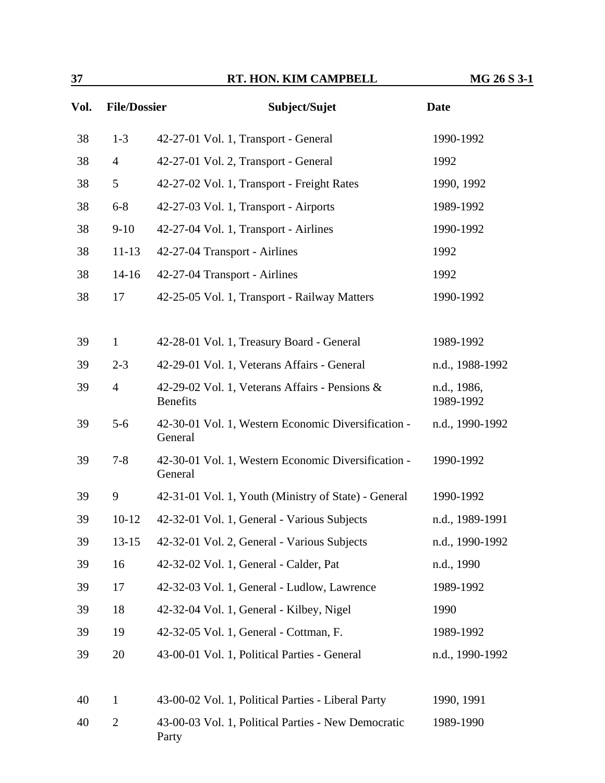| Vol. |                | <b>File/Dossier</b><br>Subject/Sujet                              | <b>Date</b>              |  |
|------|----------------|-------------------------------------------------------------------|--------------------------|--|
| 38   | $1 - 3$        | 42-27-01 Vol. 1, Transport - General                              | 1990-1992                |  |
| 38   | $\overline{4}$ | 42-27-01 Vol. 2, Transport - General                              | 1992                     |  |
| 38   | 5              | 42-27-02 Vol. 1, Transport - Freight Rates                        | 1990, 1992               |  |
| 38   | $6 - 8$        | 42-27-03 Vol. 1, Transport - Airports                             | 1989-1992                |  |
| 38   | $9-10$         | 42-27-04 Vol. 1, Transport - Airlines                             | 1990-1992                |  |
| 38   | $11 - 13$      | 42-27-04 Transport - Airlines                                     | 1992                     |  |
| 38   | $14-16$        | 42-27-04 Transport - Airlines                                     | 1992                     |  |
| 38   | 17             | 42-25-05 Vol. 1, Transport - Railway Matters                      | 1990-1992                |  |
|      |                |                                                                   |                          |  |
| 39   | $\mathbf{1}$   | 42-28-01 Vol. 1, Treasury Board - General                         | 1989-1992                |  |
| 39   | $2 - 3$        | 42-29-01 Vol. 1, Veterans Affairs - General                       | n.d., 1988-1992          |  |
| 39   | $\overline{4}$ | 42-29-02 Vol. 1, Veterans Affairs - Pensions &<br><b>Benefits</b> | n.d., 1986,<br>1989-1992 |  |
| 39   | $5-6$          | 42-30-01 Vol. 1, Western Economic Diversification -<br>General    | n.d., 1990-1992          |  |
| 39   | $7 - 8$        | 42-30-01 Vol. 1, Western Economic Diversification -<br>General    | 1990-1992                |  |
| 39   | 9              | 42-31-01 Vol. 1, Youth (Ministry of State) - General              | 1990-1992                |  |
| 39   | $10-12$        | 42-32-01 Vol. 1, General - Various Subjects                       | n.d., 1989-1991          |  |
| 39   | $13 - 15$      | 42-32-01 Vol. 2, General - Various Subjects                       | n.d., 1990-1992          |  |
| 39   | 16             | 42-32-02 Vol. 1, General - Calder, Pat                            | n.d., 1990               |  |
| 39   | 17             | 42-32-03 Vol. 1, General - Ludlow, Lawrence                       | 1989-1992                |  |
| 39   | 18             | 42-32-04 Vol. 1, General - Kilbey, Nigel                          | 1990                     |  |
| 39   | 19             | 42-32-05 Vol. 1, General - Cottman, F.                            | 1989-1992                |  |
| 39   | 20             | 43-00-01 Vol. 1, Political Parties - General                      | n.d., 1990-1992          |  |
| 40   | $\mathbf{1}$   | 43-00-02 Vol. 1, Political Parties - Liberal Party                | 1990, 1991               |  |
| 40   | $\overline{2}$ | 43-00-03 Vol. 1, Political Parties - New Democratic<br>Party      | 1989-1990                |  |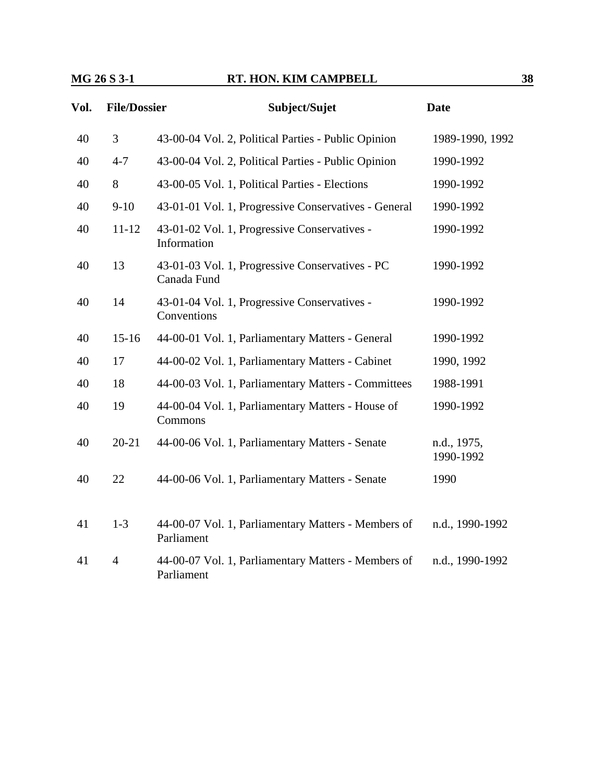| Vol. | <b>File/Dossier</b> | Subject/Sujet                                                     | <b>Date</b>              |
|------|---------------------|-------------------------------------------------------------------|--------------------------|
| 40   | 3                   | 43-00-04 Vol. 2, Political Parties - Public Opinion               | 1989-1990, 1992          |
| 40   | $4 - 7$             | 43-00-04 Vol. 2, Political Parties - Public Opinion               | 1990-1992                |
| 40   | 8                   | 43-00-05 Vol. 1, Political Parties - Elections                    | 1990-1992                |
| 40   | $9-10$              | 43-01-01 Vol. 1, Progressive Conservatives - General              | 1990-1992                |
| 40   | $11 - 12$           | 43-01-02 Vol. 1, Progressive Conservatives -<br>Information       | 1990-1992                |
| 40   | 13                  | 43-01-03 Vol. 1, Progressive Conservatives - PC<br>Canada Fund    | 1990-1992                |
| 40   | 14                  | 43-01-04 Vol. 1, Progressive Conservatives -<br>Conventions       | 1990-1992                |
| 40   | $15 - 16$           | 44-00-01 Vol. 1, Parliamentary Matters - General                  | 1990-1992                |
| 40   | 17                  | 44-00-02 Vol. 1, Parliamentary Matters - Cabinet                  | 1990, 1992               |
| 40   | 18                  | 44-00-03 Vol. 1, Parliamentary Matters - Committees               | 1988-1991                |
| 40   | 19                  | 44-00-04 Vol. 1, Parliamentary Matters - House of<br>Commons      | 1990-1992                |
| 40   | $20 - 21$           | 44-00-06 Vol. 1, Parliamentary Matters - Senate                   | n.d., 1975,<br>1990-1992 |
| 40   | 22                  | 44-00-06 Vol. 1, Parliamentary Matters - Senate                   | 1990                     |
| 41   | $1-3$               | 44-00-07 Vol. 1, Parliamentary Matters - Members of<br>Parliament | n.d., 1990-1992          |
| 41   | $\overline{4}$      | 44-00-07 Vol. 1, Parliamentary Matters - Members of<br>Parliament | n.d., 1990-1992          |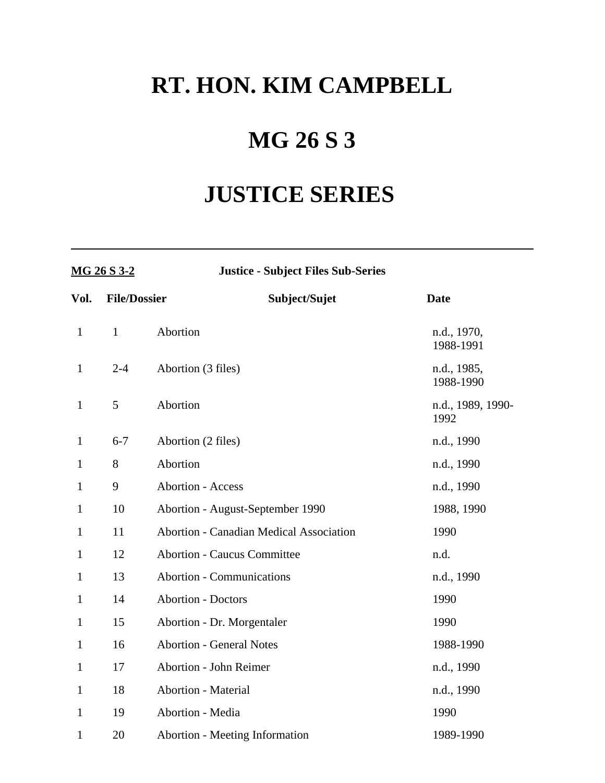# **RT. HON. KIM CAMPBELL**

## **MG 26 S 3**

# **JUSTICE SERIES**

| MG 26 S 3-2  |                     | <b>Justice - Subject Files Sub-Series</b>      |                           |  |
|--------------|---------------------|------------------------------------------------|---------------------------|--|
| Vol.         | <b>File/Dossier</b> | Subject/Sujet                                  | <b>Date</b>               |  |
| $\mathbf{1}$ | $\mathbf{1}$        | Abortion                                       | n.d., 1970,<br>1988-1991  |  |
| $\mathbf{1}$ | $2 - 4$             | Abortion (3 files)                             | n.d., 1985,<br>1988-1990  |  |
| $\mathbf{1}$ | 5                   | Abortion                                       | n.d., 1989, 1990-<br>1992 |  |
| $\mathbf{1}$ | $6 - 7$             | Abortion (2 files)                             | n.d., 1990                |  |
| $\mathbf{1}$ | 8                   | Abortion                                       | n.d., 1990                |  |
| $\mathbf{1}$ | 9                   | <b>Abortion - Access</b>                       | n.d., 1990                |  |
| $\mathbf{1}$ | 10                  | Abortion - August-September 1990               | 1988, 1990                |  |
| $\mathbf{1}$ | 11                  | <b>Abortion - Canadian Medical Association</b> | 1990                      |  |
| $\mathbf{1}$ | 12                  | <b>Abortion - Caucus Committee</b>             | n.d.                      |  |
| $\mathbf{1}$ | 13                  | <b>Abortion - Communications</b>               | n.d., 1990                |  |
| $\mathbf{1}$ | 14                  | <b>Abortion - Doctors</b>                      | 1990                      |  |
| $\mathbf{1}$ | 15                  | Abortion - Dr. Morgentaler                     | 1990                      |  |
| $\mathbf{1}$ | 16                  | <b>Abortion - General Notes</b>                | 1988-1990                 |  |
| $\mathbf{1}$ | 17                  | <b>Abortion - John Reimer</b>                  | n.d., 1990                |  |
| $\mathbf{1}$ | 18                  | <b>Abortion - Material</b>                     | n.d., 1990                |  |
| $\mathbf{1}$ | 19                  | Abortion - Media                               | 1990                      |  |
| $\mathbf{1}$ | 20                  | <b>Abortion - Meeting Information</b>          | 1989-1990                 |  |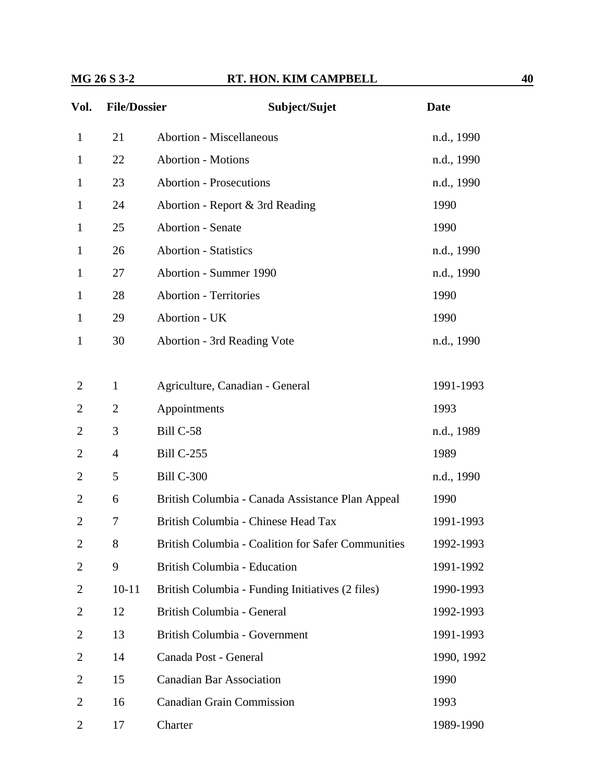| Vol.           | <b>File/Dossier</b> | Subject/Sujet                                             | <b>Date</b> |
|----------------|---------------------|-----------------------------------------------------------|-------------|
| $\mathbf{1}$   | 21                  | <b>Abortion - Miscellaneous</b>                           | n.d., 1990  |
| 1              | 22                  | <b>Abortion - Motions</b>                                 | n.d., 1990  |
| 1              | 23                  | <b>Abortion - Prosecutions</b>                            | n.d., 1990  |
| 1              | 24                  | Abortion - Report & 3rd Reading                           | 1990        |
| 1              | 25                  | <b>Abortion - Senate</b>                                  | 1990        |
| 1              | 26                  | <b>Abortion - Statistics</b>                              | n.d., 1990  |
| 1              | 27                  | Abortion - Summer 1990                                    | n.d., 1990  |
| 1              | 28                  | <b>Abortion - Territories</b>                             | 1990        |
| 1              | 29                  | Abortion - UK                                             | 1990        |
| 1              | 30                  | Abortion - 3rd Reading Vote                               | n.d., 1990  |
|                |                     |                                                           |             |
| 2              | $\mathbf{1}$        | Agriculture, Canadian - General                           | 1991-1993   |
| 2              | $\overline{2}$      | Appointments                                              | 1993        |
| $\overline{2}$ | 3                   | Bill C-58                                                 | n.d., 1989  |
| $\overline{2}$ | $\overline{4}$      | <b>Bill C-255</b>                                         | 1989        |
| $\overline{2}$ | 5                   | <b>Bill C-300</b>                                         | n.d., 1990  |
| 2              | 6                   | British Columbia - Canada Assistance Plan Appeal          | 1990        |
| $\overline{2}$ | 7                   | British Columbia - Chinese Head Tax                       | 1991-1993   |
| 2              | 8                   | <b>British Columbia - Coalition for Safer Communities</b> | 1992-1993   |
| $\overline{2}$ | 9                   | British Columbia - Education                              | 1991-1992   |
| 2              | $10 - 11$           | British Columbia - Funding Initiatives (2 files)          | 1990-1993   |
| 2              | 12                  | British Columbia - General                                | 1992-1993   |
| $\overline{2}$ | 13                  | British Columbia - Government                             | 1991-1993   |
| $\overline{2}$ | 14                  | Canada Post - General                                     | 1990, 1992  |
| 2              | 15                  | <b>Canadian Bar Association</b>                           | 1990        |
| $\overline{2}$ | 16                  | <b>Canadian Grain Commission</b>                          | 1993        |
| $\overline{2}$ | 17                  | Charter                                                   | 1989-1990   |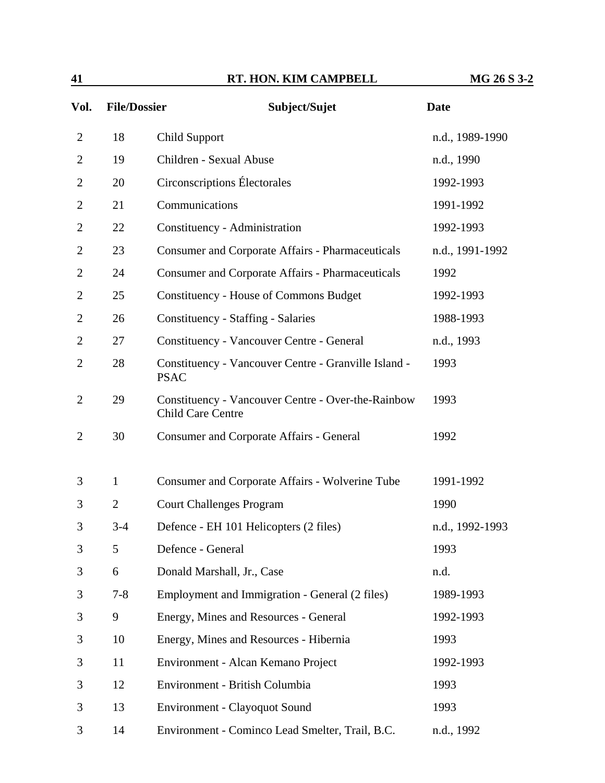| 41             |                     | RT. HON. KIM CAMPBELL                                                          | MG 26 S 3-2     |
|----------------|---------------------|--------------------------------------------------------------------------------|-----------------|
| Vol.           | <b>File/Dossier</b> | Subject/Sujet                                                                  | <b>Date</b>     |
| $\overline{2}$ | 18                  | Child Support                                                                  | n.d., 1989-1990 |
| $\overline{2}$ | 19                  | Children - Sexual Abuse                                                        | n.d., 1990      |
| $\overline{2}$ | 20                  | Circonscriptions Électorales                                                   | 1992-1993       |
| 2              | 21                  | Communications                                                                 | 1991-1992       |
| 2              | 22                  | Constituency - Administration                                                  | 1992-1993       |
| 2              | 23                  | <b>Consumer and Corporate Affairs - Pharmaceuticals</b>                        | n.d., 1991-1992 |
| 2              | 24                  | <b>Consumer and Corporate Affairs - Pharmaceuticals</b>                        | 1992            |
| 2              | 25                  | <b>Constituency - House of Commons Budget</b>                                  | 1992-1993       |
| 2              | 26                  | Constituency - Staffing - Salaries                                             | 1988-1993       |
| 2              | 27                  | Constituency - Vancouver Centre - General                                      | n.d., 1993      |
| 2              | 28                  | Constituency - Vancouver Centre - Granville Island -<br><b>PSAC</b>            | 1993            |
| $\overline{2}$ | 29                  | Constituency - Vancouver Centre - Over-the-Rainbow<br><b>Child Care Centre</b> | 1993            |
| $\overline{2}$ | 30                  | <b>Consumer and Corporate Affairs - General</b>                                | 1992            |
| 3              | $\mathbf{1}$        | Consumer and Corporate Affairs - Wolverine Tube                                | 1991-1992       |
| 3              | $\overline{2}$      | <b>Court Challenges Program</b>                                                | 1990            |
| 3              | $3-4$               | Defence - EH 101 Helicopters (2 files)                                         | n.d., 1992-1993 |
| 3              | 5                   | Defence - General                                                              | 1993            |
| 3              | 6                   | Donald Marshall, Jr., Case                                                     | n.d.            |
|                | $7 - 8$             | Employment and Immigration - General $(2 \text{ files})$                       | 1989-1993       |

|   |         |                                                 | .          |
|---|---------|-------------------------------------------------|------------|
| 3 | 6       | Donald Marshall, Jr., Case                      | n.d.       |
| 3 | $7 - 8$ | Employment and Immigration - General (2 files)  | 1989-1993  |
| 3 | 9       | Energy, Mines and Resources - General           | 1992-1993  |
| 3 | 10      | Energy, Mines and Resources - Hibernia          | 1993       |
| 3 | 11      | Environment - Alcan Kemano Project              | 1992-1993  |
| 3 | 12      | Environment - British Columbia                  | 1993       |
| 3 | 13      | Environment - Clayoquot Sound                   | 1993       |
| 3 | 14      | Environment - Cominco Lead Smelter, Trail, B.C. | n.d., 1992 |
|   |         |                                                 |            |
|   |         |                                                 |            |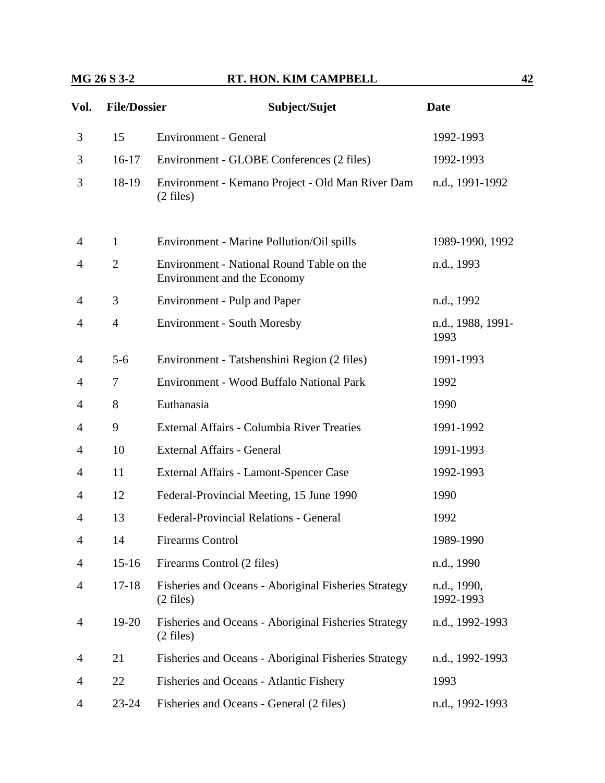| Vol. | <b>File/Dossier</b> | Subject/Sujet                                                               | <b>Date</b>               |
|------|---------------------|-----------------------------------------------------------------------------|---------------------------|
| 3    | 15                  | <b>Environment - General</b>                                                | 1992-1993                 |
| 3    | $16-17$             | Environment - GLOBE Conferences (2 files)                                   | 1992-1993                 |
| 3    | 18-19               | Environment - Kemano Project - Old Man River Dam<br>$(2 \text{ files})$     | n.d., 1991-1992           |
| 4    | $\mathbf{1}$        | Environment - Marine Pollution/Oil spills                                   | 1989-1990, 1992           |
| 4    | $\overline{2}$      | Environment - National Round Table on the<br>Environment and the Economy    | n.d., 1993                |
| 4    | 3                   | <b>Environment - Pulp and Paper</b>                                         | n.d., 1992                |
| 4    | $\overline{4}$      | <b>Environment - South Moresby</b>                                          | n.d., 1988, 1991-<br>1993 |
| 4    | $5 - 6$             | Environment - Tatshenshini Region (2 files)                                 | 1991-1993                 |
| 4    | 7                   | Environment - Wood Buffalo National Park                                    | 1992                      |
| 4    | 8                   | Euthanasia                                                                  | 1990                      |
| 4    | 9                   | External Affairs - Columbia River Treaties                                  | 1991-1992                 |
| 4    | 10                  | External Affairs - General                                                  | 1991-1993                 |
| 4    | 11                  | External Affairs - Lamont-Spencer Case                                      | 1992-1993                 |
| 4    | 12                  | Federal-Provincial Meeting, 15 June 1990                                    | 1990                      |
| 4    | 13                  | <b>Federal-Provincial Relations - General</b>                               | 1992                      |
| 4    | 14                  | Firearms Control                                                            | 1989-1990                 |
| 4    | $15 - 16$           | Firearms Control (2 files)                                                  | n.d., 1990                |
| 4    | $17 - 18$           | Fisheries and Oceans - Aboriginal Fisheries Strategy<br>$(2 \text{ files})$ | n.d., 1990,<br>1992-1993  |
| 4    | $19-20$             | Fisheries and Oceans - Aboriginal Fisheries Strategy<br>$(2 \text{ files})$ | n.d., 1992-1993           |
| 4    | 21                  | Fisheries and Oceans - Aboriginal Fisheries Strategy                        | n.d., 1992-1993           |
| 4    | 22                  | Fisheries and Oceans - Atlantic Fishery                                     | 1993                      |
| 4    | $23 - 24$           | Fisheries and Oceans - General (2 files)                                    | n.d., 1992-1993           |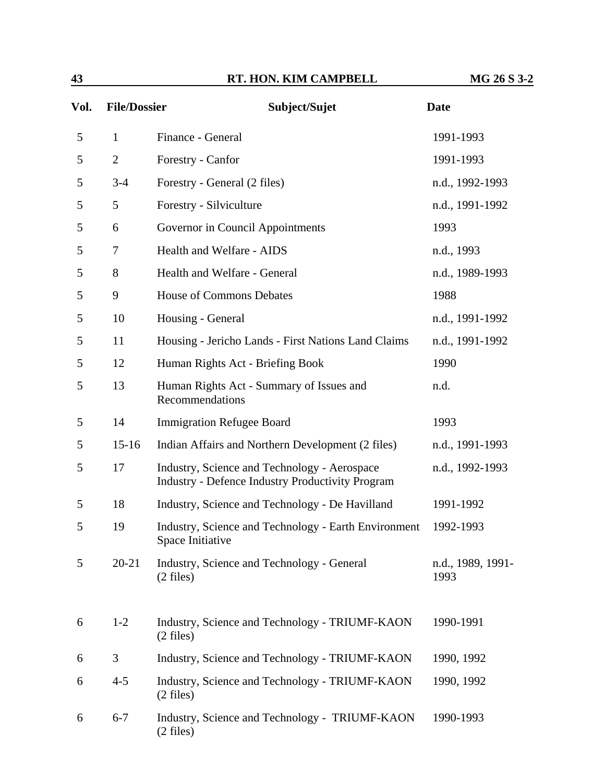| 43 | <b>HON. KIM CAMPBELL</b><br>RT. | MG 26 S 3-2 |
|----|---------------------------------|-------------|
|    |                                 |             |

| Vol. | <b>File/Dossier</b> | Subject/Sujet                                                                                           | <b>Date</b>               |
|------|---------------------|---------------------------------------------------------------------------------------------------------|---------------------------|
| 5    | $\mathbf{1}$        | Finance - General                                                                                       | 1991-1993                 |
| 5    | $\overline{2}$      | Forestry - Canfor                                                                                       | 1991-1993                 |
| 5    | $3 - 4$             | Forestry - General (2 files)                                                                            | n.d., 1992-1993           |
| 5    | 5                   | Forestry - Silviculture                                                                                 | n.d., 1991-1992           |
| 5    | 6                   | Governor in Council Appointments                                                                        | 1993                      |
| 5    | 7                   | Health and Welfare - AIDS                                                                               | n.d., 1993                |
| 5    | 8                   | Health and Welfare - General                                                                            | n.d., 1989-1993           |
| 5    | 9                   | <b>House of Commons Debates</b>                                                                         | 1988                      |
| 5    | 10                  | Housing - General                                                                                       | n.d., 1991-1992           |
| 5    | 11                  | Housing - Jericho Lands - First Nations Land Claims                                                     | n.d., 1991-1992           |
| 5    | 12                  | Human Rights Act - Briefing Book                                                                        | 1990                      |
| 5    | 13                  | Human Rights Act - Summary of Issues and<br>Recommendations                                             | n.d.                      |
| 5    | 14                  | <b>Immigration Refugee Board</b>                                                                        | 1993                      |
| 5    | $15 - 16$           | Indian Affairs and Northern Development (2 files)                                                       | n.d., 1991-1993           |
| 5    | 17                  | Industry, Science and Technology - Aerospace<br><b>Industry - Defence Industry Productivity Program</b> | n.d., 1992-1993           |
| 5    | 18                  | Industry, Science and Technology - De Havilland                                                         | 1991-1992                 |
| 5    | 19                  | Industry, Science and Technology - Earth Environment<br>Space Initiative                                | 1992-1993                 |
| 5    | $20 - 21$           | Industry, Science and Technology - General<br>$(2$ files)                                               | n.d., 1989, 1991-<br>1993 |
| 6    | $1 - 2$             | Industry, Science and Technology - TRIUMF-KAON<br>$(2$ files)                                           | 1990-1991                 |
| 6    | 3                   | Industry, Science and Technology - TRIUMF-KAON                                                          | 1990, 1992                |
| 6    | $4 - 5$             | Industry, Science and Technology - TRIUMF-KAON<br>$(2$ files)                                           | 1990, 1992                |
| 6    | $6 - 7$             | Industry, Science and Technology - TRIUMF-KAON<br>$(2$ files)                                           | 1990-1993                 |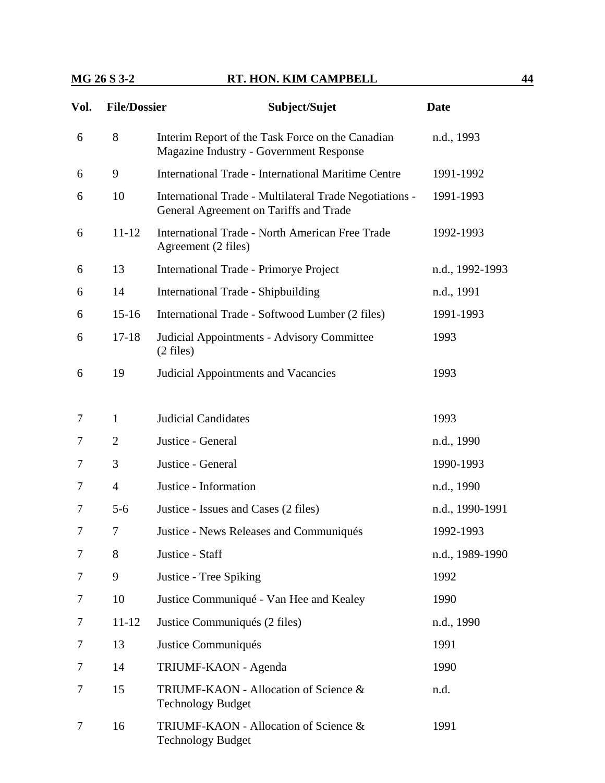| Vol. | <b>File/Dossier</b> | Subject/Sujet                                                                                      | <b>Date</b>     |
|------|---------------------|----------------------------------------------------------------------------------------------------|-----------------|
| 6    | 8                   | Interim Report of the Task Force on the Canadian<br><b>Magazine Industry - Government Response</b> | n.d., 1993      |
| 6    | 9                   | International Trade - International Maritime Centre                                                | 1991-1992       |
| 6    | 10                  | International Trade - Multilateral Trade Negotiations -<br>General Agreement on Tariffs and Trade  | 1991-1993       |
| 6    | $11 - 12$           | <b>International Trade - North American Free Trade</b><br>Agreement (2 files)                      | 1992-1993       |
| 6    | 13                  | <b>International Trade - Primorye Project</b>                                                      | n.d., 1992-1993 |
| 6    | 14                  | International Trade - Shipbuilding                                                                 | n.d., 1991      |
| 6    | $15-16$             | International Trade - Softwood Lumber (2 files)                                                    | 1991-1993       |
| 6    | $17 - 18$           | Judicial Appointments - Advisory Committee<br>$(2 \text{ files})$                                  | 1993            |
| 6    | 19                  | <b>Judicial Appointments and Vacancies</b>                                                         | 1993            |
| 7    | $\mathbf{1}$        | <b>Judicial Candidates</b>                                                                         | 1993            |
| 7    | 2                   | Justice - General                                                                                  | n.d., 1990      |
| 7    | 3                   | Justice - General                                                                                  | 1990-1993       |
| 7    | $\overline{4}$      | Justice - Information                                                                              | n.d., 1990      |
| 7    | $5 - 6$             | Justice - Issues and Cases (2 files)                                                               | n.d., 1990-1991 |
| 7    | $\tau$              | Justice - News Releases and Communiqués                                                            | 1992-1993       |
| 7    | 8                   | Justice - Staff                                                                                    | n.d., 1989-1990 |
| 7    | 9                   | Justice - Tree Spiking                                                                             | 1992            |
| 7    | 10                  | Justice Communiqué - Van Hee and Kealey                                                            | 1990            |
| 7    | $11 - 12$           | Justice Communiqués (2 files)                                                                      | n.d., 1990      |
| 7    | 13                  | Justice Communiqués                                                                                | 1991            |
| 7    | 14                  | TRIUMF-KAON - Agenda                                                                               | 1990            |
| 7    | 15                  | TRIUMF-KAON - Allocation of Science &<br><b>Technology Budget</b>                                  | n.d.            |
| 7    | 16                  | TRIUMF-KAON - Allocation of Science &<br><b>Technology Budget</b>                                  | 1991            |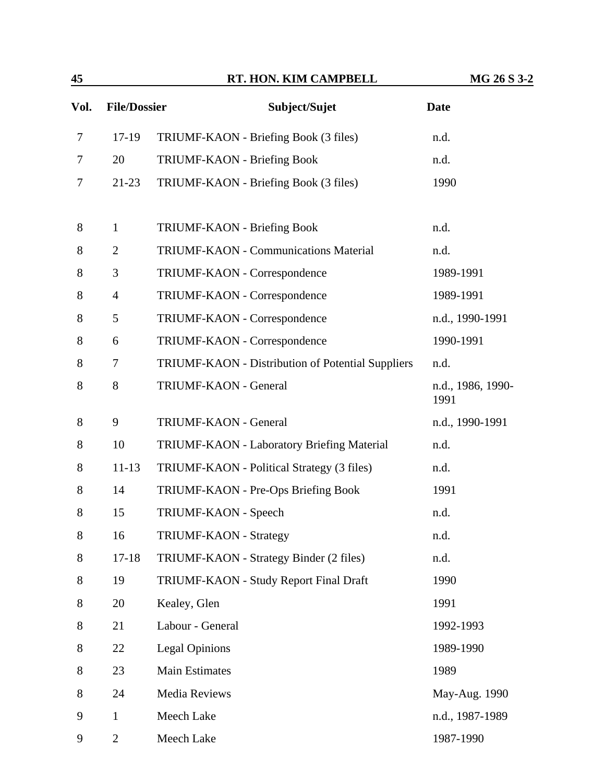| 45    |                     | RT. HON. KIM CAMPBELL                             | MG 26 S 3-2               |
|-------|---------------------|---------------------------------------------------|---------------------------|
| Vol.  | <b>File/Dossier</b> | Subject/Sujet                                     | <b>Date</b>               |
| 7     | 17-19               | TRIUMF-KAON - Briefing Book (3 files)             | n.d.                      |
| 7     | 20                  | <b>TRIUMF-KAON - Briefing Book</b>                | n.d.                      |
| 7     | $21-23$             | TRIUMF-KAON - Briefing Book (3 files)             | 1990                      |
| 8     | $\mathbf{1}$        | TRIUMF-KAON - Briefing Book                       | n.d.                      |
| 8     | $\overline{2}$      | TRIUMF-KAON - Communications Material             | n.d.                      |
| $8\,$ | 3                   | TRIUMF-KAON - Correspondence                      | 1989-1991                 |
| 8     | $\overline{4}$      | TRIUMF-KAON - Correspondence                      | 1989-1991                 |
| 8     | 5                   | TRIUMF-KAON - Correspondence                      | n.d., 1990-1991           |
| 8     | 6                   | TRIUMF-KAON - Correspondence                      | 1990-1991                 |
| 8     | 7                   | TRIUMF-KAON - Distribution of Potential Suppliers | n.d.                      |
| $8\,$ | 8                   | TRIUMF-KAON - General                             | n.d., 1986, 1990-<br>1991 |
| 8     | 9                   | TRIUMF-KAON - General                             | n.d., 1990-1991           |
| 8     | 10                  | TRIUMF-KAON - Laboratory Briefing Material        | n.d.                      |
| 8     | $11 - 13$           | TRIUMF-KAON - Political Strategy (3 files)        | n.d.                      |
| 8     | 14                  | TRIUMF-KAON - Pre-Ops Briefing Book               | 1991                      |
| 8     | 15                  | TRIUMF-KAON - Speech                              | n.d.                      |
| $8\,$ | 16                  | <b>TRIUMF-KAON - Strategy</b>                     | n.d.                      |
| $8\,$ | $17 - 18$           | TRIUMF-KAON - Strategy Binder (2 files)           | n.d.                      |
| 8     | 19                  | TRIUMF-KAON - Study Report Final Draft            | 1990                      |
| 8     | 20                  | Kealey, Glen                                      | 1991                      |
| 8     | 21                  | Labour - General                                  | 1992-1993                 |
| 8     | 22                  | <b>Legal Opinions</b>                             | 1989-1990                 |
| $8\,$ | 23                  | <b>Main Estimates</b>                             | 1989                      |
| 8     | 24                  | Media Reviews                                     | May-Aug. 1990             |
| 9     | $\mathbf{1}$        | Meech Lake                                        | n.d., 1987-1989           |
| 9     | $\overline{2}$      | Meech Lake                                        | 1987-1990                 |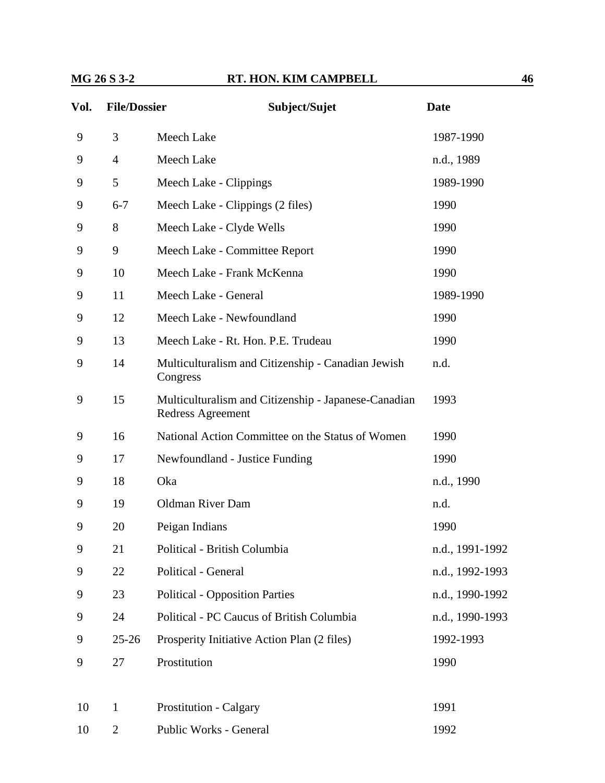| Vol. | <b>File/Dossier</b> | Subject/Sujet                    | Date       |
|------|---------------------|----------------------------------|------------|
| 9    | 3                   | Meech Lake                       | 1987-1990  |
| 9    | $\overline{4}$      | Meech Lake                       | n.d., 1989 |
| 9    | 5                   | Meech Lake - Clippings           | 1989-1990  |
| 9    | $6 - 7$             | Meech Lake - Clippings (2 files) | 1990       |
| 9    | 8                   | Meech Lake - Clyde Wells         | 1990       |
| 9    | 9                   | Meech Lake - Committee Report    | 1990       |
| 9    | 10                  | Meech Lake - Frank McKenna       | 1990       |

| 9  | $6 - 7$        | Meech Lake - Clippings (2 files)                                          | 1990            |
|----|----------------|---------------------------------------------------------------------------|-----------------|
| 9  | 8              | Meech Lake - Clyde Wells                                                  | 1990            |
| 9  | 9              | Meech Lake - Committee Report                                             | 1990            |
| 9  | 10             | Meech Lake - Frank McKenna                                                | 1990            |
| 9  | 11             | Meech Lake - General                                                      | 1989-1990       |
| 9  | 12             | Meech Lake - Newfoundland                                                 | 1990            |
| 9  | 13             | Meech Lake - Rt. Hon. P.E. Trudeau                                        | 1990            |
| 9  | 14             | Multiculturalism and Citizenship - Canadian Jewish<br>Congress            | n.d.            |
| 9  | 15             | Multiculturalism and Citizenship - Japanese-Canadian<br>Redress Agreement | 1993            |
| 9  | 16             | National Action Committee on the Status of Women                          | 1990            |
| 9  | 17             | Newfoundland - Justice Funding                                            | 1990            |
| 9  | 18             | Oka                                                                       | n.d., 1990      |
| 9  | 19             | <b>Oldman River Dam</b>                                                   | n.d.            |
| 9  | 20             | Peigan Indians                                                            | 1990            |
| 9  | 21             | Political - British Columbia                                              | n.d., 1991-1992 |
| 9  | 22             | Political - General                                                       | n.d., 1992-1993 |
| 9  | 23             | <b>Political - Opposition Parties</b>                                     | n.d., 1990-1992 |
| 9  | 24             | Political - PC Caucus of British Columbia                                 | n.d., 1990-1993 |
| 9  | $25 - 26$      | Prosperity Initiative Action Plan (2 files)                               | 1992-1993       |
| 9  | 27             | Prostitution                                                              | 1990            |
|    |                |                                                                           |                 |
| 10 | $\mathbf{1}$   | <b>Prostitution - Calgary</b>                                             | 1991            |
| 10 | $\overline{2}$ | Public Works - General                                                    | 1992            |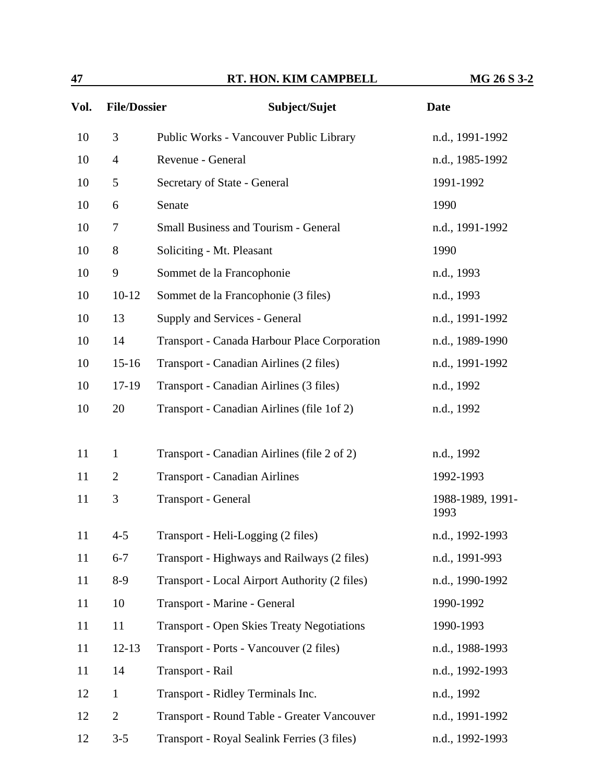| 47   |                     | RT. HON. KIM CAMPBELL                             | MG 26 S 3-2              |
|------|---------------------|---------------------------------------------------|--------------------------|
| Vol. | <b>File/Dossier</b> | Subject/Sujet                                     | <b>Date</b>              |
| 10   | 3                   | Public Works - Vancouver Public Library           | n.d., 1991-1992          |
| 10   | $\overline{4}$      | Revenue - General                                 | n.d., 1985-1992          |
| 10   | 5                   | Secretary of State - General                      | 1991-1992                |
| 10   | 6                   | Senate                                            | 1990                     |
| 10   | $\tau$              | <b>Small Business and Tourism - General</b>       | n.d., 1991-1992          |
| 10   | 8                   | Soliciting - Mt. Pleasant                         | 1990                     |
| 10   | 9                   | Sommet de la Francophonie                         | n.d., 1993               |
| 10   | $10-12$             | Sommet de la Francophonie (3 files)               | n.d., 1993               |
| 10   | 13                  | Supply and Services - General                     | n.d., 1991-1992          |
| 10   | 14                  | Transport - Canada Harbour Place Corporation      | n.d., 1989-1990          |
| 10   | $15-16$             | Transport - Canadian Airlines (2 files)           | n.d., 1991-1992          |
| 10   | 17-19               | Transport - Canadian Airlines (3 files)           | n.d., 1992               |
| 10   | 20                  | Transport - Canadian Airlines (file 1of 2)        | n.d., 1992               |
| 11   | $\mathbf{1}$        | Transport - Canadian Airlines (file 2 of 2)       | n.d., 1992               |
| 11   | $\overline{2}$      | <b>Transport - Canadian Airlines</b>              | 1992-1993                |
| 11   | 3                   | Transport - General                               | 1988-1989, 1991-<br>1993 |
| 11   | $4 - 5$             | Transport - Heli-Logging (2 files)                | n.d., 1992-1993          |
| 11   | $6 - 7$             | Transport - Highways and Railways (2 files)       | n.d., 1991-993           |
| 11   | $8-9$               | Transport - Local Airport Authority (2 files)     | n.d., 1990-1992          |
| 11   | 10                  | Transport - Marine - General                      | 1990-1992                |
| 11   | 11                  | <b>Transport - Open Skies Treaty Negotiations</b> | 1990-1993                |
| 11   | $12 - 13$           | Transport - Ports - Vancouver (2 files)           | n.d., 1988-1993          |
| 11   | 14                  | Transport - Rail                                  | n.d., 1992-1993          |
| 12   | $\mathbf{1}$        | Transport - Ridley Terminals Inc.                 | n.d., 1992               |

12 2 Transport - Round Table - Greater Vancouver n.d., 1991-1992 12 3-5 Transport - Royal Sealink Ferries (3 files) n.d., 1992-1993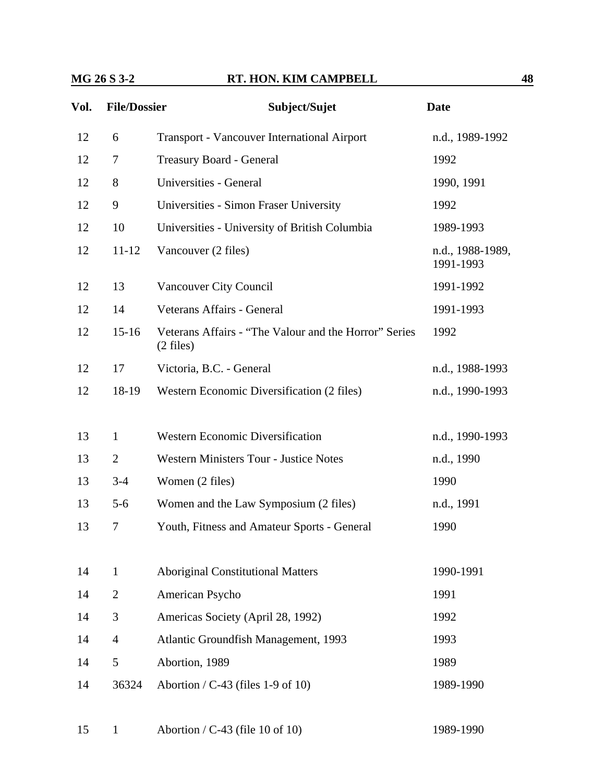| Vol. | <b>File/Dossier</b> | Subject/Sujet                                                                | <b>Date</b>                   |
|------|---------------------|------------------------------------------------------------------------------|-------------------------------|
| 12   | 6                   | Transport - Vancouver International Airport                                  | n.d., 1989-1992               |
| 12   | 7                   | Treasury Board - General                                                     | 1992                          |
| 12   | 8                   | Universities - General                                                       | 1990, 1991                    |
| 12   | 9                   | Universities - Simon Fraser University                                       | 1992                          |
| 12   | 10                  | Universities - University of British Columbia                                | 1989-1993                     |
| 12   | $11 - 12$           | Vancouver (2 files)                                                          | n.d., 1988-1989,<br>1991-1993 |
| 12   | 13                  | Vancouver City Council                                                       | 1991-1992                     |
| 12   | 14                  | Veterans Affairs - General                                                   | 1991-1993                     |
| 12   | $15 - 16$           | Veterans Affairs - "The Valour and the Horror" Series<br>$(2 \text{ files})$ | 1992                          |
| 12   | 17                  | Victoria, B.C. - General                                                     | n.d., 1988-1993               |
| 12   | 18-19               | Western Economic Diversification (2 files)                                   | n.d., 1990-1993               |
|      |                     |                                                                              |                               |
| 13   | $\mathbf{1}$        | <b>Western Economic Diversification</b>                                      | n.d., 1990-1993               |
| 13   | $\overline{2}$      | <b>Western Ministers Tour - Justice Notes</b>                                | n.d., 1990                    |
| 13   | $3 - 4$             | Women (2 files)                                                              | 1990                          |
| 13   | $5 - 6$             | Women and the Law Symposium (2 files)                                        | n.d., 1991                    |
| 13   | 7                   | Youth, Fitness and Amateur Sports - General                                  | 1990                          |
|      |                     |                                                                              |                               |
| 14   | $\mathbf{1}$        | <b>Aboriginal Constitutional Matters</b>                                     | 1990-1991                     |
| 14   | $\overline{2}$      | American Psycho                                                              | 1991                          |
| 14   | 3                   | Americas Society (April 28, 1992)                                            | 1992                          |
| 14   | $\overline{4}$      | Atlantic Groundfish Management, 1993                                         | 1993                          |
| 14   | 5                   | Abortion, 1989                                                               | 1989                          |
| 14   | 36324               | Abortion / $C-43$ (files 1-9 of 10)                                          | 1989-1990                     |

15 1 Abortion / C-43 (file 10 of 10) 1989-1990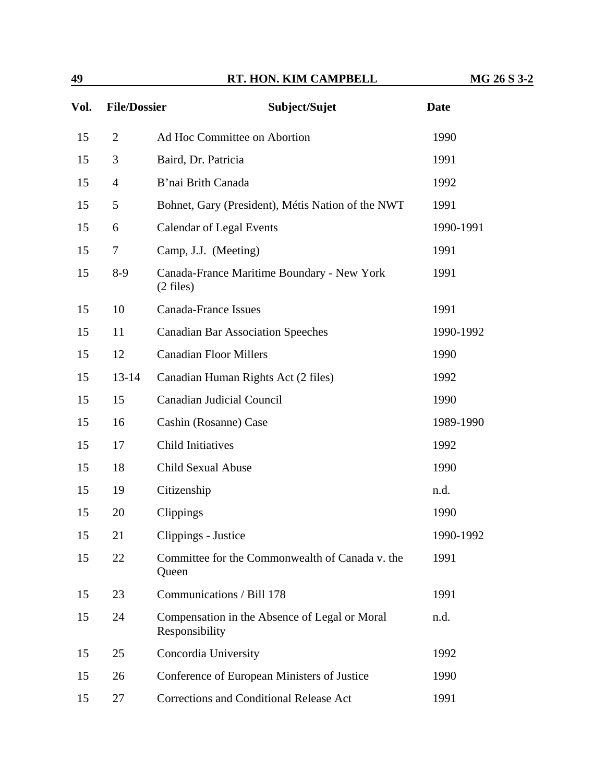| Vol. | <b>File/Dossier</b> | Subject/Sujet                                                     | <b>Date</b> |
|------|---------------------|-------------------------------------------------------------------|-------------|
| 15   | $\overline{2}$      | Ad Hoc Committee on Abortion                                      | 1990        |
| 15   | 3                   | Baird, Dr. Patricia                                               | 1991        |
| 15   | $\overline{4}$      | B'nai Brith Canada                                                | 1992        |
| 15   | 5                   | Bohnet, Gary (President), Métis Nation of the NWT                 | 1991        |
| 15   | 6                   | <b>Calendar of Legal Events</b>                                   | 1990-1991   |
| 15   | 7                   | Camp, J.J. (Meeting)                                              | 1991        |
| 15   | $8-9$               | Canada-France Maritime Boundary - New York<br>$(2 \text{ files})$ | 1991        |
| 15   | 10                  | <b>Canada-France Issues</b>                                       | 1991        |
| 15   | 11                  | <b>Canadian Bar Association Speeches</b>                          | 1990-1992   |
| 15   | 12                  | <b>Canadian Floor Millers</b>                                     | 1990        |
| 15   | $13 - 14$           | Canadian Human Rights Act (2 files)                               | 1992        |
| 15   | 15                  | <b>Canadian Judicial Council</b>                                  | 1990        |
| 15   | 16                  | Cashin (Rosanne) Case                                             | 1989-1990   |
| 15   | 17                  | <b>Child Initiatives</b>                                          | 1992        |
| 15   | 18                  | <b>Child Sexual Abuse</b>                                         | 1990        |
| 15   | 19                  | Citizenship                                                       | n.d.        |
| 15   | 20                  | Clippings                                                         | 1990        |
| 15   | 21                  | Clippings - Justice                                               | 1990-1992   |
| 15   | 22                  | Committee for the Commonwealth of Canada v. the<br>Queen          | 1991        |
| 15   | 23                  | Communications / Bill 178                                         | 1991        |
| 15   | 24                  | Compensation in the Absence of Legal or Moral<br>Responsibility   | n.d.        |
| 15   | 25                  | Concordia University                                              | 1992        |
| 15   | 26                  | Conference of European Ministers of Justice                       | 1990        |
| 15   | 27                  | Corrections and Conditional Release Act                           | 1991        |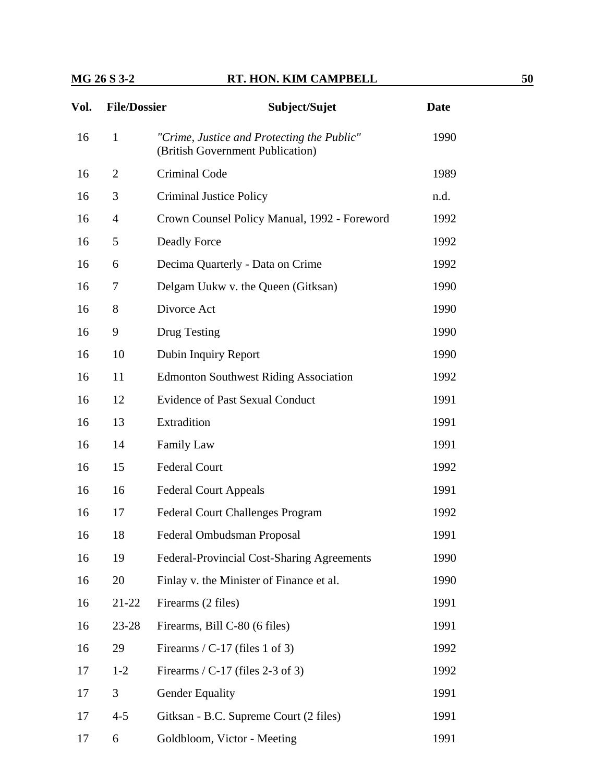| Vol. | <b>File/Dossier</b> | Subject/Sujet                                                                  | <b>Date</b> |
|------|---------------------|--------------------------------------------------------------------------------|-------------|
| 16   | $\mathbf{1}$        | "Crime, Justice and Protecting the Public"<br>(British Government Publication) | 1990        |
| 16   | 2                   | <b>Criminal Code</b>                                                           | 1989        |
| 16   | 3                   | <b>Criminal Justice Policy</b>                                                 | n.d.        |
| 16   | $\overline{4}$      | Crown Counsel Policy Manual, 1992 - Foreword                                   | 1992        |
| 16   | 5                   | <b>Deadly Force</b>                                                            | 1992        |
| 16   | 6                   | Decima Quarterly - Data on Crime                                               | 1992        |
| 16   | 7                   | Delgam Uukw v. the Queen (Gitksan)                                             | 1990        |
| 16   | 8                   | Divorce Act                                                                    | 1990        |
| 16   | 9                   | Drug Testing                                                                   | 1990        |
| 16   | 10                  | Dubin Inquiry Report                                                           | 1990        |
| 16   | 11                  | <b>Edmonton Southwest Riding Association</b>                                   | 1992        |
| 16   | 12                  | <b>Evidence of Past Sexual Conduct</b>                                         | 1991        |
| 16   | 13                  | Extradition                                                                    | 1991        |
| 16   | 14                  | <b>Family Law</b>                                                              | 1991        |
| 16   | 15                  | <b>Federal Court</b>                                                           | 1992        |
| 16   | 16                  | <b>Federal Court Appeals</b>                                                   | 1991        |
| 16   | 17                  | <b>Federal Court Challenges Program</b>                                        | 1992        |
| 16   | 18                  | Federal Ombudsman Proposal                                                     | 1991        |
| 16   | 19                  | Federal-Provincial Cost-Sharing Agreements                                     | 1990        |
| 16   | 20                  | Finlay v. the Minister of Finance et al.                                       | 1990        |
| 16   | 21-22               | Firearms (2 files)                                                             | 1991        |
| 16   | $23 - 28$           | Firearms, Bill C-80 (6 files)                                                  | 1991        |
| 16   | 29                  | Firearms / C-17 (files 1 of 3)                                                 | 1992        |
| 17   | $1 - 2$             | Firearms / $C-17$ (files 2-3 of 3)                                             | 1992        |
| 17   | 3                   | <b>Gender Equality</b>                                                         | 1991        |
| 17   | $4 - 5$             | Gitksan - B.C. Supreme Court (2 files)                                         | 1991        |
| 17   | 6                   | Goldbloom, Victor - Meeting                                                    | 1991        |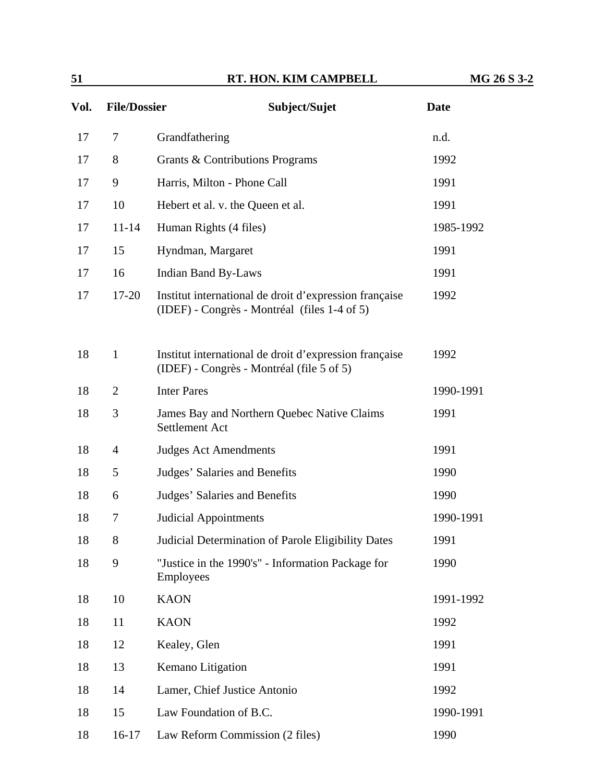| 51   |                     | RT. HON. KIM CAMPBELL                                                                                  | MG 26 S 3-2 |
|------|---------------------|--------------------------------------------------------------------------------------------------------|-------------|
| Vol. | <b>File/Dossier</b> | Subject/Sujet                                                                                          | <b>Date</b> |
| 17   | 7                   | Grandfathering                                                                                         | n.d.        |
| 17   | 8                   | Grants & Contributions Programs                                                                        | 1992        |
| 17   | 9                   | Harris, Milton - Phone Call                                                                            | 1991        |
| 17   | 10                  | Hebert et al. v. the Queen et al.                                                                      | 1991        |
| 17   | $11 - 14$           | Human Rights (4 files)                                                                                 | 1985-1992   |
| 17   | 15                  | Hyndman, Margaret                                                                                      | 1991        |
| 17   | 16                  | <b>Indian Band By-Laws</b>                                                                             | 1991        |
| 17   | $17 - 20$           | Institut international de droit d'expression française<br>(IDEF) - Congrès - Montréal (files 1-4 of 5) | 1992        |
| 18   | $\mathbf{1}$        | Institut international de droit d'expression française<br>(IDEF) - Congrès - Montréal (file 5 of 5)    | 1992        |
| 18   | $\overline{2}$      | <b>Inter Pares</b>                                                                                     | 1990-1991   |
| 18   | 3                   | James Bay and Northern Quebec Native Claims<br>Settlement Act                                          | 1991        |
| 18   | $\overline{4}$      | <b>Judges Act Amendments</b>                                                                           | 1991        |
| 18   | 5                   | Judges' Salaries and Benefits                                                                          | 1990        |
| 18   | 6                   | Judges' Salaries and Benefits                                                                          | 1990        |
| 18   | 7                   | <b>Judicial Appointments</b>                                                                           | 1990-1991   |
| 18   | 8                   | Judicial Determination of Parole Eligibility Dates                                                     | 1991        |
| 18   | 9                   | "Justice in the 1990's" - Information Package for<br><b>Employees</b>                                  | 1990        |
| 18   | 10                  | <b>KAON</b>                                                                                            | 1991-1992   |
| 18   | 11                  | <b>KAON</b>                                                                                            | 1992        |
| 18   | 12                  | Kealey, Glen                                                                                           | 1991        |
| 18   | 13                  | Kemano Litigation                                                                                      | 1991        |

18 14 Lamer, Chief Justice Antonio 1992

18 16-17 Law Reform Commission (2 files) 1990

18 15 Law Foundation of B.C. 1990-1991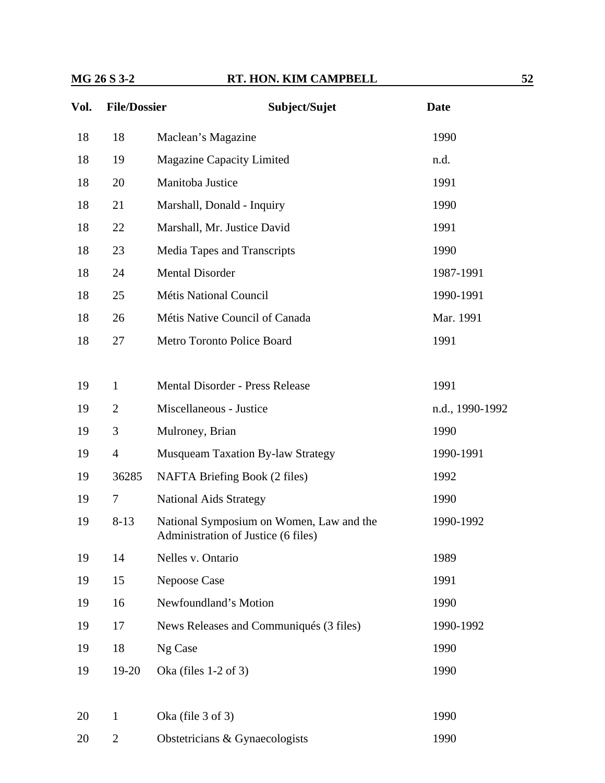| Vol. | <b>File/Dossier</b> | Subject/Sujet                                                                   | <b>Date</b>     |
|------|---------------------|---------------------------------------------------------------------------------|-----------------|
| 18   | 18                  | Maclean's Magazine                                                              | 1990            |
| 18   | 19                  | <b>Magazine Capacity Limited</b>                                                | n.d.            |
| 18   | 20                  | Manitoba Justice                                                                | 1991            |
| 18   | 21                  | Marshall, Donald - Inquiry                                                      | 1990            |
| 18   | 22                  | Marshall, Mr. Justice David                                                     | 1991            |
| 18   | 23                  | Media Tapes and Transcripts                                                     | 1990            |
| 18   | 24                  | <b>Mental Disorder</b>                                                          | 1987-1991       |
| 18   | 25                  | <b>Métis National Council</b>                                                   | 1990-1991       |
| 18   | 26                  | Métis Native Council of Canada                                                  | Mar. 1991       |
| 18   | 27                  | Metro Toronto Police Board                                                      | 1991            |
|      |                     |                                                                                 |                 |
| 19   | $\mathbf{1}$        | <b>Mental Disorder - Press Release</b>                                          | 1991            |
| 19   | $\overline{2}$      | Miscellaneous - Justice                                                         | n.d., 1990-1992 |
| 19   | 3                   | Mulroney, Brian                                                                 | 1990            |
| 19   | $\overline{4}$      | <b>Musqueam Taxation By-law Strategy</b>                                        | 1990-1991       |
| 19   | 36285               | NAFTA Briefing Book (2 files)                                                   | 1992            |
| 19   | $\overline{7}$      | <b>National Aids Strategy</b>                                                   | 1990            |
| 19   | $8-13$              | National Symposium on Women, Law and the<br>Administration of Justice (6 files) | 1990-1992       |
| 19   | 14                  | Nelles v. Ontario                                                               | 1989            |
| 19   | 15                  | Nepoose Case                                                                    | 1991            |
| 19   | 16                  | Newfoundland's Motion                                                           | 1990            |
| 19   | 17                  | News Releases and Communiqués (3 files)                                         | 1990-1992       |
| 19   | 18                  | Ng Case                                                                         | 1990            |
| 19   | 19-20               | Oka (files $1-2$ of 3)                                                          | 1990            |
|      |                     |                                                                                 |                 |
| 20   | $\mathbf{1}$        | Oka (file $3$ of $3$ )                                                          | 1990            |
| 20   | $\overline{2}$      | Obstetricians & Gynaecologists                                                  | 1990            |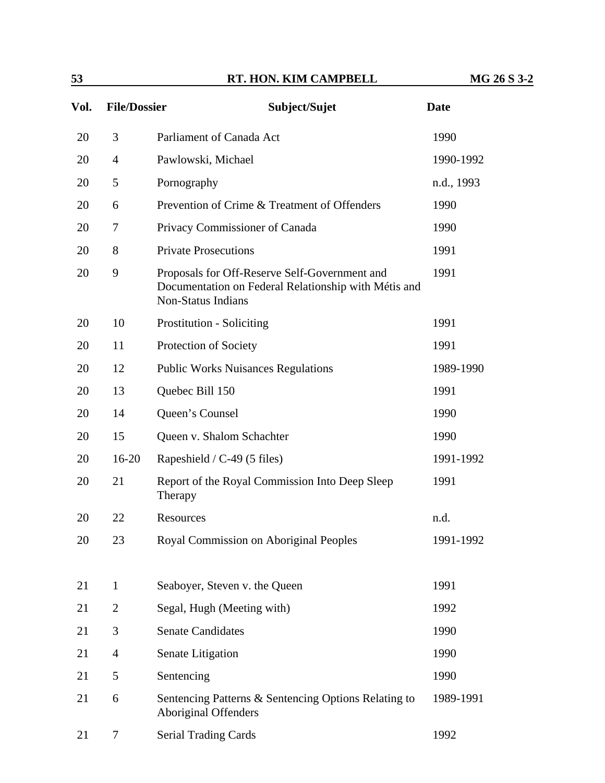| 53   |                     | RT. HON. KIM CAMPBELL                                                                                                              | MG 26 S 3-2 |
|------|---------------------|------------------------------------------------------------------------------------------------------------------------------------|-------------|
| Vol. | <b>File/Dossier</b> | Subject/Sujet                                                                                                                      | <b>Date</b> |
| 20   | 3                   | Parliament of Canada Act                                                                                                           | 1990        |
| 20   | $\overline{4}$      | Pawlowski, Michael                                                                                                                 | 1990-1992   |
| 20   | 5                   | Pornography                                                                                                                        | n.d., 1993  |
| 20   | 6                   | Prevention of Crime & Treatment of Offenders                                                                                       | 1990        |
| 20   | 7                   | Privacy Commissioner of Canada                                                                                                     | 1990        |
| 20   | 8                   | <b>Private Prosecutions</b>                                                                                                        | 1991        |
| 20   | 9                   | Proposals for Off-Reserve Self-Government and<br>Documentation on Federal Relationship with Métis and<br><b>Non-Status Indians</b> | 1991        |
| 20   | 10                  | <b>Prostitution - Soliciting</b>                                                                                                   | 1991        |
| 20   | 11                  | Protection of Society                                                                                                              | 1991        |
| 20   | 12                  | <b>Public Works Nuisances Regulations</b>                                                                                          | 1989-1990   |
| 20   | 13                  | Quebec Bill 150                                                                                                                    | 1991        |
| 20   | 14                  | Queen's Counsel                                                                                                                    | 1990        |
| 20   | 15                  | Queen v. Shalom Schachter                                                                                                          | 1990        |
| 20   | $16-20$             | Rapeshield / C-49 (5 files)                                                                                                        | 1991-1992   |
| 20   | 21                  | Report of the Royal Commission Into Deep Sleep<br>Therapy                                                                          | 1991        |
| 20   | 22                  | Resources                                                                                                                          | n.d.        |
| 20   | 23                  | Royal Commission on Aboriginal Peoples                                                                                             | 1991-1992   |
| 21   | $\mathbf{1}$        | Seaboyer, Steven v. the Queen                                                                                                      | 1991        |
| 21   | $\overline{2}$      | Segal, Hugh (Meeting with)                                                                                                         | 1992        |
| 21   | 3                   | <b>Senate Candidates</b>                                                                                                           | 1990        |
| 21   | $\overline{4}$      | Senate Litigation                                                                                                                  | 1990        |
| 21   | 5                   | Sentencing                                                                                                                         | 1990        |
| 21   | 6                   | Sentencing Patterns & Sentencing Options Relating to<br>Aboriginal Offenders                                                       | 1989-1991   |
| 21   | $\overline{7}$      | <b>Serial Trading Cards</b>                                                                                                        | 1992        |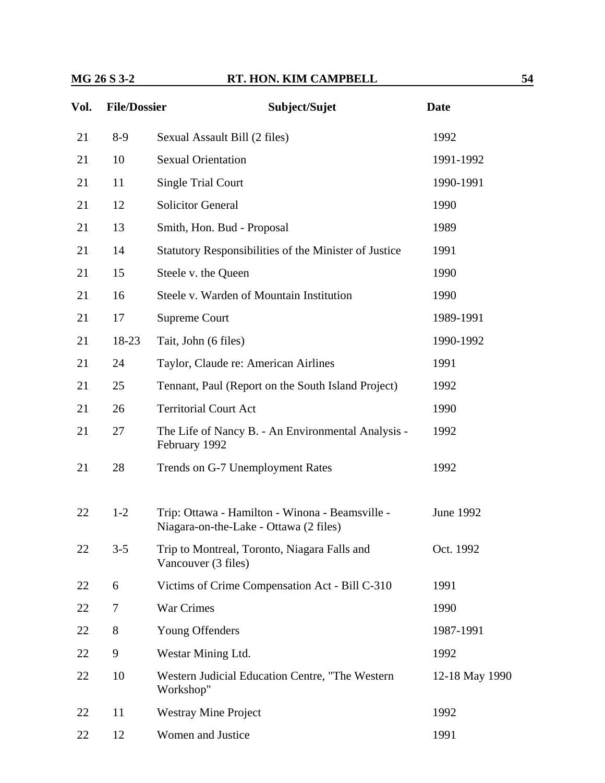| Vol. | <b>File/Dossier</b> | Subject/Sujet                                                                             | <b>Date</b>    |
|------|---------------------|-------------------------------------------------------------------------------------------|----------------|
| 21   | $8-9$               | Sexual Assault Bill (2 files)                                                             | 1992           |
| 21   | 10                  | <b>Sexual Orientation</b>                                                                 | 1991-1992      |
| 21   | 11                  | <b>Single Trial Court</b>                                                                 | 1990-1991      |
| 21   | 12                  | <b>Solicitor General</b>                                                                  | 1990           |
| 21   | 13                  | Smith, Hon. Bud - Proposal                                                                | 1989           |
| 21   | 14                  | Statutory Responsibilities of the Minister of Justice                                     | 1991           |
| 21   | 15                  | Steele v. the Queen                                                                       | 1990           |
| 21   | 16                  | Steele v. Warden of Mountain Institution                                                  | 1990           |
| 21   | 17                  | Supreme Court                                                                             | 1989-1991      |
| 21   | 18-23               | Tait, John (6 files)                                                                      | 1990-1992      |
| 21   | 24                  | Taylor, Claude re: American Airlines                                                      | 1991           |
| 21   | 25                  | Tennant, Paul (Report on the South Island Project)                                        | 1992           |
| 21   | 26                  | <b>Territorial Court Act</b>                                                              | 1990           |
| 21   | 27                  | The Life of Nancy B. - An Environmental Analysis -<br>February 1992                       | 1992           |
| 21   | 28                  | Trends on G-7 Unemployment Rates                                                          | 1992           |
| 22   | $1-2$               | Trip: Ottawa - Hamilton - Winona - Beamsville -<br>Niagara-on-the-Lake - Ottawa (2 files) | June 1992      |
| 22   | $3 - 5$             | Trip to Montreal, Toronto, Niagara Falls and<br>Vancouver (3 files)                       | Oct. 1992      |
| 22   | 6                   | Victims of Crime Compensation Act - Bill C-310                                            | 1991           |
| 22   | 7                   | War Crimes                                                                                | 1990           |
| 22   | 8                   | Young Offenders                                                                           | 1987-1991      |
| 22   | 9                   | Westar Mining Ltd.                                                                        | 1992           |
| 22   | 10                  | Western Judicial Education Centre, "The Western<br>Workshop"                              | 12-18 May 1990 |
| 22   | 11                  | <b>Westray Mine Project</b>                                                               | 1992           |
| 22   | 12                  | Women and Justice                                                                         | 1991           |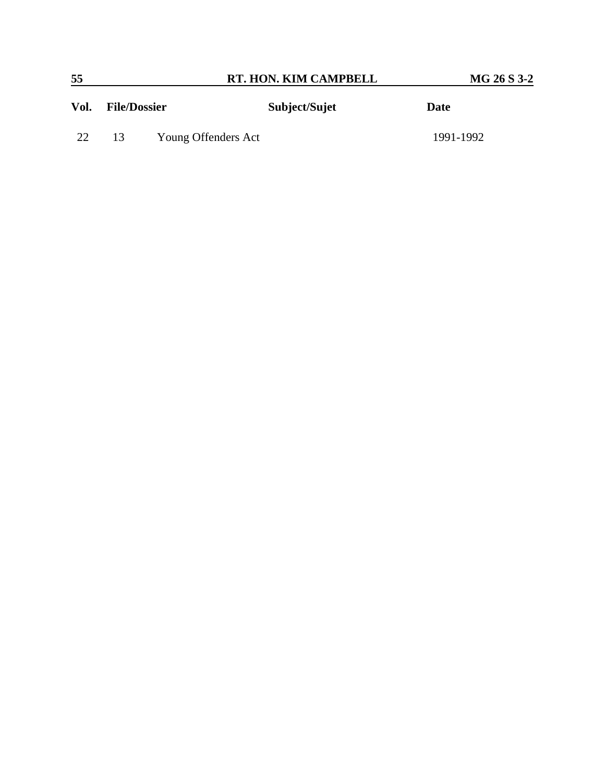| 55   |                     |                     | RT. HON. KIM CAMPBELL | MG 26 S 3-2 |
|------|---------------------|---------------------|-----------------------|-------------|
| Vol. | <b>File/Dossier</b> |                     | Subject/Sujet         | Date        |
| 22   | 13                  | Young Offenders Act |                       | 1991-1992   |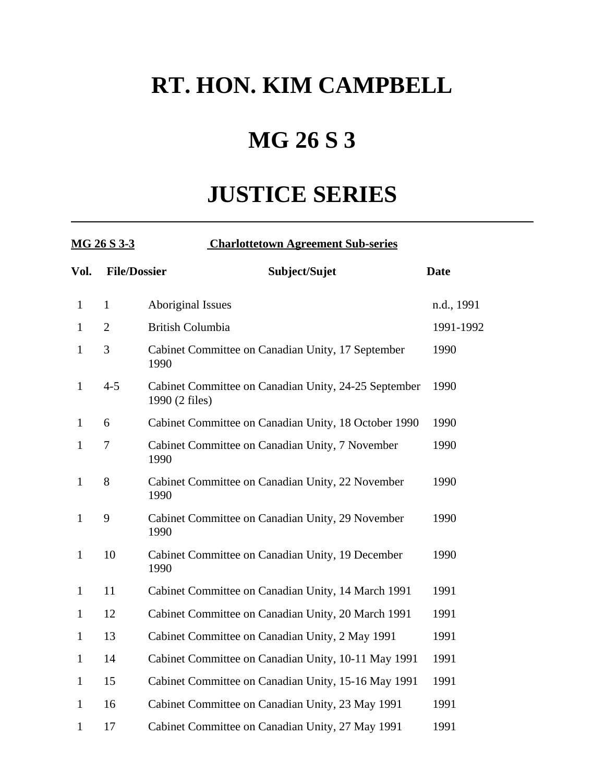# **RT. HON. KIM CAMPBELL**

# **MG 26 S 3**

# **JUSTICE SERIES**

| MG 26 S 3-3  |                     | <b>Charlottetown Agreement Sub-series</b>                              |             |
|--------------|---------------------|------------------------------------------------------------------------|-------------|
| Vol.         | <b>File/Dossier</b> | Subject/Sujet                                                          | <b>Date</b> |
| $\mathbf{1}$ | $\mathbf{1}$        | <b>Aboriginal Issues</b>                                               | n.d., 1991  |
| $\mathbf{1}$ | $\overline{2}$      | <b>British Columbia</b>                                                | 1991-1992   |
| $\mathbf{1}$ | 3                   | Cabinet Committee on Canadian Unity, 17 September<br>1990              | 1990        |
| $\mathbf{1}$ | $4 - 5$             | Cabinet Committee on Canadian Unity, 24-25 September<br>1990 (2 files) | 1990        |
| $\mathbf{1}$ | 6                   | Cabinet Committee on Canadian Unity, 18 October 1990                   | 1990        |
| $\mathbf{1}$ | 7                   | Cabinet Committee on Canadian Unity, 7 November<br>1990                | 1990        |
| $\mathbf{1}$ | 8                   | Cabinet Committee on Canadian Unity, 22 November<br>1990               | 1990        |
| $\mathbf{1}$ | 9                   | Cabinet Committee on Canadian Unity, 29 November<br>1990               | 1990        |
| $\mathbf{1}$ | 10                  | Cabinet Committee on Canadian Unity, 19 December<br>1990               | 1990        |
| $\mathbf{1}$ | 11                  | Cabinet Committee on Canadian Unity, 14 March 1991                     | 1991        |
| $\mathbf{1}$ | 12                  | Cabinet Committee on Canadian Unity, 20 March 1991                     | 1991        |
| $\mathbf{1}$ | 13                  | Cabinet Committee on Canadian Unity, 2 May 1991                        | 1991        |
| $\mathbf{1}$ | 14                  | Cabinet Committee on Canadian Unity, 10-11 May 1991                    | 1991        |
| $\mathbf{1}$ | 15                  | Cabinet Committee on Canadian Unity, 15-16 May 1991                    | 1991        |
| $\mathbf{1}$ | 16                  | Cabinet Committee on Canadian Unity, 23 May 1991                       | 1991        |
| $\mathbf{1}$ | 17                  | Cabinet Committee on Canadian Unity, 27 May 1991                       | 1991        |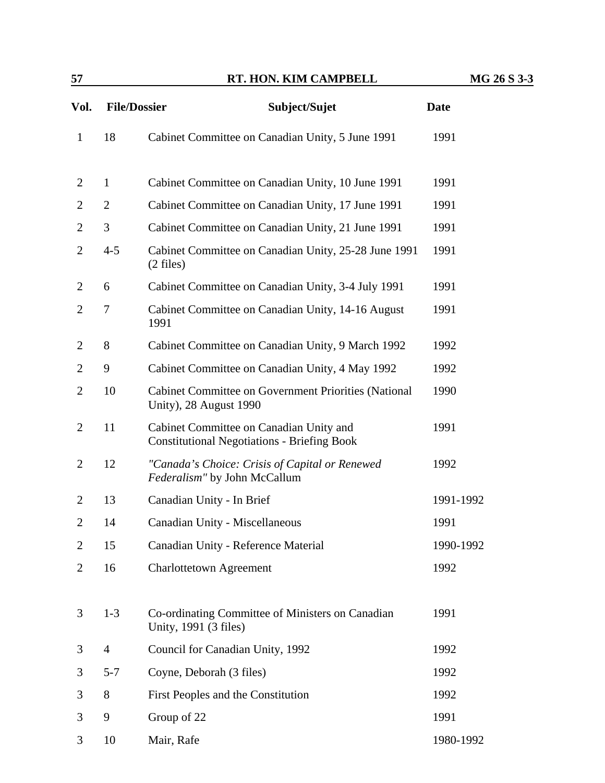| 57             |                     | RT. HON. KIM CAMPBELL                                                                         | MG 26 S 3-3 |
|----------------|---------------------|-----------------------------------------------------------------------------------------------|-------------|
| Vol.           | <b>File/Dossier</b> | Subject/Sujet                                                                                 | <b>Date</b> |
| $\mathbf{1}$   | 18                  | Cabinet Committee on Canadian Unity, 5 June 1991                                              | 1991        |
| 2              | $\mathbf{1}$        | Cabinet Committee on Canadian Unity, 10 June 1991                                             | 1991        |
| $\overline{2}$ | $\overline{2}$      | Cabinet Committee on Canadian Unity, 17 June 1991                                             | 1991        |
| $\mathbf{2}$   | 3                   | Cabinet Committee on Canadian Unity, 21 June 1991                                             | 1991        |
| $\overline{2}$ | $4 - 5$             | Cabinet Committee on Canadian Unity, 25-28 June 1991<br>$(2 \text{ files})$                   | 1991        |
| $\overline{2}$ | 6                   | Cabinet Committee on Canadian Unity, 3-4 July 1991                                            | 1991        |
| $\overline{2}$ | 7                   | Cabinet Committee on Canadian Unity, 14-16 August<br>1991                                     | 1991        |
| $\overline{2}$ | 8                   | Cabinet Committee on Canadian Unity, 9 March 1992                                             | 1992        |
| $\overline{2}$ | 9                   | Cabinet Committee on Canadian Unity, 4 May 1992                                               | 1992        |
| $\overline{c}$ | 10                  | Cabinet Committee on Government Priorities (National<br>Unity), 28 August 1990                | 1990        |
| $\overline{2}$ | 11                  | Cabinet Committee on Canadian Unity and<br><b>Constitutional Negotiations - Briefing Book</b> | 1991        |
| $\overline{2}$ | 12                  | "Canada's Choice: Crisis of Capital or Renewed<br>Federalism" by John McCallum                | 1992        |
| $\overline{2}$ | 13                  | Canadian Unity - In Brief                                                                     | 1991-1992   |
| $\mathbf{2}$   | 14                  | Canadian Unity - Miscellaneous                                                                | 1991        |
| 2              | 15                  | Canadian Unity - Reference Material                                                           | 1990-1992   |
| $\overline{c}$ | 16                  | <b>Charlottetown Agreement</b>                                                                | 1992        |
| 3              | $1 - 3$             | Co-ordinating Committee of Ministers on Canadian<br>Unity, 1991 (3 files)                     | 1991        |
| 3              | $\overline{4}$      | Council for Canadian Unity, 1992                                                              | 1992        |
| 3              | $5 - 7$             | Coyne, Deborah (3 files)                                                                      | 1992        |
| 3              | 8                   | First Peoples and the Constitution                                                            | 1992        |
| 3              | 9                   | Group of 22                                                                                   | 1991        |
| 3              | 10                  | Mair, Rafe                                                                                    | 1980-1992   |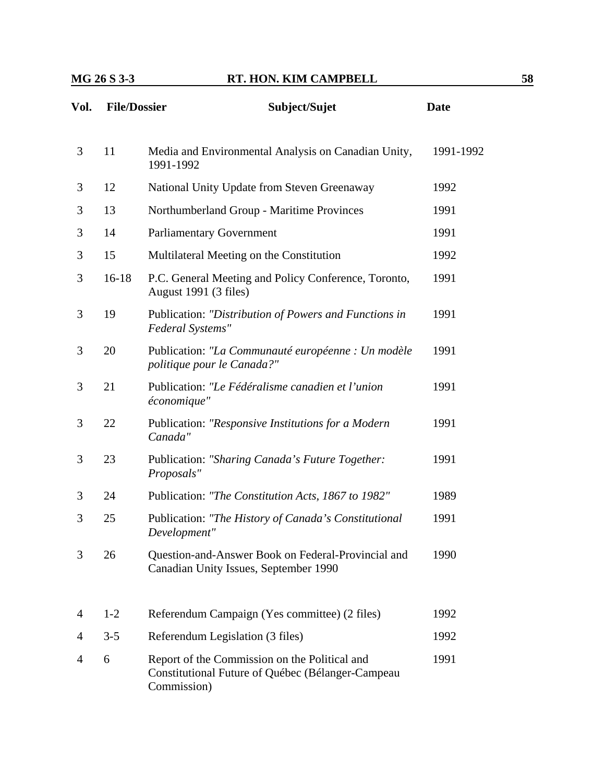| Vol. | <b>File/Dossier</b> | Subject/Sujet                                                                                                     | <b>Date</b> |
|------|---------------------|-------------------------------------------------------------------------------------------------------------------|-------------|
| 3    | 11                  | Media and Environmental Analysis on Canadian Unity,<br>1991-1992                                                  | 1991-1992   |
| 3    | 12                  | National Unity Update from Steven Greenaway                                                                       | 1992        |
| 3    | 13                  | Northumberland Group - Maritime Provinces                                                                         | 1991        |
| 3    | 14                  | <b>Parliamentary Government</b>                                                                                   | 1991        |
| 3    | 15                  | Multilateral Meeting on the Constitution                                                                          | 1992        |
| 3    | $16-18$             | P.C. General Meeting and Policy Conference, Toronto,<br>August 1991 (3 files)                                     | 1991        |
| 3    | 19                  | Publication: "Distribution of Powers and Functions in<br>Federal Systems"                                         | 1991        |
| 3    | 20                  | Publication: "La Communauté européenne : Un modèle<br>politique pour le Canada?"                                  | 1991        |
| 3    | 21                  | Publication: "Le Fédéralisme canadien et l'union<br>économique"                                                   | 1991        |
| 3    | 22                  | Publication: "Responsive Institutions for a Modern<br>Canada"                                                     | 1991        |
| 3    | 23                  | Publication: "Sharing Canada's Future Together:<br>Proposals"                                                     | 1991        |
| 3    | 24                  | Publication: "The Constitution Acts, 1867 to 1982"                                                                | 1989        |
| 3    | 25                  | Publication: "The History of Canada's Constitutional<br>Development"                                              | 1991        |
| 3    | 26                  | Question-and-Answer Book on Federal-Provincial and<br>Canadian Unity Issues, September 1990                       | 1990        |
| 4    | $1-2$               | Referendum Campaign (Yes committee) (2 files)                                                                     | 1992        |
| 4    | $3 - 5$             | Referendum Legislation (3 files)                                                                                  | 1992        |
| 4    | 6                   | Report of the Commission on the Political and<br>Constitutional Future of Québec (Bélanger-Campeau<br>Commission) | 1991        |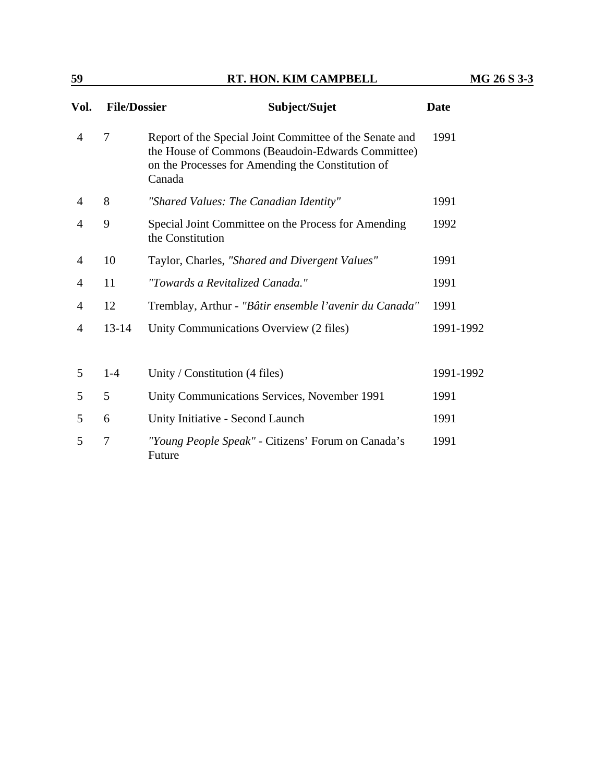| Vol.           | <b>File/Dossier</b> | Subject/Sujet                                                                                                                                                               | Date      |
|----------------|---------------------|-----------------------------------------------------------------------------------------------------------------------------------------------------------------------------|-----------|
| 4              | $\overline{7}$      | Report of the Special Joint Committee of the Senate and<br>the House of Commons (Beaudoin-Edwards Committee)<br>on the Processes for Amending the Constitution of<br>Canada | 1991      |
| 4              | 8                   | "Shared Values: The Canadian Identity"                                                                                                                                      | 1991      |
| 4              | 9                   | Special Joint Committee on the Process for Amending<br>the Constitution                                                                                                     | 1992      |
| 4              | 10                  | Taylor, Charles, "Shared and Divergent Values"                                                                                                                              | 1991      |
| 4              | 11                  | "Towards a Revitalized Canada."                                                                                                                                             | 1991      |
| $\overline{4}$ | 12                  | Tremblay, Arthur - "Bâtir ensemble l'avenir du Canada"                                                                                                                      | 1991      |
| 4              | $13 - 14$           | Unity Communications Overview (2 files)                                                                                                                                     | 1991-1992 |
|                |                     |                                                                                                                                                                             |           |
| 5              | $1-4$               | Unity / Constitution (4 files)                                                                                                                                              | 1991-1992 |
| 5              | 5                   | Unity Communications Services, November 1991                                                                                                                                | 1991      |
| 5              | 6                   | Unity Initiative - Second Launch                                                                                                                                            | 1991      |
| 5              | $\overline{7}$      | "Young People Speak" - Citizens' Forum on Canada's<br>Future                                                                                                                | 1991      |

**59 RT. HON. KIM CAMPBELL MG 26 S 3-3**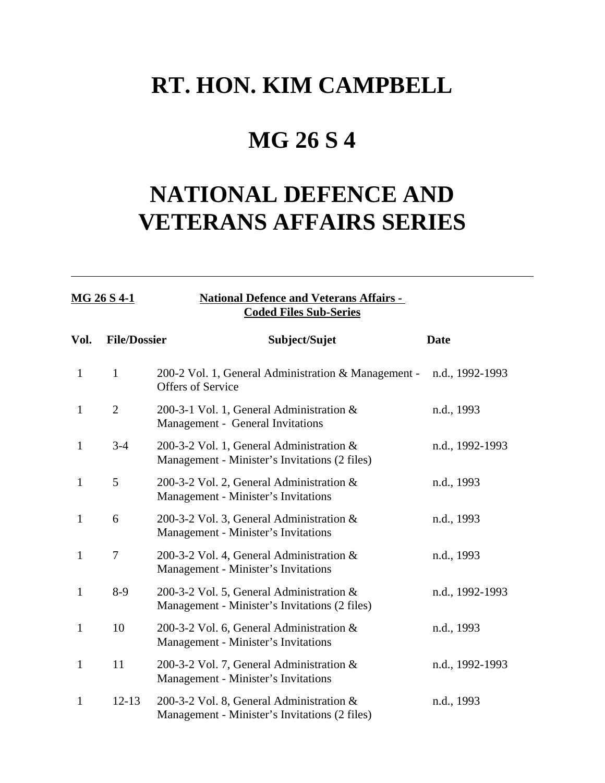## **RT. HON. KIM CAMPBELL**

## **MG 26 S 4**

# **NATIONAL DEFENCE AND VETERANS AFFAIRS SERIES**

| MG 26 S 4-1  |                     | <b>National Defence and Veterans Affairs -</b><br><b>Coded Files Sub-Series</b>           |                 |  |  |
|--------------|---------------------|-------------------------------------------------------------------------------------------|-----------------|--|--|
| Vol.         | <b>File/Dossier</b> | Subject/Sujet                                                                             | <b>Date</b>     |  |  |
| $\mathbf{1}$ | 1                   | 200-2 Vol. 1, General Administration & Management -<br>Offers of Service                  | n.d., 1992-1993 |  |  |
| 1            | $\overline{2}$      | 200-3-1 Vol. 1, General Administration &<br>Management - General Invitations              | n.d., 1993      |  |  |
| 1            | $3-4$               | 200-3-2 Vol. 1, General Administration &<br>Management - Minister's Invitations (2 files) | n.d., 1992-1993 |  |  |
| 1            | 5                   | 200-3-2 Vol. 2, General Administration &<br>Management - Minister's Invitations           | n.d., 1993      |  |  |
| 1            | 6                   | 200-3-2 Vol. 3, General Administration &<br>Management - Minister's Invitations           | n.d., 1993      |  |  |
| 1            | $\overline{7}$      | 200-3-2 Vol. 4, General Administration &<br>Management - Minister's Invitations           | n.d., 1993      |  |  |
| 1            | $8-9$               | 200-3-2 Vol. 5, General Administration &<br>Management - Minister's Invitations (2 files) | n.d., 1992-1993 |  |  |
| $\mathbf{1}$ | 10                  | 200-3-2 Vol. 6, General Administration &<br>Management - Minister's Invitations           | n.d., 1993      |  |  |
| 1            | 11                  | 200-3-2 Vol. 7, General Administration &<br>Management - Minister's Invitations           | n.d., 1992-1993 |  |  |
| 1            | $12 - 13$           | 200-3-2 Vol. 8, General Administration &<br>Management - Minister's Invitations (2 files) | n.d., 1993      |  |  |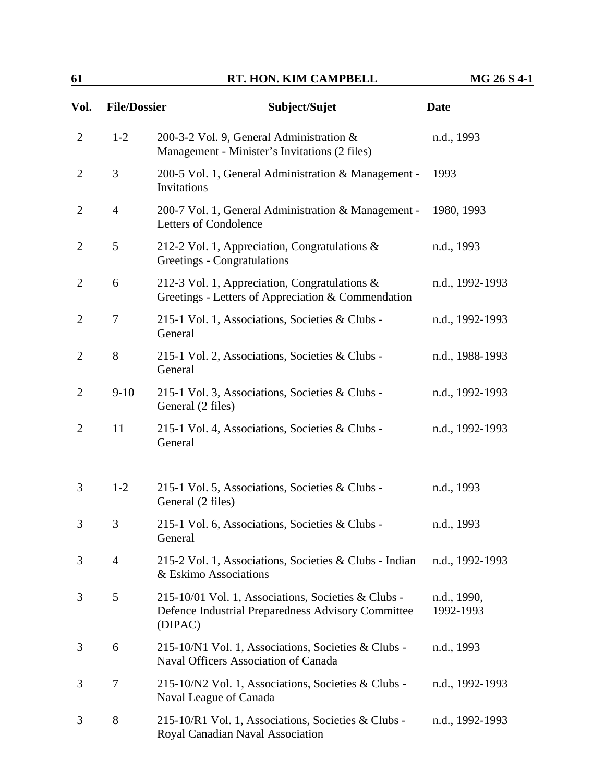| 61             |                     | RT. HON. KIM CAMPBELL                                                                                                | MG 26 S 4-1              |  |
|----------------|---------------------|----------------------------------------------------------------------------------------------------------------------|--------------------------|--|
| Vol.           | <b>File/Dossier</b> | Subject/Sujet                                                                                                        | <b>Date</b>              |  |
| $\overline{2}$ | $1-2$               | 200-3-2 Vol. 9, General Administration &<br>Management - Minister's Invitations (2 files)                            | n.d., 1993               |  |
| $\overline{2}$ | 3                   | 200-5 Vol. 1, General Administration & Management -<br>Invitations                                                   | 1993                     |  |
| $\overline{2}$ | $\overline{4}$      | 200-7 Vol. 1, General Administration & Management -<br>Letters of Condolence                                         | 1980, 1993               |  |
| $\overline{2}$ | 5                   | 212-2 Vol. 1, Appreciation, Congratulations $\&$<br>Greetings - Congratulations                                      | n.d., 1993               |  |
| $\overline{2}$ | 6                   | 212-3 Vol. 1, Appreciation, Congratulations &<br>Greetings - Letters of Appreciation & Commendation                  | n.d., 1992-1993          |  |
| $\overline{2}$ | $\overline{7}$      | 215-1 Vol. 1, Associations, Societies & Clubs -<br>General                                                           | n.d., 1992-1993          |  |
| $\overline{2}$ | 8                   | 215-1 Vol. 2, Associations, Societies & Clubs -<br>General                                                           | n.d., 1988-1993          |  |
| $\overline{2}$ | $9-10$              | 215-1 Vol. 3, Associations, Societies & Clubs -<br>General (2 files)                                                 | n.d., 1992-1993          |  |
| $\overline{2}$ | 11                  | 215-1 Vol. 4, Associations, Societies & Clubs -<br>General                                                           | n.d., 1992-1993          |  |
| 3              | $1-2$               | 215-1 Vol. 5, Associations, Societies & Clubs -<br>General (2 files)                                                 | n.d., 1993               |  |
| 3              | 3                   | 215-1 Vol. 6, Associations, Societies & Clubs -<br>General                                                           | n.d., 1993               |  |
| 3              | $\overline{4}$      | 215-2 Vol. 1, Associations, Societies & Clubs - Indian<br>& Eskimo Associations                                      | n.d., 1992-1993          |  |
| 3              | 5                   | 215-10/01 Vol. 1, Associations, Societies & Clubs -<br>Defence Industrial Preparedness Advisory Committee<br>(DIPAC) | n.d., 1990,<br>1992-1993 |  |
| 3              | 6                   | 215-10/N1 Vol. 1, Associations, Societies & Clubs -<br><b>Naval Officers Association of Canada</b>                   | n.d., 1993               |  |
| 3              | $\overline{7}$      | 215-10/N2 Vol. 1, Associations, Societies & Clubs -<br>Naval League of Canada                                        | n.d., 1992-1993          |  |
| 3              | 8                   | 215-10/R1 Vol. 1, Associations, Societies & Clubs -<br>Royal Canadian Naval Association                              | n.d., 1992-1993          |  |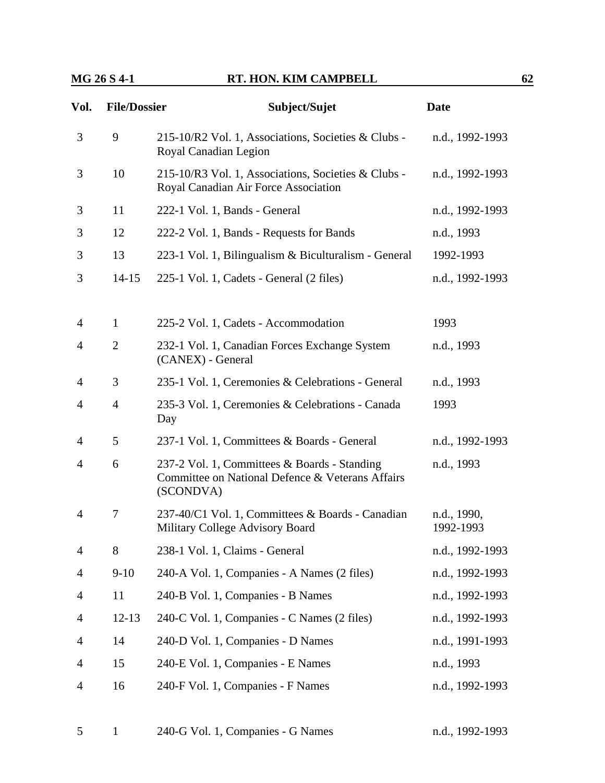| Vol.           | <b>File/Dossier</b> | Subject/Sujet                                                                                                 | <b>Date</b>              |
|----------------|---------------------|---------------------------------------------------------------------------------------------------------------|--------------------------|
| 3              | 9                   | 215-10/R2 Vol. 1, Associations, Societies & Clubs -<br>Royal Canadian Legion                                  | n.d., 1992-1993          |
| 3              | 10                  | 215-10/R3 Vol. 1, Associations, Societies & Clubs -<br>Royal Canadian Air Force Association                   | n.d., 1992-1993          |
| 3              | 11                  | 222-1 Vol. 1, Bands - General                                                                                 | n.d., 1992-1993          |
| 3              | 12                  | 222-2 Vol. 1, Bands - Requests for Bands                                                                      | n.d., 1993               |
| 3              | 13                  | 223-1 Vol. 1, Bilingualism & Biculturalism - General                                                          | 1992-1993                |
| 3              | $14 - 15$           | 225-1 Vol. 1, Cadets - General (2 files)                                                                      | n.d., 1992-1993          |
| $\overline{4}$ | $\mathbf{1}$        | 225-2 Vol. 1, Cadets - Accommodation                                                                          | 1993                     |
| $\overline{4}$ | $\overline{2}$      | 232-1 Vol. 1, Canadian Forces Exchange System<br>(CANEX) - General                                            | n.d., 1993               |
| 4              | 3                   | 235-1 Vol. 1, Ceremonies & Celebrations - General                                                             | n.d., 1993               |
| 4              | $\overline{4}$      | 235-3 Vol. 1, Ceremonies & Celebrations - Canada<br>Day                                                       | 1993                     |
| 4              | 5                   | 237-1 Vol. 1, Committees & Boards - General                                                                   | n.d., 1992-1993          |
| 4              | 6                   | 237-2 Vol. 1, Committees & Boards - Standing<br>Committee on National Defence & Veterans Affairs<br>(SCONDVA) | n.d., 1993               |
| 4              | 7                   | 237-40/C1 Vol. 1, Committees & Boards - Canadian<br>Military College Advisory Board                           | n.d., 1990,<br>1992-1993 |
| $\overline{4}$ | 8                   | 238-1 Vol. 1, Claims - General                                                                                | n.d., 1992-1993          |
| 4              | $9-10$              | 240-A Vol. 1, Companies - A Names (2 files)                                                                   | n.d., 1992-1993          |
| 4              | 11                  | 240-B Vol. 1, Companies - B Names                                                                             | n.d., 1992-1993          |
| 4              | $12 - 13$           | 240-C Vol. 1, Companies - C Names (2 files)                                                                   | n.d., 1992-1993          |
| 4              | 14                  | 240-D Vol. 1, Companies - D Names                                                                             | n.d., 1991-1993          |
| 4              | 15                  | 240-E Vol. 1, Companies - E Names                                                                             | n.d., 1993               |
| 4              | 16                  | 240-F Vol. 1, Companies - F Names                                                                             | n.d., 1992-1993          |
|                |                     |                                                                                                               |                          |

|  |  | 240-G Vol. 1, Companies - G Names | n.d., 1992-1993 |
|--|--|-----------------------------------|-----------------|
|--|--|-----------------------------------|-----------------|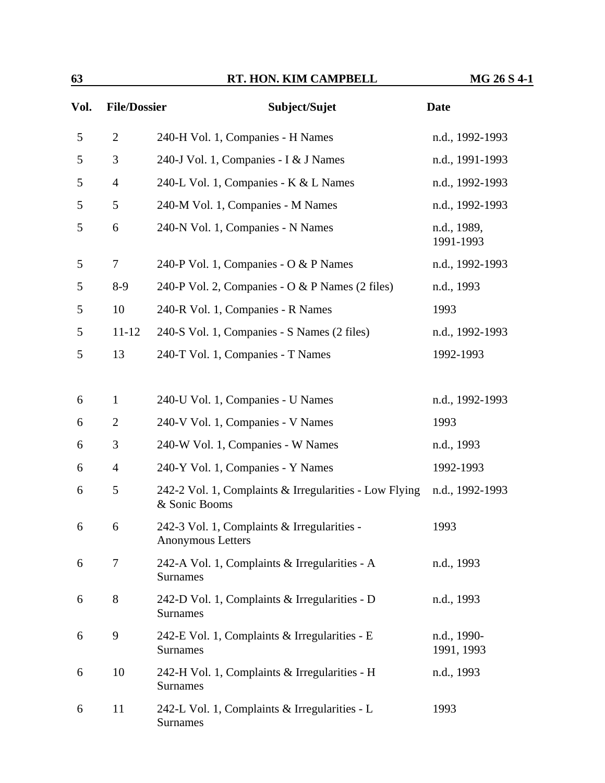| 63   |                     | RT. HON. KIM CAMPBELL                                                   | MG 26 S 4-1               |
|------|---------------------|-------------------------------------------------------------------------|---------------------------|
| Vol. | <b>File/Dossier</b> | Subject/Sujet                                                           | <b>Date</b>               |
| 5    | $\overline{2}$      | 240-H Vol. 1, Companies - H Names                                       | n.d., 1992-1993           |
| 5    | 3                   | 240-J Vol. 1, Companies - I & J Names                                   | n.d., 1991-1993           |
| 5    | $\overline{4}$      | 240-L Vol. 1, Companies - K & L Names                                   | n.d., 1992-1993           |
| 5    | 5                   | 240-M Vol. 1, Companies - M Names                                       | n.d., 1992-1993           |
| 5    | 6                   | 240-N Vol. 1, Companies - N Names                                       | n.d., 1989,<br>1991-1993  |
| 5    | $\tau$              | 240-P Vol. 1, Companies - O & P Names                                   | n.d., 1992-1993           |
| 5    | $8-9$               | 240-P Vol. 2, Companies - O & P Names (2 files)                         | n.d., 1993                |
| 5    | 10                  | 240-R Vol. 1, Companies - R Names                                       | 1993                      |
| 5    | $11 - 12$           | 240-S Vol. 1, Companies - S Names (2 files)                             | n.d., 1992-1993           |
| 5    | 13                  | 240-T Vol. 1, Companies - T Names                                       | 1992-1993                 |
| 6    | $\mathbf{1}$        | 240-U Vol. 1, Companies - U Names                                       | n.d., 1992-1993           |
| 6    | $\overline{2}$      | 240-V Vol. 1, Companies - V Names                                       | 1993                      |
| 6    | 3                   | 240-W Vol. 1, Companies - W Names                                       | n.d., 1993                |
| 6    | $\overline{4}$      | 240-Y Vol. 1, Companies - Y Names                                       | 1992-1993                 |
| 6    | 5                   | 242-2 Vol. 1, Complaints & Irregularities - Low Flying<br>& Sonic Booms | n.d., 1992-1993           |
| 6    | 6                   | 242-3 Vol. 1, Complaints & Irregularities -<br><b>Anonymous Letters</b> | 1993                      |
| 6    | $\overline{7}$      | 242-A Vol. 1, Complaints & Irregularities - A<br>Surnames               | n.d., 1993                |
| 6    | 8                   | 242-D Vol. 1, Complaints & Irregularities - D<br>Surnames               | n.d., 1993                |
| 6    | 9                   | 242-E Vol. 1, Complaints & Irregularities - E<br><b>Surnames</b>        | n.d., 1990-<br>1991, 1993 |
| 6    | 10                  | 242-H Vol. 1, Complaints & Irregularities - H<br><b>Surnames</b>        | n.d., 1993                |
| 6    | 11                  | 242-L Vol. 1, Complaints & Irregularities - L                           | 1993                      |

Surnames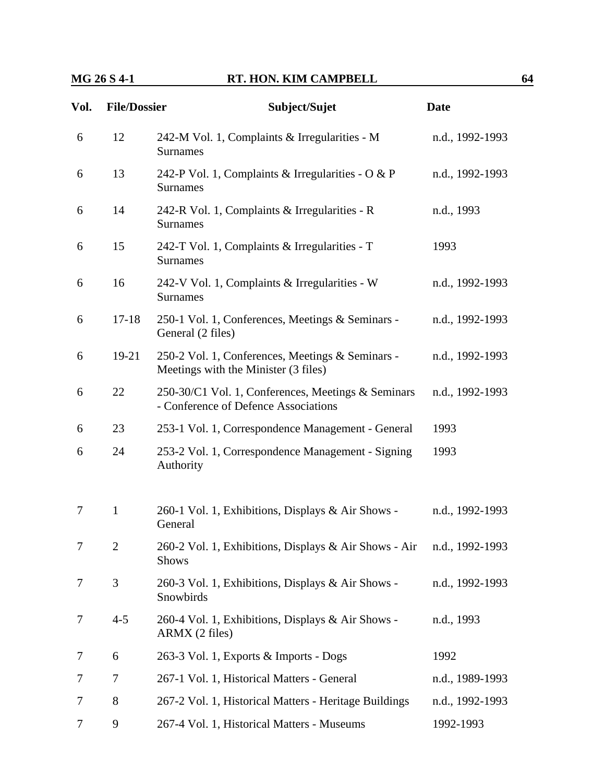| Vol.           | <b>File/Dossier</b> | Subject/Sujet                                                                              | <b>Date</b>     |
|----------------|---------------------|--------------------------------------------------------------------------------------------|-----------------|
| 6              | 12                  | 242-M Vol. 1, Complaints & Irregularities - M<br><b>Surnames</b>                           | n.d., 1992-1993 |
| 6              | 13                  | 242-P Vol. 1, Complaints & Irregularities - O & P<br><b>Surnames</b>                       | n.d., 1992-1993 |
| 6              | 14                  | 242-R Vol. 1, Complaints & Irregularities - R<br><b>Surnames</b>                           | n.d., 1993      |
| 6              | 15                  | 242-T Vol. 1, Complaints & Irregularities - T<br><b>Surnames</b>                           | 1993            |
| 6              | 16                  | 242-V Vol. 1, Complaints & Irregularities - W<br><b>Surnames</b>                           | n.d., 1992-1993 |
| 6              | $17 - 18$           | 250-1 Vol. 1, Conferences, Meetings & Seminars -<br>General (2 files)                      | n.d., 1992-1993 |
| 6              | $19-21$             | 250-2 Vol. 1, Conferences, Meetings & Seminars -<br>Meetings with the Minister (3 files)   | n.d., 1992-1993 |
| 6              | 22                  | 250-30/C1 Vol. 1, Conferences, Meetings & Seminars<br>- Conference of Defence Associations | n.d., 1992-1993 |
| 6              | 23                  | 253-1 Vol. 1, Correspondence Management - General                                          | 1993            |
| 6              | 24                  | 253-2 Vol. 1, Correspondence Management - Signing<br>Authority                             | 1993            |
| 7              | $\mathbf{1}$        | 260-1 Vol. 1, Exhibitions, Displays & Air Shows -<br>General                               | n.d., 1992-1993 |
| $\overline{7}$ | $\overline{2}$      | 260-2 Vol. 1, Exhibitions, Displays & Air Shows - Air<br><b>Shows</b>                      | n.d., 1992-1993 |
| 7              | 3                   | 260-3 Vol. 1, Exhibitions, Displays & Air Shows -<br>Snowbirds                             | n.d., 1992-1993 |
| 7              | $4 - 5$             | 260-4 Vol. 1, Exhibitions, Displays & Air Shows -<br>ARMX (2 files)                        | n.d., 1993      |
| 7              | 6                   | 263-3 Vol. 1, Exports & Imports - Dogs                                                     | 1992            |
| 7              | 7                   | 267-1 Vol. 1, Historical Matters - General                                                 | n.d., 1989-1993 |
| 7              | 8                   | 267-2 Vol. 1, Historical Matters - Heritage Buildings                                      | n.d., 1992-1993 |
| 7              | 9                   | 267-4 Vol. 1, Historical Matters - Museums                                                 | 1992-1993       |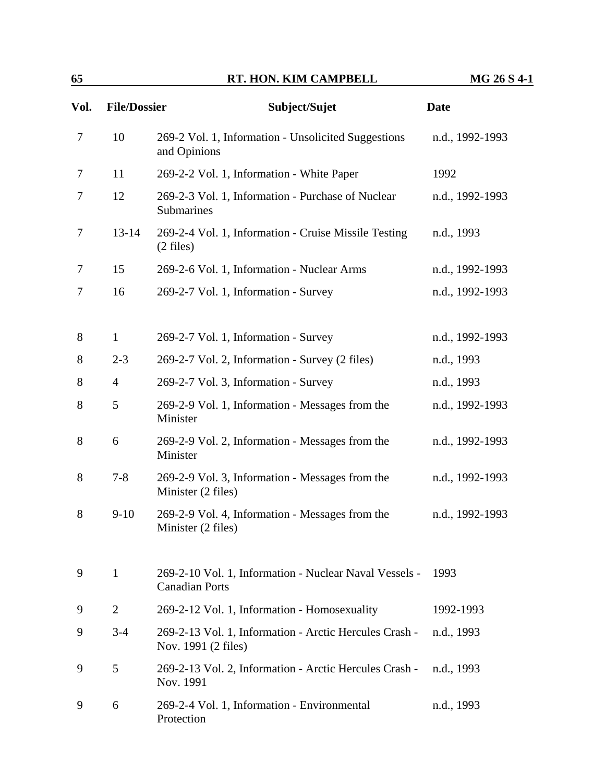| Vol. | <b>File/Dossier</b> | Subject/Sujet                                                                 | <b>Date</b>     |
|------|---------------------|-------------------------------------------------------------------------------|-----------------|
| 7    | 10                  | 269-2 Vol. 1, Information - Unsolicited Suggestions<br>and Opinions           | n.d., 1992-1993 |
| 7    | 11                  | 269-2-2 Vol. 1, Information - White Paper                                     | 1992            |
| 7    | 12                  | 269-2-3 Vol. 1, Information - Purchase of Nuclear<br>Submarines               | n.d., 1992-1993 |
| 7    | $13 - 14$           | 269-2-4 Vol. 1, Information - Cruise Missile Testing<br>$(2 \text{ files})$   | n.d., 1993      |
| 7    | 15                  | 269-2-6 Vol. 1, Information - Nuclear Arms                                    | n.d., 1992-1993 |
| 7    | 16                  | 269-2-7 Vol. 1, Information - Survey                                          | n.d., 1992-1993 |
|      |                     |                                                                               |                 |
| 8    | $\mathbf{1}$        | 269-2-7 Vol. 1, Information - Survey                                          | n.d., 1992-1993 |
| 8    | $2 - 3$             | 269-2-7 Vol. 2, Information - Survey (2 files)                                | n.d., 1993      |
| 8    | $\overline{4}$      | 269-2-7 Vol. 3, Information - Survey                                          | n.d., 1993      |
| 8    | 5                   | 269-2-9 Vol. 1, Information - Messages from the<br>Minister                   | n.d., 1992-1993 |
| 8    | 6                   | 269-2-9 Vol. 2, Information - Messages from the<br>Minister                   | n.d., 1992-1993 |
| 8    | $7 - 8$             | 269-2-9 Vol. 3, Information - Messages from the<br>Minister (2 files)         | n.d., 1992-1993 |
| 8    | $9-10$              | 269-2-9 Vol. 4, Information - Messages from the<br>Minister (2 files)         | n.d., 1992-1993 |
| 9    | $\mathbf{1}$        | 269-2-10 Vol. 1, Information - Nuclear Naval Vessels -                        | 1993            |
|      |                     | <b>Canadian Ports</b>                                                         |                 |
| 9    | $\overline{2}$      | 269-2-12 Vol. 1, Information - Homosexuality                                  | 1992-1993       |
| 9    | $3 - 4$             | 269-2-13 Vol. 1, Information - Arctic Hercules Crash -<br>Nov. 1991 (2 files) | n.d., 1993      |
| 9    | 5                   | 269-2-13 Vol. 2, Information - Arctic Hercules Crash -<br>Nov. 1991           | n.d., 1993      |
| 9    | 6                   | 269-2-4 Vol. 1, Information - Environmental<br>Protection                     | n.d., 1993      |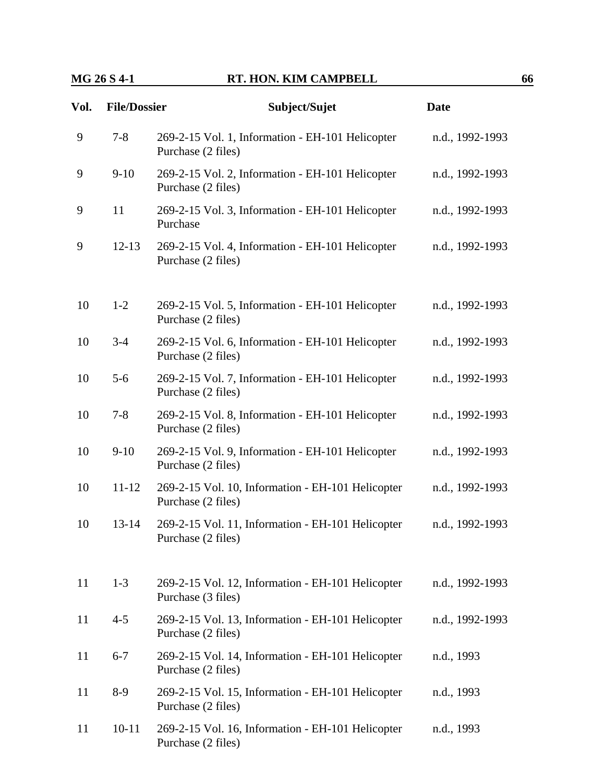| Vol. | <b>File/Dossier</b> | Subject/Sujet                                                           | <b>Date</b>     |
|------|---------------------|-------------------------------------------------------------------------|-----------------|
| 9    | $7 - 8$             | 269-2-15 Vol. 1, Information - EH-101 Helicopter<br>Purchase (2 files)  | n.d., 1992-1993 |
| 9    | $9-10$              | 269-2-15 Vol. 2, Information - EH-101 Helicopter<br>Purchase (2 files)  | n.d., 1992-1993 |
| 9    | 11                  | 269-2-15 Vol. 3, Information - EH-101 Helicopter<br>Purchase            | n.d., 1992-1993 |
| 9    | $12 - 13$           | 269-2-15 Vol. 4, Information - EH-101 Helicopter<br>Purchase (2 files)  | n.d., 1992-1993 |
| 10   | $1-2$               | 269-2-15 Vol. 5, Information - EH-101 Helicopter<br>Purchase (2 files)  | n.d., 1992-1993 |
| 10   | $3 - 4$             | 269-2-15 Vol. 6, Information - EH-101 Helicopter<br>Purchase (2 files)  | n.d., 1992-1993 |
| 10   | $5-6$               | 269-2-15 Vol. 7, Information - EH-101 Helicopter<br>Purchase (2 files)  | n.d., 1992-1993 |
| 10   | $7 - 8$             | 269-2-15 Vol. 8, Information - EH-101 Helicopter<br>Purchase (2 files)  | n.d., 1992-1993 |
| 10   | $9-10$              | 269-2-15 Vol. 9, Information - EH-101 Helicopter<br>Purchase (2 files)  | n.d., 1992-1993 |
| 10   | $11 - 12$           | 269-2-15 Vol. 10, Information - EH-101 Helicopter<br>Purchase (2 files) | n.d., 1992-1993 |
| 10   | $13 - 14$           | 269-2-15 Vol. 11, Information - EH-101 Helicopter<br>Purchase (2 files) | n.d., 1992-1993 |
| 11   | $1 - 3$             | 269-2-15 Vol. 12, Information - EH-101 Helicopter<br>Purchase (3 files) | n.d., 1992-1993 |
| 11   | $4 - 5$             | 269-2-15 Vol. 13, Information - EH-101 Helicopter<br>Purchase (2 files) | n.d., 1992-1993 |
| 11   | $6 - 7$             | 269-2-15 Vol. 14, Information - EH-101 Helicopter<br>Purchase (2 files) | n.d., 1993      |
| 11   | $8-9$               | 269-2-15 Vol. 15, Information - EH-101 Helicopter<br>Purchase (2 files) | n.d., 1993      |
| 11   | $10 - 11$           | 269-2-15 Vol. 16, Information - EH-101 Helicopter<br>Purchase (2 files) | n.d., 1993      |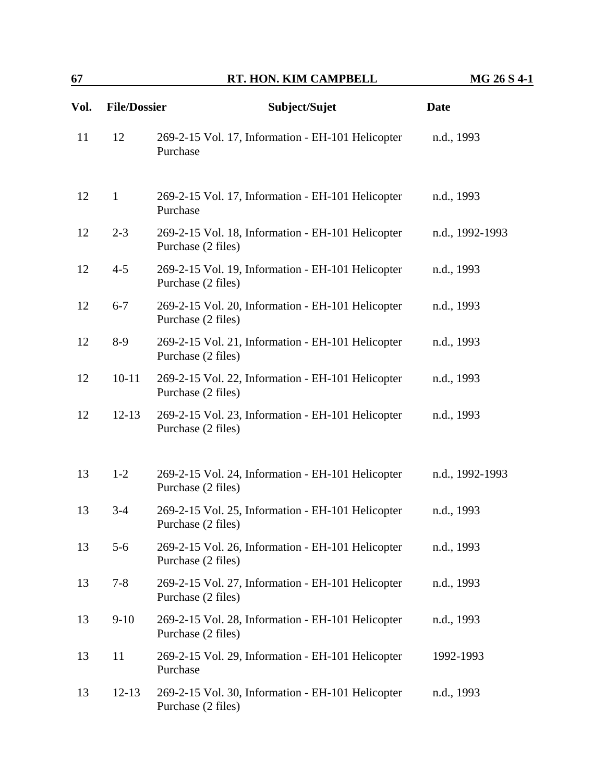| Vol. | <b>File/Dossier</b> | Subject/Sujet                                                           | <b>Date</b>     |
|------|---------------------|-------------------------------------------------------------------------|-----------------|
| 11   | 12                  | 269-2-15 Vol. 17, Information - EH-101 Helicopter<br>Purchase           | n.d., 1993      |
| 12   | $\mathbf{1}$        | 269-2-15 Vol. 17, Information - EH-101 Helicopter<br>Purchase           | n.d., 1993      |
| 12   | $2 - 3$             | 269-2-15 Vol. 18, Information - EH-101 Helicopter<br>Purchase (2 files) | n.d., 1992-1993 |
| 12   | $4 - 5$             | 269-2-15 Vol. 19, Information - EH-101 Helicopter<br>Purchase (2 files) | n.d., 1993      |
| 12   | $6 - 7$             | 269-2-15 Vol. 20, Information - EH-101 Helicopter<br>Purchase (2 files) | n.d., 1993      |
| 12   | $8-9$               | 269-2-15 Vol. 21, Information - EH-101 Helicopter<br>Purchase (2 files) | n.d., 1993      |
| 12   | $10 - 11$           | 269-2-15 Vol. 22, Information - EH-101 Helicopter<br>Purchase (2 files) | n.d., 1993      |
| 12   | $12 - 13$           | 269-2-15 Vol. 23, Information - EH-101 Helicopter<br>Purchase (2 files) | n.d., 1993      |
| 13   | $1 - 2$             | 269-2-15 Vol. 24, Information - EH-101 Helicopter<br>Purchase (2 files) | n.d., 1992-1993 |
| 13   | $3-4$               | 269-2-15 Vol. 25, Information - EH-101 Helicopter<br>Purchase (2 files) | n.d., 1993      |
| 13   | $5 - 6$             | 269-2-15 Vol. 26, Information - EH-101 Helicopter<br>Purchase (2 files) | n.d., 1993      |
| 13   | $7 - 8$             | 269-2-15 Vol. 27, Information - EH-101 Helicopter<br>Purchase (2 files) | n.d., 1993      |
| 13   | $9-10$              | 269-2-15 Vol. 28, Information - EH-101 Helicopter<br>Purchase (2 files) | n.d., 1993      |
| 13   | 11                  | 269-2-15 Vol. 29, Information - EH-101 Helicopter<br>Purchase           | 1992-1993       |
| 13   | $12 - 13$           | 269-2-15 Vol. 30, Information - EH-101 Helicopter<br>Purchase (2 files) | n.d., 1993      |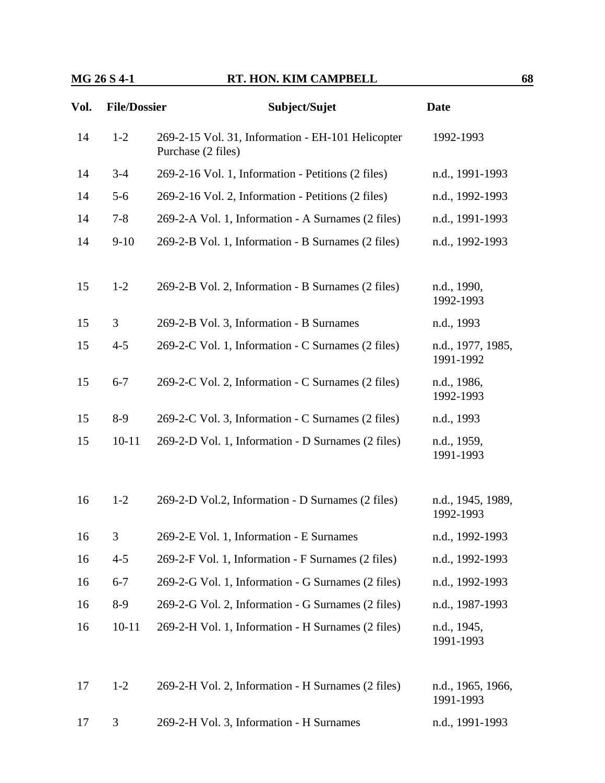| Vol. | <b>File/Dossier</b> | Subject/Sujet                                                           | <b>Date</b>                    |
|------|---------------------|-------------------------------------------------------------------------|--------------------------------|
| 14   | $1-2$               | 269-2-15 Vol. 31, Information - EH-101 Helicopter<br>Purchase (2 files) | 1992-1993                      |
| 14   | $3-4$               | 269-2-16 Vol. 1, Information - Petitions (2 files)                      | n.d., 1991-1993                |
| 14   | $5 - 6$             | 269-2-16 Vol. 2, Information - Petitions (2 files)                      | n.d., 1992-1993                |
| 14   | $7 - 8$             | 269-2-A Vol. 1, Information - A Surnames (2 files)                      | n.d., 1991-1993                |
| 14   | $9-10$              | 269-2-B Vol. 1, Information - B Surnames (2 files)                      | n.d., 1992-1993                |
| 15   | $1 - 2$             | 269-2-B Vol. 2, Information - B Surnames (2 files)                      | n.d., 1990,<br>1992-1993       |
| 15   | 3                   | 269-2-B Vol. 3, Information - B Surnames                                | n.d., 1993                     |
| 15   | $4 - 5$             | 269-2-C Vol. 1, Information - C Surnames (2 files)                      | n.d., 1977, 1985,<br>1991-1992 |
| 15   | $6 - 7$             | 269-2-C Vol. 2, Information - C Surnames (2 files)                      | n.d., 1986,<br>1992-1993       |
| 15   | $8-9$               | 269-2-C Vol. 3, Information - C Surnames (2 files)                      | n.d., 1993                     |
| 15   | $10 - 11$           | 269-2-D Vol. 1, Information - D Surnames (2 files)                      | n.d., 1959,<br>1991-1993       |
| 16   | $1 - 2$             | 269-2-D Vol.2, Information - D Surnames (2 files)                       | n.d., 1945, 1989,<br>1992-1993 |
| 16   | 3                   | 269-2-E Vol. 1, Information - E Surnames                                | n.d., 1992-1993                |
| 16   | $4 - 5$             | 269-2-F Vol. 1, Information - F Surnames (2 files)                      | n.d., 1992-1993                |
| 16   | $6 - 7$             | 269-2-G Vol. 1, Information - G Surnames (2 files)                      | n.d., 1992-1993                |
| 16   | $8-9$               | 269-2-G Vol. 2, Information - G Surnames (2 files)                      | n.d., 1987-1993                |
| 16   | $10 - 11$           | 269-2-H Vol. 1, Information - H Surnames (2 files)                      | n.d., 1945,<br>1991-1993       |
| 17   | $1 - 2$             | 269-2-H Vol. 2, Information - H Surnames (2 files)                      | n.d., 1965, 1966,<br>1991-1993 |
| 17   | 3                   | 269-2-H Vol. 3, Information - H Surnames                                | n.d., 1991-1993                |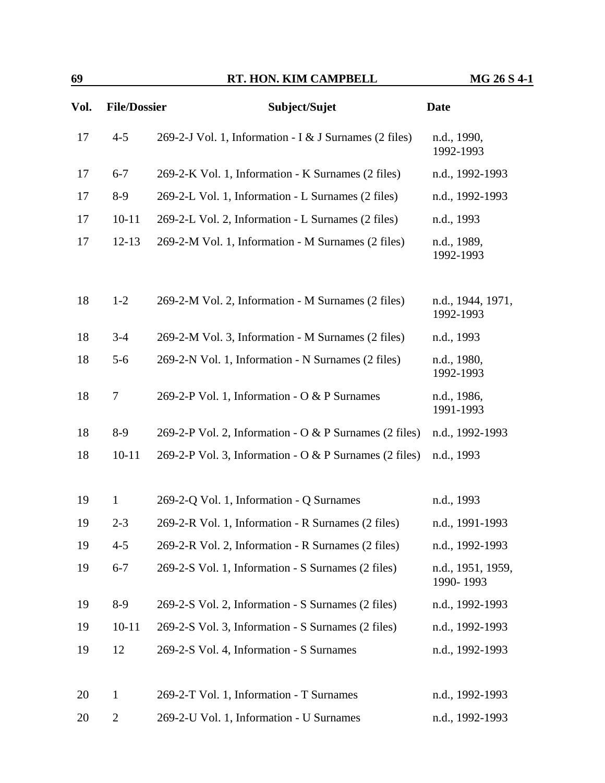| 69   |                     | RT. HON. KIM CAMPBELL                                  | MG 26 S 4-1                    |
|------|---------------------|--------------------------------------------------------|--------------------------------|
| Vol. | <b>File/Dossier</b> | Subject/Sujet                                          | <b>Date</b>                    |
| 17   | $4 - 5$             | 269-2-J Vol. 1, Information - I & J Surnames (2 files) | n.d., 1990,<br>1992-1993       |
| 17   | $6 - 7$             | 269-2-K Vol. 1, Information - K Surnames (2 files)     | n.d., 1992-1993                |
| 17   | $8-9$               | 269-2-L Vol. 1, Information - L Surnames (2 files)     | n.d., 1992-1993                |
| 17   | $10 - 11$           | 269-2-L Vol. 2, Information - L Surnames (2 files)     | n.d., 1993                     |
| 17   | $12 - 13$           | 269-2-M Vol. 1, Information - M Surnames (2 files)     | n.d., 1989,<br>1992-1993       |
| 18   | $1 - 2$             | 269-2-M Vol. 2, Information - M Surnames (2 files)     | n.d., 1944, 1971,<br>1992-1993 |
| 18   | $3 - 4$             | 269-2-M Vol. 3, Information - M Surnames (2 files)     | n.d., 1993                     |
| 18   | $5 - 6$             | 269-2-N Vol. 1, Information - N Surnames (2 files)     | n.d., 1980,<br>1992-1993       |
| 18   | $\boldsymbol{7}$    | 269-2-P Vol. 1, Information - O & P Surnames           | n.d., 1986,<br>1991-1993       |
| 18   | $8-9$               | 269-2-P Vol. 2, Information - O & P Surnames (2 files) | n.d., 1992-1993                |
| 18   | $10 - 11$           | 269-2-P Vol. 3, Information - O & P Surnames (2 files) | n.d., 1993                     |
| 19   | $\mathbf{1}$        | 269-2-Q Vol. 1, Information - Q Surnames               | n.d., 1993                     |
| 19   | $2 - 3$             | 269-2-R Vol. 1, Information - R Surnames (2 files)     | n.d., 1991-1993                |
| 19   | $4 - 5$             | 269-2-R Vol. 2, Information - R Surnames (2 files)     | n.d., 1992-1993                |
| 19   | $6 - 7$             | 269-2-S Vol. 1, Information - S Surnames (2 files)     | n.d., 1951, 1959,<br>1990-1993 |
| 19   | $8-9$               | 269-2-S Vol. 2, Information - S Surnames (2 files)     | n.d., 1992-1993                |
| 19   | $10 - 11$           | 269-2-S Vol. 3, Information - S Surnames (2 files)     | n.d., 1992-1993                |
| 19   | 12                  | 269-2-S Vol. 4, Information - S Surnames               | n.d., 1992-1993                |
| 20   | $\mathbf{1}$        | 269-2-T Vol. 1, Information - T Surnames               | n.d., 1992-1993                |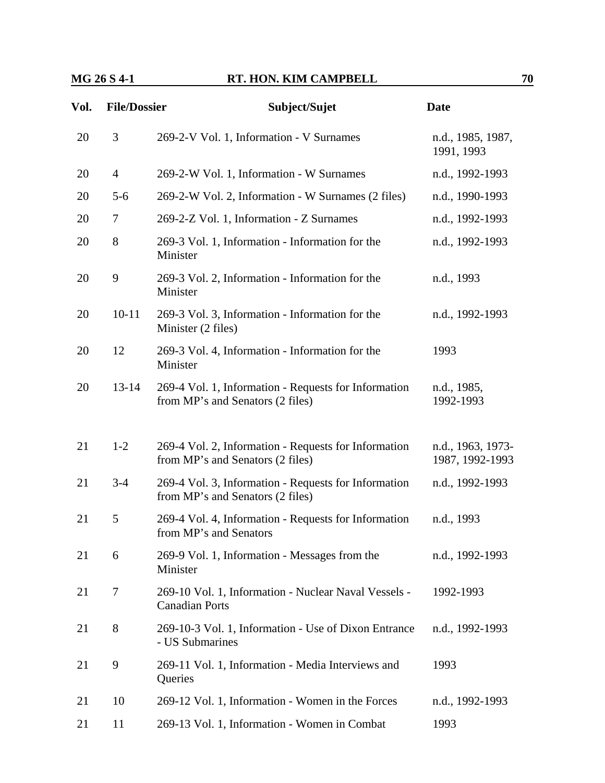## **MG 26 S 4-1 RT. HON. KIM CAMPBELL 70**

| Vol. | <b>File/Dossier</b> | Subject/Sujet                                                                            | <b>Date</b>                          |
|------|---------------------|------------------------------------------------------------------------------------------|--------------------------------------|
| 20   | 3                   | 269-2-V Vol. 1, Information - V Surnames                                                 | n.d., 1985, 1987,<br>1991, 1993      |
| 20   | $\overline{4}$      | 269-2-W Vol. 1, Information - W Surnames                                                 | n.d., 1992-1993                      |
| 20   | $5-6$               | 269-2-W Vol. 2, Information - W Surnames (2 files)                                       | n.d., 1990-1993                      |
| 20   | 7                   | 269-2-Z Vol. 1, Information - Z Surnames                                                 | n.d., 1992-1993                      |
| 20   | 8                   | 269-3 Vol. 1, Information - Information for the<br>Minister                              | n.d., 1992-1993                      |
| 20   | 9                   | 269-3 Vol. 2, Information - Information for the<br>Minister                              | n.d., 1993                           |
| 20   | $10 - 11$           | 269-3 Vol. 3, Information - Information for the<br>Minister (2 files)                    | n.d., 1992-1993                      |
| 20   | 12                  | 269-3 Vol. 4, Information - Information for the<br>Minister                              | 1993                                 |
| 20   | $13 - 14$           | 269-4 Vol. 1, Information - Requests for Information<br>from MP's and Senators (2 files) | n.d., 1985,<br>1992-1993             |
| 21   | $1-2$               | 269-4 Vol. 2, Information - Requests for Information<br>from MP's and Senators (2 files) | n.d., 1963, 1973-<br>1987, 1992-1993 |
| 21   | $3 - 4$             | 269-4 Vol. 3, Information - Requests for Information<br>from MP's and Senators (2 files) | n.d., 1992-1993                      |
| 21   | 5                   | 269-4 Vol. 4, Information - Requests for Information<br>from MP's and Senators           | n.d., 1993                           |
| 21   | 6                   | 269-9 Vol. 1, Information - Messages from the<br>Minister                                | n.d., 1992-1993                      |
| 21   | 7                   | 269-10 Vol. 1, Information - Nuclear Naval Vessels -<br><b>Canadian Ports</b>            | 1992-1993                            |
| 21   | 8                   | 269-10-3 Vol. 1, Information - Use of Dixon Entrance<br>- US Submarines                  | n.d., 1992-1993                      |
| 21   | 9                   | 269-11 Vol. 1, Information - Media Interviews and<br>Queries                             | 1993                                 |
| 21   | 10                  | 269-12 Vol. 1, Information - Women in the Forces                                         | n.d., 1992-1993                      |
| 21   | 11                  | 269-13 Vol. 1, Information - Women in Combat                                             | 1993                                 |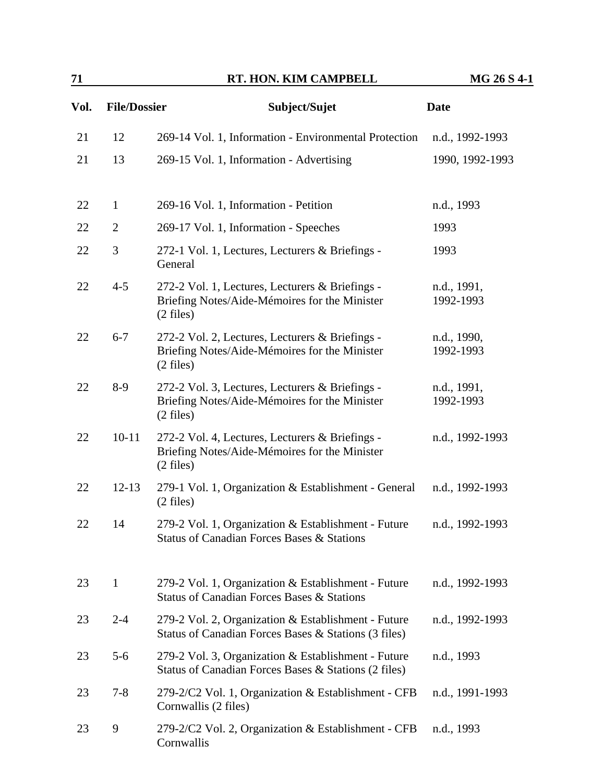| 71   |                     | RT. HON. KIM CAMPBELL                                                                                                   | MG 26 S 4-1              |
|------|---------------------|-------------------------------------------------------------------------------------------------------------------------|--------------------------|
| Vol. | <b>File/Dossier</b> | Subject/Sujet                                                                                                           | <b>Date</b>              |
| 21   | 12                  | 269-14 Vol. 1, Information - Environmental Protection                                                                   | n.d., 1992-1993          |
| 21   | 13                  | 269-15 Vol. 1, Information - Advertising                                                                                | 1990, 1992-1993          |
| 22   | $\mathbf{1}$        | 269-16 Vol. 1, Information - Petition                                                                                   | n.d., 1993               |
| 22   | $\mathbf{2}$        | 269-17 Vol. 1, Information - Speeches                                                                                   | 1993                     |
| 22   | 3                   | 272-1 Vol. 1, Lectures, Lecturers & Briefings -<br>General                                                              | 1993                     |
| 22   | $4 - 5$             | 272-2 Vol. 1, Lectures, Lecturers & Briefings -<br>Briefing Notes/Aide-Mémoires for the Minister<br>$(2$ files)         | n.d., 1991,<br>1992-1993 |
| 22   | $6 - 7$             | 272-2 Vol. 2, Lectures, Lecturers & Briefings -<br>Briefing Notes/Aide-Mémoires for the Minister<br>$(2 \text{ files})$ | n.d., 1990,<br>1992-1993 |
| 22   | $8-9$               | 272-2 Vol. 3, Lectures, Lecturers & Briefings -<br>Briefing Notes/Aide-Mémoires for the Minister<br>$(2 \text{ files})$ | n.d., 1991,<br>1992-1993 |
| 22   | $10 - 11$           | 272-2 Vol. 4, Lectures, Lecturers & Briefings -<br>Briefing Notes/Aide-Mémoires for the Minister<br>$(2 \text{ files})$ | n.d., 1992-1993          |
| 22   | $12 - 13$           | 279-1 Vol. 1, Organization & Establishment - General<br>$(2$ files)                                                     | n.d., 1992-1993          |
| 22   | 14                  | 279-2 Vol. 1, Organization & Establishment - Future<br><b>Status of Canadian Forces Bases &amp; Stations</b>            | n.d., 1992-1993          |
| 23   | $\mathbf{1}$        | 279-2 Vol. 1, Organization & Establishment - Future<br>Status of Canadian Forces Bases & Stations                       | n.d., 1992-1993          |
| 23   | $2 - 4$             | 279-2 Vol. 2, Organization & Establishment - Future<br>Status of Canadian Forces Bases & Stations (3 files)             | n.d., 1992-1993          |
| 23   | $5 - 6$             | 279-2 Vol. 3, Organization & Establishment - Future<br>Status of Canadian Forces Bases & Stations (2 files)             | n.d., 1993               |
| 23   | $7 - 8$             | 279-2/C2 Vol. 1, Organization & Establishment - CFB<br>Cornwallis (2 files)                                             | n.d., 1991-1993          |
| 23   | 9                   | 279-2/C2 Vol. 2, Organization & Establishment - CFB<br>Cornwallis                                                       | n.d., 1993               |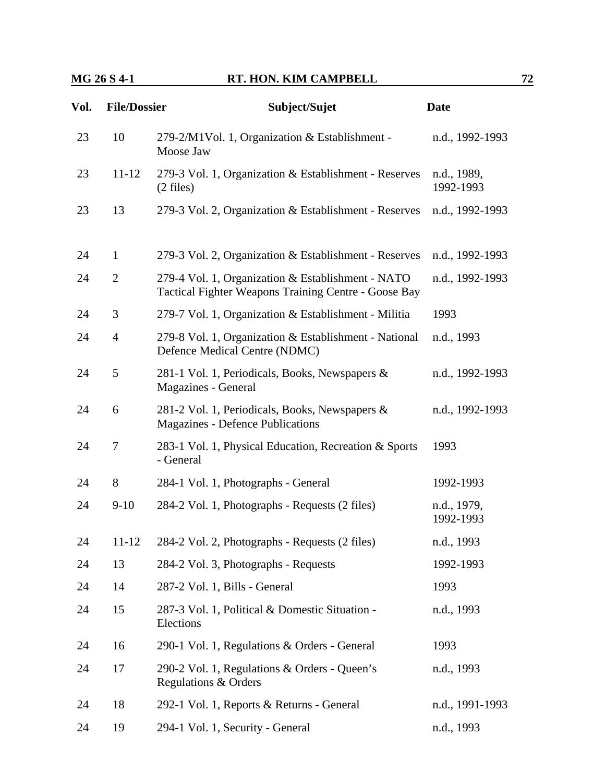| Vol. | <b>File/Dossier</b> | Subject/Sujet                                                                                             | <b>Date</b>              |
|------|---------------------|-----------------------------------------------------------------------------------------------------------|--------------------------|
| 23   | 10                  | 279-2/M1Vol. 1, Organization & Establishment -<br>Moose Jaw                                               | n.d., 1992-1993          |
| 23   | $11 - 12$           | 279-3 Vol. 1, Organization & Establishment - Reserves<br>$(2 \text{ files})$                              | n.d., 1989,<br>1992-1993 |
| 23   | 13                  | 279-3 Vol. 2, Organization & Establishment - Reserves                                                     | n.d., 1992-1993          |
| 24   | $\mathbf{1}$        | 279-3 Vol. 2, Organization & Establishment - Reserves                                                     | n.d., 1992-1993          |
| 24   | $\overline{2}$      | 279-4 Vol. 1, Organization & Establishment - NATO<br>Tactical Fighter Weapons Training Centre - Goose Bay | n.d., 1992-1993          |
| 24   | 3                   | 279-7 Vol. 1, Organization & Establishment - Militia                                                      | 1993                     |
| 24   | $\overline{4}$      | 279-8 Vol. 1, Organization & Establishment - National<br>Defence Medical Centre (NDMC)                    | n.d., 1993               |
| 24   | 5                   | 281-1 Vol. 1, Periodicals, Books, Newspapers &<br>Magazines - General                                     | n.d., 1992-1993          |
| 24   | 6                   | 281-2 Vol. 1, Periodicals, Books, Newspapers &<br><b>Magazines - Defence Publications</b>                 | n.d., 1992-1993          |
| 24   | 7                   | 283-1 Vol. 1, Physical Education, Recreation & Sports<br>- General                                        | 1993                     |
| 24   | 8                   | 284-1 Vol. 1, Photographs - General                                                                       | 1992-1993                |
| 24   | $9-10$              | 284-2 Vol. 1, Photographs - Requests (2 files)                                                            | n.d., 1979,<br>1992-1993 |
| 24   | 11-12               | 284-2 Vol. 2, Photographs - Requests (2 files)                                                            | n.d., 1993               |
| 24   | 13                  | 284-2 Vol. 3, Photographs - Requests                                                                      | 1992-1993                |
| 24   | 14                  | 287-2 Vol. 1, Bills - General                                                                             | 1993                     |
| 24   | 15                  | 287-3 Vol. 1, Political & Domestic Situation -<br>Elections                                               | n.d., 1993               |
| 24   | 16                  | 290-1 Vol. 1, Regulations & Orders - General                                                              | 1993                     |
| 24   | 17                  | 290-2 Vol. 1, Regulations & Orders - Queen's<br>Regulations & Orders                                      | n.d., 1993               |
| 24   | 18                  | 292-1 Vol. 1, Reports & Returns - General                                                                 | n.d., 1991-1993          |
| 24   | 19                  | 294-1 Vol. 1, Security - General                                                                          | n.d., 1993               |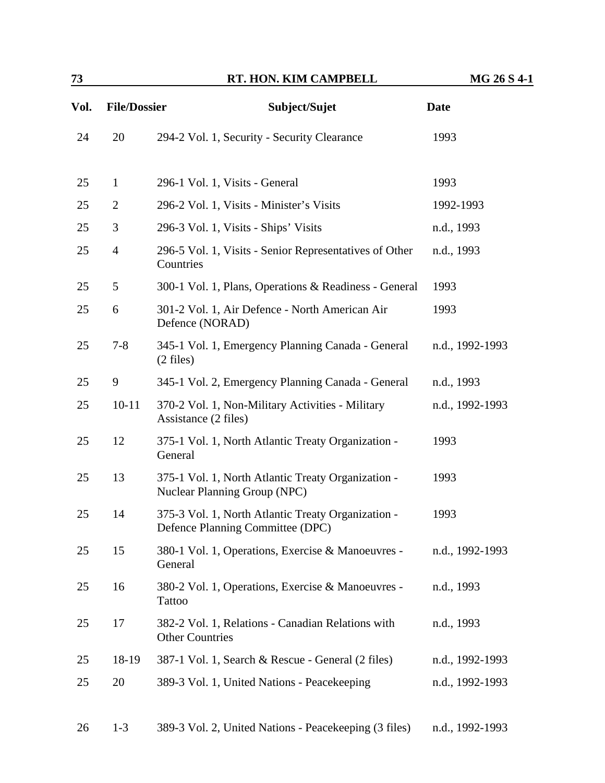| Vol. | <b>File/Dossier</b> | Subject/Sujet                                                                             | <b>Date</b>     |
|------|---------------------|-------------------------------------------------------------------------------------------|-----------------|
| 24   | 20                  | 294-2 Vol. 1, Security - Security Clearance                                               | 1993            |
| 25   | $\mathbf{1}$        | 296-1 Vol. 1, Visits - General                                                            | 1993            |
| 25   | $\overline{2}$      | 296-2 Vol. 1, Visits - Minister's Visits                                                  | 1992-1993       |
| 25   | 3                   | 296-3 Vol. 1, Visits - Ships' Visits                                                      | n.d., 1993      |
| 25   | $\overline{4}$      | 296-5 Vol. 1, Visits - Senior Representatives of Other<br>Countries                       | n.d., 1993      |
| 25   | 5                   | 300-1 Vol. 1, Plans, Operations & Readiness - General                                     | 1993            |
| 25   | 6                   | 301-2 Vol. 1, Air Defence - North American Air<br>Defence (NORAD)                         | 1993            |
| 25   | $7 - 8$             | 345-1 Vol. 1, Emergency Planning Canada - General<br>$(2 \text{ files})$                  | n.d., 1992-1993 |
| 25   | 9                   | 345-1 Vol. 2, Emergency Planning Canada - General                                         | n.d., 1993      |
| 25   | $10 - 11$           | 370-2 Vol. 1, Non-Military Activities - Military<br>Assistance (2 files)                  | n.d., 1992-1993 |
| 25   | 12                  | 375-1 Vol. 1, North Atlantic Treaty Organization -<br>General                             | 1993            |
| 25   | 13                  | 375-1 Vol. 1, North Atlantic Treaty Organization -<br><b>Nuclear Planning Group (NPC)</b> | 1993            |
| 25   | 14                  | 375-3 Vol. 1, North Atlantic Treaty Organization -<br>Defence Planning Committee (DPC)    | 1993            |
| 25   | 15                  | 380-1 Vol. 1, Operations, Exercise & Manoeuvres -<br>General                              | n.d., 1992-1993 |
| 25   | 16                  | 380-2 Vol. 1, Operations, Exercise & Manoeuvres -<br><b>Tattoo</b>                        | n.d., 1993      |
| 25   | 17                  | 382-2 Vol. 1, Relations - Canadian Relations with<br><b>Other Countries</b>               | n.d., 1993      |
| 25   | 18-19               | 387-1 Vol. 1, Search & Rescue - General (2 files)                                         | n.d., 1992-1993 |
| 25   | 20                  | 389-3 Vol. 1, United Nations - Peacekeeping                                               | n.d., 1992-1993 |
| 26   | $1 - 3$             | 389-3 Vol. 2, United Nations - Peacekeeping (3 files)                                     | n.d., 1992-1993 |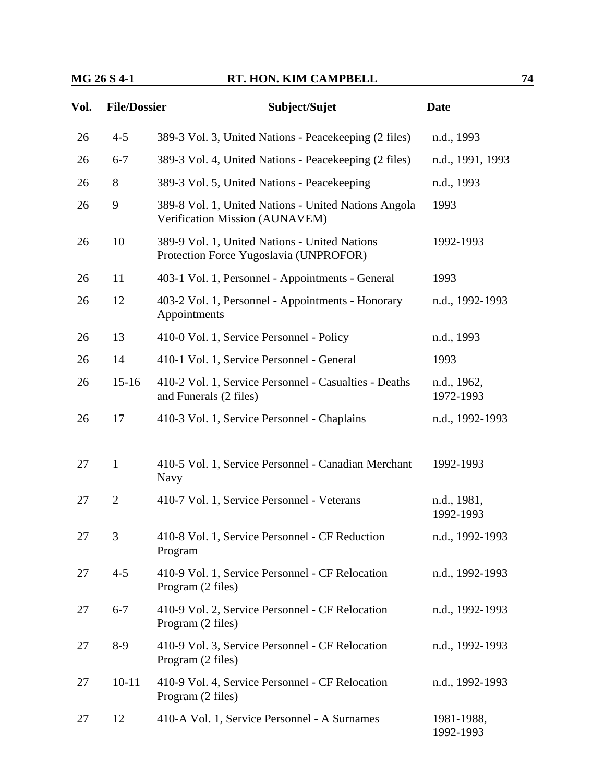### **MG 26 S 4-1 RT. HON. KIM CAMPBELL 74**

| Vol. | <b>File/Dossier</b> | Subject/Sujet                                                                           | Date             |
|------|---------------------|-----------------------------------------------------------------------------------------|------------------|
| 26   | $4 - 5$             | 389-3 Vol. 3, United Nations - Peacekeeping (2 files)                                   | n.d., 1993       |
| 26   | $6 - 7$             | 389-3 Vol. 4, United Nations - Peacekeeping (2 files)                                   | n.d., 1991, 1993 |
| 26   | 8                   | 389-3 Vol. 5, United Nations - Peacekeeping                                             | n.d., 1993       |
| 26   | 9                   | 389-8 Vol. 1, United Nations - United Nations Angola<br>Verification Mission (AUNAVEM)  | 1993             |
| 26   | 10                  | 389-9 Vol. 1, United Nations - United Nations<br>Protection Force Yugoslavia (UNPROFOR) | 1992-1993        |
| 26   | 11                  | 403-1 Vol. 1, Personnel - Appointments - General                                        | 1993             |

| 26 | 11             | 403-1 Vol. 1, Personnel - Appointments - General                                | 1993                     |
|----|----------------|---------------------------------------------------------------------------------|--------------------------|
| 26 | 12             | 403-2 Vol. 1, Personnel - Appointments - Honorary<br>Appointments               | n.d., 1992-1993          |
| 26 | 13             | 410-0 Vol. 1, Service Personnel - Policy                                        | n.d., 1993               |
| 26 | 14             | 410-1 Vol. 1, Service Personnel - General                                       | 1993                     |
| 26 | $15 - 16$      | 410-2 Vol. 1, Service Personnel - Casualties - Deaths<br>and Funerals (2 files) | n.d., 1962,<br>1972-1993 |
| 26 | 17             | 410-3 Vol. 1, Service Personnel - Chaplains                                     | n.d., 1992-1993          |
| 27 | 1              | 410-5 Vol. 1, Service Personnel - Canadian Merchant<br>Navy                     | 1992-1993                |
| 27 | $\overline{2}$ | 410-7 Vol. 1, Service Personnel - Veterans                                      | n.d., 1981,<br>1992-1993 |
| 27 | 3              | 410-8 Vol. 1, Service Personnel - CF Reduction<br>Program                       | n.d., 1992-1993          |
| 27 | $4 - 5$        | 410-9 Vol. 1, Service Personnel - CF Relocation                                 | n.d., 1992-1993          |

Program (2 files) 27 6-7 410-9 Vol. 2, Service Personnel - CF Relocation Program (2 files) n.d., 1992-1993

### 27 8-9 410-9 Vol. 3, Service Personnel - CF Relocation Program (2 files) n.d., 1992-1993  $27$  10-11  $410.9$  Vol. 4, Service Personnel CF Relocation n.d., 1992-1993

| $\angle I$ | $10-11$ $410-9$ VOI. 4, SEIVICE PEISOIIIEI - CF REIOCALIOII<br>Program (2 files) | - 11.U., 1992-1993 |
|------------|----------------------------------------------------------------------------------|--------------------|
| 27         | 410-A Vol. 1, Service Personnel - A Surnames                                     | 1981-1988.         |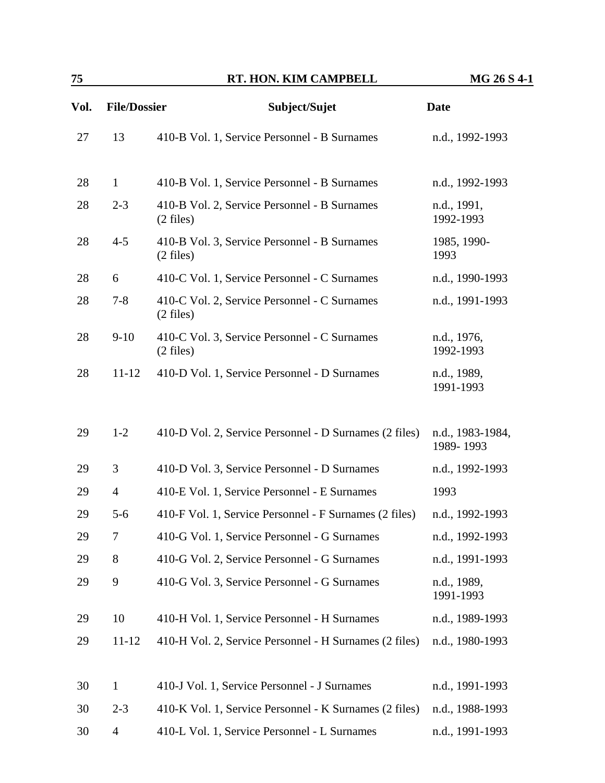| 75   |                     | RT. HON. KIM CAMPBELL                                               | MG 26 S 4-1                   |
|------|---------------------|---------------------------------------------------------------------|-------------------------------|
| Vol. | <b>File/Dossier</b> | Subject/Sujet                                                       | <b>Date</b>                   |
| 27   | 13                  | 410-B Vol. 1, Service Personnel - B Surnames                        | n.d., 1992-1993               |
| 28   | $\mathbf{1}$        | 410-B Vol. 1, Service Personnel - B Surnames                        | n.d., 1992-1993               |
| 28   | $2 - 3$             | 410-B Vol. 2, Service Personnel - B Surnames<br>$(2 \text{ files})$ | n.d., 1991,<br>1992-1993      |
| 28   | $4 - 5$             | 410-B Vol. 3, Service Personnel - B Surnames<br>$(2$ files)         | 1985, 1990-<br>1993           |
| 28   | 6                   | 410-C Vol. 1, Service Personnel - C Surnames                        | n.d., 1990-1993               |
| 28   | $7 - 8$             | 410-C Vol. 2, Service Personnel - C Surnames<br>$(2 \text{ files})$ | n.d., 1991-1993               |
| 28   | $9-10$              | 410-C Vol. 3, Service Personnel - C Surnames<br>$(2$ files)         | n.d., 1976,<br>1992-1993      |
| 28   | $11 - 12$           | 410-D Vol. 1, Service Personnel - D Surnames                        | n.d., 1989,<br>1991-1993      |
| 29   | $1 - 2$             | 410-D Vol. 2, Service Personnel - D Surnames (2 files)              | n.d., 1983-1984,<br>1989-1993 |
| 29   | 3                   | 410-D Vol. 3, Service Personnel - D Surnames                        | n.d., 1992-1993               |
| 29   | $\overline{4}$      | 410-E Vol. 1, Service Personnel - E Surnames                        | 1993                          |
| 29   | $5 - 6$             | 410-F Vol. 1, Service Personnel - F Surnames (2 files)              | n.d., 1992-1993               |
| 29   | 7                   | 410-G Vol. 1, Service Personnel - G Surnames                        | n.d., 1992-1993               |
| 29   | 8                   | 410-G Vol. 2, Service Personnel - G Surnames                        | n.d., 1991-1993               |
| 29   | 9                   | 410-G Vol. 3, Service Personnel - G Surnames                        | n.d., 1989,<br>1991-1993      |
| 29   | 10                  | 410-H Vol. 1, Service Personnel - H Surnames                        | n.d., 1989-1993               |
| 29   | $11 - 12$           | 410-H Vol. 2, Service Personnel - H Surnames (2 files)              | n.d., 1980-1993               |
| 30   | $\mathbf{1}$        | 410-J Vol. 1, Service Personnel - J Surnames                        | n.d., 1991-1993               |
| 30   | $2 - 3$             | 410-K Vol. 1, Service Personnel - K Surnames (2 files)              | n.d., 1988-1993               |
| 30   | $\overline{4}$      | 410-L Vol. 1, Service Personnel - L Surnames                        | n.d., 1991-1993               |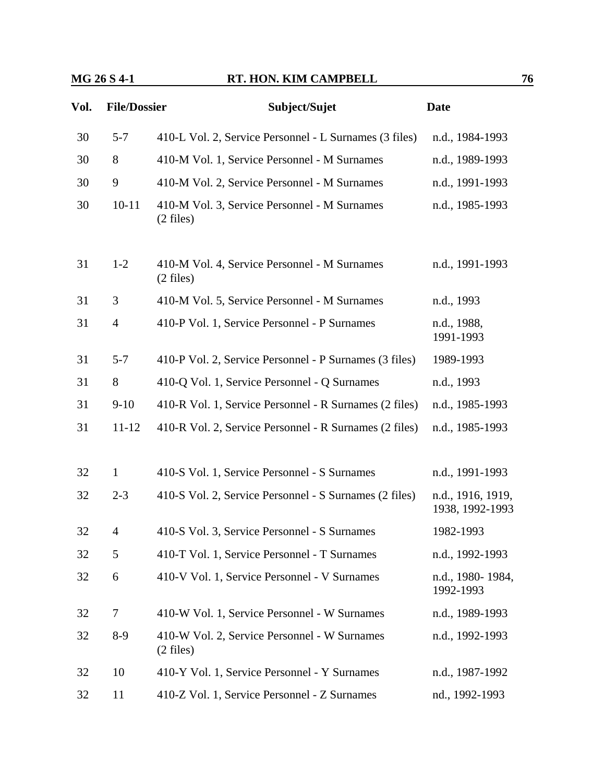| Vol. | <b>File/Dossier</b> | Subject/Sujet                                                       | <b>Date</b>                          |
|------|---------------------|---------------------------------------------------------------------|--------------------------------------|
| 30   | $5 - 7$             | 410-L Vol. 2, Service Personnel - L Surnames (3 files)              | n.d., 1984-1993                      |
| 30   | 8                   | 410-M Vol. 1, Service Personnel - M Surnames                        | n.d., 1989-1993                      |
| 30   | 9                   | 410-M Vol. 2, Service Personnel - M Surnames                        | n.d., 1991-1993                      |
| 30   | $10 - 11$           | 410-M Vol. 3, Service Personnel - M Surnames<br>$(2 \text{ files})$ | n.d., 1985-1993                      |
| 31   | $1-2$               | 410-M Vol. 4, Service Personnel - M Surnames<br>$(2 \text{ files})$ | n.d., 1991-1993                      |
| 31   | 3                   | 410-M Vol. 5, Service Personnel - M Surnames                        | n.d., 1993                           |
| 31   | $\overline{4}$      | 410-P Vol. 1, Service Personnel - P Surnames                        | n.d., 1988,<br>1991-1993             |
| 31   | $5 - 7$             | 410-P Vol. 2, Service Personnel - P Surnames (3 files)              | 1989-1993                            |
| 31   | 8                   | 410-Q Vol. 1, Service Personnel - Q Surnames                        | n.d., 1993                           |
| 31   | $9-10$              | 410-R Vol. 1, Service Personnel - R Surnames (2 files)              | n.d., 1985-1993                      |
| 31   | $11 - 12$           | 410-R Vol. 2, Service Personnel - R Surnames (2 files)              | n.d., 1985-1993                      |
|      |                     |                                                                     |                                      |
| 32   | $\mathbf{1}$        | 410-S Vol. 1, Service Personnel - S Surnames                        | n.d., 1991-1993                      |
| 32   | $2 - 3$             | 410-S Vol. 2, Service Personnel - S Surnames (2 files)              | n.d., 1916, 1919,<br>1938, 1992-1993 |
| 32   | $\overline{4}$      | 410-S Vol. 3, Service Personnel - S Surnames                        | 1982-1993                            |
| 32   | 5                   | 410-T Vol. 1, Service Personnel - T Surnames                        | n.d., 1992-1993                      |
| 32   | 6                   | 410-V Vol. 1, Service Personnel - V Surnames                        | n.d., 1980-1984,<br>1992-1993        |
| 32   | $\tau$              | 410-W Vol. 1, Service Personnel - W Surnames                        | n.d., 1989-1993                      |
| 32   | $8-9$               | 410-W Vol. 2, Service Personnel - W Surnames<br>$(2 \text{ files})$ | n.d., 1992-1993                      |
| 32   | 10                  | 410-Y Vol. 1, Service Personnel - Y Surnames                        | n.d., 1987-1992                      |
| 32   | 11                  | 410-Z Vol. 1, Service Personnel - Z Surnames                        | nd., 1992-1993                       |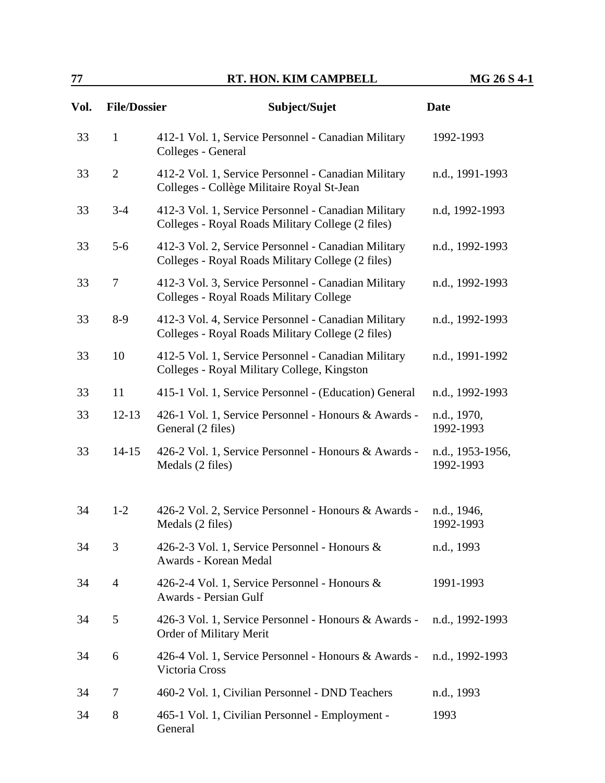## **77 RT. HON. KIM CAMPBELL MG 26 S 4-1**

| Vol. | <b>File/Dossier</b> | Subject/Sujet                                                                                            | <b>Date</b>                   |
|------|---------------------|----------------------------------------------------------------------------------------------------------|-------------------------------|
| 33   | $\mathbf{1}$        | 412-1 Vol. 1, Service Personnel - Canadian Military<br>Colleges - General                                | 1992-1993                     |
| 33   | $\overline{2}$      | 412-2 Vol. 1, Service Personnel - Canadian Military<br>Colleges - Collège Militaire Royal St-Jean        | n.d., 1991-1993               |
| 33   | $3 - 4$             | 412-3 Vol. 1, Service Personnel - Canadian Military<br>Colleges - Royal Roads Military College (2 files) | n.d, 1992-1993                |
| 33   | $5-6$               | 412-3 Vol. 2, Service Personnel - Canadian Military<br>Colleges - Royal Roads Military College (2 files) | n.d., 1992-1993               |
| 33   | $\overline{7}$      | 412-3 Vol. 3, Service Personnel - Canadian Military<br>Colleges - Royal Roads Military College           | n.d., 1992-1993               |
| 33   | $8-9$               | 412-3 Vol. 4, Service Personnel - Canadian Military<br>Colleges - Royal Roads Military College (2 files) | n.d., 1992-1993               |
| 33   | 10                  | 412-5 Vol. 1, Service Personnel - Canadian Military<br>Colleges - Royal Military College, Kingston       | n.d., 1991-1992               |
| 33   | 11                  | 415-1 Vol. 1, Service Personnel - (Education) General                                                    | n.d., 1992-1993               |
| 33   | $12 - 13$           | 426-1 Vol. 1, Service Personnel - Honours & Awards -<br>General (2 files)                                | n.d., 1970,<br>1992-1993      |
| 33   | $14 - 15$           | 426-2 Vol. 1, Service Personnel - Honours & Awards -<br>Medals (2 files)                                 | n.d., 1953-1956,<br>1992-1993 |
| 34   | $1 - 2$             | 426-2 Vol. 2, Service Personnel - Honours & Awards -<br>Medals (2 files)                                 | n.d., 1946,<br>1992-1993      |
| 34   | 3                   | 426-2-3 Vol. 1, Service Personnel - Honours &<br>Awards - Korean Medal                                   | n.d., 1993                    |
| 34   | $\overline{4}$      | 426-2-4 Vol. 1, Service Personnel - Honours &<br>Awards - Persian Gulf                                   | 1991-1993                     |
| 34   | 5                   | 426-3 Vol. 1, Service Personnel - Honours & Awards -<br>Order of Military Merit                          | n.d., 1992-1993               |
| 34   | 6                   | 426-4 Vol. 1, Service Personnel - Honours & Awards -<br>Victoria Cross                                   | n.d., 1992-1993               |
| 34   | 7                   | 460-2 Vol. 1, Civilian Personnel - DND Teachers                                                          | n.d., 1993                    |
| 34   | 8                   | 465-1 Vol. 1, Civilian Personnel - Employment -<br>General                                               | 1993                          |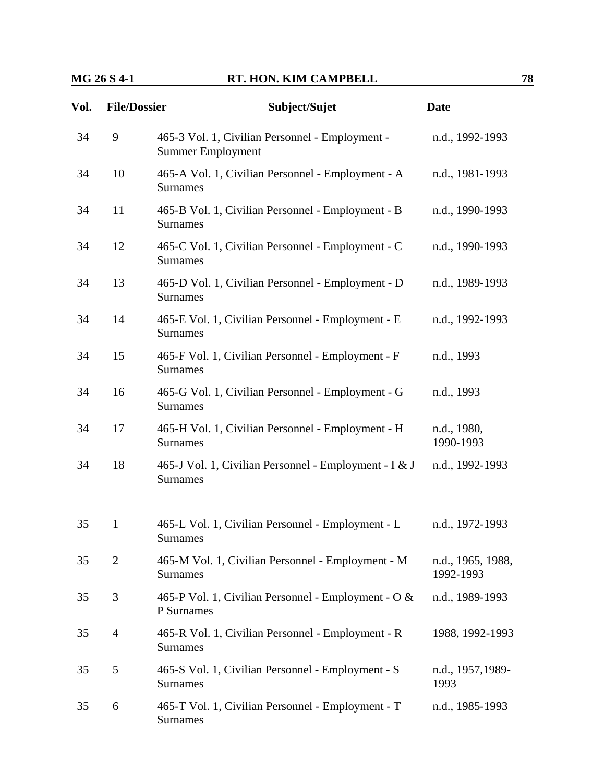| Vol. | <b>File/Dossier</b> | Subject/Sujet                                                               | <b>Date</b>                    |
|------|---------------------|-----------------------------------------------------------------------------|--------------------------------|
| 34   | 9                   | 465-3 Vol. 1, Civilian Personnel - Employment -<br><b>Summer Employment</b> | n.d., 1992-1993                |
| 34   | 10                  | 465-A Vol. 1, Civilian Personnel - Employment - A<br><b>Surnames</b>        | n.d., 1981-1993                |
| 34   | 11                  | 465-B Vol. 1, Civilian Personnel - Employment - B<br><b>Surnames</b>        | n.d., 1990-1993                |
| 34   | 12                  | 465-C Vol. 1, Civilian Personnel - Employment - C<br><b>Surnames</b>        | n.d., 1990-1993                |
| 34   | 13                  | 465-D Vol. 1, Civilian Personnel - Employment - D<br>Surnames               | n.d., 1989-1993                |
| 34   | 14                  | 465-E Vol. 1, Civilian Personnel - Employment - E<br><b>Surnames</b>        | n.d., 1992-1993                |
| 34   | 15                  | 465-F Vol. 1, Civilian Personnel - Employment - F<br>Surnames               | n.d., 1993                     |
| 34   | 16                  | 465-G Vol. 1, Civilian Personnel - Employment - G<br>Surnames               | n.d., 1993                     |
| 34   | 17                  | 465-H Vol. 1, Civilian Personnel - Employment - H<br>Surnames               | n.d., 1980,<br>1990-1993       |
| 34   | 18                  | 465-J Vol. 1, Civilian Personnel - Employment - I & J<br><b>Surnames</b>    | n.d., 1992-1993                |
| 35   | $\mathbf{1}$        | 465-L Vol. 1, Civilian Personnel - Employment - L<br><b>Surnames</b>        | n.d., 1972-1993                |
| 35   | $\overline{2}$      | 465-M Vol. 1, Civilian Personnel - Employment - M<br>Surnames               | n.d., 1965, 1988,<br>1992-1993 |
| 35   | 3                   | 465-P Vol. 1, Civilian Personnel - Employment - O &<br>P Surnames           | n.d., 1989-1993                |
| 35   | $\overline{4}$      | 465-R Vol. 1, Civilian Personnel - Employment - R<br><b>Surnames</b>        | 1988, 1992-1993                |
| 35   | 5                   | 465-S Vol. 1, Civilian Personnel - Employment - S<br><b>Surnames</b>        | n.d., 1957, 1989-<br>1993      |
| 35   | 6                   | 465-T Vol. 1, Civilian Personnel - Employment - T<br><b>Surnames</b>        | n.d., 1985-1993                |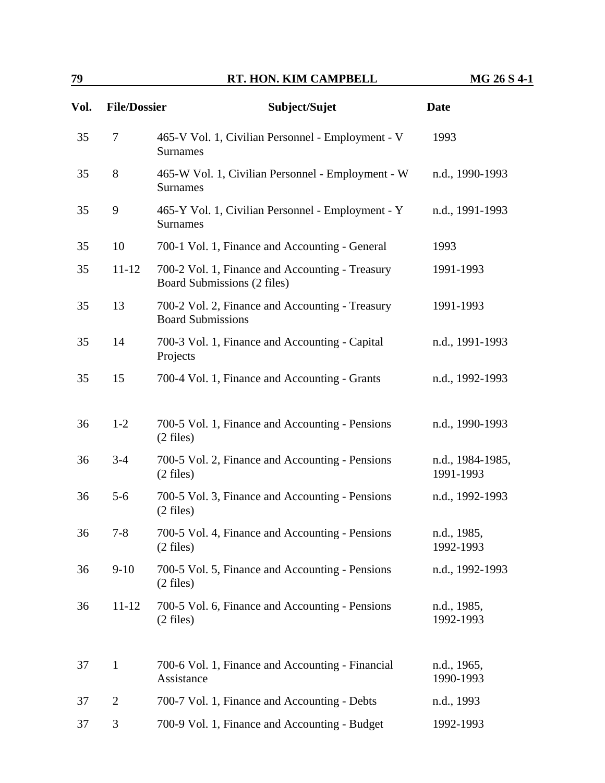| Vol. | <b>File/Dossier</b> | Subject/Sujet                                                                  | <b>Date</b>                   |
|------|---------------------|--------------------------------------------------------------------------------|-------------------------------|
| 35   | 7                   | 465-V Vol. 1, Civilian Personnel - Employment - V<br><b>Surnames</b>           | 1993                          |
| 35   | 8                   | 465-W Vol. 1, Civilian Personnel - Employment - W<br><b>Surnames</b>           | n.d., 1990-1993               |
| 35   | 9                   | 465-Y Vol. 1, Civilian Personnel - Employment - Y<br><b>Surnames</b>           | n.d., 1991-1993               |
| 35   | 10                  | 700-1 Vol. 1, Finance and Accounting - General                                 | 1993                          |
| 35   | $11 - 12$           | 700-2 Vol. 1, Finance and Accounting - Treasury<br>Board Submissions (2 files) | 1991-1993                     |
| 35   | 13                  | 700-2 Vol. 2, Finance and Accounting - Treasury<br><b>Board Submissions</b>    | 1991-1993                     |
| 35   | 14                  | 700-3 Vol. 1, Finance and Accounting - Capital<br>Projects                     | n.d., 1991-1993               |
| 35   | 15                  | 700-4 Vol. 1, Finance and Accounting - Grants                                  | n.d., 1992-1993               |
| 36   | $1 - 2$             | 700-5 Vol. 1, Finance and Accounting - Pensions<br>$(2$ files)                 | n.d., 1990-1993               |
| 36   | $3 - 4$             | 700-5 Vol. 2, Finance and Accounting - Pensions<br>$(2$ files)                 | n.d., 1984-1985,<br>1991-1993 |
| 36   | $5-6$               | 700-5 Vol. 3, Finance and Accounting - Pensions<br>$(2 \text{ files})$         | n.d., 1992-1993               |
| 36   | $7 - 8$             | 700-5 Vol. 4, Finance and Accounting - Pensions<br>$(2 \text{ files})$         | n.d., 1985,<br>1992-1993      |
| 36   | $9-10$              | 700-5 Vol. 5, Finance and Accounting - Pensions<br>$(2 \text{ files})$         | n.d., 1992-1993               |
| 36   | $11 - 12$           | 700-5 Vol. 6, Finance and Accounting - Pensions<br>$(2 \text{ files})$         | n.d., 1985,<br>1992-1993      |
| 37   | $\mathbf{1}$        | 700-6 Vol. 1, Finance and Accounting - Financial<br>Assistance                 | n.d., 1965,<br>1990-1993      |
| 37   | $\overline{2}$      | 700-7 Vol. 1, Finance and Accounting - Debts                                   | n.d., 1993                    |
| 37   | 3                   | 700-9 Vol. 1, Finance and Accounting - Budget                                  | 1992-1993                     |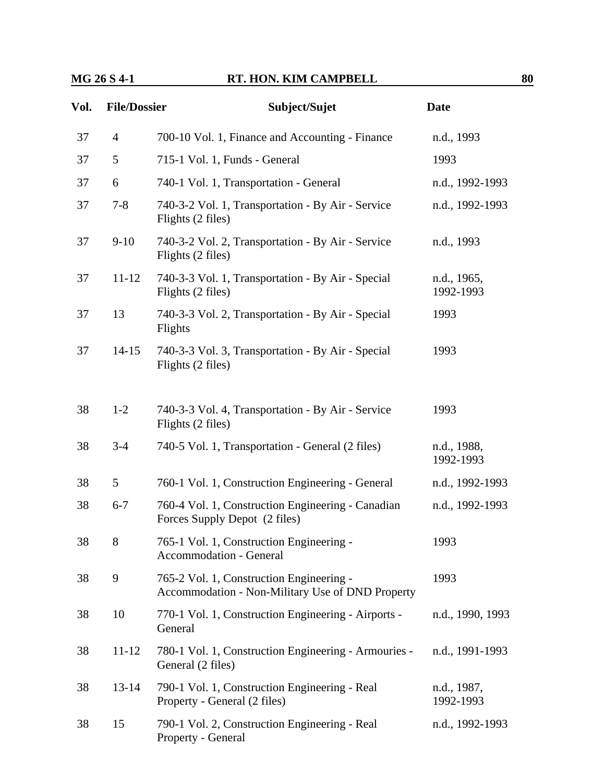### **MG 26 S 4-1 RT. HON. KIM CAMPBELL 80**

| Vol. | <b>File/Dossier</b> | Subject/Sujet                                                                                | <b>Date</b>              |
|------|---------------------|----------------------------------------------------------------------------------------------|--------------------------|
| 37   | $\overline{4}$      | 700-10 Vol. 1, Finance and Accounting - Finance                                              | n.d., 1993               |
| 37   | 5                   | 715-1 Vol. 1, Funds - General                                                                | 1993                     |
| 37   | 6                   | 740-1 Vol. 1, Transportation - General                                                       | n.d., 1992-1993          |
| 37   | $7 - 8$             | 740-3-2 Vol. 1, Transportation - By Air - Service<br>Flights (2 files)                       | n.d., 1992-1993          |
| 37   | $9-10$              | 740-3-2 Vol. 2, Transportation - By Air - Service<br>Flights (2 files)                       | n.d., 1993               |
| 37   | $11 - 12$           | 740-3-3 Vol. 1, Transportation - By Air - Special<br>Flights (2 files)                       | n.d., 1965,<br>1992-1993 |
| 37   | 13                  | 740-3-3 Vol. 2, Transportation - By Air - Special<br>Flights                                 | 1993                     |
| 37   | $14 - 15$           | 740-3-3 Vol. 3, Transportation - By Air - Special<br>Flights (2 files)                       | 1993                     |
| 38   | $1 - 2$             | 740-3-3 Vol. 4, Transportation - By Air - Service<br>Flights (2 files)                       | 1993                     |
| 38   | $3 - 4$             | 740-5 Vol. 1, Transportation - General (2 files)                                             | n.d., 1988,<br>1992-1993 |
| 38   | 5                   | 760-1 Vol. 1, Construction Engineering - General                                             | n.d., 1992-1993          |
| 38   | $6 - 7$             | 760-4 Vol. 1, Construction Engineering - Canadian<br>Forces Supply Depot (2 files)           | n.d., 1992-1993          |
| 38   | 8                   | 765-1 Vol. 1, Construction Engineering<br><b>Accommodation - General</b>                     | 1993                     |
| 38   | 9                   | 765-2 Vol. 1, Construction Engineering -<br>Accommodation - Non-Military Use of DND Property | 1993                     |
| 38   | 10                  | 770-1 Vol. 1, Construction Engineering - Airports -<br>General                               | n.d., 1990, 1993         |
| 38   | $11 - 12$           | 780-1 Vol. 1, Construction Engineering - Armouries -<br>General (2 files)                    | n.d., 1991-1993          |
| 38   | $13 - 14$           | 790-1 Vol. 1, Construction Engineering - Real<br>Property - General (2 files)                | n.d., 1987,<br>1992-1993 |
| 38   | 15                  | 790-1 Vol. 2, Construction Engineering - Real<br>Property - General                          | n.d., 1992-1993          |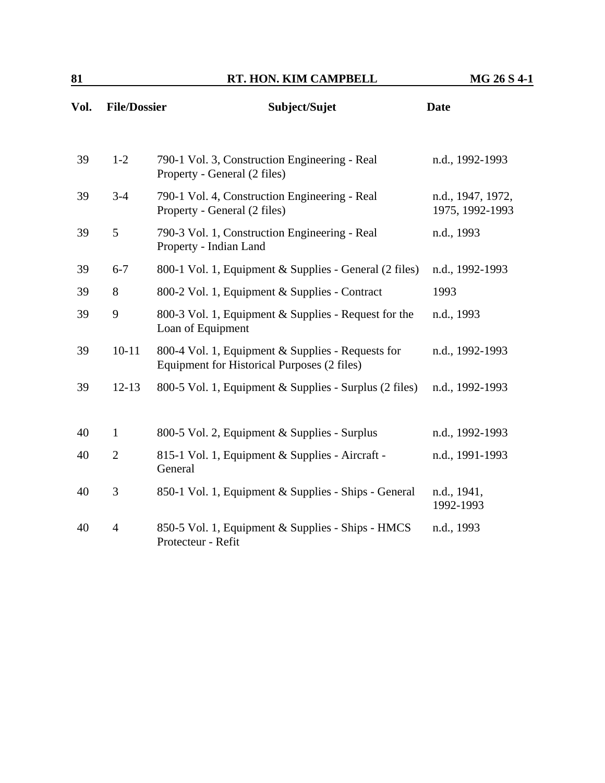| Vol. | <b>File/Dossier</b> | Subject/Sujet                                                                                    | <b>Date</b>                          |
|------|---------------------|--------------------------------------------------------------------------------------------------|--------------------------------------|
| 39   | $1-2$               | 790-1 Vol. 3, Construction Engineering - Real<br>Property - General (2 files)                    | n.d., 1992-1993                      |
| 39   | $3 - 4$             | 790-1 Vol. 4, Construction Engineering - Real<br>Property - General (2 files)                    | n.d., 1947, 1972,<br>1975, 1992-1993 |
| 39   | 5                   | 790-3 Vol. 1, Construction Engineering - Real<br>Property - Indian Land                          | n.d., 1993                           |
| 39   | $6 - 7$             | 800-1 Vol. 1, Equipment & Supplies - General (2 files)                                           | n.d., 1992-1993                      |
| 39   | 8                   | 800-2 Vol. 1, Equipment & Supplies - Contract                                                    | 1993                                 |
| 39   | 9                   | 800-3 Vol. 1, Equipment & Supplies - Request for the<br>Loan of Equipment                        | n.d., 1993                           |
| 39   | $10 - 11$           | 800-4 Vol. 1, Equipment & Supplies - Requests for<br>Equipment for Historical Purposes (2 files) | n.d., 1992-1993                      |
| 39   | $12 - 13$           | 800-5 Vol. 1, Equipment & Supplies - Surplus (2 files)                                           | n.d., 1992-1993                      |
| 40   | $\mathbf{1}$        | 800-5 Vol. 2, Equipment & Supplies - Surplus                                                     | n.d., 1992-1993                      |
| 40   | $\overline{2}$      | 815-1 Vol. 1, Equipment & Supplies - Aircraft -<br>General                                       | n.d., 1991-1993                      |
| 40   | 3                   | 850-1 Vol. 1, Equipment & Supplies - Ships - General                                             | n.d., 1941,<br>1992-1993             |
| 40   | $\overline{4}$      | 850-5 Vol. 1, Equipment & Supplies - Ships - HMCS<br>Protecteur - Refit                          | n.d., 1993                           |
|      |                     |                                                                                                  |                                      |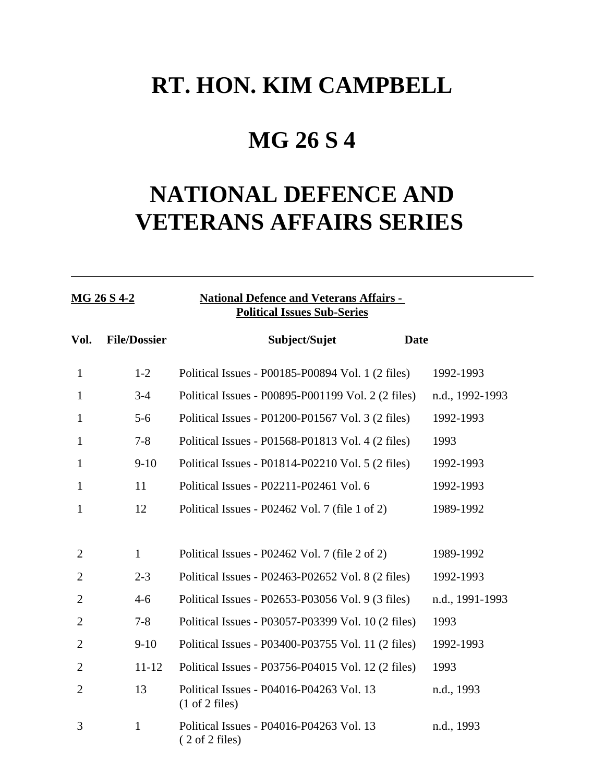## **MG 26 S 4**

# **NATIONAL DEFENCE AND VETERANS AFFAIRS SERIES**

### **MG 26 S 4-2 National Defence and Veterans Affairs - Political Issues Sub-Series**

| Vol.           | <b>File/Dossier</b> | Subject/Sujet                                                                 | <b>Date</b>     |
|----------------|---------------------|-------------------------------------------------------------------------------|-----------------|
| $\mathbf{1}$   | $1 - 2$             | Political Issues - P00185-P00894 Vol. 1 (2 files)                             | 1992-1993       |
| $\mathbf{1}$   | $3-4$               | Political Issues - P00895-P001199 Vol. 2 (2 files)                            | n.d., 1992-1993 |
| $\mathbf{1}$   | $5 - 6$             | Political Issues - P01200-P01567 Vol. 3 (2 files)                             | 1992-1993       |
| $\mathbf{1}$   | $7 - 8$             | Political Issues - P01568-P01813 Vol. 4 (2 files)                             | 1993            |
| $\mathbf{1}$   | $9-10$              | Political Issues - P01814-P02210 Vol. 5 (2 files)                             | 1992-1993       |
| $\mathbf{1}$   | 11                  | Political Issues - P02211-P02461 Vol. 6                                       | 1992-1993       |
| 1              | 12                  | Political Issues - P02462 Vol. 7 (file 1 of 2)                                | 1989-1992       |
|                |                     |                                                                               |                 |
| $\overline{2}$ | $\mathbf{1}$        | Political Issues - P02462 Vol. 7 (file 2 of 2)                                | 1989-1992       |
| $\overline{2}$ | $2 - 3$             | Political Issues - P02463-P02652 Vol. 8 (2 files)                             | 1992-1993       |
| $\overline{2}$ | $4 - 6$             | Political Issues - P02653-P03056 Vol. 9 (3 files)                             | n.d., 1991-1993 |
| $\overline{2}$ | $7 - 8$             | Political Issues - P03057-P03399 Vol. 10 (2 files)                            | 1993            |
| $\overline{2}$ | $9-10$              | Political Issues - P03400-P03755 Vol. 11 (2 files)                            | 1992-1993       |
| $\overline{2}$ | $11 - 12$           | Political Issues - P03756-P04015 Vol. 12 (2 files)                            | 1993            |
| $\overline{2}$ | 13                  | Political Issues - P04016-P04263 Vol. 13<br>$(1 \text{ of } 2 \text{ files})$ | n.d., 1993      |
| 3              | $\mathbf{1}$        | Political Issues - P04016-P04263 Vol. 13<br>$(2 \text{ of } 2 \text{ files})$ | n.d., 1993      |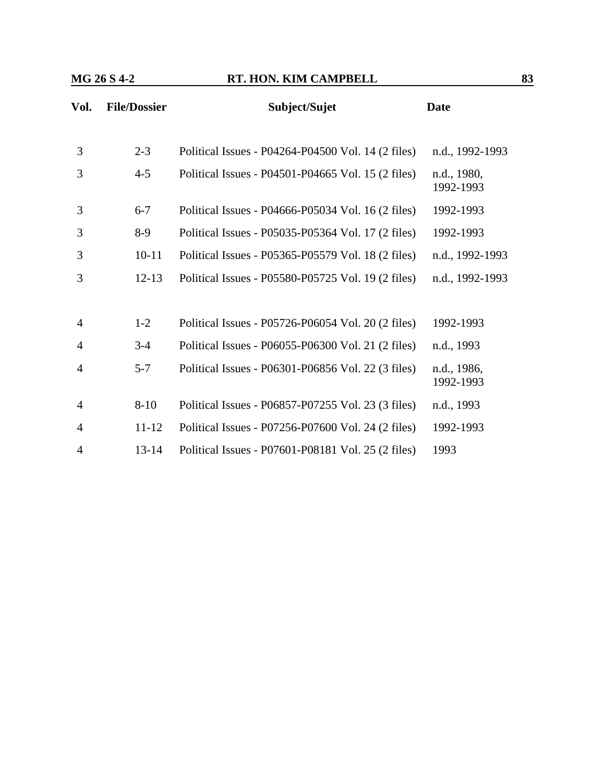| Vol.           | <b>File/Dossier</b> | Subject/Sujet                                      | <b>Date</b>              |
|----------------|---------------------|----------------------------------------------------|--------------------------|
|                |                     |                                                    |                          |
| 3              | $2 - 3$             | Political Issues - P04264-P04500 Vol. 14 (2 files) | n.d., 1992-1993          |
| 3              | $4 - 5$             | Political Issues - P04501-P04665 Vol. 15 (2 files) | n.d., 1980,<br>1992-1993 |
| 3              | $6 - 7$             | Political Issues - P04666-P05034 Vol. 16 (2 files) | 1992-1993                |
| 3              | $8-9$               | Political Issues - P05035-P05364 Vol. 17 (2 files) | 1992-1993                |
| 3              | $10 - 11$           | Political Issues - P05365-P05579 Vol. 18 (2 files) | n.d., 1992-1993          |
| 3              | $12 - 13$           | Political Issues - P05580-P05725 Vol. 19 (2 files) | n.d., 1992-1993          |
|                |                     |                                                    |                          |
| $\overline{4}$ | $1 - 2$             | Political Issues - P05726-P06054 Vol. 20 (2 files) | 1992-1993                |
| $\overline{4}$ | $3-4$               | Political Issues - P06055-P06300 Vol. 21 (2 files) | n.d., 1993               |
| 4              | $5 - 7$             | Political Issues - P06301-P06856 Vol. 22 (3 files) | n.d., 1986,<br>1992-1993 |
| $\overline{4}$ | $8 - 10$            | Political Issues - P06857-P07255 Vol. 23 (3 files) | n.d., 1993               |
| $\overline{4}$ | $11 - 12$           | Political Issues - P07256-P07600 Vol. 24 (2 files) | 1992-1993                |
| 4              | $13 - 14$           | Political Issues - P07601-P08181 Vol. 25 (2 files) | 1993                     |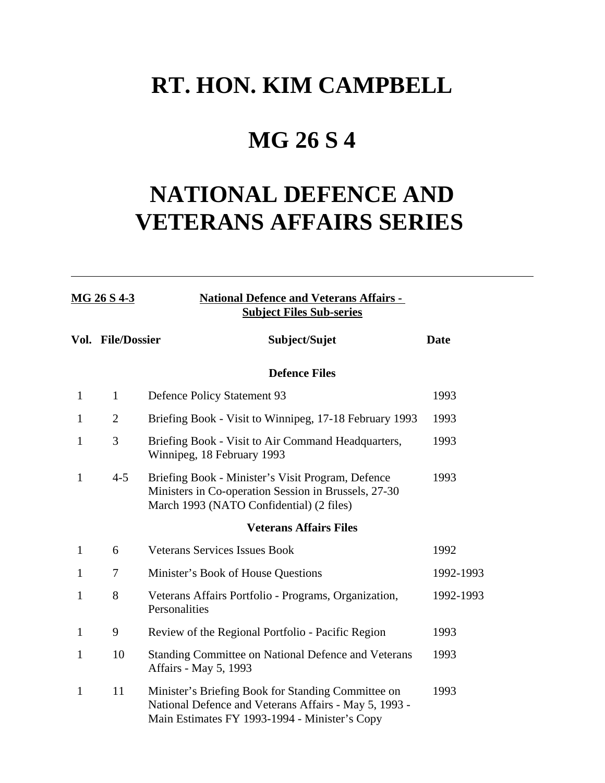## **MG 26 S 4**

# **NATIONAL DEFENCE AND VETERANS AFFAIRS SERIES**

| MG 26 S 4-3  |                   | <b>National Defence and Veterans Affairs -</b><br><b>Subject Files Sub-series</b>                                                                            |             |
|--------------|-------------------|--------------------------------------------------------------------------------------------------------------------------------------------------------------|-------------|
|              | Vol. File/Dossier | Subject/Sujet                                                                                                                                                | <b>Date</b> |
|              |                   | <b>Defence Files</b>                                                                                                                                         |             |
| $\mathbf{1}$ | $\mathbf{1}$      | <b>Defence Policy Statement 93</b>                                                                                                                           | 1993        |
| $\mathbf{1}$ | $\overline{2}$    | Briefing Book - Visit to Winnipeg, 17-18 February 1993                                                                                                       | 1993        |
| 1            | 3                 | Briefing Book - Visit to Air Command Headquarters,<br>Winnipeg, 18 February 1993                                                                             | 1993        |
| $\mathbf{1}$ | $4 - 5$           | Briefing Book - Minister's Visit Program, Defence<br>Ministers in Co-operation Session in Brussels, 27-30<br>March 1993 (NATO Confidential) (2 files)        | 1993        |
|              |                   | <b>Veterans Affairs Files</b>                                                                                                                                |             |
| $\mathbf{1}$ | 6                 | <b>Veterans Services Issues Book</b>                                                                                                                         | 1992        |
| 1            | 7                 | Minister's Book of House Questions                                                                                                                           | 1992-1993   |
| $\mathbf{1}$ | 8                 | Veterans Affairs Portfolio - Programs, Organization,<br>Personalities                                                                                        | 1992-1993   |
| $\mathbf{1}$ | 9                 | Review of the Regional Portfolio - Pacific Region                                                                                                            | 1993        |
| 1            | 10                | Standing Committee on National Defence and Veterans<br>Affairs - May 5, 1993                                                                                 | 1993        |
| $\mathbf{1}$ | 11                | Minister's Briefing Book for Standing Committee on<br>National Defence and Veterans Affairs - May 5, 1993 -<br>Main Estimates FY 1993-1994 - Minister's Copy | 1993        |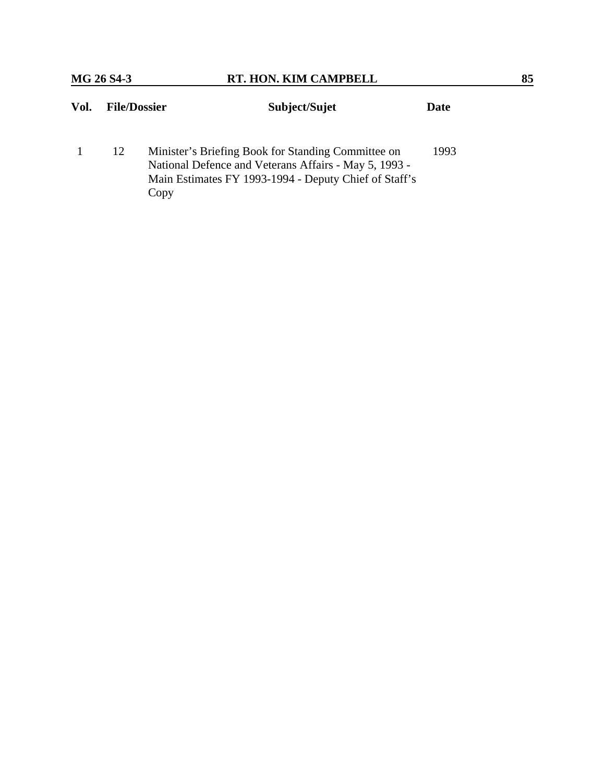| Vol. | <b>File/Dossier</b> |                                                                                                                                                                              | Subject/Sujet | Date |
|------|---------------------|------------------------------------------------------------------------------------------------------------------------------------------------------------------------------|---------------|------|
|      | 12                  | Minister's Briefing Book for Standing Committee on<br>National Defence and Veterans Affairs - May 5, 1993 -<br>Main Estimates FY 1993-1994 - Deputy Chief of Staff's<br>Copy |               | 1993 |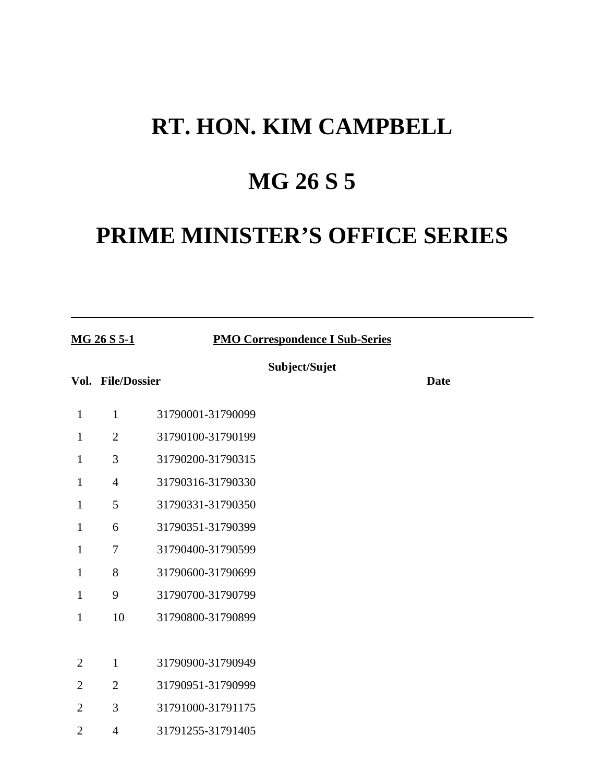# **MG 26 S 5**

# **PRIME MINISTER'S OFFICE SERIES**

| MG 26 S 5-1    |                   |                   | <b>PMO Correspondence I Sub-Series</b> |             |  |
|----------------|-------------------|-------------------|----------------------------------------|-------------|--|
|                | Vol. File/Dossier |                   | Subject/Sujet                          | <b>Date</b> |  |
| $\mathbf{1}$   | $\mathbf{1}$      | 31790001-31790099 |                                        |             |  |
| $\mathbf{1}$   | $\overline{2}$    | 31790100-31790199 |                                        |             |  |
| $\mathbf{1}$   | 3                 | 31790200-31790315 |                                        |             |  |
| $\mathbf{1}$   | $\overline{4}$    | 31790316-31790330 |                                        |             |  |
| $\mathbf{1}$   | 5                 | 31790331-31790350 |                                        |             |  |
| $\mathbf{1}$   | 6                 | 31790351-31790399 |                                        |             |  |
| $\mathbf{1}$   | $\tau$            | 31790400-31790599 |                                        |             |  |
| $\mathbf{1}$   | 8                 | 31790600-31790699 |                                        |             |  |
| $\mathbf{1}$   | 9                 | 31790700-31790799 |                                        |             |  |
| $\mathbf{1}$   | 10                | 31790800-31790899 |                                        |             |  |
|                |                   |                   |                                        |             |  |
| $\overline{2}$ | $\mathbf{1}$      | 31790900-31790949 |                                        |             |  |
| $\overline{2}$ | $\overline{2}$    | 31790951-31790999 |                                        |             |  |
| $\overline{2}$ | 3                 | 31791000-31791175 |                                        |             |  |
| $\overline{2}$ | $\overline{4}$    | 31791255-31791405 |                                        |             |  |
|                |                   |                   |                                        |             |  |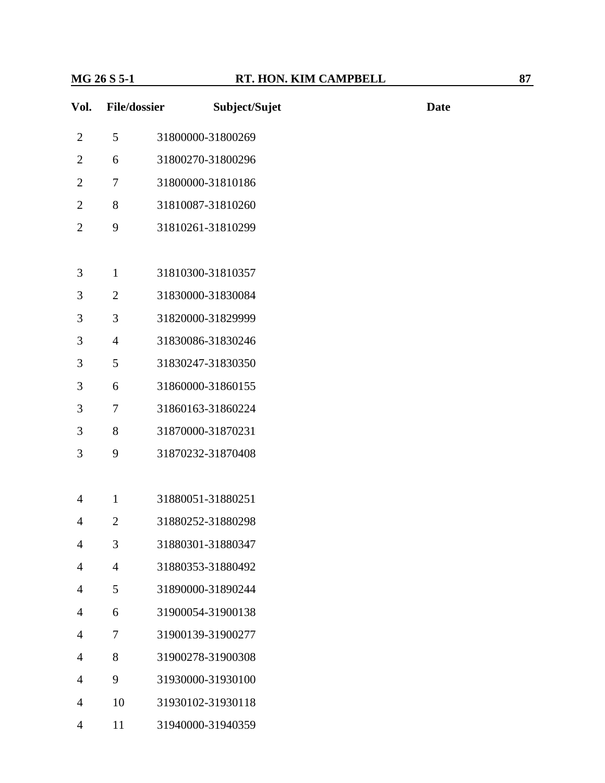| Vol.           | <b>File/dossier</b> | Subject/Sujet     | <b>Date</b> |
|----------------|---------------------|-------------------|-------------|
| $\overline{2}$ | 5                   | 31800000-31800269 |             |
| $\overline{2}$ | 6                   | 31800270-31800296 |             |
| $\overline{2}$ | $\tau$              | 31800000-31810186 |             |
| $\overline{2}$ | $8\,$               | 31810087-31810260 |             |
| $\overline{2}$ | 9                   | 31810261-31810299 |             |
|                |                     |                   |             |
| 3              | $\mathbf{1}$        | 31810300-31810357 |             |
| 3              | $\overline{2}$      | 31830000-31830084 |             |
| 3              | 3                   | 31820000-31829999 |             |
| 3              | $\overline{4}$      | 31830086-31830246 |             |
| 3              | 5                   | 31830247-31830350 |             |
| 3              | 6                   | 31860000-31860155 |             |
| 3              | 7                   | 31860163-31860224 |             |
| 3              | $8\,$               | 31870000-31870231 |             |
| 3              | 9                   | 31870232-31870408 |             |
|                |                     |                   |             |
| 4              | $\mathbf{1}$        | 31880051-31880251 |             |
| $\overline{4}$ | $\overline{2}$      | 31880252-31880298 |             |
| $\overline{4}$ | 3                   | 31880301-31880347 |             |
| $\overline{4}$ | $\overline{4}$      | 31880353-31880492 |             |
| 4              | 5                   | 31890000-31890244 |             |
| 4              | 6                   | 31900054-31900138 |             |
| 4              | 7                   | 31900139-31900277 |             |
| 4              | 8                   | 31900278-31900308 |             |
| $\overline{4}$ | 9                   | 31930000-31930100 |             |
| $\overline{4}$ | 10                  | 31930102-31930118 |             |
| 4              | 11                  | 31940000-31940359 |             |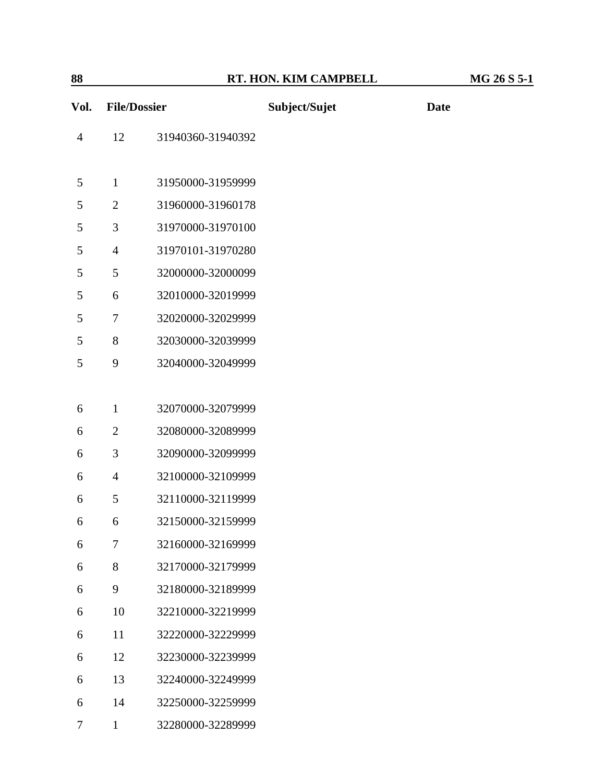|--|

| Vol.           | <b>File/Dossier</b> |                   | Subject/Sujet | <b>Date</b> |
|----------------|---------------------|-------------------|---------------|-------------|
| $\overline{4}$ | 12                  | 31940360-31940392 |               |             |
| 5              | $\mathbf{1}$        | 31950000-31959999 |               |             |
| 5              | $\overline{2}$      | 31960000-31960178 |               |             |
| 5              | 3                   | 31970000-31970100 |               |             |
|                |                     |                   |               |             |
| 5              | $\overline{4}$      | 31970101-31970280 |               |             |
| 5              | 5                   | 32000000-32000099 |               |             |
| 5              | 6                   | 32010000-32019999 |               |             |
| 5              | 7                   | 32020000-32029999 |               |             |
| 5              | 8                   | 32030000-32039999 |               |             |
| 5              | 9                   | 32040000-32049999 |               |             |
|                |                     |                   |               |             |
| 6              | $\mathbf{1}$        | 32070000-32079999 |               |             |
| 6              | $\overline{2}$      | 32080000-32089999 |               |             |
| 6              | 3                   | 32090000-32099999 |               |             |
| 6              | $\overline{4}$      | 32100000-32109999 |               |             |
| 6              | 5                   | 32110000-32119999 |               |             |
| 6              | 6                   | 32150000-32159999 |               |             |
| 6              | $\tau$              | 32160000-32169999 |               |             |
| 6              | 8                   | 32170000-32179999 |               |             |
| 6              | 9                   | 32180000-32189999 |               |             |
| 6              | 10                  | 32210000-32219999 |               |             |
| 6              | 11                  | 32220000-32229999 |               |             |
| 6              | 12                  | 32230000-32239999 |               |             |
| 6              | 13                  | 32240000-32249999 |               |             |
| 6              | 14                  | 32250000-32259999 |               |             |
| 7              | $\mathbf{1}$        | 32280000-32289999 |               |             |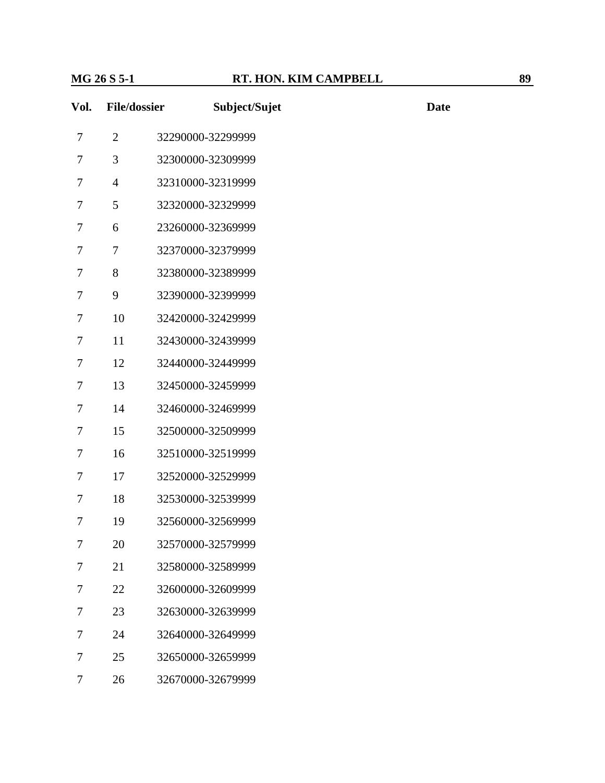| Vol.   | <b>File/dossier</b> |                   | Subject/Sujet | <b>Date</b> |
|--------|---------------------|-------------------|---------------|-------------|
| $\tau$ | $\overline{2}$      | 32290000-32299999 |               |             |
| 7      | 3                   | 32300000-32309999 |               |             |
| 7      | $\overline{4}$      | 32310000-32319999 |               |             |
| 7      | 5                   | 32320000-32329999 |               |             |
| $\tau$ | 6                   | 23260000-32369999 |               |             |
| $\tau$ | $\tau$              | 32370000-32379999 |               |             |
| 7      | 8                   | 32380000-32389999 |               |             |
| 7      | 9                   | 32390000-32399999 |               |             |
| 7      | 10                  | 32420000-32429999 |               |             |
| $\tau$ | 11                  | 32430000-32439999 |               |             |
| $\tau$ | 12                  | 32440000-32449999 |               |             |
| $\tau$ | 13                  | 32450000-32459999 |               |             |
| 7      | 14                  | 32460000-32469999 |               |             |
| 7      | 15                  | 32500000-32509999 |               |             |
| $\tau$ | 16                  | 32510000-32519999 |               |             |
| $\tau$ | 17                  | 32520000-32529999 |               |             |
| $\tau$ | 18                  | 32530000-32539999 |               |             |
| 7      | 19                  | 32560000-32569999 |               |             |
| 7      | 20                  | 32570000-32579999 |               |             |
| 7      | 21                  | 32580000-32589999 |               |             |
| 7      | 22                  | 32600000-32609999 |               |             |
| 7      | 23                  | 32630000-32639999 |               |             |
| 7      | 24                  | 32640000-32649999 |               |             |
| 7      | 25                  | 32650000-32659999 |               |             |
| $\tau$ | 26                  | 32670000-32679999 |               |             |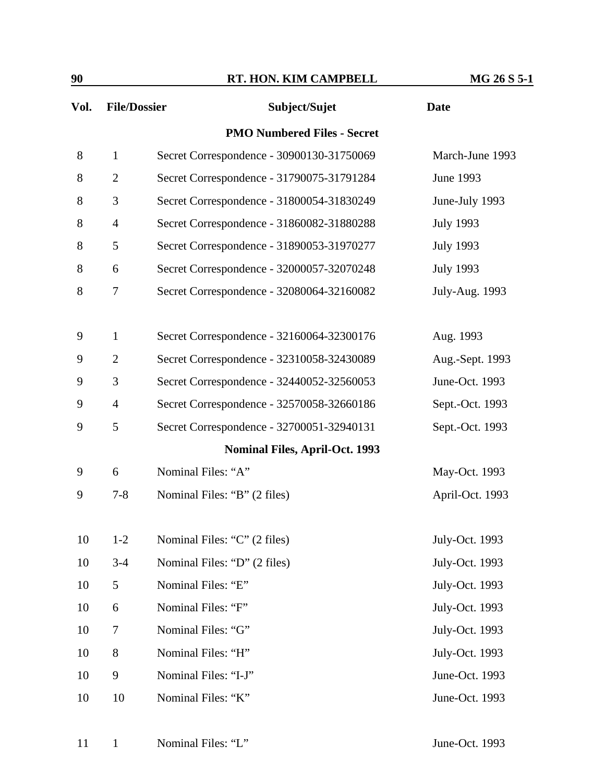| 90   |                     | RT. HON. KIM CAMPBELL                     | MG 26 S 5-1      |
|------|---------------------|-------------------------------------------|------------------|
| Vol. | <b>File/Dossier</b> | Subject/Sujet                             | <b>Date</b>      |
|      |                     | <b>PMO Numbered Files - Secret</b>        |                  |
| 8    | $\mathbf{1}$        | Secret Correspondence - 30900130-31750069 | March-June 1993  |
| 8    | $\overline{2}$      | Secret Correspondence - 31790075-31791284 | June 1993        |
| 8    | 3                   | Secret Correspondence - 31800054-31830249 | June-July 1993   |
| 8    | $\overline{4}$      | Secret Correspondence - 31860082-31880288 | <b>July 1993</b> |
| 8    | 5                   | Secret Correspondence - 31890053-31970277 | <b>July 1993</b> |
| 8    | 6                   | Secret Correspondence - 32000057-32070248 | <b>July 1993</b> |
| 8    | 7                   | Secret Correspondence - 32080064-32160082 | July-Aug. 1993   |
|      |                     |                                           |                  |
| 9    | $\mathbf{1}$        | Secret Correspondence - 32160064-32300176 | Aug. 1993        |
| 9    | $\overline{2}$      | Secret Correspondence - 32310058-32430089 | Aug.-Sept. 1993  |
| 9    | 3                   | Secret Correspondence - 32440052-32560053 | June-Oct. 1993   |
| 9    | $\overline{4}$      | Secret Correspondence - 32570058-32660186 | Sept.-Oct. 1993  |
| 9    | 5                   | Secret Correspondence - 32700051-32940131 | Sept.-Oct. 1993  |
|      |                     | <b>Nominal Files, April-Oct. 1993</b>     |                  |
| 9    | 6                   | Nominal Files: "A"                        | May-Oct. 1993    |
| 9    | $7 - 8$             | Nominal Files: "B" (2 files)              | April-Oct. 1993  |
|      |                     |                                           |                  |
| 10   | $1 - 2$             | Nominal Files: "C" (2 files)              | July-Oct. 1993   |
| 10   | $3 - 4$             | Nominal Files: "D" (2 files)              | July-Oct. 1993   |
| 10   | 5                   | Nominal Files: "E"                        | July-Oct. 1993   |
| 10   | 6                   | Nominal Files: "F"                        | July-Oct. 1993   |
| 10   | $\tau$              | Nominal Files: "G"                        | July-Oct. 1993   |
| 10   | 8                   | Nominal Files: "H"                        | July-Oct. 1993   |

10 9 Nominal Files: "I-J" June-Oct. 1993 10 10 Nominal Files: "K" June-Oct. 1993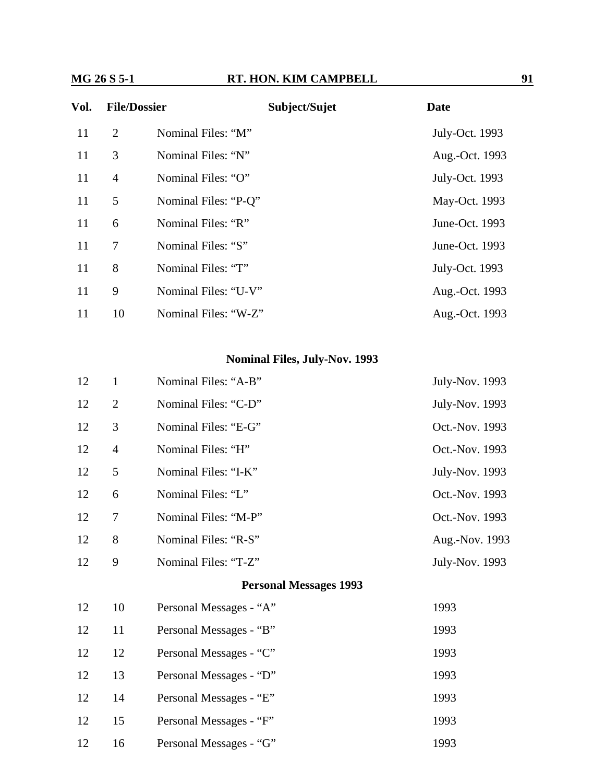## **MG 26 S 5-1 RT. HON. KIM CAMPBELL 91**

| Vol. | <b>File/Dossier</b> |                      | Subject/Sujet | <b>Date</b>    |
|------|---------------------|----------------------|---------------|----------------|
| 11   | $\overline{2}$      | Nominal Files: "M"   |               | July-Oct. 1993 |
| 11   | 3                   | Nominal Files: "N"   |               | Aug.-Oct. 1993 |
| 11   | $\overline{4}$      | Nominal Files: "O"   |               | July-Oct. 1993 |
| 11   | 5                   | Nominal Files: "P-Q" |               | May-Oct. 1993  |
| 11   | 6                   | Nominal Files: "R"   |               | June-Oct. 1993 |
| 11   | 7                   | Nominal Files: "S"   |               | June-Oct. 1993 |
| 11   | 8                   | Nominal Files: "T"   |               | July-Oct. 1993 |
| 11   | 9                   | Nominal Files: "U-V" |               | Aug.-Oct. 1993 |
| 11   | 10                  | Nominal Files: "W-Z" |               | Aug.-Oct. 1993 |

### **Nominal Files, July-Nov. 1993**

| 12 | $\mathbf{1}$   | Nominal Files: "A-B"          | July-Nov. 1993 |
|----|----------------|-------------------------------|----------------|
| 12 | $\overline{2}$ | Nominal Files: "C-D"          | July-Nov. 1993 |
| 12 | 3              | Nominal Files: "E-G"          | Oct.-Nov. 1993 |
| 12 | $\overline{4}$ | Nominal Files: "H"            | Oct.-Nov. 1993 |
| 12 | 5              | Nominal Files: "I-K"          | July-Nov. 1993 |
| 12 | 6              | Nominal Files: "L"            | Oct.-Nov. 1993 |
| 12 | 7              | Nominal Files: "M-P"          | Oct.-Nov. 1993 |
| 12 | 8              | Nominal Files: "R-S"          | Aug.-Nov. 1993 |
| 12 | 9              | Nominal Files: "T-Z"          | July-Nov. 1993 |
|    |                | <b>Personal Messages 1993</b> |                |
| 12 | 10             | Personal Messages - "A"       | 1993           |
| 12 | 11             | Personal Messages - "B"       | 1993           |
| 12 | 12             | Personal Messages - "C"       | 1993           |
| 12 | 13             | Personal Messages - "D"       | 1993           |
| 12 | 14             | Personal Messages - "E"       | 1993           |
| 12 | 15             | Personal Messages - "F"       | 1993           |
| 12 | 16             | Personal Messages - "G"       | 1993           |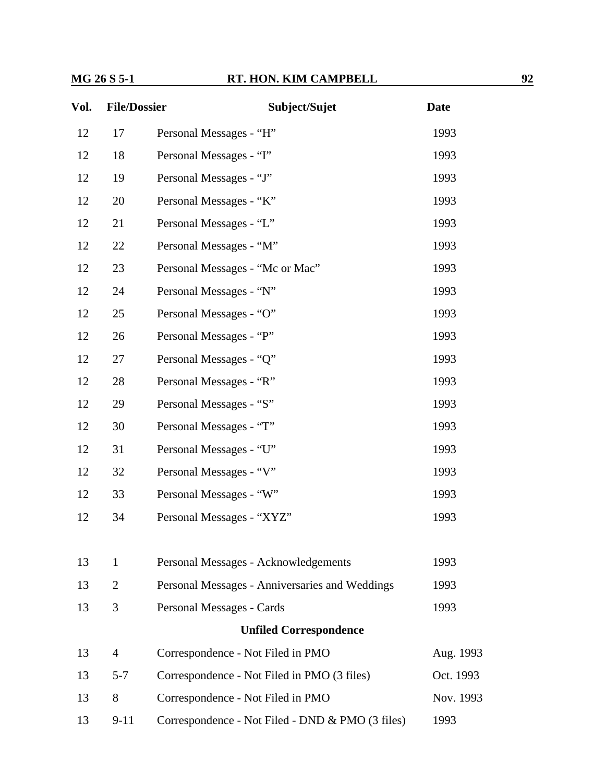## **MG 26 S 5-1 RT. HON. KIM CAMPBELL 92**

| Vol. | <b>File/Dossier</b> | Subject/Sujet                                    | <b>Date</b> |
|------|---------------------|--------------------------------------------------|-------------|
| 12   | 17                  | Personal Messages - "H"                          | 1993        |
| 12   | 18                  | Personal Messages - "I"                          | 1993        |
| 12   | 19                  | Personal Messages - "J"                          | 1993        |
| 12   | 20                  | Personal Messages - "K"                          | 1993        |
| 12   | 21                  | Personal Messages - "L"                          | 1993        |
| 12   | 22                  | Personal Messages - "M"                          | 1993        |
| 12   | 23                  | Personal Messages - "Mc or Mac"                  | 1993        |
| 12   | 24                  | Personal Messages - "N"                          | 1993        |
| 12   | 25                  | Personal Messages - "O"                          | 1993        |
| 12   | 26                  | Personal Messages - "P"                          | 1993        |
| 12   | 27                  | Personal Messages - "Q"                          | 1993        |
| 12   | 28                  | Personal Messages - "R"                          | 1993        |
| 12   | 29                  | Personal Messages - "S"                          | 1993        |
| 12   | 30                  | Personal Messages - "T"                          | 1993        |
| 12   | 31                  | Personal Messages - "U"                          | 1993        |
| 12   | 32                  | Personal Messages - "V"                          | 1993        |
| 12   | 33                  | Personal Messages - "W"                          | 1993        |
| 12   | 34                  | Personal Messages - "XYZ"                        | 1993        |
|      |                     |                                                  |             |
| 13   | 1                   | Personal Messages - Acknowledgements             | 1993        |
| 13   | $\overline{2}$      | Personal Messages - Anniversaries and Weddings   | 1993        |
| 13   | 3                   | Personal Messages - Cards                        | 1993        |
|      |                     | <b>Unfiled Correspondence</b>                    |             |
| 13   | $\overline{4}$      | Correspondence - Not Filed in PMO                | Aug. 1993   |
| 13   | $5 - 7$             | Correspondence - Not Filed in PMO (3 files)      | Oct. 1993   |
| 13   | 8                   | Correspondence - Not Filed in PMO                | Nov. 1993   |
| 13   | $9 - 11$            | Correspondence - Not Filed - DND & PMO (3 files) | 1993        |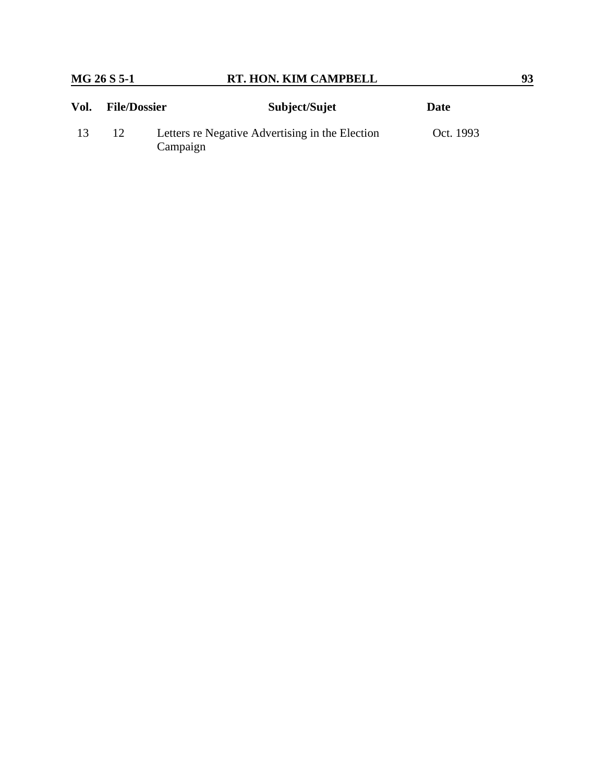| Vol. | <b>File/Dossier</b> | Subject/Sujet                                               | <b>Date</b> |
|------|---------------------|-------------------------------------------------------------|-------------|
| 13   | 12                  | Letters re Negative Advertising in the Election<br>Campaign | Oct. 1993   |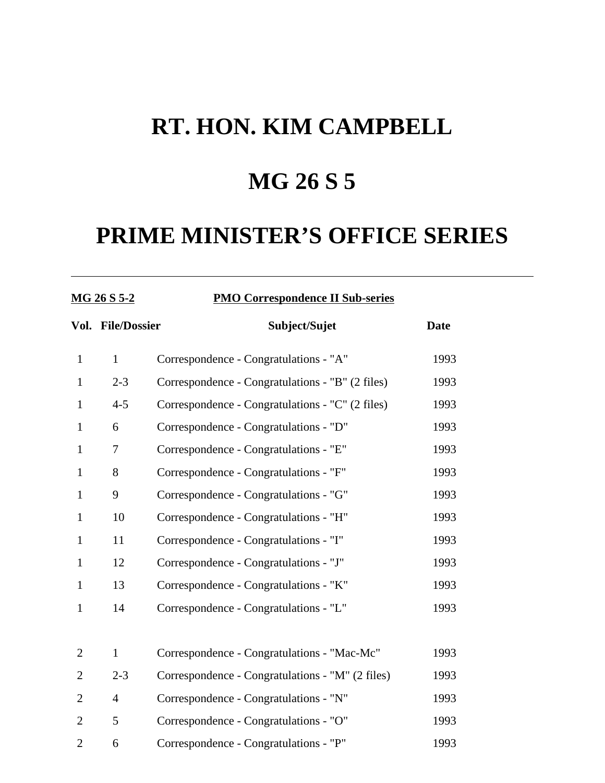## **MG 26 S 5**

## **PRIME MINISTER'S OFFICE SERIES**

### **MG 26 S 5-2 PMO Correspondence II Sub-series**

|                | Vol. File/Dossier | Subject/Sujet                                    | <b>Date</b> |
|----------------|-------------------|--------------------------------------------------|-------------|
| $\mathbf{1}$   | $\mathbf{1}$      | Correspondence - Congratulations - "A"           | 1993        |
| $\mathbf{1}$   | $2 - 3$           | Correspondence - Congratulations - "B" (2 files) | 1993        |
| 1              | $4 - 5$           | Correspondence - Congratulations - "C" (2 files) | 1993        |
| $\mathbf{1}$   | 6                 | Correspondence - Congratulations - "D"           | 1993        |
| $\mathbf{1}$   | 7                 | Correspondence - Congratulations - "E"           | 1993        |
| $\mathbf{1}$   | 8                 | Correspondence - Congratulations - "F"           | 1993        |
| $\mathbf{1}$   | 9                 | Correspondence - Congratulations - "G"           | 1993        |
| $\mathbf{1}$   | 10                | Correspondence - Congratulations - "H"           | 1993        |
| $\mathbf{1}$   | 11                | Correspondence - Congratulations - "I"           | 1993        |
| $\mathbf{1}$   | 12                | Correspondence - Congratulations - "J"           | 1993        |
| $\mathbf{1}$   | 13                | Correspondence - Congratulations - "K"           | 1993        |
| $\mathbf{1}$   | 14                | Correspondence - Congratulations - "L"           | 1993        |
|                |                   |                                                  |             |
| $\overline{2}$ | $\mathbf{1}$      | Correspondence - Congratulations - "Mac-Mc"      | 1993        |
| $\overline{2}$ | $2 - 3$           | Correspondence - Congratulations - "M" (2 files) | 1993        |
| $\overline{2}$ | $\overline{4}$    | Correspondence - Congratulations - "N"           | 1993        |
| $\overline{2}$ | 5                 | Correspondence - Congratulations - "O"           | 1993        |
| $\overline{2}$ | 6                 | Correspondence - Congratulations - "P"           | 1993        |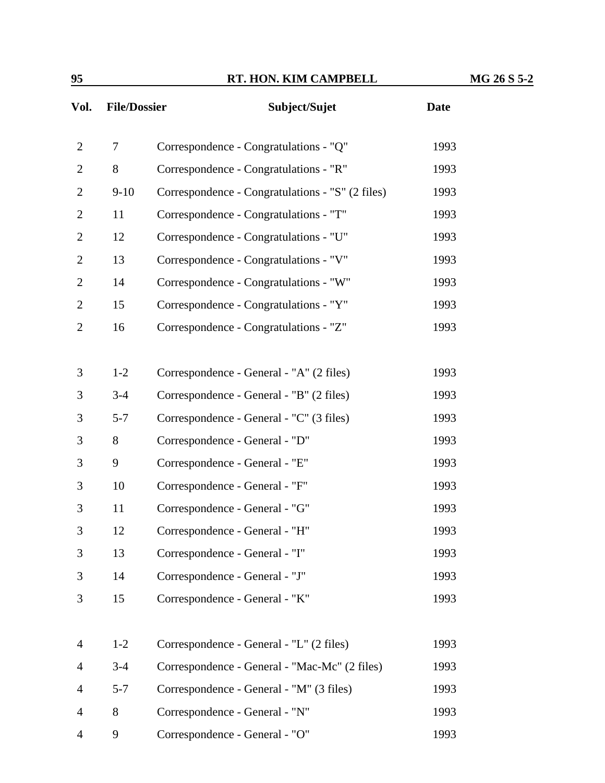| 95             |                     | RT. HON. KIM CAMPBELL                            |             | MG 26 S 5-2 |
|----------------|---------------------|--------------------------------------------------|-------------|-------------|
| Vol.           | <b>File/Dossier</b> | Subject/Sujet                                    | <b>Date</b> |             |
| $\overline{2}$ | 7                   | Correspondence - Congratulations - "Q"           | 1993        |             |
| $\mathbf{2}$   | 8                   | Correspondence - Congratulations - "R"           | 1993        |             |
| $\overline{2}$ | $9 - 10$            | Correspondence - Congratulations - "S" (2 files) | 1993        |             |
| $\overline{2}$ | 11                  | Correspondence - Congratulations - "T"           | 1993        |             |
| $\overline{2}$ | 12                  | Correspondence - Congratulations - "U"           | 1993        |             |
| $\overline{2}$ | 13                  | Correspondence - Congratulations - "V"           | 1993        |             |
| $\overline{2}$ | 14                  | Correspondence - Congratulations - "W"           | 1993        |             |
| $\overline{2}$ | 15                  | Correspondence - Congratulations - "Y"           | 1993        |             |
| $\overline{2}$ | 16                  | Correspondence - Congratulations - "Z"           | 1993        |             |
| 3              | $1 - 2$             | Correspondence - General - "A" (2 files)         | 1993        |             |
| 3              | $3-4$               | Correspondence - General - "B" (2 files)         | 1993        |             |
| 3              | $5 - 7$             | Correspondence - General - "C" (3 files)         | 1993        |             |
| 3              | 8                   | Correspondence - General - "D"                   | 1993        |             |
| 3              | 9                   | Correspondence - General - "E"                   | 1993        |             |
| 3              | 10                  | Correspondence - General - "F"                   | 1993        |             |
| 3              | 11                  | Correspondence - General - "G"                   | 1993        |             |
| 3              | 12                  | Correspondence - General - "H"                   | 1993        |             |
| 3              | 13                  | Correspondence - General - "I"                   | 1993        |             |
| 3              | 14                  | Correspondence - General - "J"                   | 1993        |             |
| 3              | 15                  | Correspondence - General - "K"                   | 1993        |             |

| 4              | $1-2$        | Correspondence - General - "L" (2 files)      | 1993 |
|----------------|--------------|-----------------------------------------------|------|
| $\overline{4}$ | $3-4$        | Correspondence - General - "Mac-Mc" (2 files) | 1993 |
| 4              | $5 - 7$      | Correspondence - General - "M" (3 files)      | 1993 |
|                | $\mathbf{8}$ | Correspondence - General - "N"                | 1993 |
|                |              | Correspondence - General - "O"                | 1993 |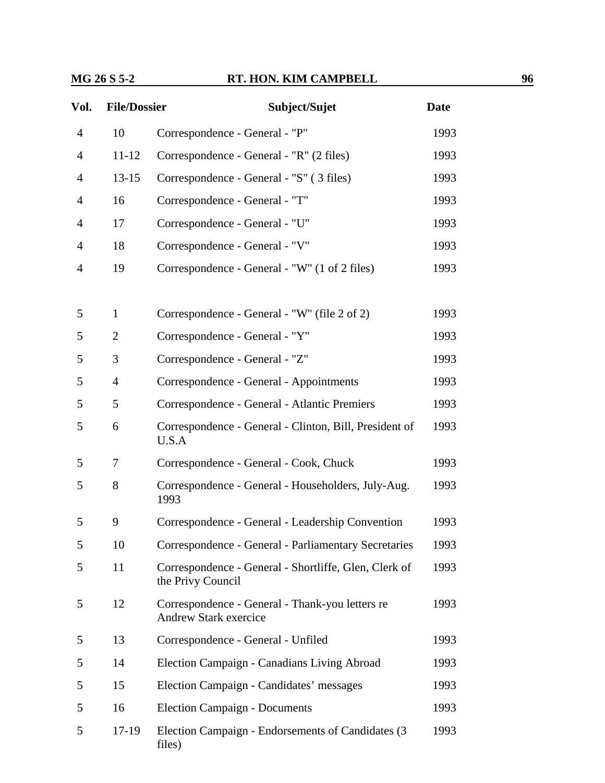### **MG 26 S 5-2 RT. HON. KIM CAMPBELL 96**

| Vol.           | <b>File/Dossier</b> | Subject/Sujet                                                                   | <b>Date</b> |
|----------------|---------------------|---------------------------------------------------------------------------------|-------------|
| $\overline{4}$ | 10                  | Correspondence - General - "P"                                                  | 1993        |
| $\overline{4}$ | $11 - 12$           | Correspondence - General - "R" (2 files)                                        | 1993        |
| $\overline{4}$ | $13 - 15$           | Correspondence - General - "S" (3 files)                                        | 1993        |
| 4              | 16                  | Correspondence - General - "T"                                                  | 1993        |
| 4              | 17                  | Correspondence - General - "U"                                                  | 1993        |
| 4              | 18                  | Correspondence - General - "V"                                                  | 1993        |
| $\overline{4}$ | 19                  | Correspondence - General - "W" (1 of 2 files)                                   | 1993        |
| 5              | $\mathbf{1}$        | Correspondence - General - "W" (file 2 of 2)                                    | 1993        |
| 5              | 2                   | Correspondence - General - "Y"                                                  | 1993        |
| 5              | 3                   | Correspondence - General - "Z"                                                  | 1993        |
| 5              | $\overline{4}$      | Correspondence - General - Appointments                                         | 1993        |
| 5              | 5                   | Correspondence - General - Atlantic Premiers                                    | 1993        |
| 5              | 6                   | Correspondence - General - Clinton, Bill, President of<br>U.S.A                 | 1993        |
| 5              | 7                   | Correspondence - General - Cook, Chuck                                          | 1993        |
| 5              | 8                   | Correspondence - General - Householders, July-Aug.<br>1993                      | 1993        |
| 5              | 9                   | Correspondence - General - Leadership Convention                                | 1993        |
| 5              | 10                  | Correspondence - General - Parliamentary Secretaries                            | 1993        |
| 5              | 11                  | Correspondence - General - Shortliffe, Glen, Clerk of<br>the Privy Council      | 1993        |
| 5              | 12                  | Correspondence - General - Thank-you letters re<br><b>Andrew Stark exercice</b> | 1993        |
| 5              | 13                  | Correspondence - General - Unfiled                                              | 1993        |
| 5              | 14                  | Election Campaign - Canadians Living Abroad                                     | 1993        |
| 5              | 15                  | Election Campaign - Candidates' messages                                        | 1993        |
| 5              | 16                  | <b>Election Campaign - Documents</b>                                            | 1993        |
| 5              | $17-19$             | Election Campaign - Endorsements of Candidates (3)<br>files)                    | 1993        |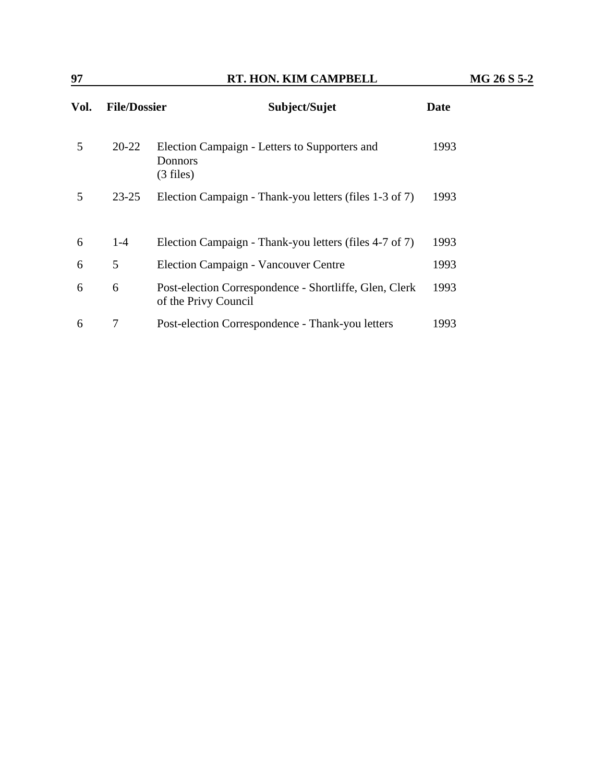| Vol. | <b>File/Dossier</b> | Subject/Sujet                                                                  | <b>Date</b> |
|------|---------------------|--------------------------------------------------------------------------------|-------------|
| 5    | 20-22               | Election Campaign - Letters to Supporters and<br><b>Donnors</b><br>$(3$ files) | 1993        |
| 5    | $23 - 25$           | Election Campaign - Thank-you letters (files 1-3 of 7)                         | 1993        |
| 6    | $1 - 4$             | Election Campaign - Thank-you letters (files 4-7 of 7)                         | 1993        |
| 6    | 5                   | <b>Election Campaign - Vancouver Centre</b>                                    | 1993        |
| 6    | 6                   | Post-election Correspondence - Shortliffe, Glen, Clerk<br>of the Privy Council | 1993        |
| 6    | 7                   | Post-election Correspondence - Thank-you letters                               | 1993        |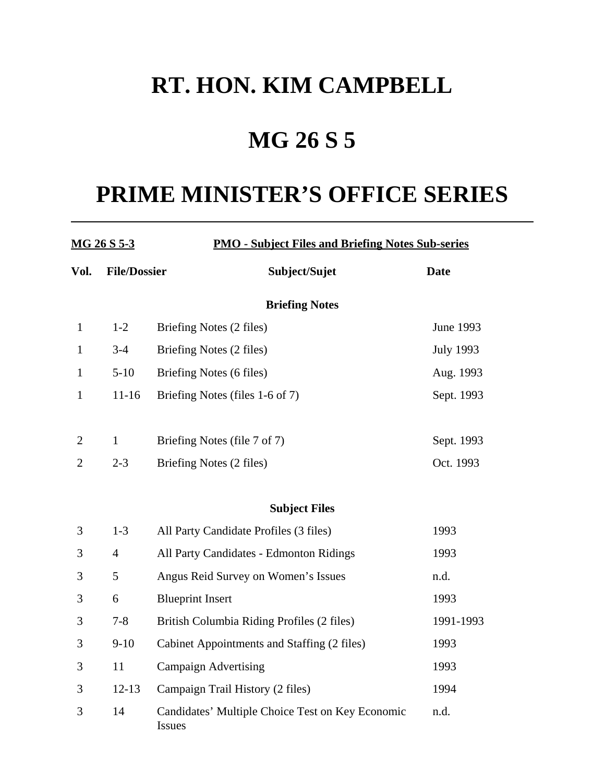# **MG 26 S 5**

## **PRIME MINISTER'S OFFICE SERIES**

| MG 26 S 5-3    |                     | <b>PMO - Subject Files and Briefing Notes Sub-series</b>   |                  |  |  |
|----------------|---------------------|------------------------------------------------------------|------------------|--|--|
| Vol.           | <b>File/Dossier</b> | Subject/Sujet                                              | <b>Date</b>      |  |  |
|                |                     | <b>Briefing Notes</b>                                      |                  |  |  |
| $\mathbf{1}$   | $1 - 2$             | Briefing Notes (2 files)                                   | June 1993        |  |  |
| $\mathbf{1}$   | $3-4$               | Briefing Notes (2 files)                                   | <b>July 1993</b> |  |  |
| $\mathbf{1}$   | $5-10$              | Briefing Notes (6 files)                                   | Aug. 1993        |  |  |
| $\mathbf{1}$   | $11 - 16$           | Briefing Notes (files 1-6 of 7)                            | Sept. 1993       |  |  |
| $\overline{2}$ | $\mathbf{1}$        | Briefing Notes (file 7 of 7)                               | Sept. 1993       |  |  |
| $\mathbf{2}$   | $2 - 3$             | Briefing Notes (2 files)                                   | Oct. 1993        |  |  |
|                |                     | <b>Subject Files</b>                                       |                  |  |  |
| 3              | $1 - 3$             | All Party Candidate Profiles (3 files)                     | 1993             |  |  |
| 3              | $\overline{4}$      | All Party Candidates - Edmonton Ridings                    | 1993             |  |  |
| 3              | 5                   | Angus Reid Survey on Women's Issues                        | n.d.             |  |  |
| 3              | 6                   | <b>Blueprint Insert</b>                                    | 1993             |  |  |
| 3              | $7 - 8$             | British Columbia Riding Profiles (2 files)                 | 1991-1993        |  |  |
| 3              | $9-10$              | Cabinet Appointments and Staffing (2 files)                | 1993             |  |  |
| 3              | 11                  | <b>Campaign Advertising</b>                                | 1993             |  |  |
| 3              | $12 - 13$           | Campaign Trail History (2 files)                           | 1994             |  |  |
| 3              | 14                  | Candidates' Multiple Choice Test on Key Economic<br>Issues | n.d.             |  |  |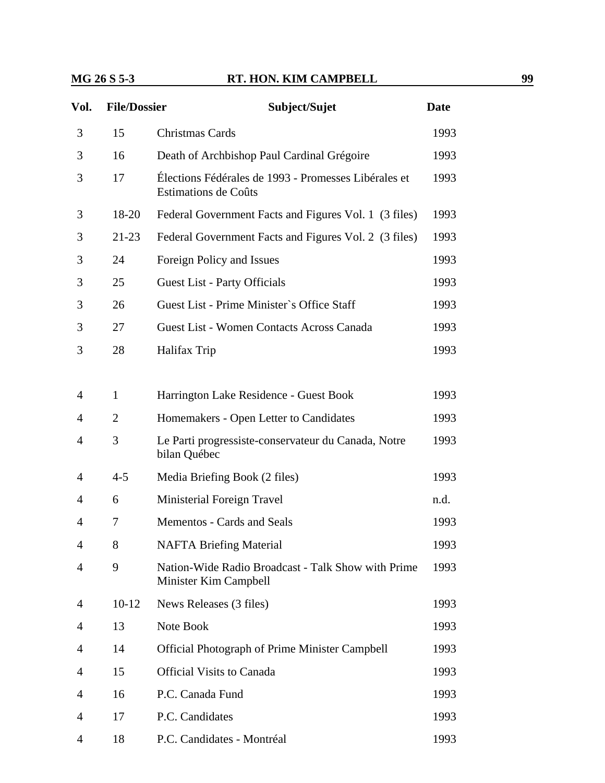### **MG 26 S 5-3 RT. HON. KIM CAMPBELL 99**

| Vol. | <b>File/Dossier</b> | Subject/Sujet                                                                | <b>Date</b> |
|------|---------------------|------------------------------------------------------------------------------|-------------|
| 3    | 15                  | Christmas Cards                                                              | 1993        |
| 3    | 16                  | Death of Archbishop Paul Cardinal Grégoire                                   | 1993        |
| 3    | 17                  | Élections Fédérales de 1993 - Promesses Libérales et<br>Estimations de Coûts | 1993        |
| 3    | 18-20               | Federal Government Facts and Figures Vol. 1 (3 files)                        | 1993        |
| 3    | 21-23               | Federal Government Facts and Figures Vol. 2 (3 files)                        | 1993        |
| 3    | 24                  | Foreign Policy and Issues                                                    | 1993        |
| 3    | 25                  | <b>Guest List - Party Officials</b>                                          | 1993        |
| 3    | 26                  | Guest List - Prime Minister's Office Staff                                   | 1993        |
| 3    | 27                  | Guest List - Women Contacts Across Canada                                    | 1993        |
| 3    | 28                  | Halifax Trip                                                                 | 1993        |
|      |                     |                                                                              |             |
| 4    | $\mathbf{1}$        | Harrington Lake Residence - Guest Book                                       | 1993        |
| 4    | $\overline{2}$      | Homemakers - Open Letter to Candidates                                       | 1993        |
| 4    | 3                   | Le Parti progressiste-conservateur du Canada, Notre<br>bilan Québec          | 1993        |
| 4    | $4 - 5$             | Media Briefing Book (2 files)                                                | 1993        |
| 4    | 6                   | Ministerial Foreign Travel                                                   | n.d.        |
| 4    | 7                   | Mementos - Cards and Seals                                                   | 1993        |
| 4    | 8                   | <b>NAFTA Briefing Material</b>                                               | 1993        |
| 4    | 9                   | Nation-Wide Radio Broadcast - Talk Show with Prime<br>Minister Kim Campbell  | 1993        |
| 4    | $10-12$             | News Releases (3 files)                                                      | 1993        |
| 4    | 13                  | Note Book                                                                    | 1993        |
| 4    | 14                  | <b>Official Photograph of Prime Minister Campbell</b>                        | 1993        |
| 4    | 15                  | <b>Official Visits to Canada</b>                                             | 1993        |
| 4    | 16                  | P.C. Canada Fund                                                             | 1993        |
| 4    | 17                  | P.C. Candidates                                                              | 1993        |
| 4    | 18                  | P.C. Candidates - Montréal                                                   | 1993        |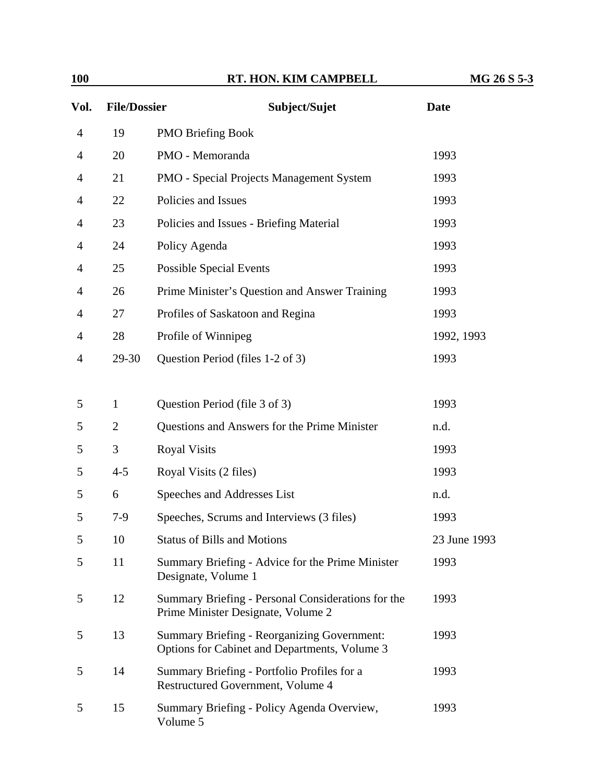| <b>100</b>     |                     | RT. HON. KIM CAMPBELL                                                                               | MG 26 S 5-3  |
|----------------|---------------------|-----------------------------------------------------------------------------------------------------|--------------|
| Vol.           | <b>File/Dossier</b> | Subject/Sujet                                                                                       | <b>Date</b>  |
| $\overline{4}$ | 19                  | <b>PMO Briefing Book</b>                                                                            |              |
| 4              | 20                  | PMO - Memoranda                                                                                     | 1993         |
| 4              | 21                  | PMO - Special Projects Management System                                                            | 1993         |
| 4              | 22                  | Policies and Issues                                                                                 | 1993         |
| 4              | 23                  | Policies and Issues - Briefing Material                                                             | 1993         |
| 4              | 24                  | Policy Agenda                                                                                       | 1993         |
| 4              | 25                  | <b>Possible Special Events</b>                                                                      | 1993         |
| 4              | 26                  | Prime Minister's Question and Answer Training                                                       | 1993         |
| 4              | 27                  | Profiles of Saskatoon and Regina                                                                    | 1993         |
| 4              | 28                  | Profile of Winnipeg                                                                                 | 1992, 1993   |
| 4              | 29-30               | Question Period (files 1-2 of 3)                                                                    | 1993         |
|                |                     |                                                                                                     |              |
| 5              | $\mathbf{1}$        | Question Period (file 3 of 3)                                                                       | 1993         |
| 5              | $\overline{2}$      | Questions and Answers for the Prime Minister                                                        | n.d.         |
| 5              | 3                   | <b>Royal Visits</b>                                                                                 | 1993         |
| 5              | $4 - 5$             | Royal Visits (2 files)                                                                              | 1993         |
| 5              | 6                   | Speeches and Addresses List                                                                         | n.d.         |
| 5              | $7-9$               | Speeches, Scrums and Interviews (3 files)                                                           | 1993         |
| 5              | 10                  | <b>Status of Bills and Motions</b>                                                                  | 23 June 1993 |
| 5              | 11                  | Summary Briefing - Advice for the Prime Minister<br>Designate, Volume 1                             | 1993         |
| 5              | 12                  | Summary Briefing - Personal Considerations for the<br>Prime Minister Designate, Volume 2            | 1993         |
| 5              | 13                  | <b>Summary Briefing - Reorganizing Government:</b><br>Options for Cabinet and Departments, Volume 3 | 1993         |
| 5              | 14                  | Summary Briefing - Portfolio Profiles for a<br>Restructured Government, Volume 4                    | 1993         |
| 5              | 15                  | Summary Briefing - Policy Agenda Overview,<br>Volume 5                                              | 1993         |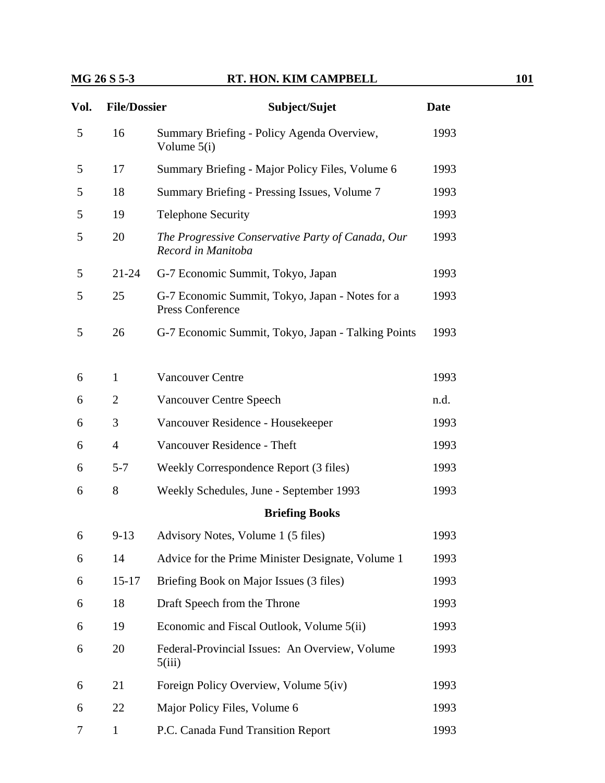### **MG 26 S 5-3 RT. HON. KIM CAMPBELL 101**

| Vol. | <b>File/Dossier</b> | Subject/Sujet                                                                      | <b>Date</b> |
|------|---------------------|------------------------------------------------------------------------------------|-------------|
| 5    | 16                  | Summary Briefing - Policy Agenda Overview,<br>Volume $5(i)$                        | 1993        |
| 5    | 17                  | Summary Briefing - Major Policy Files, Volume 6                                    | 1993        |
| 5    | 18                  | Summary Briefing - Pressing Issues, Volume 7                                       | 1993        |
| 5    | 19                  | <b>Telephone Security</b>                                                          | 1993        |
| 5    | 20                  | The Progressive Conservative Party of Canada, Our<br>Record in Manitoba            | 1993        |
| 5    | $21 - 24$           | G-7 Economic Summit, Tokyo, Japan                                                  | 1993        |
| 5    | 25                  | G-7 Economic Summit, Tokyo, Japan - Notes for a<br>1993<br><b>Press Conference</b> |             |
| 5    | 26                  | G-7 Economic Summit, Tokyo, Japan - Talking Points                                 | 1993        |
| 6    | $\mathbf{1}$        | <b>Vancouver Centre</b>                                                            | 1993        |
| 6    | $\overline{2}$      | <b>Vancouver Centre Speech</b>                                                     | n.d.        |
| 6    | 3                   | Vancouver Residence - Housekeeper                                                  | 1993        |
| 6    | $\overline{4}$      | Vancouver Residence - Theft                                                        | 1993        |
| 6    | $5 - 7$             | Weekly Correspondence Report (3 files)                                             | 1993        |
| 6    | 8                   | Weekly Schedules, June - September 1993                                            | 1993        |
|      |                     | <b>Briefing Books</b>                                                              |             |
| 6    | $9 - 13$            | Advisory Notes, Volume 1 (5 files)                                                 | 1993        |
| 6    | 14                  | Advice for the Prime Minister Designate, Volume 1                                  | 1993        |
| 6    | $15 - 17$           | Briefing Book on Major Issues (3 files)                                            | 1993        |
| 6    | 18                  | Draft Speech from the Throne                                                       | 1993        |
| 6    | 19                  | Economic and Fiscal Outlook, Volume 5(ii)                                          | 1993        |
| 6    | 20                  | Federal-Provincial Issues: An Overview, Volume<br>5(iii)                           | 1993        |
| 6    | 21                  | Foreign Policy Overview, Volume 5(iv)                                              | 1993        |
| 6    | 22                  | Major Policy Files, Volume 6                                                       | 1993        |
| 7    | $\mathbf{1}$        | P.C. Canada Fund Transition Report                                                 | 1993        |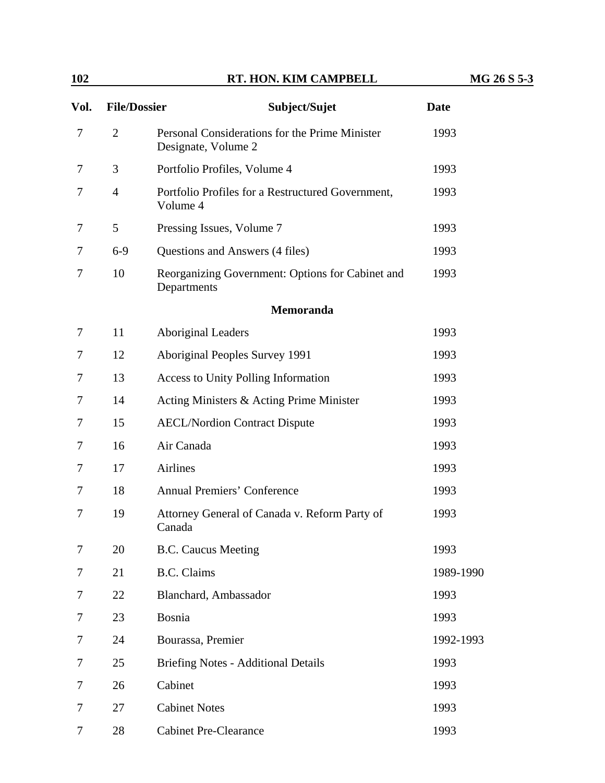| 102  |                     | RT. HON. KIM CAMPBELL                                                 | MG 26 S 5-3 |
|------|---------------------|-----------------------------------------------------------------------|-------------|
| Vol. | <b>File/Dossier</b> | Subject/Sujet                                                         | <b>Date</b> |
| 7    | $\overline{2}$      | Personal Considerations for the Prime Minister<br>Designate, Volume 2 | 1993        |
| 7    | 3                   | Portfolio Profiles, Volume 4                                          | 1993        |
| 7    | $\overline{4}$      | Portfolio Profiles for a Restructured Government,<br>Volume 4         | 1993        |
| 7    | 5                   | Pressing Issues, Volume 7                                             | 1993        |
| 7    | $6-9$               | Questions and Answers (4 files)                                       | 1993        |
| 7    | 10                  | Reorganizing Government: Options for Cabinet and<br>Departments       | 1993        |
|      |                     | Memoranda                                                             |             |
| 7    | 11                  | <b>Aboriginal Leaders</b>                                             | 1993        |
| 7    | 12                  | Aboriginal Peoples Survey 1991                                        | 1993        |
| 7    | 13                  | <b>Access to Unity Polling Information</b>                            | 1993        |
| 7    | 14                  | Acting Ministers & Acting Prime Minister                              | 1993        |
| 7    | 15                  | <b>AECL/Nordion Contract Dispute</b>                                  | 1993        |
| 7    | 16                  | Air Canada                                                            | 1993        |
| 7    | 17                  | Airlines                                                              | 1993        |
| 7    | 18                  | <b>Annual Premiers' Conference</b>                                    | 1993        |
| 7    | 19                  | Attorney General of Canada v. Reform Party of<br>Canada               | 1993        |
| 7    | 20                  | <b>B.C. Caucus Meeting</b>                                            | 1993        |
| 7    | 21                  | <b>B.C.</b> Claims                                                    | 1989-1990   |
| 7    | 22                  | Blanchard, Ambassador                                                 | 1993        |
| 7    | 23                  | Bosnia                                                                | 1993        |
| 7    | 24                  | Bourassa, Premier                                                     | 1992-1993   |
| 7    | 25                  | <b>Briefing Notes - Additional Details</b>                            | 1993        |
| 7    | 26                  | Cabinet                                                               | 1993        |
| 7    | 27                  | <b>Cabinet Notes</b>                                                  | 1993        |
| 7    | 28                  | <b>Cabinet Pre-Clearance</b>                                          | 1993        |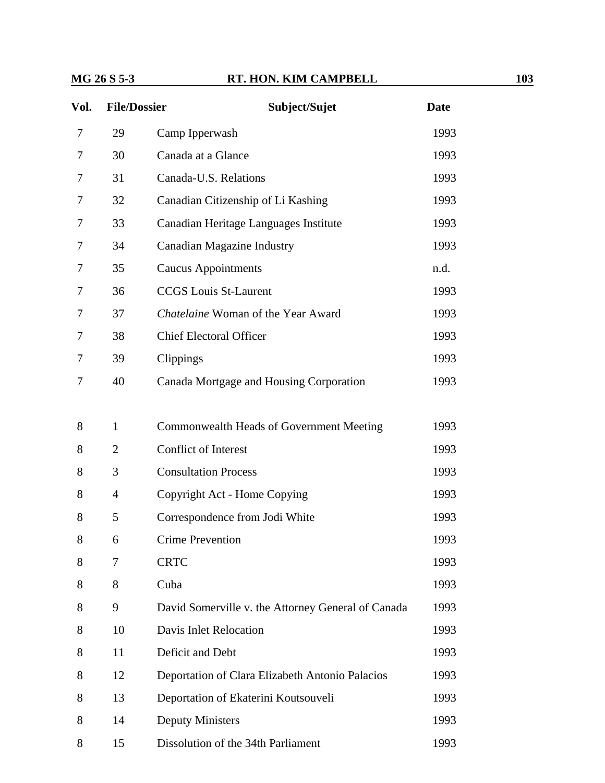### **MG 26 S 5-3 RT. HON. KIM CAMPBELL 103**

| Vol. | <b>File/Dossier</b> | Subject/Sujet                                      | <b>Date</b> |
|------|---------------------|----------------------------------------------------|-------------|
| 7    | 29                  | Camp Ipperwash                                     | 1993        |
| 7    | 30                  | Canada at a Glance                                 | 1993        |
| 7    | 31                  | Canada-U.S. Relations                              | 1993        |
| 7    | 32                  | Canadian Citizenship of Li Kashing                 | 1993        |
| 7    | 33                  | Canadian Heritage Languages Institute              | 1993        |
| 7    | 34                  | <b>Canadian Magazine Industry</b>                  | 1993        |
| 7    | 35                  | <b>Caucus Appointments</b>                         | n.d.        |
| 7    | 36                  | <b>CCGS</b> Louis St-Laurent                       | 1993        |
| 7    | 37                  | Chatelaine Woman of the Year Award                 | 1993        |
| 7    | 38                  | <b>Chief Electoral Officer</b>                     | 1993        |
| 7    | 39                  | Clippings                                          | 1993        |
| 7    | 40                  | Canada Mortgage and Housing Corporation            | 1993        |
|      |                     |                                                    |             |
| 8    | 1                   | Commonwealth Heads of Government Meeting           | 1993        |
| 8    | $\overline{2}$      | Conflict of Interest                               | 1993        |
| 8    | 3                   | <b>Consultation Process</b>                        | 1993        |
| 8    | $\overline{4}$      | Copyright Act - Home Copying                       | 1993        |
| 8    | 5                   | Correspondence from Jodi White                     | 1993        |
| 8    | 6                   | Crime Prevention                                   | 1993        |
| 8    | 7                   | <b>CRTC</b>                                        | 1993        |
| 8    | 8                   | Cuba                                               | 1993        |
| 8    | 9                   | David Somerville v. the Attorney General of Canada | 1993        |
| 8    | 10                  | Davis Inlet Relocation                             | 1993        |
| 8    | 11                  | Deficit and Debt                                   | 1993        |
| 8    | 12                  | Deportation of Clara Elizabeth Antonio Palacios    | 1993        |
| 8    | 13                  | Deportation of Ekaterini Koutsouveli               | 1993        |
| 8    | 14                  | <b>Deputy Ministers</b>                            | 1993        |
| 8    | 15                  | Dissolution of the 34th Parliament                 | 1993        |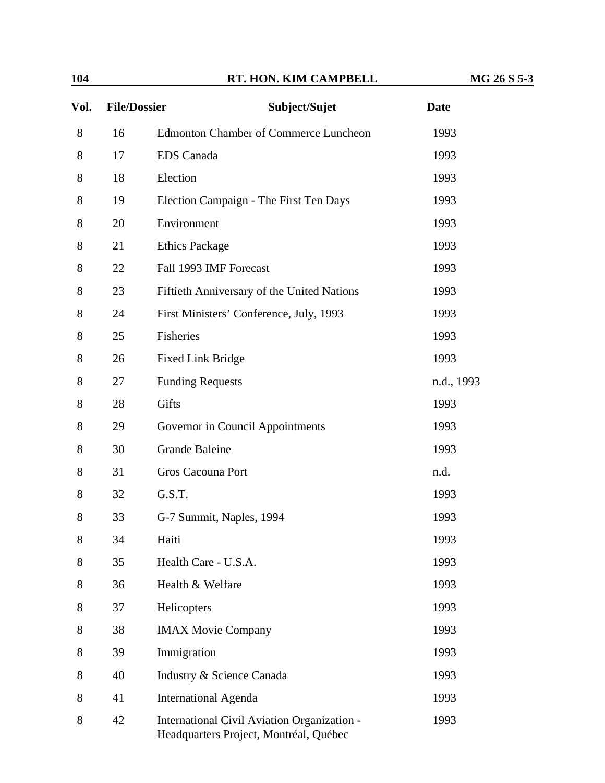| 104  |                     | RT. HON. KIM CAMPBELL                                                                 | MG 26 S 5-3 |
|------|---------------------|---------------------------------------------------------------------------------------|-------------|
| Vol. | <b>File/Dossier</b> | Subject/Sujet                                                                         | <b>Date</b> |
| 8    | 16                  | <b>Edmonton Chamber of Commerce Luncheon</b>                                          | 1993        |
| 8    | 17                  | <b>EDS</b> Canada                                                                     | 1993        |
| 8    | 18                  | Election                                                                              | 1993        |
| 8    | 19                  | Election Campaign - The First Ten Days                                                | 1993        |
| 8    | 20                  | Environment                                                                           | 1993        |
| 8    | 21                  | <b>Ethics Package</b>                                                                 | 1993        |
| 8    | 22                  | Fall 1993 IMF Forecast                                                                | 1993        |
| 8    | 23                  | Fiftieth Anniversary of the United Nations                                            | 1993        |
| 8    | 24                  | First Ministers' Conference, July, 1993                                               | 1993        |
| 8    | 25                  | Fisheries                                                                             | 1993        |
| 8    | 26                  | <b>Fixed Link Bridge</b>                                                              | 1993        |
| 8    | 27                  | <b>Funding Requests</b>                                                               | n.d., 1993  |
| 8    | 28                  | Gifts                                                                                 | 1993        |
| 8    | 29                  | Governor in Council Appointments                                                      | 1993        |
| 8    | 30                  | <b>Grande Baleine</b>                                                                 | 1993        |
| 8    | 31                  | Gros Cacouna Port                                                                     | n.d.        |
| 8    | 32                  | G.S.T.                                                                                | 1993        |
| 8    | 33                  | G-7 Summit, Naples, 1994                                                              | 1993        |
| 8    | 34                  | Haiti                                                                                 | 1993        |
| 8    | 35                  | Health Care - U.S.A.                                                                  | 1993        |
| 8    | 36                  | Health & Welfare                                                                      | 1993        |
| 8    | 37                  | Helicopters                                                                           | 1993        |
| 8    | 38                  | <b>IMAX Movie Company</b>                                                             | 1993        |
| 8    | 39                  | Immigration                                                                           | 1993        |
| 8    | 40                  | Industry & Science Canada                                                             | 1993        |
| 8    | 41                  | <b>International Agenda</b>                                                           | 1993        |
| 8    | 42                  | International Civil Aviation Organization -<br>Headquarters Project, Montréal, Québec | 1993        |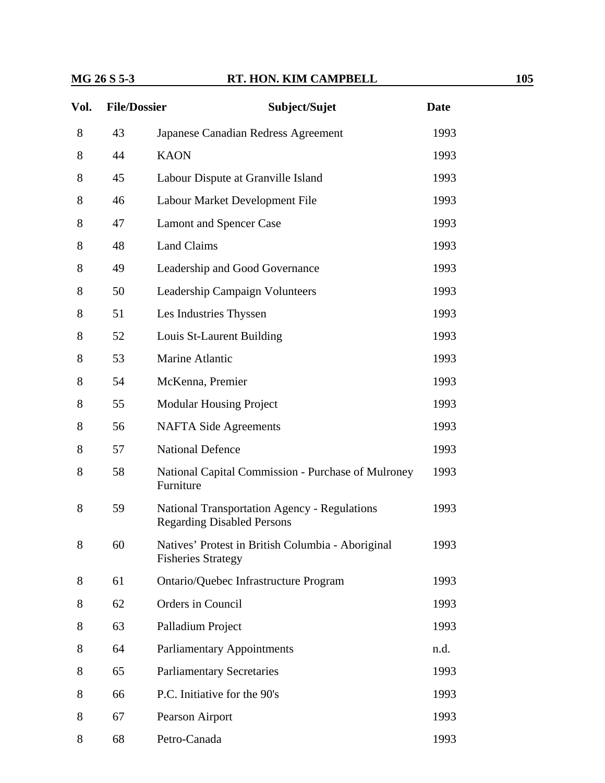#### **MG 26 S 5-3 RT. HON. KIM CAMPBELL 105**

| Vol. | <b>File/Dossier</b> | Subject/Sujet                                                                            | <b>Date</b> |
|------|---------------------|------------------------------------------------------------------------------------------|-------------|
| 8    | 43                  | Japanese Canadian Redress Agreement                                                      | 1993        |
| 8    | 44                  | <b>KAON</b>                                                                              | 1993        |
| 8    | 45                  | Labour Dispute at Granville Island                                                       | 1993        |
| 8    | 46                  | Labour Market Development File                                                           | 1993        |
| 8    | 47                  | <b>Lamont and Spencer Case</b>                                                           | 1993        |
| 8    | 48                  | <b>Land Claims</b>                                                                       | 1993        |
| 8    | 49                  | Leadership and Good Governance                                                           | 1993        |
| 8    | 50                  | Leadership Campaign Volunteers                                                           | 1993        |
| 8    | 51                  | Les Industries Thyssen                                                                   | 1993        |
| 8    | 52                  | Louis St-Laurent Building                                                                | 1993        |
| 8    | 53                  | Marine Atlantic                                                                          | 1993        |
| 8    | 54                  | McKenna, Premier                                                                         | 1993        |
| 8    | 55                  | <b>Modular Housing Project</b>                                                           | 1993        |
| 8    | 56                  | <b>NAFTA Side Agreements</b>                                                             | 1993        |
| 8    | 57                  | <b>National Defence</b>                                                                  | 1993        |
| 8    | 58                  | National Capital Commission - Purchase of Mulroney<br>Furniture                          | 1993        |
| 8    | 59                  | <b>National Transportation Agency - Regulations</b><br><b>Regarding Disabled Persons</b> | 1993        |
| 8    | 60                  | Natives' Protest in British Columbia - Aboriginal<br><b>Fisheries Strategy</b>           | 1993        |
| 8    | 61                  | Ontario/Quebec Infrastructure Program                                                    | 1993        |
| 8    | 62                  | Orders in Council                                                                        | 1993        |

8 63 Palladium Project 1993

8 64 Parliamentary Appointments n.d.

8 65 Parliamentary Secretaries 1993

8 66 P.C. Initiative for the 90's 1993

8 67 Pearson Airport 1993

8 68 Petro-Canada 1993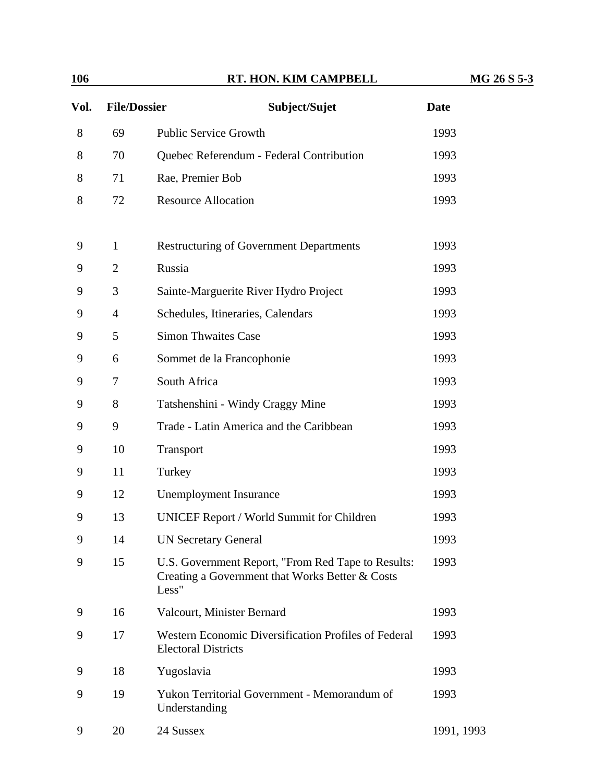| 106  |                     | RT. HON. KIM CAMPBELL                                                                                          | MG 26 S 5-3 |
|------|---------------------|----------------------------------------------------------------------------------------------------------------|-------------|
| Vol. | <b>File/Dossier</b> | Subject/Sujet                                                                                                  | <b>Date</b> |
| 8    | 69                  | <b>Public Service Growth</b>                                                                                   | 1993        |
| 8    | 70                  | Quebec Referendum - Federal Contribution                                                                       | 1993        |
| 8    | 71                  | Rae, Premier Bob                                                                                               | 1993        |
| 8    | 72                  | <b>Resource Allocation</b>                                                                                     | 1993        |
| 9    | 1                   | <b>Restructuring of Government Departments</b>                                                                 | 1993        |
| 9    | $\overline{2}$      | Russia                                                                                                         | 1993        |
| 9    | 3                   | Sainte-Marguerite River Hydro Project                                                                          | 1993        |
| 9    | $\overline{4}$      | Schedules, Itineraries, Calendars                                                                              | 1993        |
| 9    | 5                   | <b>Simon Thwaites Case</b>                                                                                     | 1993        |
| 9    | 6                   | Sommet de la Francophonie                                                                                      | 1993        |
| 9    | 7                   | South Africa                                                                                                   | 1993        |
| 9    | 8                   | Tatshenshini - Windy Craggy Mine                                                                               | 1993        |
| 9    | 9                   | Trade - Latin America and the Caribbean                                                                        | 1993        |
| 9    | 10                  | Transport                                                                                                      | 1993        |
| 9    | 11                  | Turkey                                                                                                         | 1993        |
| 9    | 12                  | <b>Unemployment Insurance</b>                                                                                  | 1993        |
| 9    | 13                  | <b>UNICEF Report / World Summit for Children</b>                                                               | 1993        |
| 9    | 14                  | <b>UN Secretary General</b>                                                                                    | 1993        |
| 9    | 15                  | U.S. Government Report, "From Red Tape to Results:<br>Creating a Government that Works Better & Costs<br>Less" | 1993        |
| 9    | 16                  | Valcourt, Minister Bernard                                                                                     | 1993        |
| 9    | 17                  | Western Economic Diversification Profiles of Federal<br><b>Electoral Districts</b>                             | 1993        |
| 9    | 18                  | Yugoslavia                                                                                                     | 1993        |
| 9    | 19                  | Yukon Territorial Government - Memorandum of<br>Understanding                                                  | 1993        |
| 9    | 20                  | 24 Sussex                                                                                                      | 1991, 1993  |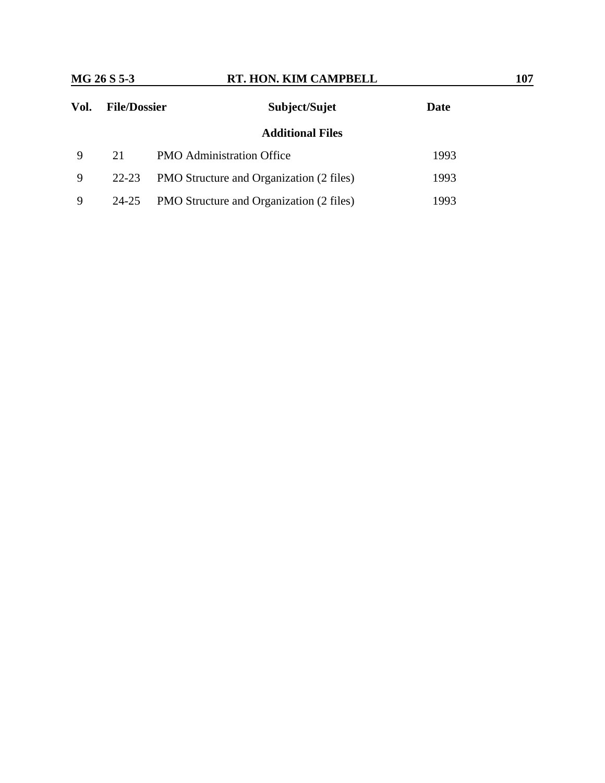| Vol. | <b>File/Dossier</b> | Subject/Sujet                                   | Date |
|------|---------------------|-------------------------------------------------|------|
|      |                     | <b>Additional Files</b>                         |      |
| 9    | 21                  | <b>PMO</b> Administration Office                | 1993 |
| 9    | 22-23               | <b>PMO</b> Structure and Organization (2 files) | 1993 |
| 9    | 24-25               | PMO Structure and Organization (2 files)        | 1993 |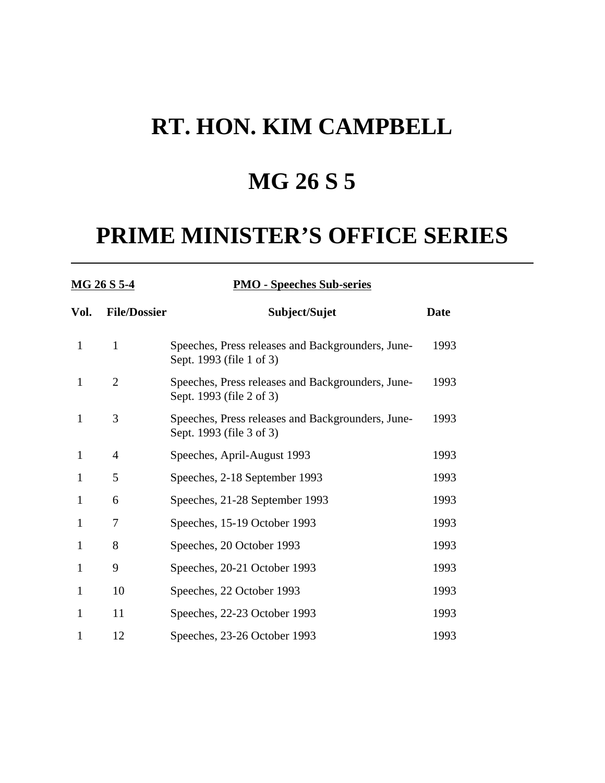## **MG 26 S 5**

| <u>MG 26 S 5-4</u> |                     | <b>PMO - Speeches Sub-series</b>                                              |             |  |  |
|--------------------|---------------------|-------------------------------------------------------------------------------|-------------|--|--|
| Vol.               | <b>File/Dossier</b> | Subject/Sujet                                                                 | <b>Date</b> |  |  |
| $\mathbf{1}$       | $\mathbf{1}$        | Speeches, Press releases and Backgrounders, June-<br>Sept. 1993 (file 1 of 3) | 1993        |  |  |
| $\mathbf{1}$       | $\overline{2}$      | Speeches, Press releases and Backgrounders, June-<br>Sept. 1993 (file 2 of 3) | 1993        |  |  |
| $\mathbf{1}$       | 3                   | Speeches, Press releases and Backgrounders, June-<br>Sept. 1993 (file 3 of 3) | 1993        |  |  |
| $\mathbf{1}$       | $\overline{4}$      | Speeches, April-August 1993                                                   | 1993        |  |  |
| 1                  | 5                   | Speeches, 2-18 September 1993                                                 | 1993        |  |  |
| $\mathbf{1}$       | 6                   | Speeches, 21-28 September 1993                                                | 1993        |  |  |
| $\mathbf{1}$       | 7                   | Speeches, 15-19 October 1993                                                  | 1993        |  |  |
| 1                  | 8                   | Speeches, 20 October 1993                                                     | 1993        |  |  |
| $\mathbf{1}$       | 9                   | Speeches, 20-21 October 1993                                                  | 1993        |  |  |
| $\mathbf{1}$       | 10                  | Speeches, 22 October 1993                                                     | 1993        |  |  |
| $\mathbf{1}$       | 11                  | Speeches, 22-23 October 1993                                                  | 1993        |  |  |
| 1                  | 12                  | Speeches, 23-26 October 1993                                                  | 1993        |  |  |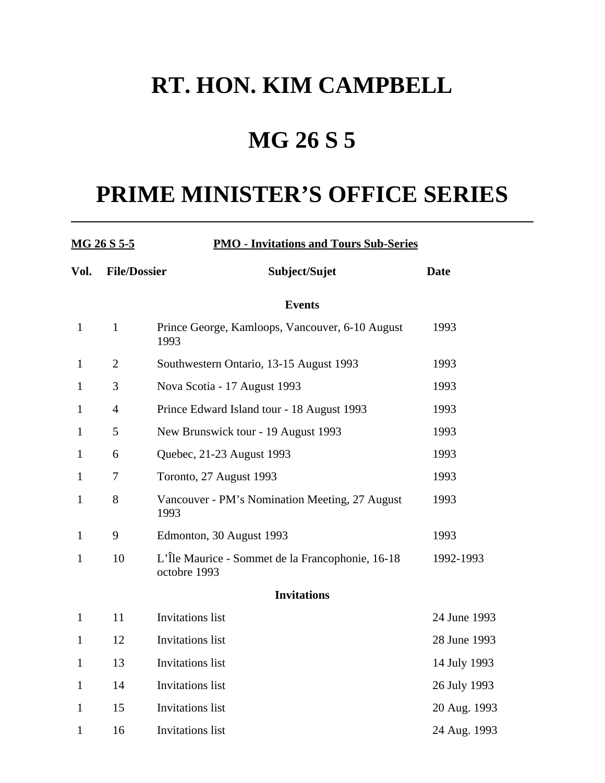## **MG 26 S 5**

| <u>MG 26 S 5-5</u> |                     | <b>PMO - Invitations and Tours Sub-Series</b>                    |              |  |  |
|--------------------|---------------------|------------------------------------------------------------------|--------------|--|--|
| Vol.               | <b>File/Dossier</b> | Subject/Sujet                                                    | <b>Date</b>  |  |  |
|                    |                     | <b>Events</b>                                                    |              |  |  |
| $\mathbf{1}$       | $\mathbf{1}$        | Prince George, Kamloops, Vancouver, 6-10 August<br>1993          | 1993         |  |  |
| $\mathbf{1}$       | $\overline{2}$      | Southwestern Ontario, 13-15 August 1993                          | 1993         |  |  |
| 1                  | 3                   | Nova Scotia - 17 August 1993                                     | 1993         |  |  |
| 1                  | $\overline{4}$      | Prince Edward Island tour - 18 August 1993                       | 1993         |  |  |
| $\mathbf{1}$       | 5                   | New Brunswick tour - 19 August 1993                              | 1993         |  |  |
| $\mathbf{1}$       | 6                   | Quebec, 21-23 August 1993                                        | 1993         |  |  |
| $\mathbf{1}$       | 7                   | Toronto, 27 August 1993                                          | 1993         |  |  |
| $\mathbf{1}$       | 8                   | Vancouver - PM's Nomination Meeting, 27 August<br>1993           | 1993         |  |  |
| $\mathbf{1}$       | 9                   | Edmonton, 30 August 1993                                         | 1993         |  |  |
| $\mathbf{1}$       | 10                  | L'Île Maurice - Sommet de la Francophonie, 16-18<br>octobre 1993 | 1992-1993    |  |  |
|                    |                     | <b>Invitations</b>                                               |              |  |  |
| $\mathbf{1}$       | 11                  | <b>Invitations</b> list                                          | 24 June 1993 |  |  |
| $\mathbf{1}$       | 12                  | <b>Invitations</b> list                                          | 28 June 1993 |  |  |
| 1                  | 13                  | <b>Invitations</b> list                                          | 14 July 1993 |  |  |
| 1                  | 14                  | <b>Invitations</b> list                                          | 26 July 1993 |  |  |
| $\mathbf{1}$       | 15                  | <b>Invitations</b> list                                          | 20 Aug. 1993 |  |  |
| $\mathbf{1}$       | 16                  | <b>Invitations</b> list                                          | 24 Aug. 1993 |  |  |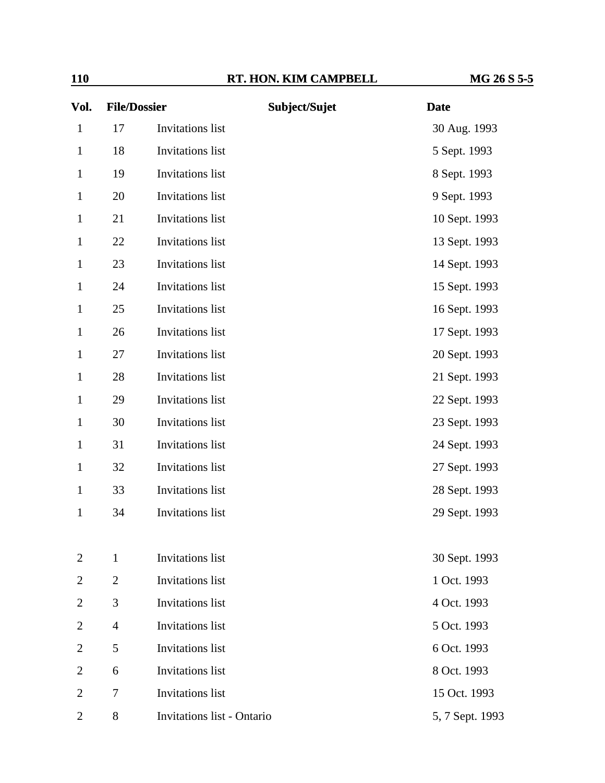| Vol.           | <b>File/Dossier</b> |                            | Subject/Sujet | <b>Date</b>     |  |
|----------------|---------------------|----------------------------|---------------|-----------------|--|
| $\mathbf{1}$   | 17                  | Invitations list           |               | 30 Aug. 1993    |  |
| $\mathbf{1}$   | 18                  | Invitations list           |               | 5 Sept. 1993    |  |
| $\mathbf{1}$   | 19                  | <b>Invitations</b> list    |               | 8 Sept. 1993    |  |
| $\mathbf{1}$   | 20                  | Invitations list           |               | 9 Sept. 1993    |  |
| $\mathbf{1}$   | 21                  | Invitations list           |               | 10 Sept. 1993   |  |
| $\mathbf{1}$   | 22                  | Invitations list           |               | 13 Sept. 1993   |  |
| $\mathbf{1}$   | 23                  | Invitations list           |               | 14 Sept. 1993   |  |
| $\mathbf{1}$   | 24                  | Invitations list           |               | 15 Sept. 1993   |  |
| $\mathbf{1}$   | 25                  | <b>Invitations</b> list    |               | 16 Sept. 1993   |  |
| $\mathbf{1}$   | 26                  | Invitations list           |               | 17 Sept. 1993   |  |
| $\mathbf{1}$   | 27                  | <b>Invitations</b> list    |               | 20 Sept. 1993   |  |
| $\mathbf{1}$   | 28                  | Invitations list           |               | 21 Sept. 1993   |  |
| $\mathbf{1}$   | 29                  | Invitations list           |               | 22 Sept. 1993   |  |
| $\mathbf{1}$   | 30                  | Invitations list           |               | 23 Sept. 1993   |  |
| $\mathbf{1}$   | 31                  | Invitations list           |               | 24 Sept. 1993   |  |
| $\mathbf{1}$   | 32                  | Invitations list           |               | 27 Sept. 1993   |  |
| $\mathbf{1}$   | 33                  | Invitations list           |               | 28 Sept. 1993   |  |
| $\mathbf{1}$   | 34                  | <b>Invitations</b> list    |               | 29 Sept. 1993   |  |
|                |                     |                            |               |                 |  |
| 2              | $\mathbf{1}$        | <b>Invitations</b> list    |               | 30 Sept. 1993   |  |
| 2              | $\overline{2}$      | <b>Invitations</b> list    |               | 1 Oct. 1993     |  |
| 2              | 3                   | <b>Invitations</b> list    |               | 4 Oct. 1993     |  |
| 2              | $\overline{4}$      | <b>Invitations</b> list    |               | 5 Oct. 1993     |  |
| 2              | 5                   | Invitations list           |               | 6 Oct. 1993     |  |
| 2              | 6                   | Invitations list           |               | 8 Oct. 1993     |  |
| $\overline{2}$ | 7                   | Invitations list           |               | 15 Oct. 1993    |  |
| $\overline{c}$ | 8                   | Invitations list - Ontario |               | 5, 7 Sept. 1993 |  |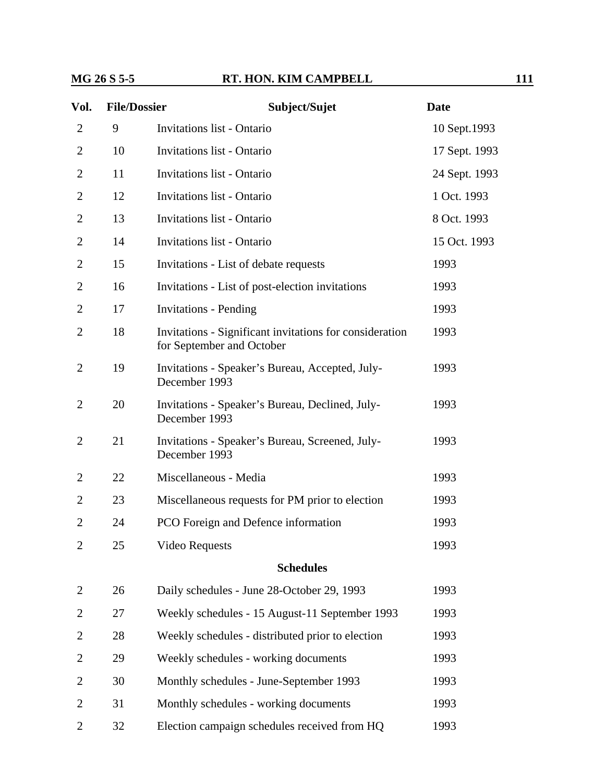#### **MG 26 S 5-5 RT. HON. KIM CAMPBELL 111**

| Vol.           | <b>File/Dossier</b> | Subject/Sujet                                                                        | <b>Date</b>   |
|----------------|---------------------|--------------------------------------------------------------------------------------|---------------|
| 2              | 9                   | <b>Invitations list - Ontario</b>                                                    | 10 Sept.1993  |
| 2              | 10                  | <b>Invitations list - Ontario</b>                                                    | 17 Sept. 1993 |
| $\overline{2}$ | 11                  | <b>Invitations list - Ontario</b>                                                    | 24 Sept. 1993 |
| 2              | 12                  | <b>Invitations list - Ontario</b>                                                    | 1 Oct. 1993   |
| 2              | 13                  | <b>Invitations list - Ontario</b>                                                    | 8 Oct. 1993   |
| $\overline{2}$ | 14                  | <b>Invitations list - Ontario</b>                                                    | 15 Oct. 1993  |
| $\overline{2}$ | 15                  | Invitations - List of debate requests                                                | 1993          |
| $\overline{2}$ | 16                  | Invitations - List of post-election invitations                                      | 1993          |
| 2              | 17                  | <b>Invitations - Pending</b>                                                         | 1993          |
| 2              | 18                  | Invitations - Significant invitations for consideration<br>for September and October | 1993          |
| 2              | 19                  | Invitations - Speaker's Bureau, Accepted, July-<br>December 1993                     | 1993          |
| $\overline{2}$ | 20                  | Invitations - Speaker's Bureau, Declined, July-<br>December 1993                     | 1993          |
| $\overline{2}$ | 21                  | Invitations - Speaker's Bureau, Screened, July-<br>December 1993                     | 1993          |
| 2              | 22                  | Miscellaneous - Media                                                                | 1993          |
| 2              | 23                  | Miscellaneous requests for PM prior to election                                      | 1993          |
| $\overline{2}$ | 24                  | PCO Foreign and Defence information                                                  | 1993          |
| $\overline{2}$ | 25                  | <b>Video Requests</b>                                                                | 1993          |
|                |                     | <b>Schedules</b>                                                                     |               |
| $\overline{2}$ | 26                  | Daily schedules - June 28-October 29, 1993                                           | 1993          |
| 2              | 27                  | Weekly schedules - 15 August-11 September 1993                                       | 1993          |
| 2              | 28                  | Weekly schedules - distributed prior to election                                     | 1993          |
| 2              | 29                  | Weekly schedules - working documents                                                 | 1993          |
| 2              | 30                  | Monthly schedules - June-September 1993                                              | 1993          |
| $\overline{2}$ | 31                  | Monthly schedules - working documents                                                | 1993          |
| $\overline{2}$ | 32                  | Election campaign schedules received from HQ                                         | 1993          |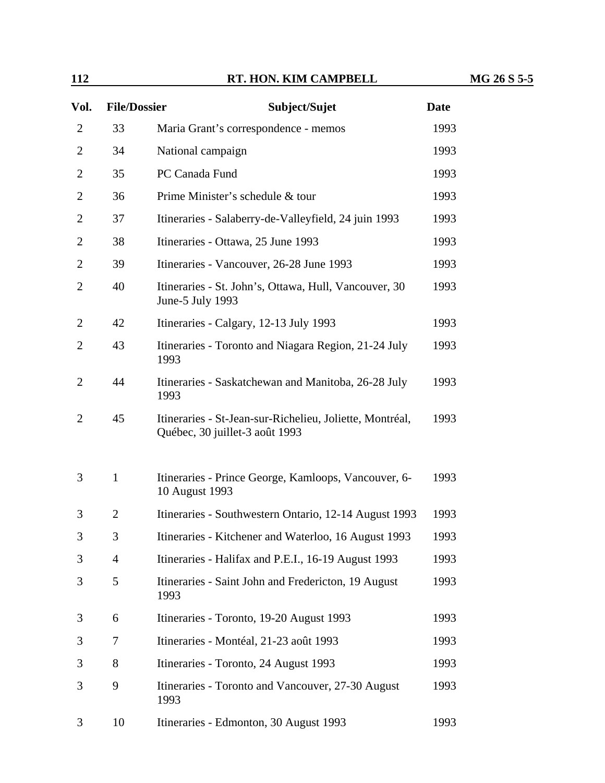| Vol.           | <b>File/Dossier</b> | Subject/Sujet                                                                              | <b>Date</b> |
|----------------|---------------------|--------------------------------------------------------------------------------------------|-------------|
| $\overline{2}$ | 33                  | Maria Grant's correspondence - memos                                                       | 1993        |
| $\overline{2}$ | 34                  | National campaign                                                                          | 1993        |
| $\overline{2}$ | 35                  | PC Canada Fund                                                                             | 1993        |
| $\overline{2}$ | 36                  | Prime Minister's schedule & tour                                                           | 1993        |
| $\overline{2}$ | 37                  | Itineraries - Salaberry-de-Valleyfield, 24 juin 1993                                       | 1993        |
| 2              | 38                  | Itineraries - Ottawa, 25 June 1993                                                         | 1993        |
| $\overline{2}$ | 39                  | Itineraries - Vancouver, 26-28 June 1993                                                   | 1993        |
| $\overline{2}$ | 40                  | Itineraries - St. John's, Ottawa, Hull, Vancouver, 30<br>June-5 July 1993                  | 1993        |
| 2              | 42                  | Itineraries - Calgary, 12-13 July 1993                                                     | 1993        |
| $\overline{2}$ | 43                  | Itineraries - Toronto and Niagara Region, 21-24 July<br>1993                               | 1993        |
| 2              | 44                  | Itineraries - Saskatchewan and Manitoba, 26-28 July<br>1993                                | 1993        |
| $\overline{2}$ | 45                  | Itineraries - St-Jean-sur-Richelieu, Joliette, Montréal,<br>Québec, 30 juillet-3 août 1993 | 1993        |
| 3              | $\mathbf{1}$        | Itineraries - Prince George, Kamloops, Vancouver, 6-<br>10 August 1993                     | 1993        |
| 3              | $\overline{2}$      | Itineraries - Southwestern Ontario, 12-14 August 1993                                      | 1993        |
| 3              | 3                   | Itineraries - Kitchener and Waterloo, 16 August 1993                                       | 1993        |
| 3              | $\overline{4}$      | Itineraries - Halifax and P.E.I., 16-19 August 1993                                        | 1993        |
| 3              | 5                   | Itineraries - Saint John and Fredericton, 19 August<br>1993                                | 1993        |
| 3              | 6                   | Itineraries - Toronto, 19-20 August 1993                                                   | 1993        |
| 3              | 7                   | Itineraries - Montéal, 21-23 août 1993                                                     | 1993        |
| 3              | 8                   | Itineraries - Toronto, 24 August 1993                                                      | 1993        |
| 3              | 9                   | Itineraries - Toronto and Vancouver, 27-30 August<br>1993                                  | 1993        |
| 3              | 10                  | Itineraries - Edmonton, 30 August 1993                                                     | 1993        |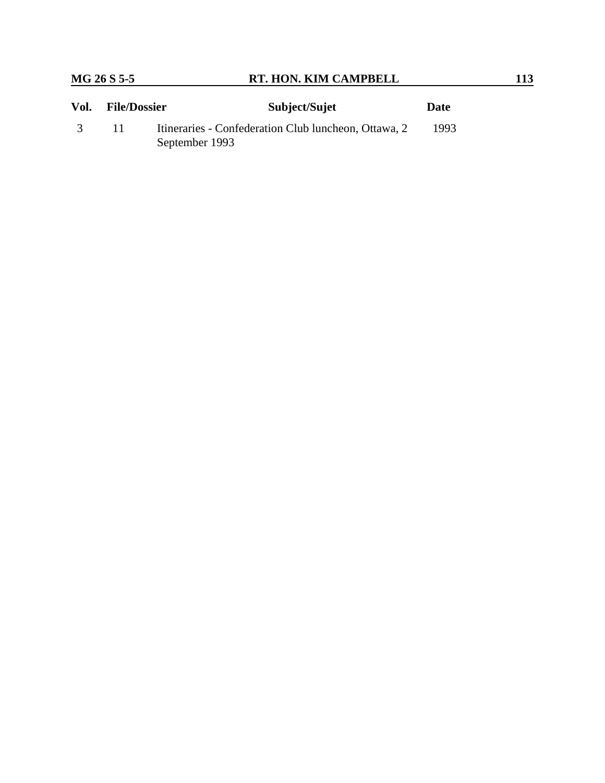| Vol. | <b>File/Dossier</b> | Subject/Sujet                                                          | Date |
|------|---------------------|------------------------------------------------------------------------|------|
|      |                     | Itineraries - Confederation Club luncheon, Ottawa, 2<br>September 1993 | 1993 |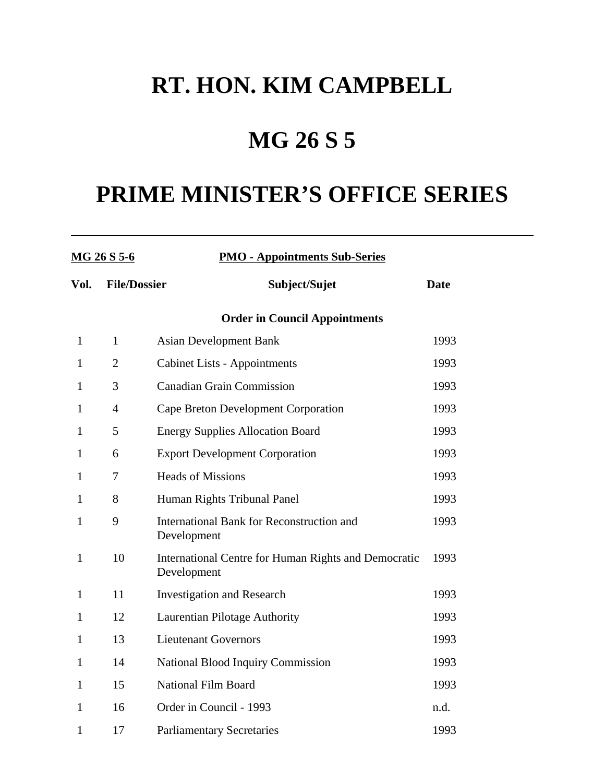# **MG 26 S 5**

| MG 26 S 5-6  |                     | <b>PMO - Appointments Sub-Series</b>                                |             |
|--------------|---------------------|---------------------------------------------------------------------|-------------|
| Vol.         | <b>File/Dossier</b> | Subject/Sujet                                                       | <b>Date</b> |
|              |                     | <b>Order in Council Appointments</b>                                |             |
| $\mathbf{1}$ | $\mathbf{1}$        | <b>Asian Development Bank</b>                                       | 1993        |
| 1            | $\overline{2}$      | <b>Cabinet Lists - Appointments</b>                                 | 1993        |
| $\mathbf{1}$ | 3                   | <b>Canadian Grain Commission</b>                                    | 1993        |
| $\mathbf{1}$ | $\overline{4}$      | Cape Breton Development Corporation                                 | 1993        |
| 1            | 5                   | <b>Energy Supplies Allocation Board</b>                             | 1993        |
| 1            | 6                   | <b>Export Development Corporation</b>                               | 1993        |
| $\mathbf{1}$ | 7                   | <b>Heads of Missions</b>                                            | 1993        |
| 1            | 8                   | Human Rights Tribunal Panel                                         | 1993        |
| $\mathbf{1}$ | 9                   | International Bank for Reconstruction and<br>Development            | 1993        |
| $\mathbf{1}$ | 10                  | International Centre for Human Rights and Democratic<br>Development | 1993        |
| $\mathbf{1}$ | 11                  | <b>Investigation and Research</b>                                   | 1993        |
| $\mathbf{1}$ | 12                  | Laurentian Pilotage Authority                                       | 1993        |
| $\mathbf{1}$ | 13                  | <b>Lieutenant Governors</b>                                         | 1993        |
| $\mathbf{1}$ | 14                  | National Blood Inquiry Commission                                   | 1993        |
| $\mathbf{1}$ | 15                  | <b>National Film Board</b>                                          | 1993        |
| $\mathbf{1}$ | 16                  | Order in Council - 1993                                             | n.d.        |
| 1            | 17                  | <b>Parliamentary Secretaries</b>                                    | 1993        |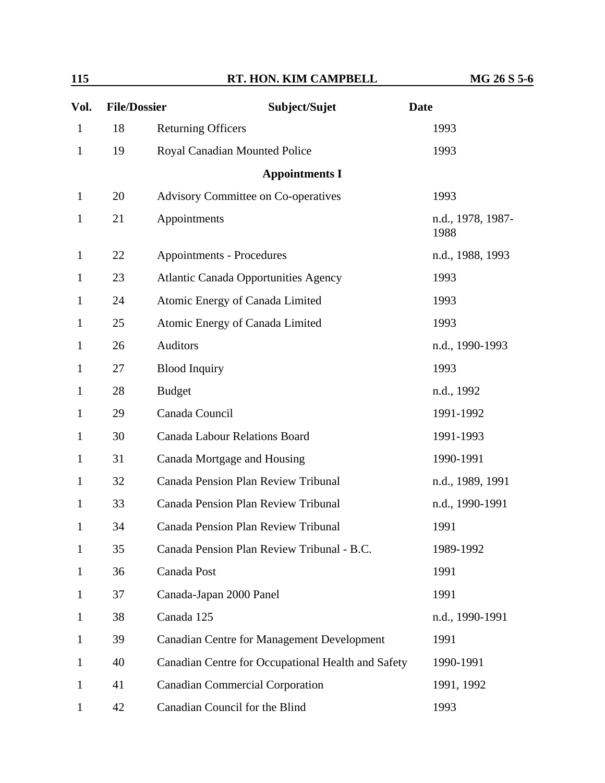| Vol.         | <b>File/Dossier</b> | Subject/Sujet                                      | <b>Date</b>               |
|--------------|---------------------|----------------------------------------------------|---------------------------|
| $\mathbf{1}$ | 18                  | <b>Returning Officers</b>                          | 1993                      |
| $\mathbf{1}$ | 19                  | Royal Canadian Mounted Police                      | 1993                      |
|              |                     | <b>Appointments I</b>                              |                           |
| $\mathbf{1}$ | 20                  | <b>Advisory Committee on Co-operatives</b>         | 1993                      |
| $\mathbf{1}$ | 21                  | Appointments                                       | n.d., 1978, 1987-<br>1988 |
| $\mathbf{1}$ | 22                  | Appointments - Procedures                          | n.d., 1988, 1993          |
| $\mathbf{1}$ | 23                  | <b>Atlantic Canada Opportunities Agency</b>        | 1993                      |
| $\mathbf{1}$ | 24                  | Atomic Energy of Canada Limited                    | 1993                      |
| $\mathbf{1}$ | 25                  | Atomic Energy of Canada Limited                    | 1993                      |
| $\mathbf{1}$ | 26                  | <b>Auditors</b>                                    | n.d., 1990-1993           |
| $\mathbf{1}$ | 27                  | <b>Blood Inquiry</b>                               | 1993                      |
| $\mathbf{1}$ | 28                  | <b>Budget</b>                                      | n.d., 1992                |
| $\mathbf{1}$ | 29                  | Canada Council                                     | 1991-1992                 |
| $\mathbf{1}$ | 30                  | <b>Canada Labour Relations Board</b>               | 1991-1993                 |
| $\mathbf{1}$ | 31                  | Canada Mortgage and Housing                        | 1990-1991                 |
| $\mathbf{1}$ | 32                  | <b>Canada Pension Plan Review Tribunal</b>         | n.d., 1989, 1991          |
| $\mathbf{1}$ | 33                  | <b>Canada Pension Plan Review Tribunal</b>         | n.d., 1990-1991           |
| $\mathbf{1}$ | 34                  | Canada Pension Plan Review Tribunal                | 1991                      |
| $\mathbf{1}$ | 35                  | Canada Pension Plan Review Tribunal - B.C.         | 1989-1992                 |
| $\mathbf{1}$ | 36                  | Canada Post                                        | 1991                      |
| $\mathbf{1}$ | 37                  | Canada-Japan 2000 Panel                            | 1991                      |
| $\mathbf{1}$ | 38                  | Canada 125                                         | n.d., 1990-1991           |
| $\mathbf{1}$ | 39                  | <b>Canadian Centre for Management Development</b>  | 1991                      |
| $\mathbf{1}$ | 40                  | Canadian Centre for Occupational Health and Safety | 1990-1991                 |
| $\mathbf{1}$ | 41                  | <b>Canadian Commercial Corporation</b>             | 1991, 1992                |
| 1            | 42                  | Canadian Council for the Blind                     | 1993                      |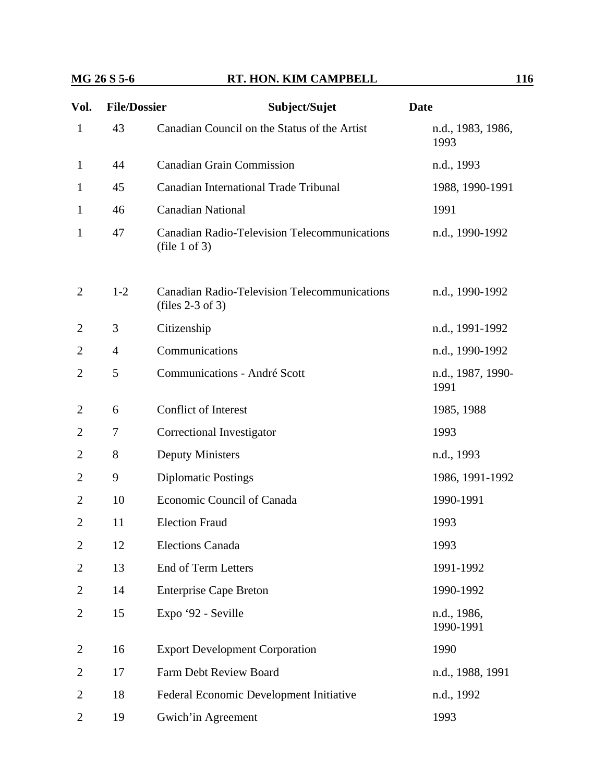#### **MG 26 S 5-6 RT. HON. KIM CAMPBELL 116**

| Vol.           | <b>File/Dossier</b> | Subject/Sujet                                                             | <b>Date</b>               |
|----------------|---------------------|---------------------------------------------------------------------------|---------------------------|
| $\mathbf{1}$   | 43                  | Canadian Council on the Status of the Artist                              | n.d., 1983, 1986,<br>1993 |
| $\mathbf{1}$   | 44                  | <b>Canadian Grain Commission</b>                                          | n.d., 1993                |
| $\mathbf{1}$   | 45                  | <b>Canadian International Trade Tribunal</b>                              | 1988, 1990-1991           |
| $\mathbf{1}$   | 46                  | <b>Canadian National</b>                                                  | 1991                      |
| $\mathbf{1}$   | 47                  | <b>Canadian Radio-Television Telecommunications</b><br>(file 1 of 3)      | n.d., 1990-1992           |
| 2              | $1 - 2$             | <b>Canadian Radio-Television Telecommunications</b><br>(files $2-3$ of 3) | n.d., 1990-1992           |
| 2              | 3                   | Citizenship                                                               | n.d., 1991-1992           |
| 2              | $\overline{4}$      | Communications                                                            | n.d., 1990-1992           |
| 2              | 5                   | Communications - André Scott                                              | n.d., 1987, 1990-<br>1991 |
| 2              | 6                   | Conflict of Interest                                                      | 1985, 1988                |
| 2              | 7                   | Correctional Investigator                                                 | 1993                      |
| 2              | 8                   | <b>Deputy Ministers</b>                                                   | n.d., 1993                |
| 2              | 9                   | <b>Diplomatic Postings</b>                                                | 1986, 1991-1992           |
| 2              | 10                  | Economic Council of Canada                                                | 1990-1991                 |
| 2              | 11                  | <b>Election Fraud</b>                                                     | 1993                      |
| $\overline{2}$ | 12                  | <b>Elections Canada</b>                                                   | 1993                      |
| 2              | 13                  | End of Term Letters                                                       | 1991-1992                 |
| 2              | 14                  | <b>Enterprise Cape Breton</b>                                             | 1990-1992                 |
| 2              | 15                  | Expo '92 - Seville                                                        | n.d., 1986,<br>1990-1991  |
| 2              | 16                  | <b>Export Development Corporation</b>                                     | 1990                      |
| 2              | 17                  | Farm Debt Review Board                                                    | n.d., 1988, 1991          |
| 2              | 18                  | Federal Economic Development Initiative                                   | n.d., 1992                |
| 2              | 19                  | Gwich'in Agreement                                                        | 1993                      |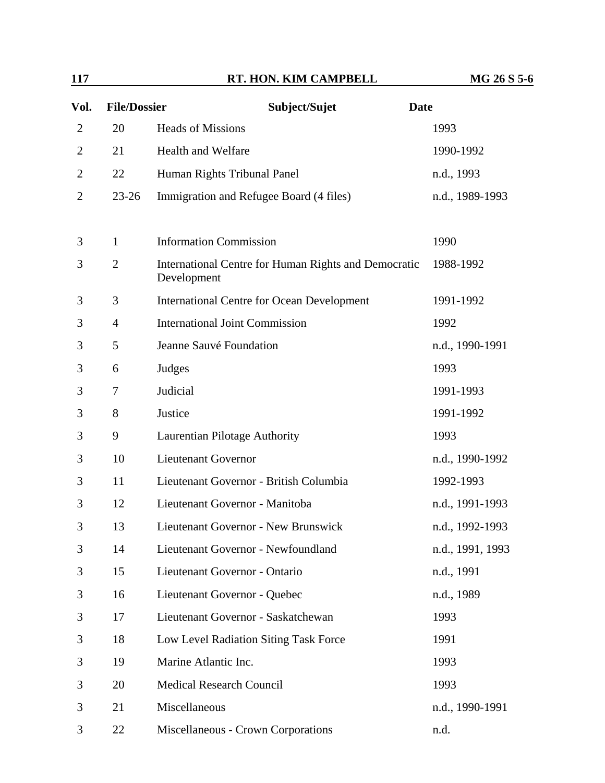| Vol.           | <b>File/Dossier</b> | Subject/Sujet                                                       | <b>Date</b>      |
|----------------|---------------------|---------------------------------------------------------------------|------------------|
| $\overline{2}$ | 20                  | <b>Heads of Missions</b>                                            | 1993             |
| 2              | 21                  | Health and Welfare                                                  | 1990-1992        |
| 2              | 22                  | Human Rights Tribunal Panel                                         | n.d., 1993       |
| $\overline{2}$ | $23 - 26$           | Immigration and Refugee Board (4 files)                             | n.d., 1989-1993  |
| 3              | $\mathbf{1}$        | <b>Information Commission</b>                                       | 1990             |
| 3              | $\overline{2}$      | International Centre for Human Rights and Democratic<br>Development | 1988-1992        |
| 3              | 3                   | <b>International Centre for Ocean Development</b>                   | 1991-1992        |
| 3              | $\overline{4}$      | <b>International Joint Commission</b>                               | 1992             |
| 3              | 5                   | Jeanne Sauvé Foundation                                             | n.d., 1990-1991  |
| 3              | 6                   | Judges                                                              | 1993             |
| 3              | 7                   | Judicial                                                            | 1991-1993        |
| 3              | 8                   | Justice                                                             | 1991-1992        |
| 3              | 9                   | Laurentian Pilotage Authority                                       | 1993             |
| 3              | 10                  | <b>Lieutenant Governor</b>                                          | n.d., 1990-1992  |
| 3              | 11                  | Lieutenant Governor - British Columbia                              | 1992-1993        |
| 3              | 12                  | Lieutenant Governor - Manitoba                                      | n.d., 1991-1993  |
| 3              | 13                  | Lieutenant Governor - New Brunswick                                 | n.d., 1992-1993  |
| 3              | 14                  | Lieutenant Governor - Newfoundland                                  | n.d., 1991, 1993 |
| 3              | 15                  | Lieutenant Governor - Ontario                                       | n.d., 1991       |
| 3              | 16                  | Lieutenant Governor - Quebec                                        | n.d., 1989       |
| 3              | 17                  | Lieutenant Governor - Saskatchewan                                  | 1993             |
| 3              | 18                  | Low Level Radiation Siting Task Force                               | 1991             |
| 3              | 19                  | Marine Atlantic Inc.                                                | 1993             |
| 3              | 20                  | <b>Medical Research Council</b>                                     | 1993             |
| 3              | 21                  | Miscellaneous                                                       | n.d., 1990-1991  |
| 3              | 22                  | Miscellaneous - Crown Corporations                                  | n.d.             |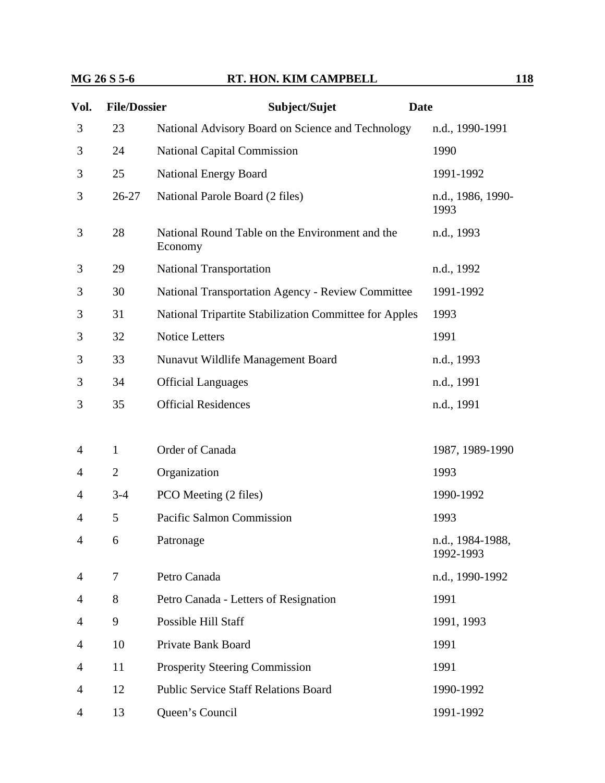| Vol. | <b>File/Dossier</b> | Subject/Sujet                                              | <b>Date</b>                   |
|------|---------------------|------------------------------------------------------------|-------------------------------|
| 3    | 23                  | National Advisory Board on Science and Technology          | n.d., 1990-1991               |
| 3    | 24                  | <b>National Capital Commission</b>                         | 1990                          |
| 3    | 25                  | <b>National Energy Board</b>                               | 1991-1992                     |
| 3    | $26 - 27$           | National Parole Board (2 files)                            | n.d., 1986, 1990-<br>1993     |
| 3    | 28                  | National Round Table on the Environment and the<br>Economy | n.d., 1993                    |
| 3    | 29                  | <b>National Transportation</b>                             | n.d., 1992                    |
| 3    | 30                  | <b>National Transportation Agency - Review Committee</b>   | 1991-1992                     |
| 3    | 31                  | National Tripartite Stabilization Committee for Apples     | 1993                          |
| 3    | 32                  | <b>Notice Letters</b>                                      | 1991                          |
| 3    | 33                  | Nunavut Wildlife Management Board                          | n.d., 1993                    |
| 3    | 34                  | <b>Official Languages</b>                                  | n.d., 1991                    |
| 3    | 35                  | <b>Official Residences</b>                                 | n.d., 1991                    |
|      |                     |                                                            |                               |
| 4    | $\mathbf{1}$        | Order of Canada                                            | 1987, 1989-1990               |
| 4    | $\overline{2}$      | Organization                                               | 1993                          |
| 4    | $3 - 4$             | PCO Meeting (2 files)                                      | 1990-1992                     |
| 4    | 5                   | Pacific Salmon Commission                                  | 1993                          |
| 4    | 6                   | Patronage                                                  | n.d., 1984-1988,<br>1992-1993 |
| 4    | 7                   | Petro Canada                                               | n.d., 1990-1992               |
| 4    | 8                   | Petro Canada - Letters of Resignation                      | 1991                          |
| 4    | 9                   | Possible Hill Staff                                        | 1991, 1993                    |
| 4    | 10                  | Private Bank Board                                         | 1991                          |
| 4    | 11                  | <b>Prosperity Steering Commission</b>                      | 1991                          |
| 4    | 12                  | <b>Public Service Staff Relations Board</b>                | 1990-1992                     |
| 4    | 13                  | Queen's Council                                            | 1991-1992                     |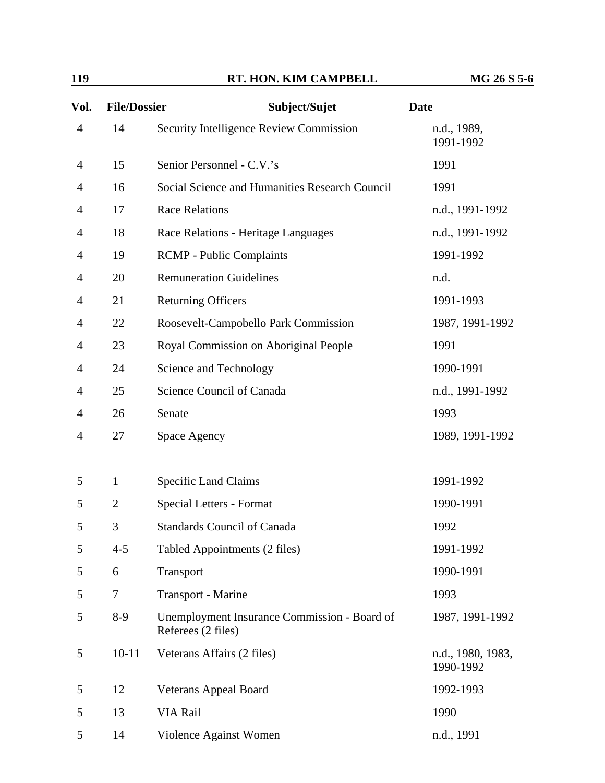| Vol.           | <b>File/Dossier</b> | Subject/Sujet                                                      | <b>Date</b>                    |
|----------------|---------------------|--------------------------------------------------------------------|--------------------------------|
| $\overline{4}$ | 14                  | Security Intelligence Review Commission                            | n.d., 1989,<br>1991-1992       |
| $\overline{4}$ | 15                  | Senior Personnel - C.V.'s                                          | 1991                           |
| 4              | 16                  | Social Science and Humanities Research Council                     | 1991                           |
| 4              | 17                  | <b>Race Relations</b>                                              | n.d., 1991-1992                |
| 4              | 18                  | Race Relations - Heritage Languages                                | n.d., 1991-1992                |
| 4              | 19                  | <b>RCMP</b> - Public Complaints                                    | 1991-1992                      |
| 4              | 20                  | <b>Remuneration Guidelines</b>                                     | n.d.                           |
| 4              | 21                  | <b>Returning Officers</b>                                          | 1991-1993                      |
| 4              | 22                  | Roosevelt-Campobello Park Commission                               | 1987, 1991-1992                |
| 4              | 23                  | Royal Commission on Aboriginal People                              | 1991                           |
| $\overline{4}$ | 24                  | Science and Technology                                             | 1990-1991                      |
| 4              | 25                  | Science Council of Canada                                          | n.d., 1991-1992                |
| 4              | 26                  | Senate                                                             | 1993                           |
| 4              | 27                  | Space Agency                                                       | 1989, 1991-1992                |
| 5              | $\mathbf{1}$        | Specific Land Claims                                               | 1991-1992                      |
| 5              | $\overline{2}$      | Special Letters - Format                                           | 1990-1991                      |
| 5              | 3                   | <b>Standards Council of Canada</b>                                 | 1992                           |
| 5              | $4 - 5$             | Tabled Appointments (2 files)                                      | 1991-1992                      |
| 5              | 6                   | Transport                                                          | 1990-1991                      |
| 5              | 7                   | Transport - Marine                                                 | 1993                           |
| 5              | $8-9$               | Unemployment Insurance Commission - Board of<br>Referees (2 files) | 1987, 1991-1992                |
| 5              | $10 - 11$           | Veterans Affairs (2 files)                                         | n.d., 1980, 1983,<br>1990-1992 |
| 5              | 12                  | <b>Veterans Appeal Board</b>                                       | 1992-1993                      |
| 5              | 13                  | VIA Rail                                                           | 1990                           |
| 5              | 14                  | Violence Against Women                                             | n.d., 1991                     |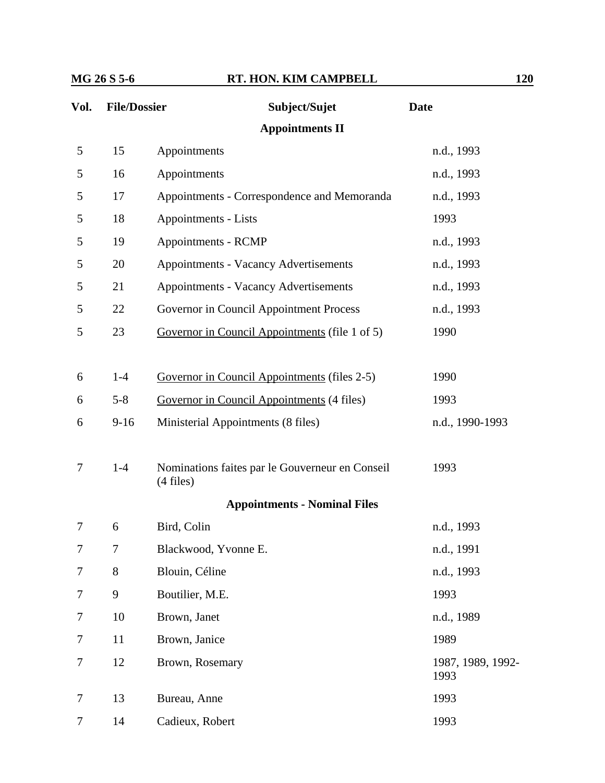| Vol. | <b>File/Dossier</b>    | Subject/Sujet                                                  | <b>Date</b>     |  |  |  |  |
|------|------------------------|----------------------------------------------------------------|-----------------|--|--|--|--|
|      | <b>Appointments II</b> |                                                                |                 |  |  |  |  |
| 5    | 15                     | Appointments                                                   | n.d., 1993      |  |  |  |  |
| 5    | 16                     | Appointments                                                   | n.d., 1993      |  |  |  |  |
| 5    | 17                     | Appointments - Correspondence and Memoranda                    | n.d., 1993      |  |  |  |  |
| 5    | 18                     | Appointments - Lists                                           | 1993            |  |  |  |  |
| 5    | 19                     | Appointments - RCMP                                            | n.d., 1993      |  |  |  |  |
| 5    | 20                     | <b>Appointments - Vacancy Advertisements</b>                   | n.d., 1993      |  |  |  |  |
| 5    | 21                     | <b>Appointments - Vacancy Advertisements</b>                   | n.d., 1993      |  |  |  |  |
| 5    | 22                     | Governor in Council Appointment Process                        | n.d., 1993      |  |  |  |  |
| 5    | 23                     | Governor in Council Appointments (file 1 of 5)                 | 1990            |  |  |  |  |
|      |                        |                                                                |                 |  |  |  |  |
| 6    | $1-4$                  | Governor in Council Appointments (files 2-5)                   | 1990            |  |  |  |  |
| 6    | $5 - 8$                | Governor in Council Appointments (4 files)                     | 1993            |  |  |  |  |
| 6    | $9 - 16$               | Ministerial Appointments (8 files)                             | n.d., 1990-1993 |  |  |  |  |
|      |                        |                                                                |                 |  |  |  |  |
| 7    | $1-4$                  | Nominations faites par le Gouverneur en Conseil<br>$(4$ files) | 1993            |  |  |  |  |
|      |                        | <b>Appointments - Nominal Files</b>                            |                 |  |  |  |  |
| 7    | 6                      | Bird, Colin                                                    | n.d., 1993      |  |  |  |  |
| 7    | $\overline{7}$         | Blackwood, Yvonne E.                                           | n.d., 1991      |  |  |  |  |
| 7    | 8                      | Blouin, Céline                                                 | n.d., 1993      |  |  |  |  |
| 7    | 9                      | Boutilier, M.E.                                                | 1993            |  |  |  |  |
| 7    | 10                     | Brown, Janet                                                   | n.d., 1989      |  |  |  |  |

7 11 Brown, Janice 1989 7 12 Brown, Rosemary 1987, 1989, 1992- 1993 7 13 Bureau, Anne 1993 7 14 Cadieux, Robert 1993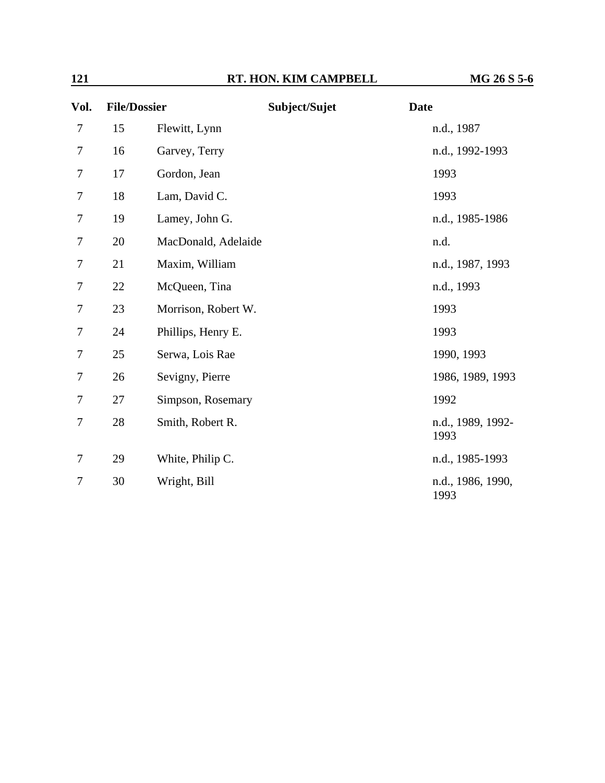| Vol. | <b>File/Dossier</b> |                     | Subject/Sujet | <b>Date</b>               |
|------|---------------------|---------------------|---------------|---------------------------|
| 7    | 15                  | Flewitt, Lynn       |               | n.d., 1987                |
| 7    | 16                  | Garvey, Terry       |               | n.d., 1992-1993           |
| 7    | 17                  | Gordon, Jean        |               | 1993                      |
| 7    | 18                  | Lam, David C.       |               | 1993                      |
| 7    | 19                  | Lamey, John G.      |               | n.d., 1985-1986           |
| 7    | 20                  | MacDonald, Adelaide |               | n.d.                      |
| 7    | 21                  | Maxim, William      |               | n.d., 1987, 1993          |
| 7    | 22                  | McQueen, Tina       |               | n.d., 1993                |
| 7    | 23                  | Morrison, Robert W. |               | 1993                      |
| 7    | 24                  | Phillips, Henry E.  |               | 1993                      |
| 7    | 25                  | Serwa, Lois Rae     |               | 1990, 1993                |
| 7    | 26                  | Sevigny, Pierre     |               | 1986, 1989, 1993          |
| 7    | 27                  | Simpson, Rosemary   |               | 1992                      |
| 7    | 28                  | Smith, Robert R.    |               | n.d., 1989, 1992-<br>1993 |
| 7    | 29                  | White, Philip C.    |               | n.d., 1985-1993           |
| 7    | 30                  | Wright, Bill        |               | n.d., 1986, 1990,<br>1993 |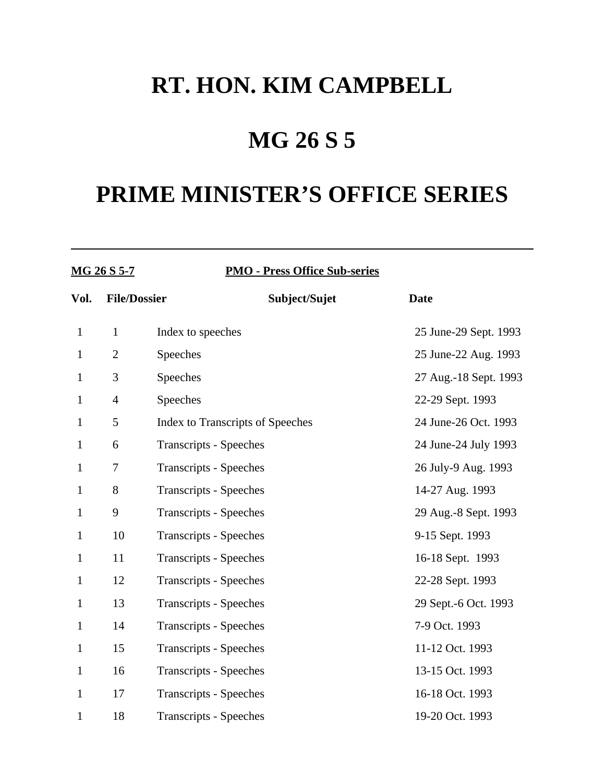### **MG 26 S 5**

| <b>MG 26 S 5-7</b> |                     | <b>PMO - Press Office Sub-series</b> |               |                       |
|--------------------|---------------------|--------------------------------------|---------------|-----------------------|
| Vol.               | <b>File/Dossier</b> |                                      | Subject/Sujet | <b>Date</b>           |
| $\mathbf{1}$       | $\mathbf{1}$        | Index to speeches                    |               | 25 June-29 Sept. 1993 |
| $\mathbf{1}$       | $\overline{2}$      | Speeches                             |               | 25 June-22 Aug. 1993  |
| $\mathbf{1}$       | 3                   | Speeches                             |               | 27 Aug.-18 Sept. 1993 |
| $\mathbf{1}$       | $\overline{4}$      | Speeches                             |               | 22-29 Sept. 1993      |
| $\mathbf{1}$       | 5                   | Index to Transcripts of Speeches     |               | 24 June-26 Oct. 1993  |
| $\mathbf{1}$       | 6                   | <b>Transcripts - Speeches</b>        |               | 24 June-24 July 1993  |
| $\mathbf{1}$       | 7                   | <b>Transcripts - Speeches</b>        |               | 26 July-9 Aug. 1993   |
| $\mathbf{1}$       | 8                   | <b>Transcripts - Speeches</b>        |               | 14-27 Aug. 1993       |
| $\mathbf{1}$       | 9                   | <b>Transcripts - Speeches</b>        |               | 29 Aug.-8 Sept. 1993  |
| $\mathbf{1}$       | 10                  | <b>Transcripts - Speeches</b>        |               | 9-15 Sept. 1993       |
| $\mathbf{1}$       | 11                  | <b>Transcripts - Speeches</b>        |               | 16-18 Sept. 1993      |
| $\mathbf{1}$       | 12                  | <b>Transcripts - Speeches</b>        |               | 22-28 Sept. 1993      |
| $\mathbf{1}$       | 13                  | <b>Transcripts - Speeches</b>        |               | 29 Sept.-6 Oct. 1993  |
| $\mathbf{1}$       | 14                  | <b>Transcripts - Speeches</b>        |               | 7-9 Oct. 1993         |
| $\mathbf{1}$       | 15                  | <b>Transcripts - Speeches</b>        |               | 11-12 Oct. 1993       |
| $\mathbf{1}$       | 16                  | <b>Transcripts - Speeches</b>        |               | 13-15 Oct. 1993       |
| $\mathbf{1}$       | 17                  | <b>Transcripts - Speeches</b>        |               | 16-18 Oct. 1993       |
| $\mathbf{1}$       | 18                  | <b>Transcripts - Speeches</b>        |               | 19-20 Oct. 1993       |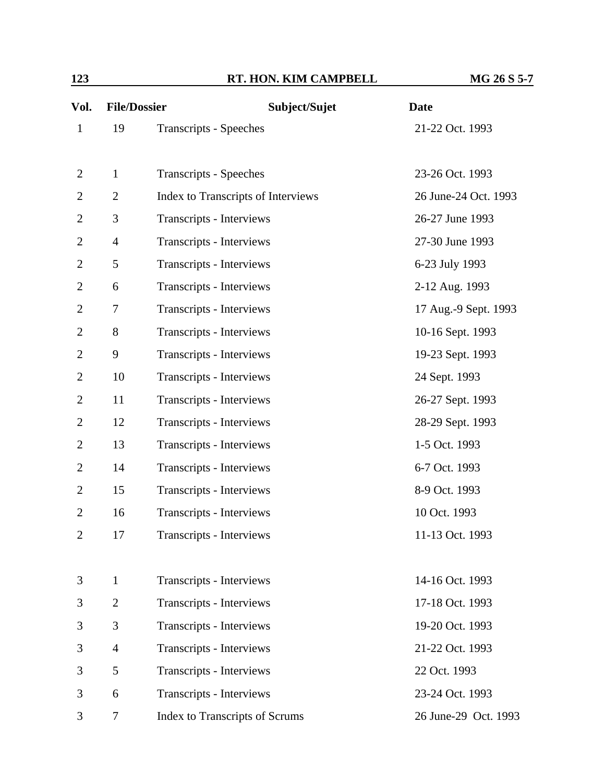| 123 | RT. HON. KIM CAMPBELL | MG 26 S 5-7 |
|-----|-----------------------|-------------|
|     |                       |             |

| Vol.           | <b>File/Dossier</b> | Subject/Sujet                         | <b>Date</b>          |
|----------------|---------------------|---------------------------------------|----------------------|
| $\mathbf{1}$   | 19                  | <b>Transcripts - Speeches</b>         | 21-22 Oct. 1993      |
|                |                     |                                       |                      |
| $\overline{c}$ | $\mathbf{1}$        | <b>Transcripts - Speeches</b>         | 23-26 Oct. 1993      |
| 2              | $\mathbf{2}$        | Index to Transcripts of Interviews    | 26 June-24 Oct. 1993 |
| 2              | 3                   | Transcripts - Interviews              | 26-27 June 1993      |
| 2              | $\overline{4}$      | Transcripts - Interviews              | 27-30 June 1993      |
| 2              | 5                   | Transcripts - Interviews              | 6-23 July 1993       |
| 2              | 6                   | Transcripts - Interviews              | 2-12 Aug. 1993       |
| 2              | 7                   | Transcripts - Interviews              | 17 Aug.-9 Sept. 1993 |
| 2              | 8                   | Transcripts - Interviews              | 10-16 Sept. 1993     |
| 2              | 9                   | Transcripts - Interviews              | 19-23 Sept. 1993     |
| 2              | 10                  | Transcripts - Interviews              | 24 Sept. 1993        |
| 2              | 11                  | Transcripts - Interviews              | 26-27 Sept. 1993     |
| 2              | 12                  | Transcripts - Interviews              | 28-29 Sept. 1993     |
| 2              | 13                  | Transcripts - Interviews              | 1-5 Oct. 1993        |
| 2              | 14                  | Transcripts - Interviews              | 6-7 Oct. 1993        |
| $\overline{2}$ | 15                  | Transcripts - Interviews              | 8-9 Oct. 1993        |
| 2              | 16                  | Transcripts - Interviews              | 10 Oct. 1993         |
| 2              | 17                  | <b>Transcripts - Interviews</b>       | 11-13 Oct. 1993      |
|                |                     |                                       |                      |
| 3              | $\mathbf{1}$        | Transcripts - Interviews              | 14-16 Oct. 1993      |
| 3              | $\overline{2}$      | Transcripts - Interviews              | 17-18 Oct. 1993      |
| 3              | 3                   | Transcripts - Interviews              | 19-20 Oct. 1993      |
| 3              | $\overline{4}$      | Transcripts - Interviews              | 21-22 Oct. 1993      |
| 3              | 5                   | Transcripts - Interviews              | 22 Oct. 1993         |
| 3              | 6                   | Transcripts - Interviews              | 23-24 Oct. 1993      |
| 3              | 7                   | <b>Index to Transcripts of Scrums</b> | 26 June-29 Oct. 1993 |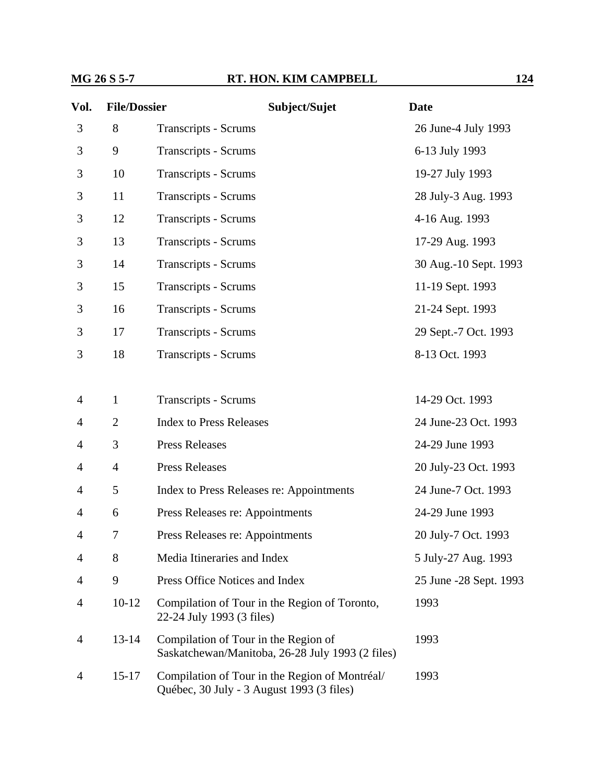#### **MG 26 S 5-7 RT. HON. KIM CAMPBELL 124**

| Vol.           | <b>File/Dossier</b> | Subject/Sujet                                                                               | <b>Date</b>            |
|----------------|---------------------|---------------------------------------------------------------------------------------------|------------------------|
| 3              | 8                   | <b>Transcripts - Scrums</b>                                                                 | 26 June-4 July 1993    |
| 3              | 9                   | <b>Transcripts - Scrums</b>                                                                 | 6-13 July 1993         |
| 3              | 10                  | <b>Transcripts - Scrums</b>                                                                 | 19-27 July 1993        |
| 3              | 11                  | Transcripts - Scrums                                                                        | 28 July-3 Aug. 1993    |
| 3              | 12                  | <b>Transcripts - Scrums</b>                                                                 | 4-16 Aug. 1993         |
| 3              | 13                  | <b>Transcripts - Scrums</b>                                                                 | 17-29 Aug. 1993        |
| 3              | 14                  | <b>Transcripts - Scrums</b>                                                                 | 30 Aug.-10 Sept. 1993  |
| 3              | 15                  | <b>Transcripts - Scrums</b>                                                                 | 11-19 Sept. 1993       |
| 3              | 16                  | <b>Transcripts - Scrums</b>                                                                 | 21-24 Sept. 1993       |
| 3              | 17                  | <b>Transcripts - Scrums</b>                                                                 | 29 Sept.-7 Oct. 1993   |
| 3              | 18                  | <b>Transcripts - Scrums</b>                                                                 | 8-13 Oct. 1993         |
|                |                     |                                                                                             |                        |
| $\overline{4}$ | $\mathbf{1}$        | <b>Transcripts - Scrums</b>                                                                 | 14-29 Oct. 1993        |
| 4              | $\overline{2}$      | <b>Index to Press Releases</b>                                                              | 24 June-23 Oct. 1993   |
| 4              | 3                   | <b>Press Releases</b>                                                                       | 24-29 June 1993        |
| 4              | $\overline{4}$      | <b>Press Releases</b>                                                                       | 20 July-23 Oct. 1993   |
| $\overline{4}$ | 5                   | Index to Press Releases re: Appointments                                                    | 24 June-7 Oct. 1993    |
| 4              | 6                   | Press Releases re: Appointments                                                             | 24-29 June 1993        |
| 4              | 7                   | Press Releases re: Appointments                                                             | 20 July-7 Oct. 1993    |
| 4              | 8                   | Media Itineraries and Index                                                                 | 5 July-27 Aug. 1993    |
| 4              | 9                   | Press Office Notices and Index                                                              | 25 June -28 Sept. 1993 |
| 4              | $10-12$             | Compilation of Tour in the Region of Toronto,<br>22-24 July 1993 (3 files)                  | 1993                   |
| 4              | $13 - 14$           | Compilation of Tour in the Region of<br>Saskatchewan/Manitoba, 26-28 July 1993 (2 files)    | 1993                   |
| 4              | $15 - 17$           | Compilation of Tour in the Region of Montréal/<br>Québec, 30 July - 3 August 1993 (3 files) | 1993                   |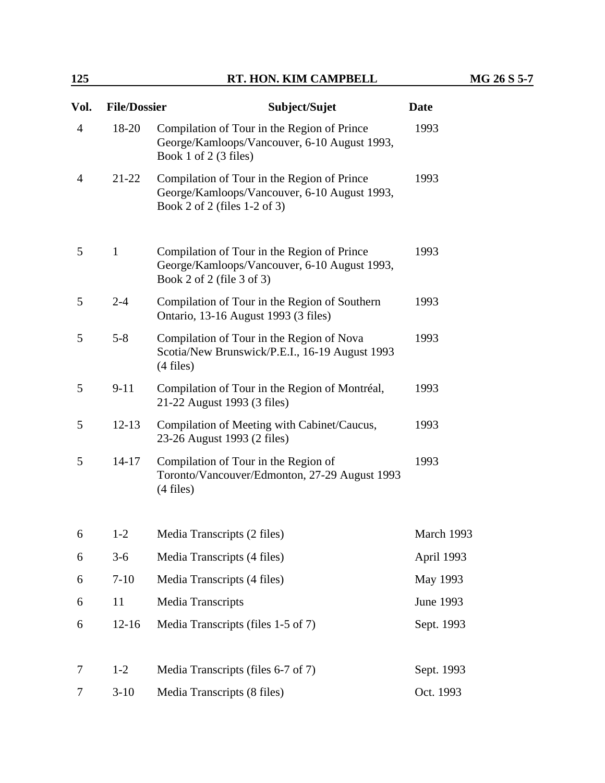#### **125 RT. HON. KIM CAMPBELL MG 26 S 5-7**

| Vol.           | <b>File/Dossier</b> | Subject/Sujet                                                                                                               | <b>Date</b> |
|----------------|---------------------|-----------------------------------------------------------------------------------------------------------------------------|-------------|
| $\overline{4}$ | 18-20               | Compilation of Tour in the Region of Prince<br>George/Kamloops/Vancouver, 6-10 August 1993,<br>Book 1 of 2 $(3$ files)      |             |
| $\overline{4}$ | $21 - 22$           | Compilation of Tour in the Region of Prince<br>George/Kamloops/Vancouver, 6-10 August 1993,<br>Book 2 of 2 (files 1-2 of 3) | 1993        |
| 5              | $\mathbf{1}$        | Compilation of Tour in the Region of Prince<br>George/Kamloops/Vancouver, 6-10 August 1993,<br>Book 2 of 2 (file 3 of 3)    | 1993        |
| 5              | $2 - 4$             | Compilation of Tour in the Region of Southern<br>Ontario, 13-16 August 1993 (3 files)                                       | 1993        |
| 5              | $5 - 8$             | Compilation of Tour in the Region of Nova<br>Scotia/New Brunswick/P.E.I., 16-19 August 1993<br>$(4$ files)                  | 1993        |
| 5              | $9 - 11$            | Compilation of Tour in the Region of Montréal,<br>21-22 August 1993 (3 files)                                               | 1993        |
| 5              | $12 - 13$           | Compilation of Meeting with Cabinet/Caucus,<br>23-26 August 1993 (2 files)                                                  | 1993        |
| 5              | $14 - 17$           | Compilation of Tour in the Region of<br>Toronto/Vancouver/Edmonton, 27-29 August 1993<br>$(4$ files)                        | 1993        |
| 6              | $1 - 2$             | Media Transcripts (2 files)                                                                                                 | March 1993  |
| 6              | $3-6$               | Media Transcripts (4 files)                                                                                                 | April 1993  |
| 6              | $7 - 10$            | Media Transcripts (4 files)                                                                                                 | May 1993    |
| 6              | 11                  | <b>Media Transcripts</b>                                                                                                    | June 1993   |
| 6              | $12 - 16$           | Media Transcripts (files 1-5 of 7)                                                                                          | Sept. 1993  |
| 7              | $1 - 2$             | Media Transcripts (files 6-7 of 7)                                                                                          | Sept. 1993  |
| 7              | $3-10$              | Media Transcripts (8 files)                                                                                                 | Oct. 1993   |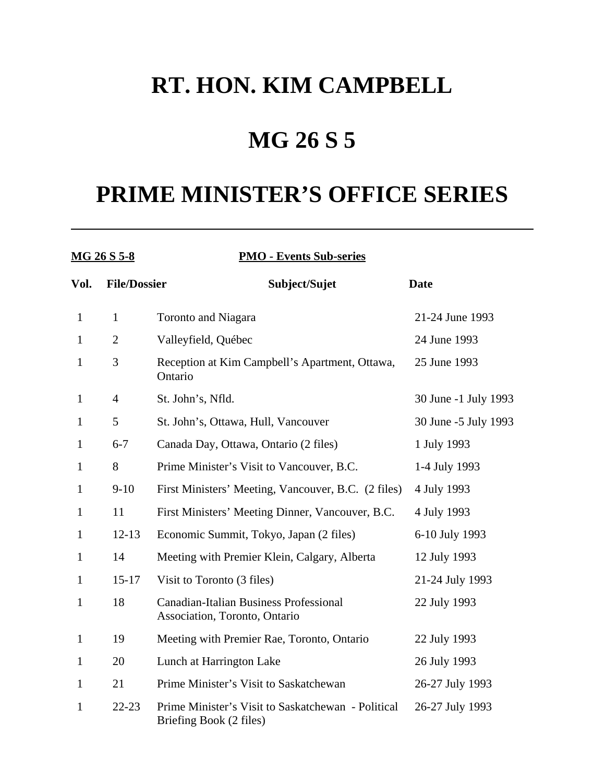## **MG 26 S 5**

| MG 26 S 5-8  |                     | <b>PMO - Events Sub-series</b>                                                 |                      |
|--------------|---------------------|--------------------------------------------------------------------------------|----------------------|
| Vol.         | <b>File/Dossier</b> | Subject/Sujet                                                                  | <b>Date</b>          |
| $\mathbf{1}$ | $\mathbf{1}$        | <b>Toronto and Niagara</b>                                                     | 21-24 June 1993      |
| $\mathbf{1}$ | $\overline{2}$      | Valleyfield, Québec                                                            | 24 June 1993         |
| $\mathbf{1}$ | 3                   | Reception at Kim Campbell's Apartment, Ottawa,<br>Ontario                      | 25 June 1993         |
| 1            | $\overline{4}$      | St. John's, Nfld.                                                              | 30 June -1 July 1993 |
| $\mathbf{1}$ | 5                   | St. John's, Ottawa, Hull, Vancouver                                            | 30 June -5 July 1993 |
| $\mathbf{1}$ | $6 - 7$             | Canada Day, Ottawa, Ontario (2 files)                                          | 1 July 1993          |
| $\mathbf{1}$ | 8                   | Prime Minister's Visit to Vancouver, B.C.                                      | 1-4 July 1993        |
| 1            | $9-10$              | First Ministers' Meeting, Vancouver, B.C. (2 files)                            | 4 July 1993          |
| $\mathbf{1}$ | 11                  | First Ministers' Meeting Dinner, Vancouver, B.C.                               | 4 July 1993          |
| $\mathbf{1}$ | $12 - 13$           | Economic Summit, Tokyo, Japan (2 files)                                        | 6-10 July 1993       |
| 1            | 14                  | Meeting with Premier Klein, Calgary, Alberta                                   | 12 July 1993         |
| $\mathbf{1}$ | $15 - 17$           | Visit to Toronto (3 files)                                                     | 21-24 July 1993      |
| $\mathbf{1}$ | 18                  | <b>Canadian-Italian Business Professional</b><br>Association, Toronto, Ontario | 22 July 1993         |
| $\mathbf{1}$ | 19                  | Meeting with Premier Rae, Toronto, Ontario                                     | 22 July 1993         |
| $\mathbf{1}$ | 20                  | Lunch at Harrington Lake                                                       | 26 July 1993         |
| 1            | 21                  | Prime Minister's Visit to Saskatchewan                                         | 26-27 July 1993      |
| $\mathbf{1}$ | $22 - 23$           | Prime Minister's Visit to Saskatchewan - Political<br>Briefing Book (2 files)  | 26-27 July 1993      |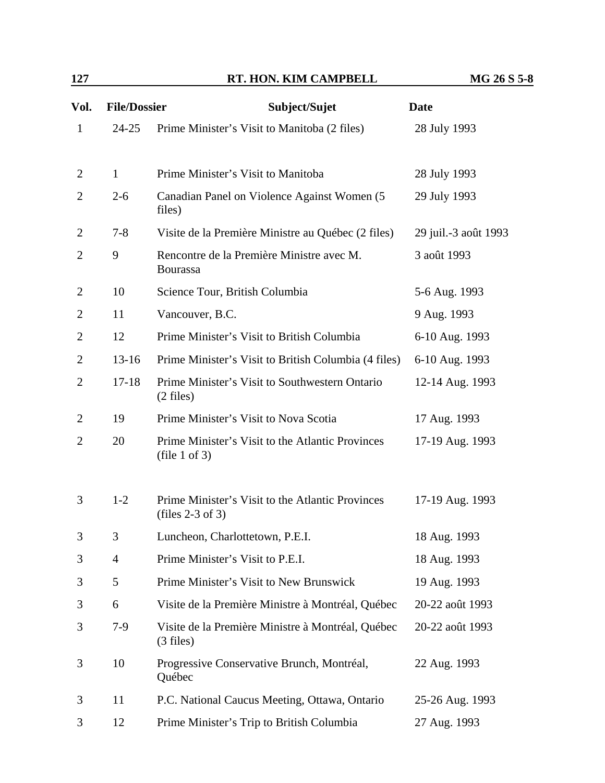| 127            |                     | RT. HON. KIM CAMPBELL                                                  | MG 26 S 5-8          |
|----------------|---------------------|------------------------------------------------------------------------|----------------------|
| Vol.           | <b>File/Dossier</b> | Subject/Sujet                                                          | <b>Date</b>          |
| $\mathbf{1}$   | $24 - 25$           | Prime Minister's Visit to Manitoba (2 files)                           | 28 July 1993         |
| $\overline{2}$ | $\mathbf{1}$        | Prime Minister's Visit to Manitoba                                     | 28 July 1993         |
| $\overline{2}$ | $2 - 6$             | Canadian Panel on Violence Against Women (5<br>files)                  | 29 July 1993         |
| 2              | $7 - 8$             | Visite de la Première Ministre au Québec (2 files)                     | 29 juil.-3 août 1993 |
| 2              | 9                   | Rencontre de la Première Ministre avec M.<br><b>Bourassa</b>           | 3 août 1993          |
| 2              | 10                  | Science Tour, British Columbia                                         | 5-6 Aug. 1993        |
| $\overline{2}$ | 11                  | Vancouver, B.C.                                                        | 9 Aug. 1993          |
| $\overline{2}$ | 12                  | Prime Minister's Visit to British Columbia                             | 6-10 Aug. 1993       |
| $\overline{2}$ | $13-16$             | Prime Minister's Visit to British Columbia (4 files)                   | 6-10 Aug. 1993       |
| $\overline{2}$ | $17 - 18$           | Prime Minister's Visit to Southwestern Ontario<br>$(2 \text{ files})$  | 12-14 Aug. 1993      |
| 2              | 19                  | Prime Minister's Visit to Nova Scotia                                  | 17 Aug. 1993         |
| $\overline{2}$ | 20                  | Prime Minister's Visit to the Atlantic Provinces<br>(file 1 of 3)      | 17-19 Aug. 1993      |
| 3              | $1 - 2$             | Prime Minister's Visit to the Atlantic Provinces<br>(files $2-3$ of 3) | 17-19 Aug. 1993      |
| 3              | 3                   | Luncheon, Charlottetown, P.E.I.                                        | 18 Aug. 1993         |
| 3              | $\overline{4}$      | Prime Minister's Visit to P.E.I.                                       | 18 Aug. 1993         |
| 3              | 5                   | Prime Minister's Visit to New Brunswick                                | 19 Aug. 1993         |
| 3              | 6                   | Visite de la Première Ministre à Montréal, Québec                      | 20-22 août 1993      |
| 3              | $7-9$               | Visite de la Première Ministre à Montréal, Québec                      | 20-22 août 1993      |

3 10 Progressive Conservative Brunch, Montréal, Québec 22 Aug. 1993 3 11 P.C. National Caucus Meeting, Ottawa, Ontario 25-26 Aug. 1993 3 12 Prime Minister's Trip to British Columbia 27 Aug. 1993

(3 files)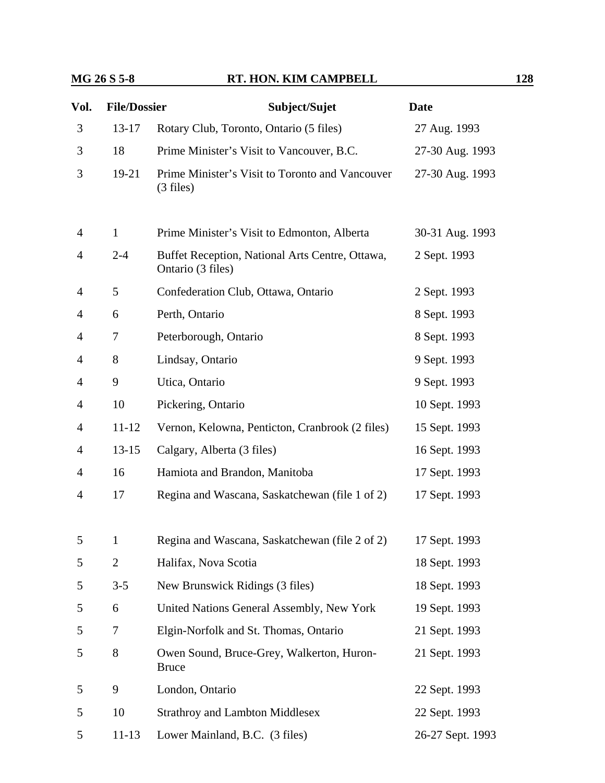#### **MG 26 S 5-8 RT. HON. KIM CAMPBELL 128**

| Vol.           | <b>File/Dossier</b> | Subject/Sujet                                                        | <b>Date</b>      |
|----------------|---------------------|----------------------------------------------------------------------|------------------|
| 3              | $13 - 17$           | Rotary Club, Toronto, Ontario (5 files)                              | 27 Aug. 1993     |
| 3              | 18                  | Prime Minister's Visit to Vancouver, B.C.                            | 27-30 Aug. 1993  |
| 3              | $19-21$             | Prime Minister's Visit to Toronto and Vancouver<br>$(3$ files)       | 27-30 Aug. 1993  |
| $\overline{4}$ | $\mathbf{1}$        | Prime Minister's Visit to Edmonton, Alberta                          | 30-31 Aug. 1993  |
| $\overline{4}$ | $2 - 4$             | Buffet Reception, National Arts Centre, Ottawa,<br>Ontario (3 files) | 2 Sept. 1993     |
| 4              | 5                   | Confederation Club, Ottawa, Ontario                                  | 2 Sept. 1993     |
| $\overline{4}$ | 6                   | Perth, Ontario                                                       | 8 Sept. 1993     |
| $\overline{4}$ | 7                   | Peterborough, Ontario                                                | 8 Sept. 1993     |
| $\overline{4}$ | 8                   | Lindsay, Ontario                                                     | 9 Sept. 1993     |
| $\overline{4}$ | 9                   | Utica, Ontario                                                       | 9 Sept. 1993     |
| $\overline{4}$ | 10                  | Pickering, Ontario                                                   | 10 Sept. 1993    |
| $\overline{4}$ | $11 - 12$           | Vernon, Kelowna, Penticton, Cranbrook (2 files)                      | 15 Sept. 1993    |
| $\overline{4}$ | $13 - 15$           | Calgary, Alberta (3 files)                                           | 16 Sept. 1993    |
| $\overline{4}$ | 16                  | Hamiota and Brandon, Manitoba                                        | 17 Sept. 1993    |
| $\overline{4}$ | 17                  | Regina and Wascana, Saskatchewan (file 1 of 2)                       | 17 Sept. 1993    |
| 5              | $\mathbf{1}$        | Regina and Wascana, Saskatchewan (file 2 of 2)                       | 17 Sept. 1993    |
| 5              | 2                   | Halifax, Nova Scotia                                                 | 18 Sept. 1993    |
| 5              | $3 - 5$             | New Brunswick Ridings (3 files)                                      | 18 Sept. 1993    |
| 5              | 6                   | United Nations General Assembly, New York                            | 19 Sept. 1993    |
| 5              | 7                   | Elgin-Norfolk and St. Thomas, Ontario                                | 21 Sept. 1993    |
| 5              | 8                   | Owen Sound, Bruce-Grey, Walkerton, Huron-<br><b>Bruce</b>            | 21 Sept. 1993    |
| 5              | 9                   | London, Ontario                                                      | 22 Sept. 1993    |
| 5              | 10                  | <b>Strathroy and Lambton Middlesex</b>                               | 22 Sept. 1993    |
| 5              | $11 - 13$           | Lower Mainland, B.C. (3 files)                                       | 26-27 Sept. 1993 |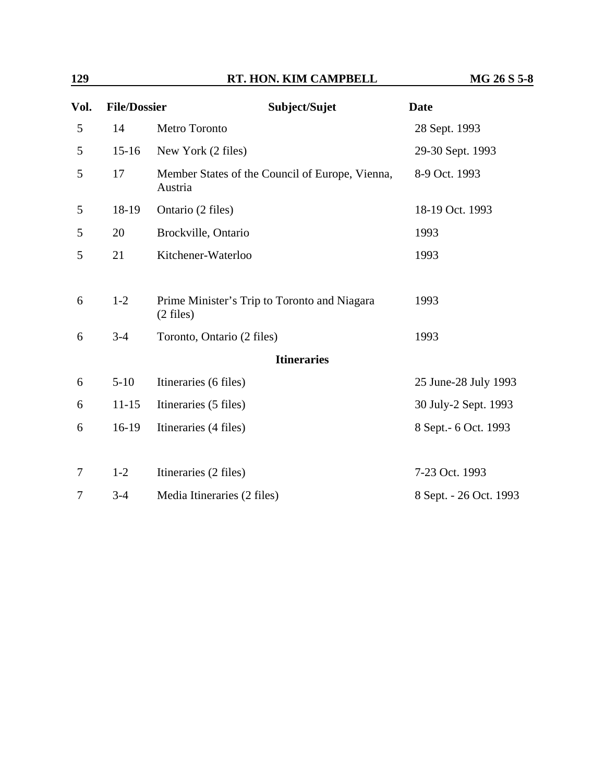| 129            |                     | RT. HON. KIM CAMPBELL                                               | MG 26 S 5-8            |
|----------------|---------------------|---------------------------------------------------------------------|------------------------|
| Vol.           | <b>File/Dossier</b> | Subject/Sujet                                                       | <b>Date</b>            |
| 5              | 14                  | Metro Toronto                                                       | 28 Sept. 1993          |
| 5              | $15-16$             | New York (2 files)                                                  | 29-30 Sept. 1993       |
| 5              | 17                  | Member States of the Council of Europe, Vienna,<br>Austria          | 8-9 Oct. 1993          |
| 5              | 18-19               | Ontario (2 files)                                                   | 18-19 Oct. 1993        |
| 5              | 20                  | Brockville, Ontario                                                 | 1993                   |
| $\mathfrak{S}$ | 21                  | Kitchener-Waterloo                                                  | 1993                   |
| 6              | $1-2$               | Prime Minister's Trip to Toronto and Niagara<br>$(2 \text{ files})$ | 1993                   |
| 6              | $3-4$               | Toronto, Ontario (2 files)                                          | 1993                   |
|                |                     | <b>Itineraries</b>                                                  |                        |
| 6              | $5 - 10$            | Itineraries (6 files)                                               | 25 June-28 July 1993   |
| 6              | $11 - 15$           | Itineraries (5 files)                                               | 30 July-2 Sept. 1993   |
| 6              | $16-19$             | Itineraries (4 files)                                               | 8 Sept. - 6 Oct. 1993  |
| 7              | $1 - 2$             | Itineraries (2 files)                                               | 7-23 Oct. 1993         |
| $\tau$         | $3 - 4$             | Media Itineraries (2 files)                                         | 8 Sept. - 26 Oct. 1993 |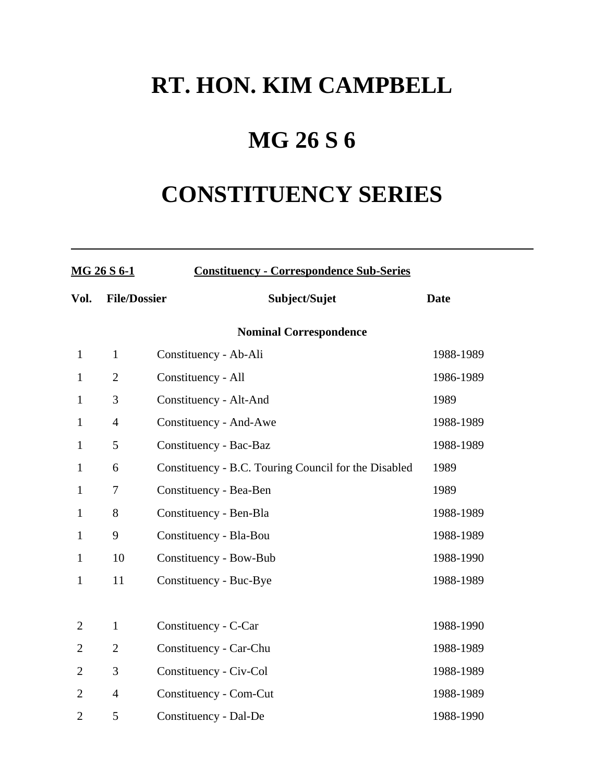## **MG 26 S 6**

# **CONSTITUENCY SERIES**

| MG 26 S 6-1    |                     | <b>Constituency - Correspondence Sub-Series</b>      |             |  |  |
|----------------|---------------------|------------------------------------------------------|-------------|--|--|
| Vol.           | <b>File/Dossier</b> | Subject/Sujet                                        | <b>Date</b> |  |  |
|                |                     | <b>Nominal Correspondence</b>                        |             |  |  |
| $\mathbf{1}$   | $\mathbf{1}$        | Constituency - Ab-Ali                                | 1988-1989   |  |  |
| $\mathbf{1}$   | $\overline{2}$      | Constituency - All                                   | 1986-1989   |  |  |
| $\mathbf{1}$   | 3                   | Constituency - Alt-And                               | 1989        |  |  |
| $\mathbf{1}$   | $\overline{4}$      | Constituency - And-Awe                               | 1988-1989   |  |  |
| $\mathbf{1}$   | 5                   | Constituency - Bac-Baz                               | 1988-1989   |  |  |
| $\mathbf{1}$   | 6                   | Constituency - B.C. Touring Council for the Disabled | 1989        |  |  |
| $\mathbf{1}$   | 7                   | Constituency - Bea-Ben                               | 1989        |  |  |
| 1              | 8                   | Constituency - Ben-Bla                               | 1988-1989   |  |  |
| $\mathbf{1}$   | 9                   | Constituency - Bla-Bou                               | 1988-1989   |  |  |
| $\mathbf{1}$   | 10                  | Constituency - Bow-Bub                               | 1988-1990   |  |  |
| $\mathbf{1}$   | 11                  | Constituency - Buc-Bye                               | 1988-1989   |  |  |
|                |                     |                                                      |             |  |  |
| $\overline{2}$ | $\mathbf{1}$        | Constituency - C-Car                                 | 1988-1990   |  |  |
| 2              | $\overline{2}$      | Constituency - Car-Chu                               | 1988-1989   |  |  |
| $\overline{2}$ | 3                   | Constituency - Civ-Col                               | 1988-1989   |  |  |
| $\overline{2}$ | $\overline{4}$      | Constituency - Com-Cut                               | 1988-1989   |  |  |
| $\overline{2}$ | 5                   | Constituency - Dal-De                                | 1988-1990   |  |  |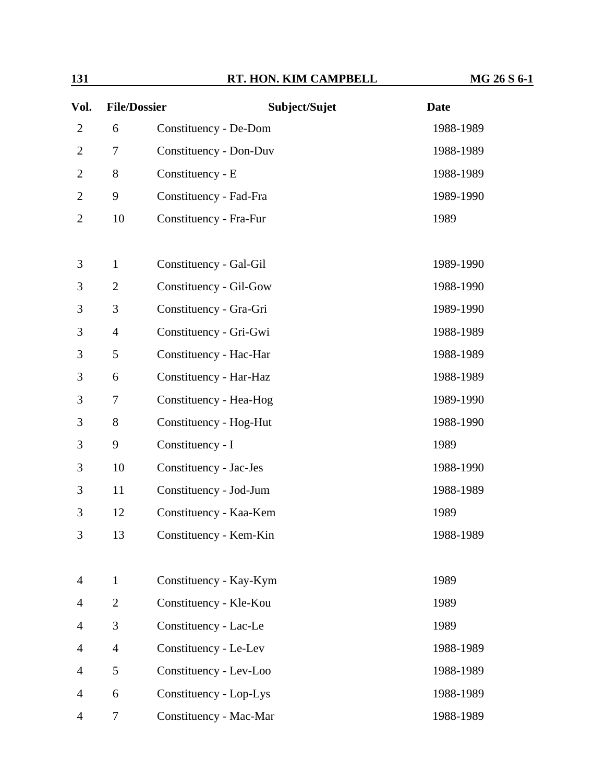| Vol.           | <b>File/Dossier</b> | Subject/Sujet          | <b>Date</b> |  |
|----------------|---------------------|------------------------|-------------|--|
| $\overline{2}$ | 6                   | Constituency - De-Dom  | 1988-1989   |  |
| $\overline{2}$ | 7                   | Constituency - Don-Duv | 1988-1989   |  |
| $\overline{2}$ | 8                   | Constituency - E       | 1988-1989   |  |
| $\overline{2}$ | 9                   | Constituency - Fad-Fra | 1989-1990   |  |
| 2              | 10                  | Constituency - Fra-Fur | 1989        |  |
| 3              | $\mathbf{1}$        | Constituency - Gal-Gil | 1989-1990   |  |
| 3              | $\overline{2}$      |                        | 1988-1990   |  |
| 3              | 3                   | Constituency - Gil-Gow |             |  |
|                |                     | Constituency - Gra-Gri | 1989-1990   |  |
| 3              | $\overline{4}$      | Constituency - Gri-Gwi | 1988-1989   |  |
| 3              | 5                   | Constituency - Hac-Har | 1988-1989   |  |
| 3              | 6                   | Constituency - Har-Haz | 1988-1989   |  |
| 3              | 7                   | Constituency - Hea-Hog | 1989-1990   |  |
| 3              | 8                   | Constituency - Hog-Hut | 1988-1990   |  |
| 3              | 9                   | Constituency - I       | 1989        |  |
| 3              | 10                  | Constituency - Jac-Jes | 1988-1990   |  |
| 3              | 11                  | Constituency - Jod-Jum | 1988-1989   |  |
| 3              | 12                  | Constituency - Kaa-Kem | 1989        |  |
| 3              | 13                  | Constituency - Kem-Kin | 1988-1989   |  |
| $\overline{4}$ | $\mathbf{1}$        | Constituency - Kay-Kym | 1989        |  |
| 4              | $\overline{2}$      | Constituency - Kle-Kou | 1989        |  |
| 4              | 3                   | Constituency - Lac-Le  | 1989        |  |
| 4              | $\overline{4}$      | Constituency - Le-Lev  | 1988-1989   |  |
| 4              | 5                   | Constituency - Lev-Loo | 1988-1989   |  |
| 4              | 6                   | Constituency - Lop-Lys | 1988-1989   |  |
| 4              | 7                   | Constituency - Mac-Mar | 1988-1989   |  |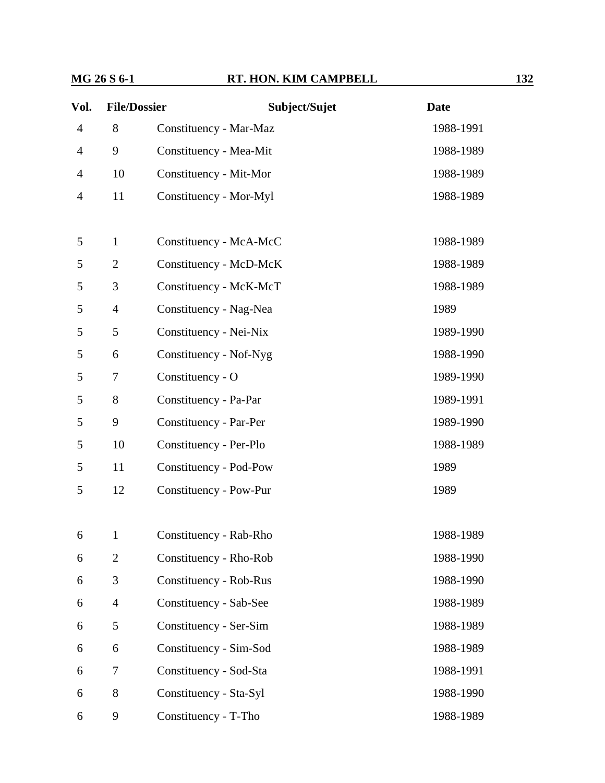| Vol.                     | <b>File/Dossier</b> | Subject/Sujet          | <b>Date</b> |
|--------------------------|---------------------|------------------------|-------------|
| $\overline{\mathcal{A}}$ | 8                   | Constituency - Mar-Maz | 1988-1991   |
| 4                        | 9                   | Constituency - Mea-Mit | 1988-1989   |
| 4                        | 10                  | Constituency - Mit-Mor | 1988-1989   |
| $\overline{4}$           | 11                  | Constituency - Mor-Myl | 1988-1989   |
|                          |                     |                        |             |
| 5                        | $\mathbf{1}$        | Constituency - McA-McC | 1988-1989   |
| 5                        | $\overline{2}$      | Constituency - McD-McK | 1988-1989   |
| 5                        | 3                   | Constituency - McK-McT | 1988-1989   |
| 5                        | $\overline{4}$      | Constituency - Nag-Nea | 1989        |
| 5                        | 5                   | Constituency - Nei-Nix | 1989-1990   |
| 5                        | 6                   | Constituency - Nof-Nyg | 1988-1990   |
| 5                        | 7                   | Constituency - O       | 1989-1990   |
| 5                        | 8                   | Constituency - Pa-Par  | 1989-1991   |
| 5                        | 9                   | Constituency - Par-Per | 1989-1990   |
| 5                        | 10                  | Constituency - Per-Plo | 1988-1989   |
| 5                        | 11                  | Constituency - Pod-Pow | 1989        |
| 5                        | 12                  | Constituency - Pow-Pur | 1989        |
|                          |                     |                        |             |
| 6                        | $\mathbf 1$         | Constituency - Rab-Rho | 1988-1989   |
| 6                        | $\overline{2}$      | Constituency - Rho-Rob | 1988-1990   |
| 6                        | 3                   | Constituency - Rob-Rus | 1988-1990   |
| 6                        | $\overline{4}$      | Constituency - Sab-See | 1988-1989   |
| 6                        | 5                   | Constituency - Ser-Sim | 1988-1989   |
| 6                        | 6                   | Constituency - Sim-Sod | 1988-1989   |
| 6                        | 7                   | Constituency - Sod-Sta | 1988-1991   |
| 6                        | 8                   | Constituency - Sta-Syl | 1988-1990   |
| 6                        | 9                   | Constituency - T-Tho   | 1988-1989   |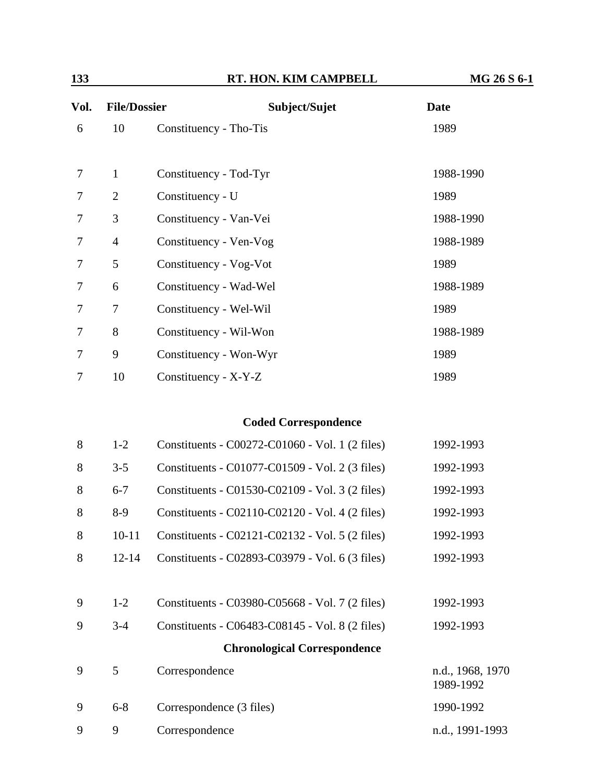| Vol. |                | <b>File/Dossier</b><br>Subject/Sujet | Date      |
|------|----------------|--------------------------------------|-----------|
| 6    | 10             | Constituency - Tho-Tis               | 1989      |
|      |                |                                      |           |
| 7    | $\mathbf{1}$   | Constituency - Tod-Tyr               | 1988-1990 |
| 7    | $\overline{2}$ | Constituency - U                     | 1989      |
| 7    | 3              | Constituency - Van-Vei               | 1988-1990 |
| 7    | $\overline{4}$ | Constituency - Ven-Vog               | 1988-1989 |
| 7    | 5              | Constituency - Vog-Vot               | 1989      |
| 7    | 6              | Constituency - Wad-Wel               | 1988-1989 |
| 7    | 7              | Constituency - Wel-Wil               | 1989      |
| 7    | 8              | Constituency - Wil-Won               | 1988-1989 |
| 7    | 9              | Constituency - Won-Wyr               | 1989      |
| 7    | 10             | Constituency - X-Y-Z                 | 1989      |
|      |                |                                      |           |

#### **Coded Correspondence**

| 9 | 9         | Correspondence                                  | n.d., 1991-1993               |
|---|-----------|-------------------------------------------------|-------------------------------|
| 9 | $6 - 8$   | Correspondence (3 files)                        | 1990-1992                     |
| 9 | 5         | Correspondence                                  | n.d., 1968, 1970<br>1989-1992 |
|   |           | <b>Chronological Correspondence</b>             |                               |
| 9 | $3 - 4$   | Constituents - C06483-C08145 - Vol. 8 (2 files) | 1992-1993                     |
| 9 | $1-2$     | Constituents - C03980-C05668 - Vol. 7 (2 files) | 1992-1993                     |
|   | $12 - 14$ | Constituents - C02893-C03979 - Vol. 6 (3 files) | 1992-1993                     |
| 8 |           |                                                 |                               |
| 8 | $10 - 11$ | Constituents - C02121-C02132 - Vol. 5 (2 files) | 1992-1993                     |
| 8 | $8-9$     | Constituents - C02110-C02120 - Vol. 4 (2 files) | 1992-1993                     |
| 8 | $6 - 7$   | Constituents - C01530-C02109 - Vol. 3 (2 files) | 1992-1993                     |
| 8 | $3 - 5$   | Constituents - C01077-C01509 - Vol. 2 (3 files) | 1992-1993                     |
| 8 | $1-2$     | Constituents - C00272-C01060 - Vol. 1 (2 files) | 1992-1993                     |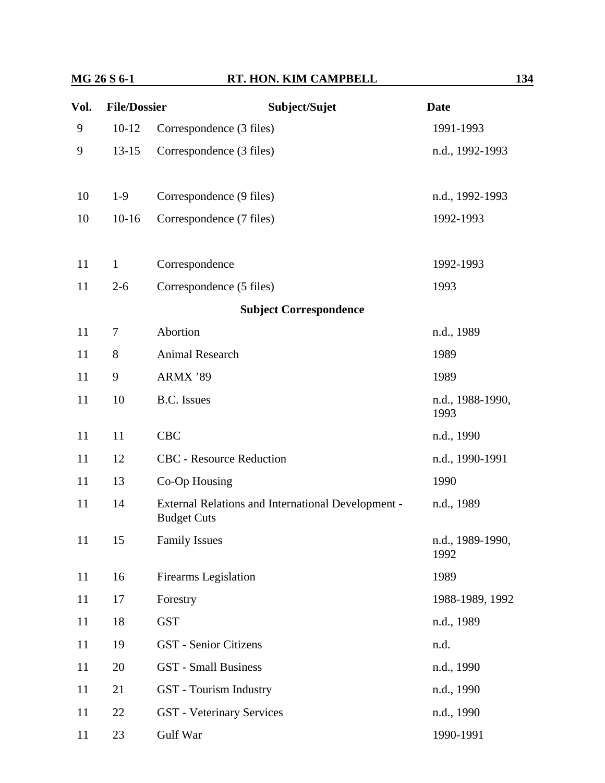| Vol. | <b>File/Dossier</b> | Subject/Sujet                                                            | <b>Date</b>              |
|------|---------------------|--------------------------------------------------------------------------|--------------------------|
| 9    | $10 - 12$           | Correspondence (3 files)                                                 | 1991-1993                |
| 9    | $13 - 15$           | Correspondence (3 files)                                                 | n.d., 1992-1993          |
| 10   | $1-9$               | Correspondence (9 files)                                                 | n.d., 1992-1993          |
| 10   | $10-16$             | Correspondence (7 files)                                                 | 1992-1993                |
| 11   | $\mathbf{1}$        | Correspondence                                                           | 1992-1993                |
| 11   | $2 - 6$             | Correspondence (5 files)                                                 | 1993                     |
|      |                     | <b>Subject Correspondence</b>                                            |                          |
| 11   | 7                   | Abortion                                                                 | n.d., 1989               |
| 11   | 8                   | Animal Research                                                          | 1989                     |
| 11   | 9                   | ARMX '89                                                                 | 1989                     |
| 11   | 10                  | B.C. Issues                                                              | n.d., 1988-1990,<br>1993 |
| 11   | 11                  | <b>CBC</b>                                                               | n.d., 1990               |
| 11   | 12                  | <b>CBC</b> - Resource Reduction                                          | n.d., 1990-1991          |
| 11   | 13                  | Co-Op Housing                                                            | 1990                     |
| 11   | 14                  | External Relations and International Development -<br><b>Budget Cuts</b> | n.d., 1989               |
| 11   | 15                  | <b>Family Issues</b>                                                     | n.d., 1989-1990,<br>1992 |
| 11   | 16                  | <b>Firearms</b> Legislation                                              | 1989                     |
| 11   | 17                  | Forestry                                                                 | 1988-1989, 1992          |
| 11   | 18                  | <b>GST</b>                                                               | n.d., 1989               |
| 11   | 19                  | <b>GST</b> - Senior Citizens                                             | n.d.                     |
| 11   | 20                  | <b>GST</b> - Small Business                                              | n.d., 1990               |
| 11   | 21                  | GST - Tourism Industry                                                   | n.d., 1990               |
| 11   | 22                  | <b>GST</b> - Veterinary Services                                         | n.d., 1990               |
| 11   | 23                  | Gulf War                                                                 | 1990-1991                |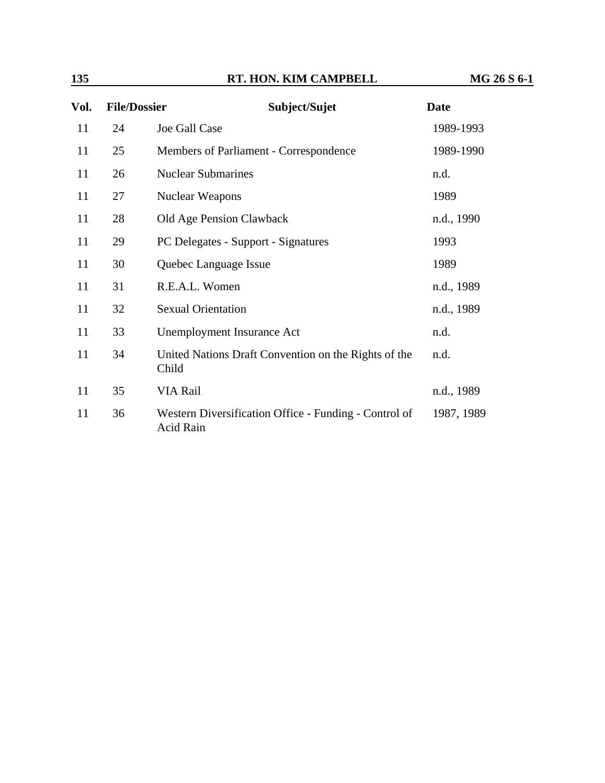| Vol. | <b>File/Dossier</b> | Subject/Sujet                                                      | <b>Date</b> |
|------|---------------------|--------------------------------------------------------------------|-------------|
| 11   | 24                  | Joe Gall Case                                                      | 1989-1993   |
| 11   | 25                  | Members of Parliament - Correspondence                             | 1989-1990   |
| 11   | 26                  | <b>Nuclear Submarines</b>                                          | n.d.        |
| 11   | 27                  | <b>Nuclear Weapons</b>                                             | 1989        |
| 11   | 28                  | Old Age Pension Clawback                                           | n.d., 1990  |
| 11   | 29                  | PC Delegates - Support - Signatures                                | 1993        |
| 11   | 30                  | Quebec Language Issue                                              | 1989        |
| 11   | 31                  | R.E.A.L. Women                                                     | n.d., 1989  |
| 11   | 32                  | <b>Sexual Orientation</b>                                          | n.d., 1989  |
| 11   | 33                  | <b>Unemployment Insurance Act</b>                                  | n.d.        |
| 11   | 34                  | United Nations Draft Convention on the Rights of the<br>Child      | n.d.        |
| 11   | 35                  | VIA Rail                                                           | n.d., 1989  |
| 11   | 36                  | Western Diversification Office - Funding - Control of<br>Acid Rain | 1987, 1989  |

#### **135 RT. HON. KIM CAMPBELL MG 26 S 6-1**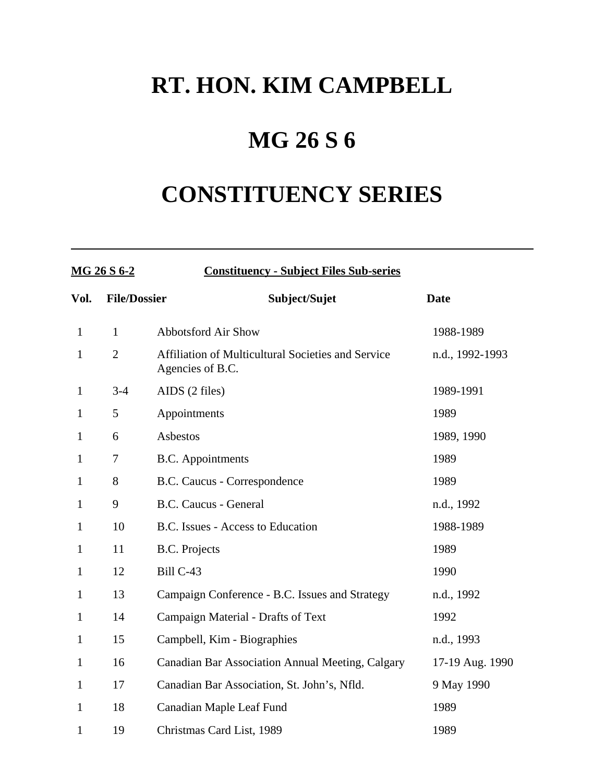## **MG 26 S 6**

# **CONSTITUENCY SERIES**

| MG 26 S 6-2  |                     | <b>Constituency - Subject Files Sub-series</b>                         |                 |  |  |
|--------------|---------------------|------------------------------------------------------------------------|-----------------|--|--|
| Vol.         | <b>File/Dossier</b> | Subject/Sujet                                                          | <b>Date</b>     |  |  |
| $\mathbf{1}$ | $\mathbf{1}$        | <b>Abbotsford Air Show</b>                                             | 1988-1989       |  |  |
| $\mathbf{1}$ | $\overline{2}$      | Affiliation of Multicultural Societies and Service<br>Agencies of B.C. | n.d., 1992-1993 |  |  |
| $\mathbf{1}$ | $3-4$               | AIDS (2 files)                                                         | 1989-1991       |  |  |
| $\mathbf{1}$ | 5                   | Appointments                                                           | 1989            |  |  |
| $\mathbf{1}$ | 6                   | Asbestos                                                               | 1989, 1990      |  |  |
| 1            | 7                   | <b>B.C.</b> Appointments                                               | 1989            |  |  |
| $\mathbf{1}$ | 8                   | B.C. Caucus - Correspondence                                           | 1989            |  |  |
| $\mathbf{1}$ | 9                   | <b>B.C. Caucus - General</b>                                           | n.d., 1992      |  |  |
| $\mathbf{1}$ | 10                  | B.C. Issues - Access to Education                                      | 1988-1989       |  |  |
| $\mathbf{1}$ | 11                  | <b>B.C.</b> Projects                                                   | 1989            |  |  |
| $\mathbf{1}$ | 12                  | Bill C-43                                                              | 1990            |  |  |
| $\mathbf{1}$ | 13                  | Campaign Conference - B.C. Issues and Strategy                         | n.d., 1992      |  |  |
| $\mathbf{1}$ | 14                  | Campaign Material - Drafts of Text                                     | 1992            |  |  |
| $\mathbf{1}$ | 15                  | Campbell, Kim - Biographies                                            | n.d., 1993      |  |  |
| $\mathbf{1}$ | 16                  | Canadian Bar Association Annual Meeting, Calgary                       | 17-19 Aug. 1990 |  |  |
| $\mathbf{1}$ | 17                  | Canadian Bar Association, St. John's, Nfld.                            | 9 May 1990      |  |  |
| $\mathbf{1}$ | 18                  | Canadian Maple Leaf Fund                                               | 1989            |  |  |
| 1            | 19                  | Christmas Card List, 1989                                              | 1989            |  |  |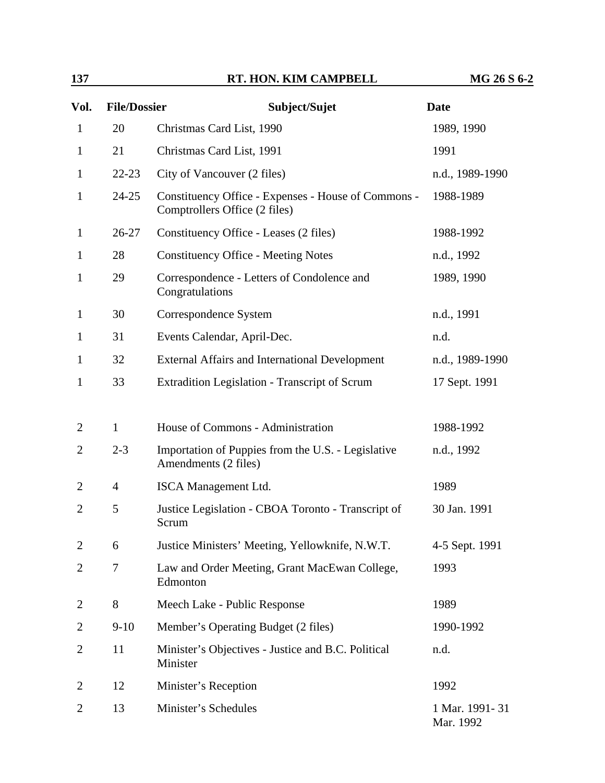| 137            |                     | RT. HON. KIM CAMPBELL                                                                | MG 26 S 6-2                   |
|----------------|---------------------|--------------------------------------------------------------------------------------|-------------------------------|
| Vol.           | <b>File/Dossier</b> | Subject/Sujet                                                                        | <b>Date</b>                   |
| $\mathbf{1}$   | 20                  | Christmas Card List, 1990                                                            | 1989, 1990                    |
| $\mathbf{1}$   | 21                  | Christmas Card List, 1991                                                            | 1991                          |
| $\mathbf{1}$   | $22 - 23$           | City of Vancouver (2 files)                                                          | n.d., 1989-1990               |
| $\mathbf{1}$   | $24 - 25$           | Constituency Office - Expenses - House of Commons -<br>Comptrollers Office (2 files) | 1988-1989                     |
| $\mathbf{1}$   | $26 - 27$           | Constituency Office - Leases (2 files)                                               | 1988-1992                     |
| $\mathbf{1}$   | 28                  | <b>Constituency Office - Meeting Notes</b>                                           | n.d., 1992                    |
| $\mathbf{1}$   | 29                  | Correspondence - Letters of Condolence and<br>Congratulations                        | 1989, 1990                    |
| $\mathbf{1}$   | 30                  | Correspondence System                                                                | n.d., 1991                    |
| $\mathbf 1$    | 31                  | Events Calendar, April-Dec.                                                          | n.d.                          |
| $\mathbf 1$    | 32                  | <b>External Affairs and International Development</b>                                | n.d., 1989-1990               |
| $\mathbf{1}$   | 33                  | Extradition Legislation - Transcript of Scrum                                        | 17 Sept. 1991                 |
|                |                     |                                                                                      |                               |
| $\overline{2}$ | $\mathbf{1}$        | House of Commons - Administration                                                    | 1988-1992                     |
| 2              | $2 - 3$             | Importation of Puppies from the U.S. - Legislative<br>Amendments (2 files)           | n.d., 1992                    |
| 2              | $\overline{4}$      | <b>ISCA</b> Management Ltd.                                                          | 1989                          |
| $\overline{2}$ | 5                   | Justice Legislation - CBOA Toronto - Transcript of<br>Scrum                          | 30 Jan. 1991                  |
| 2              | 6                   | Justice Ministers' Meeting, Yellowknife, N.W.T.                                      | 4-5 Sept. 1991                |
| 2              | 7                   | Law and Order Meeting, Grant MacEwan College,<br>Edmonton                            | 1993                          |
| 2              | 8                   | Meech Lake - Public Response                                                         | 1989                          |
| 2              | $9-10$              | Member's Operating Budget (2 files)                                                  | 1990-1992                     |
| 2              | 11                  | Minister's Objectives - Justice and B.C. Political<br>Minister                       | n.d.                          |
| 2              | 12                  | Minister's Reception                                                                 | 1992                          |
| 2              | 13                  | Minister's Schedules                                                                 | 1 Mar. 1991 - 31<br>Mar. 1992 |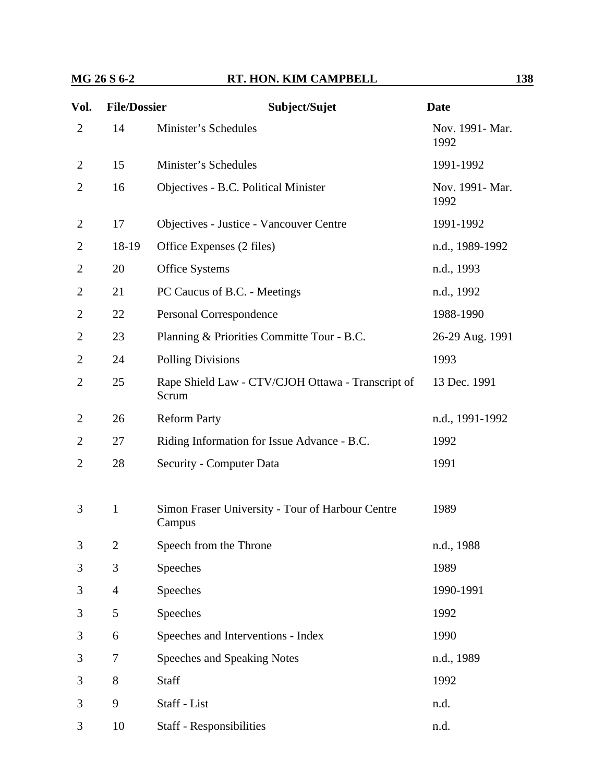#### **MG 26 S 6-2 RT. HON. KIM CAMPBELL** 138

| Vol.           | <b>File/Dossier</b> | Subject/Sujet                                              | <b>Date</b>             |
|----------------|---------------------|------------------------------------------------------------|-------------------------|
| $\overline{2}$ | 14                  | Minister's Schedules                                       | Nov. 1991- Mar.<br>1992 |
| $\overline{2}$ | 15                  | Minister's Schedules                                       | 1991-1992               |
| $\overline{2}$ | 16                  | Objectives - B.C. Political Minister                       | Nov. 1991- Mar.<br>1992 |
| $\overline{2}$ | 17                  | Objectives - Justice - Vancouver Centre                    | 1991-1992               |
| $\overline{2}$ | 18-19               | Office Expenses (2 files)                                  | n.d., 1989-1992         |
| $\overline{2}$ | 20                  | <b>Office Systems</b>                                      | n.d., 1993              |
| $\overline{2}$ | 21                  | PC Caucus of B.C. - Meetings                               | n.d., 1992              |
| $\overline{2}$ | 22                  | Personal Correspondence                                    | 1988-1990               |
| $\overline{2}$ | 23                  | Planning & Priorities Committe Tour - B.C.                 | 26-29 Aug. 1991         |
| $\overline{2}$ | 24                  | <b>Polling Divisions</b>                                   | 1993                    |
| $\overline{2}$ | 25                  | Rape Shield Law - CTV/CJOH Ottawa - Transcript of<br>Scrum | 13 Dec. 1991            |
| $\overline{2}$ | 26                  | <b>Reform Party</b>                                        | n.d., 1991-1992         |
| 2              | 27                  | Riding Information for Issue Advance - B.C.                | 1992                    |
| $\overline{2}$ | 28                  | Security - Computer Data                                   | 1991                    |
| 3              | $\mathbf{1}$        | Simon Fraser University - Tour of Harbour Centre<br>Campus | 1989                    |
| 3              | $\mathbf{2}$        | Speech from the Throne                                     | n.d., 1988              |
| 3              | 3                   | Speeches                                                   | 1989                    |
| 3              | $\overline{4}$      | Speeches                                                   | 1990-1991               |
| 3              | 5                   | Speeches                                                   | 1992                    |
| 3              | 6                   | Speeches and Interventions - Index                         | 1990                    |
| 3              | 7                   | Speeches and Speaking Notes                                | n.d., 1989              |
| 3              | 8                   | Staff                                                      | 1992                    |
| 3              | 9                   | Staff - List                                               | n.d.                    |
| 3              | 10                  | <b>Staff - Responsibilities</b>                            | n.d.                    |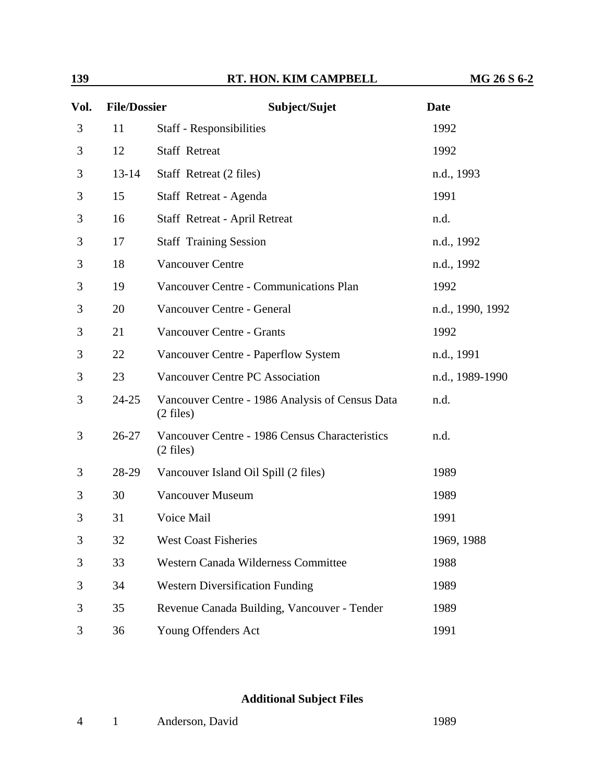| Vol. | <b>File/Dossier</b> | Subject/Sujet                                                          | <b>Date</b>      |
|------|---------------------|------------------------------------------------------------------------|------------------|
| 3    | 11                  | Staff - Responsibilities                                               | 1992             |
| 3    | 12                  | <b>Staff Retreat</b>                                                   | 1992             |
| 3    | $13 - 14$           | Staff Retreat (2 files)                                                | n.d., 1993       |
| 3    | 15                  | Staff Retreat - Agenda                                                 | 1991             |
| 3    | 16                  | <b>Staff Retreat - April Retreat</b>                                   | n.d.             |
| 3    | 17                  | <b>Staff Training Session</b>                                          | n.d., 1992       |
| 3    | 18                  | <b>Vancouver Centre</b>                                                | n.d., 1992       |
| 3    | 19                  | <b>Vancouver Centre - Communications Plan</b>                          | 1992             |
| 3    | 20                  | Vancouver Centre - General                                             | n.d., 1990, 1992 |
| 3    | 21                  | Vancouver Centre - Grants                                              | 1992             |
| 3    | 22                  | Vancouver Centre - Paperflow System                                    | n.d., 1991       |
| 3    | 23                  | Vancouver Centre PC Association                                        | n.d., 1989-1990  |
| 3    | $24 - 25$           | Vancouver Centre - 1986 Analysis of Census Data<br>$(2 \text{ files})$ | n.d.             |
| 3    | $26 - 27$           | Vancouver Centre - 1986 Census Characteristics<br>$(2 \text{ files})$  | n.d.             |
| 3    | 28-29               | Vancouver Island Oil Spill (2 files)                                   | 1989             |
| 3    | 30                  | <b>Vancouver Museum</b>                                                | 1989             |
| 3    | 31                  | Voice Mail                                                             | 1991             |
| 3    | 32                  | West Coast Fisheries                                                   | 1969, 1988       |
| 3    | 33                  | Western Canada Wilderness Committee                                    | 1988             |
| 3    | 34                  | <b>Western Diversification Funding</b>                                 | 1989             |
| 3    | 35                  | Revenue Canada Building, Vancouver - Tender                            | 1989             |
| 3    | 36                  | Young Offenders Act                                                    | 1991             |

#### **Additional Subject Files**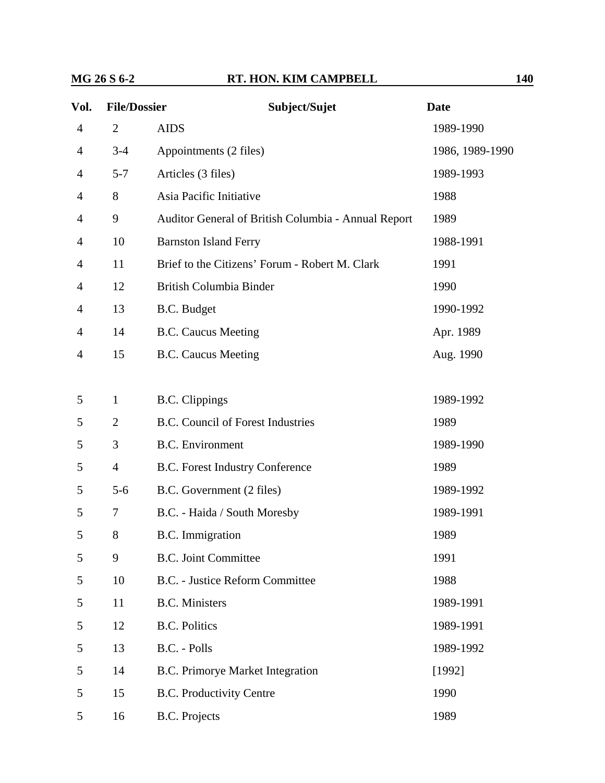| Vol.           | <b>File/Dossier</b> | Subject/Sujet                                       | <b>Date</b>     |
|----------------|---------------------|-----------------------------------------------------|-----------------|
| 4              | $\overline{2}$      | <b>AIDS</b>                                         | 1989-1990       |
| $\overline{4}$ | $3 - 4$             | Appointments (2 files)                              | 1986, 1989-1990 |
| 4              | $5 - 7$             | Articles (3 files)                                  | 1989-1993       |
| 4              | 8                   | Asia Pacific Initiative                             | 1988            |
| 4              | 9                   | Auditor General of British Columbia - Annual Report | 1989            |
| 4              | 10                  | <b>Barnston Island Ferry</b>                        | 1988-1991       |
| 4              | 11                  | Brief to the Citizens' Forum - Robert M. Clark      | 1991            |
| 4              | 12                  | British Columbia Binder                             | 1990            |
| 4              | 13                  | B.C. Budget                                         | 1990-1992       |
| 4              | 14                  | <b>B.C. Caucus Meeting</b>                          | Apr. 1989       |
| 4              | 15                  | <b>B.C. Caucus Meeting</b>                          | Aug. 1990       |
|                |                     |                                                     |                 |
| 5              | $\mathbf{1}$        | <b>B.C.</b> Clippings                               | 1989-1992       |
| 5              | $\overline{2}$      | <b>B.C. Council of Forest Industries</b>            | 1989            |
| 5              | 3                   | <b>B.C.</b> Environment                             | 1989-1990       |
| 5              | $\overline{4}$      | <b>B.C. Forest Industry Conference</b>              | 1989            |
| 5              | $5-6$               | B.C. Government (2 files)                           | 1989-1992       |
| 5              | 7                   | B.C. - Haida / South Moresby                        | 1989-1991       |
| 5              | 8                   | <b>B.C.</b> Immigration                             | 1989            |
| 5              | 9                   | <b>B.C.</b> Joint Committee                         | 1991            |
| 5              | 10                  | <b>B.C.</b> - Justice Reform Committee              | 1988            |
| 5              | 11                  | <b>B.C.</b> Ministers                               | 1989-1991       |
| 5              | 12                  | <b>B.C. Politics</b>                                | 1989-1991       |
| 5              | 13                  | B.C. - Polls                                        | 1989-1992       |
| 5              | 14                  | <b>B.C. Primorye Market Integration</b>             | [1992]          |
| 5              | 15                  | <b>B.C. Productivity Centre</b>                     | 1990            |
| 5              | 16                  | <b>B.C.</b> Projects                                | 1989            |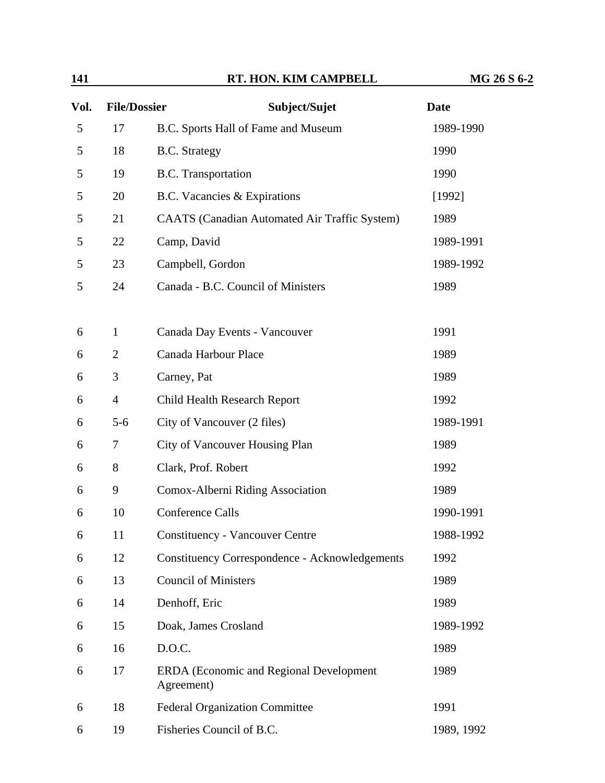| 141  |                          | RT. HON. KIM CAMPBELL                                 | MG 26 S 6-2 |
|------|--------------------------|-------------------------------------------------------|-------------|
| Vol. | <b>File/Dossier</b>      | Subject/Sujet                                         | <b>Date</b> |
| 5    | 17                       | B.C. Sports Hall of Fame and Museum                   | 1989-1990   |
| 5    | 18                       | <b>B.C.</b> Strategy                                  | 1990        |
| 5    | 19                       | <b>B.C.</b> Transportation                            | 1990        |
| 5    | 20                       | B.C. Vacancies & Expirations                          | [1992]      |
| 5    | 21                       | <b>CAATS</b> (Canadian Automated Air Traffic System)  | 1989        |
| 5    | 22                       | Camp, David                                           | 1989-1991   |
| 5    | 23                       | Campbell, Gordon                                      | 1989-1992   |
| 5    | 24                       | Canada - B.C. Council of Ministers                    | 1989        |
| 6    | $\mathbf{1}$             | Canada Day Events - Vancouver                         | 1991        |
| 6    | $\overline{2}$           | Canada Harbour Place                                  | 1989        |
| 6    | 3                        | Carney, Pat                                           | 1989        |
| 6    | $\overline{\mathcal{A}}$ | Child Health Research Report                          | 1992        |
| 6    | $5 - 6$                  | City of Vancouver (2 files)                           | 1989-1991   |
| 6    | 7                        | City of Vancouver Housing Plan                        | 1989        |
| 6    | 8                        | Clark, Prof. Robert                                   | 1992        |
| 6    | 9                        | Comox-Alberni Riding Association                      | 1989        |
| 6    | 10                       | Conference Calls                                      | 1990-1991   |
| 6    | 11                       | <b>Constituency - Vancouver Centre</b>                | 1988-1992   |
| 6    | 12                       | <b>Constituency Correspondence - Acknowledgements</b> | 1992        |
| 6    | 13                       | <b>Council of Ministers</b>                           | 1989        |
| 6    | 14                       | Denhoff, Eric                                         | 1989        |
| 6    | 15                       | Doak, James Crosland                                  | 1989-1992   |
| 6    | 16                       | D.O.C.                                                | 1989        |
| 6    | 17                       | ERDA (Economic and Regional Development<br>Agreement) | 1989        |
| 6    | 18                       | <b>Federal Organization Committee</b>                 | 1991        |
| 6    | 19                       | Fisheries Council of B.C.                             | 1989, 1992  |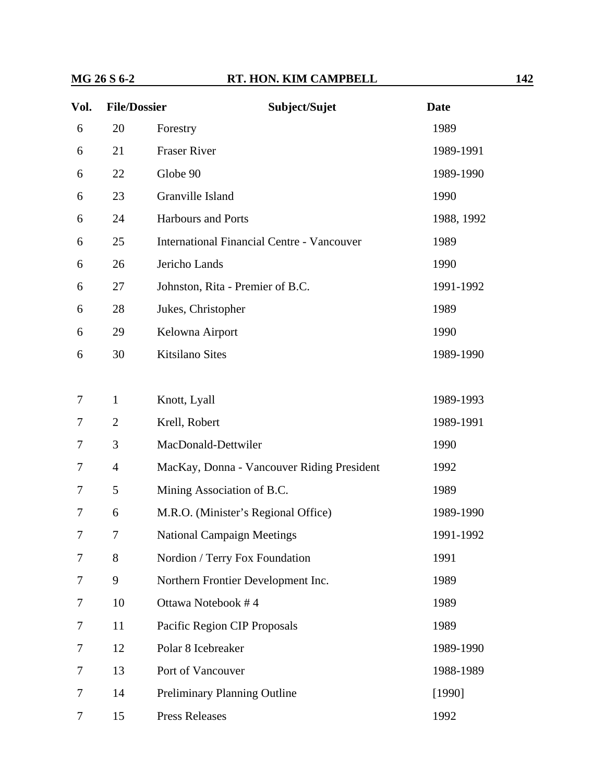## **MG 26 S 6-2 RT. HON. KIM CAMPBELL** 142

| Vol. | <b>File/Dossier</b> | Subject/Sujet                                     | <b>Date</b> |
|------|---------------------|---------------------------------------------------|-------------|
| 6    | 20                  | Forestry                                          | 1989        |
| 6    | 21                  | <b>Fraser River</b>                               | 1989-1991   |
| 6    | 22                  | Globe 90                                          | 1989-1990   |
| 6    | 23                  | Granville Island                                  | 1990        |
| 6    | 24                  | <b>Harbours and Ports</b>                         | 1988, 1992  |
| 6    | 25                  | <b>International Financial Centre - Vancouver</b> | 1989        |
| 6    | 26                  | Jericho Lands                                     | 1990        |
| 6    | 27                  | Johnston, Rita - Premier of B.C.                  | 1991-1992   |
| 6    | 28                  | Jukes, Christopher                                | 1989        |
| 6    | 29                  | Kelowna Airport                                   | 1990        |
| 6    | 30                  | <b>Kitsilano Sites</b>                            | 1989-1990   |
|      |                     |                                                   |             |
| 7    | $\mathbf{1}$        | Knott, Lyall                                      | 1989-1993   |
| 7    | $\overline{2}$      | Krell, Robert                                     | 1989-1991   |
| 7    | 3                   | MacDonald-Dettwiler                               | 1990        |
| 7    | $\overline{4}$      | MacKay, Donna - Vancouver Riding President        | 1992        |
| 7    | 5                   | Mining Association of B.C.                        | 1989        |
| 7    | 6                   | M.R.O. (Minister's Regional Office)               | 1989-1990   |
| 7    | 7                   | <b>National Campaign Meetings</b>                 | 1991-1992   |
| 7    | 8                   | Nordion / Terry Fox Foundation                    | 1991        |
| 7    | 9                   | Northern Frontier Development Inc.                | 1989        |
| 7    | 10                  | Ottawa Notebook #4                                | 1989        |
| 7    | 11                  | Pacific Region CIP Proposals                      | 1989        |
| 7    | 12                  | Polar 8 Icebreaker                                | 1989-1990   |
| 7    | 13                  | Port of Vancouver                                 | 1988-1989   |
| 7    | 14                  | <b>Preliminary Planning Outline</b>               | [1990]      |
| 7    | 15                  | <b>Press Releases</b>                             | 1992        |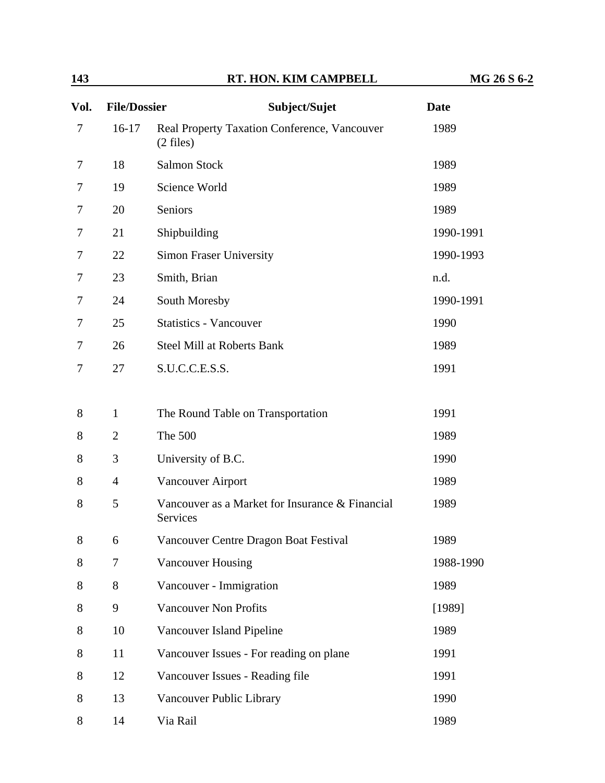| Vol. | <b>File/Dossier</b> | Subject/Sujet                                               | <b>Date</b> |
|------|---------------------|-------------------------------------------------------------|-------------|
| 7    | $16-17$             | Real Property Taxation Conference, Vancouver<br>$(2$ files) | 1989        |
| 7    | 18                  | <b>Salmon Stock</b>                                         | 1989        |
| 7    | 19                  | Science World                                               | 1989        |
| 7    | 20                  | Seniors                                                     | 1989        |
| 7    | 21                  | Shipbuilding                                                | 1990-1991   |
| 7    | 22                  | <b>Simon Fraser University</b>                              | 1990-1993   |
| 7    | 23                  | Smith, Brian                                                | n.d.        |
| 7    | 24                  | South Moresby                                               | 1990-1991   |
| 7    | 25                  | <b>Statistics - Vancouver</b>                               | 1990        |
| 7    | 26                  | <b>Steel Mill at Roberts Bank</b>                           | 1989        |
| 7    | 27                  | S.U.C.C.E.S.S.                                              | 1991        |
|      |                     |                                                             |             |
| 8    | $\mathbf{1}$        | The Round Table on Transportation                           | 1991        |
| 8    | $\overline{2}$      | The 500                                                     | 1989        |
| 8    | 3                   | University of B.C.                                          | 1990        |
| 8    | $\overline{4}$      | <b>Vancouver Airport</b>                                    | 1989        |
| 8    | 5                   | Vancouver as a Market for Insurance & Financial<br>Services | 1989        |
| 8    | 6                   | Vancouver Centre Dragon Boat Festival                       | 1989        |
| 8    | 7                   | <b>Vancouver Housing</b>                                    | 1988-1990   |
| 8    | 8                   | Vancouver - Immigration                                     | 1989        |
| 8    | 9                   | <b>Vancouver Non Profits</b>                                | [1989]      |
| 8    | 10                  | Vancouver Island Pipeline                                   | 1989        |
| 8    | 11                  | Vancouver Issues - For reading on plane                     | 1991        |
| 8    | 12                  | Vancouver Issues - Reading file                             | 1991        |
| 8    | 13                  | Vancouver Public Library                                    | 1990        |
| 8    | 14                  | Via Rail                                                    | 1989        |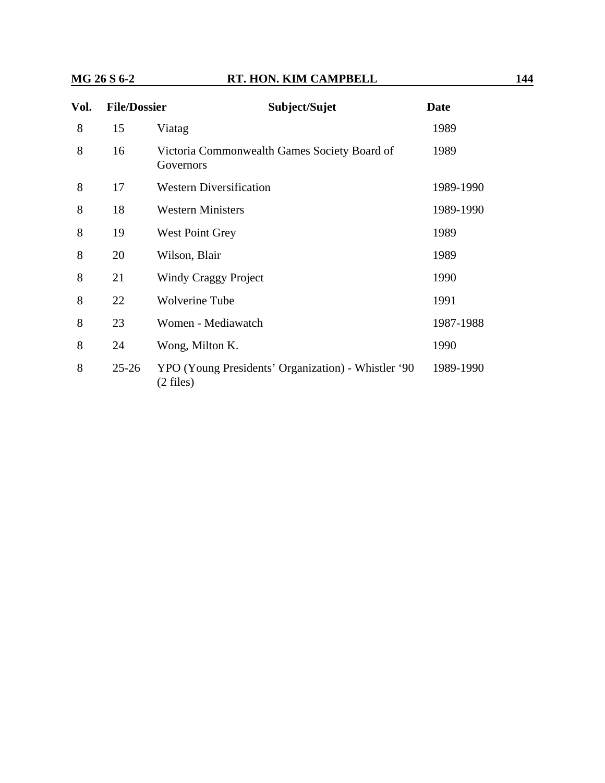## **MG 26 S 6-2 RT. HON. KIM CAMPBELL 144**

| Vol. | <b>File/Dossier</b> | Subject/Sujet                                                      | <b>Date</b> |
|------|---------------------|--------------------------------------------------------------------|-------------|
| 8    | 15                  | Viatag                                                             | 1989        |
| 8    | 16                  | Victoria Commonwealth Games Society Board of<br>Governors          | 1989        |
| 8    | 17                  | <b>Western Diversification</b>                                     | 1989-1990   |
| 8    | 18                  | <b>Western Ministers</b>                                           | 1989-1990   |
| 8    | 19                  | <b>West Point Grey</b>                                             | 1989        |
| 8    | 20                  | Wilson, Blair                                                      | 1989        |
| 8    | 21                  | Windy Craggy Project                                               | 1990        |
| 8    | 22                  | <b>Wolverine Tube</b>                                              | 1991        |
| 8    | 23                  | Women - Mediawatch                                                 | 1987-1988   |
| 8    | 24                  | Wong, Milton K.                                                    | 1990        |
| 8    | $25 - 26$           | YPO (Young Presidents' Organization) - Whistler '90<br>$(2$ files) | 1989-1990   |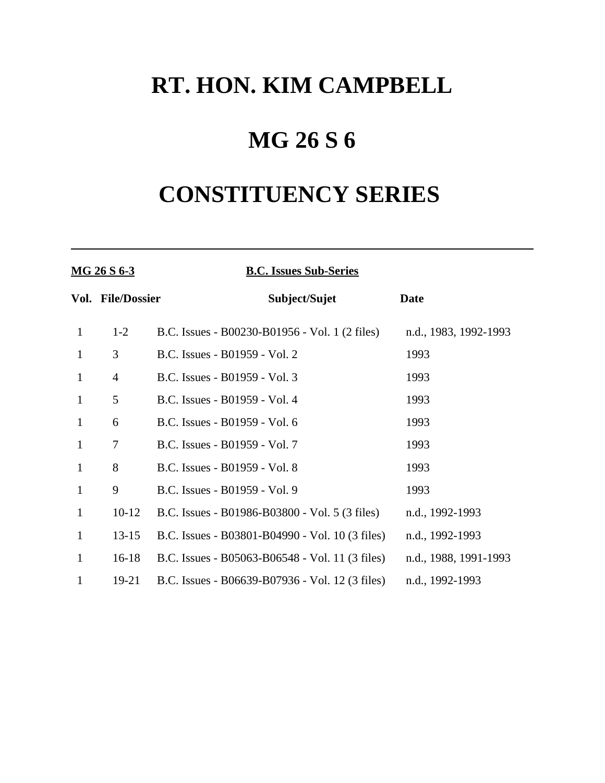## **MG 26 S 6**

# **CONSTITUENCY SERIES**

| <u>MG 26 S 6-3</u> |                   | <b>B.C. Issues Sub-Series</b>                   |                       |
|--------------------|-------------------|-------------------------------------------------|-----------------------|
|                    | Vol. File/Dossier | Subject/Sujet                                   | <b>Date</b>           |
| $\mathbf{1}$       | $1 - 2$           | B.C. Issues - B00230-B01956 - Vol. 1 (2 files)  | n.d., 1983, 1992-1993 |
| $\mathbf{1}$       | 3                 | B.C. Issues - B01959 - Vol. 2                   | 1993                  |
| $\mathbf{1}$       | $\overline{4}$    | B.C. Issues - B01959 - Vol. 3                   | 1993                  |
| $\mathbf{1}$       | 5                 | B.C. Issues - B01959 - Vol. 4                   | 1993                  |
| $\mathbf{1}$       | 6                 | B.C. Issues - B01959 - Vol. 6                   | 1993                  |
| $\mathbf{1}$       | 7                 | B.C. Issues - B01959 - Vol. 7                   | 1993                  |
| $\mathbf{1}$       | 8                 | B.C. Issues - B01959 - Vol. 8                   | 1993                  |
| $\mathbf{1}$       | 9                 | B.C. Issues - B01959 - Vol. 9                   | 1993                  |
| $\mathbf{1}$       | $10-12$           | B.C. Issues - B01986-B03800 - Vol. 5 (3 files)  | n.d., 1992-1993       |
| $\mathbf{1}$       | $13 - 15$         | B.C. Issues - B03801-B04990 - Vol. 10 (3 files) | n.d., 1992-1993       |
| $\mathbf{1}$       | $16-18$           | B.C. Issues - B05063-B06548 - Vol. 11 (3 files) | n.d., 1988, 1991-1993 |
| 1                  | $19-21$           | B.C. Issues - B06639-B07936 - Vol. 12 (3 files) | n.d., 1992-1993       |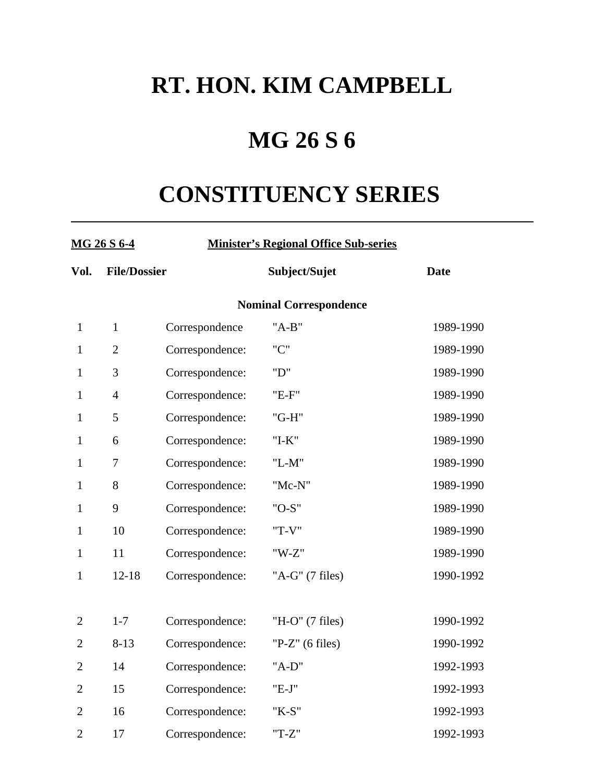# **MG 26 S 6**

# **CONSTITUENCY SERIES**

| <u>MG 26 S 6-4</u>            |                     |                 | <b>Minister's Regional Office Sub-series</b> |             |  |  |  |
|-------------------------------|---------------------|-----------------|----------------------------------------------|-------------|--|--|--|
| Vol.                          | <b>File/Dossier</b> |                 | Subject/Sujet                                | <b>Date</b> |  |  |  |
| <b>Nominal Correspondence</b> |                     |                 |                                              |             |  |  |  |
| $\mathbf{1}$                  | $\mathbf{1}$        | Correspondence  | $"A-B"$                                      | 1989-1990   |  |  |  |
| $\mathbf{1}$                  | $\mathfrak{2}$      | Correspondence: | " $C$ "                                      | 1989-1990   |  |  |  |
| $\mathbf{1}$                  | 3                   | Correspondence: | "D"                                          | 1989-1990   |  |  |  |
| $\mathbf{1}$                  | $\overline{4}$      | Correspondence: | "E-F"                                        | 1989-1990   |  |  |  |
| $\mathbf{1}$                  | 5                   | Correspondence: | "G-H"                                        | 1989-1990   |  |  |  |
| $\mathbf{1}$                  | 6                   | Correspondence: | $"I-K"$                                      | 1989-1990   |  |  |  |
| $\mathbf{1}$                  | $\tau$              | Correspondence: | $"L-M"$                                      | 1989-1990   |  |  |  |
| $\mathbf{1}$                  | 8                   | Correspondence: | "Mc-N"                                       | 1989-1990   |  |  |  |
| $\mathbf{1}$                  | 9                   | Correspondence: | "O-S"                                        | 1989-1990   |  |  |  |
| $\mathbf{1}$                  | 10                  | Correspondence: | "T-V"                                        | 1989-1990   |  |  |  |
| $\mathbf{1}$                  | 11                  | Correspondence: | $"W-Z"$                                      | 1989-1990   |  |  |  |
| $\mathbf{1}$                  | $12 - 18$           | Correspondence: | "A-G" (7 files)                              | 1990-1992   |  |  |  |
|                               |                     |                 |                                              |             |  |  |  |
| $\overline{2}$                | $1 - 7$             | Correspondence: | "H-O" (7 files)                              | 1990-1992   |  |  |  |
| $\overline{2}$                | $8 - 13$            | Correspondence: | "P-Z" $(6$ files)                            | 1990-1992   |  |  |  |
| $\overline{2}$                | 14                  | Correspondence: | "A-D"                                        | 1992-1993   |  |  |  |
| $\overline{2}$                | 15                  | Correspondence: | $"E-J"$                                      | 1992-1993   |  |  |  |
| $\overline{2}$                | 16                  | Correspondence: | "K-S"                                        | 1992-1993   |  |  |  |
| $\overline{2}$                | 17                  | Correspondence: | $T-Z''$                                      | 1992-1993   |  |  |  |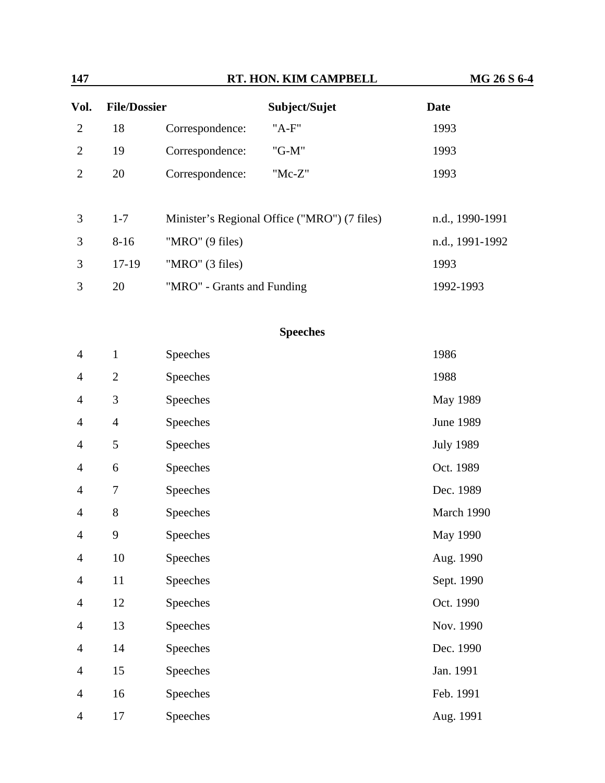| 147            |                     | RT. HON. KIM CAMPBELL                        | MG 26 S 6-4     |
|----------------|---------------------|----------------------------------------------|-----------------|
| Vol.           | <b>File/Dossier</b> | Subject/Sujet                                | Date            |
| 2              | 18                  | "A-F"<br>Correspondence:                     | 1993            |
| $\overline{2}$ | 19                  | "G-M"<br>Correspondence:                     | 1993            |
| 2              | 20                  | "Mc-Z"<br>Correspondence:                    | 1993            |
|                |                     |                                              |                 |
| 3              | $1 - 7$             | Minister's Regional Office ("MRO") (7 files) | n.d., 1990-1991 |
| 3              | $8 - 16$            | "MRO" (9 files)                              | n.d., 1991-1992 |
| 3              | 17-19               | "MRO" (3 files)                              | 1993            |
| 3              | 20                  | "MRO" - Grants and Funding                   | 1992-1993       |

### **Speeches**

| $\overline{4}$ | $\mathbf{1}$   | Speeches | 1986             |
|----------------|----------------|----------|------------------|
| $\overline{4}$ | $\overline{2}$ | Speeches | 1988             |
| $\overline{4}$ | $\mathfrak{Z}$ | Speeches | May 1989         |
| $\overline{4}$ | $\overline{4}$ | Speeches | <b>June 1989</b> |
| $\overline{4}$ | 5              | Speeches | <b>July 1989</b> |
| $\overline{4}$ | 6              | Speeches | Oct. 1989        |
| $\overline{4}$ | 7              | Speeches | Dec. 1989        |
| $\overline{4}$ | $8\,$          | Speeches | March 1990       |
| $\overline{4}$ | 9              | Speeches | May 1990         |
| $\overline{4}$ | 10             | Speeches | Aug. 1990        |
| $\overline{4}$ | 11             | Speeches | Sept. 1990       |
| $\overline{4}$ | 12             | Speeches | Oct. 1990        |
| $\overline{4}$ | 13             | Speeches | Nov. 1990        |
| $\overline{4}$ | 14             | Speeches | Dec. 1990        |
| $\overline{4}$ | 15             | Speeches | Jan. 1991        |
| $\overline{4}$ | 16             | Speeches | Feb. 1991        |
| $\overline{4}$ | 17             | Speeches | Aug. 1991        |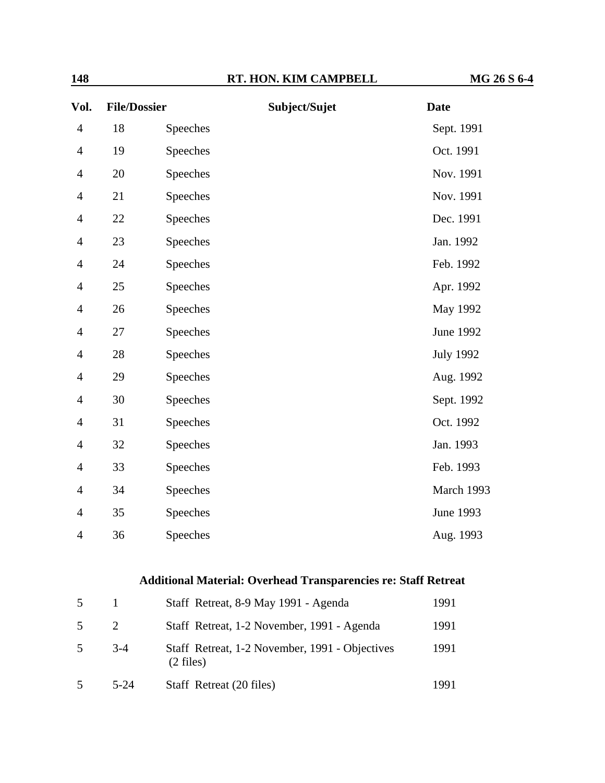| Vol.           | <b>File/Dossier</b> |          | Subject/Sujet | <b>Date</b>      |
|----------------|---------------------|----------|---------------|------------------|
| $\overline{4}$ | 18                  | Speeches |               | Sept. 1991       |
| $\overline{4}$ | 19                  | Speeches |               | Oct. 1991        |
| $\overline{4}$ | 20                  | Speeches |               | Nov. 1991        |
| $\overline{4}$ | 21                  | Speeches |               | Nov. 1991        |
| $\overline{4}$ | 22                  | Speeches |               | Dec. 1991        |
| $\overline{4}$ | 23                  | Speeches |               | Jan. 1992        |
| $\overline{4}$ | 24                  | Speeches |               | Feb. 1992        |
| 4              | 25                  | Speeches |               | Apr. 1992        |
| $\overline{4}$ | 26                  | Speeches |               | May 1992         |
| $\overline{4}$ | 27                  | Speeches |               | <b>June 1992</b> |
| $\overline{4}$ | 28                  | Speeches |               | <b>July 1992</b> |
| $\overline{4}$ | 29                  | Speeches |               | Aug. 1992        |
| 4              | 30                  | Speeches |               | Sept. 1992       |
| $\overline{4}$ | 31                  | Speeches |               | Oct. 1992        |
| $\overline{4}$ | 32                  | Speeches |               | Jan. 1993        |
| $\overline{4}$ | 33                  | Speeches |               | Feb. 1993        |
| $\overline{4}$ | 34                  | Speeches |               | March 1993       |
| $\overline{4}$ | 35                  | Speeches |               | June 1993        |
| $\overline{4}$ | 36                  | Speeches |               | Aug. 1993        |

### **Additional Material: Overhead Transparencies re: Staff Retreat**

| 5 |                             | Staff Retreat, 8-9 May 1991 - Agenda                                  | 1991 |
|---|-----------------------------|-----------------------------------------------------------------------|------|
| 5 | $\mathcal{D}_{\mathcal{L}}$ | Staff Retreat, 1-2 November, 1991 - Agenda                            | 1991 |
| 5 | $3-4$                       | Staff Retreat, 1-2 November, 1991 - Objectives<br>$(2 \text{ files})$ | 1991 |
| 5 | $5 - 24$                    | Staff Retreat (20 files)                                              | 1991 |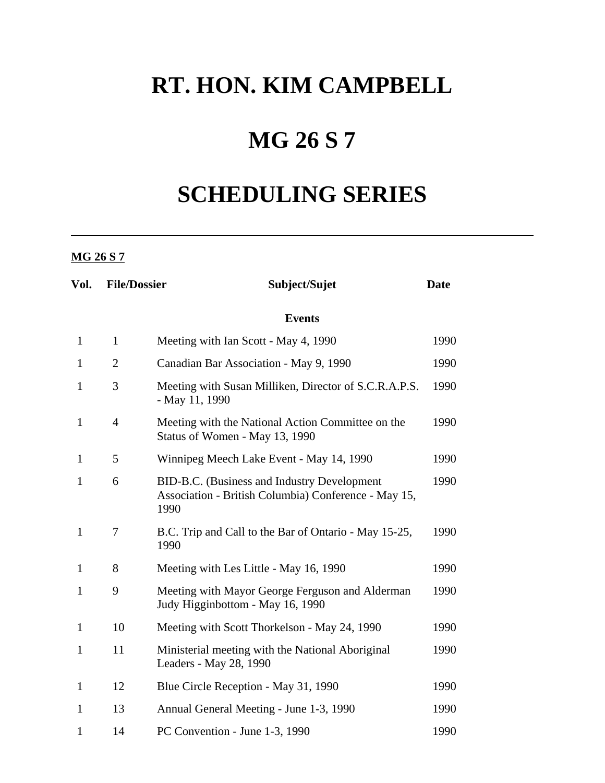# **MG 26 S 7**

# **SCHEDULING SERIES**

### **MG 26 S 7**

| Vol.         | <b>File/Dossier</b> | Subject/Sujet                                                                                               | <b>Date</b> |
|--------------|---------------------|-------------------------------------------------------------------------------------------------------------|-------------|
|              |                     | <b>Events</b>                                                                                               |             |
| $\mathbf{1}$ | $\mathbf{1}$        | Meeting with Ian Scott - May 4, 1990                                                                        | 1990        |
| $\mathbf{1}$ | $\overline{2}$      | Canadian Bar Association - May 9, 1990                                                                      | 1990        |
| $\mathbf{1}$ | 3                   | Meeting with Susan Milliken, Director of S.C.R.A.P.S.<br>- May 11, 1990                                     | 1990        |
| $\mathbf{1}$ | $\overline{4}$      | Meeting with the National Action Committee on the<br>Status of Women - May 13, 1990                         | 1990        |
| 1            | 5                   | Winnipeg Meech Lake Event - May 14, 1990                                                                    | 1990        |
| $\mathbf{1}$ | 6                   | BID-B.C. (Business and Industry Development<br>Association - British Columbia) Conference - May 15,<br>1990 | 1990        |
| $\mathbf{1}$ | 7                   | B.C. Trip and Call to the Bar of Ontario - May 15-25,<br>1990                                               | 1990        |
| 1            | 8                   | Meeting with Les Little - May 16, 1990                                                                      | 1990        |
| $\mathbf{1}$ | 9                   | Meeting with Mayor George Ferguson and Alderman<br>Judy Higginbottom - May 16, 1990                         | 1990        |
| $\mathbf{1}$ | 10                  | Meeting with Scott Thorkelson - May 24, 1990                                                                | 1990        |
| $\mathbf{1}$ | 11                  | Ministerial meeting with the National Aboriginal<br>Leaders - May 28, 1990                                  | 1990        |
| $\mathbf{1}$ | 12                  | Blue Circle Reception - May 31, 1990                                                                        | 1990        |
| $\mathbf{1}$ | 13                  | Annual General Meeting - June 1-3, 1990                                                                     | 1990        |
| $\mathbf{1}$ | 14                  | PC Convention - June 1-3, 1990                                                                              | 1990        |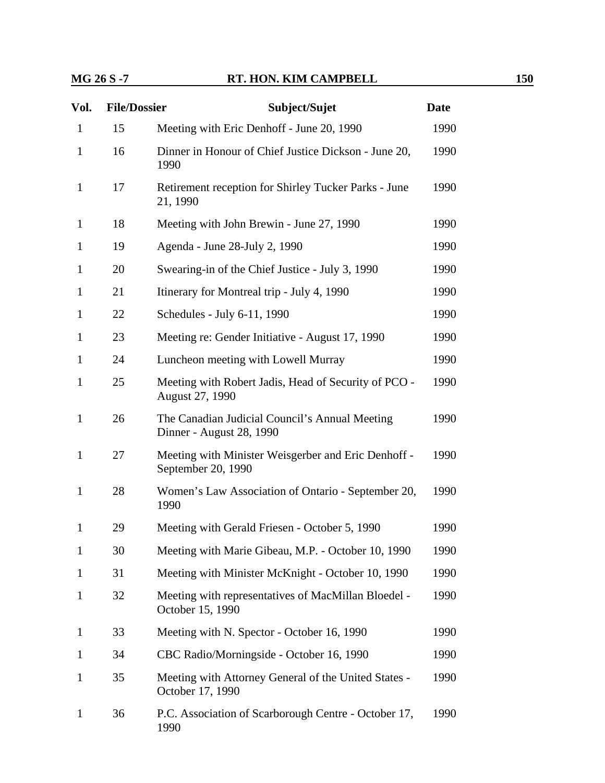### **MG 26 S -7 RT. HON. KIM CAMPBELL** 150

| Vol.         | <b>File/Dossier</b> | Subject/Sujet                                                              | <b>Date</b> |
|--------------|---------------------|----------------------------------------------------------------------------|-------------|
| $\mathbf{1}$ | 15                  | Meeting with Eric Denhoff - June 20, 1990                                  | 1990        |
| $\mathbf{1}$ | 16                  | Dinner in Honour of Chief Justice Dickson - June 20,<br>1990               |             |
| $\mathbf{1}$ | 17                  | Retirement reception for Shirley Tucker Parks - June<br>21, 1990           |             |
| 1            | 18                  | Meeting with John Brewin - June 27, 1990                                   | 1990        |
| 1            | 19                  | Agenda - June 28-July 2, 1990                                              | 1990        |
| $\mathbf{1}$ | 20                  | Swearing-in of the Chief Justice - July 3, 1990                            | 1990        |
| $\mathbf{1}$ | 21                  | Itinerary for Montreal trip - July 4, 1990                                 | 1990        |
| 1            | 22                  | Schedules - July 6-11, 1990                                                | 1990        |
| $\mathbf{1}$ | 23                  | Meeting re: Gender Initiative - August 17, 1990                            | 1990        |
| $\mathbf{1}$ | 24                  | Luncheon meeting with Lowell Murray                                        | 1990        |
| $\mathbf{1}$ | 25                  | Meeting with Robert Jadis, Head of Security of PCO -<br>August 27, 1990    | 1990        |
| $\mathbf{1}$ | 26                  | The Canadian Judicial Council's Annual Meeting<br>Dinner - August 28, 1990 | 1990        |
| $\mathbf{1}$ | 27                  | Meeting with Minister Weisgerber and Eric Denhoff -<br>September 20, 1990  |             |
| $\mathbf{1}$ | 28                  | Women's Law Association of Ontario - September 20,<br>1990                 |             |
| 1            | 29                  | Meeting with Gerald Friesen - October 5, 1990                              | 1990        |
| $\mathbf{1}$ | 30                  | Meeting with Marie Gibeau, M.P. - October 10, 1990                         | 1990        |
| 1            | 31                  | Meeting with Minister McKnight - October 10, 1990                          | 1990        |
| $\mathbf{1}$ | 32                  | Meeting with representatives of MacMillan Bloedel -<br>October 15, 1990    | 1990        |
| 1            | 33                  | Meeting with N. Spector - October 16, 1990                                 | 1990        |
| 1            | 34                  | CBC Radio/Morningside - October 16, 1990                                   | 1990        |
| $\mathbf{1}$ | 35                  | Meeting with Attorney General of the United States -<br>October 17, 1990   | 1990        |
| $\mathbf{1}$ | 36                  | P.C. Association of Scarborough Centre - October 17,<br>1990               | 1990        |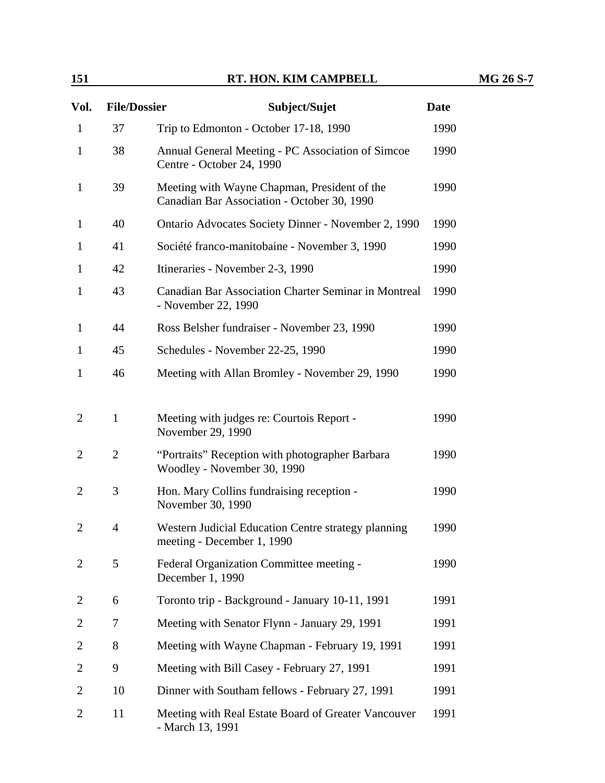| Vol.           | <b>File/Dossier</b> | Subject/Sujet                                                                               | <b>Date</b> |  |
|----------------|---------------------|---------------------------------------------------------------------------------------------|-------------|--|
| $\mathbf{1}$   | 37                  | Trip to Edmonton - October 17-18, 1990                                                      | 1990        |  |
| $\mathbf{1}$   | 38                  | Annual General Meeting - PC Association of Simcoe<br>Centre - October 24, 1990              |             |  |
| $\mathbf{1}$   | 39                  | Meeting with Wayne Chapman, President of the<br>Canadian Bar Association - October 30, 1990 |             |  |
| $\mathbf{1}$   | 40                  | Ontario Advocates Society Dinner - November 2, 1990                                         | 1990        |  |
| $\mathbf{1}$   | 41                  | Société franco-manitobaine - November 3, 1990                                               | 1990        |  |
| 1              | 42                  | Itineraries - November 2-3, 1990                                                            | 1990        |  |
| $\mathbf{1}$   | 43                  | Canadian Bar Association Charter Seminar in Montreal<br>- November 22, 1990                 | 1990        |  |
| $\mathbf{1}$   | 44                  | Ross Belsher fundraiser - November 23, 1990                                                 | 1990        |  |
| 1              | 45                  | Schedules - November 22-25, 1990                                                            | 1990        |  |
| $\mathbf{1}$   | 46                  | Meeting with Allan Bromley - November 29, 1990                                              |             |  |
| $\overline{2}$ | $\mathbf{1}$        | Meeting with judges re: Courtois Report -<br>November 29, 1990                              | 1990        |  |
| $\overline{2}$ | $\overline{2}$      | "Portraits" Reception with photographer Barbara<br>Woodley - November 30, 1990              |             |  |
| $\overline{2}$ | 3                   | Hon. Mary Collins fundraising reception -<br>November 30, 1990                              |             |  |
| $\overline{2}$ | $\overline{4}$      | Western Judicial Education Centre strategy planning<br>meeting - December 1, 1990           | 1990        |  |
| $\overline{2}$ | 5                   | Federal Organization Committee meeting -<br>December 1, 1990                                | 1990        |  |
| 2              | 6                   | Toronto trip - Background - January 10-11, 1991                                             | 1991        |  |
| 2              | 7                   | Meeting with Senator Flynn - January 29, 1991                                               | 1991        |  |
| 2              | 8                   | Meeting with Wayne Chapman - February 19, 1991                                              |             |  |
| 2              | 9                   | Meeting with Bill Casey - February 27, 1991                                                 |             |  |
| 2              | 10                  | Dinner with Southam fellows - February 27, 1991                                             |             |  |
| $\overline{2}$ | 11                  | Meeting with Real Estate Board of Greater Vancouver<br>- March 13, 1991                     | 1991        |  |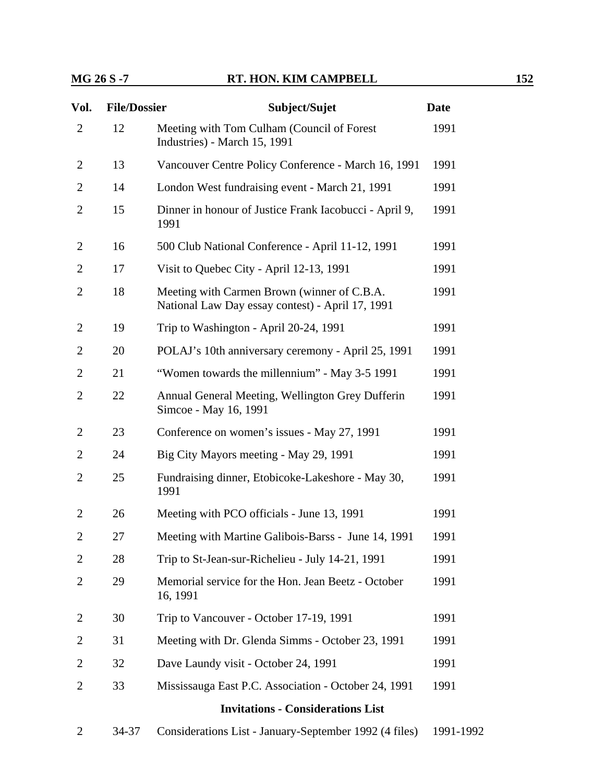### **MG 26 S -7 RT. HON. KIM CAMPBELL 152**

| Vol.           | <b>File/Dossier</b> | Subject/Sujet                                                                                   | <b>Date</b> |
|----------------|---------------------|-------------------------------------------------------------------------------------------------|-------------|
| $\overline{2}$ | 12                  | Meeting with Tom Culham (Council of Forest<br>Industries) - March 15, 1991                      | 1991        |
| 2              | 13                  | Vancouver Centre Policy Conference - March 16, 1991                                             | 1991        |
| $\overline{2}$ | 14                  | London West fundraising event - March 21, 1991                                                  | 1991        |
| $\overline{2}$ | 15                  | Dinner in honour of Justice Frank Iacobucci - April 9,<br>1991                                  | 1991        |
| $\overline{2}$ | 16                  | 500 Club National Conference - April 11-12, 1991                                                | 1991        |
| $\overline{2}$ | 17                  | Visit to Quebec City - April 12-13, 1991                                                        | 1991        |
| $\overline{2}$ | 18                  | Meeting with Carmen Brown (winner of C.B.A.<br>National Law Day essay contest) - April 17, 1991 | 1991        |
| 2              | 19                  | Trip to Washington - April 20-24, 1991                                                          | 1991        |
| $\overline{2}$ | 20                  | POLAJ's 10th anniversary ceremony - April 25, 1991                                              | 1991        |
| $\overline{2}$ | 21                  | "Women towards the millennium" - May 3-5 1991                                                   | 1991        |
| $\overline{2}$ | 22                  | Annual General Meeting, Wellington Grey Dufferin<br>Simcoe - May 16, 1991                       | 1991        |
| 2              | 23                  | Conference on women's issues - May 27, 1991                                                     | 1991        |
| $\overline{2}$ | 24                  | Big City Mayors meeting - May 29, 1991                                                          | 1991        |
| $\overline{2}$ | 25                  | Fundraising dinner, Etobicoke-Lakeshore - May 30,<br>1991                                       | 1991        |
| $\overline{2}$ | 26                  | Meeting with PCO officials - June 13, 1991                                                      | 1991        |
| $\overline{2}$ | 27                  | Meeting with Martine Galibois-Barss - June 14, 1991                                             | 1991        |
| 2              | 28                  | Trip to St-Jean-sur-Richelieu - July 14-21, 1991                                                | 1991        |
| 2              | 29                  | Memorial service for the Hon. Jean Beetz - October<br>16, 1991                                  | 1991        |
| $\overline{2}$ | 30                  | Trip to Vancouver - October 17-19, 1991                                                         | 1991        |
| 2              | 31                  | Meeting with Dr. Glenda Simms - October 23, 1991                                                | 1991        |
| 2              | 32                  | Dave Laundy visit - October 24, 1991                                                            | 1991        |
| $\overline{2}$ | 33                  | Mississauga East P.C. Association - October 24, 1991                                            | 1991        |
|                |                     | <b>Invitations - Considerations List</b>                                                        |             |
| 2              | 34-37               | Considerations List - January-September 1992 (4 files)                                          | 1991-1992   |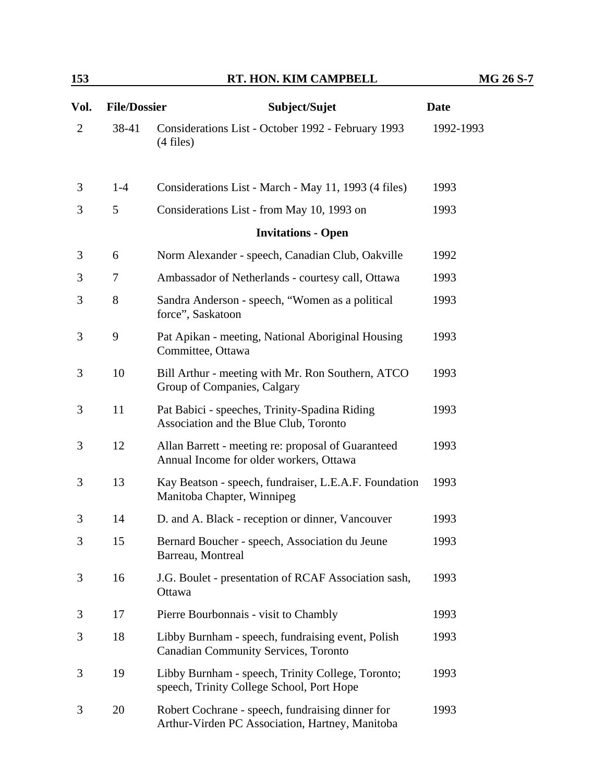| Vol.           | <b>File/Dossier</b> | Subject/Sujet                                                                                       | <b>Date</b> |
|----------------|---------------------|-----------------------------------------------------------------------------------------------------|-------------|
| $\overline{2}$ | 38-41               | Considerations List - October 1992 - February 1993<br>$(4$ files)                                   | 1992-1993   |
| 3              | $1-4$               | Considerations List - March - May 11, 1993 (4 files)                                                | 1993        |
| 3              | 5                   | Considerations List - from May 10, 1993 on                                                          | 1993        |
|                |                     | <b>Invitations - Open</b>                                                                           |             |
| 3              | 6                   | Norm Alexander - speech, Canadian Club, Oakville                                                    | 1992        |
| 3              | 7                   | Ambassador of Netherlands - courtesy call, Ottawa                                                   | 1993        |
| 3              | 8                   | Sandra Anderson - speech, "Women as a political<br>force", Saskatoon                                | 1993        |
| 3              | 9                   | Pat Apikan - meeting, National Aboriginal Housing<br>Committee, Ottawa                              | 1993        |
| 3              | 10                  | Bill Arthur - meeting with Mr. Ron Southern, ATCO<br>Group of Companies, Calgary                    | 1993        |
| 3              | 11                  | Pat Babici - speeches, Trinity-Spadina Riding<br>Association and the Blue Club, Toronto             | 1993        |
| 3              | 12                  | Allan Barrett - meeting re: proposal of Guaranteed<br>Annual Income for older workers, Ottawa       | 1993        |
| 3              | 13                  | Kay Beatson - speech, fundraiser, L.E.A.F. Foundation<br>Manitoba Chapter, Winnipeg                 | 1993        |
| 3              | 14                  | D. and A. Black - reception or dinner, Vancouver                                                    | 1993        |
| 3              | 15                  | Bernard Boucher - speech, Association du Jeune<br>Barreau, Montreal                                 | 1993        |
| 3              | 16                  | J.G. Boulet - presentation of RCAF Association sash,<br>Ottawa                                      | 1993        |
| 3              | 17                  | Pierre Bourbonnais - visit to Chambly                                                               | 1993        |
| 3              | 18                  | Libby Burnham - speech, fundraising event, Polish<br><b>Canadian Community Services, Toronto</b>    | 1993        |
| 3              | 19                  | Libby Burnham - speech, Trinity College, Toronto;<br>speech, Trinity College School, Port Hope      | 1993        |
| 3              | 20                  | Robert Cochrane - speech, fundraising dinner for<br>Arthur-Virden PC Association, Hartney, Manitoba | 1993        |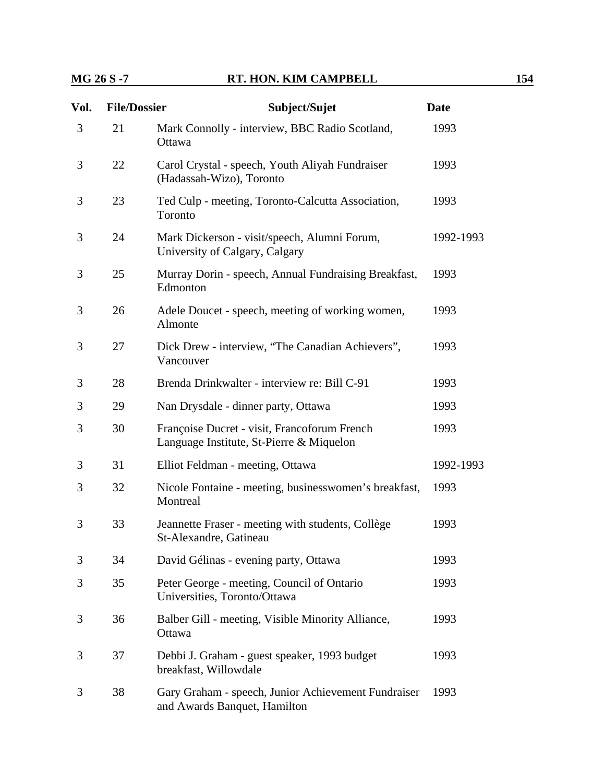## **MG 26 S -7 RT. HON. KIM CAMPBELL** 154

| Vol. | <b>File/Dossier</b> | Subject/Sujet                                                                            | <b>Date</b> |
|------|---------------------|------------------------------------------------------------------------------------------|-------------|
| 3    | 21                  | Mark Connolly - interview, BBC Radio Scotland,<br>Ottawa                                 | 1993        |
| 3    | 22                  | Carol Crystal - speech, Youth Aliyah Fundraiser<br>(Hadassah-Wizo), Toronto              | 1993        |
| 3    | 23                  | Ted Culp - meeting, Toronto-Calcutta Association,<br>Toronto                             | 1993        |
| 3    | 24                  | Mark Dickerson - visit/speech, Alumni Forum,<br>University of Calgary, Calgary           | 1992-1993   |
| 3    | 25                  | Murray Dorin - speech, Annual Fundraising Breakfast,<br>Edmonton                         | 1993        |
| 3    | 26                  | Adele Doucet - speech, meeting of working women,<br>Almonte                              | 1993        |
| 3    | 27                  | Dick Drew - interview, "The Canadian Achievers",<br>Vancouver                            | 1993        |
| 3    | 28                  | Brenda Drinkwalter - interview re: Bill C-91                                             | 1993        |
| 3    | 29                  | Nan Drysdale - dinner party, Ottawa                                                      | 1993        |
| 3    | 30                  | Françoise Ducret - visit, Francoforum French<br>Language Institute, St-Pierre & Miquelon | 1993        |
| 3    | 31                  | Elliot Feldman - meeting, Ottawa                                                         | 1992-1993   |
| 3    | 32                  | Nicole Fontaine - meeting, businesswomen's breakfast,<br>Montreal                        | 1993        |
| 3    | 33                  | Jeannette Fraser - meeting with students, Collège<br>St-Alexandre, Gatineau              | 1993        |
| 3    | 34                  | David Gélinas - evening party, Ottawa                                                    | 1993        |
| 3    | 35                  | Peter George - meeting, Council of Ontario<br>Universities, Toronto/Ottawa               | 1993        |
| 3    | 36                  | Balber Gill - meeting, Visible Minority Alliance,<br>Ottawa                              | 1993        |
| 3    | 37                  | Debbi J. Graham - guest speaker, 1993 budget<br>breakfast, Willowdale                    | 1993        |
| 3    | 38                  | Gary Graham - speech, Junior Achievement Fundraiser<br>and Awards Banquet, Hamilton      | 1993        |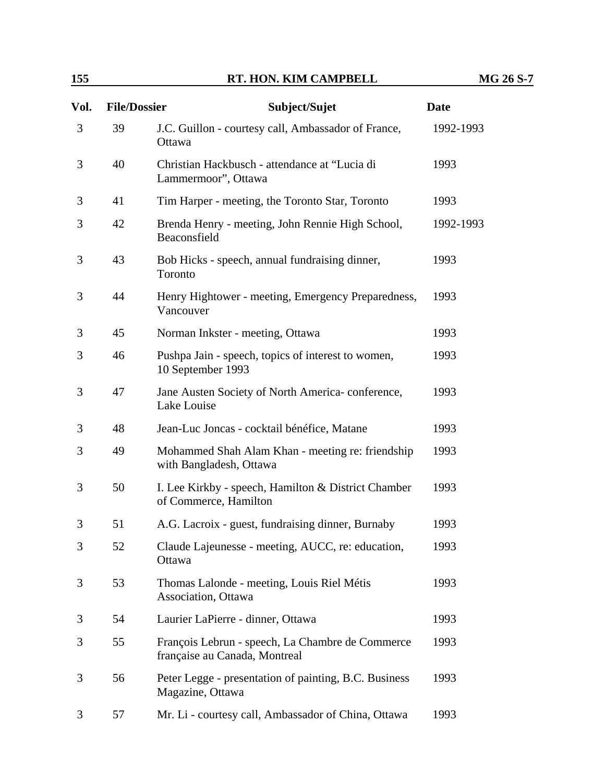| Vol. | <b>File/Dossier</b> | Subject/Sujet                                                                     | <b>Date</b> |
|------|---------------------|-----------------------------------------------------------------------------------|-------------|
| 3    | 39                  | J.C. Guillon - courtesy call, Ambassador of France,<br>Ottawa                     | 1992-1993   |
| 3    | 40                  | Christian Hackbusch - attendance at "Lucia di<br>Lammermoor", Ottawa              | 1993        |
| 3    | 41                  | Tim Harper - meeting, the Toronto Star, Toronto                                   | 1993        |
| 3    | 42                  | Brenda Henry - meeting, John Rennie High School,<br>Beaconsfield                  | 1992-1993   |
| 3    | 43                  | Bob Hicks - speech, annual fundraising dinner,<br>Toronto                         | 1993        |
| 3    | 44                  | Henry Hightower - meeting, Emergency Preparedness,<br>Vancouver                   | 1993        |
| 3    | 45                  | Norman Inkster - meeting, Ottawa                                                  | 1993        |
| 3    | 46                  | Pushpa Jain - speech, topics of interest to women,<br>10 September 1993           | 1993        |
| 3    | 47                  | Jane Austen Society of North America-conference,<br>Lake Louise                   | 1993        |
| 3    | 48                  | Jean-Luc Joncas - cocktail bénéfice, Matane                                       | 1993        |
| 3    | 49                  | Mohammed Shah Alam Khan - meeting re: friendship<br>with Bangladesh, Ottawa       | 1993        |
| 3    | 50                  | I. Lee Kirkby - speech, Hamilton & District Chamber<br>of Commerce, Hamilton      | 1993        |
| 3    | 51                  | A.G. Lacroix - guest, fundraising dinner, Burnaby                                 | 1993        |
| 3    | 52                  | Claude Lajeunesse - meeting, AUCC, re: education,<br>Ottawa                       | 1993        |
| 3    | 53                  | Thomas Lalonde - meeting, Louis Riel Métis<br>Association, Ottawa                 | 1993        |
| 3    | 54                  | Laurier LaPierre - dinner, Ottawa                                                 | 1993        |
| 3    | 55                  | François Lebrun - speech, La Chambre de Commerce<br>française au Canada, Montreal | 1993        |
| 3    | 56                  | Peter Legge - presentation of painting, B.C. Business<br>Magazine, Ottawa         | 1993        |
| 3    | 57                  | Mr. Li - courtesy call, Ambassador of China, Ottawa                               | 1993        |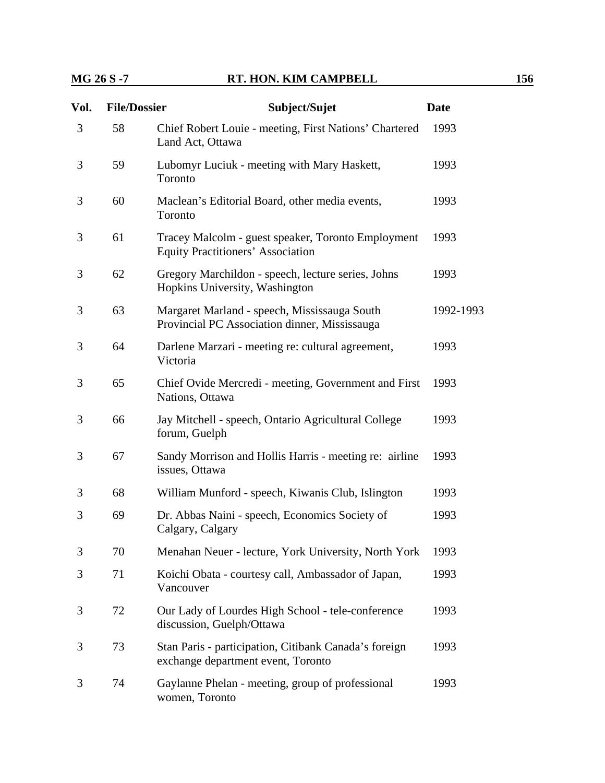### **MG 26 S -7 RT. HON. KIM CAMPBELL** 156

| Vol. | <b>File/Dossier</b> | Subject/Sujet                                                                                  | <b>Date</b> |
|------|---------------------|------------------------------------------------------------------------------------------------|-------------|
| 3    | 58                  | Chief Robert Louie - meeting, First Nations' Chartered<br>Land Act, Ottawa                     | 1993        |
| 3    | 59                  | Lubomyr Luciuk - meeting with Mary Haskett,<br>Toronto                                         | 1993        |
| 3    | 60                  | Maclean's Editorial Board, other media events,<br>Toronto                                      | 1993        |
| 3    | 61                  | Tracey Malcolm - guest speaker, Toronto Employment<br><b>Equity Practitioners' Association</b> | 1993        |
| 3    | 62                  | Gregory Marchildon - speech, lecture series, Johns<br>Hopkins University, Washington           | 1993        |
| 3    | 63                  | Margaret Marland - speech, Mississauga South<br>Provincial PC Association dinner, Mississauga  | 1992-1993   |
| 3    | 64                  | Darlene Marzari - meeting re: cultural agreement,<br>Victoria                                  | 1993        |
| 3    | 65                  | Chief Ovide Mercredi - meeting, Government and First<br>Nations, Ottawa                        | 1993        |
| 3    | 66                  | Jay Mitchell - speech, Ontario Agricultural College<br>forum, Guelph                           | 1993        |
| 3    | 67                  | Sandy Morrison and Hollis Harris - meeting re: airline<br>issues, Ottawa                       | 1993        |
| 3    | 68                  | William Munford - speech, Kiwanis Club, Islington                                              | 1993        |
| 3    | 69                  | Dr. Abbas Naini - speech, Economics Society of<br>Calgary, Calgary                             | 1993        |
| 3    | 70                  | Menahan Neuer - lecture, York University, North York                                           | 1993        |
| 3    | 71                  | Koichi Obata - courtesy call, Ambassador of Japan,<br>Vancouver                                | 1993        |
| 3    | 72                  | Our Lady of Lourdes High School - tele-conference<br>discussion, Guelph/Ottawa                 | 1993        |
| 3    | 73                  | Stan Paris - participation, Citibank Canada's foreign<br>exchange department event, Toronto    | 1993        |
| 3    | 74                  | Gaylanne Phelan - meeting, group of professional<br>women, Toronto                             | 1993        |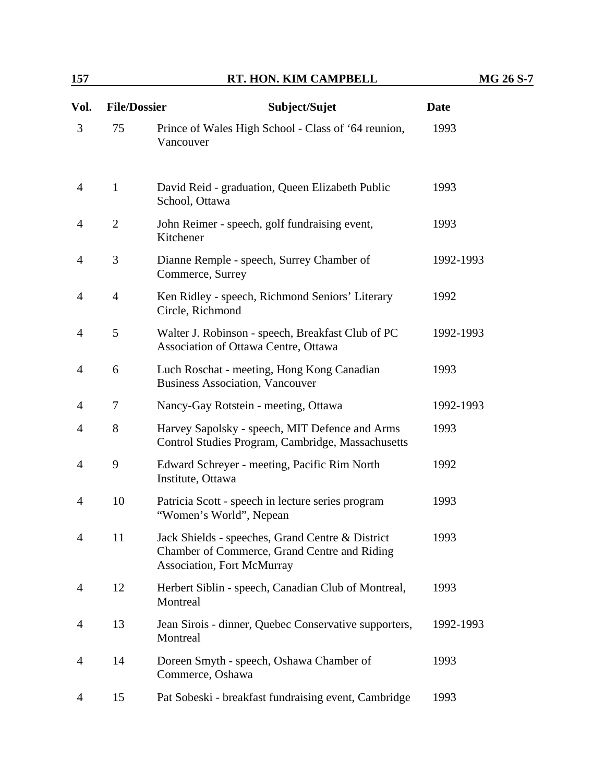| Vol. | <b>File/Dossier</b> | Subject/Sujet                                                                                                                         | <b>Date</b> |
|------|---------------------|---------------------------------------------------------------------------------------------------------------------------------------|-------------|
| 3    | 75                  | Prince of Wales High School - Class of '64 reunion,<br>Vancouver                                                                      | 1993        |
| 4    | $\mathbf{1}$        | David Reid - graduation, Queen Elizabeth Public<br>School, Ottawa                                                                     | 1993        |
| 4    | 2                   | John Reimer - speech, golf fundraising event,<br>Kitchener                                                                            | 1993        |
| 4    | 3                   | Dianne Remple - speech, Surrey Chamber of<br>Commerce, Surrey                                                                         | 1992-1993   |
| 4    | $\overline{4}$      | Ken Ridley - speech, Richmond Seniors' Literary<br>Circle, Richmond                                                                   | 1992        |
| 4    | 5                   | Walter J. Robinson - speech, Breakfast Club of PC<br>Association of Ottawa Centre, Ottawa                                             | 1992-1993   |
| 4    | 6                   | Luch Roschat - meeting, Hong Kong Canadian<br><b>Business Association, Vancouver</b>                                                  | 1993        |
| 4    | 7                   | Nancy-Gay Rotstein - meeting, Ottawa                                                                                                  | 1992-1993   |
| 4    | 8                   | Harvey Sapolsky - speech, MIT Defence and Arms<br>Control Studies Program, Cambridge, Massachusetts                                   | 1993        |
| 4    | 9                   | Edward Schreyer - meeting, Pacific Rim North<br>Institute, Ottawa                                                                     | 1992        |
| 4    | 10                  | Patricia Scott - speech in lecture series program<br>"Women's World", Nepean                                                          | 1993        |
| 4    | 11                  | Jack Shields - speeches, Grand Centre & District<br>Chamber of Commerce, Grand Centre and Riding<br><b>Association, Fort McMurray</b> | 1993        |
| 4    | 12                  | Herbert Siblin - speech, Canadian Club of Montreal,<br>Montreal                                                                       | 1993        |
| 4    | 13                  | Jean Sirois - dinner, Quebec Conservative supporters,<br>Montreal                                                                     | 1992-1993   |
| 4    | 14                  | Doreen Smyth - speech, Oshawa Chamber of<br>Commerce, Oshawa                                                                          | 1993        |
| 4    | 15                  | Pat Sobeski - breakfast fundraising event, Cambridge                                                                                  | 1993        |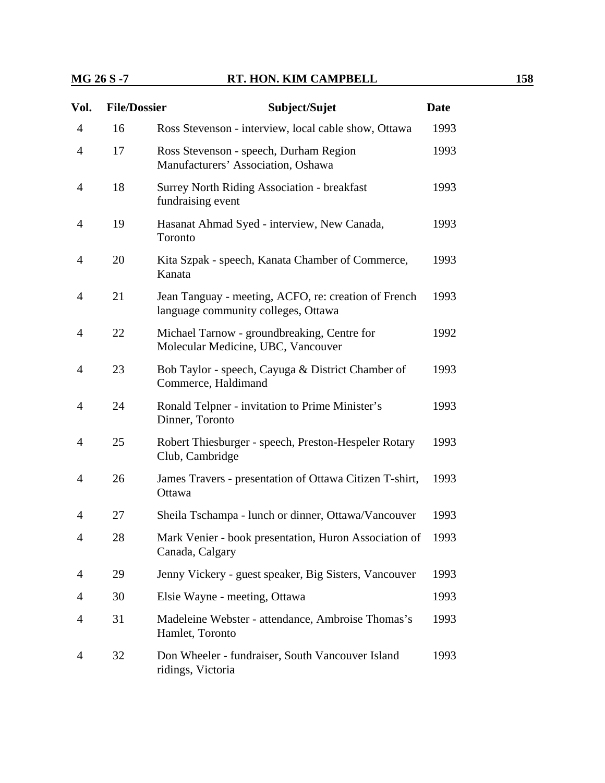| Vol.           | <b>File/Dossier</b> | Subject/Sujet                                                                               | <b>Date</b> |
|----------------|---------------------|---------------------------------------------------------------------------------------------|-------------|
| $\overline{4}$ | 16                  | Ross Stevenson - interview, local cable show, Ottawa                                        | 1993        |
| $\overline{4}$ | 17                  | Ross Stevenson - speech, Durham Region<br>Manufacturers' Association, Oshawa                |             |
| $\overline{4}$ | 18                  | <b>Surrey North Riding Association - breakfast</b><br>fundraising event                     |             |
| $\overline{4}$ | 19                  | Hasanat Ahmad Syed - interview, New Canada,<br>Toronto                                      | 1993        |
| $\overline{4}$ | 20                  | Kita Szpak - speech, Kanata Chamber of Commerce,<br>Kanata                                  | 1993        |
| 4              | 21                  | Jean Tanguay - meeting, ACFO, re: creation of French<br>language community colleges, Ottawa | 1993        |
| 4              | 22                  | Michael Tarnow - groundbreaking, Centre for<br>Molecular Medicine, UBC, Vancouver           | 1992        |
| $\overline{4}$ | 23                  | Bob Taylor - speech, Cayuga & District Chamber of<br>Commerce, Haldimand                    | 1993        |
| $\overline{4}$ | 24                  | Ronald Telpner - invitation to Prime Minister's<br>Dinner, Toronto                          | 1993        |
| $\overline{4}$ | 25                  | Robert Thiesburger - speech, Preston-Hespeler Rotary<br>Club, Cambridge                     | 1993        |
| $\overline{4}$ | 26                  | James Travers - presentation of Ottawa Citizen T-shirt,<br>Ottawa                           | 1993        |
| 4              | 27                  | Sheila Tschampa - lunch or dinner, Ottawa/Vancouver                                         | 1993        |
| $\overline{4}$ | 28                  | Mark Venier - book presentation, Huron Association of<br>Canada, Calgary                    | 1993        |
| 4              | 29                  | Jenny Vickery - guest speaker, Big Sisters, Vancouver                                       | 1993        |
| 4              | 30                  | Elsie Wayne - meeting, Ottawa                                                               | 1993        |
| 4              | 31                  | Madeleine Webster - attendance, Ambroise Thomas's<br>Hamlet, Toronto                        | 1993        |
| 4              | 32                  | Don Wheeler - fundraiser, South Vancouver Island<br>ridings, Victoria                       | 1993        |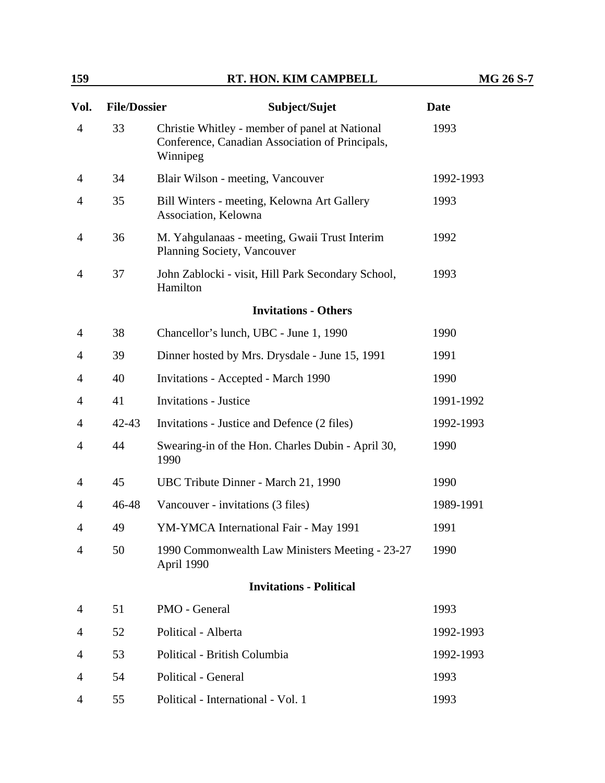| Vol.           | <b>File/Dossier</b> | Subject/Sujet                                                                                                 | <b>Date</b> |
|----------------|---------------------|---------------------------------------------------------------------------------------------------------------|-------------|
| 4              | 33                  | Christie Whitley - member of panel at National<br>Conference, Canadian Association of Principals,<br>Winnipeg | 1993        |
| 4              | 34                  | Blair Wilson - meeting, Vancouver                                                                             | 1992-1993   |
| 4              | 35                  | Bill Winters - meeting, Kelowna Art Gallery<br>Association, Kelowna                                           | 1993        |
| 4              | 36                  | M. Yahgulanaas - meeting, Gwaii Trust Interim<br>Planning Society, Vancouver                                  | 1992        |
| 4              | 37                  | John Zablocki - visit, Hill Park Secondary School,<br>Hamilton                                                | 1993        |
|                |                     | <b>Invitations - Others</b>                                                                                   |             |
| 4              | 38                  | Chancellor's lunch, UBC - June 1, 1990                                                                        | 1990        |
| 4              | 39                  | Dinner hosted by Mrs. Drysdale - June 15, 1991                                                                | 1991        |
| 4              | 40                  | <b>Invitations - Accepted - March 1990</b>                                                                    | 1990        |
| 4              | 41                  | <b>Invitations - Justice</b>                                                                                  | 1991-1992   |
| 4              | $42 - 43$           | Invitations - Justice and Defence (2 files)                                                                   | 1992-1993   |
| 4              | 44                  | Swearing-in of the Hon. Charles Dubin - April 30,<br>1990                                                     | 1990        |
| 4              | 45                  | UBC Tribute Dinner - March 21, 1990                                                                           | 1990        |
| 4              | $46 - 48$           | Vancouver - invitations (3 files)                                                                             | 1989-1991   |
| 4              | 49                  | YM-YMCA International Fair - May 1991                                                                         | 1991        |
| $\overline{4}$ | 50                  | 1990 Commonwealth Law Ministers Meeting - 23-27<br>April 1990                                                 | 1990        |
|                |                     | <b>Invitations - Political</b>                                                                                |             |
| 4              | 51                  | PMO - General                                                                                                 | 1993        |
| 4              | 52                  | Political - Alberta                                                                                           | 1992-1993   |
| 4              | 53                  | Political - British Columbia                                                                                  | 1992-1993   |
| 4              | 54                  | Political - General                                                                                           | 1993        |
| 4              | 55                  | Political - International - Vol. 1                                                                            | 1993        |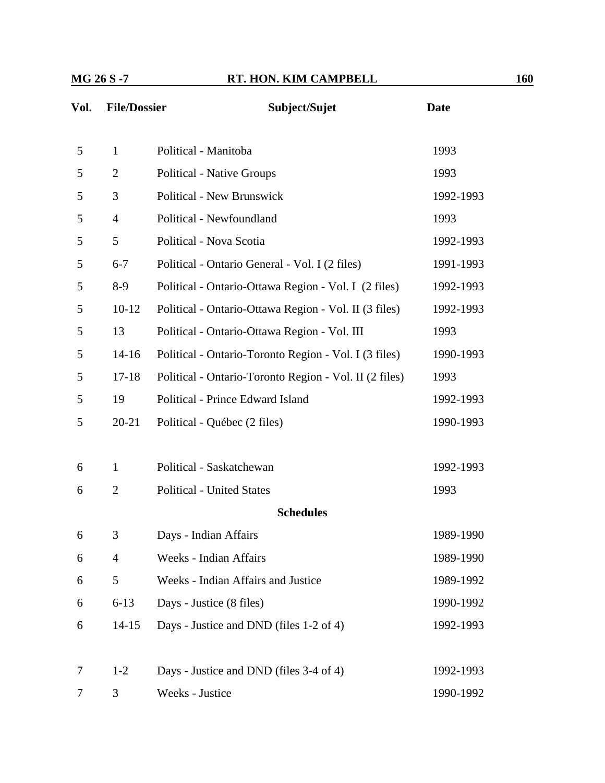| Vol. | <b>File/Dossier</b> | Subject/Sujet                                          | <b>Date</b> |
|------|---------------------|--------------------------------------------------------|-------------|
| 5    | $\mathbf{1}$        | Political - Manitoba                                   | 1993        |
| 5    | $\overline{2}$      | <b>Political - Native Groups</b>                       | 1993        |
| 5    | 3                   | <b>Political - New Brunswick</b>                       | 1992-1993   |
| 5    | $\overline{4}$      | Political - Newfoundland                               | 1993        |
| 5    | 5                   | Political - Nova Scotia                                | 1992-1993   |
| 5    | $6 - 7$             | Political - Ontario General - Vol. I (2 files)         | 1991-1993   |
| 5    | $8-9$               | Political - Ontario-Ottawa Region - Vol. I (2 files)   | 1992-1993   |
| 5    | $10-12$             | Political - Ontario-Ottawa Region - Vol. II (3 files)  | 1992-1993   |
| 5    | 13                  | Political - Ontario-Ottawa Region - Vol. III           | 1993        |
| 5    | $14-16$             | Political - Ontario-Toronto Region - Vol. I (3 files)  | 1990-1993   |
| 5    | $17 - 18$           | Political - Ontario-Toronto Region - Vol. II (2 files) | 1993        |
| 5    | 19                  | Political - Prince Edward Island                       | 1992-1993   |
| 5    | $20 - 21$           | Political - Québec (2 files)                           | 1990-1993   |
| 6    | $\mathbf{1}$        | Political - Saskatchewan                               | 1992-1993   |
| 6    | $\overline{2}$      | <b>Political - United States</b>                       | 1993        |
|      |                     | <b>Schedules</b>                                       |             |
| 6    | 3                   | Days - Indian Affairs                                  | 1989-1990   |
| 6    | $\overline{4}$      | Weeks - Indian Affairs                                 | 1989-1990   |
| 6    | 5                   | Weeks - Indian Affairs and Justice                     | 1989-1992   |
| 6    | $6 - 13$            | Days - Justice (8 files)                               | 1990-1992   |
| 6    | $14 - 15$           | Days - Justice and DND (files 1-2 of 4)                | 1992-1993   |
| 7    | $1-2$               | Days - Justice and DND (files 3-4 of 4)                | 1992-1993   |
| 7    | 3                   | Weeks - Justice                                        | 1990-1992   |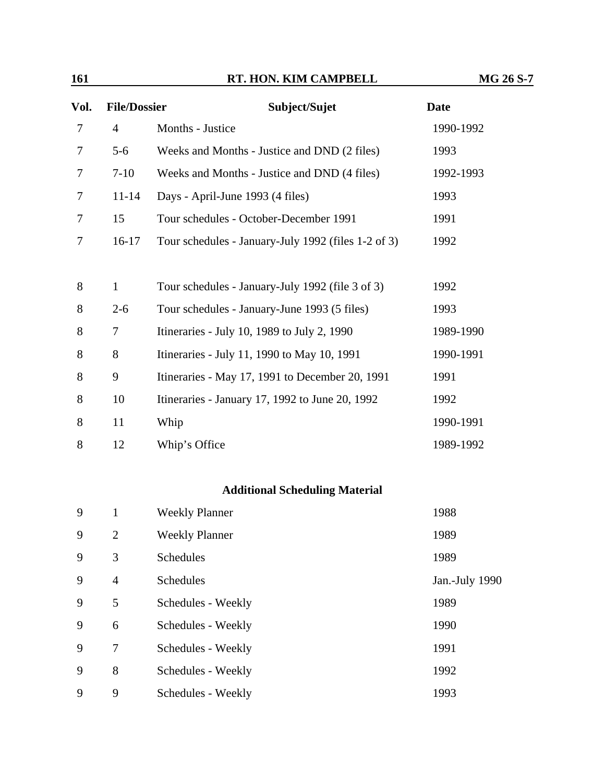| Vol. | <b>File/Dossier</b> | Subject/Sujet                                       | <b>Date</b>    |
|------|---------------------|-----------------------------------------------------|----------------|
| 7    | $\overline{4}$      | Months - Justice                                    | 1990-1992      |
| 7    | $5 - 6$             | Weeks and Months - Justice and DND (2 files)        | 1993           |
| 7    | $7-10$              | Weeks and Months - Justice and DND (4 files)        | 1992-1993      |
| 7    | $11 - 14$           | Days - April-June 1993 (4 files)                    | 1993           |
| 7    | 15                  | Tour schedules - October-December 1991              | 1991           |
| 7    | $16-17$             | Tour schedules - January-July 1992 (files 1-2 of 3) | 1992           |
| 8    | $\mathbf{1}$        | Tour schedules - January-July 1992 (file 3 of 3)    | 1992           |
| 8    | $2 - 6$             | Tour schedules - January-June 1993 (5 files)        | 1993           |
| 8    | $\overline{7}$      | Itineraries - July 10, 1989 to July 2, 1990         | 1989-1990      |
| 8    | 8                   | Itineraries - July 11, 1990 to May 10, 1991         | 1990-1991      |
| 8    | 9                   | Itineraries - May 17, 1991 to December 20, 1991     | 1991           |
| 8    | 10                  | Itineraries - January 17, 1992 to June 20, 1992     | 1992           |
| 8    | 11                  | Whip                                                | 1990-1991      |
| 8    | 12                  | Whip's Office                                       | 1989-1992      |
|      |                     | <b>Additional Scheduling Material</b>               |                |
| 9    | $\mathbf{1}$        | <b>Weekly Planner</b>                               | 1988           |
| 9    | $\overline{2}$      | <b>Weekly Planner</b>                               | 1989           |
| 9    | 3                   | <b>Schedules</b>                                    | 1989           |
| 9    | $\overline{4}$      | Schedules                                           | Jan.-July 1990 |
| 9    | 5                   | Schedules - Weekly                                  | 1989           |
| 9    | 6                   | Schedules - Weekly                                  | 1990           |
| 9    | 7                   | Schedules - Weekly                                  | 1991           |
| 9    | 8                   | Schedules - Weekly                                  | 1992           |
| 9    | 9                   | Schedules - Weekly                                  | 1993           |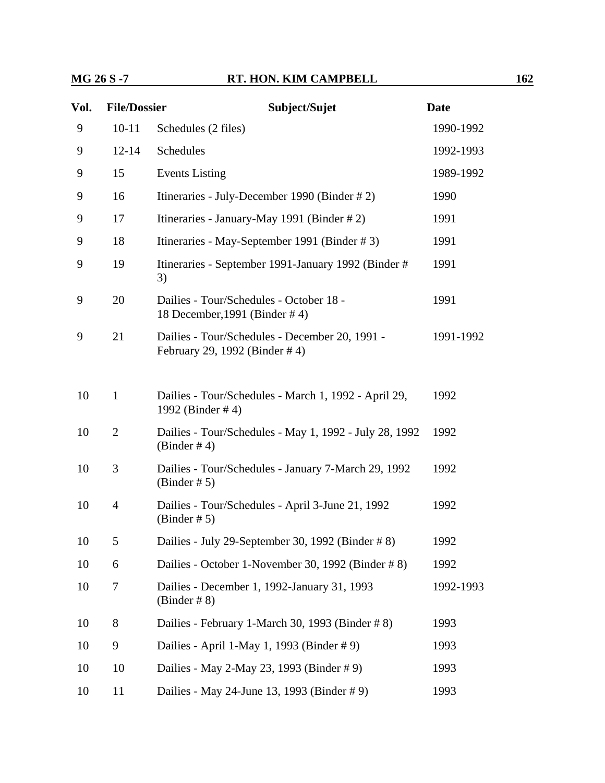| Vol. | <b>File/Dossier</b> | Subject/Sujet                                                                   | <b>Date</b> |
|------|---------------------|---------------------------------------------------------------------------------|-------------|
| 9    | $10 - 11$           | Schedules (2 files)                                                             | 1990-1992   |
| 9    | $12 - 14$           | Schedules                                                                       | 1992-1993   |
| 9    | 15                  | <b>Events Listing</b>                                                           | 1989-1992   |
| 9    | 16                  | Itineraries - July-December 1990 (Binder # 2)                                   | 1990        |
| 9    | 17                  | Itineraries - January-May 1991 (Binder # 2)                                     | 1991        |
| 9    | 18                  | Itineraries - May-September 1991 (Binder #3)                                    | 1991        |
| 9    | 19                  | Itineraries - September 1991-January 1992 (Binder #<br>3)                       | 1991        |
| 9    | 20                  | Dailies - Tour/Schedules - October 18 -<br>18 December, 1991 (Binder #4)        | 1991        |
| 9    | 21                  | Dailies - Tour/Schedules - December 20, 1991 -<br>February 29, 1992 (Binder #4) | 1991-1992   |
| 10   | $\mathbf{1}$        | Dailies - Tour/Schedules - March 1, 1992 - April 29,<br>1992 (Binder #4)        | 1992        |
| 10   | $\overline{2}$      | Dailies - Tour/Schedules - May 1, 1992 - July 28, 1992<br>(Binder # 4)          | 1992        |
| 10   | 3                   | Dailies - Tour/Schedules - January 7-March 29, 1992<br>(Binder # 5)             | 1992        |
| 10   | $\overline{4}$      | Dailies - Tour/Schedules - April 3-June 21, 1992<br>$(Binder \# 5)$             | 1992        |
| 10   | 5                   | Dailies - July 29-September 30, 1992 (Binder # 8)                               | 1992        |
| 10   | 6                   | Dailies - October 1-November 30, 1992 (Binder # 8)                              | 1992        |
| 10   | 7                   | Dailies - December 1, 1992-January 31, 1993<br>$(Binder \# 8)$                  | 1992-1993   |
| 10   | 8                   | Dailies - February 1-March 30, 1993 (Binder #8)                                 | 1993        |
| 10   | 9                   | Dailies - April 1-May 1, 1993 (Binder # 9)                                      | 1993        |
| 10   | 10                  | Dailies - May 2-May 23, 1993 (Binder # 9)                                       | 1993        |
| 10   | 11                  | Dailies - May 24-June 13, 1993 (Binder # 9)                                     | 1993        |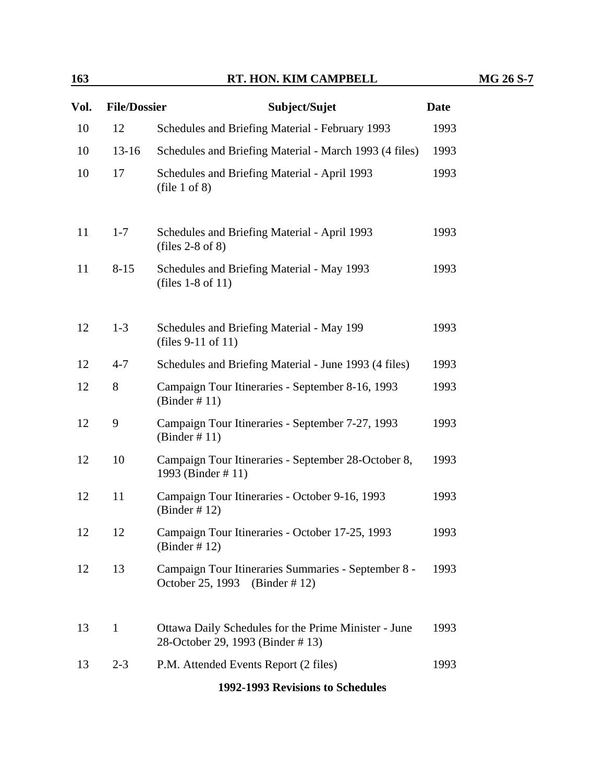| Vol. | <b>File/Dossier</b> | Subject/Sujet                                                                            | <b>Date</b> |
|------|---------------------|------------------------------------------------------------------------------------------|-------------|
| 10   | 12                  | Schedules and Briefing Material - February 1993                                          | 1993        |
| 10   | $13-16$             | Schedules and Briefing Material - March 1993 (4 files)                                   | 1993        |
| 10   | 17                  | Schedules and Briefing Material - April 1993<br>file 1 of 8)                             | 1993        |
| 11   | $1 - 7$             | Schedules and Briefing Material - April 1993<br>$_{\text{(files 2-8 of 8)}}$             | 1993        |
| 11   | $8 - 15$            | Schedules and Briefing Material - May 1993<br>(files $1-8$ of $11$ )                     | 1993        |
| 12   | $1 - 3$             | Schedules and Briefing Material - May 199<br>(files 9-11 of 11)                          | 1993        |
| 12   | $4 - 7$             | Schedules and Briefing Material - June 1993 (4 files)                                    | 1993        |
| 12   | 8                   | Campaign Tour Itineraries - September 8-16, 1993<br>(Binder # 11)                        | 1993        |
| 12   | 9                   | Campaign Tour Itineraries - September 7-27, 1993<br>(Binder # 11)                        | 1993        |
| 12   | 10                  | Campaign Tour Itineraries - September 28-October 8,<br>1993 (Binder #11)                 | 1993        |
| 12   | 11                  | Campaign Tour Itineraries - October 9-16, 1993<br>(Binder # 12)                          | 1993        |
| 12   | 12                  | Campaign Tour Itineraries - October 17-25, 1993<br>(Binder # 12)                         | 1993        |
| 12   | 13                  | Campaign Tour Itineraries Summaries - September 8 -<br>October 25, 1993 (Binder #12)     | 1993        |
| 13   | $\mathbf{1}$        | Ottawa Daily Schedules for the Prime Minister - June<br>28-October 29, 1993 (Binder #13) | 1993        |
| 13   | $2 - 3$             | P.M. Attended Events Report (2 files)                                                    | 1993        |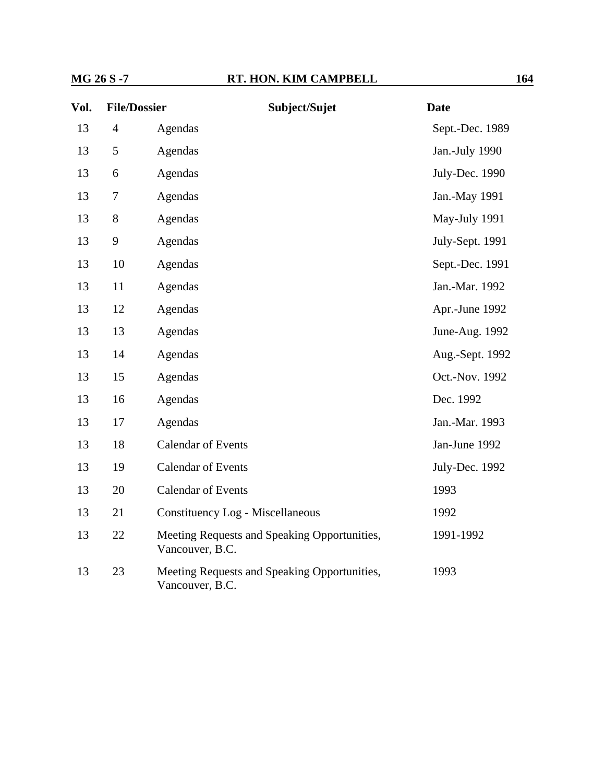| Vol. | <b>File/Dossier</b> | Subject/Sujet                                                   | <b>Date</b>     |
|------|---------------------|-----------------------------------------------------------------|-----------------|
| 13   | $\overline{4}$      | Agendas                                                         | Sept.-Dec. 1989 |
| 13   | 5                   | Agendas                                                         | Jan.-July 1990  |
| 13   | 6                   | Agendas                                                         | July-Dec. 1990  |
| 13   | $\tau$              | Agendas                                                         | Jan.-May 1991   |
| 13   | 8                   | Agendas                                                         | May-July 1991   |
| 13   | 9                   | Agendas                                                         | July-Sept. 1991 |
| 13   | 10                  | Agendas                                                         | Sept.-Dec. 1991 |
| 13   | 11                  | Agendas                                                         | Jan.-Mar. 1992  |
| 13   | 12                  | Agendas                                                         | Apr.-June 1992  |
| 13   | 13                  | Agendas                                                         | June-Aug. 1992  |
| 13   | 14                  | Agendas                                                         | Aug.-Sept. 1992 |
| 13   | 15                  | Agendas                                                         | Oct.-Nov. 1992  |
| 13   | 16                  | Agendas                                                         | Dec. 1992       |
| 13   | 17                  | Agendas                                                         | Jan.-Mar. 1993  |
| 13   | 18                  | <b>Calendar of Events</b>                                       | Jan-June 1992   |
| 13   | 19                  | <b>Calendar of Events</b>                                       | July-Dec. 1992  |
| 13   | 20                  | <b>Calendar of Events</b>                                       | 1993            |
| 13   | 21                  | Constituency Log - Miscellaneous                                | 1992            |
| 13   | 22                  | Meeting Requests and Speaking Opportunities,<br>Vancouver, B.C. | 1991-1992       |
| 13   | 23                  | Meeting Requests and Speaking Opportunities,<br>Vancouver, B.C. | 1993            |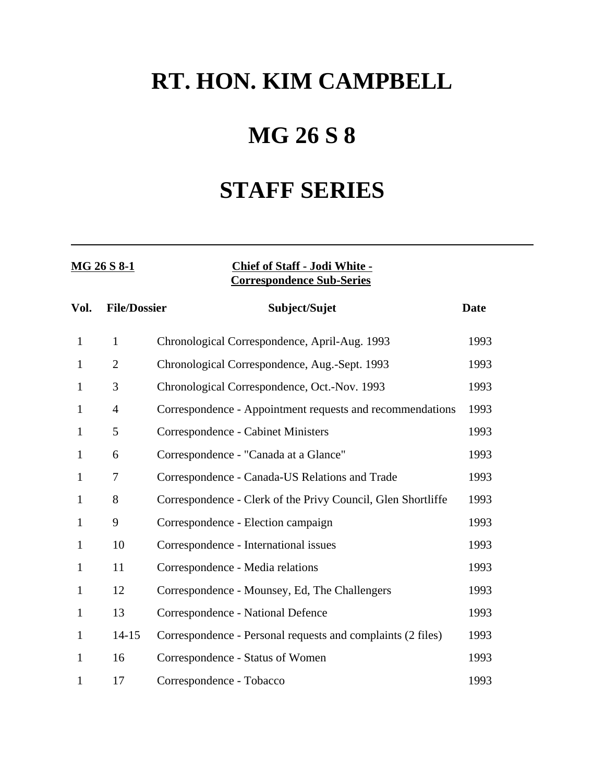# **MG 26 S 8**

## **STAFF SERIES**

### **MG 26 S 8-1 Chief of Staff - Jodi White - Correspondence Sub-Series**

| Vol.         | <b>File/Dossier</b> | Subject/Sujet                                                | <b>Date</b> |
|--------------|---------------------|--------------------------------------------------------------|-------------|
| $\mathbf{1}$ | $\mathbf{1}$        | Chronological Correspondence, April-Aug. 1993                | 1993        |
| 1            | $\overline{2}$      | Chronological Correspondence, Aug.-Sept. 1993                | 1993        |
| $\mathbf{1}$ | 3                   | Chronological Correspondence, Oct.-Nov. 1993                 | 1993        |
| $\mathbf{1}$ | $\overline{4}$      | Correspondence - Appointment requests and recommendations    | 1993        |
| 1            | 5                   | Correspondence - Cabinet Ministers                           | 1993        |
| 1            | 6                   | Correspondence - "Canada at a Glance"                        | 1993        |
| 1            | 7                   | Correspondence - Canada-US Relations and Trade               | 1993        |
| $\mathbf{1}$ | 8                   | Correspondence - Clerk of the Privy Council, Glen Shortliffe | 1993        |
| $\mathbf{1}$ | 9                   | Correspondence - Election campaign                           | 1993        |
| 1            | 10                  | Correspondence - International issues                        | 1993        |
| 1            | 11                  | Correspondence - Media relations                             | 1993        |
| $\mathbf{1}$ | 12                  | Correspondence - Mounsey, Ed, The Challengers                | 1993        |
| $\mathbf{1}$ | 13                  | Correspondence - National Defence                            | 1993        |
| $\mathbf{1}$ | $14 - 15$           | Correspondence - Personal requests and complaints (2 files)  | 1993        |
| 1            | 16                  | Correspondence - Status of Women                             | 1993        |
| 1            | 17                  | Correspondence - Tobacco                                     | 1993        |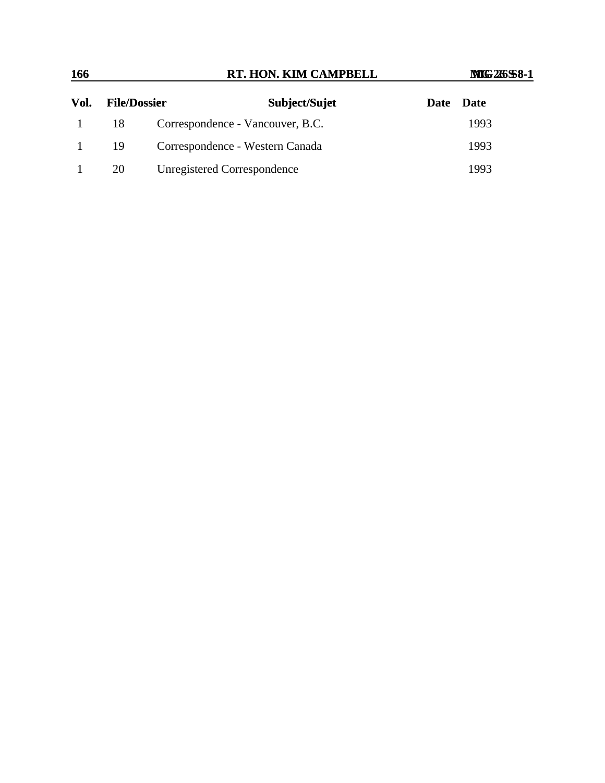| 166  |                     |                             | RT. HON. KIM CAMPBELL            | <b>MIG 26 \$8-1</b> |  |
|------|---------------------|-----------------------------|----------------------------------|---------------------|--|
| Vol. | <b>File/Dossier</b> |                             | Subject/Sujet                    | <b>Date</b><br>Date |  |
|      | 18                  |                             | Correspondence - Vancouver, B.C. | 1993                |  |
|      | 19                  |                             | Correspondence - Western Canada  | 1993                |  |
|      | 20                  | Unregistered Correspondence |                                  | 1993                |  |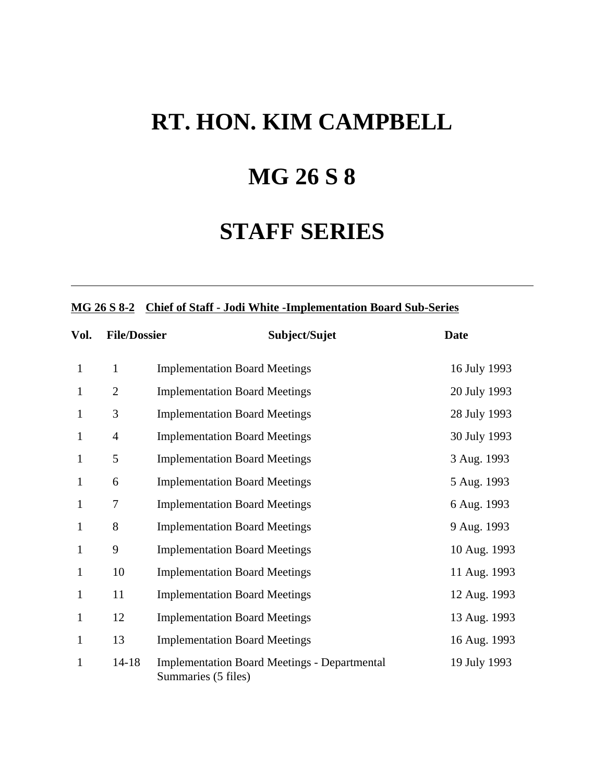## **MG 26 S 8**

## **STAFF SERIES**

### **MG 26 S 8-2 Chief of Staff - Jodi White -Implementation Board Sub-Series**

| Vol.         | <b>File/Dossier</b> | Subject/Sujet                                                              | <b>Date</b>  |
|--------------|---------------------|----------------------------------------------------------------------------|--------------|
| $\mathbf{1}$ | $\mathbf{1}$        | <b>Implementation Board Meetings</b>                                       | 16 July 1993 |
| $\mathbf{1}$ | $\overline{2}$      | <b>Implementation Board Meetings</b>                                       | 20 July 1993 |
| $\mathbf{1}$ | 3                   | <b>Implementation Board Meetings</b>                                       | 28 July 1993 |
| 1            | $\overline{4}$      | <b>Implementation Board Meetings</b>                                       | 30 July 1993 |
| 1            | 5                   | <b>Implementation Board Meetings</b>                                       | 3 Aug. 1993  |
| $\mathbf{1}$ | 6                   | <b>Implementation Board Meetings</b>                                       | 5 Aug. 1993  |
| 1            | 7                   | <b>Implementation Board Meetings</b>                                       | 6 Aug. 1993  |
| $\mathbf{1}$ | 8                   | <b>Implementation Board Meetings</b>                                       | 9 Aug. 1993  |
| $\mathbf{1}$ | 9                   | <b>Implementation Board Meetings</b>                                       | 10 Aug. 1993 |
| $\mathbf{1}$ | 10                  | <b>Implementation Board Meetings</b>                                       | 11 Aug. 1993 |
| $\mathbf{1}$ | 11                  | <b>Implementation Board Meetings</b>                                       | 12 Aug. 1993 |
| 1            | 12                  | <b>Implementation Board Meetings</b>                                       | 13 Aug. 1993 |
| $\mathbf{1}$ | 13                  | <b>Implementation Board Meetings</b>                                       | 16 Aug. 1993 |
| $\mathbf{1}$ | $14 - 18$           | <b>Implementation Board Meetings - Departmental</b><br>Summaries (5 files) | 19 July 1993 |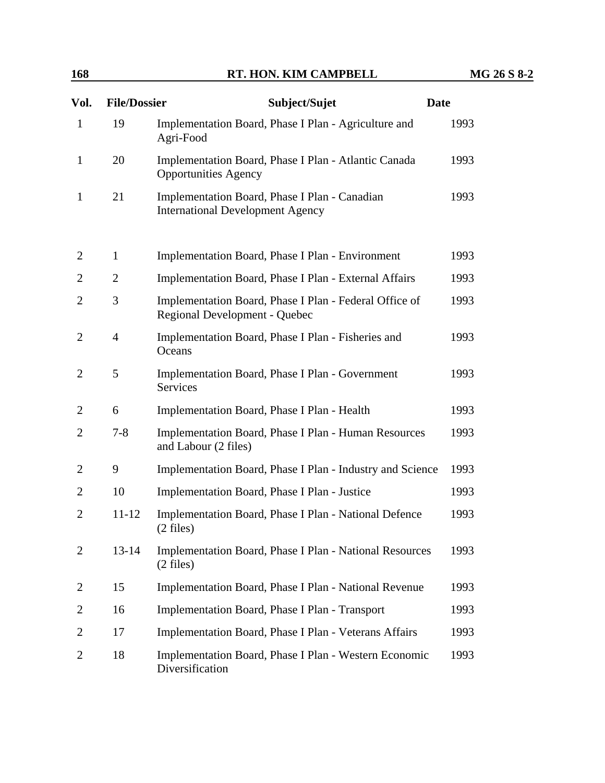| 168            |                     | MG 26 S 8-2                                                                              |             |
|----------------|---------------------|------------------------------------------------------------------------------------------|-------------|
| Vol.           | <b>File/Dossier</b> | Subject/Sujet                                                                            | <b>Date</b> |
| $\mathbf{1}$   | 19                  | Implementation Board, Phase I Plan - Agriculture and<br>Agri-Food                        | 1993        |
| $\mathbf{1}$   | 20                  | Implementation Board, Phase I Plan - Atlantic Canada<br><b>Opportunities Agency</b>      | 1993        |
| 1              | 21                  | Implementation Board, Phase I Plan - Canadian<br><b>International Development Agency</b> | 1993        |
| 2              | $\mathbf{1}$        | Implementation Board, Phase I Plan - Environment                                         | 1993        |
| 2              | $\overline{2}$      | Implementation Board, Phase I Plan - External Affairs                                    | 1993        |
| 2              | 3                   | Implementation Board, Phase I Plan - Federal Office of<br>Regional Development - Quebec  | 1993        |
| 2              | $\overline{4}$      | Implementation Board, Phase I Plan - Fisheries and<br>Oceans                             | 1993        |
| 2              | 5                   | <b>Implementation Board, Phase I Plan - Government</b><br>Services                       | 1993        |
| 2              | 6                   | Implementation Board, Phase I Plan - Health                                              | 1993        |
| 2              | $7 - 8$             | Implementation Board, Phase I Plan - Human Resources<br>and Labour (2 files)             | 1993        |
| 2              | 9                   | Implementation Board, Phase I Plan - Industry and Science                                | 1993        |
| 2              | 10                  | Implementation Board, Phase I Plan - Justice                                             | 1993        |
| $\overline{2}$ | $11 - 12$           | Implementation Board, Phase I Plan - National Defence<br>$(2 \text{ files})$             | 1993        |
| 2              | $13 - 14$           | Implementation Board, Phase I Plan - National Resources<br>$(2 \text{ files})$           | 1993        |
| 2              | 15                  | Implementation Board, Phase I Plan - National Revenue                                    | 1993        |
| 2              | 16                  | Implementation Board, Phase I Plan - Transport                                           | 1993        |
| 2              | 17                  | Implementation Board, Phase I Plan - Veterans Affairs                                    | 1993        |
| 2              | 18                  | Implementation Board, Phase I Plan - Western Economic<br>Diversification                 | 1993        |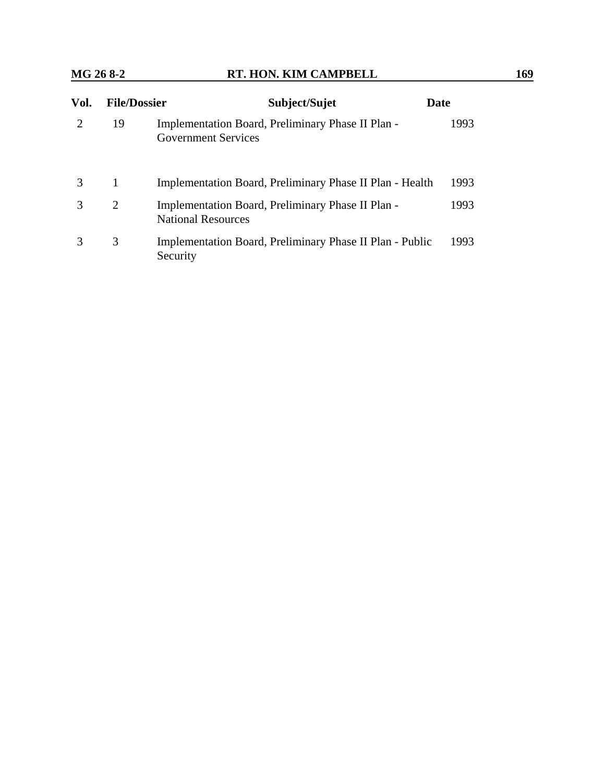| Vol.                        | <b>File/Dossier</b> | Subject/Sujet                                                                   | Date |
|-----------------------------|---------------------|---------------------------------------------------------------------------------|------|
| $\mathcal{D}_{\mathcal{L}}$ | 19                  | Implementation Board, Preliminary Phase II Plan -<br><b>Government Services</b> | 1993 |
| 3                           | 1                   | Implementation Board, Preliminary Phase II Plan - Health                        | 1993 |
| 3                           | 2                   | Implementation Board, Preliminary Phase II Plan -<br><b>National Resources</b>  | 1993 |
| 3                           | 3                   | Implementation Board, Preliminary Phase II Plan - Public<br>Security            | 1993 |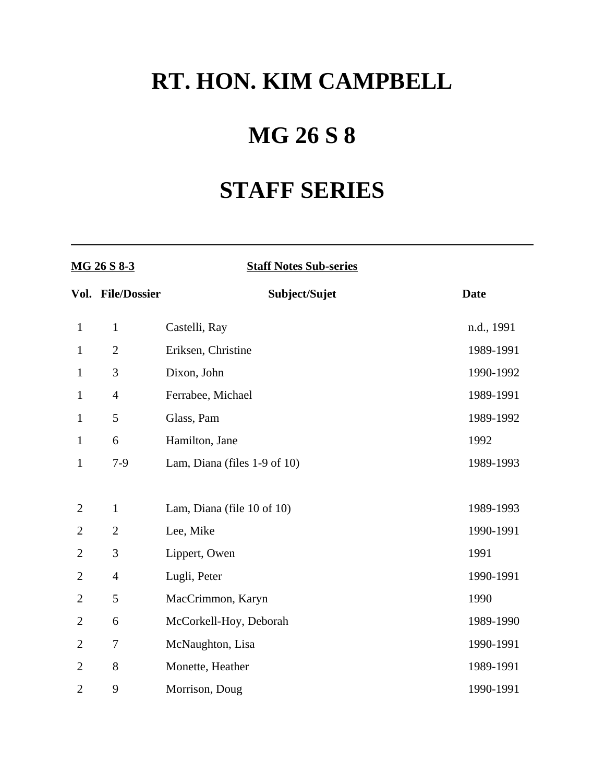# **MG 26 S 8**

# **STAFF SERIES**

| MG 26 S 8-3    |                   | <b>Staff Notes Sub-series</b> |             |
|----------------|-------------------|-------------------------------|-------------|
|                | Vol. File/Dossier | Subject/Sujet                 | <b>Date</b> |
| $\mathbf{1}$   | $\mathbf{1}$      | Castelli, Ray                 | n.d., 1991  |
| $\mathbf{1}$   | $\overline{2}$    | Eriksen, Christine            | 1989-1991   |
| $\mathbf{1}$   | 3                 | Dixon, John                   | 1990-1992   |
| $\mathbf{1}$   | $\overline{4}$    | Ferrabee, Michael             | 1989-1991   |
| $\mathbf{1}$   | 5                 | Glass, Pam                    | 1989-1992   |
| $\mathbf{1}$   | 6                 | Hamilton, Jane                | 1992        |
| $\mathbf{1}$   | $7-9$             | Lam, Diana (files 1-9 of 10)  | 1989-1993   |
|                |                   |                               |             |
| $\mathbf{2}$   | $\mathbf{1}$      | Lam, Diana (file 10 of 10)    | 1989-1993   |
| $\overline{2}$ | $\mathfrak{2}$    | Lee, Mike                     | 1990-1991   |
| $\overline{2}$ | 3                 | Lippert, Owen                 | 1991        |
| 2              | $\overline{4}$    | Lugli, Peter                  | 1990-1991   |
| 2              | 5                 | MacCrimmon, Karyn             | 1990        |
| 2              | 6                 | McCorkell-Hoy, Deborah        | 1989-1990   |
| $\overline{2}$ | $\tau$            | McNaughton, Lisa              | 1990-1991   |
| $\overline{2}$ | 8                 | Monette, Heather              | 1989-1991   |
| $\overline{2}$ | 9                 | Morrison, Doug                | 1990-1991   |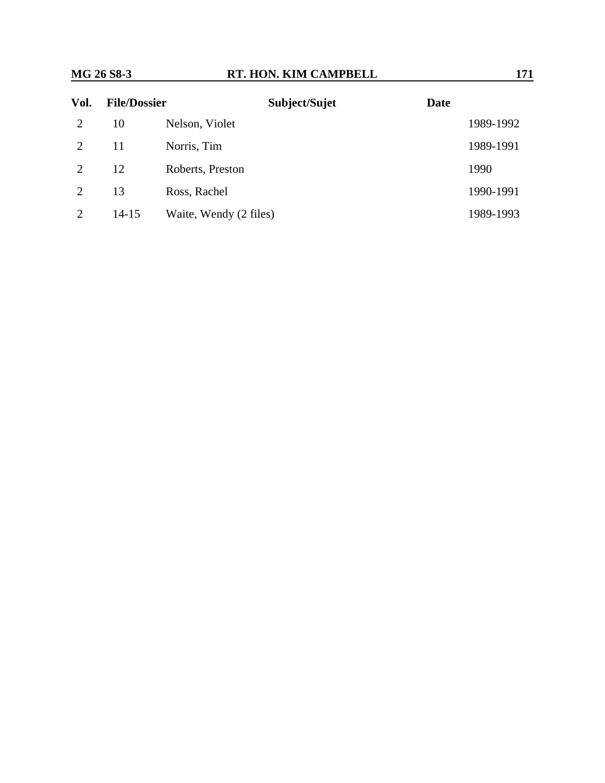| Vol. | <b>File/Dossier</b> | Subject/Sujet          | <b>Date</b> |
|------|---------------------|------------------------|-------------|
| 2    | 10                  | Nelson, Violet         | 1989-1992   |
|      | 11                  | Norris, Tim            | 1989-1991   |
|      | 12                  | Roberts, Preston       | 1990        |
| 2    | 13                  | Ross, Rachel           | 1990-1991   |
|      | $14-15$             | Waite, Wendy (2 files) | 1989-1993   |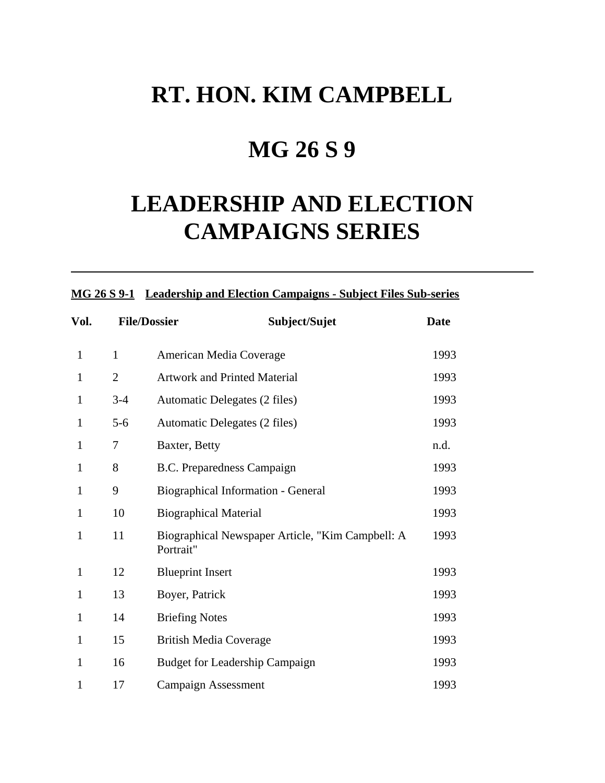## **MG 26 S 9**

# **LEADERSHIP AND ELECTION CAMPAIGNS SERIES**

|              |                | MG 26 S 9-1 Leadership and Election Campaigns - Subject Files Sub-series |             |  |  |
|--------------|----------------|--------------------------------------------------------------------------|-------------|--|--|
| Vol.         |                | <b>File/Dossier</b><br>Subject/Sujet                                     | <b>Date</b> |  |  |
| $\mathbf{1}$ | $\mathbf{1}$   | American Media Coverage                                                  | 1993        |  |  |
| $\mathbf{1}$ | $\overline{2}$ | <b>Artwork and Printed Material</b>                                      | 1993        |  |  |
| $\mathbf{1}$ | $3-4$          | Automatic Delegates (2 files)                                            | 1993        |  |  |
| $\mathbf{1}$ | $5 - 6$        | Automatic Delegates (2 files)                                            | 1993        |  |  |
| 1            | 7              | Baxter, Betty                                                            | n.d.        |  |  |
| 1            | 8              | B.C. Preparedness Campaign                                               | 1993        |  |  |
| $\mathbf{1}$ | 9              | Biographical Information - General                                       | 1993        |  |  |
| $\mathbf{1}$ | 10             | <b>Biographical Material</b>                                             | 1993        |  |  |
| $\mathbf{1}$ | 11             | Biographical Newspaper Article, "Kim Campbell: A<br>Portrait"            | 1993        |  |  |
| $\mathbf{1}$ | 12             | <b>Blueprint Insert</b>                                                  | 1993        |  |  |
| $\mathbf{1}$ | 13             | Boyer, Patrick                                                           | 1993        |  |  |
| $\mathbf{1}$ | 14             | <b>Briefing Notes</b>                                                    | 1993        |  |  |
| $\mathbf{1}$ | 15             | <b>British Media Coverage</b>                                            | 1993        |  |  |
| 1            | 16             | <b>Budget for Leadership Campaign</b>                                    | 1993        |  |  |
| 1            | 17             | <b>Campaign Assessment</b>                                               | 1993        |  |  |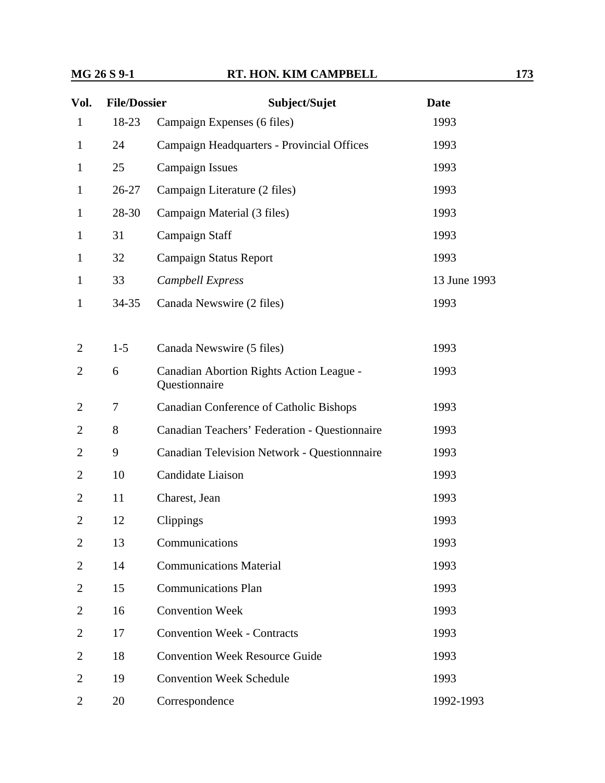### **MG 26 S 9-1 RT. HON. KIM CAMPBELL 173**

| Vol.           | <b>File/Dossier</b> | Subject/Sujet                                             | <b>Date</b>  |
|----------------|---------------------|-----------------------------------------------------------|--------------|
| $\mathbf{1}$   | 18-23               | Campaign Expenses (6 files)                               | 1993         |
| $\mathbf{1}$   | 24                  | Campaign Headquarters - Provincial Offices                | 1993         |
| $\mathbf{1}$   | 25                  | <b>Campaign Issues</b>                                    | 1993         |
| $\mathbf{1}$   | $26 - 27$           | Campaign Literature (2 files)                             | 1993         |
| $\mathbf{1}$   | 28-30               | Campaign Material (3 files)                               | 1993         |
| $\mathbf{1}$   | 31                  | Campaign Staff                                            | 1993         |
| 1              | 32                  | <b>Campaign Status Report</b>                             | 1993         |
| $\mathbf{1}$   | 33                  | Campbell Express                                          | 13 June 1993 |
| $\mathbf{1}$   | $34 - 35$           | Canada Newswire (2 files)                                 | 1993         |
|                |                     |                                                           |              |
| $\overline{2}$ | $1-5$               | Canada Newswire (5 files)                                 | 1993         |
| $\overline{2}$ | 6                   | Canadian Abortion Rights Action League -<br>Questionnaire | 1993         |
| 2              | 7                   | <b>Canadian Conference of Catholic Bishops</b>            | 1993         |
| 2              | 8                   | Canadian Teachers' Federation - Questionnaire             | 1993         |
| $\overline{2}$ | 9                   | Canadian Television Network - Questionnnaire              | 1993         |
| $\overline{2}$ | 10                  | Candidate Liaison                                         | 1993         |
| $\overline{2}$ | 11                  | Charest, Jean                                             | 1993         |
| $\overline{2}$ | 12                  | Clippings                                                 | 1993         |
| $\overline{2}$ | 13                  | Communications                                            | 1993         |
| $\overline{2}$ | 14                  | <b>Communications Material</b>                            | 1993         |
| 2              | 15                  | <b>Communications Plan</b>                                | 1993         |
| $\overline{2}$ | 16                  | <b>Convention Week</b>                                    | 1993         |
| 2              | 17                  | <b>Convention Week - Contracts</b>                        | 1993         |
| $\overline{2}$ | 18                  | <b>Convention Week Resource Guide</b>                     | 1993         |
| 2              | 19                  | <b>Convention Week Schedule</b>                           | 1993         |
| $\overline{2}$ | 20                  | Correspondence                                            | 1992-1993    |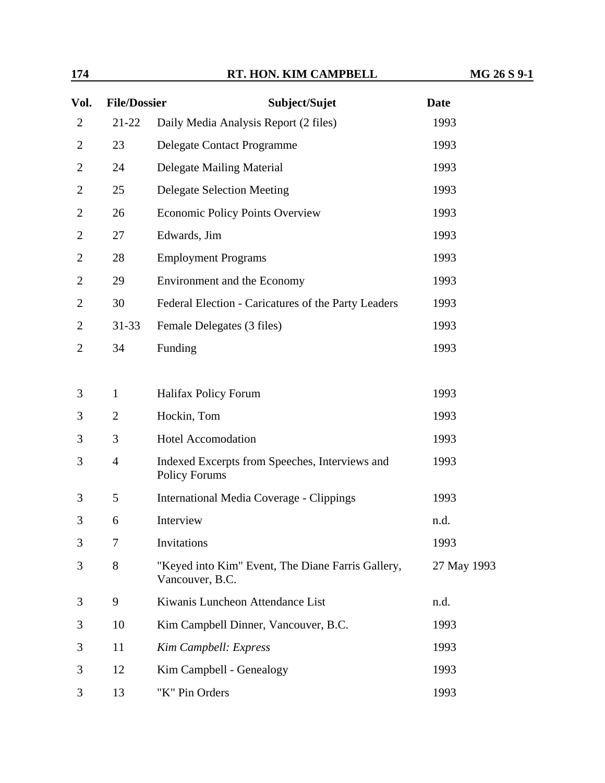| 174            |                     | RT. HON. KIM CAMPBELL                                                  | MG 26 S 9-1 |
|----------------|---------------------|------------------------------------------------------------------------|-------------|
| Vol.           | <b>File/Dossier</b> | Subject/Sujet                                                          | <b>Date</b> |
| $\overline{c}$ | $21 - 22$           | Daily Media Analysis Report (2 files)                                  | 1993        |
| 2              | 23                  | Delegate Contact Programme                                             | 1993        |
| 2              | 24                  | Delegate Mailing Material                                              | 1993        |
| 2              | 25                  | <b>Delegate Selection Meeting</b>                                      | 1993        |
| 2              | 26                  | <b>Economic Policy Points Overview</b>                                 | 1993        |
| 2              | 27                  | Edwards, Jim                                                           | 1993        |
| 2              | 28                  | <b>Employment Programs</b>                                             | 1993        |
| 2              | 29                  | Environment and the Economy                                            | 1993        |
| 2              | 30                  | Federal Election - Caricatures of the Party Leaders                    | 1993        |
| 2              | $31 - 33$           | Female Delegates (3 files)                                             | 1993        |
| 2              | 34                  | Funding                                                                | 1993        |
|                |                     |                                                                        |             |
| 3              | $\mathbf{1}$        | <b>Halifax Policy Forum</b>                                            | 1993        |
| 3              | $\overline{2}$      | Hockin, Tom                                                            | 1993        |
| 3              | 3                   | <b>Hotel Accomodation</b>                                              | 1993        |
| 3              | $\overline{4}$      | Indexed Excerpts from Speeches, Interviews and<br><b>Policy Forums</b> | 1993        |
| 3              | 5                   | International Media Coverage - Clippings                               | 1993        |
| 3              | 6                   | Interview                                                              | n.d.        |
| 3              | 7                   | Invitations                                                            | 1993        |
| 3              | 8                   | "Keyed into Kim" Event, The Diane Farris Gallery,<br>Vancouver, B.C.   | 27 May 1993 |
| 3              | 9                   | Kiwanis Luncheon Attendance List                                       | n.d.        |
| 3              | 10                  | Kim Campbell Dinner, Vancouver, B.C.                                   | 1993        |
| 3              | 11                  | Kim Campbell: Express                                                  | 1993        |
| 3              | 12                  | Kim Campbell - Genealogy                                               | 1993        |
| 3              | 13                  | "K" Pin Orders                                                         | 1993        |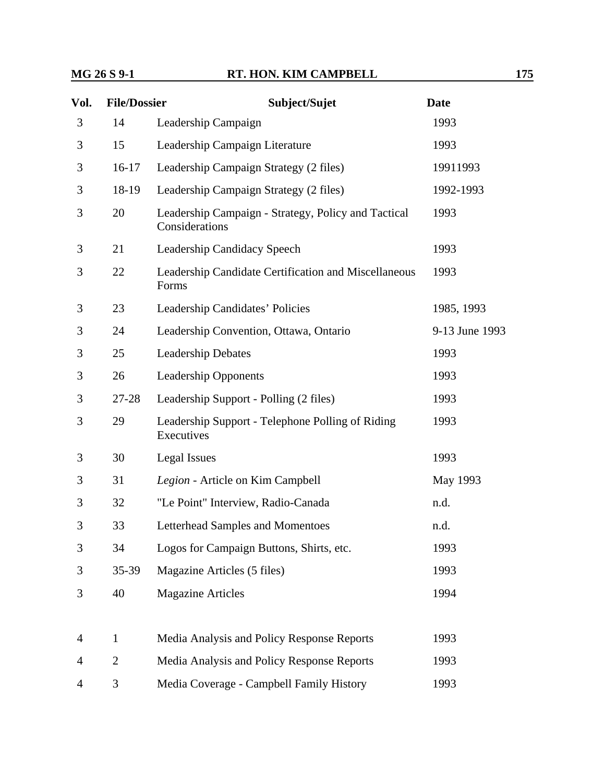### **MG 26 S 9-1 RT. HON. KIM CAMPBELL 175**

| Vol. | <b>File/Dossier</b> | Subject/Sujet                                                         | <b>Date</b>    |
|------|---------------------|-----------------------------------------------------------------------|----------------|
| 3    | 14                  | Leadership Campaign                                                   | 1993           |
| 3    | 15                  | Leadership Campaign Literature                                        | 1993           |
| 3    | $16-17$             | Leadership Campaign Strategy (2 files)                                | 19911993       |
| 3    | 18-19               | Leadership Campaign Strategy (2 files)                                | 1992-1993      |
| 3    | 20                  | Leadership Campaign - Strategy, Policy and Tactical<br>Considerations | 1993           |
| 3    | 21                  | Leadership Candidacy Speech                                           | 1993           |
| 3    | 22                  | Leadership Candidate Certification and Miscellaneous<br>Forms         | 1993           |
| 3    | 23                  | Leadership Candidates' Policies                                       | 1985, 1993     |
| 3    | 24                  | Leadership Convention, Ottawa, Ontario                                | 9-13 June 1993 |
| 3    | 25                  | <b>Leadership Debates</b>                                             | 1993           |
| 3    | 26                  | <b>Leadership Opponents</b>                                           | 1993           |
| 3    | $27 - 28$           | Leadership Support - Polling (2 files)                                | 1993           |
| 3    | 29                  | Leadership Support - Telephone Polling of Riding<br>Executives        | 1993           |
| 3    | 30                  | Legal Issues                                                          | 1993           |
| 3    | 31                  | Legion - Article on Kim Campbell                                      | May 1993       |
| 3    | 32                  | "Le Point" Interview, Radio-Canada                                    | n.d.           |
| 3    | 33                  | <b>Letterhead Samples and Momentoes</b>                               | n.d.           |
| 3    | 34                  | Logos for Campaign Buttons, Shirts, etc.                              | 1993           |
| 3    | 35-39               | Magazine Articles (5 files)                                           | 1993           |
| 3    | 40                  | <b>Magazine Articles</b>                                              | 1994           |
| 4    | $\mathbf{1}$        | Media Analysis and Policy Response Reports                            | 1993           |
| 4    | $\overline{2}$      | Media Analysis and Policy Response Reports                            | 1993           |
| 4    | 3                   | Media Coverage - Campbell Family History                              | 1993           |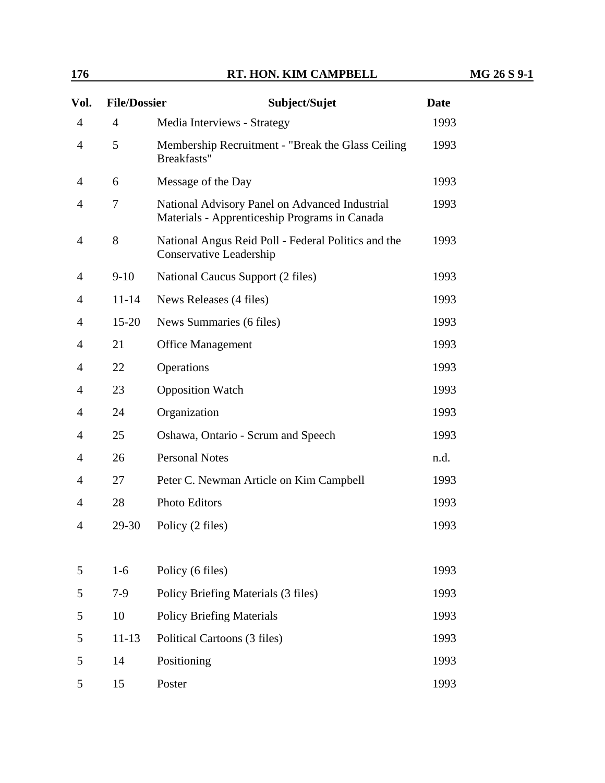| 176 | RT. HON. KIM CAMPBELL | $26S9-$<br>MG |
|-----|-----------------------|---------------|
|     |                       |               |

| Vol.           | <b>File/Dossier</b> | Subject/Sujet                                                                                   | <b>Date</b> |
|----------------|---------------------|-------------------------------------------------------------------------------------------------|-------------|
| $\overline{4}$ | $\overline{4}$      | Media Interviews - Strategy                                                                     | 1993        |
| $\overline{4}$ | 5                   | Membership Recruitment - "Break the Glass Ceiling"<br>Breakfasts"                               | 1993        |
| 4              | 6                   | Message of the Day                                                                              | 1993        |
| $\overline{4}$ | 7                   | National Advisory Panel on Advanced Industrial<br>Materials - Apprenticeship Programs in Canada | 1993        |
| 4              | 8                   | National Angus Reid Poll - Federal Politics and the<br>Conservative Leadership                  | 1993        |
| 4              | $9-10$              | National Caucus Support (2 files)                                                               | 1993        |
| 4              | $11 - 14$           | News Releases (4 files)                                                                         | 1993        |
| $\overline{4}$ | $15 - 20$           | News Summaries (6 files)                                                                        | 1993        |
| 4              | 21                  | <b>Office Management</b>                                                                        | 1993        |
| 4              | 22                  | Operations                                                                                      | 1993        |
| 4              | 23                  | <b>Opposition Watch</b>                                                                         | 1993        |
| 4              | 24                  | Organization                                                                                    | 1993        |
| $\overline{4}$ | 25                  | Oshawa, Ontario - Scrum and Speech                                                              | 1993        |
| 4              | 26                  | <b>Personal Notes</b>                                                                           | n.d.        |
| $\overline{4}$ | 27                  | Peter C. Newman Article on Kim Campbell                                                         | 1993        |
| 4              | 28                  | <b>Photo Editors</b>                                                                            | 1993        |
| 4              | 29-30               | Policy (2 files)                                                                                | 1993        |
|                |                     |                                                                                                 |             |
| 5              | $1-6$               | Policy (6 files)                                                                                | 1993        |
| 5              | $7-9$               | Policy Briefing Materials (3 files)                                                             | 1993        |
| 5              | 10                  | <b>Policy Briefing Materials</b>                                                                | 1993        |
| 5              | $11 - 13$           | Political Cartoons (3 files)                                                                    | 1993        |
| 5              | 14                  | Positioning                                                                                     | 1993        |
| 5              | 15                  | Poster                                                                                          | 1993        |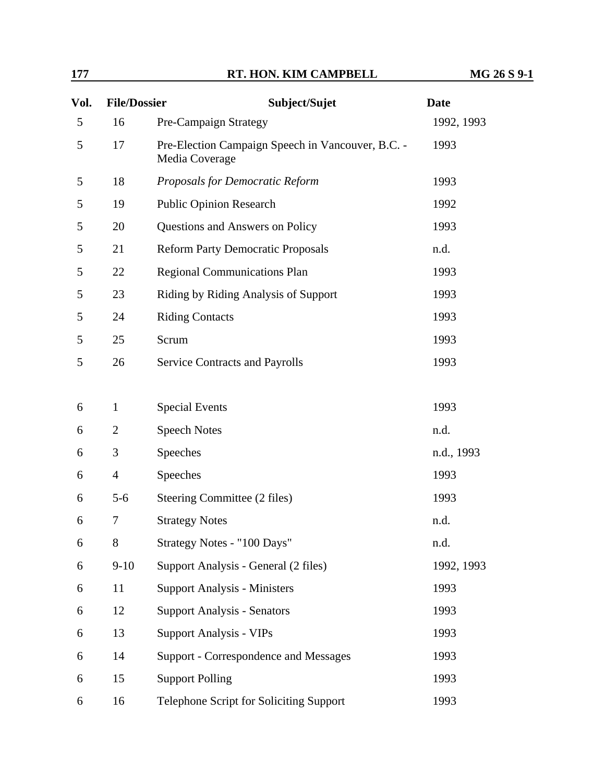| 177            |                     | RT. HON. KIM CAMPBELL                                               | MG 26 S 9-1 |
|----------------|---------------------|---------------------------------------------------------------------|-------------|
| Vol.           | <b>File/Dossier</b> | Subject/Sujet                                                       | <b>Date</b> |
| $\mathfrak{S}$ | 16                  | Pre-Campaign Strategy                                               | 1992, 1993  |
| 5              | 17                  | Pre-Election Campaign Speech in Vancouver, B.C. -<br>Media Coverage | 1993        |
| 5              | 18                  | Proposals for Democratic Reform                                     | 1993        |
| 5              | 19                  | <b>Public Opinion Research</b>                                      | 1992        |
| 5              | 20                  | Questions and Answers on Policy                                     | 1993        |
| 5              | 21                  | <b>Reform Party Democratic Proposals</b>                            | n.d.        |
| 5              | 22                  | <b>Regional Communications Plan</b>                                 | 1993        |
| 5              | 23                  | Riding by Riding Analysis of Support                                | 1993        |
| 5              | 24                  | <b>Riding Contacts</b>                                              | 1993        |
| 5              | 25                  | Scrum                                                               | 1993        |
| 5              | 26                  | <b>Service Contracts and Payrolls</b>                               | 1993        |
| 6              | $\mathbf{1}$        | <b>Special Events</b>                                               | 1993        |
| 6              | $\overline{2}$      | <b>Speech Notes</b>                                                 | n.d.        |
| 6              | 3                   | Speeches                                                            | n.d., 1993  |
| 6              | $\overline{4}$      | Speeches                                                            | 1993        |
| 6              | $5 - 6$             | Steering Committee (2 files)                                        | 1993        |
| 6              | 7                   | <b>Strategy Notes</b>                                               | n.d.        |
| 6              | 8                   | Strategy Notes - "100 Days"                                         | n.d.        |
| 6              | $9-10$              | Support Analysis - General (2 files)                                | 1992, 1993  |
| 6              | 11                  | <b>Support Analysis - Ministers</b>                                 | 1993        |
| 6              | 12                  | <b>Support Analysis - Senators</b>                                  | 1993        |
| 6              | 13                  | <b>Support Analysis - VIPs</b>                                      | 1993        |
| 6              | 14                  | Support - Correspondence and Messages                               | 1993        |
| 6              | 15                  | <b>Support Polling</b>                                              | 1993        |
| 6              | 16                  | Telephone Script for Soliciting Support                             | 1993        |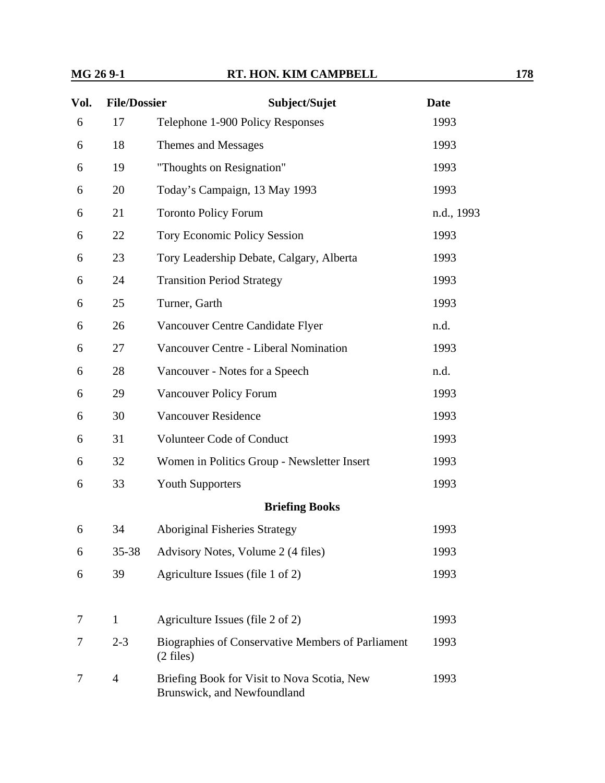| Vol. | <b>File/Dossier</b> | Subject/Sujet                                                              | <b>Date</b> |
|------|---------------------|----------------------------------------------------------------------------|-------------|
| 6    | 17                  | Telephone 1-900 Policy Responses                                           | 1993        |
| 6    | 18                  | Themes and Messages                                                        | 1993        |
| 6    | 19                  | "Thoughts on Resignation"                                                  | 1993        |
| 6    | 20                  | Today's Campaign, 13 May 1993                                              | 1993        |
| 6    | 21                  | <b>Toronto Policy Forum</b>                                                | n.d., 1993  |
| 6    | 22                  | <b>Tory Economic Policy Session</b>                                        | 1993        |
| 6    | 23                  | Tory Leadership Debate, Calgary, Alberta                                   | 1993        |
| 6    | 24                  | <b>Transition Period Strategy</b>                                          | 1993        |
| 6    | 25                  | Turner, Garth                                                              | 1993        |
| 6    | 26                  | Vancouver Centre Candidate Flyer                                           | n.d.        |
| 6    | 27                  | Vancouver Centre - Liberal Nomination                                      | 1993        |
| 6    | 28                  | Vancouver - Notes for a Speech                                             | n.d.        |
| 6    | 29                  | Vancouver Policy Forum                                                     | 1993        |
| 6    | 30                  | <b>Vancouver Residence</b>                                                 | 1993        |
| 6    | 31                  | Volunteer Code of Conduct                                                  | 1993        |
| 6    | 32                  | Women in Politics Group - Newsletter Insert                                | 1993        |
| 6    | 33                  | <b>Youth Supporters</b>                                                    | 1993        |
|      |                     | <b>Briefing Books</b>                                                      |             |
| 6    | 34                  | <b>Aboriginal Fisheries Strategy</b>                                       | 1993        |
| 6    | $35 - 38$           | Advisory Notes, Volume 2 (4 files)                                         | 1993        |
| 6    | 39                  | Agriculture Issues (file 1 of 2)                                           | 1993        |
|      |                     |                                                                            |             |
| 7    | $\mathbf{1}$        | Agriculture Issues (file 2 of 2)                                           | 1993        |
| 7    | $2 - 3$             | Biographies of Conservative Members of Parliament<br>$(2 \text{ files})$   | 1993        |
| 7    | $\overline{4}$      | Briefing Book for Visit to Nova Scotia, New<br>Brunswick, and Newfoundland | 1993        |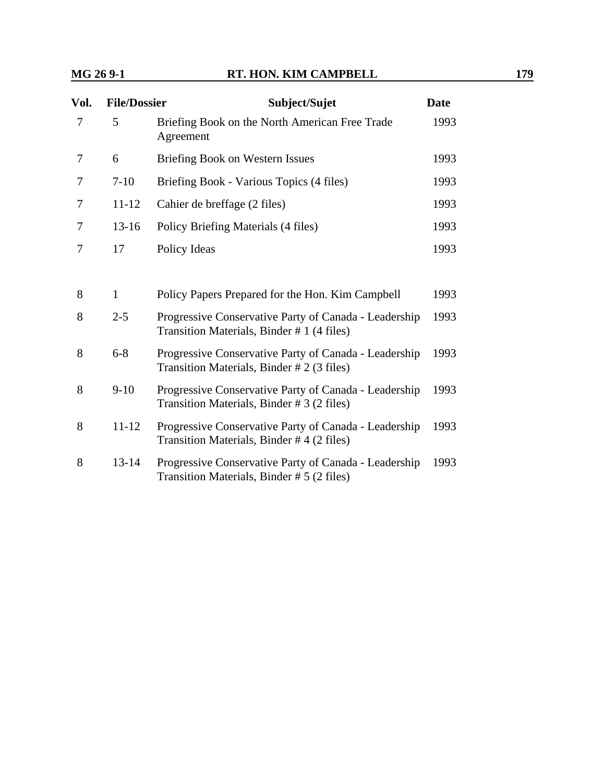| Vol. | <b>File/Dossier</b> | Subject/Sujet                                                                                       | <b>Date</b> |
|------|---------------------|-----------------------------------------------------------------------------------------------------|-------------|
| 7    | 5                   | Briefing Book on the North American Free Trade<br>Agreement                                         | 1993        |
| 7    | 6                   | Briefing Book on Western Issues                                                                     | 1993        |
| 7    | $7 - 10$            | Briefing Book - Various Topics (4 files)                                                            | 1993        |
| 7    | $11 - 12$           | Cahier de breffage (2 files)                                                                        | 1993        |
| 7    | $13 - 16$           | Policy Briefing Materials (4 files)                                                                 | 1993        |
| 7    | 17                  | Policy Ideas                                                                                        | 1993        |
|      |                     |                                                                                                     |             |
| 8    | $\mathbf{1}$        | Policy Papers Prepared for the Hon. Kim Campbell                                                    | 1993        |
| 8    | $2 - 5$             | Progressive Conservative Party of Canada - Leadership<br>Transition Materials, Binder #1 (4 files)  | 1993        |
| 8    | $6 - 8$             | Progressive Conservative Party of Canada - Leadership<br>Transition Materials, Binder # 2 (3 files) | 1993        |
| 8    | $9-10$              | Progressive Conservative Party of Canada - Leadership<br>Transition Materials, Binder #3 (2 files)  | 1993        |
| 8    | $11 - 12$           | Progressive Conservative Party of Canada - Leadership<br>Transition Materials, Binder #4 (2 files)  | 1993        |
| 8    | $13 - 14$           | Progressive Conservative Party of Canada - Leadership<br>Transition Materials, Binder # 5 (2 files) | 1993        |
|      |                     |                                                                                                     |             |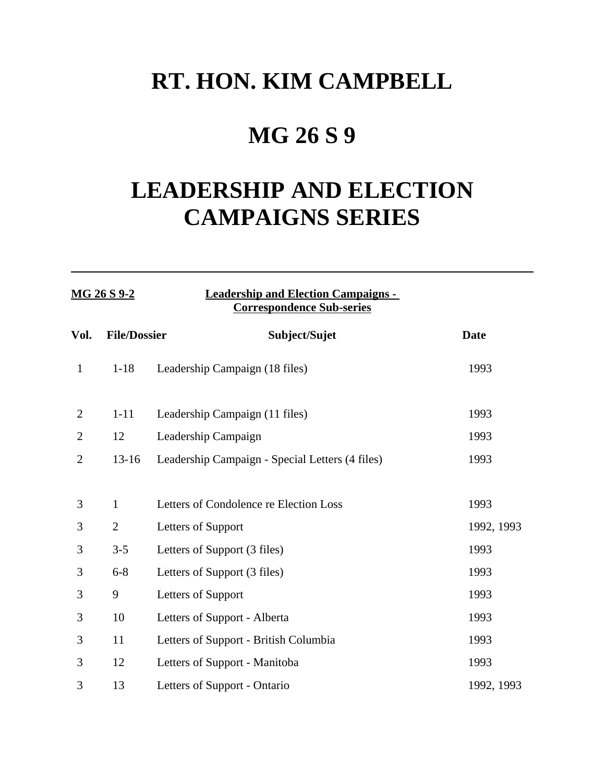# **RT. HON. KIM CAMPBELL**

# **MG 26 S 9**

# **LEADERSHIP AND ELECTION CAMPAIGNS SERIES**

| MG 26 S 9-2    |                     | <b>Leadership and Election Campaigns -</b><br><b>Correspondence Sub-series</b> |             |  |
|----------------|---------------------|--------------------------------------------------------------------------------|-------------|--|
| Vol.           | <b>File/Dossier</b> | Subject/Sujet                                                                  | <b>Date</b> |  |
| $\mathbf{1}$   | $1 - 18$            | Leadership Campaign (18 files)                                                 | 1993        |  |
| $\overline{2}$ | $1 - 11$            | Leadership Campaign (11 files)                                                 | 1993        |  |
| $\overline{c}$ | 12                  | Leadership Campaign                                                            | 1993        |  |
| $\mathbf{2}$   | $13 - 16$           | Leadership Campaign - Special Letters (4 files)                                | 1993        |  |
| 3              | $\mathbf{1}$        | Letters of Condolence re Election Loss                                         | 1993        |  |
| 3              | $\overline{2}$      | Letters of Support                                                             | 1992, 1993  |  |
| 3              | $3 - 5$             | Letters of Support (3 files)                                                   | 1993        |  |
| 3              | $6 - 8$             | Letters of Support (3 files)                                                   | 1993        |  |
| 3              | 9                   | Letters of Support                                                             | 1993        |  |
| 3              | 10                  | Letters of Support - Alberta                                                   | 1993        |  |
| 3              | 11                  | Letters of Support - British Columbia                                          | 1993        |  |
| 3              | 12                  | Letters of Support - Manitoba                                                  | 1993        |  |
| 3              | 13                  | Letters of Support - Ontario                                                   | 1992, 1993  |  |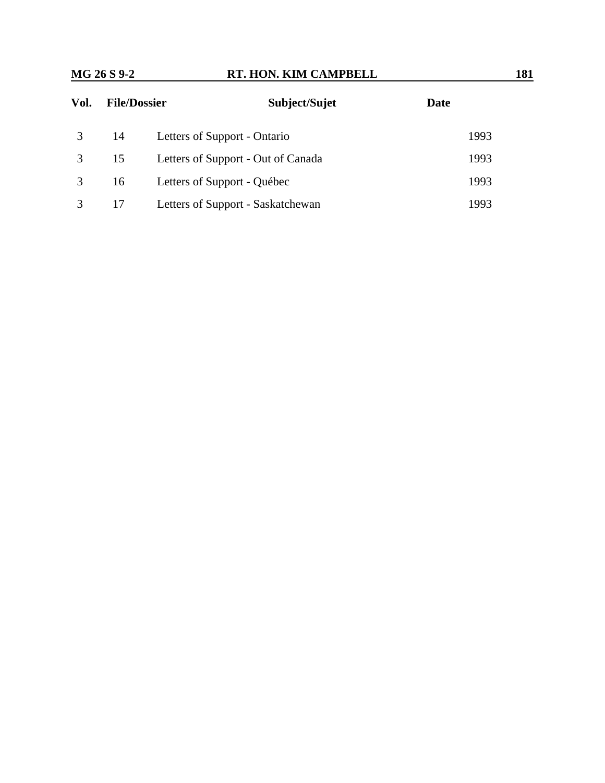| Vol. | <b>File/Dossier</b> | Subject/Sujet                      | Date |
|------|---------------------|------------------------------------|------|
|      | -14                 | Letters of Support - Ontario       | 1993 |
|      | 15                  | Letters of Support - Out of Canada | 1993 |
|      | 16                  | Letters of Support - Québec        | 1993 |
|      | 17                  | Letters of Support - Saskatchewan  | 1993 |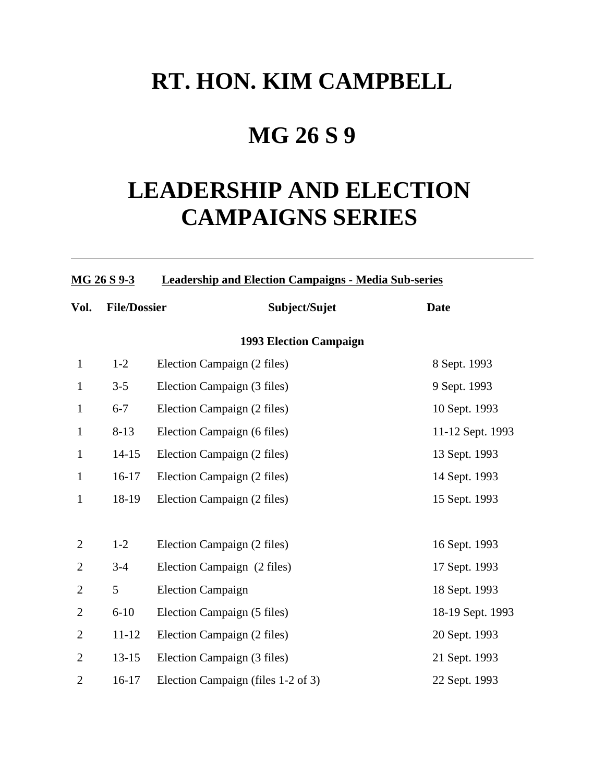# **RT. HON. KIM CAMPBELL**

# **MG 26 S 9**

# **LEADERSHIP AND ELECTION CAMPAIGNS SERIES**

**MG 26 S 9-3 Leadership and Election Campaigns - Media Sub-series**

| Vol.           | <b>File/Dossier</b> | Subject/Sujet                      | <b>Date</b>      |
|----------------|---------------------|------------------------------------|------------------|
|                |                     | <b>1993 Election Campaign</b>      |                  |
| $\mathbf{1}$   | $1-2$               | Election Campaign (2 files)        | 8 Sept. 1993     |
| $\mathbf{1}$   | $3 - 5$             | Election Campaign (3 files)        | 9 Sept. 1993     |
| $\mathbf{1}$   | $6 - 7$             | Election Campaign (2 files)        | 10 Sept. 1993    |
| $\mathbf{1}$   | $8 - 13$            | Election Campaign (6 files)        | 11-12 Sept. 1993 |
| $\mathbf{1}$   | $14 - 15$           | Election Campaign (2 files)        | 13 Sept. 1993    |
| $\mathbf{1}$   | $16-17$             | Election Campaign (2 files)        | 14 Sept. 1993    |
| $\mathbf{1}$   | 18-19               | Election Campaign (2 files)        | 15 Sept. 1993    |
|                |                     |                                    |                  |
| $\overline{2}$ | $1-2$               | Election Campaign (2 files)        | 16 Sept. 1993    |
| $\overline{2}$ | $3 - 4$             | Election Campaign (2 files)        | 17 Sept. 1993    |
| $\overline{2}$ | 5                   | <b>Election Campaign</b>           | 18 Sept. 1993    |
| $\overline{2}$ | $6 - 10$            | Election Campaign (5 files)        | 18-19 Sept. 1993 |
| $\overline{2}$ | $11 - 12$           | Election Campaign (2 files)        | 20 Sept. 1993    |
| $\overline{2}$ | $13 - 15$           | Election Campaign (3 files)        | 21 Sept. 1993    |
| $\overline{2}$ | $16-17$             | Election Campaign (files 1-2 of 3) | 22 Sept. 1993    |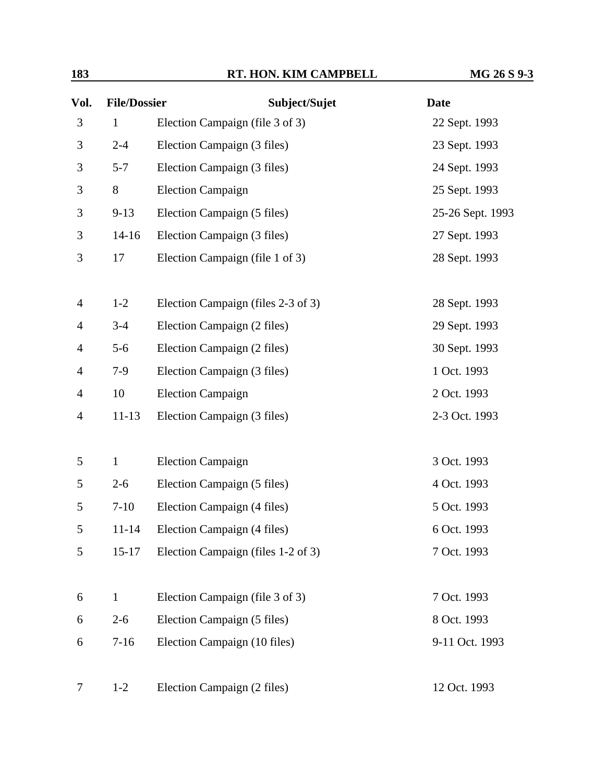| 183 | RT. HON. KIM CAMPBELL | MG 26 S 9-3 |
|-----|-----------------------|-------------|
|     |                       |             |

| Vol.           | <b>File/Dossier</b> | Subject/Sujet                      | <b>Date</b>      |  |
|----------------|---------------------|------------------------------------|------------------|--|
| 3              | $\mathbf{1}$        | Election Campaign (file 3 of 3)    | 22 Sept. 1993    |  |
| 3              | $2 - 4$             | Election Campaign (3 files)        | 23 Sept. 1993    |  |
| 3              | $5 - 7$             | Election Campaign (3 files)        | 24 Sept. 1993    |  |
| 3              | 8                   | <b>Election Campaign</b>           | 25 Sept. 1993    |  |
| 3              | $9 - 13$            | Election Campaign (5 files)        | 25-26 Sept. 1993 |  |
| 3              | $14 - 16$           | Election Campaign (3 files)        | 27 Sept. 1993    |  |
| 3              | 17                  | Election Campaign (file 1 of 3)    | 28 Sept. 1993    |  |
| $\overline{4}$ | $1 - 2$             | Election Campaign (files 2-3 of 3) | 28 Sept. 1993    |  |
| $\overline{4}$ | $3 - 4$             | Election Campaign (2 files)        | 29 Sept. 1993    |  |
| $\overline{4}$ | $5 - 6$             | Election Campaign (2 files)        | 30 Sept. 1993    |  |
| 4              | $7-9$               | Election Campaign (3 files)        | 1 Oct. 1993      |  |
| $\overline{4}$ | 10                  | <b>Election Campaign</b>           | 2 Oct. 1993      |  |
| $\overline{4}$ | $11 - 13$           | Election Campaign (3 files)        | 2-3 Oct. 1993    |  |
| 5              | $\mathbf{1}$        | <b>Election Campaign</b>           | 3 Oct. 1993      |  |
| 5              | $2 - 6$             | Election Campaign (5 files)        | 4 Oct. 1993      |  |
| 5              | $7-10$              | Election Campaign (4 files)        | 5 Oct. 1993      |  |
| 5              | $11 - 14$           | Election Campaign (4 files)        | 6 Oct. 1993      |  |
| 5              | $15 - 17$           | Election Campaign (files 1-2 of 3) | 7 Oct. 1993      |  |
| 6              | $\mathbf{1}$        | Election Campaign (file 3 of 3)    | 7 Oct. 1993      |  |
| 6              | $2 - 6$             | Election Campaign (5 files)        | 8 Oct. 1993      |  |
| 6              | $7 - 16$            | Election Campaign (10 files)       | 9-11 Oct. 1993   |  |
| 7              | $1-2$               | Election Campaign (2 files)        | 12 Oct. 1993     |  |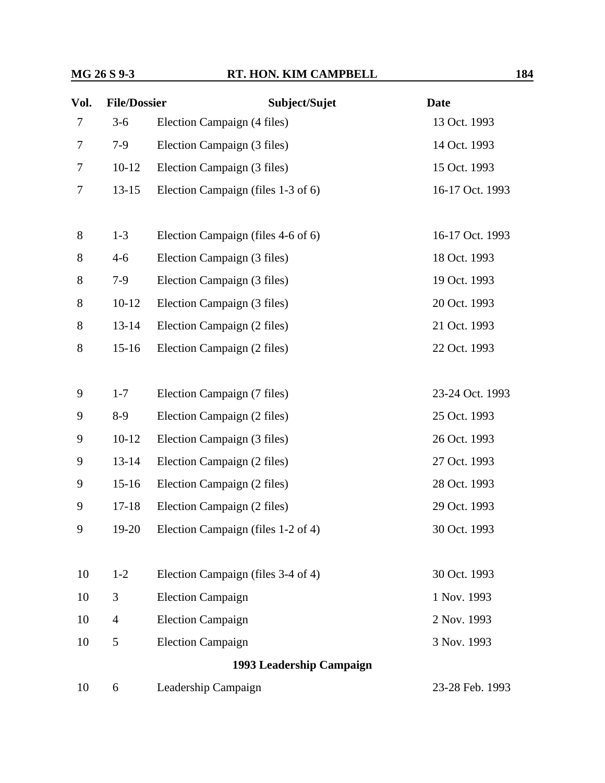| Vol. | <b>File/Dossier</b> | Subject/Sujet                      | <b>Date</b>     |
|------|---------------------|------------------------------------|-----------------|
| 7    | $3-6$               | Election Campaign (4 files)        | 13 Oct. 1993    |
| 7    | $7-9$               | Election Campaign (3 files)        | 14 Oct. 1993    |
| 7    | $10-12$             | Election Campaign (3 files)        | 15 Oct. 1993    |
| 7    | $13 - 15$           | Election Campaign (files 1-3 of 6) | 16-17 Oct. 1993 |
|      |                     |                                    |                 |
| 8    | $1 - 3$             | Election Campaign (files 4-6 of 6) | 16-17 Oct. 1993 |
| 8    | $4 - 6$             | Election Campaign (3 files)        | 18 Oct. 1993    |
| 8    | $7-9$               | Election Campaign (3 files)        | 19 Oct. 1993    |
| 8    | $10-12$             | Election Campaign (3 files)        | 20 Oct. 1993    |
| 8    | $13 - 14$           | Election Campaign (2 files)        | 21 Oct. 1993    |
| 8    | $15 - 16$           | Election Campaign (2 files)        | 22 Oct. 1993    |
|      |                     |                                    |                 |
| 9    | $1 - 7$             | Election Campaign (7 files)        | 23-24 Oct. 1993 |
| 9    | $8-9$               | Election Campaign (2 files)        | 25 Oct. 1993    |
| 9    | $10 - 12$           | Election Campaign (3 files)        | 26 Oct. 1993    |
| 9    | $13 - 14$           | Election Campaign (2 files)        | 27 Oct. 1993    |
| 9    | $15 - 16$           | Election Campaign (2 files)        | 28 Oct. 1993    |
| 9    | $17 - 18$           | Election Campaign (2 files)        | 29 Oct. 1993    |
| 9    | 19-20               | Election Campaign (files 1-2 of 4) | 30 Oct. 1993    |
|      |                     |                                    |                 |
| 10   | $1 - 2$             | Election Campaign (files 3-4 of 4) | 30 Oct. 1993    |
| 10   | 3                   | <b>Election Campaign</b>           | 1 Nov. 1993     |
| 10   | $\overline{4}$      | <b>Election Campaign</b>           | 2 Nov. 1993     |
| 10   | 5                   | <b>Election Campaign</b>           | 3 Nov. 1993     |
|      |                     | 1993 Leadership Campaign           |                 |
| 10   | 6                   | Leadership Campaign                | 23-28 Feb. 1993 |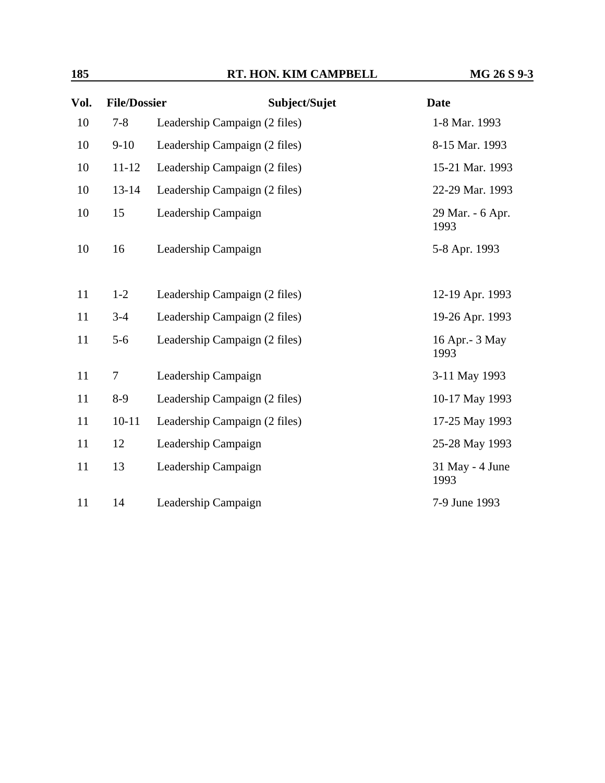| Vol. | <b>File/Dossier</b> | Subject/Sujet                 | <b>Date</b>              |
|------|---------------------|-------------------------------|--------------------------|
| 10   | $7 - 8$             | Leadership Campaign (2 files) | 1-8 Mar. 1993            |
| 10   | $9-10$              | Leadership Campaign (2 files) | 8-15 Mar. 1993           |
| 10   | $11 - 12$           | Leadership Campaign (2 files) | 15-21 Mar. 1993          |
| 10   | $13 - 14$           | Leadership Campaign (2 files) | 22-29 Mar. 1993          |
| 10   | 15                  | Leadership Campaign           | 29 Mar. - 6 Apr.<br>1993 |
| 10   | 16                  | Leadership Campaign           | 5-8 Apr. 1993            |
|      |                     |                               |                          |
| 11   | $1 - 2$             | Leadership Campaign (2 files) | 12-19 Apr. 1993          |
| 11   | $3 - 4$             | Leadership Campaign (2 files) | 19-26 Apr. 1993          |
| 11   | $5 - 6$             | Leadership Campaign (2 files) | 16 Apr. - 3 May<br>1993  |
| 11   | $\boldsymbol{7}$    | Leadership Campaign           | 3-11 May 1993            |
| 11   | $8-9$               | Leadership Campaign (2 files) | 10-17 May 1993           |
| 11   | $10 - 11$           | Leadership Campaign (2 files) | 17-25 May 1993           |
| 11   | 12                  | Leadership Campaign           | 25-28 May 1993           |
| 11   | 13                  | Leadership Campaign           | 31 May - 4 June<br>1993  |
| 11   | 14                  | Leadership Campaign           | 7-9 June 1993            |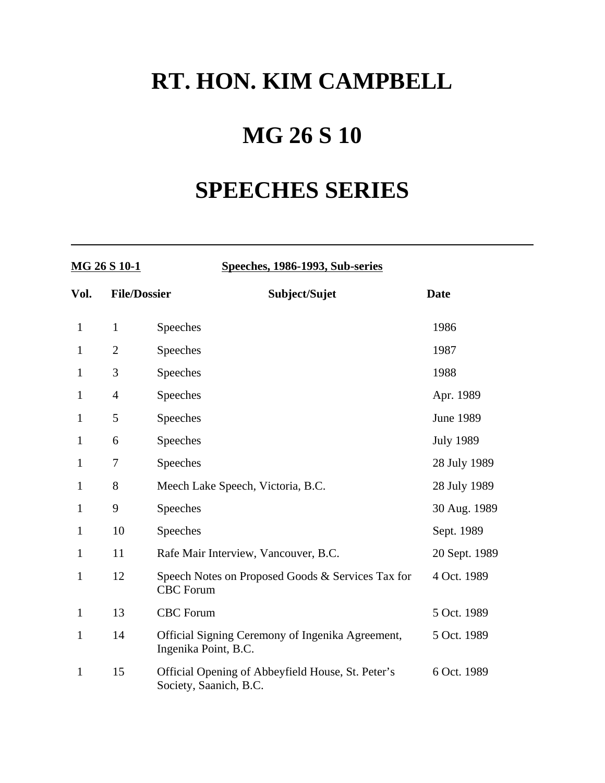# **RT. HON. KIM CAMPBELL**

# **MG 26 S 10**

# **SPEECHES SERIES**

| MG 26 S 10-1 |                     | Speeches, 1986-1993, Sub-series                                             |                  |
|--------------|---------------------|-----------------------------------------------------------------------------|------------------|
| Vol.         | <b>File/Dossier</b> | Subject/Sujet                                                               | <b>Date</b>      |
| $\mathbf{1}$ | $\mathbf{1}$        | Speeches                                                                    | 1986             |
| 1            | $\overline{2}$      | Speeches                                                                    | 1987             |
| 1            | 3                   | Speeches                                                                    | 1988             |
| $\mathbf{1}$ | $\overline{4}$      | Speeches                                                                    | Apr. 1989        |
| $\mathbf{1}$ | 5                   | Speeches                                                                    | <b>June 1989</b> |
| 1            | 6                   | Speeches                                                                    | <b>July 1989</b> |
| 1            | 7                   | Speeches                                                                    | 28 July 1989     |
| 1            | 8                   | Meech Lake Speech, Victoria, B.C.                                           | 28 July 1989     |
| 1            | 9                   | Speeches                                                                    | 30 Aug. 1989     |
| 1            | 10                  | Speeches                                                                    | Sept. 1989       |
| 1            | 11                  | Rafe Mair Interview, Vancouver, B.C.                                        | 20 Sept. 1989    |
| 1            | 12                  | Speech Notes on Proposed Goods & Services Tax for<br><b>CBC</b> Forum       | 4 Oct. 1989      |
| $\mathbf{1}$ | 13                  | <b>CBC</b> Forum                                                            | 5 Oct. 1989      |
| 1            | 14                  | Official Signing Ceremony of Ingenika Agreement,<br>Ingenika Point, B.C.    | 5 Oct. 1989      |
| 1            | 15                  | Official Opening of Abbeyfield House, St. Peter's<br>Society, Saanich, B.C. | 6 Oct. 1989      |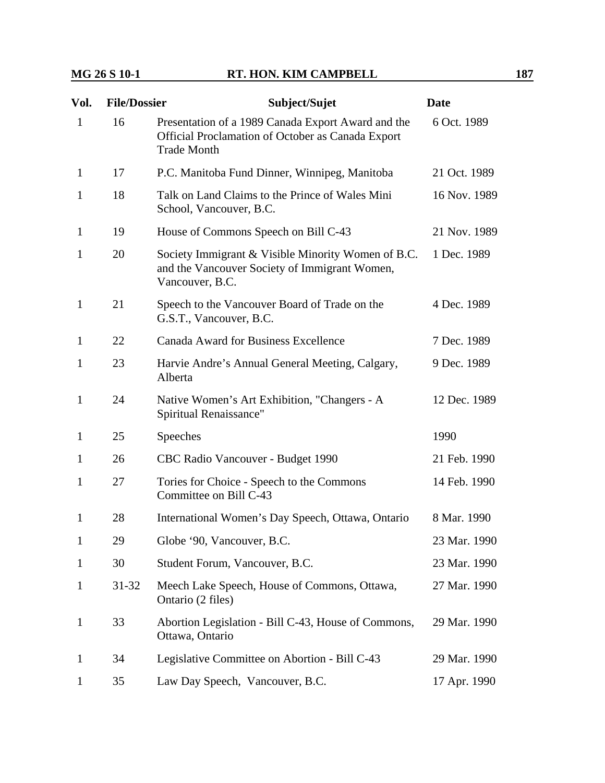| Vol.         | <b>File/Dossier</b> | Subject/Sujet                                                                                                                 | <b>Date</b>  |
|--------------|---------------------|-------------------------------------------------------------------------------------------------------------------------------|--------------|
| $\mathbf{1}$ | 16                  | Presentation of a 1989 Canada Export Award and the<br>Official Proclamation of October as Canada Export<br><b>Trade Month</b> | 6 Oct. 1989  |
| 1            | 17                  | P.C. Manitoba Fund Dinner, Winnipeg, Manitoba                                                                                 | 21 Oct. 1989 |
| 1            | 18                  | Talk on Land Claims to the Prince of Wales Mini<br>School, Vancouver, B.C.                                                    | 16 Nov. 1989 |
| $\mathbf{1}$ | 19                  | House of Commons Speech on Bill C-43                                                                                          | 21 Nov. 1989 |
| 1            | 20                  | Society Immigrant & Visible Minority Women of B.C.<br>and the Vancouver Society of Immigrant Women,<br>Vancouver, B.C.        | 1 Dec. 1989  |
| $\mathbf{1}$ | 21                  | Speech to the Vancouver Board of Trade on the<br>G.S.T., Vancouver, B.C.                                                      | 4 Dec. 1989  |
| $\mathbf{1}$ | 22                  | <b>Canada Award for Business Excellence</b>                                                                                   | 7 Dec. 1989  |
| 1            | 23                  | Harvie Andre's Annual General Meeting, Calgary,<br>Alberta                                                                    | 9 Dec. 1989  |
| $\mathbf{1}$ | 24                  | Native Women's Art Exhibition, "Changers - A<br>Spiritual Renaissance"                                                        | 12 Dec. 1989 |
| $\mathbf{1}$ | 25                  | Speeches                                                                                                                      | 1990         |
| $\mathbf{1}$ | 26                  | CBC Radio Vancouver - Budget 1990                                                                                             | 21 Feb. 1990 |
| 1            | 27                  | Tories for Choice - Speech to the Commons<br>Committee on Bill C-43                                                           | 14 Feb. 1990 |
| $\mathbf{1}$ | 28                  | International Women's Day Speech, Ottawa, Ontario                                                                             | 8 Mar. 1990  |
| 1            | 29                  | Globe '90, Vancouver, B.C.                                                                                                    | 23 Mar. 1990 |
| $\mathbf{1}$ | 30                  | Student Forum, Vancouver, B.C.                                                                                                | 23 Mar. 1990 |
| $\mathbf{1}$ | $31 - 32$           | Meech Lake Speech, House of Commons, Ottawa,<br>Ontario (2 files)                                                             | 27 Mar. 1990 |
| $\mathbf{1}$ | 33                  | Abortion Legislation - Bill C-43, House of Commons,<br>Ottawa, Ontario                                                        | 29 Mar. 1990 |
| $\mathbf{1}$ | 34                  | Legislative Committee on Abortion - Bill C-43                                                                                 | 29 Mar. 1990 |
| $\mathbf{1}$ | 35                  | Law Day Speech, Vancouver, B.C.                                                                                               | 17 Apr. 1990 |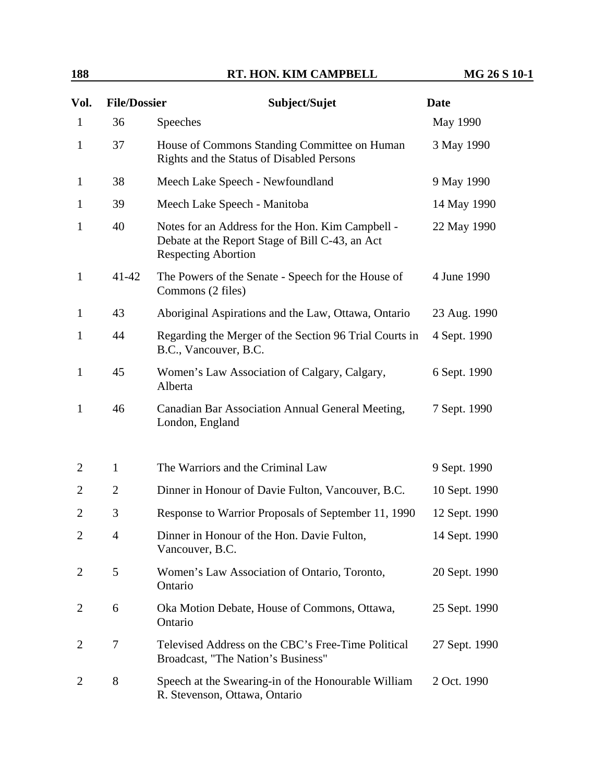| Vol.           | <b>File/Dossier</b> | Subject/Sujet                                                                                                                     | <b>Date</b>   |
|----------------|---------------------|-----------------------------------------------------------------------------------------------------------------------------------|---------------|
| $\mathbf{1}$   | 36                  | Speeches                                                                                                                          | May 1990      |
| $\mathbf{1}$   | 37                  | House of Commons Standing Committee on Human<br>Rights and the Status of Disabled Persons                                         | 3 May 1990    |
| $\mathbf{1}$   | 38                  | Meech Lake Speech - Newfoundland                                                                                                  | 9 May 1990    |
| $\mathbf{1}$   | 39                  | Meech Lake Speech - Manitoba                                                                                                      | 14 May 1990   |
| $\mathbf{1}$   | 40                  | Notes for an Address for the Hon. Kim Campbell -<br>Debate at the Report Stage of Bill C-43, an Act<br><b>Respecting Abortion</b> | 22 May 1990   |
| $\mathbf{1}$   | 41-42               | The Powers of the Senate - Speech for the House of<br>Commons (2 files)                                                           | 4 June 1990   |
| $\mathbf{1}$   | 43                  | Aboriginal Aspirations and the Law, Ottawa, Ontario                                                                               | 23 Aug. 1990  |
| $\mathbf{1}$   | 44                  | Regarding the Merger of the Section 96 Trial Courts in<br>B.C., Vancouver, B.C.                                                   | 4 Sept. 1990  |
| $\mathbf{1}$   | 45                  | Women's Law Association of Calgary, Calgary,<br>Alberta                                                                           | 6 Sept. 1990  |
| $\mathbf{1}$   | 46                  | Canadian Bar Association Annual General Meeting,<br>London, England                                                               | 7 Sept. 1990  |
| 2              | $\mathbf{1}$        | The Warriors and the Criminal Law                                                                                                 | 9 Sept. 1990  |
| $\overline{2}$ | $\overline{2}$      | Dinner in Honour of Davie Fulton, Vancouver, B.C.                                                                                 | 10 Sept. 1990 |
| $\overline{2}$ | 3                   | Response to Warrior Proposals of September 11, 1990                                                                               | 12 Sept. 1990 |
| $\overline{2}$ | 4                   | Dinner in Honour of the Hon. Davie Fulton,<br>Vancouver, B.C.                                                                     | 14 Sept. 1990 |
| 2              | 5                   | Women's Law Association of Ontario, Toronto,<br>Ontario                                                                           | 20 Sept. 1990 |
| $\overline{2}$ | 6                   | Oka Motion Debate, House of Commons, Ottawa,<br>Ontario                                                                           | 25 Sept. 1990 |
| $\overline{2}$ | 7                   | Televised Address on the CBC's Free-Time Political<br>Broadcast, "The Nation's Business"                                          | 27 Sept. 1990 |
| 2              | 8                   | Speech at the Swearing-in of the Honourable William<br>R. Stevenson, Ottawa, Ontario                                              | 2 Oct. 1990   |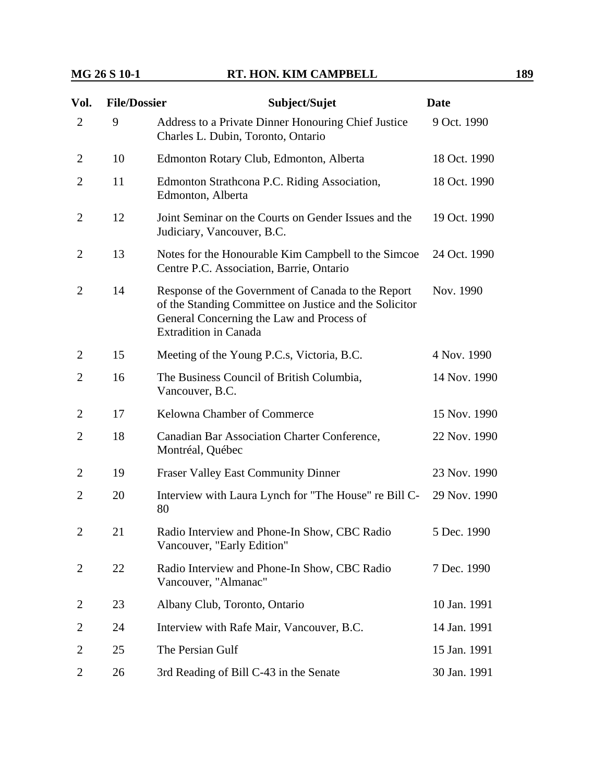| Vol.           | <b>File/Dossier</b> | Subject/Sujet                                                                                                                                                                             | <b>Date</b>  |
|----------------|---------------------|-------------------------------------------------------------------------------------------------------------------------------------------------------------------------------------------|--------------|
| $\overline{2}$ | 9                   | Address to a Private Dinner Honouring Chief Justice<br>Charles L. Dubin, Toronto, Ontario                                                                                                 | 9 Oct. 1990  |
| $\overline{2}$ | 10                  | Edmonton Rotary Club, Edmonton, Alberta                                                                                                                                                   | 18 Oct. 1990 |
| $\overline{2}$ | 11                  | Edmonton Strathcona P.C. Riding Association,<br>Edmonton, Alberta                                                                                                                         | 18 Oct. 1990 |
| $\overline{2}$ | 12                  | Joint Seminar on the Courts on Gender Issues and the<br>Judiciary, Vancouver, B.C.                                                                                                        | 19 Oct. 1990 |
| $\overline{2}$ | 13                  | Notes for the Honourable Kim Campbell to the Simcoe<br>Centre P.C. Association, Barrie, Ontario                                                                                           | 24 Oct. 1990 |
| 2              | 14                  | Response of the Government of Canada to the Report<br>of the Standing Committee on Justice and the Solicitor<br>General Concerning the Law and Process of<br><b>Extradition in Canada</b> | Nov. 1990    |
| 2              | 15                  | Meeting of the Young P.C.s, Victoria, B.C.                                                                                                                                                | 4 Nov. 1990  |
| $\overline{2}$ | 16                  | The Business Council of British Columbia,<br>Vancouver, B.C.                                                                                                                              | 14 Nov. 1990 |
| $\overline{2}$ | 17                  | Kelowna Chamber of Commerce                                                                                                                                                               | 15 Nov. 1990 |
| $\overline{2}$ | 18                  | Canadian Bar Association Charter Conference,<br>Montréal, Québec                                                                                                                          | 22 Nov. 1990 |
| $\overline{2}$ | 19                  | <b>Fraser Valley East Community Dinner</b>                                                                                                                                                | 23 Nov. 1990 |
| 2              | 20                  | Interview with Laura Lynch for "The House" re Bill C-<br>80                                                                                                                               | 29 Nov. 1990 |
| $\overline{2}$ | 21                  | Radio Interview and Phone-In Show, CBC Radio<br>Vancouver, "Early Edition"                                                                                                                | 5 Dec. 1990  |
| 2              | 22                  | Radio Interview and Phone-In Show, CBC Radio<br>Vancouver, "Almanac"                                                                                                                      | 7 Dec. 1990  |
| 2              | 23                  | Albany Club, Toronto, Ontario                                                                                                                                                             | 10 Jan. 1991 |
| 2              | 24                  | Interview with Rafe Mair, Vancouver, B.C.                                                                                                                                                 | 14 Jan. 1991 |
| 2              | 25                  | The Persian Gulf                                                                                                                                                                          | 15 Jan. 1991 |
| 2              | 26                  | 3rd Reading of Bill C-43 in the Senate                                                                                                                                                    | 30 Jan. 1991 |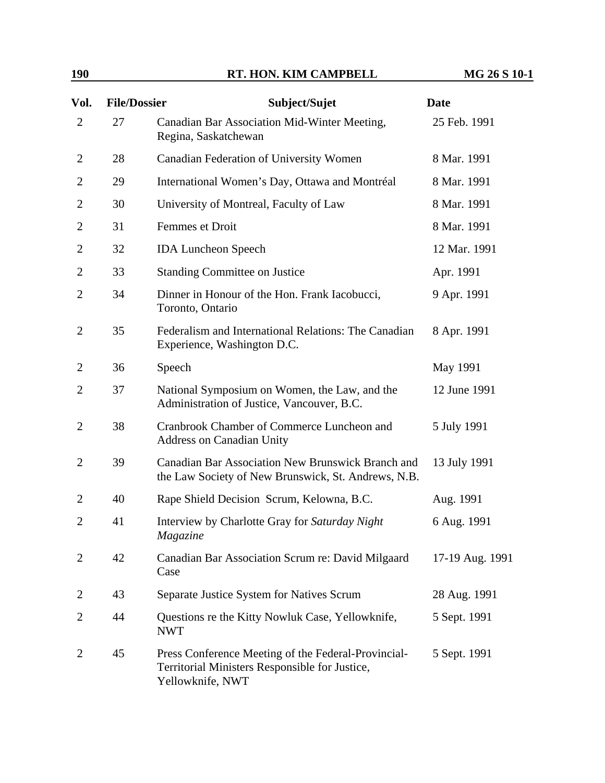| <b>190</b> | RT. HON. KIM CAMPBELL | MG 26 S 10-1 |
|------------|-----------------------|--------------|
|            |                       |              |

| Vol.           | <b>File/Dossier</b> | Subject/Sujet                                                                                                             | <b>Date</b>     |
|----------------|---------------------|---------------------------------------------------------------------------------------------------------------------------|-----------------|
| $\overline{2}$ | 27                  | Canadian Bar Association Mid-Winter Meeting,<br>Regina, Saskatchewan                                                      | 25 Feb. 1991    |
| $\overline{2}$ | 28                  | Canadian Federation of University Women                                                                                   | 8 Mar. 1991     |
| 2              | 29                  | International Women's Day, Ottawa and Montréal                                                                            | 8 Mar. 1991     |
| $\overline{2}$ | 30                  | University of Montreal, Faculty of Law                                                                                    | 8 Mar. 1991     |
| $\overline{2}$ | 31                  | Femmes et Droit                                                                                                           | 8 Mar. 1991     |
| $\overline{2}$ | 32                  | <b>IDA Luncheon Speech</b>                                                                                                | 12 Mar. 1991    |
| $\overline{2}$ | 33                  | <b>Standing Committee on Justice</b>                                                                                      | Apr. 1991       |
| $\overline{2}$ | 34                  | Dinner in Honour of the Hon. Frank Iacobucci,<br>Toronto, Ontario                                                         | 9 Apr. 1991     |
| $\overline{2}$ | 35                  | Federalism and International Relations: The Canadian<br>Experience, Washington D.C.                                       | 8 Apr. 1991     |
| $\overline{2}$ | 36                  | Speech                                                                                                                    | May 1991        |
| $\overline{2}$ | 37                  | National Symposium on Women, the Law, and the<br>Administration of Justice, Vancouver, B.C.                               | 12 June 1991    |
| 2              | 38                  | Cranbrook Chamber of Commerce Luncheon and<br><b>Address on Canadian Unity</b>                                            | 5 July 1991     |
| $\overline{2}$ | 39                  | Canadian Bar Association New Brunswick Branch and<br>the Law Society of New Brunswick, St. Andrews, N.B.                  | 13 July 1991    |
| $\overline{2}$ | 40                  | Rape Shield Decision Scrum, Kelowna, B.C.                                                                                 | Aug. 1991       |
| $\overline{2}$ | 41                  | Interview by Charlotte Gray for Saturday Night<br>Magazine                                                                | 6 Aug. 1991     |
| 2              | 42                  | Canadian Bar Association Scrum re: David Milgaard<br>Case                                                                 | 17-19 Aug. 1991 |
| 2              | 43                  | Separate Justice System for Natives Scrum                                                                                 | 28 Aug. 1991    |
| 2              | 44                  | Questions re the Kitty Nowluk Case, Yellowknife,<br><b>NWT</b>                                                            | 5 Sept. 1991    |
| $\overline{2}$ | 45                  | Press Conference Meeting of the Federal-Provincial-<br>Territorial Ministers Responsible for Justice,<br>Yellowknife, NWT | 5 Sept. 1991    |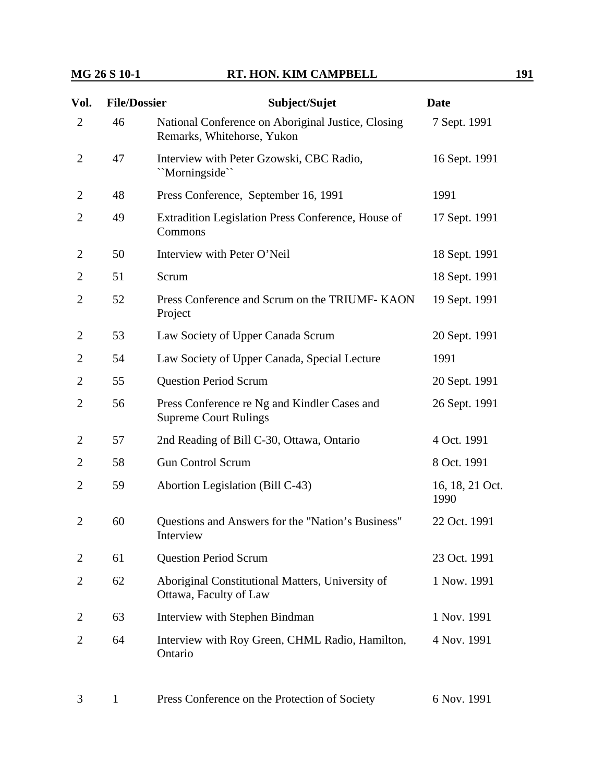| Vol.           | <b>File/Dossier</b> | Subject/Sujet                                                                    | <b>Date</b>             |
|----------------|---------------------|----------------------------------------------------------------------------------|-------------------------|
| $\overline{2}$ | 46                  | National Conference on Aboriginal Justice, Closing<br>Remarks, Whitehorse, Yukon | 7 Sept. 1991            |
| $\overline{2}$ | 47                  | Interview with Peter Gzowski, CBC Radio,<br>"Morningside"                        | 16 Sept. 1991           |
| 2              | 48                  | Press Conference, September 16, 1991                                             | 1991                    |
| $\overline{2}$ | 49                  | Extradition Legislation Press Conference, House of<br>Commons                    | 17 Sept. 1991           |
| 2              | 50                  | Interview with Peter O'Neil                                                      | 18 Sept. 1991           |
| $\overline{2}$ | 51                  | Scrum                                                                            | 18 Sept. 1991           |
| $\overline{2}$ | 52                  | Press Conference and Scrum on the TRIUMF-KAON<br>Project                         | 19 Sept. 1991           |
| 2              | 53                  | Law Society of Upper Canada Scrum                                                | 20 Sept. 1991           |
| $\overline{2}$ | 54                  | Law Society of Upper Canada, Special Lecture                                     | 1991                    |
| $\overline{2}$ | 55                  | <b>Question Period Scrum</b>                                                     | 20 Sept. 1991           |
| $\overline{2}$ | 56                  | Press Conference re Ng and Kindler Cases and<br><b>Supreme Court Rulings</b>     | 26 Sept. 1991           |
| 2              | 57                  | 2nd Reading of Bill C-30, Ottawa, Ontario                                        | 4 Oct. 1991             |
| 2              | 58                  | <b>Gun Control Scrum</b>                                                         | 8 Oct. 1991             |
| $\overline{2}$ | 59                  | Abortion Legislation (Bill C-43)                                                 | 16, 18, 21 Oct.<br>1990 |
| 2              | 60                  | Questions and Answers for the "Nation's Business"<br>Interview                   | 22 Oct. 1991            |
| 2              | 61                  | <b>Question Period Scrum</b>                                                     | 23 Oct. 1991            |
| 2              | 62                  | Aboriginal Constitutional Matters, University of<br>Ottawa, Faculty of Law       | 1 Now. 1991             |
| 2              | 63                  | Interview with Stephen Bindman                                                   | 1 Nov. 1991             |
| 2              | 64                  | Interview with Roy Green, CHML Radio, Hamilton,<br>Ontario                       | 4 Nov. 1991             |
|                |                     |                                                                                  |                         |

3 1 Press Conference on the Protection of Society 6 Nov. 1991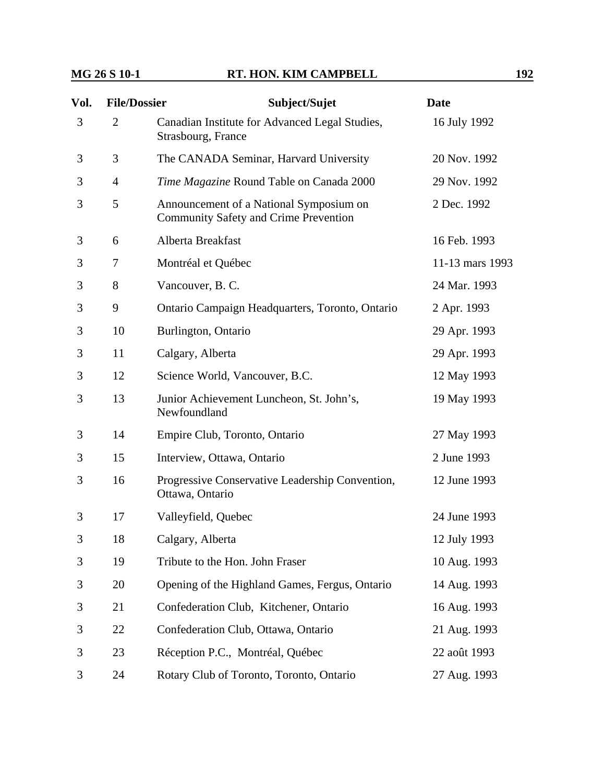| Vol. | <b>File/Dossier</b> | Subject/Sujet                                                                           | <b>Date</b>     |
|------|---------------------|-----------------------------------------------------------------------------------------|-----------------|
| 3    | $\overline{2}$      | Canadian Institute for Advanced Legal Studies,<br>Strasbourg, France                    | 16 July 1992    |
| 3    | 3                   | The CANADA Seminar, Harvard University                                                  | 20 Nov. 1992    |
| 3    | $\overline{4}$      | Time Magazine Round Table on Canada 2000                                                | 29 Nov. 1992    |
| 3    | 5                   | Announcement of a National Symposium on<br><b>Community Safety and Crime Prevention</b> | 2 Dec. 1992     |
| 3    | 6                   | Alberta Breakfast                                                                       | 16 Feb. 1993    |
| 3    | 7                   | Montréal et Québec                                                                      | 11-13 mars 1993 |
| 3    | 8                   | Vancouver, B. C.                                                                        | 24 Mar. 1993    |
| 3    | 9                   | Ontario Campaign Headquarters, Toronto, Ontario                                         | 2 Apr. 1993     |
| 3    | 10                  | Burlington, Ontario                                                                     | 29 Apr. 1993    |
| 3    | 11                  | Calgary, Alberta                                                                        | 29 Apr. 1993    |
| 3    | 12                  | Science World, Vancouver, B.C.                                                          | 12 May 1993     |
| 3    | 13                  | Junior Achievement Luncheon, St. John's,<br>Newfoundland                                | 19 May 1993     |
| 3    | 14                  | Empire Club, Toronto, Ontario                                                           | 27 May 1993     |
| 3    | 15                  | Interview, Ottawa, Ontario                                                              | 2 June 1993     |
| 3    | 16                  | Progressive Conservative Leadership Convention,<br>Ottawa, Ontario                      | 12 June 1993    |
| 3    | 17                  | Valleyfield, Quebec                                                                     | 24 June 1993    |
| 3    | 18                  | Calgary, Alberta                                                                        | 12 July 1993    |
| 3    | 19                  | Tribute to the Hon. John Fraser                                                         | 10 Aug. 1993    |
| 3    | 20                  | Opening of the Highland Games, Fergus, Ontario                                          | 14 Aug. 1993    |
| 3    | 21                  | Confederation Club, Kitchener, Ontario                                                  | 16 Aug. 1993    |
| 3    | 22                  | Confederation Club, Ottawa, Ontario                                                     | 21 Aug. 1993    |
| 3    | 23                  | Réception P.C., Montréal, Québec                                                        | 22 août 1993    |
| 3    | 24                  | Rotary Club of Toronto, Toronto, Ontario                                                | 27 Aug. 1993    |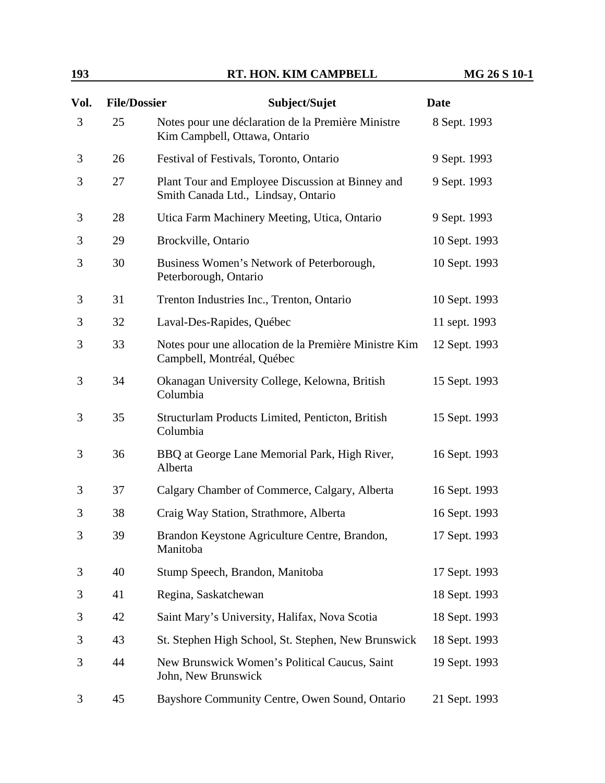| <b>193</b> | RT. HON. KIM CAMPBELL | MG 26 S 10-1 |
|------------|-----------------------|--------------|
|            |                       |              |

| Vol. | <b>File/Dossier</b> | Subject/Sujet                                                                           | <b>Date</b>   |
|------|---------------------|-----------------------------------------------------------------------------------------|---------------|
| 3    | 25                  | Notes pour une déclaration de la Première Ministre<br>Kim Campbell, Ottawa, Ontario     | 8 Sept. 1993  |
| 3    | 26                  | Festival of Festivals, Toronto, Ontario                                                 | 9 Sept. 1993  |
| 3    | 27                  | Plant Tour and Employee Discussion at Binney and<br>Smith Canada Ltd., Lindsay, Ontario | 9 Sept. 1993  |
| 3    | 28                  | Utica Farm Machinery Meeting, Utica, Ontario                                            | 9 Sept. 1993  |
| 3    | 29                  | Brockville, Ontario                                                                     | 10 Sept. 1993 |
| 3    | 30                  | Business Women's Network of Peterborough,<br>Peterborough, Ontario                      | 10 Sept. 1993 |
| 3    | 31                  | Trenton Industries Inc., Trenton, Ontario                                               | 10 Sept. 1993 |
| 3    | 32                  | Laval-Des-Rapides, Québec                                                               | 11 sept. 1993 |
| 3    | 33                  | Notes pour une allocation de la Première Ministre Kim<br>Campbell, Montréal, Québec     | 12 Sept. 1993 |
| 3    | 34                  | Okanagan University College, Kelowna, British<br>Columbia                               | 15 Sept. 1993 |
| 3    | 35                  | Structurlam Products Limited, Penticton, British<br>Columbia                            | 15 Sept. 1993 |
| 3    | 36                  | BBQ at George Lane Memorial Park, High River,<br>Alberta                                | 16 Sept. 1993 |
| 3    | 37                  | Calgary Chamber of Commerce, Calgary, Alberta                                           | 16 Sept. 1993 |
| 3    | 38                  | Craig Way Station, Strathmore, Alberta                                                  | 16 Sept. 1993 |
| 3    | 39                  | Brandon Keystone Agriculture Centre, Brandon,<br>Manitoba                               | 17 Sept. 1993 |
| 3    | 40                  | Stump Speech, Brandon, Manitoba                                                         | 17 Sept. 1993 |
| 3    | 41                  | Regina, Saskatchewan                                                                    | 18 Sept. 1993 |
| 3    | 42                  | Saint Mary's University, Halifax, Nova Scotia                                           | 18 Sept. 1993 |
| 3    | 43                  | St. Stephen High School, St. Stephen, New Brunswick                                     | 18 Sept. 1993 |
| 3    | 44                  | New Brunswick Women's Political Caucus, Saint<br>John, New Brunswick                    | 19 Sept. 1993 |
| 3    | 45                  | Bayshore Community Centre, Owen Sound, Ontario                                          | 21 Sept. 1993 |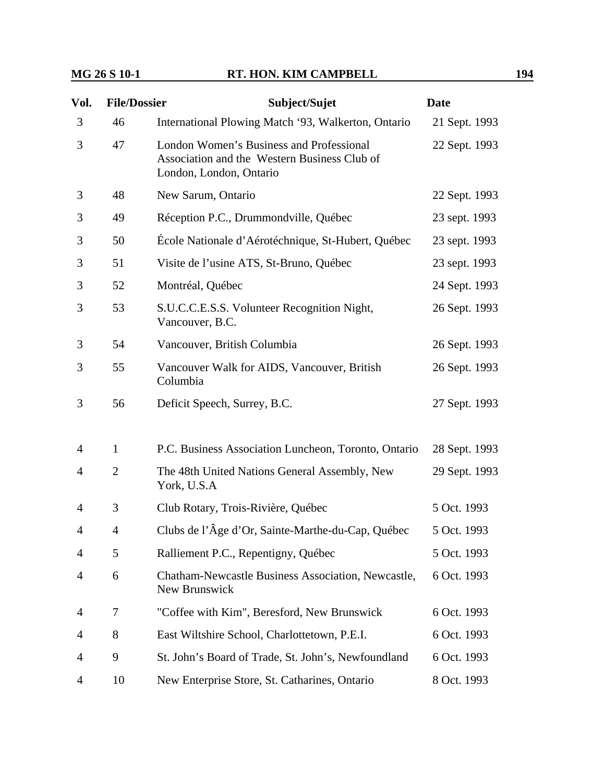| Vol.           | <b>File/Dossier</b> | Subject/Sujet                                                                                                       | <b>Date</b>   |
|----------------|---------------------|---------------------------------------------------------------------------------------------------------------------|---------------|
| 3              | 46                  | International Plowing Match '93, Walkerton, Ontario                                                                 | 21 Sept. 1993 |
| 3              | 47                  | London Women's Business and Professional<br>Association and the Western Business Club of<br>London, London, Ontario | 22 Sept. 1993 |
| 3              | 48                  | New Sarum, Ontario                                                                                                  | 22 Sept. 1993 |
| 3              | 49                  | Réception P.C., Drummondville, Québec                                                                               | 23 sept. 1993 |
| 3              | 50                  | École Nationale d'Aérotéchnique, St-Hubert, Québec                                                                  | 23 sept. 1993 |
| 3              | 51                  | Visite de l'usine ATS, St-Bruno, Québec                                                                             | 23 sept. 1993 |
| 3              | 52                  | Montréal, Québec                                                                                                    | 24 Sept. 1993 |
| 3              | 53                  | S.U.C.C.E.S.S. Volunteer Recognition Night,<br>Vancouver, B.C.                                                      | 26 Sept. 1993 |
| 3              | 54                  | Vancouver, British Columbia                                                                                         | 26 Sept. 1993 |
| 3              | 55                  | Vancouver Walk for AIDS, Vancouver, British<br>Columbia                                                             | 26 Sept. 1993 |
| 3              | 56                  | Deficit Speech, Surrey, B.C.                                                                                        | 27 Sept. 1993 |
| 4              | $\mathbf{1}$        | P.C. Business Association Luncheon, Toronto, Ontario                                                                | 28 Sept. 1993 |
| 4              | $\overline{2}$      | The 48th United Nations General Assembly, New<br>York, U.S.A                                                        | 29 Sept. 1993 |
| $\overline{4}$ | 3                   | Club Rotary, Trois-Rivière, Québec                                                                                  | 5 Oct. 1993   |
| 4              | 4                   | Clubs de l'Âge d'Or, Sainte-Marthe-du-Cap, Québec                                                                   | 5 Oct. 1993   |
| 4              | 5                   | Ralliement P.C., Repentigny, Québec                                                                                 | 5 Oct. 1993   |
| 4              | 6                   | Chatham-Newcastle Business Association, Newcastle,<br>New Brunswick                                                 | 6 Oct. 1993   |
| 4              | 7                   | "Coffee with Kim", Beresford, New Brunswick                                                                         | 6 Oct. 1993   |
| 4              | 8                   | East Wiltshire School, Charlottetown, P.E.I.                                                                        | 6 Oct. 1993   |
| 4              | 9                   | St. John's Board of Trade, St. John's, Newfoundland                                                                 | 6 Oct. 1993   |
| 4              | 10                  | New Enterprise Store, St. Catharines, Ontario                                                                       | 8 Oct. 1993   |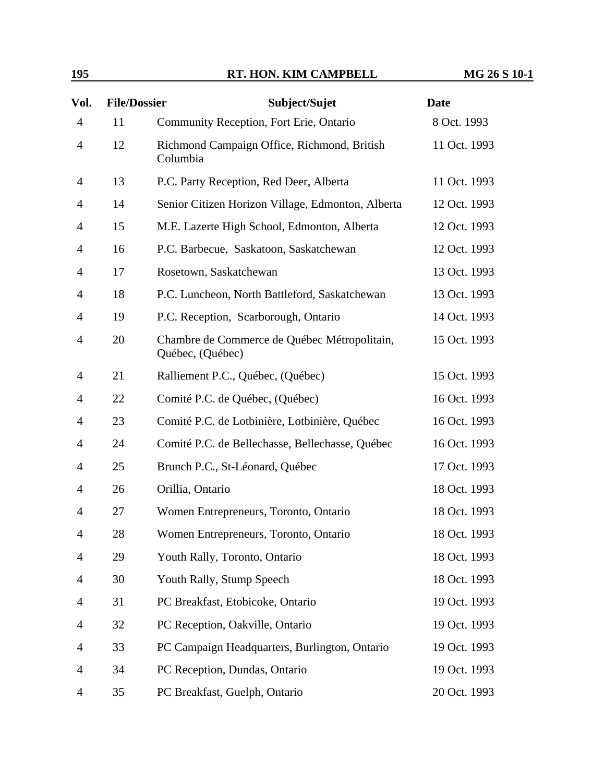| Vol.           | <b>File/Dossier</b> | Subject/Sujet                                                    | <b>Date</b>  |
|----------------|---------------------|------------------------------------------------------------------|--------------|
| $\overline{4}$ | 11                  | Community Reception, Fort Erie, Ontario                          | 8 Oct. 1993  |
| $\overline{4}$ | 12                  | Richmond Campaign Office, Richmond, British<br>Columbia          | 11 Oct. 1993 |
| 4              | 13                  | P.C. Party Reception, Red Deer, Alberta                          | 11 Oct. 1993 |
| 4              | 14                  | Senior Citizen Horizon Village, Edmonton, Alberta                | 12 Oct. 1993 |
| 4              | 15                  | M.E. Lazerte High School, Edmonton, Alberta                      | 12 Oct. 1993 |
| 4              | 16                  | P.C. Barbecue, Saskatoon, Saskatchewan                           | 12 Oct. 1993 |
| 4              | 17                  | Rosetown, Saskatchewan                                           | 13 Oct. 1993 |
| 4              | 18                  | P.C. Luncheon, North Battleford, Saskatchewan                    | 13 Oct. 1993 |
| 4              | 19                  | P.C. Reception, Scarborough, Ontario                             | 14 Oct. 1993 |
| 4              | 20                  | Chambre de Commerce de Québec Métropolitain,<br>Québec, (Québec) | 15 Oct. 1993 |
| 4              | 21                  | Ralliement P.C., Québec, (Québec)                                | 15 Oct. 1993 |
| 4              | 22                  | Comité P.C. de Québec, (Québec)                                  | 16 Oct. 1993 |
| 4              | 23                  | Comité P.C. de Lotbinière, Lotbinière, Québec                    | 16 Oct. 1993 |
| 4              | 24                  | Comité P.C. de Bellechasse, Bellechasse, Québec                  | 16 Oct. 1993 |
| 4              | 25                  | Brunch P.C., St-Léonard, Québec                                  | 17 Oct. 1993 |
| 4              | 26                  | Orillia, Ontario                                                 | 18 Oct. 1993 |
| 4              | 27                  | Women Entrepreneurs, Toronto, Ontario                            | 18 Oct. 1993 |
| 4              | 28                  | Women Entrepreneurs, Toronto, Ontario                            | 18 Oct. 1993 |
| 4              | 29                  | Youth Rally, Toronto, Ontario                                    | 18 Oct. 1993 |
| 4              | 30                  | Youth Rally, Stump Speech                                        | 18 Oct. 1993 |
| 4              | 31                  | PC Breakfast, Etobicoke, Ontario                                 | 19 Oct. 1993 |
| 4              | 32                  | PC Reception, Oakville, Ontario                                  | 19 Oct. 1993 |
| 4              | 33                  | PC Campaign Headquarters, Burlington, Ontario                    | 19 Oct. 1993 |
| 4              | 34                  | PC Reception, Dundas, Ontario                                    | 19 Oct. 1993 |
| 4              | 35                  | PC Breakfast, Guelph, Ontario                                    | 20 Oct. 1993 |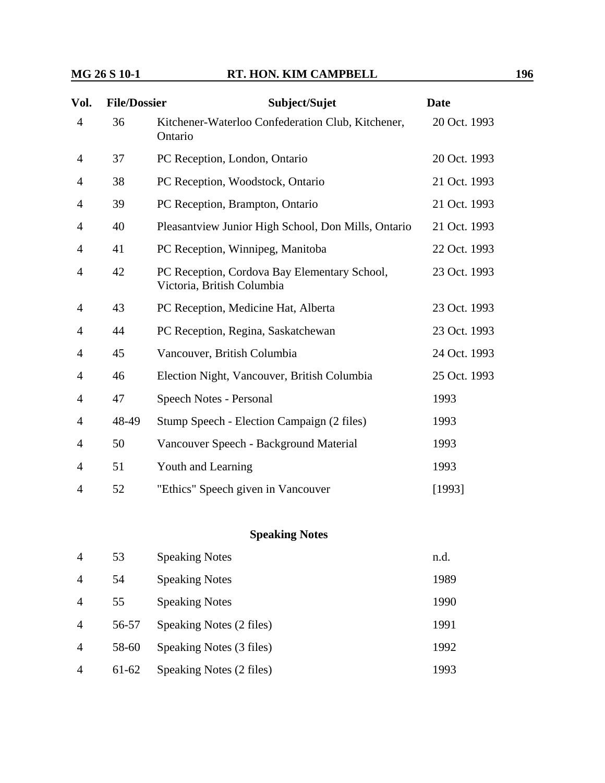| Vol.           | <b>File/Dossier</b> | Subject/Sujet                                                              | <b>Date</b>  |
|----------------|---------------------|----------------------------------------------------------------------------|--------------|
| $\overline{4}$ | 36                  | Kitchener-Waterloo Confederation Club, Kitchener,<br>Ontario               | 20 Oct. 1993 |
| 4              | 37                  | PC Reception, London, Ontario                                              | 20 Oct. 1993 |
| 4              | 38                  | PC Reception, Woodstock, Ontario                                           | 21 Oct. 1993 |
| 4              | 39                  | PC Reception, Brampton, Ontario                                            | 21 Oct. 1993 |
| $\overline{4}$ | 40                  | Pleasantview Junior High School, Don Mills, Ontario                        | 21 Oct. 1993 |
| 4              | 41                  | PC Reception, Winnipeg, Manitoba                                           | 22 Oct. 1993 |
| 4              | 42                  | PC Reception, Cordova Bay Elementary School,<br>Victoria, British Columbia | 23 Oct. 1993 |
| 4              | 43                  | PC Reception, Medicine Hat, Alberta                                        | 23 Oct. 1993 |
| $\overline{4}$ | 44                  | PC Reception, Regina, Saskatchewan                                         | 23 Oct. 1993 |
| 4              | 45                  | Vancouver, British Columbia                                                | 24 Oct. 1993 |
| 4              | 46                  | Election Night, Vancouver, British Columbia                                | 25 Oct. 1993 |
| 4              | 47                  | Speech Notes - Personal                                                    | 1993         |
| 4              | 48-49               | Stump Speech - Election Campaign (2 files)                                 | 1993         |
| 4              | 50                  | Vancouver Speech - Background Material                                     | 1993         |
| 4              | 51                  | Youth and Learning                                                         | 1993         |
| $\overline{4}$ | 52                  | "Ethics" Speech given in Vancouver                                         | [1993]       |

### **Speaking Notes**

| $\overline{4}$         | 53    | <b>Speaking Notes</b>    | n.d. |
|------------------------|-------|--------------------------|------|
| $\boldsymbol{\Lambda}$ | 54    | <b>Speaking Notes</b>    | 1989 |
| $\overline{A}$         | 55    | <b>Speaking Notes</b>    | 1990 |
| $\overline{A}$         | 56-57 | Speaking Notes (2 files) | 1991 |
| $\overline{A}$         | 58-60 | Speaking Notes (3 files) | 1992 |
| $\overline{A}$         | 61-62 | Speaking Notes (2 files) | 1993 |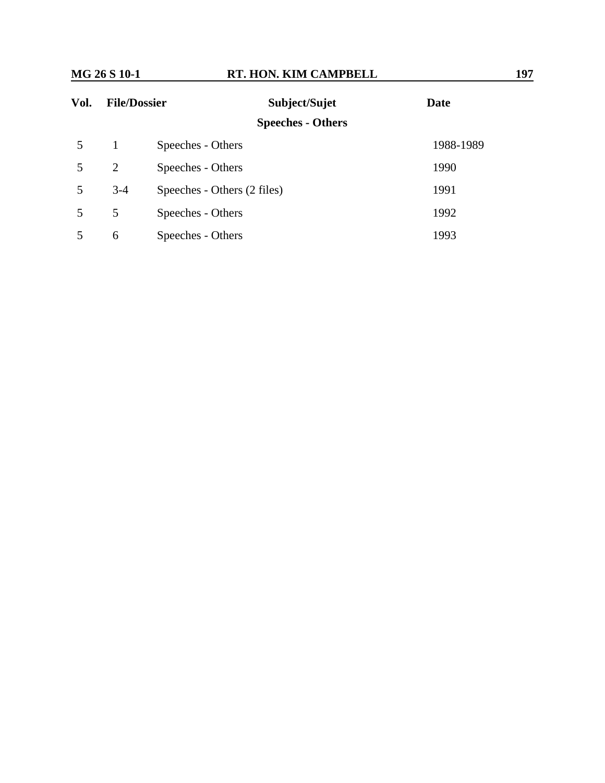| Vol. | <b>File/Dossier</b> | Subject/Sujet               | <b>Date</b> |
|------|---------------------|-----------------------------|-------------|
|      |                     | <b>Speeches - Others</b>    |             |
| 5    | -1                  | Speeches - Others           | 1988-1989   |
| 5    | 2                   | Speeches - Others           | 1990        |
| 5    | $3-4$               | Speeches - Others (2 files) | 1991        |
| 5    | 5                   | Speeches - Others           | 1992        |
|      | 6                   | Speeches - Others           | 1993        |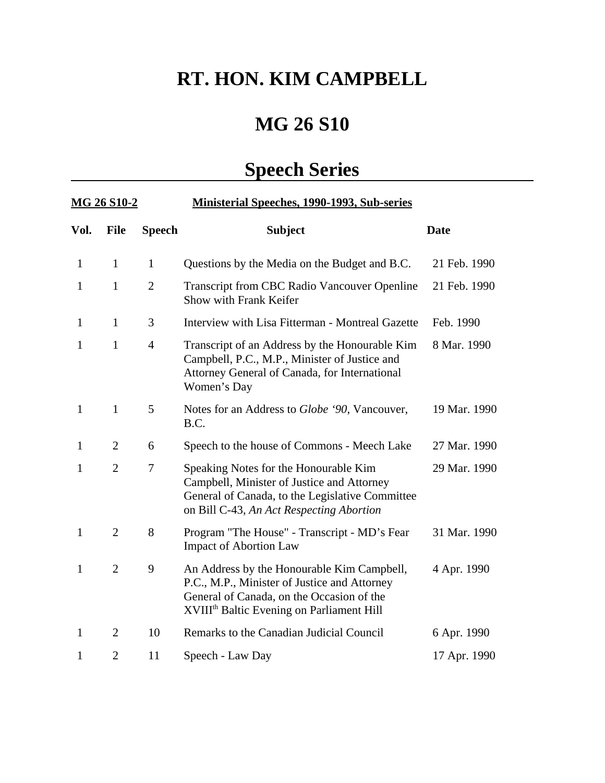# **RT. HON. KIM CAMPBELL**

# **MG 26 S10**

# **Speech Series**

| <u>MG 26 S10-2</u> |                |                | <b>Ministerial Speeches, 1990-1993, Sub-series</b>                                                                                                                                               |              |  |  |
|--------------------|----------------|----------------|--------------------------------------------------------------------------------------------------------------------------------------------------------------------------------------------------|--------------|--|--|
| Vol.               | <b>File</b>    | <b>Speech</b>  | <b>Subject</b>                                                                                                                                                                                   | <b>Date</b>  |  |  |
| $\mathbf{1}$       | $\mathbf{1}$   | $\mathbf{1}$   | Questions by the Media on the Budget and B.C.                                                                                                                                                    | 21 Feb. 1990 |  |  |
| $\mathbf{1}$       | $\mathbf{1}$   | $\overline{2}$ | Transcript from CBC Radio Vancouver Openline<br>Show with Frank Keifer                                                                                                                           | 21 Feb. 1990 |  |  |
| $\mathbf{1}$       | $\mathbf{1}$   | 3              | Interview with Lisa Fitterman - Montreal Gazette                                                                                                                                                 | Feb. 1990    |  |  |
| $\mathbf{1}$       | $\mathbf{1}$   | $\overline{4}$ | Transcript of an Address by the Honourable Kim<br>Campbell, P.C., M.P., Minister of Justice and<br>Attorney General of Canada, for International<br>Women's Day                                  | 8 Mar. 1990  |  |  |
| $\mathbf{1}$       | $\mathbf{1}$   | 5              | Notes for an Address to <i>Globe '90</i> , Vancouver,<br>B.C.                                                                                                                                    | 19 Mar. 1990 |  |  |
| $\mathbf{1}$       | $\overline{2}$ | 6              | Speech to the house of Commons - Meech Lake                                                                                                                                                      | 27 Mar. 1990 |  |  |
| $\mathbf{1}$       | $\overline{2}$ | 7              | Speaking Notes for the Honourable Kim<br>Campbell, Minister of Justice and Attorney<br>General of Canada, to the Legislative Committee<br>on Bill C-43, An Act Respecting Abortion               | 29 Mar. 1990 |  |  |
| $\mathbf{1}$       | $\overline{2}$ | 8              | Program "The House" - Transcript - MD's Fear<br><b>Impact of Abortion Law</b>                                                                                                                    | 31 Mar. 1990 |  |  |
| $\mathbf{1}$       | $\overline{2}$ | 9              | An Address by the Honourable Kim Campbell,<br>P.C., M.P., Minister of Justice and Attorney<br>General of Canada, on the Occasion of the<br>XVIII <sup>th</sup> Baltic Evening on Parliament Hill | 4 Apr. 1990  |  |  |
| $\mathbf{1}$       | $\overline{2}$ | 10             | Remarks to the Canadian Judicial Council                                                                                                                                                         | 6 Apr. 1990  |  |  |
| 1                  | $\overline{2}$ | 11             | Speech - Law Day                                                                                                                                                                                 | 17 Apr. 1990 |  |  |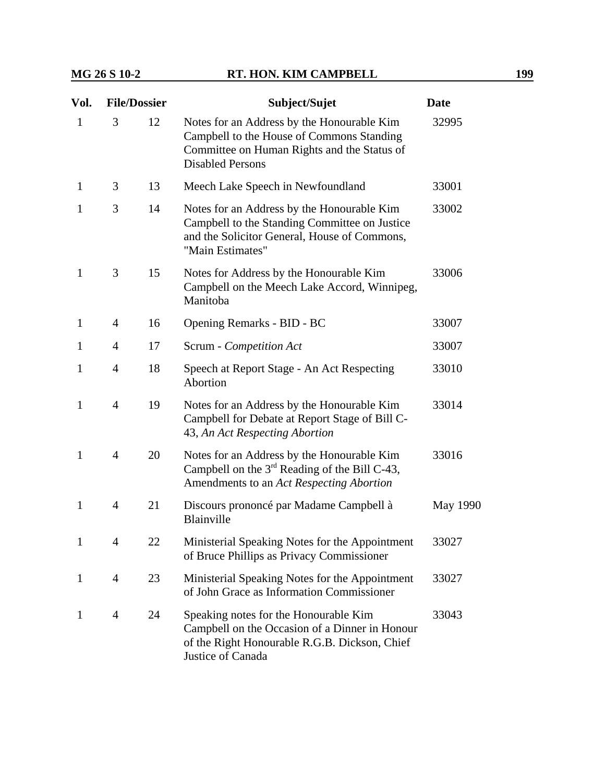| Vol.         | <b>File/Dossier</b> |    | Subject/Sujet                                                                                                                                                     | <b>Date</b> |
|--------------|---------------------|----|-------------------------------------------------------------------------------------------------------------------------------------------------------------------|-------------|
| $\mathbf{1}$ | 3                   | 12 | Notes for an Address by the Honourable Kim<br>Campbell to the House of Commons Standing<br>Committee on Human Rights and the Status of<br><b>Disabled Persons</b> | 32995       |
| $\mathbf{1}$ | 3                   | 13 | Meech Lake Speech in Newfoundland                                                                                                                                 | 33001       |
| 1            | 3                   | 14 | Notes for an Address by the Honourable Kim<br>Campbell to the Standing Committee on Justice<br>and the Solicitor General, House of Commons,<br>"Main Estimates"   | 33002       |
| $\mathbf{1}$ | 3                   | 15 | Notes for Address by the Honourable Kim<br>Campbell on the Meech Lake Accord, Winnipeg,<br>Manitoba                                                               | 33006       |
| $\mathbf{1}$ | $\overline{4}$      | 16 | Opening Remarks - BID - BC                                                                                                                                        | 33007       |
| 1            | $\overline{4}$      | 17 | Scrum - Competition Act                                                                                                                                           | 33007       |
| $\mathbf{1}$ | $\overline{4}$      | 18 | Speech at Report Stage - An Act Respecting<br>Abortion                                                                                                            | 33010       |
| $\mathbf{1}$ | $\overline{4}$      | 19 | Notes for an Address by the Honourable Kim<br>Campbell for Debate at Report Stage of Bill C-<br>43, An Act Respecting Abortion                                    | 33014       |
| 1            | $\overline{4}$      | 20 | Notes for an Address by the Honourable Kim<br>Campbell on the $3rd$ Reading of the Bill C-43,<br>Amendments to an Act Respecting Abortion                         | 33016       |
| $\mathbf{1}$ | $\overline{4}$      | 21 | Discours prononcé par Madame Campbell à<br>Blainville                                                                                                             | May 1990    |
| 1            | $\overline{4}$      | 22 | Ministerial Speaking Notes for the Appointment<br>of Bruce Phillips as Privacy Commissioner                                                                       | 33027       |
| $\mathbf{1}$ | $\overline{4}$      | 23 | Ministerial Speaking Notes for the Appointment<br>of John Grace as Information Commissioner                                                                       | 33027       |
| 1            | $\overline{4}$      | 24 | Speaking notes for the Honourable Kim<br>Campbell on the Occasion of a Dinner in Honour<br>of the Right Honourable R.G.B. Dickson, Chief<br>Justice of Canada     | 33043       |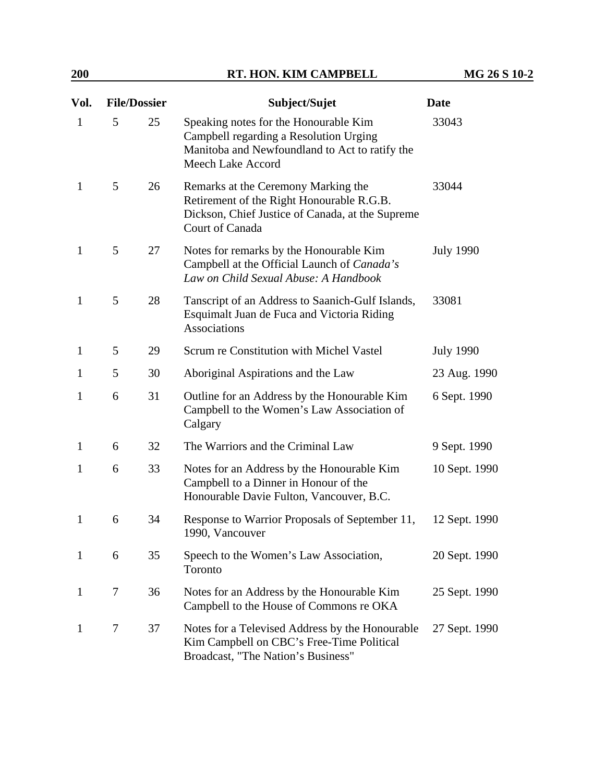| Vol.         | <b>File/Dossier</b> |    | Subject/Sujet                                                                                                                                           | <b>Date</b>      |
|--------------|---------------------|----|---------------------------------------------------------------------------------------------------------------------------------------------------------|------------------|
| $\mathbf{1}$ | 5                   | 25 | Speaking notes for the Honourable Kim<br>Campbell regarding a Resolution Urging<br>Manitoba and Newfoundland to Act to ratify the<br>Meech Lake Accord  | 33043            |
| $\mathbf{1}$ | 5                   | 26 | Remarks at the Ceremony Marking the<br>Retirement of the Right Honourable R.G.B.<br>Dickson, Chief Justice of Canada, at the Supreme<br>Court of Canada | 33044            |
| $\mathbf{1}$ | 5                   | 27 | Notes for remarks by the Honourable Kim<br>Campbell at the Official Launch of Canada's<br>Law on Child Sexual Abuse: A Handbook                         | <b>July 1990</b> |
| $\mathbf{1}$ | 5                   | 28 | Tanscript of an Address to Saanich-Gulf Islands,<br>Esquimalt Juan de Fuca and Victoria Riding<br><b>Associations</b>                                   | 33081            |
| $\mathbf{1}$ | 5                   | 29 | Scrum re Constitution with Michel Vastel                                                                                                                | <b>July 1990</b> |
| $\mathbf{1}$ | 5                   | 30 | Aboriginal Aspirations and the Law                                                                                                                      | 23 Aug. 1990     |
| $\mathbf{1}$ | 6                   | 31 | Outline for an Address by the Honourable Kim<br>Campbell to the Women's Law Association of<br>Calgary                                                   | 6 Sept. 1990     |
| $\mathbf{1}$ | 6                   | 32 | The Warriors and the Criminal Law                                                                                                                       | 9 Sept. 1990     |
| $\mathbf{1}$ | 6                   | 33 | Notes for an Address by the Honourable Kim<br>Campbell to a Dinner in Honour of the<br>Honourable Davie Fulton, Vancouver, B.C.                         | 10 Sept. 1990    |
| $\mathbf{1}$ | 6                   | 34 | Response to Warrior Proposals of September 11,<br>1990, Vancouver                                                                                       | 12 Sept. 1990    |
| $\mathbf{1}$ | 6                   | 35 | Speech to the Women's Law Association,<br>Toronto                                                                                                       | 20 Sept. 1990    |
| $\mathbf{1}$ | 7                   | 36 | Notes for an Address by the Honourable Kim<br>Campbell to the House of Commons re OKA                                                                   | 25 Sept. 1990    |
| $\mathbf{1}$ | 7                   | 37 | Notes for a Televised Address by the Honourable<br>Kim Campbell on CBC's Free-Time Political<br>Broadcast, "The Nation's Business"                      | 27 Sept. 1990    |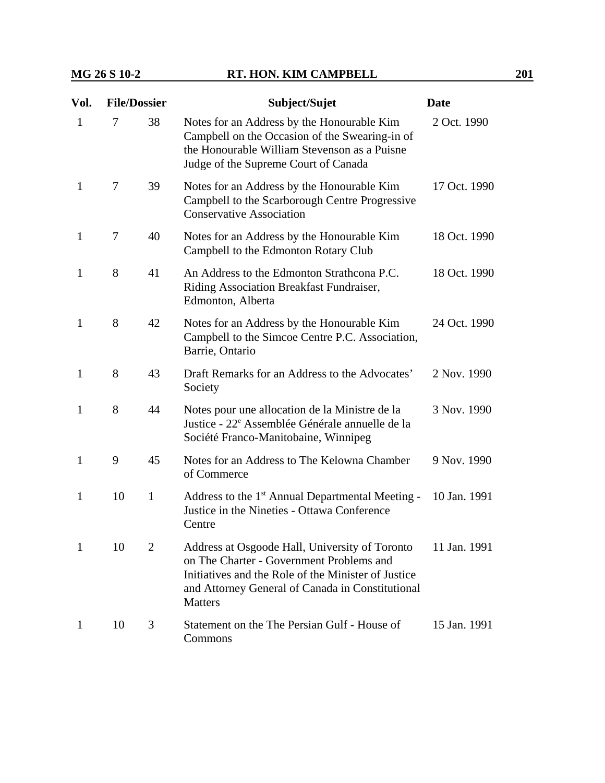| Vol.         | <b>File/Dossier</b> |    | Subject/Sujet                                                                                                                                                                        | <b>Date</b>  |
|--------------|---------------------|----|--------------------------------------------------------------------------------------------------------------------------------------------------------------------------------------|--------------|
| 1            | 7                   | 38 | Notes for an Address by the Honourable Kim<br>Campbell on the Occasion of the Swearing-in of<br>the Honourable William Stevenson as a Puisne<br>Judge of the Supreme Court of Canada | 2 Oct. 1990  |
| 1            | 7                   | 39 | Notes for an Address by the Honourable Kim<br>Campbell to the Scarborough Centre Progressive<br><b>Conservative Association</b>                                                      | 17 Oct. 1990 |
| 1            | $\tau$              | 40 | Notes for an Address by the Honourable Kim<br>Campbell to the Edmonton Rotary Club                                                                                                   | 18 Oct. 1990 |
| 1            | 8                   | 41 | An Address to the Edmonton Strathcona P.C.<br>Riding Association Breakfast Fundraiser,<br>Edmonton, Alberta                                                                          | 18 Oct. 1990 |
| 1            | 8                   | 42 | Notes for an Address by the Honourable Kim<br>Campbell to the Simcoe Centre P.C. Association,<br>Barrie, Ontario                                                                     | 24 Oct. 1990 |
| $\mathbf{1}$ | 8                   | 43 | Draft Remarks for an Address to the Advocates'<br>Society                                                                                                                            | 2 Nov. 1990  |
| 1            | 8                   | 44 | Notes pour une allocation de la Ministre de la<br>Justice - 22 <sup>e</sup> Assemblée Générale annuelle de la<br>Société Franco-Manitobaine, Winnipeg                                | 3 Nov. 1990  |

| $\mathbf{1}$ | $\mathbf{Q}$ | 45 | Notes for an Address to The Kelowna Chamber 9 Nov. 1990<br>of Commerce                                                             |  |
|--------------|--------------|----|------------------------------------------------------------------------------------------------------------------------------------|--|
| 1            | $10 \quad 1$ |    | Address to the 1 <sup>st</sup> Annual Departmental Meeting - 10 Jan. 1991<br>Justice in the Nineties - Ottawa Conference<br>Centre |  |

- 1 10 2 Address at Osgoode Hall, University of Toronto on The Charter - Government Problems and Initiatives and the Role of the Minister of Justice and Attorney General of Canada in Constitutional **Matters** 11 Jan. 1991
- 1 10 3 Statement on the The Persian Gulf House of Commons 15 Jan. 1991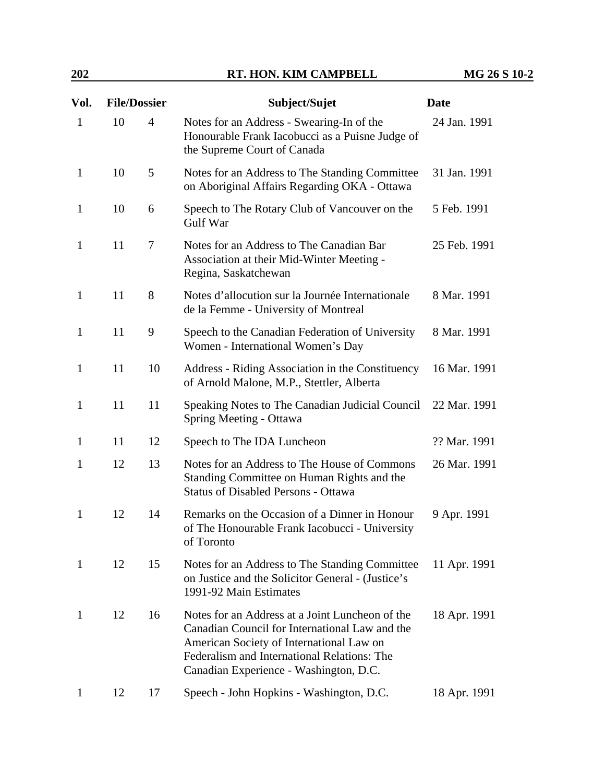| Vol.         | <b>File/Dossier</b> |                | Subject/Sujet                                                                                                                                                                                                                          | <b>Date</b>  |
|--------------|---------------------|----------------|----------------------------------------------------------------------------------------------------------------------------------------------------------------------------------------------------------------------------------------|--------------|
| $\mathbf{1}$ | 10                  | $\overline{4}$ | Notes for an Address - Swearing-In of the<br>Honourable Frank Iacobucci as a Puisne Judge of<br>the Supreme Court of Canada                                                                                                            | 24 Jan. 1991 |
| $\mathbf{1}$ | 10                  | 5              | Notes for an Address to The Standing Committee<br>on Aboriginal Affairs Regarding OKA - Ottawa                                                                                                                                         | 31 Jan. 1991 |
| $\mathbf{1}$ | 10                  | 6              | Speech to The Rotary Club of Vancouver on the<br>Gulf War                                                                                                                                                                              | 5 Feb. 1991  |
| $\mathbf{1}$ | 11                  | 7              | Notes for an Address to The Canadian Bar<br>Association at their Mid-Winter Meeting -<br>Regina, Saskatchewan                                                                                                                          | 25 Feb. 1991 |
| $\mathbf{1}$ | 11                  | 8              | Notes d'allocution sur la Journée Internationale<br>de la Femme - University of Montreal                                                                                                                                               | 8 Mar. 1991  |
| $\mathbf{1}$ | 11                  | 9              | Speech to the Canadian Federation of University<br>Women - International Women's Day                                                                                                                                                   | 8 Mar. 1991  |
| $\mathbf{1}$ | 11                  | 10             | Address - Riding Association in the Constituency<br>of Arnold Malone, M.P., Stettler, Alberta                                                                                                                                          | 16 Mar. 1991 |
| $\mathbf{1}$ | 11                  | 11             | Speaking Notes to The Canadian Judicial Council<br>Spring Meeting - Ottawa                                                                                                                                                             | 22 Mar. 1991 |
| $\mathbf{1}$ | 11                  | 12             | Speech to The IDA Luncheon                                                                                                                                                                                                             | ?? Mar. 1991 |
| 1            | 12                  | 13             | Notes for an Address to The House of Commons<br>Standing Committee on Human Rights and the<br><b>Status of Disabled Persons - Ottawa</b>                                                                                               | 26 Mar. 1991 |
| $\mathbf{1}$ | 12                  | 14             | Remarks on the Occasion of a Dinner in Honour<br>of The Honourable Frank Iacobucci - University<br>of Toronto                                                                                                                          | 9 Apr. 1991  |
| $\mathbf{1}$ | 12                  | 15             | Notes for an Address to The Standing Committee<br>on Justice and the Solicitor General - (Justice's<br>1991-92 Main Estimates                                                                                                          | 11 Apr. 1991 |
| $\mathbf{1}$ | 12                  | 16             | Notes for an Address at a Joint Luncheon of the<br>Canadian Council for International Law and the<br>American Society of International Law on<br>Federalism and International Relations: The<br>Canadian Experience - Washington, D.C. | 18 Apr. 1991 |
| 1            | 12                  | 17             | Speech - John Hopkins - Washington, D.C.                                                                                                                                                                                               | 18 Apr. 1991 |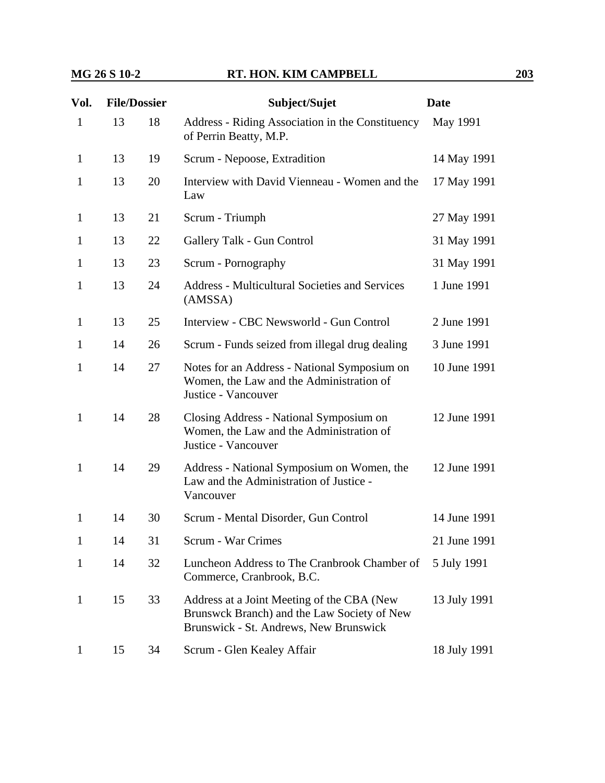| Vol.         | <b>File/Dossier</b> |    | Subject/Sujet                                                                                                                       | <b>Date</b>  |
|--------------|---------------------|----|-------------------------------------------------------------------------------------------------------------------------------------|--------------|
| $\mathbf{1}$ | 13                  | 18 | Address - Riding Association in the Constituency<br>of Perrin Beatty, M.P.                                                          | May 1991     |
| $\mathbf{1}$ | 13                  | 19 | Scrum - Nepoose, Extradition                                                                                                        | 14 May 1991  |
| $\mathbf{1}$ | 13                  | 20 | Interview with David Vienneau - Women and the<br>Law                                                                                | 17 May 1991  |
| $\mathbf{1}$ | 13                  | 21 | Scrum - Triumph                                                                                                                     | 27 May 1991  |
| $\mathbf{1}$ | 13                  | 22 | Gallery Talk - Gun Control                                                                                                          | 31 May 1991  |
| $\mathbf{1}$ | 13                  | 23 | Scrum - Pornography                                                                                                                 | 31 May 1991  |
| $\mathbf{1}$ | 13                  | 24 | <b>Address - Multicultural Societies and Services</b><br>(AMSSA)                                                                    | 1 June 1991  |
| $\mathbf{1}$ | 13                  | 25 | Interview - CBC Newsworld - Gun Control                                                                                             | 2 June 1991  |
| $\mathbf{1}$ | 14                  | 26 | Scrum - Funds seized from illegal drug dealing                                                                                      | 3 June 1991  |
| 1            | 14                  | 27 | Notes for an Address - National Symposium on<br>Women, the Law and the Administration of<br>Justice - Vancouver                     | 10 June 1991 |
| $\mathbf{1}$ | 14                  | 28 | Closing Address - National Symposium on<br>Women, the Law and the Administration of<br>Justice - Vancouver                          | 12 June 1991 |
| $\mathbf{1}$ | 14                  | 29 | Address - National Symposium on Women, the<br>Law and the Administration of Justice -<br>Vancouver                                  | 12 June 1991 |
| 1            | 14                  | 30 | Scrum - Mental Disorder, Gun Control                                                                                                | 14 June 1991 |
| 1            | 14                  | 31 | <b>Scrum - War Crimes</b>                                                                                                           | 21 June 1991 |
| $\mathbf{1}$ | 14                  | 32 | Luncheon Address to The Cranbrook Chamber of<br>Commerce, Cranbrook, B.C.                                                           | 5 July 1991  |
| $\mathbf{1}$ | 15                  | 33 | Address at a Joint Meeting of the CBA (New<br>Brunswck Branch) and the Law Society of New<br>Brunswick - St. Andrews, New Brunswick | 13 July 1991 |
| $\mathbf{1}$ | 15                  | 34 | Scrum - Glen Kealey Affair                                                                                                          | 18 July 1991 |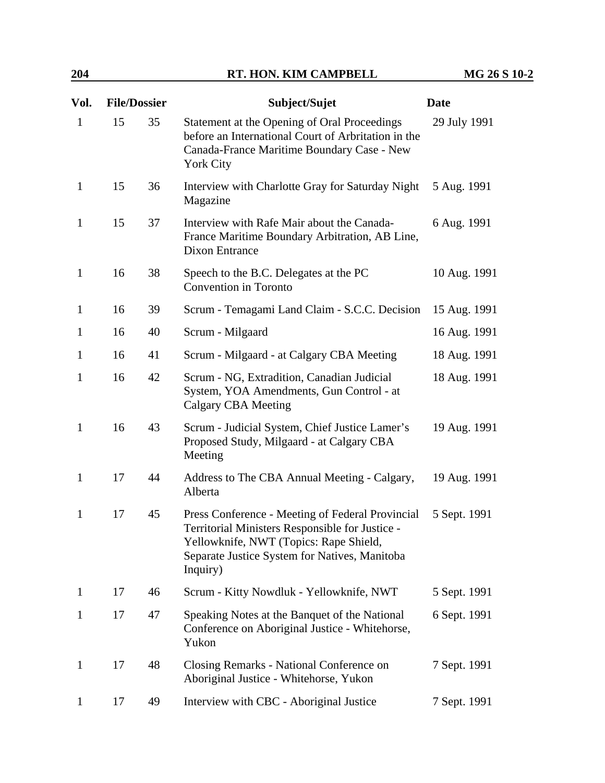| Vol.         | <b>File/Dossier</b> |    | Subject/Sujet                                                                                                                                                                                              | <b>Date</b>  |
|--------------|---------------------|----|------------------------------------------------------------------------------------------------------------------------------------------------------------------------------------------------------------|--------------|
| $\mathbf{1}$ | 15                  | 35 | Statement at the Opening of Oral Proceedings<br>before an International Court of Arbritation in the<br>Canada-France Maritime Boundary Case - New<br><b>York City</b>                                      | 29 July 1991 |
| $\mathbf{1}$ | 15                  | 36 | Interview with Charlotte Gray for Saturday Night<br>Magazine                                                                                                                                               | 5 Aug. 1991  |
| $\mathbf{1}$ | 15                  | 37 | Interview with Rafe Mair about the Canada-<br>France Maritime Boundary Arbitration, AB Line,<br>Dixon Entrance                                                                                             | 6 Aug. 1991  |
| $\mathbf{1}$ | 16                  | 38 | Speech to the B.C. Delegates at the PC<br>Convention in Toronto                                                                                                                                            | 10 Aug. 1991 |
| $\mathbf{1}$ | 16                  | 39 | Scrum - Temagami Land Claim - S.C.C. Decision                                                                                                                                                              | 15 Aug. 1991 |
| 1            | 16                  | 40 | Scrum - Milgaard                                                                                                                                                                                           | 16 Aug. 1991 |
| $\mathbf{1}$ | 16                  | 41 | Scrum - Milgaard - at Calgary CBA Meeting                                                                                                                                                                  | 18 Aug. 1991 |
| $\mathbf{1}$ | 16                  | 42 | Scrum - NG, Extradition, Canadian Judicial<br>System, YOA Amendments, Gun Control - at<br><b>Calgary CBA Meeting</b>                                                                                       | 18 Aug. 1991 |
| $\mathbf{1}$ | 16                  | 43 | Scrum - Judicial System, Chief Justice Lamer's<br>Proposed Study, Milgaard - at Calgary CBA<br>Meeting                                                                                                     | 19 Aug. 1991 |
| $\mathbf{1}$ | 17                  | 44 | Address to The CBA Annual Meeting - Calgary,<br>Alberta                                                                                                                                                    | 19 Aug. 1991 |
| $\mathbf{1}$ | 17                  | 45 | Press Conference - Meeting of Federal Provincial<br>Territorial Ministers Responsible for Justice -<br>Yellowknife, NWT (Topics: Rape Shield,<br>Separate Justice System for Natives, Manitoba<br>Inquiry) | 5 Sept. 1991 |
| $\mathbf{1}$ | 17                  | 46 | Scrum - Kitty Nowdluk - Yellowknife, NWT                                                                                                                                                                   | 5 Sept. 1991 |
| 1            | 17                  | 47 | Speaking Notes at the Banquet of the National<br>Conference on Aboriginal Justice - Whitehorse,<br>Yukon                                                                                                   | 6 Sept. 1991 |
| $\mathbf{1}$ | 17                  | 48 | Closing Remarks - National Conference on<br>Aboriginal Justice - Whitehorse, Yukon                                                                                                                         | 7 Sept. 1991 |
| 1            | 17                  | 49 | Interview with CBC - Aboriginal Justice                                                                                                                                                                    | 7 Sept. 1991 |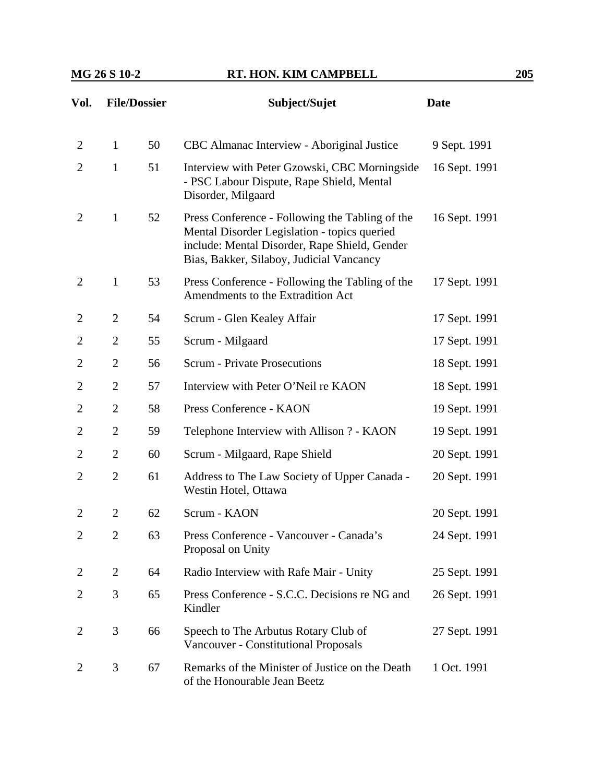| Vol.           | <b>File/Dossier</b> |    | Subject/Sujet<br><b>Date</b>                                                                                                                                                                 |               |
|----------------|---------------------|----|----------------------------------------------------------------------------------------------------------------------------------------------------------------------------------------------|---------------|
| $\overline{2}$ | $\mathbf{1}$        | 50 | CBC Almanac Interview - Aboriginal Justice                                                                                                                                                   | 9 Sept. 1991  |
| $\overline{c}$ | $\mathbf{1}$        | 51 | Interview with Peter Gzowski, CBC Morningside<br>- PSC Labour Dispute, Rape Shield, Mental<br>Disorder, Milgaard                                                                             | 16 Sept. 1991 |
| 2              | $\mathbf{1}$        | 52 | Press Conference - Following the Tabling of the<br>Mental Disorder Legislation - topics queried<br>include: Mental Disorder, Rape Shield, Gender<br>Bias, Bakker, Silaboy, Judicial Vancancy | 16 Sept. 1991 |
| $\overline{2}$ | $\mathbf{1}$        | 53 | Press Conference - Following the Tabling of the<br>Amendments to the Extradition Act                                                                                                         | 17 Sept. 1991 |
| 2              | $\overline{2}$      | 54 | Scrum - Glen Kealey Affair                                                                                                                                                                   | 17 Sept. 1991 |
| $\overline{2}$ | $\overline{2}$      | 55 | Scrum - Milgaard                                                                                                                                                                             | 17 Sept. 1991 |
| $\overline{2}$ | $\overline{2}$      | 56 | <b>Scrum - Private Prosecutions</b>                                                                                                                                                          | 18 Sept. 1991 |
| $\overline{2}$ | $\overline{2}$      | 57 | Interview with Peter O'Neil re KAON                                                                                                                                                          | 18 Sept. 1991 |
| $\overline{2}$ | $\overline{2}$      | 58 | Press Conference - KAON                                                                                                                                                                      | 19 Sept. 1991 |
| 2              | $\overline{2}$      | 59 | Telephone Interview with Allison ? - KAON                                                                                                                                                    | 19 Sept. 1991 |
| $\overline{2}$ | $\overline{2}$      | 60 | Scrum - Milgaard, Rape Shield                                                                                                                                                                | 20 Sept. 1991 |
| $\overline{2}$ | $\overline{2}$      | 61 | Address to The Law Society of Upper Canada -<br>Westin Hotel, Ottawa                                                                                                                         | 20 Sept. 1991 |
| $\overline{2}$ | $\overline{2}$      | 62 | Scrum - KAON                                                                                                                                                                                 | 20 Sept. 1991 |
| 2              | $\overline{c}$      | 63 | Press Conference - Vancouver - Canada's<br>Proposal on Unity                                                                                                                                 | 24 Sept. 1991 |
| 2              | $\overline{2}$      | 64 | Radio Interview with Rafe Mair - Unity                                                                                                                                                       | 25 Sept. 1991 |
| $\overline{2}$ | 3                   | 65 | Press Conference - S.C.C. Decisions re NG and<br>Kindler                                                                                                                                     | 26 Sept. 1991 |
| $\overline{2}$ | 3                   | 66 | Speech to The Arbutus Rotary Club of<br><b>Vancouver - Constitutional Proposals</b>                                                                                                          | 27 Sept. 1991 |
| 2              | 3                   | 67 | Remarks of the Minister of Justice on the Death<br>of the Honourable Jean Beetz                                                                                                              | 1 Oct. 1991   |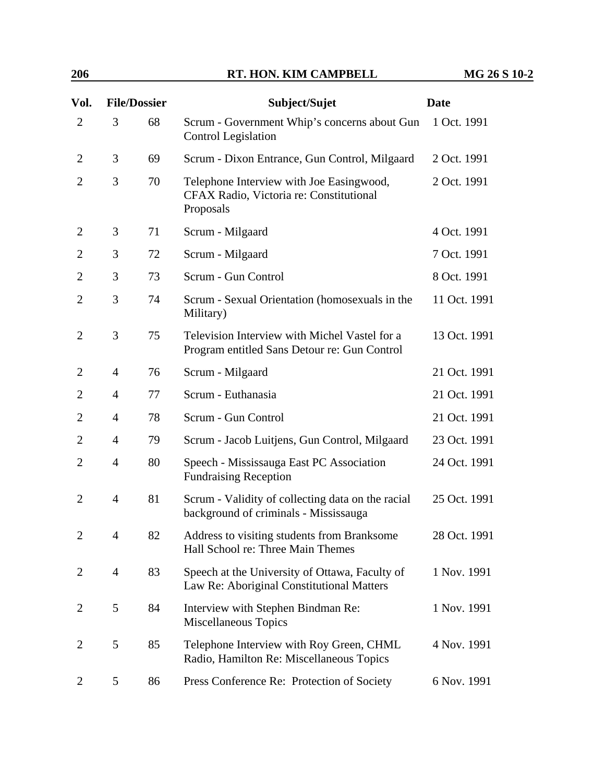| Vol.           |                | <b>File/Dossier</b> | Subject/Sujet                                                                                    | <b>Date</b>  |
|----------------|----------------|---------------------|--------------------------------------------------------------------------------------------------|--------------|
| $\overline{2}$ | 3              | 68                  | Scrum - Government Whip's concerns about Gun<br><b>Control Legislation</b>                       | 1 Oct. 1991  |
| $\overline{2}$ | 3              | 69                  | Scrum - Dixon Entrance, Gun Control, Milgaard                                                    | 2 Oct. 1991  |
| $\overline{2}$ | 3              | 70                  | Telephone Interview with Joe Easingwood,<br>CFAX Radio, Victoria re: Constitutional<br>Proposals | 2 Oct. 1991  |
| $\overline{2}$ | 3              | 71                  | Scrum - Milgaard                                                                                 | 4 Oct. 1991  |
| 2              | 3              | 72                  | Scrum - Milgaard                                                                                 | 7 Oct. 1991  |
| $\overline{2}$ | 3              | 73                  | Scrum - Gun Control                                                                              | 8 Oct. 1991  |
| $\overline{2}$ | 3              | 74                  | Scrum - Sexual Orientation (homosexuals in the<br>Military)                                      | 11 Oct. 1991 |
| $\overline{2}$ | 3              | 75                  | Television Interview with Michel Vastel for a<br>Program entitled Sans Detour re: Gun Control    | 13 Oct. 1991 |
| 2              | $\overline{4}$ | 76                  | Scrum - Milgaard                                                                                 | 21 Oct. 1991 |
| 2              | $\overline{4}$ | 77                  | Scrum - Euthanasia                                                                               | 21 Oct. 1991 |
| 2              | $\overline{4}$ | 78                  | Scrum - Gun Control                                                                              | 21 Oct. 1991 |
| $\overline{2}$ | $\overline{4}$ | 79                  | Scrum - Jacob Luitjens, Gun Control, Milgaard                                                    | 23 Oct. 1991 |
| $\overline{2}$ | $\overline{4}$ | 80                  | Speech - Mississauga East PC Association<br><b>Fundraising Reception</b>                         | 24 Oct. 1991 |
| $\overline{2}$ | $\overline{4}$ | 81                  | Scrum - Validity of collecting data on the racial<br>background of criminals - Mississauga       | 25 Oct. 1991 |
| $\overline{2}$ | 4              | 82                  | Address to visiting students from Branksome<br>Hall School re: Three Main Themes                 | 28 Oct. 1991 |
| 2              | $\overline{4}$ | 83                  | Speech at the University of Ottawa, Faculty of<br>Law Re: Aboriginal Constitutional Matters      | 1 Nov. 1991  |
| 2              | 5              | 84                  | Interview with Stephen Bindman Re:<br>Miscellaneous Topics                                       | 1 Nov. 1991  |
| 2              | 5              | 85                  | Telephone Interview with Roy Green, CHML<br>Radio, Hamilton Re: Miscellaneous Topics             | 4 Nov. 1991  |
| 2              | 5              | 86                  | Press Conference Re: Protection of Society                                                       | 6 Nov. 1991  |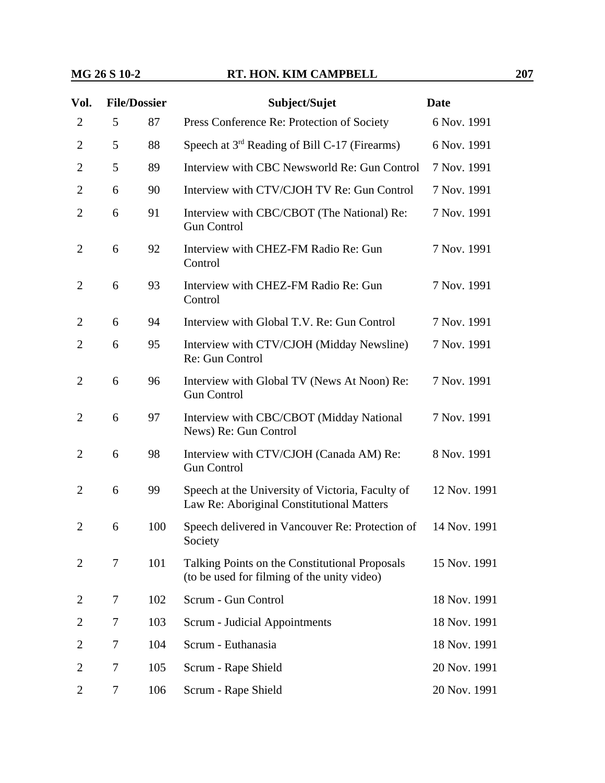| Vol.           | <b>File/Dossier</b> |     | Subject/Sujet                                                                                 | <b>Date</b>  |  |
|----------------|---------------------|-----|-----------------------------------------------------------------------------------------------|--------------|--|
| $\overline{2}$ | 5                   | 87  | Press Conference Re: Protection of Society                                                    | 6 Nov. 1991  |  |
| $\overline{2}$ | 5                   | 88  | Speech at $3rd$ Reading of Bill C-17 (Firearms)                                               | 6 Nov. 1991  |  |
| $\overline{2}$ | 5                   | 89  | Interview with CBC Newsworld Re: Gun Control                                                  | 7 Nov. 1991  |  |
| $\overline{2}$ | 6                   | 90  | Interview with CTV/CJOH TV Re: Gun Control                                                    | 7 Nov. 1991  |  |
| $\overline{2}$ | 6                   | 91  | Interview with CBC/CBOT (The National) Re:<br><b>Gun Control</b>                              | 7 Nov. 1991  |  |
| $\overline{2}$ | 6                   | 92  | Interview with CHEZ-FM Radio Re: Gun<br>Control                                               | 7 Nov. 1991  |  |
| $\overline{2}$ | 6                   | 93  | Interview with CHEZ-FM Radio Re: Gun<br>Control                                               | 7 Nov. 1991  |  |
| $\overline{2}$ | 6                   | 94  | Interview with Global T.V. Re: Gun Control                                                    | 7 Nov. 1991  |  |
| $\overline{2}$ | 6                   | 95  | Interview with CTV/CJOH (Midday Newsline)<br>Re: Gun Control                                  | 7 Nov. 1991  |  |
| $\overline{2}$ | 6                   | 96  | Interview with Global TV (News At Noon) Re:<br><b>Gun Control</b>                             | 7 Nov. 1991  |  |
| $\overline{2}$ | 6                   | 97  | Interview with CBC/CBOT (Midday National<br>News) Re: Gun Control                             | 7 Nov. 1991  |  |
| $\overline{2}$ | 6                   | 98  | Interview with CTV/CJOH (Canada AM) Re:<br><b>Gun Control</b>                                 | 8 Nov. 1991  |  |
| $\overline{2}$ | 6                   | 99  | Speech at the University of Victoria, Faculty of<br>Law Re: Aboriginal Constitutional Matters | 12 Nov. 1991 |  |
| 2              | 6                   | 100 | Speech delivered in Vancouver Re: Protection of<br>Society                                    | 14 Nov. 1991 |  |
| $\overline{2}$ | 7                   | 101 | Talking Points on the Constitutional Proposals<br>(to be used for filming of the unity video) | 15 Nov. 1991 |  |
| 2              | 7                   | 102 | Scrum - Gun Control                                                                           | 18 Nov. 1991 |  |
| 2              | 7                   | 103 | Scrum - Judicial Appointments                                                                 | 18 Nov. 1991 |  |
| $\overline{2}$ | 7                   | 104 | Scrum - Euthanasia                                                                            | 18 Nov. 1991 |  |
| 2              | 7                   | 105 | Scrum - Rape Shield                                                                           | 20 Nov. 1991 |  |
| $\overline{2}$ | 7                   | 106 | Scrum - Rape Shield                                                                           | 20 Nov. 1991 |  |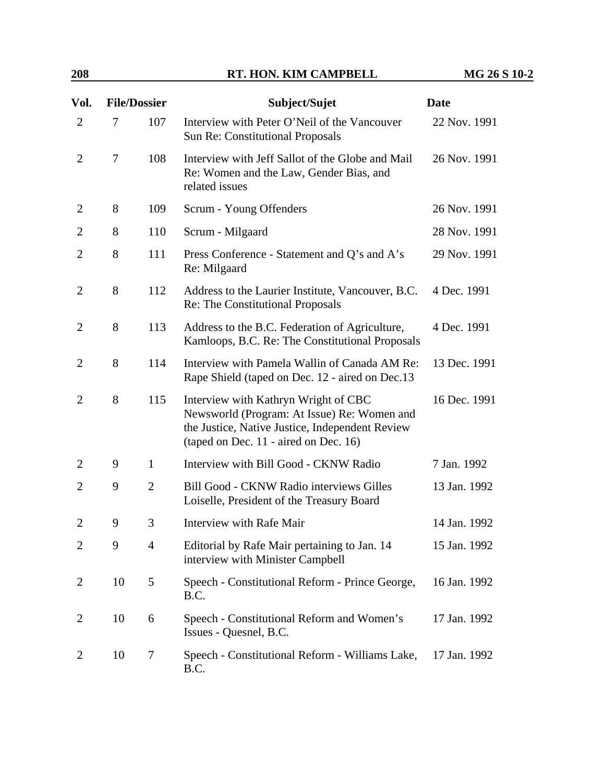| Vol.           | <b>File/Dossier</b> |                | Subject/Sujet                                                                                                                                                                   | <b>Date</b>  |
|----------------|---------------------|----------------|---------------------------------------------------------------------------------------------------------------------------------------------------------------------------------|--------------|
| $\overline{2}$ | 7                   | 107            | Interview with Peter O'Neil of the Vancouver<br>Sun Re: Constitutional Proposals                                                                                                | 22 Nov. 1991 |
| $\overline{2}$ | 7                   | 108            | Interview with Jeff Sallot of the Globe and Mail<br>Re: Women and the Law, Gender Bias, and<br>related issues                                                                   | 26 Nov. 1991 |
| $\overline{2}$ | 8                   | 109            | Scrum - Young Offenders                                                                                                                                                         | 26 Nov. 1991 |
| $\overline{2}$ | 8                   | 110            | Scrum - Milgaard                                                                                                                                                                | 28 Nov. 1991 |
| $\overline{2}$ | 8                   | 111            | Press Conference - Statement and Q's and A's<br>Re: Milgaard                                                                                                                    | 29 Nov. 1991 |
| $\overline{2}$ | 8                   | 112            | Address to the Laurier Institute, Vancouver, B.C.<br>Re: The Constitutional Proposals                                                                                           | 4 Dec. 1991  |
| $\overline{2}$ | 8                   | 113            | Address to the B.C. Federation of Agriculture,<br>Kamloops, B.C. Re: The Constitutional Proposals                                                                               | 4 Dec. 1991  |
| $\overline{2}$ | 8                   | 114            | Interview with Pamela Wallin of Canada AM Re:<br>Rape Shield (taped on Dec. 12 - aired on Dec. 13                                                                               | 13 Dec. 1991 |
| 2              | 8                   | 115            | Interview with Kathryn Wright of CBC<br>Newsworld (Program: At Issue) Re: Women and<br>the Justice, Native Justice, Independent Review<br>(taped on Dec. 11 - aired on Dec. 16) | 16 Dec. 1991 |
| $\overline{2}$ | 9                   | $\mathbf{1}$   | Interview with Bill Good - CKNW Radio                                                                                                                                           | 7 Jan. 1992  |
| $\overline{2}$ | 9                   | $\overline{2}$ | Bill Good - CKNW Radio interviews Gilles<br>Loiselle, President of the Treasury Board                                                                                           | 13 Jan. 1992 |
| $\overline{2}$ | 9                   | 3              | Interview with Rafe Mair                                                                                                                                                        | 14 Jan. 1992 |
| $\overline{2}$ | 9                   | $\overline{4}$ | Editorial by Rafe Mair pertaining to Jan. 14<br>interview with Minister Campbell                                                                                                | 15 Jan. 1992 |
| $\overline{2}$ | 10                  | 5              | Speech - Constitutional Reform - Prince George,<br>B.C.                                                                                                                         | 16 Jan. 1992 |
| 2              | 10                  | 6              | Speech - Constitutional Reform and Women's<br>Issues - Quesnel, B.C.                                                                                                            | 17 Jan. 1992 |
| 2              | 10                  | 7              | Speech - Constitutional Reform - Williams Lake,<br>B.C.                                                                                                                         | 17 Jan. 1992 |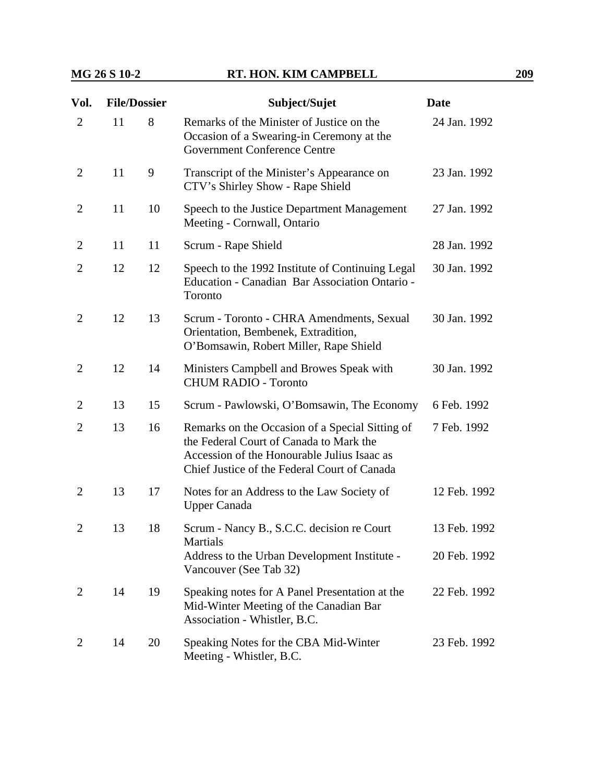| Vol.           | <b>File/Dossier</b> |    | Subject/Sujet                                                                                                                                                                             | <b>Date</b>  |  |
|----------------|---------------------|----|-------------------------------------------------------------------------------------------------------------------------------------------------------------------------------------------|--------------|--|
| $\overline{2}$ | 11                  | 8  | Remarks of the Minister of Justice on the<br>Occasion of a Swearing-in Ceremony at the<br><b>Government Conference Centre</b>                                                             | 24 Jan. 1992 |  |
| $\overline{2}$ | 11                  | 9  | Transcript of the Minister's Appearance on<br>CTV's Shirley Show - Rape Shield                                                                                                            | 23 Jan. 1992 |  |
| $\overline{2}$ | 11                  | 10 | Speech to the Justice Department Management<br>Meeting - Cornwall, Ontario                                                                                                                | 27 Jan. 1992 |  |
| $\overline{2}$ | 11                  | 11 | Scrum - Rape Shield                                                                                                                                                                       | 28 Jan. 1992 |  |
| 2              | 12                  | 12 | Speech to the 1992 Institute of Continuing Legal<br>Education - Canadian Bar Association Ontario -<br>Toronto                                                                             | 30 Jan. 1992 |  |
| $\overline{2}$ | 12                  | 13 | Scrum - Toronto - CHRA Amendments, Sexual<br>Orientation, Bembenek, Extradition,<br>O'Bomsawin, Robert Miller, Rape Shield                                                                | 30 Jan. 1992 |  |
| 2              | 12                  | 14 | Ministers Campbell and Browes Speak with<br><b>CHUM RADIO - Toronto</b>                                                                                                                   | 30 Jan. 1992 |  |
| 2              | 13                  | 15 | Scrum - Pawlowski, O'Bomsawin, The Economy                                                                                                                                                | 6 Feb. 1992  |  |
| $\overline{2}$ | 13                  | 16 | Remarks on the Occasion of a Special Sitting of<br>the Federal Court of Canada to Mark the<br>Accession of the Honourable Julius Isaac as<br>Chief Justice of the Federal Court of Canada | 7 Feb. 1992  |  |
| $\overline{2}$ | 13                  | 17 | Notes for an Address to the Law Society of<br><b>Upper Canada</b>                                                                                                                         | 12 Feb. 1992 |  |
| $\overline{2}$ | 13                  | 18 | Scrum - Nancy B., S.C.C. decision re Court                                                                                                                                                | 13 Feb. 1992 |  |
|                |                     |    | Martials<br>Address to the Urban Development Institute -<br>Vancouver (See Tab 32)                                                                                                        | 20 Feb. 1992 |  |
| 2              | 14                  | 19 | Speaking notes for A Panel Presentation at the<br>Mid-Winter Meeting of the Canadian Bar<br>Association - Whistler, B.C.                                                                  | 22 Feb. 1992 |  |
| $\overline{2}$ | 14                  | 20 | Speaking Notes for the CBA Mid-Winter<br>Meeting - Whistler, B.C.                                                                                                                         | 23 Feb. 1992 |  |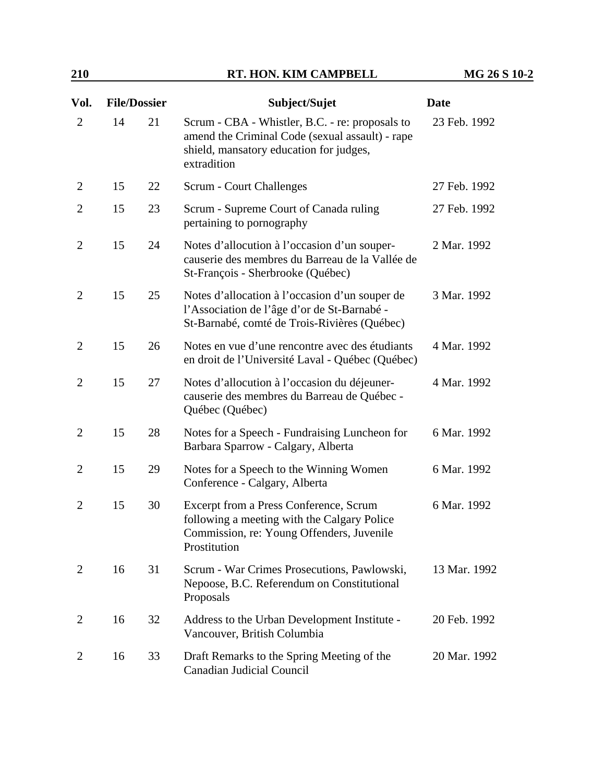| Vol.           | <b>File/Dossier</b> |    | Subject/Sujet                                                                                                                                                | <b>Date</b>  |  |
|----------------|---------------------|----|--------------------------------------------------------------------------------------------------------------------------------------------------------------|--------------|--|
| $\overline{2}$ | 14                  | 21 | Scrum - CBA - Whistler, B.C. - re: proposals to<br>amend the Criminal Code (sexual assault) - rape<br>shield, mansatory education for judges,<br>extradition | 23 Feb. 1992 |  |
| $\overline{2}$ | 15                  | 22 | Scrum - Court Challenges                                                                                                                                     | 27 Feb. 1992 |  |
| $\overline{2}$ | 15                  | 23 | Scrum - Supreme Court of Canada ruling<br>pertaining to pornography                                                                                          | 27 Feb. 1992 |  |
| $\overline{2}$ | 15                  | 24 | Notes d'allocution à l'occasion d'un souper-<br>causerie des membres du Barreau de la Vallée de<br>St-François - Sherbrooke (Québec)                         | 2 Mar. 1992  |  |
| $\overline{2}$ | 15                  | 25 | Notes d'allocation à l'occasion d'un souper de<br>l'Association de l'âge d'or de St-Barnabé -<br>St-Barnabé, comté de Trois-Rivières (Québec)                | 3 Mar. 1992  |  |
| $\overline{2}$ | 15                  | 26 | Notes en vue d'une rencontre avec des étudiants<br>en droit de l'Université Laval - Québec (Québec)                                                          | 4 Mar. 1992  |  |
| $\overline{2}$ | 15                  | 27 | Notes d'allocution à l'occasion du déjeuner-<br>causerie des membres du Barreau de Québec -<br>Québec (Québec)                                               | 4 Mar. 1992  |  |
| 2              | 15                  | 28 | Notes for a Speech - Fundraising Luncheon for<br>Barbara Sparrow - Calgary, Alberta                                                                          | 6 Mar. 1992  |  |
| $\overline{2}$ | 15                  | 29 | Notes for a Speech to the Winning Women<br>Conference - Calgary, Alberta                                                                                     | 6 Mar. 1992  |  |
| $\overline{2}$ | 15                  | 30 | Excerpt from a Press Conference, Scrum<br>following a meeting with the Calgary Police<br>Commission, re: Young Offenders, Juvenile<br>Prostitution           | 6 Mar. 1992  |  |
| 2              | 16                  | 31 | Scrum - War Crimes Prosecutions, Pawlowski,<br>Nepoose, B.C. Referendum on Constitutional<br>Proposals                                                       | 13 Mar. 1992 |  |
| 2              | 16                  | 32 | Address to the Urban Development Institute -<br>Vancouver, British Columbia                                                                                  | 20 Feb. 1992 |  |
| 2              | 16                  | 33 | Draft Remarks to the Spring Meeting of the<br>Canadian Judicial Council                                                                                      | 20 Mar. 1992 |  |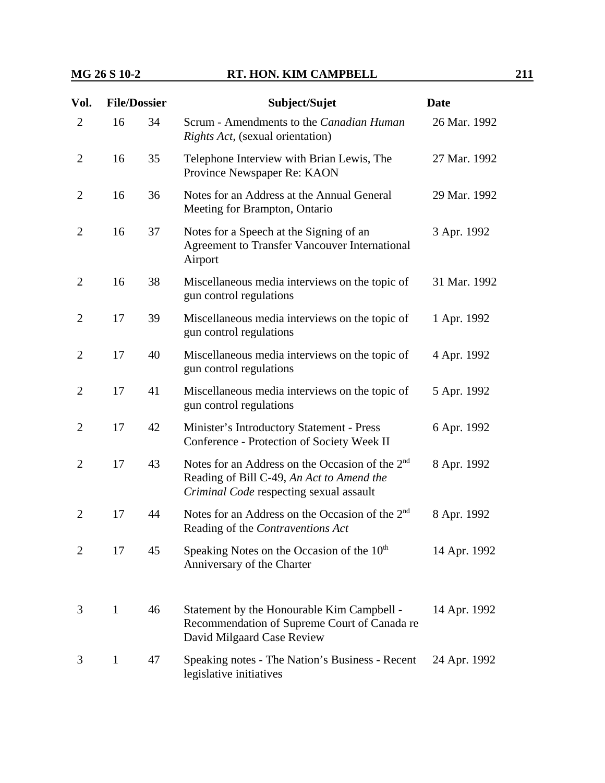| Vol.           | <b>File/Dossier</b> |    | Subject/Sujet                                                                                                                                       | <b>Date</b>  |
|----------------|---------------------|----|-----------------------------------------------------------------------------------------------------------------------------------------------------|--------------|
| $\overline{2}$ | 16                  | 34 | Scrum - Amendments to the Canadian Human<br><i>Rights Act,</i> (sexual orientation)                                                                 | 26 Mar. 1992 |
| $\overline{2}$ | 16                  | 35 | Telephone Interview with Brian Lewis, The<br>Province Newspaper Re: KAON                                                                            | 27 Mar. 1992 |
| $\overline{2}$ | 16                  | 36 | Notes for an Address at the Annual General<br>Meeting for Brampton, Ontario                                                                         | 29 Mar. 1992 |
| $\overline{2}$ | 16                  | 37 | Notes for a Speech at the Signing of an<br><b>Agreement to Transfer Vancouver International</b><br>Airport                                          | 3 Apr. 1992  |
| $\overline{2}$ | 16                  | 38 | Miscellaneous media interviews on the topic of<br>gun control regulations                                                                           | 31 Mar. 1992 |
| $\overline{2}$ | 17                  | 39 | Miscellaneous media interviews on the topic of<br>gun control regulations                                                                           | 1 Apr. 1992  |
| $\overline{2}$ | 17                  | 40 | Miscellaneous media interviews on the topic of<br>gun control regulations                                                                           | 4 Apr. 1992  |
| $\overline{2}$ | 17                  | 41 | Miscellaneous media interviews on the topic of<br>gun control regulations                                                                           | 5 Apr. 1992  |
| $\overline{2}$ | 17                  | 42 | Minister's Introductory Statement - Press<br>Conference - Protection of Society Week II                                                             | 6 Apr. 1992  |
| $\overline{2}$ | 17                  | 43 | Notes for an Address on the Occasion of the 2 <sup>nd</sup><br>Reading of Bill C-49, An Act to Amend the<br>Criminal Code respecting sexual assault | 8 Apr. 1992  |
| $\overline{2}$ | 17                  | 44 | Notes for an Address on the Occasion of the 2 <sup>nd</sup><br>Reading of the Contraventions Act                                                    | 8 Apr. 1992  |
| $\overline{2}$ | 17                  | 45 | Speaking Notes on the Occasion of the $10th$<br>Anniversary of the Charter                                                                          | 14 Apr. 1992 |
| 3              | $\mathbf{1}$        | 46 | Statement by the Honourable Kim Campbell -<br>Recommendation of Supreme Court of Canada re<br>David Milgaard Case Review                            | 14 Apr. 1992 |
| 3              | $\mathbf{1}$        | 47 | Speaking notes - The Nation's Business - Recent<br>legislative initiatives                                                                          | 24 Apr. 1992 |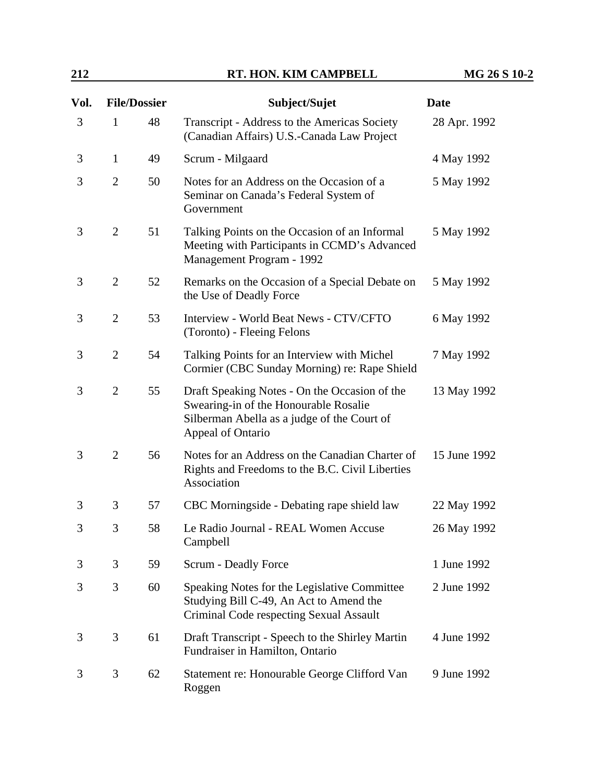## **212 RT. HON. KIM CAMPBELL MG 26 S 10-2**

| Vol. |                | <b>File/Dossier</b> | Subject/Sujet                                                                                                                                              | <b>Date</b>  |
|------|----------------|---------------------|------------------------------------------------------------------------------------------------------------------------------------------------------------|--------------|
| 3    | $\mathbf{1}$   | 48                  | Transcript - Address to the Americas Society<br>(Canadian Affairs) U.S.-Canada Law Project                                                                 | 28 Apr. 1992 |
| 3    | $\mathbf{1}$   | 49                  | Scrum - Milgaard                                                                                                                                           | 4 May 1992   |
| 3    | $\overline{2}$ | 50                  | Notes for an Address on the Occasion of a<br>Seminar on Canada's Federal System of<br>Government                                                           | 5 May 1992   |
| 3    | $\overline{2}$ | 51                  | Talking Points on the Occasion of an Informal<br>Meeting with Participants in CCMD's Advanced<br>Management Program - 1992                                 | 5 May 1992   |
| 3    | $\overline{2}$ | 52                  | Remarks on the Occasion of a Special Debate on<br>the Use of Deadly Force                                                                                  | 5 May 1992   |
| 3    | $\overline{2}$ | 53                  | Interview - World Beat News - CTV/CFTO<br>(Toronto) - Fleeing Felons                                                                                       | 6 May 1992   |
| 3    | $\overline{2}$ | 54                  | Talking Points for an Interview with Michel<br>Cormier (CBC Sunday Morning) re: Rape Shield                                                                | 7 May 1992   |
| 3    | $\overline{2}$ | 55                  | Draft Speaking Notes - On the Occasion of the<br>Swearing-in of the Honourable Rosalie<br>Silberman Abella as a judge of the Court of<br>Appeal of Ontario | 13 May 1992  |
| 3    | $\overline{2}$ | 56                  | Notes for an Address on the Canadian Charter of<br>Rights and Freedoms to the B.C. Civil Liberties<br>Association                                          | 15 June 1992 |
| 3    | 3              | 57                  | CBC Morningside - Debating rape shield law                                                                                                                 | 22 May 1992  |
| 3    | 3              | 58                  | Le Radio Journal - REAL Women Accuse<br>Campbell                                                                                                           | 26 May 1992  |
| 3    | 3              | 59                  | <b>Scrum - Deadly Force</b>                                                                                                                                | 1 June 1992  |
| 3    | 3              | 60                  | Speaking Notes for the Legislative Committee<br>Studying Bill C-49, An Act to Amend the<br>Criminal Code respecting Sexual Assault                         | 2 June 1992  |
| 3    | 3              | 61                  | Draft Transcript - Speech to the Shirley Martin<br>Fundraiser in Hamilton, Ontario                                                                         | 4 June 1992  |
| 3    | 3              | 62                  | Statement re: Honourable George Clifford Van<br>Roggen                                                                                                     | 9 June 1992  |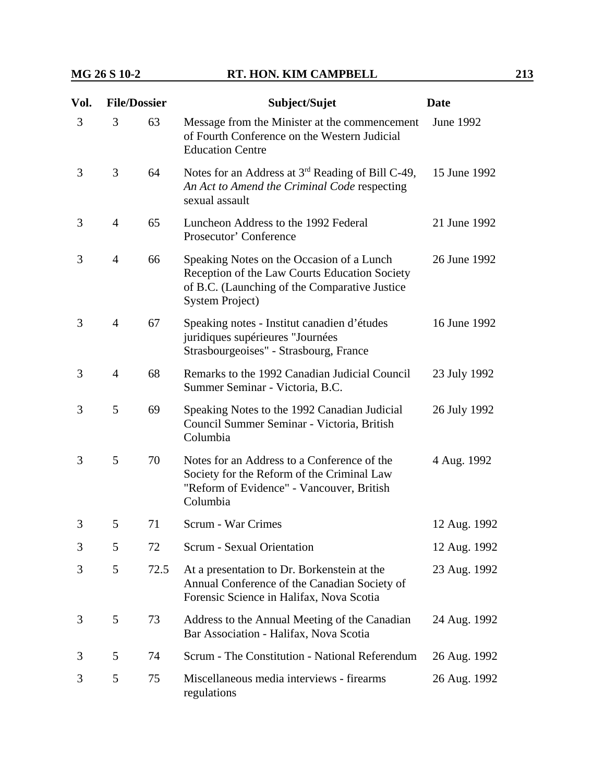| Vol. | <b>File/Dossier</b> |      | Subject/Sujet                                                                                                                                                          | <b>Date</b>  |
|------|---------------------|------|------------------------------------------------------------------------------------------------------------------------------------------------------------------------|--------------|
| 3    | 3                   | 63   | Message from the Minister at the commencement<br>of Fourth Conference on the Western Judicial<br><b>Education Centre</b>                                               | June 1992    |
| 3    | 3                   | 64   | Notes for an Address at 3 <sup>rd</sup> Reading of Bill C-49,<br>An Act to Amend the Criminal Code respecting<br>sexual assault                                        | 15 June 1992 |
| 3    | $\overline{4}$      | 65   | Luncheon Address to the 1992 Federal<br>Prosecutor' Conference                                                                                                         | 21 June 1992 |
| 3    | $\overline{4}$      | 66   | Speaking Notes on the Occasion of a Lunch<br>Reception of the Law Courts Education Society<br>of B.C. (Launching of the Comparative Justice<br><b>System Project</b> ) | 26 June 1992 |
| 3    | $\overline{4}$      | 67   | Speaking notes - Institut canadien d'études<br>juridiques supérieures "Journées<br>Strasbourgeoises" - Strasbourg, France                                              | 16 June 1992 |
| 3    | $\overline{4}$      | 68   | Remarks to the 1992 Canadian Judicial Council<br>Summer Seminar - Victoria, B.C.                                                                                       | 23 July 1992 |
| 3    | 5                   | 69   | Speaking Notes to the 1992 Canadian Judicial<br>Council Summer Seminar - Victoria, British<br>Columbia                                                                 | 26 July 1992 |
| 3    | 5                   | 70   | Notes for an Address to a Conference of the<br>Society for the Reform of the Criminal Law<br>"Reform of Evidence" - Vancouver, British<br>Columbia                     | 4 Aug. 1992  |
| 3    | 5                   | 71   | Scrum - War Crimes                                                                                                                                                     | 12 Aug. 1992 |
| 3    | 5                   | 72   | <b>Scrum - Sexual Orientation</b>                                                                                                                                      | 12 Aug. 1992 |
| 3    | 5                   | 72.5 | At a presentation to Dr. Borkenstein at the<br>Annual Conference of the Canadian Society of<br>Forensic Science in Halifax, Nova Scotia                                | 23 Aug. 1992 |
| 3    | 5                   | 73   | Address to the Annual Meeting of the Canadian<br>Bar Association - Halifax, Nova Scotia                                                                                | 24 Aug. 1992 |
| 3    | 5                   | 74   | Scrum - The Constitution - National Referendum                                                                                                                         | 26 Aug. 1992 |
| 3    | 5                   | 75   | Miscellaneous media interviews - firearms<br>regulations                                                                                                               | 26 Aug. 1992 |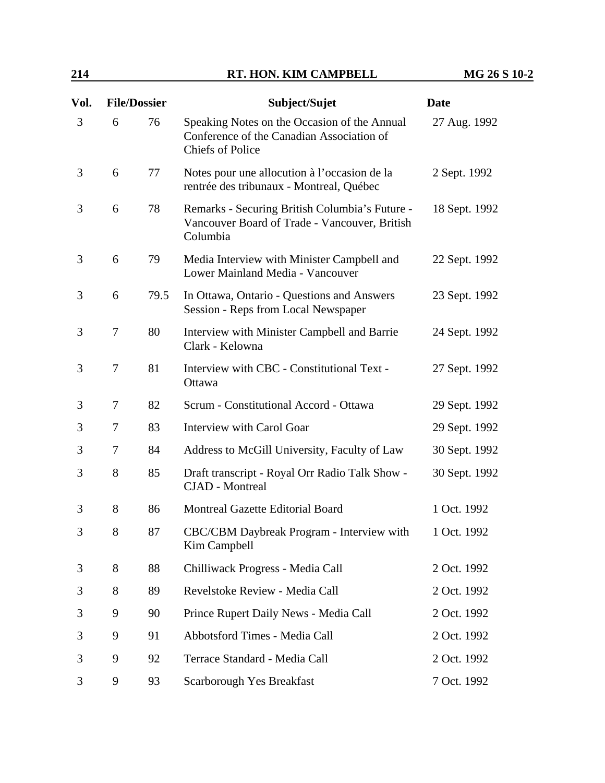## **214 RT. HON. KIM CAMPBELL MG 26 S 10-2**

| Vol. | <b>File/Dossier</b> |      | Subject/Sujet                                                                                                        | <b>Date</b>   |
|------|---------------------|------|----------------------------------------------------------------------------------------------------------------------|---------------|
| 3    | 6                   | 76   | Speaking Notes on the Occasion of the Annual<br>Conference of the Canadian Association of<br><b>Chiefs of Police</b> | 27 Aug. 1992  |
| 3    | 6                   | 77   | Notes pour une allocution à l'occasion de la<br>rentrée des tribunaux - Montreal, Québec                             | 2 Sept. 1992  |
| 3    | 6                   | 78   | Remarks - Securing British Columbia's Future -<br>Vancouver Board of Trade - Vancouver, British<br>Columbia          | 18 Sept. 1992 |
| 3    | 6                   | 79   | Media Interview with Minister Campbell and<br>Lower Mainland Media - Vancouver                                       | 22 Sept. 1992 |
| 3    | 6                   | 79.5 | In Ottawa, Ontario - Questions and Answers<br>Session - Reps from Local Newspaper                                    | 23 Sept. 1992 |
| 3    | 7                   | 80   | Interview with Minister Campbell and Barrie<br>Clark - Kelowna                                                       | 24 Sept. 1992 |
| 3    | 7                   | 81   | Interview with CBC - Constitutional Text -<br>Ottawa                                                                 | 27 Sept. 1992 |
| 3    | 7                   | 82   | Scrum - Constitutional Accord - Ottawa                                                                               | 29 Sept. 1992 |
| 3    | 7                   | 83   | <b>Interview with Carol Goar</b>                                                                                     | 29 Sept. 1992 |
| 3    | $\overline{7}$      | 84   | Address to McGill University, Faculty of Law                                                                         | 30 Sept. 1992 |
| 3    | 8                   | 85   | Draft transcript - Royal Orr Radio Talk Show -<br><b>CJAD</b> - Montreal                                             | 30 Sept. 1992 |
| 3    | 8                   | 86   | Montreal Gazette Editorial Board                                                                                     | 1 Oct. 1992   |
| 3    | 8                   | 87   | CBC/CBM Daybreak Program - Interview with<br>Kim Campbell                                                            | 1 Oct. 1992   |
| 3    | 8                   | 88   | Chilliwack Progress - Media Call                                                                                     | 2 Oct. 1992   |
| 3    | 8                   | 89   | Revelstoke Review - Media Call                                                                                       | 2 Oct. 1992   |
| 3    | 9                   | 90   | Prince Rupert Daily News - Media Call                                                                                | 2 Oct. 1992   |
| 3    | 9                   | 91   | Abbotsford Times - Media Call                                                                                        | 2 Oct. 1992   |
| 3    | 9                   | 92   | Terrace Standard - Media Call                                                                                        | 2 Oct. 1992   |
| 3    | 9                   | 93   | Scarborough Yes Breakfast                                                                                            | 7 Oct. 1992   |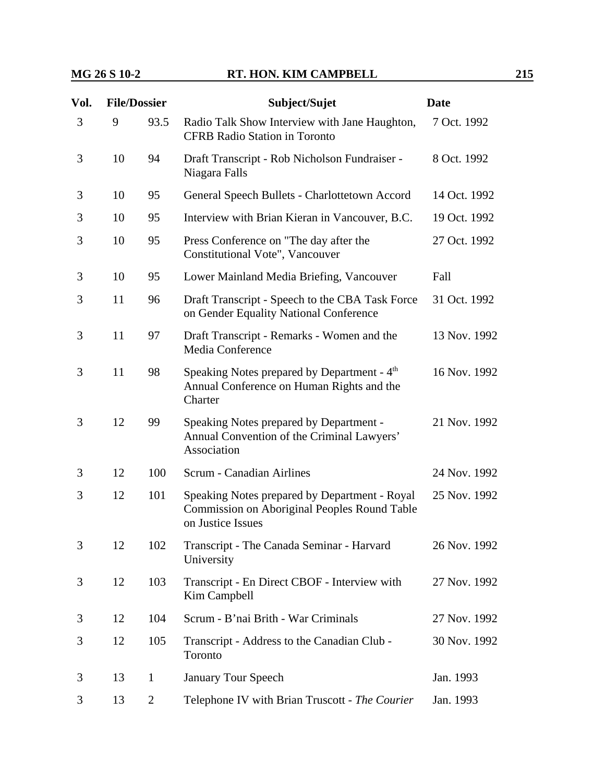| Vol. | <b>File/Dossier</b> |                | Subject/Sujet                                                                                                             | <b>Date</b>  |
|------|---------------------|----------------|---------------------------------------------------------------------------------------------------------------------------|--------------|
| 3    | 9                   | 93.5           | Radio Talk Show Interview with Jane Haughton,<br><b>CFRB Radio Station in Toronto</b>                                     | 7 Oct. 1992  |
| 3    | 10                  | 94             | Draft Transcript - Rob Nicholson Fundraiser -<br>Niagara Falls                                                            | 8 Oct. 1992  |
| 3    | 10                  | 95             | General Speech Bullets - Charlottetown Accord                                                                             | 14 Oct. 1992 |
| 3    | 10                  | 95             | Interview with Brian Kieran in Vancouver, B.C.                                                                            | 19 Oct. 1992 |
| 3    | 10                  | 95             | Press Conference on "The day after the<br>Constitutional Vote", Vancouver                                                 | 27 Oct. 1992 |
| 3    | 10                  | 95             | Lower Mainland Media Briefing, Vancouver                                                                                  | Fall         |
| 3    | 11                  | 96             | Draft Transcript - Speech to the CBA Task Force<br>on Gender Equality National Conference                                 | 31 Oct. 1992 |
| 3    | 11                  | 97             | Draft Transcript - Remarks - Women and the<br>Media Conference                                                            | 13 Nov. 1992 |
| 3    | 11                  | 98             | Speaking Notes prepared by Department - 4 <sup>th</sup><br>Annual Conference on Human Rights and the<br>Charter           | 16 Nov. 1992 |
| 3    | 12                  | 99             | Speaking Notes prepared by Department -<br>Annual Convention of the Criminal Lawyers'<br>Association                      | 21 Nov. 1992 |
| 3    | 12                  | 100            | <b>Scrum - Canadian Airlines</b>                                                                                          | 24 Nov. 1992 |
| 3    | 12                  | 101            | Speaking Notes prepared by Department - Royal<br><b>Commission on Aboriginal Peoples Round Table</b><br>on Justice Issues | 25 Nov. 1992 |
| 3    | 12                  | 102            | Transcript - The Canada Seminar - Harvard<br>University                                                                   | 26 Nov. 1992 |
| 3    | 12                  | 103            | Transcript - En Direct CBOF - Interview with<br>Kim Campbell                                                              | 27 Nov. 1992 |
| 3    | 12                  | 104            | Scrum - B'nai Brith - War Criminals                                                                                       | 27 Nov. 1992 |
| 3    | 12                  | 105            | Transcript - Address to the Canadian Club -<br>Toronto                                                                    | 30 Nov. 1992 |
| 3    | 13                  | $\mathbf{1}$   | <b>January Tour Speech</b>                                                                                                | Jan. 1993    |
| 3    | 13                  | $\overline{2}$ | Telephone IV with Brian Truscott - The Courier                                                                            | Jan. 1993    |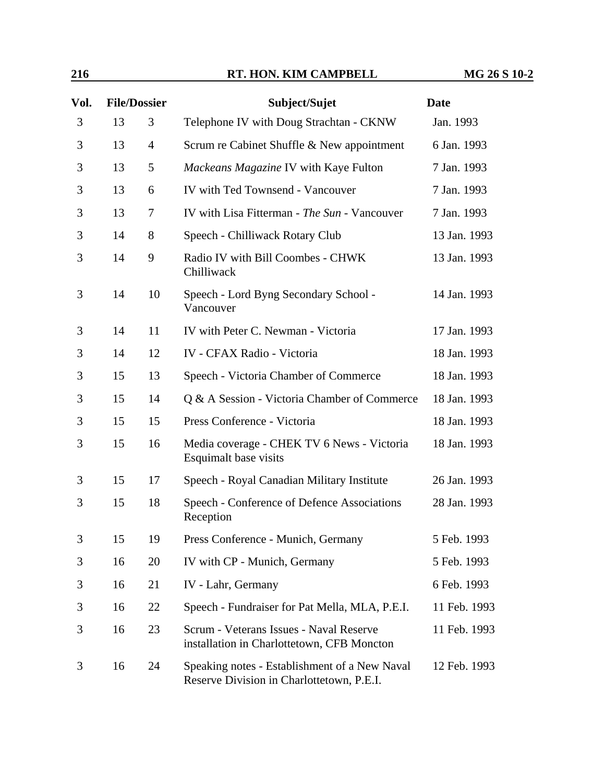## **216 RT. HON. KIM CAMPBELL MG 26 S 10-2**

| Vol.           | <b>File/Dossier</b> |                | Subject/Sujet                                                                              | <b>Date</b>  |  |
|----------------|---------------------|----------------|--------------------------------------------------------------------------------------------|--------------|--|
| 3              | 13                  | 3              | Telephone IV with Doug Strachtan - CKNW                                                    | Jan. 1993    |  |
| 3              | 13                  | $\overline{4}$ | Scrum re Cabinet Shuffle & New appointment                                                 | 6 Jan. 1993  |  |
| 3              | 13                  | 5              | Mackeans Magazine IV with Kaye Fulton                                                      | 7 Jan. 1993  |  |
| 3              | 13                  | 6              | IV with Ted Townsend - Vancouver                                                           | 7 Jan. 1993  |  |
| 3              | 13                  | 7              | IV with Lisa Fitterman - The Sun - Vancouver                                               | 7 Jan. 1993  |  |
| 3              | 14                  | 8              | Speech - Chilliwack Rotary Club                                                            | 13 Jan. 1993 |  |
| 3              | 14                  | 9              | Radio IV with Bill Coombes - CHWK<br>Chilliwack                                            | 13 Jan. 1993 |  |
| 3              | 14                  | 10             | Speech - Lord Byng Secondary School -<br>Vancouver                                         | 14 Jan. 1993 |  |
| 3              | 14                  | 11             | IV with Peter C. Newman - Victoria                                                         | 17 Jan. 1993 |  |
| 3              | 14                  | 12             | <b>IV - CFAX Radio - Victoria</b>                                                          | 18 Jan. 1993 |  |
| 3              | 15                  | 13             | Speech - Victoria Chamber of Commerce                                                      | 18 Jan. 1993 |  |
| 3              | 15                  | 14             | Q & A Session - Victoria Chamber of Commerce                                               | 18 Jan. 1993 |  |
| 3              | 15                  | 15             | Press Conference - Victoria                                                                | 18 Jan. 1993 |  |
| 3              | 15                  | 16             | Media coverage - CHEK TV 6 News - Victoria<br>Esquimalt base visits                        | 18 Jan. 1993 |  |
| 3              | 15                  | 17             | Speech - Royal Canadian Military Institute                                                 | 26 Jan. 1993 |  |
| 3              | 15                  | 18             | Speech - Conference of Defence Associations<br>Reception                                   | 28 Jan. 1993 |  |
| $\mathfrak{Z}$ | 15                  | 19             | Press Conference - Munich, Germany                                                         | 5 Feb. 1993  |  |
| 3              | 16                  | 20             | IV with CP - Munich, Germany                                                               | 5 Feb. 1993  |  |
| 3              | 16                  | 21             | IV - Lahr, Germany                                                                         | 6 Feb. 1993  |  |
| 3              | 16                  | 22             | Speech - Fundraiser for Pat Mella, MLA, P.E.I.                                             | 11 Feb. 1993 |  |
| 3              | 16                  | 23             | Scrum - Veterans Issues - Naval Reserve<br>installation in Charlottetown, CFB Moncton      | 11 Feb. 1993 |  |
| 3              | 16                  | 24             | Speaking notes - Establishment of a New Naval<br>Reserve Division in Charlottetown, P.E.I. | 12 Feb. 1993 |  |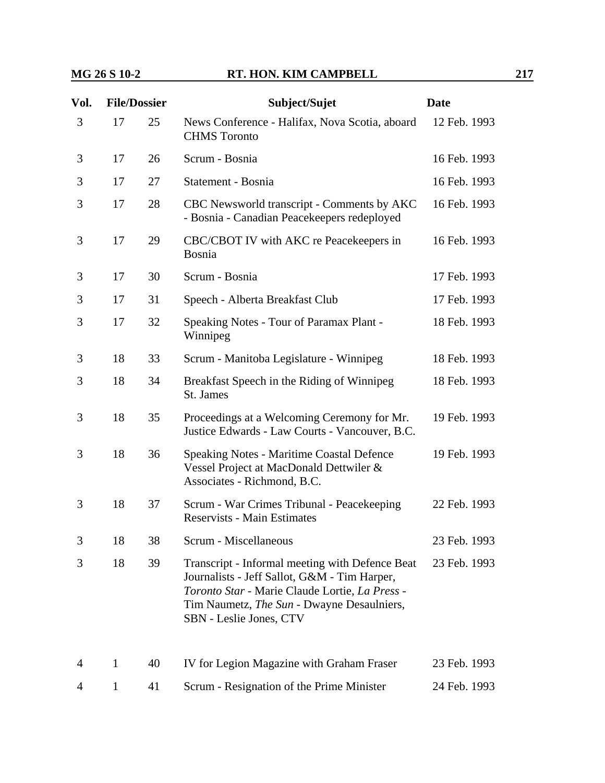| Vol. | <b>File/Dossier</b> |    | Subject/Sujet                                                                                                                                                                                                              | <b>Date</b>  |
|------|---------------------|----|----------------------------------------------------------------------------------------------------------------------------------------------------------------------------------------------------------------------------|--------------|
| 3    | 17                  | 25 | News Conference - Halifax, Nova Scotia, aboard<br><b>CHMS</b> Toronto                                                                                                                                                      | 12 Feb. 1993 |
| 3    | 17                  | 26 | Scrum - Bosnia                                                                                                                                                                                                             | 16 Feb. 1993 |
| 3    | 17                  | 27 | Statement - Bosnia                                                                                                                                                                                                         | 16 Feb. 1993 |
| 3    | 17                  | 28 | CBC Newsworld transcript - Comments by AKC<br>- Bosnia - Canadian Peacekeepers redeployed                                                                                                                                  | 16 Feb. 1993 |
| 3    | 17                  | 29 | CBC/CBOT IV with AKC re Peacekeepers in<br>Bosnia                                                                                                                                                                          | 16 Feb. 1993 |
| 3    | 17                  | 30 | Scrum - Bosnia                                                                                                                                                                                                             | 17 Feb. 1993 |
| 3    | 17                  | 31 | Speech - Alberta Breakfast Club                                                                                                                                                                                            | 17 Feb. 1993 |
| 3    | 17                  | 32 | Speaking Notes - Tour of Paramax Plant -<br>Winnipeg                                                                                                                                                                       | 18 Feb. 1993 |
| 3    | 18                  | 33 | Scrum - Manitoba Legislature - Winnipeg                                                                                                                                                                                    | 18 Feb. 1993 |
| 3    | 18                  | 34 | Breakfast Speech in the Riding of Winnipeg<br>St. James                                                                                                                                                                    | 18 Feb. 1993 |
| 3    | 18                  | 35 | Proceedings at a Welcoming Ceremony for Mr.<br>Justice Edwards - Law Courts - Vancouver, B.C.                                                                                                                              | 19 Feb. 1993 |
| 3    | 18                  | 36 | <b>Speaking Notes - Maritime Coastal Defence</b><br>Vessel Project at MacDonald Dettwiler &<br>Associates - Richmond, B.C.                                                                                                 | 19 Feb. 1993 |
| 3    | 18                  | 37 | Scrum - War Crimes Tribunal - Peacekeeping<br><b>Reservists - Main Estimates</b>                                                                                                                                           | 22 Feb. 1993 |
| 3    | 18                  | 38 | Scrum - Miscellaneous                                                                                                                                                                                                      | 23 Feb. 1993 |
| 3    | 18                  | 39 | Transcript - Informal meeting with Defence Beat<br>Journalists - Jeff Sallot, G&M - Tim Harper,<br>Toronto Star - Marie Claude Lortie, La Press -<br>Tim Naumetz, The Sun - Dwayne Desaulniers,<br>SBN - Leslie Jones, CTV | 23 Feb. 1993 |
| 4    | 1                   | 40 | IV for Legion Magazine with Graham Fraser                                                                                                                                                                                  | 23 Feb. 1993 |
| 4    | 1                   | 41 | Scrum - Resignation of the Prime Minister                                                                                                                                                                                  | 24 Feb. 1993 |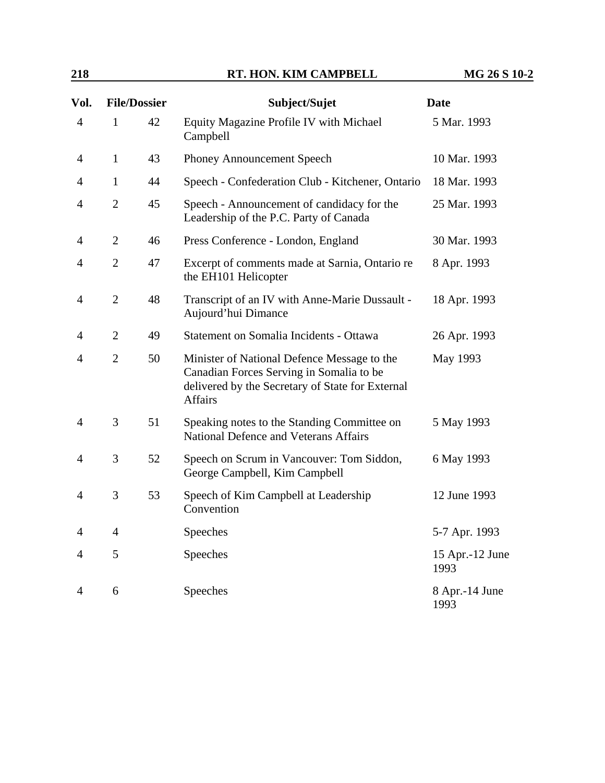## **218 RT. HON. KIM CAMPBELL MG 26 S 10-2**

| Vol.           |                | <b>File/Dossier</b> | Subject/Sujet                                                                                                                                                 | <b>Date</b>             |
|----------------|----------------|---------------------|---------------------------------------------------------------------------------------------------------------------------------------------------------------|-------------------------|
| $\overline{4}$ | $\mathbf{1}$   | 42                  | Equity Magazine Profile IV with Michael<br>Campbell                                                                                                           | 5 Mar. 1993             |
| 4              | $\mathbf{1}$   | 43                  | Phoney Announcement Speech                                                                                                                                    | 10 Mar. 1993            |
| $\overline{4}$ | $\mathbf{1}$   | 44                  | Speech - Confederation Club - Kitchener, Ontario                                                                                                              | 18 Mar. 1993            |
| $\overline{4}$ | $\overline{2}$ | 45                  | Speech - Announcement of candidacy for the<br>Leadership of the P.C. Party of Canada                                                                          | 25 Mar. 1993            |
| 4              | $\overline{2}$ | 46                  | Press Conference - London, England                                                                                                                            | 30 Mar. 1993            |
| 4              | $\mathbf{2}$   | 47                  | Excerpt of comments made at Sarnia, Ontario re<br>the EH101 Helicopter                                                                                        | 8 Apr. 1993             |
| $\overline{4}$ | $\overline{2}$ | 48                  | Transcript of an IV with Anne-Marie Dussault -<br>Aujourd'hui Dimance                                                                                         | 18 Apr. 1993            |
| 4              | $\overline{2}$ | 49                  | Statement on Somalia Incidents - Ottawa                                                                                                                       | 26 Apr. 1993            |
| 4              | $\overline{2}$ | 50                  | Minister of National Defence Message to the<br>Canadian Forces Serving in Somalia to be<br>delivered by the Secretary of State for External<br><b>Affairs</b> | May 1993                |
| 4              | 3              | 51                  | Speaking notes to the Standing Committee on<br>National Defence and Veterans Affairs                                                                          | 5 May 1993              |
| $\overline{4}$ | 3              | 52                  | Speech on Scrum in Vancouver: Tom Siddon,<br>George Campbell, Kim Campbell                                                                                    | 6 May 1993              |
| 4              | 3              | 53                  | Speech of Kim Campbell at Leadership<br>Convention                                                                                                            | 12 June 1993            |
| 4              | $\overline{4}$ |                     | Speeches                                                                                                                                                      | 5-7 Apr. 1993           |
| 4              | 5              |                     | Speeches                                                                                                                                                      | 15 Apr.-12 June<br>1993 |
| $\overline{4}$ | 6              |                     | Speeches                                                                                                                                                      | 8 Apr.-14 June<br>1993  |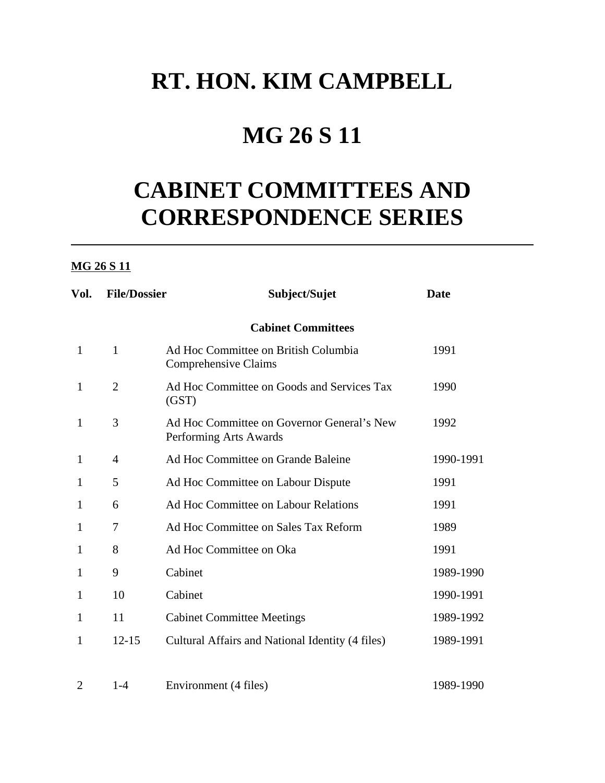## **RT. HON. KIM CAMPBELL**

## **MG 26 S 11**

# **CABINET COMMITTEES AND CORRESPONDENCE SERIES**

### **MG 26 S 11**

| Vol.           | <b>File/Dossier</b> | Subject/Sujet                                                        | <b>Date</b> |
|----------------|---------------------|----------------------------------------------------------------------|-------------|
|                |                     | <b>Cabinet Committees</b>                                            |             |
| $\mathbf{1}$   | $\mathbf{1}$        | Ad Hoc Committee on British Columbia<br>Comprehensive Claims         | 1991        |
| $\mathbf{1}$   | $\overline{2}$      | Ad Hoc Committee on Goods and Services Tax<br>(GST)                  | 1990        |
| 1              | 3                   | Ad Hoc Committee on Governor General's New<br>Performing Arts Awards | 1992        |
| $\mathbf{1}$   | 4                   | Ad Hoc Committee on Grande Baleine                                   | 1990-1991   |
| 1              | 5                   | Ad Hoc Committee on Labour Dispute                                   | 1991        |
| 1              | 6                   | Ad Hoc Committee on Labour Relations                                 | 1991        |
| 1              | 7                   | Ad Hoc Committee on Sales Tax Reform                                 | 1989        |
| 1              | 8                   | Ad Hoc Committee on Oka                                              | 1991        |
| 1              | 9                   | Cabinet                                                              | 1989-1990   |
| 1              | 10                  | Cabinet                                                              | 1990-1991   |
| 1              | 11                  | <b>Cabinet Committee Meetings</b>                                    | 1989-1992   |
| 1              | $12 - 15$           | Cultural Affairs and National Identity (4 files)                     | 1989-1991   |
| $\overline{2}$ | $1 - 4$             | Environment (4 files)                                                | 1989-1990   |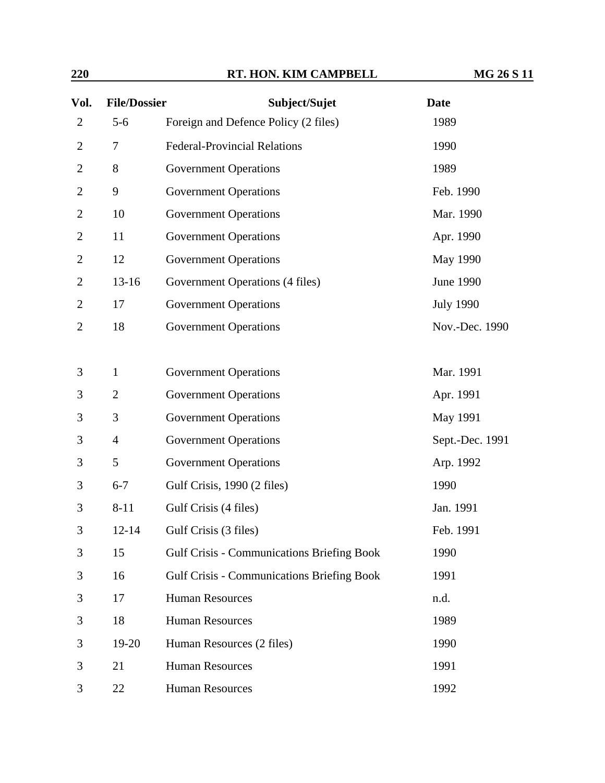| 220 | RT. HON. KIM CAMPBELL | <b>MG 26 S 11</b> |
|-----|-----------------------|-------------------|
|     |                       |                   |

| Vol.           | <b>File/Dossier</b> | Subject/Sujet                                     | <b>Date</b>      |
|----------------|---------------------|---------------------------------------------------|------------------|
| $\overline{2}$ | $5 - 6$             | Foreign and Defence Policy (2 files)              | 1989             |
| $\overline{2}$ | 7                   | <b>Federal-Provincial Relations</b>               | 1990             |
| $\overline{2}$ | 8                   | <b>Government Operations</b>                      | 1989             |
| $\mathbf{2}$   | 9                   | <b>Government Operations</b>                      | Feb. 1990        |
| $\overline{c}$ | 10                  | <b>Government Operations</b>                      | Mar. 1990        |
| $\mathbf{2}$   | 11                  | <b>Government Operations</b>                      | Apr. 1990        |
| $\overline{2}$ | 12                  | <b>Government Operations</b>                      | May 1990         |
| $\overline{c}$ | $13 - 16$           | Government Operations (4 files)                   | June 1990        |
| $\overline{2}$ | 17                  | <b>Government Operations</b>                      | <b>July 1990</b> |
| $\mathbf{2}$   | 18                  | <b>Government Operations</b>                      | Nov.-Dec. 1990   |
|                |                     |                                                   |                  |
| 3              | $\mathbf{1}$        | <b>Government Operations</b>                      | Mar. 1991        |
| 3              | $\overline{2}$      | <b>Government Operations</b>                      | Apr. 1991        |
| 3              | 3                   | <b>Government Operations</b>                      | May 1991         |
| 3              | $\overline{4}$      | <b>Government Operations</b>                      | Sept.-Dec. 1991  |
| 3              | 5                   | <b>Government Operations</b>                      | Arp. 1992        |
| 3              | $6 - 7$             | Gulf Crisis, 1990 (2 files)                       | 1990             |
| 3              | $8 - 11$            | Gulf Crisis (4 files)                             | Jan. 1991        |
| 3              | $12 - 14$           | Gulf Crisis (3 files)                             | Feb. 1991        |
| 3              | 15                  | <b>Gulf Crisis - Communications Briefing Book</b> | 1990             |
| 3              | 16                  | <b>Gulf Crisis - Communications Briefing Book</b> | 1991             |
| 3              | 17                  | <b>Human Resources</b>                            | n.d.             |
| 3              | 18                  | <b>Human Resources</b>                            | 1989             |
| 3              | 19-20               | Human Resources (2 files)                         | 1990             |
| 3              | 21                  | <b>Human Resources</b>                            | 1991             |
| 3              | 22                  | <b>Human Resources</b>                            | 1992             |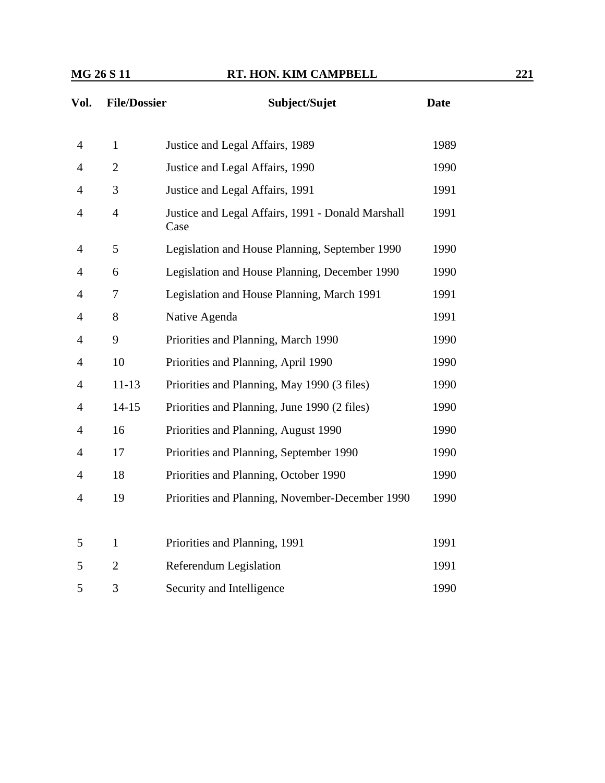| Vol.           | <b>File/Dossier</b> | Subject/Sujet                                             | <b>Date</b> |
|----------------|---------------------|-----------------------------------------------------------|-------------|
| $\overline{4}$ | $\mathbf{1}$        | Justice and Legal Affairs, 1989                           | 1989        |
| $\overline{4}$ | $\overline{2}$      | Justice and Legal Affairs, 1990                           | 1990        |
| $\overline{4}$ | 3                   | Justice and Legal Affairs, 1991                           | 1991        |
| $\overline{4}$ | $\overline{4}$      | Justice and Legal Affairs, 1991 - Donald Marshall<br>Case | 1991        |
| $\overline{4}$ | 5                   | Legislation and House Planning, September 1990            | 1990        |
| $\overline{4}$ | 6                   | Legislation and House Planning, December 1990             | 1990        |
| $\overline{4}$ | $\tau$              | Legislation and House Planning, March 1991                | 1991        |
| $\overline{4}$ | 8                   | Native Agenda                                             | 1991        |
| $\overline{4}$ | 9                   | Priorities and Planning, March 1990                       | 1990        |
| $\overline{4}$ | 10                  | Priorities and Planning, April 1990                       | 1990        |
| $\overline{4}$ | $11 - 13$           | Priorities and Planning, May 1990 (3 files)               | 1990        |
| $\overline{4}$ | $14 - 15$           | Priorities and Planning, June 1990 (2 files)              | 1990        |
| $\overline{4}$ | 16                  | Priorities and Planning, August 1990                      | 1990        |
| $\overline{4}$ | 17                  | Priorities and Planning, September 1990                   | 1990        |
| $\overline{4}$ | 18                  | Priorities and Planning, October 1990                     | 1990        |
| $\overline{4}$ | 19                  | Priorities and Planning, November-December 1990           | 1990        |
|                |                     |                                                           |             |
| 5              | $\mathbf{1}$        | Priorities and Planning, 1991                             | 1991        |
| 5              | $\overline{c}$      | <b>Referendum Legislation</b>                             | 1991        |
| 5              | 3                   | Security and Intelligence                                 | 1990        |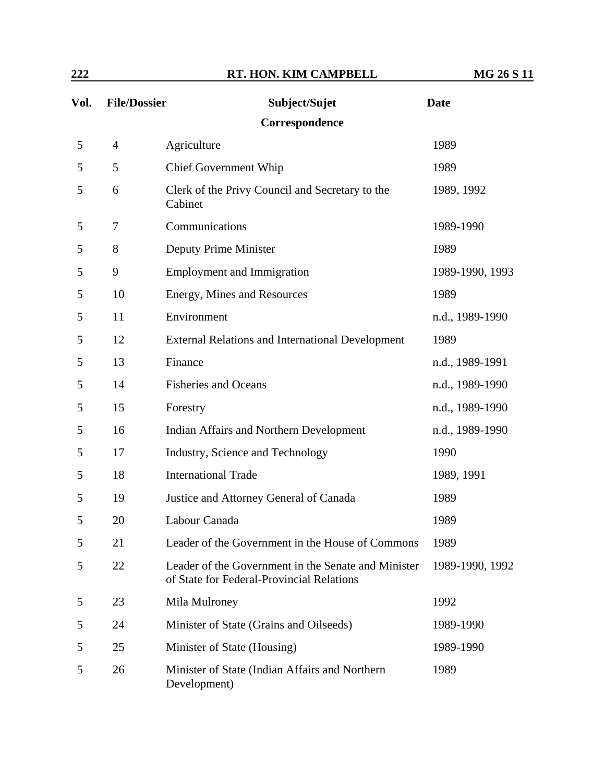| 222  |                     | RT. HON. KIM CAMPBELL                                                                            | <b>MG 26 S 11</b> |
|------|---------------------|--------------------------------------------------------------------------------------------------|-------------------|
| Vol. | <b>File/Dossier</b> | Subject/Sujet                                                                                    | <b>Date</b>       |
|      |                     | Correspondence                                                                                   |                   |
| 5    | $\overline{4}$      | Agriculture                                                                                      | 1989              |
| 5    | 5                   | <b>Chief Government Whip</b>                                                                     | 1989              |
| 5    | 6                   | Clerk of the Privy Council and Secretary to the<br>Cabinet                                       | 1989, 1992        |
| 5    | 7                   | Communications                                                                                   | 1989-1990         |
| 5    | 8                   | Deputy Prime Minister                                                                            | 1989              |
| 5    | 9                   | <b>Employment and Immigration</b>                                                                | 1989-1990, 1993   |
| 5    | 10                  | Energy, Mines and Resources                                                                      | 1989              |
| 5    | 11                  | Environment                                                                                      | n.d., 1989-1990   |
| 5    | 12                  | <b>External Relations and International Development</b>                                          | 1989              |
| 5    | 13                  | Finance                                                                                          | n.d., 1989-1991   |
| 5    | 14                  | <b>Fisheries and Oceans</b>                                                                      | n.d., 1989-1990   |
| 5    | 15                  | Forestry                                                                                         | n.d., 1989-1990   |
| 5    | 16                  | <b>Indian Affairs and Northern Development</b>                                                   | n.d., 1989-1990   |
| 5    | 17                  | Industry, Science and Technology                                                                 | 1990              |
| 5    | 18                  | <b>International Trade</b>                                                                       | 1989, 1991        |
| 5    | 19                  | Justice and Attorney General of Canada                                                           | 1989              |
| 5    | 20                  | Labour Canada                                                                                    | 1989              |
| 5    | 21                  | Leader of the Government in the House of Commons                                                 | 1989              |
| 5    | 22                  | Leader of the Government in the Senate and Minister<br>of State for Federal-Provincial Relations | 1989-1990, 1992   |
| 5    | 23                  | Mila Mulroney                                                                                    | 1992              |
| 5    | 24                  | Minister of State (Grains and Oilseeds)                                                          | 1989-1990         |
| 5    | 25                  | Minister of State (Housing)                                                                      | 1989-1990         |
| 5    | 26                  | Minister of State (Indian Affairs and Northern<br>Development)                                   | 1989              |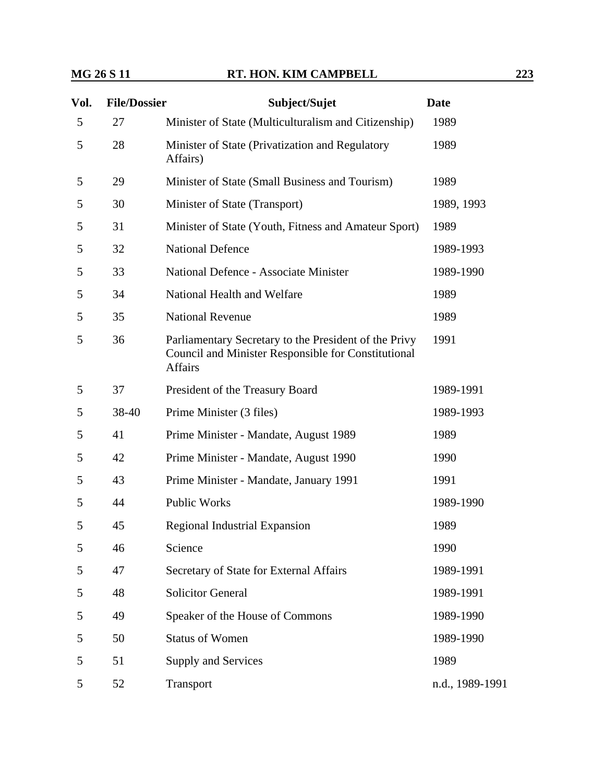| Vol. | <b>File/Dossier</b> | Subject/Sujet                                                                                                                         | <b>Date</b>     |
|------|---------------------|---------------------------------------------------------------------------------------------------------------------------------------|-----------------|
| 5    | 27                  | Minister of State (Multiculturalism and Citizenship)                                                                                  | 1989            |
| 5    | 28                  | Minister of State (Privatization and Regulatory<br>Affairs)                                                                           | 1989            |
| 5    | 29                  | Minister of State (Small Business and Tourism)                                                                                        | 1989            |
| 5    | 30                  | Minister of State (Transport)                                                                                                         | 1989, 1993      |
| 5    | 31                  | Minister of State (Youth, Fitness and Amateur Sport)                                                                                  | 1989            |
| 5    | 32                  | <b>National Defence</b>                                                                                                               | 1989-1993       |
| 5    | 33                  | <b>National Defence - Associate Minister</b>                                                                                          | 1989-1990       |
| 5    | 34                  | National Health and Welfare                                                                                                           | 1989            |
| 5    | 35                  | <b>National Revenue</b>                                                                                                               | 1989            |
| 5    | 36                  | Parliamentary Secretary to the President of the Privy<br><b>Council and Minister Responsible for Constitutional</b><br><b>Affairs</b> | 1991            |
| 5    | 37                  | President of the Treasury Board                                                                                                       | 1989-1991       |
| 5    | 38-40               | Prime Minister (3 files)                                                                                                              | 1989-1993       |
| 5    | 41                  | Prime Minister - Mandate, August 1989                                                                                                 | 1989            |
| 5    | 42                  | Prime Minister - Mandate, August 1990                                                                                                 | 1990            |
| 5    | 43                  | Prime Minister - Mandate, January 1991                                                                                                | 1991            |
| 5    | 44                  | <b>Public Works</b>                                                                                                                   | 1989-1990       |
| 5    | 45                  | Regional Industrial Expansion                                                                                                         | 1989            |
| 5    | 46                  | Science                                                                                                                               | 1990            |
| 5    | 47                  | Secretary of State for External Affairs                                                                                               | 1989-1991       |
| 5    | 48                  | <b>Solicitor General</b>                                                                                                              | 1989-1991       |
| 5    | 49                  | Speaker of the House of Commons                                                                                                       | 1989-1990       |
| 5    | 50                  | <b>Status of Women</b>                                                                                                                | 1989-1990       |
| 5    | 51                  | Supply and Services                                                                                                                   | 1989            |
| 5    | 52                  | Transport                                                                                                                             | n.d., 1989-1991 |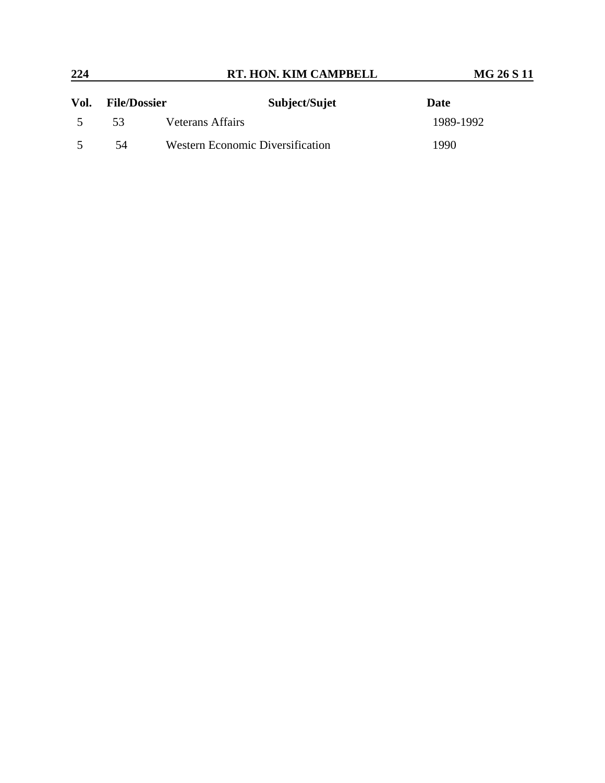| 224  |                     | RT. HON. KIM CAMPBELL                   | <b>MG 26 S 11</b> |  |
|------|---------------------|-----------------------------------------|-------------------|--|
| Vol. | <b>File/Dossier</b> | Subject/Sujet                           | Date              |  |
|      | 53                  | <b>Veterans Affairs</b>                 | 1989-1992         |  |
|      | 54                  | <b>Western Economic Diversification</b> | 1990              |  |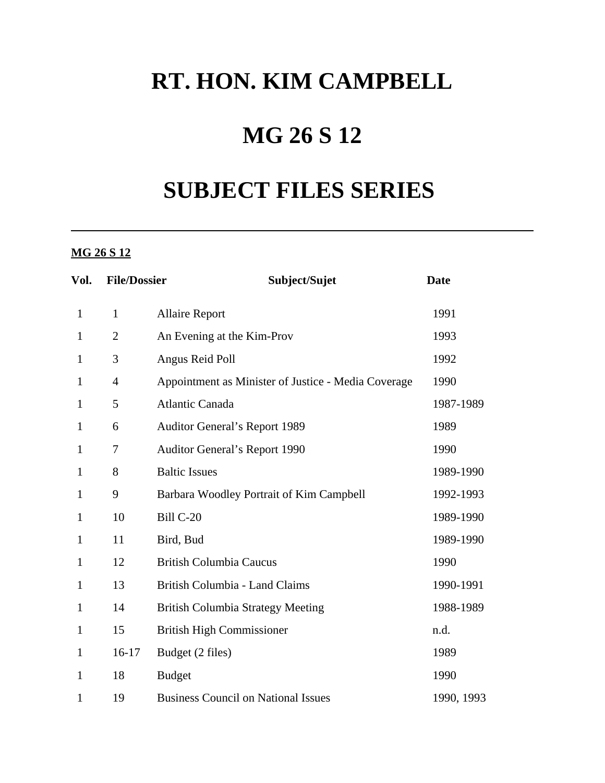## **RT. HON. KIM CAMPBELL**

## **MG 26 S 12**

# **SUBJECT FILES SERIES**

### **MG 26 S 12**

| Vol.         | <b>File/Dossier</b> | Subject/Sujet                                       | <b>Date</b> |
|--------------|---------------------|-----------------------------------------------------|-------------|
| $\mathbf{1}$ | $\mathbf{1}$        | <b>Allaire Report</b>                               | 1991        |
| $\mathbf{1}$ | $\overline{2}$      | An Evening at the Kim-Prov                          | 1993        |
| $\mathbf{1}$ | 3                   | Angus Reid Poll                                     | 1992        |
| $\mathbf{1}$ | $\overline{4}$      | Appointment as Minister of Justice - Media Coverage | 1990        |
| $\mathbf{1}$ | 5                   | <b>Atlantic Canada</b>                              | 1987-1989   |
| $\mathbf{1}$ | 6                   | <b>Auditor General's Report 1989</b>                | 1989        |
| $\mathbf{1}$ | 7                   | <b>Auditor General's Report 1990</b>                | 1990        |
| $\mathbf{1}$ | 8                   | <b>Baltic Issues</b>                                | 1989-1990   |
| $\mathbf{1}$ | 9                   | Barbara Woodley Portrait of Kim Campbell            | 1992-1993   |
| $\mathbf{1}$ | 10                  | Bill C-20                                           | 1989-1990   |
| $\mathbf{1}$ | 11                  | Bird, Bud                                           | 1989-1990   |
| $\mathbf{1}$ | 12                  | <b>British Columbia Caucus</b>                      | 1990        |
| $\mathbf{1}$ | 13                  | British Columbia - Land Claims                      | 1990-1991   |
| $\mathbf{1}$ | 14                  | <b>British Columbia Strategy Meeting</b>            | 1988-1989   |
| $\mathbf{1}$ | 15                  | <b>British High Commissioner</b>                    | n.d.        |
| $\mathbf{1}$ | $16-17$             | Budget (2 files)                                    | 1989        |
| $\mathbf{1}$ | 18                  | <b>Budget</b>                                       | 1990        |
| $\mathbf{1}$ | 19                  | <b>Business Council on National Issues</b>          | 1990, 1993  |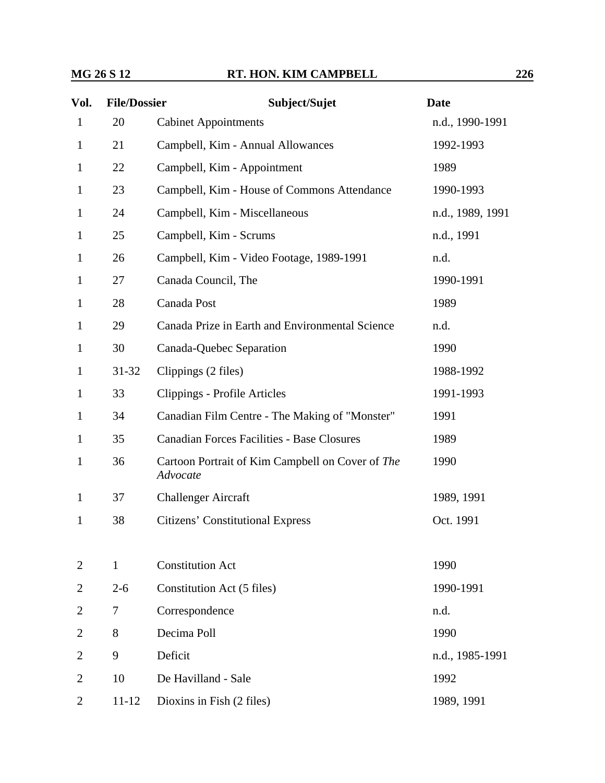| Vol.           | <b>File/Dossier</b> | Subject/Sujet                                                | <b>Date</b>      |
|----------------|---------------------|--------------------------------------------------------------|------------------|
| $\mathbf{1}$   | 20                  | <b>Cabinet Appointments</b>                                  | n.d., 1990-1991  |
| $\mathbf{1}$   | 21                  | Campbell, Kim - Annual Allowances                            | 1992-1993        |
| $\mathbf{1}$   | 22                  | Campbell, Kim - Appointment                                  | 1989             |
| $\mathbf{1}$   | 23                  | Campbell, Kim - House of Commons Attendance                  | 1990-1993        |
| $\mathbf{1}$   | 24                  | Campbell, Kim - Miscellaneous                                | n.d., 1989, 1991 |
| $\mathbf{1}$   | 25                  | Campbell, Kim - Scrums                                       | n.d., 1991       |
| $\mathbf{1}$   | 26                  | Campbell, Kim - Video Footage, 1989-1991                     | n.d.             |
| $\mathbf{1}$   | 27                  | Canada Council, The                                          | 1990-1991        |
| $\mathbf{1}$   | 28                  | Canada Post                                                  | 1989             |
| $\mathbf{1}$   | 29                  | Canada Prize in Earth and Environmental Science              | n.d.             |
| $\mathbf{1}$   | 30                  | Canada-Quebec Separation                                     | 1990             |
| $\mathbf{1}$   | $31 - 32$           | Clippings (2 files)                                          | 1988-1992        |
| 1              | 33                  | Clippings - Profile Articles                                 | 1991-1993        |
| $\mathbf{1}$   | 34                  | Canadian Film Centre - The Making of "Monster"               | 1991             |
| $\mathbf{1}$   | 35                  | <b>Canadian Forces Facilities - Base Closures</b>            | 1989             |
| $\mathbf{1}$   | 36                  | Cartoon Portrait of Kim Campbell on Cover of The<br>Advocate | 1990             |
| $\mathbf{1}$   | 37                  | <b>Challenger Aircraft</b>                                   | 1989, 1991       |
| $\mathbf{1}$   | 38                  | <b>Citizens' Constitutional Express</b>                      | Oct. 1991        |
| 2              | $\mathbf{1}$        | <b>Constitution Act</b>                                      | 1990             |
| $\overline{2}$ | $2 - 6$             | Constitution Act (5 files)                                   | 1990-1991        |
| $\overline{2}$ | 7                   | Correspondence                                               | n.d.             |
| $\overline{2}$ | 8                   | Decima Poll                                                  | 1990             |
| $\overline{2}$ | 9                   | Deficit                                                      | n.d., 1985-1991  |
| $\overline{2}$ | 10                  | De Havilland - Sale                                          | 1992             |
| $\overline{2}$ | $11 - 12$           | Dioxins in Fish (2 files)                                    | 1989, 1991       |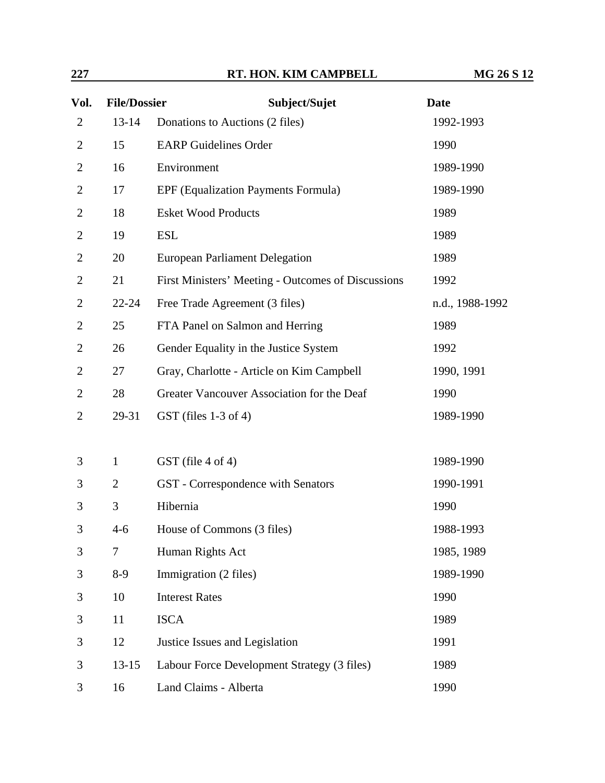| 227            |                     | RT. HON. KIM CAMPBELL                              | <b>MG 26 S 12</b> |
|----------------|---------------------|----------------------------------------------------|-------------------|
| Vol.           | <b>File/Dossier</b> | Subject/Sujet                                      | <b>Date</b>       |
| $\overline{2}$ | $13 - 14$           | Donations to Auctions (2 files)                    | 1992-1993         |
| $\overline{2}$ | 15                  | <b>EARP</b> Guidelines Order                       | 1990              |
| $\overline{2}$ | 16                  | Environment                                        | 1989-1990         |
| $\overline{2}$ | 17                  | <b>EPF</b> (Equalization Payments Formula)         | 1989-1990         |
| $\overline{2}$ | 18                  | <b>Esket Wood Products</b>                         | 1989              |
| $\overline{2}$ | 19                  | <b>ESL</b>                                         | 1989              |
| $\overline{2}$ | 20                  | <b>European Parliament Delegation</b>              | 1989              |
| $\overline{2}$ | 21                  | First Ministers' Meeting - Outcomes of Discussions | 1992              |
| $\overline{2}$ | $22 - 24$           | Free Trade Agreement (3 files)                     | n.d., 1988-1992   |
| $\overline{2}$ | 25                  | FTA Panel on Salmon and Herring                    | 1989              |
| $\overline{2}$ | 26                  | Gender Equality in the Justice System              | 1992              |
| $\overline{2}$ | 27                  | Gray, Charlotte - Article on Kim Campbell          | 1990, 1991        |
| $\overline{2}$ | 28                  | Greater Vancouver Association for the Deaf         | 1990              |
| $\overline{2}$ | 29-31               | $GST$ (files 1-3 of 4)                             | 1989-1990         |
|                |                     |                                                    |                   |
| 3              | $\mathbf{1}$        | GST (file 4 of 4)                                  | 1989-1990         |
| 3              | $\overline{2}$      | GST - Correspondence with Senators                 | 1990-1991         |
| 3              | 3                   | Hibernia                                           | 1990              |
| 3              | $4-6$               | House of Commons (3 files)                         | 1988-1993         |
| 3              | $\tau$              | Human Rights Act                                   | 1985, 1989        |
| 3              | $8-9$               | Immigration (2 files)                              | 1989-1990         |
| 3              | 10                  | <b>Interest Rates</b>                              | 1990              |
| 3              | 11                  | <b>ISCA</b>                                        | 1989              |
| 3              | 12                  | Justice Issues and Legislation                     | 1991              |
| 3              | $13 - 15$           | Labour Force Development Strategy (3 files)        | 1989              |
| 3              | 16                  | Land Claims - Alberta                              | 1990              |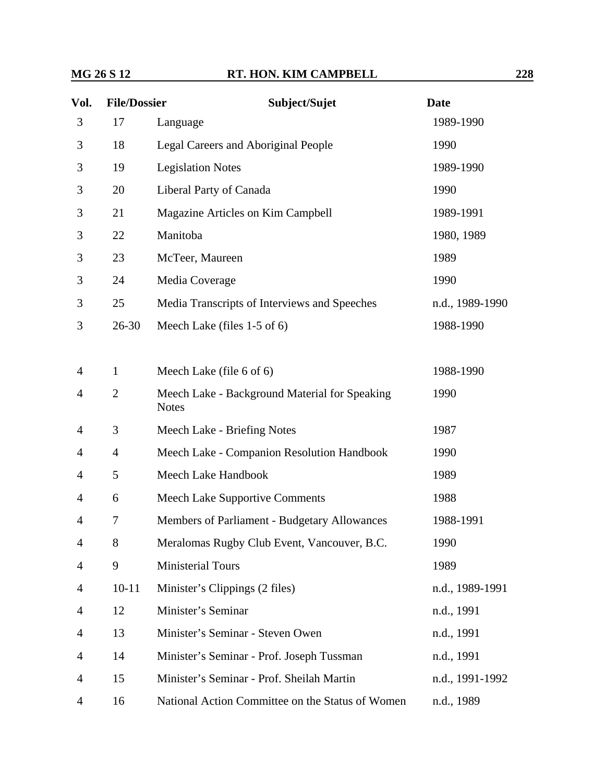**Vol.** File/Dossier

| Vol.           | <b>File/Dossier</b> | Subject/Sujet                                                 | <b>Date</b>     |
|----------------|---------------------|---------------------------------------------------------------|-----------------|
| 3              | 17                  | Language                                                      | 1989-1990       |
| 3              | 18                  | Legal Careers and Aboriginal People                           | 1990            |
| 3              | 19                  | <b>Legislation Notes</b>                                      | 1989-1990       |
| 3              | 20                  | Liberal Party of Canada                                       | 1990            |
| 3              | 21                  | Magazine Articles on Kim Campbell                             | 1989-1991       |
| 3              | 22                  | Manitoba                                                      | 1980, 1989      |
| 3              | 23                  | McTeer, Maureen                                               | 1989            |
| 3              | 24                  | Media Coverage                                                | 1990            |
| 3              | 25                  | Media Transcripts of Interviews and Speeches                  | n.d., 1989-1990 |
| 3              | $26 - 30$           | Meech Lake (files 1-5 of 6)                                   | 1988-1990       |
|                |                     |                                                               |                 |
| 4              | $\mathbf{1}$        | Meech Lake (file 6 of 6)                                      | 1988-1990       |
| $\overline{4}$ | $\overline{2}$      | Meech Lake - Background Material for Speaking<br><b>Notes</b> | 1990            |
| 4              | 3                   | Meech Lake - Briefing Notes                                   | 1987            |

|                |                | meeen Lake Daenground material for opeaning<br><b>Notes</b> |                 |
|----------------|----------------|-------------------------------------------------------------|-----------------|
| $\overline{4}$ | 3              | Meech Lake - Briefing Notes                                 | 1987            |
| $\overline{4}$ | $\overline{4}$ | Meech Lake - Companion Resolution Handbook                  | 1990            |
| $\overline{4}$ | 5              | Meech Lake Handbook                                         | 1989            |
| $\overline{4}$ | 6              | <b>Meech Lake Supportive Comments</b>                       | 1988            |
| $\overline{4}$ | 7              | Members of Parliament - Budgetary Allowances                | 1988-1991       |
| 4              | 8              | Meralomas Rugby Club Event, Vancouver, B.C.                 | 1990            |
| $\overline{4}$ | 9              | <b>Ministerial Tours</b>                                    | 1989            |
| $\overline{4}$ | $10 - 11$      | Minister's Clippings (2 files)                              | n.d., 1989-1991 |
| $\overline{4}$ | 12             | Minister's Seminar                                          | n.d., 1991      |
| $\overline{4}$ | 13             | Minister's Seminar - Steven Owen                            | n.d., 1991      |
| $\overline{4}$ | 14             | Minister's Seminar - Prof. Joseph Tussman                   | n.d., 1991      |
| $\overline{4}$ | 15             | Minister's Seminar - Prof. Sheilah Martin                   | n.d., 1991-1992 |
| $\overline{4}$ | 16             | National Action Committee on the Status of Women            | n.d., 1989      |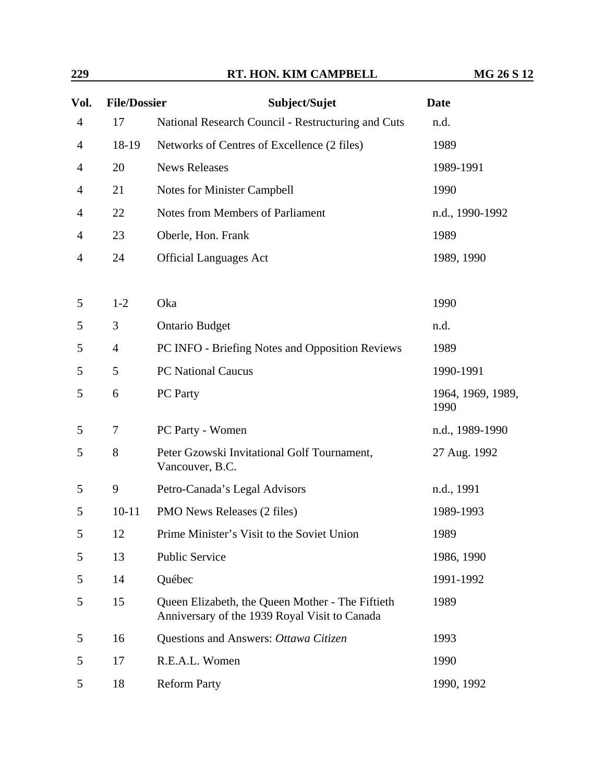| 229            |                     | RT. HON. KIM CAMPBELL                                                                             | <b>MG 26 S 12</b>         |
|----------------|---------------------|---------------------------------------------------------------------------------------------------|---------------------------|
| Vol.           | <b>File/Dossier</b> | Subject/Sujet                                                                                     | <b>Date</b>               |
| $\overline{4}$ | 17                  | National Research Council - Restructuring and Cuts                                                | n.d.                      |
| $\overline{4}$ | 18-19               | Networks of Centres of Excellence (2 files)                                                       | 1989                      |
| 4              | 20                  | <b>News Releases</b>                                                                              | 1989-1991                 |
| 4              | 21                  | Notes for Minister Campbell                                                                       | 1990                      |
| $\overline{4}$ | 22                  | Notes from Members of Parliament                                                                  | n.d., 1990-1992           |
| 4              | 23                  | Oberle, Hon. Frank                                                                                | 1989                      |
| $\overline{4}$ | 24                  | <b>Official Languages Act</b>                                                                     | 1989, 1990                |
| 5              | $1-2$               | Oka                                                                                               | 1990                      |
| 5              | 3                   | <b>Ontario Budget</b>                                                                             | n.d.                      |
| 5              | $\overline{4}$      | PC INFO - Briefing Notes and Opposition Reviews                                                   | 1989                      |
| 5              | 5                   | <b>PC</b> National Caucus                                                                         | 1990-1991                 |
| 5              | 6                   | PC Party                                                                                          | 1964, 1969, 1989,<br>1990 |
| 5              | 7                   | PC Party - Women                                                                                  | n.d., 1989-1990           |
| 5              | 8                   | Peter Gzowski Invitational Golf Tournament,<br>Vancouver, B.C.                                    | 27 Aug. 1992              |
| 5              | 9                   | Petro-Canada's Legal Advisors                                                                     | n.d., 1991                |
| 5              | $10 - 11$           | PMO News Releases (2 files)                                                                       | 1989-1993                 |
| 5              | 12                  | Prime Minister's Visit to the Soviet Union                                                        | 1989                      |
| 5              | 13                  | <b>Public Service</b>                                                                             | 1986, 1990                |
| 5              | 14                  | Québec                                                                                            | 1991-1992                 |
| 5              | 15                  | Queen Elizabeth, the Queen Mother - The Fiftieth<br>Anniversary of the 1939 Royal Visit to Canada | 1989                      |
| 5              | 16                  | Questions and Answers: Ottawa Citizen                                                             | 1993                      |
| 5              | 17                  | R.E.A.L. Women                                                                                    | 1990                      |
| 5              | 18                  | <b>Reform Party</b>                                                                               | 1990, 1992                |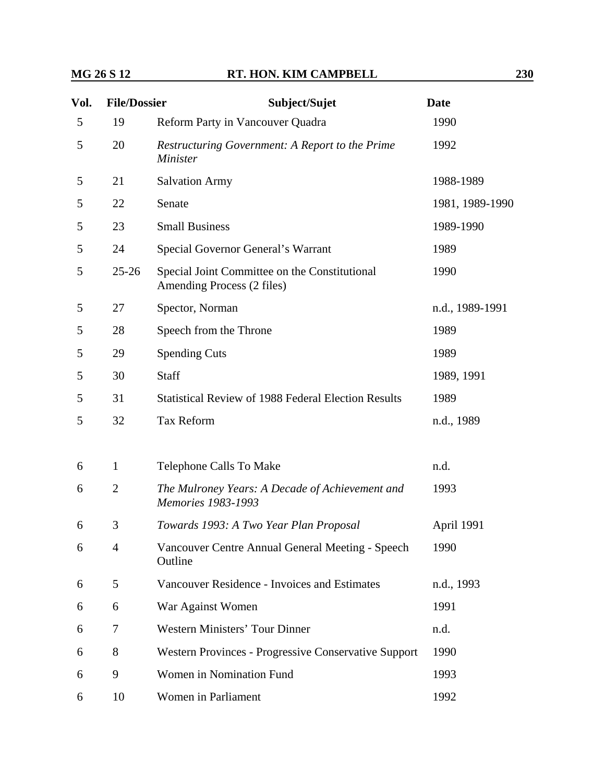| Vol. | <b>File/Dossier</b> | Subject/Sujet                                                               | <b>Date</b>     |
|------|---------------------|-----------------------------------------------------------------------------|-----------------|
| 5    | 19                  | Reform Party in Vancouver Quadra                                            | 1990            |
| 5    | 20                  | <b>Restructuring Government: A Report to the Prime</b><br><b>Minister</b>   | 1992            |
| 5    | 21                  | <b>Salvation Army</b>                                                       | 1988-1989       |
| 5    | 22                  | Senate                                                                      | 1981, 1989-1990 |
| 5    | 23                  | <b>Small Business</b>                                                       | 1989-1990       |
| 5    | 24                  | Special Governor General's Warrant                                          | 1989            |
| 5    | $25 - 26$           | Special Joint Committee on the Constitutional<br>Amending Process (2 files) | 1990            |
| 5    | 27                  | Spector, Norman                                                             | n.d., 1989-1991 |
| 5    | 28                  | Speech from the Throne                                                      | 1989            |
| 5    | 29                  | <b>Spending Cuts</b>                                                        | 1989            |
| 5    | 30                  | Staff                                                                       | 1989, 1991      |
| 5    | 31                  | <b>Statistical Review of 1988 Federal Election Results</b>                  | 1989            |
| 5    | 32                  | <b>Tax Reform</b>                                                           | n.d., 1989      |
| 6    | $\mathbf{1}$        | Telephone Calls To Make                                                     | n.d.            |
| 6    | $\overline{2}$      | The Mulroney Years: A Decade of Achievement and<br>Memories 1983-1993       | 1993            |
| 6    | 3                   | Towards 1993: A Two Year Plan Proposal                                      | April 1991      |
| 6    | $\overline{4}$      | Vancouver Centre Annual General Meeting - Speech<br>Outline                 | 1990            |
| 6    | 5                   | Vancouver Residence - Invoices and Estimates                                | n.d., 1993      |
| 6    | 6                   | War Against Women                                                           | 1991            |
| 6    | 7                   | <b>Western Ministers' Tour Dinner</b>                                       | n.d.            |
| 6    | 8                   | Western Provinces - Progressive Conservative Support                        | 1990            |
| 6    | 9                   | Women in Nomination Fund                                                    | 1993            |
| 6    | 10                  | Women in Parliament                                                         | 1992            |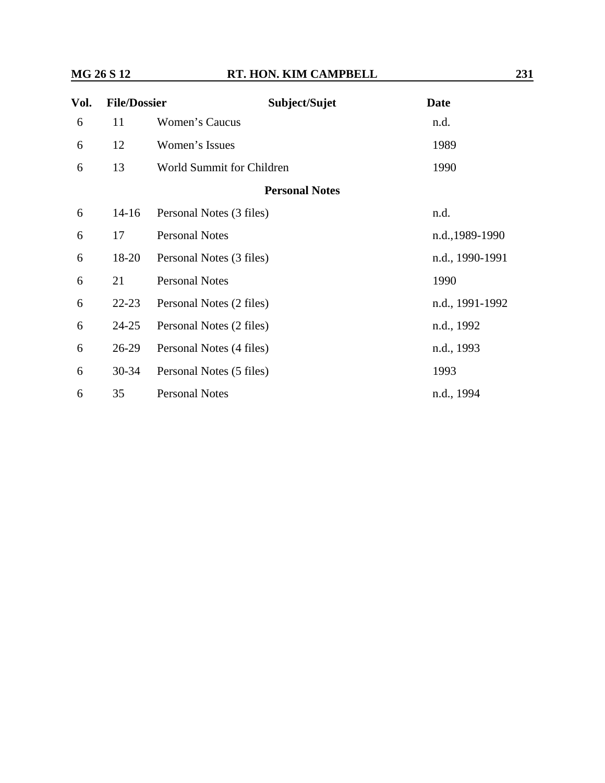| Vol. | <b>File/Dossier</b> | Subject/Sujet             | <b>Date</b>     |  |
|------|---------------------|---------------------------|-----------------|--|
| 6    | 11                  | Women's Caucus            | n.d.            |  |
| 6    | 12                  | Women's Issues            | 1989            |  |
| 6    | 13                  | World Summit for Children | 1990            |  |
|      |                     | <b>Personal Notes</b>     |                 |  |
| 6    | $14 - 16$           | Personal Notes (3 files)  | n.d.            |  |
| 6    | 17                  | <b>Personal Notes</b>     | n.d., 1989-1990 |  |
| 6    | 18-20               | Personal Notes (3 files)  | n.d., 1990-1991 |  |
| 6    | 21                  | <b>Personal Notes</b>     | 1990            |  |
| 6    | $22 - 23$           | Personal Notes (2 files)  | n.d., 1991-1992 |  |
| 6    | $24 - 25$           | Personal Notes (2 files)  | n.d., 1992      |  |
| 6    | $26-29$             | Personal Notes (4 files)  | n.d., 1993      |  |
| 6    | $30 - 34$           | Personal Notes (5 files)  | 1993            |  |
| 6    | 35                  | <b>Personal Notes</b>     | n.d., 1994      |  |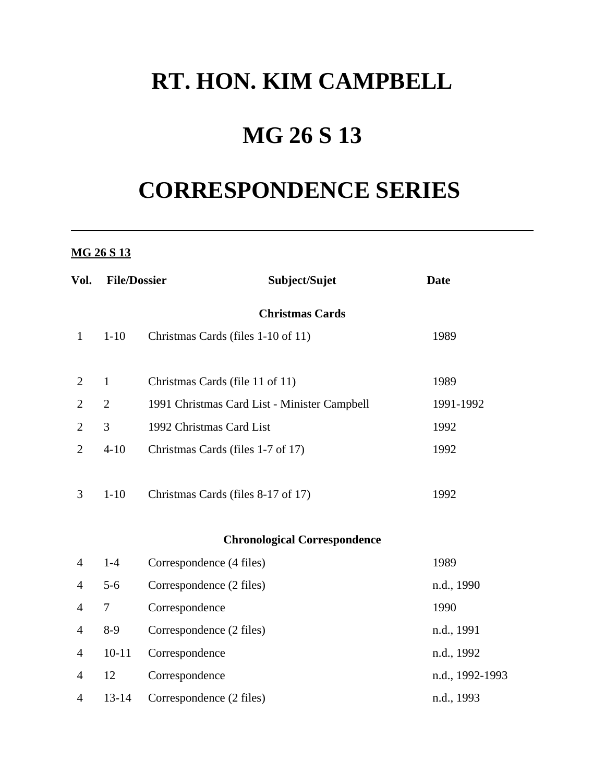## **RT. HON. KIM CAMPBELL**

# **MG 26 S 13**

# **CORRESPONDENCE SERIES**

### **MG 26 S 13**

| Vol.           | <b>File/Dossier</b>    | Subject/Sujet                                | <b>Date</b>     |  |  |  |  |  |  |  |
|----------------|------------------------|----------------------------------------------|-----------------|--|--|--|--|--|--|--|
|                | <b>Christmas Cards</b> |                                              |                 |  |  |  |  |  |  |  |
| $\mathbf{1}$   | $1 - 10$               | Christmas Cards (files 1-10 of 11)           | 1989            |  |  |  |  |  |  |  |
| 2              | $\mathbf{1}$           | Christmas Cards (file 11 of 11)              | 1989            |  |  |  |  |  |  |  |
| $\overline{2}$ | $\overline{2}$         | 1991 Christmas Card List - Minister Campbell | 1991-1992       |  |  |  |  |  |  |  |
| $\overline{2}$ | 3                      | 1992 Christmas Card List                     | 1992            |  |  |  |  |  |  |  |
| $\overline{2}$ | $4 - 10$               | Christmas Cards (files 1-7 of 17)            | 1992            |  |  |  |  |  |  |  |
| 3              | $1 - 10$               | Christmas Cards (files 8-17 of 17)           | 1992            |  |  |  |  |  |  |  |
|                |                        | <b>Chronological Correspondence</b>          |                 |  |  |  |  |  |  |  |
| 4              | $1-4$                  | Correspondence (4 files)                     | 1989            |  |  |  |  |  |  |  |
| $\overline{4}$ | $5-6$                  | Correspondence (2 files)                     | n.d., 1990      |  |  |  |  |  |  |  |
| 4              | $\tau$                 | Correspondence                               | 1990            |  |  |  |  |  |  |  |
| 4              | $8-9$                  | Correspondence (2 files)                     | n.d., 1991      |  |  |  |  |  |  |  |
| 4              | $10 - 11$              | Correspondence                               | n.d., 1992      |  |  |  |  |  |  |  |
| 4              | 12                     | Correspondence                               | n.d., 1992-1993 |  |  |  |  |  |  |  |
| 4              | $13 - 14$              | Correspondence (2 files)                     | n.d., 1993      |  |  |  |  |  |  |  |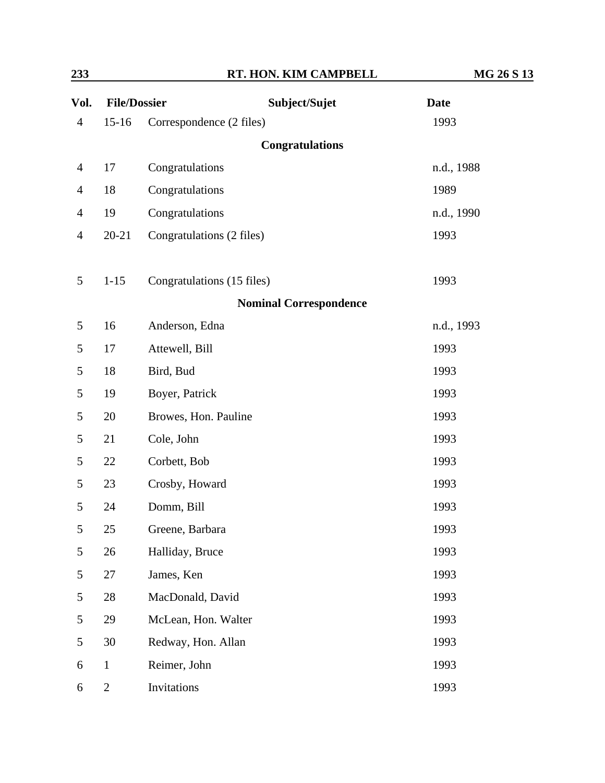| <u>233</u><br><b>File/Dossier</b><br>Vol. |                | RT. HON. KIM CAMPBELL         | MG 26 S 13  |  |
|-------------------------------------------|----------------|-------------------------------|-------------|--|
|                                           |                | Subject/Sujet                 | <b>Date</b> |  |
| $\overline{4}$                            | $15 - 16$      | Correspondence (2 files)      | 1993        |  |
|                                           |                | <b>Congratulations</b>        |             |  |
| $\overline{4}$                            | 17             | Congratulations               | n.d., 1988  |  |
| $\overline{4}$                            | 18             | Congratulations               | 1989        |  |
| $\overline{4}$                            | 19             | Congratulations               | n.d., 1990  |  |
| $\overline{4}$                            | $20 - 21$      | Congratulations (2 files)     | 1993        |  |
| 5                                         | $1 - 15$       | Congratulations (15 files)    | 1993        |  |
|                                           |                | <b>Nominal Correspondence</b> |             |  |
| 5                                         | 16             | Anderson, Edna                | n.d., 1993  |  |
| 5                                         | 17             | Attewell, Bill                | 1993        |  |
| 5                                         | 18             | Bird, Bud                     | 1993        |  |
| 5                                         | 19             | Boyer, Patrick                | 1993        |  |
| 5                                         | 20             | Browes, Hon. Pauline          | 1993        |  |
| 5                                         | 21             | Cole, John                    | 1993        |  |
| 5                                         | 22             | Corbett, Bob                  | 1993        |  |
| 5                                         | 23             | Crosby, Howard                | 1993        |  |
| 5                                         | 24             | Domm, Bill                    | 1993        |  |
| 5                                         | 25             | Greene, Barbara               | 1993        |  |
| 5                                         | 26             | Halliday, Bruce               | 1993        |  |
| 5                                         | 27             | James, Ken                    | 1993        |  |
| 5                                         | 28             | MacDonald, David              | 1993        |  |
| 5                                         | 29             | McLean, Hon. Walter           | 1993        |  |
| 5                                         | 30             | Redway, Hon. Allan            | 1993        |  |
| 6                                         | $\mathbf{1}$   | Reimer, John                  | 1993        |  |
| 6                                         | $\overline{2}$ | Invitations                   | 1993        |  |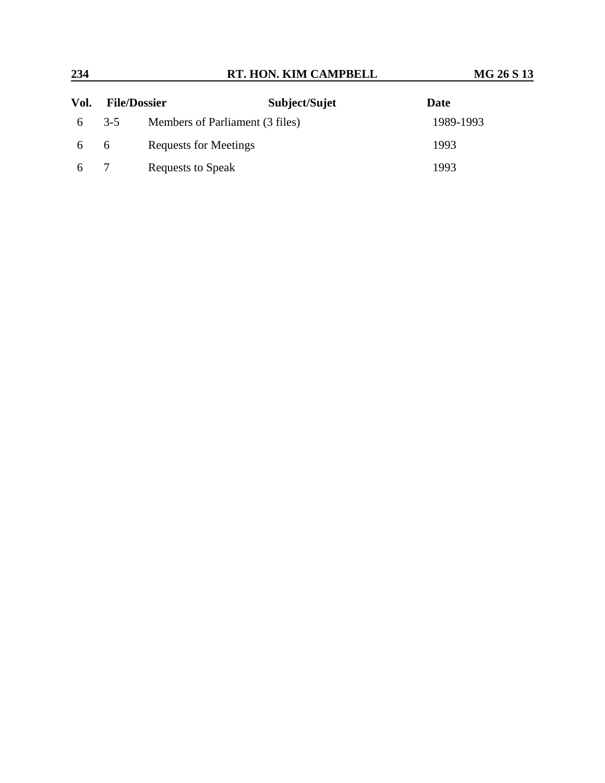| 234  | RT. HON. KIM CAMPBELL |                                 | MG 26 S 13    |           |  |
|------|-----------------------|---------------------------------|---------------|-----------|--|
| Vol. |                       | <b>File/Dossier</b>             | Subject/Sujet | Date      |  |
| 6    | $3-5$                 | Members of Parliament (3 files) |               | 1989-1993 |  |
| -6   | 6                     | Requests for Meetings           |               | 1993      |  |
|      |                       | Requests to Speak               |               | 1993      |  |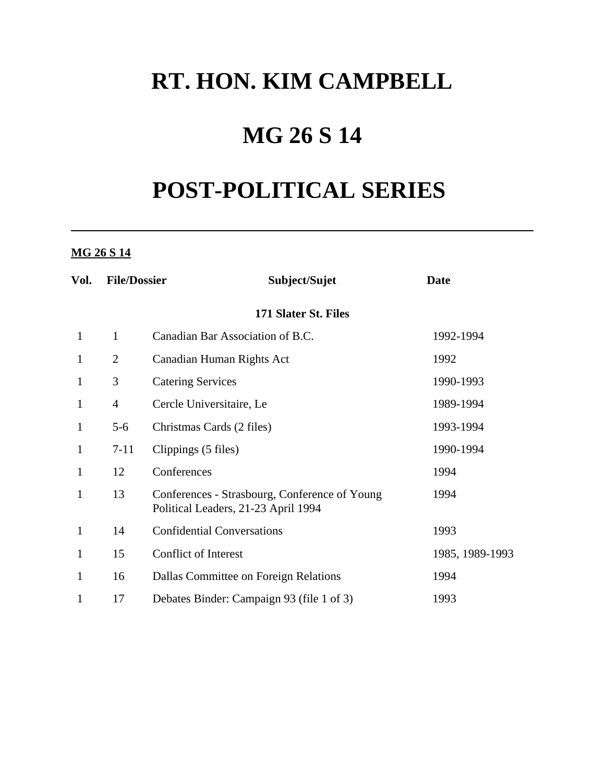## **RT. HON. KIM CAMPBELL**

# **MG 26 S 14**

# **POST-POLITICAL SERIES**

### **MG 26 S 14**

| Vol.         | <b>File/Dossier</b> | Subject/Sujet                                                                        | <b>Date</b>     |
|--------------|---------------------|--------------------------------------------------------------------------------------|-----------------|
|              |                     |                                                                                      |                 |
| $\mathbf{1}$ | $\mathbf{1}$        | Canadian Bar Association of B.C.                                                     | 1992-1994       |
| $\mathbf{1}$ | $\overline{2}$      | Canadian Human Rights Act                                                            | 1992            |
| $\mathbf{1}$ | 3                   | <b>Catering Services</b>                                                             | 1990-1993       |
| $\mathbf{1}$ | $\overline{4}$      | Cercle Universitaire, Le                                                             | 1989-1994       |
| $\mathbf{1}$ | $5 - 6$             | Christmas Cards (2 files)                                                            | 1993-1994       |
| $\mathbf{1}$ | $7 - 11$            | Clippings (5 files)                                                                  | 1990-1994       |
| $\mathbf{1}$ | 12                  | Conferences                                                                          | 1994            |
| 1            | 13                  | Conferences - Strasbourg, Conference of Young<br>Political Leaders, 21-23 April 1994 | 1994            |
| $\mathbf{1}$ | 14                  | <b>Confidential Conversations</b>                                                    | 1993            |
| 1            | 15                  | <b>Conflict of Interest</b>                                                          | 1985, 1989-1993 |
| $\mathbf{1}$ | 16                  | Dallas Committee on Foreign Relations                                                | 1994            |
| 1            | 17                  | Debates Binder: Campaign 93 (file 1 of 3)                                            | 1993            |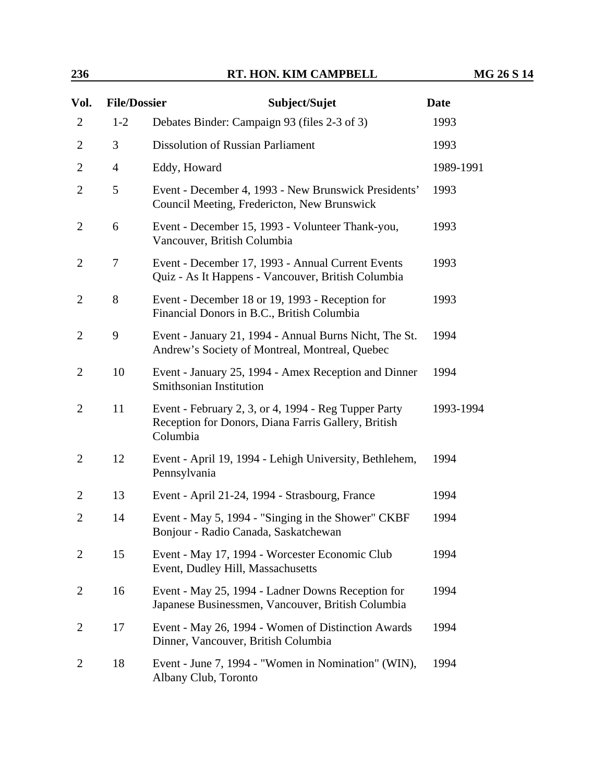| 236 | RT. HON. KIM CAMPBELL | <b>MG 26 S 14</b> |
|-----|-----------------------|-------------------|
|     |                       |                   |

| Vol.           | <b>File/Dossier</b> | Subject/Sujet                                                                                                           | <b>Date</b> |
|----------------|---------------------|-------------------------------------------------------------------------------------------------------------------------|-------------|
| 2              | $1 - 2$             | Debates Binder: Campaign 93 (files 2-3 of 3)                                                                            | 1993        |
| 2              | 3                   | <b>Dissolution of Russian Parliament</b>                                                                                | 1993        |
| 2              | $\overline{4}$      | Eddy, Howard                                                                                                            | 1989-1991   |
| $\overline{2}$ | 5                   | Event - December 4, 1993 - New Brunswick Presidents'<br>Council Meeting, Fredericton, New Brunswick                     | 1993        |
| 2              | 6                   | Event - December 15, 1993 - Volunteer Thank-you,<br>Vancouver, British Columbia                                         | 1993        |
| 2              | 7                   | Event - December 17, 1993 - Annual Current Events<br>Quiz - As It Happens - Vancouver, British Columbia                 | 1993        |
| $\overline{c}$ | 8                   | Event - December 18 or 19, 1993 - Reception for<br>Financial Donors in B.C., British Columbia                           | 1993        |
| $\overline{2}$ | 9                   | Event - January 21, 1994 - Annual Burns Nicht, The St.<br>Andrew's Society of Montreal, Montreal, Quebec                | 1994        |
| $\overline{2}$ | 10                  | Event - January 25, 1994 - Amex Reception and Dinner<br>Smithsonian Institution                                         | 1994        |
| 2              | 11                  | Event - February 2, 3, or 4, 1994 - Reg Tupper Party<br>Reception for Donors, Diana Farris Gallery, British<br>Columbia | 1993-1994   |
| 2              | 12                  | Event - April 19, 1994 - Lehigh University, Bethlehem,<br>Pennsylvania                                                  | 1994        |
| $\overline{2}$ | 13                  | Event - April 21-24, 1994 - Strasbourg, France                                                                          | 1994        |
| 2              | 14                  | Event - May 5, 1994 - "Singing in the Shower" CKBF<br>Bonjour - Radio Canada, Saskatchewan                              | 1994        |
| 2              | 15                  | Event - May 17, 1994 - Worcester Economic Club<br>Event, Dudley Hill, Massachusetts                                     | 1994        |
| 2              | 16                  | Event - May 25, 1994 - Ladner Downs Reception for<br>Japanese Businessmen, Vancouver, British Columbia                  | 1994        |
| 2              | 17                  | Event - May 26, 1994 - Women of Distinction Awards<br>Dinner, Vancouver, British Columbia                               | 1994        |
| 2              | 18                  | Event - June 7, 1994 - "Women in Nomination" (WIN),<br>Albany Club, Toronto                                             | 1994        |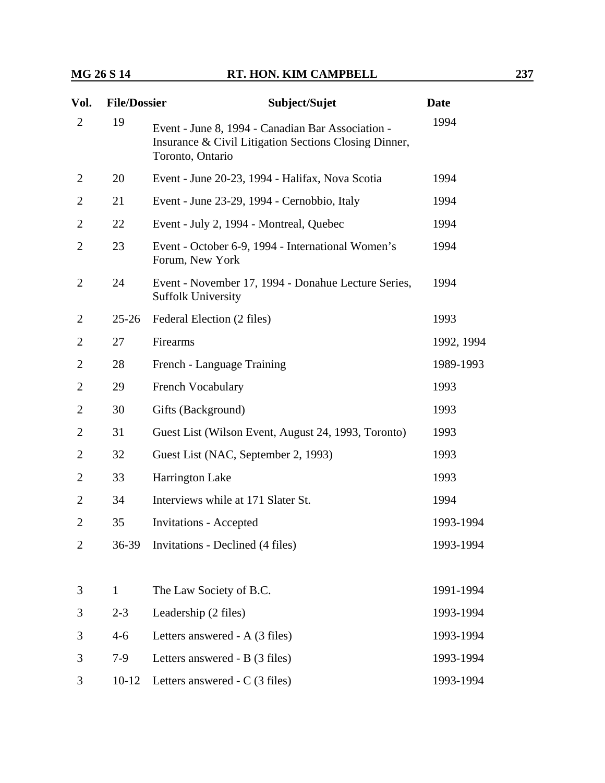| Vol.           | <b>File/Dossier</b> | Subject/Sujet                                                                                                                  | <b>Date</b> |
|----------------|---------------------|--------------------------------------------------------------------------------------------------------------------------------|-------------|
| $\overline{2}$ | 19                  | Event - June 8, 1994 - Canadian Bar Association -<br>Insurance & Civil Litigation Sections Closing Dinner,<br>Toronto, Ontario | 1994        |
| 2              | 20                  | Event - June 20-23, 1994 - Halifax, Nova Scotia                                                                                | 1994        |
| $\overline{2}$ | 21                  | Event - June 23-29, 1994 - Cernobbio, Italy                                                                                    | 1994        |
| 2              | 22                  | Event - July 2, 1994 - Montreal, Quebec                                                                                        | 1994        |
| 2              | 23                  | Event - October 6-9, 1994 - International Women's<br>Forum, New York                                                           | 1994        |
| 2              | 24                  | Event - November 17, 1994 - Donahue Lecture Series,<br><b>Suffolk University</b>                                               | 1994        |
| 2              | $25 - 26$           | Federal Election (2 files)                                                                                                     | 1993        |
| 2              | 27                  | Firearms                                                                                                                       | 1992, 1994  |
| $\overline{2}$ | 28                  | French - Language Training                                                                                                     | 1989-1993   |
| 2              | 29                  | <b>French Vocabulary</b>                                                                                                       | 1993        |
| $\overline{2}$ | 30                  | Gifts (Background)                                                                                                             | 1993        |
| 2              | 31                  | Guest List (Wilson Event, August 24, 1993, Toronto)                                                                            | 1993        |
| 2              | 32                  | Guest List (NAC, September 2, 1993)                                                                                            | 1993        |
| $\overline{2}$ | 33                  | <b>Harrington Lake</b>                                                                                                         | 1993        |
| 2              | 34                  | Interviews while at 171 Slater St.                                                                                             | 1994        |
| 2              | 35                  | <b>Invitations - Accepted</b>                                                                                                  | 1993-1994   |
| $\overline{2}$ | 36-39               | Invitations - Declined (4 files)                                                                                               | 1993-1994   |
| 3              | $\mathbf{1}$        | The Law Society of B.C.                                                                                                        | 1991-1994   |
| 3              | $2 - 3$             | Leadership (2 files)                                                                                                           | 1993-1994   |
| 3              | $4 - 6$             | Letters answered - A (3 files)                                                                                                 | 1993-1994   |
| 3              | $7-9$               | Letters answered - B (3 files)                                                                                                 | 1993-1994   |
| 3              | $10 - 12$           | Letters answered $-C(3$ files)                                                                                                 | 1993-1994   |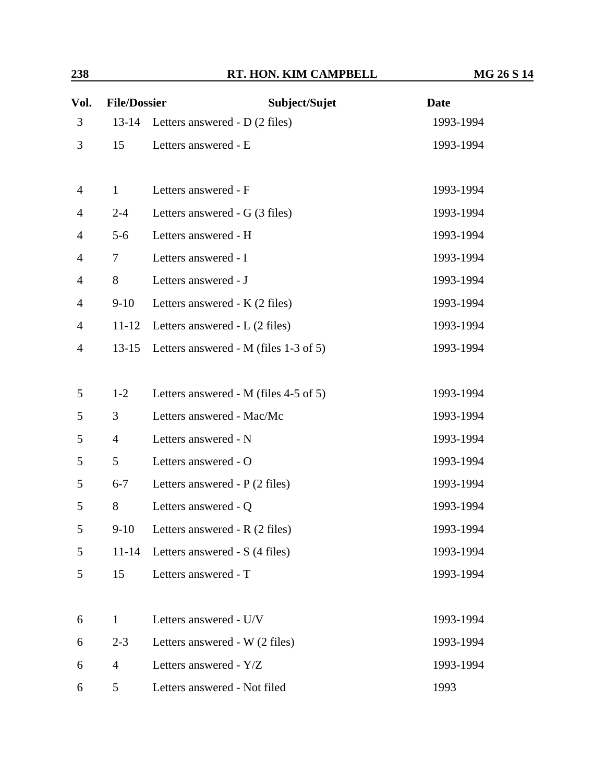| 238 | RT. HON. KIM CAMPBELL | <b>MG 26 S 14</b> |
|-----|-----------------------|-------------------|
|     |                       |                   |

| <b>File/Dossier</b><br>Vol. |                | Subject/Sujet                          | <b>Date</b> |  |
|-----------------------------|----------------|----------------------------------------|-------------|--|
| 3                           | $13 - 14$      | Letters answered - D (2 files)         | 1993-1994   |  |
| 3                           | 15             | Letters answered - E                   | 1993-1994   |  |
|                             |                |                                        |             |  |
| $\overline{4}$              | $\mathbf{1}$   | Letters answered - F                   | 1993-1994   |  |
| 4                           | $2 - 4$        | Letters answered - G (3 files)         | 1993-1994   |  |
| 4                           | $5 - 6$        | Letters answered - H                   | 1993-1994   |  |
| $\overline{4}$              | $\tau$         | Letters answered - I                   | 1993-1994   |  |
| $\overline{4}$              | 8              | Letters answered - J                   | 1993-1994   |  |
| $\overline{4}$              | $9-10$         | Letters answered - K (2 files)         | 1993-1994   |  |
| $\overline{4}$              | $11 - 12$      | Letters answered $-L(2 \text{ files})$ | 1993-1994   |  |
| 4                           | $13 - 15$      | Letters answered - M (files 1-3 of 5)  | 1993-1994   |  |
|                             |                |                                        |             |  |
| 5                           | $1 - 2$        | Letters answered - M (files 4-5 of 5)  | 1993-1994   |  |
| 5                           | 3              | Letters answered - Mac/Mc              | 1993-1994   |  |
| 5                           | $\overline{4}$ | Letters answered - N                   | 1993-1994   |  |
| 5                           | 5              | Letters answered - O                   | 1993-1994   |  |
| 5                           | $6 - 7$        | Letters answered - P (2 files)         | 1993-1994   |  |
| 5                           | 8              | Letters answered - Q                   | 1993-1994   |  |
| 5                           | $9-10$         | Letters answered - R (2 files)         | 1993-1994   |  |
| 5                           | $11 - 14$      | Letters answered - S (4 files)         | 1993-1994   |  |
| 5                           | 15             | Letters answered - T                   | 1993-1994   |  |
|                             |                |                                        |             |  |
| 6                           | $\mathbf{1}$   | Letters answered - U/V                 | 1993-1994   |  |
| 6                           | $2 - 3$        | Letters answered - W (2 files)         | 1993-1994   |  |
| 6                           | $\overline{4}$ | Letters answered - Y/Z                 | 1993-1994   |  |
| 6                           | 5              | Letters answered - Not filed           | 1993        |  |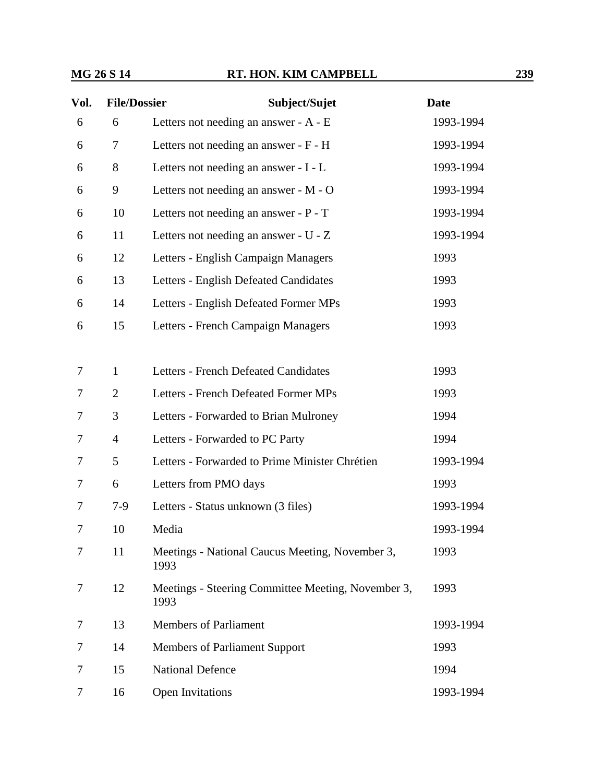| Vol. | <b>File/Dossier</b> | Subject/Sujet                                              | <b>Date</b> |
|------|---------------------|------------------------------------------------------------|-------------|
| 6    | 6                   | Letters not needing an answer - A - E                      | 1993-1994   |
| 6    | 7                   | Letters not needing an answer - F - H                      | 1993-1994   |
| 6    | 8                   | Letters not needing an answer - I - L                      | 1993-1994   |
| 6    | 9                   | Letters not needing an answer - M - O                      | 1993-1994   |
| 6    | 10                  | Letters not needing an answer - P - T                      | 1993-1994   |
| 6    | 11                  | Letters not needing an answer - U - Z                      | 1993-1994   |
| 6    | 12                  | Letters - English Campaign Managers                        | 1993        |
| 6    | 13                  | Letters - English Defeated Candidates                      | 1993        |
| 6    | 14                  | Letters - English Defeated Former MPs                      | 1993        |
| 6    | 15                  | Letters - French Campaign Managers                         | 1993        |
|      |                     |                                                            |             |
| 7    | $\mathbf{1}$        | <b>Letters - French Defeated Candidates</b>                | 1993        |
| 7    | $\overline{2}$      | Letters - French Defeated Former MPs                       | 1993        |
| 7    | 3                   | Letters - Forwarded to Brian Mulroney                      | 1994        |
| 7    | $\overline{4}$      | Letters - Forwarded to PC Party                            | 1994        |
| 7    | 5                   | Letters - Forwarded to Prime Minister Chrétien             | 1993-1994   |
| 7    | 6                   | Letters from PMO days                                      | 1993        |
| 7    | $7-9$               | Letters - Status unknown (3 files)                         | 1993-1994   |
| 7    | 10                  | Media                                                      | 1993-1994   |
| 7    | 11                  | Meetings - National Caucus Meeting, November 3,<br>1993    | 1993        |
| 7    | 12                  | Meetings - Steering Committee Meeting, November 3,<br>1993 | 1993        |
| 7    | 13                  | <b>Members of Parliament</b>                               | 1993-1994   |
| 7    | 14                  | Members of Parliament Support                              | 1993        |
| 7    | 15                  | <b>National Defence</b>                                    | 1994        |
| 7    | 16                  | <b>Open Invitations</b>                                    | 1993-1994   |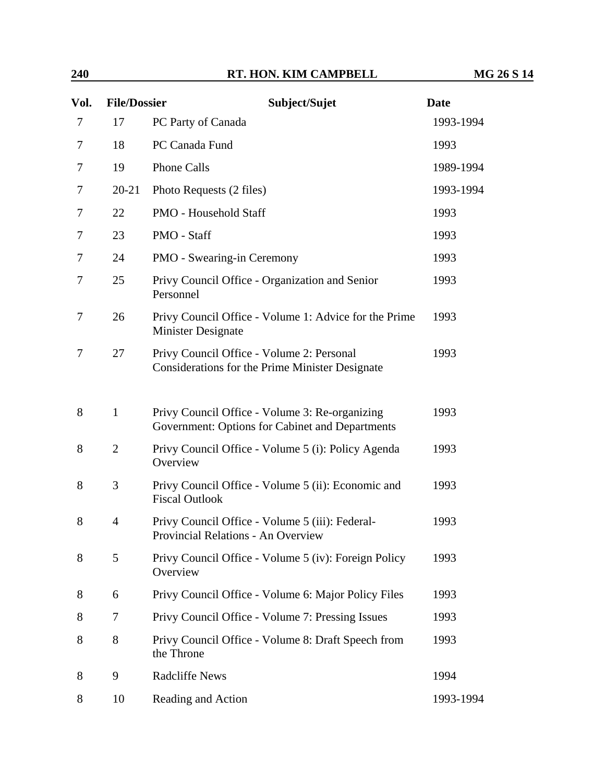| Vol. | <b>File/Dossier</b> | Subject/Sujet                                                                                     | <b>Date</b> |
|------|---------------------|---------------------------------------------------------------------------------------------------|-------------|
| 7    | 17                  | PC Party of Canada                                                                                | 1993-1994   |
| 7    | 18                  | PC Canada Fund                                                                                    | 1993        |
| 7    | 19                  | <b>Phone Calls</b>                                                                                | 1989-1994   |
| 7    | $20 - 21$           | Photo Requests (2 files)                                                                          | 1993-1994   |
| 7    | 22                  | PMO - Household Staff                                                                             | 1993        |
| 7    | 23                  | PMO - Staff                                                                                       | 1993        |
| 7    | 24                  | <b>PMO</b> - Swearing-in Ceremony                                                                 | 1993        |
| 7    | 25                  | Privy Council Office - Organization and Senior<br>Personnel                                       | 1993        |
| 7    | 26                  | Privy Council Office - Volume 1: Advice for the Prime<br>Minister Designate                       | 1993        |
| 7    | 27                  | Privy Council Office - Volume 2: Personal<br>Considerations for the Prime Minister Designate      | 1993        |
| 8    | $\mathbf{1}$        | Privy Council Office - Volume 3: Re-organizing<br>Government: Options for Cabinet and Departments | 1993        |
| 8    | $\overline{2}$      | Privy Council Office - Volume 5 (i): Policy Agenda<br>Overview                                    | 1993        |
| 8    | 3                   | Privy Council Office - Volume 5 (ii): Economic and<br><b>Fiscal Outlook</b>                       | 1993        |
| 8    | $\overline{4}$      | Privy Council Office - Volume 5 (iii): Federal-<br>Provincial Relations - An Overview             | 1993        |
| 8    | 5                   | Privy Council Office - Volume 5 (iv): Foreign Policy<br>Overview                                  | 1993        |
| 8    | 6                   | Privy Council Office - Volume 6: Major Policy Files                                               | 1993        |
| 8    | 7                   | Privy Council Office - Volume 7: Pressing Issues                                                  | 1993        |
| 8    | 8                   | Privy Council Office - Volume 8: Draft Speech from<br>the Throne                                  | 1993        |
| 8    | 9                   | <b>Radcliffe News</b>                                                                             | 1994        |
| 8    | 10                  | Reading and Action                                                                                | 1993-1994   |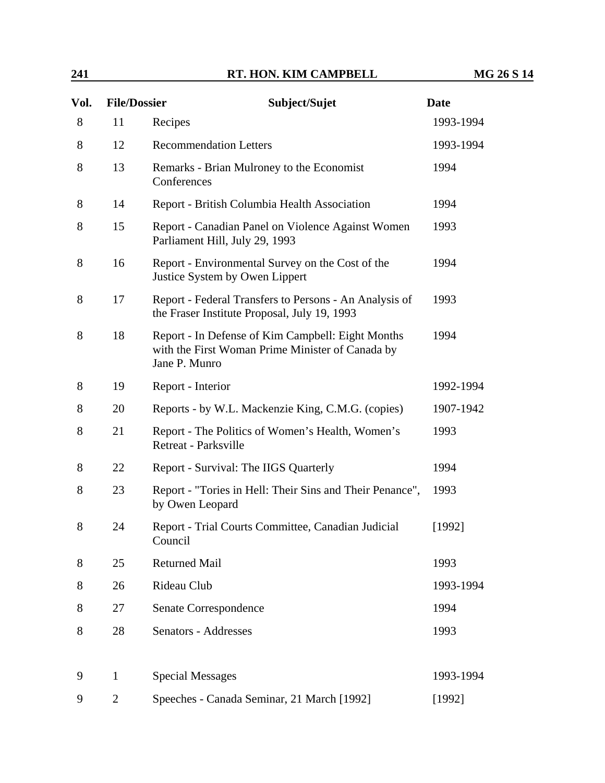**241 RT. HON. KIM CAMPBELL MG 26 S 14** 

| Vol. | <b>File/Dossier</b> | Subject/Sujet                                                                                                          | <b>Date</b> |
|------|---------------------|------------------------------------------------------------------------------------------------------------------------|-------------|
| 8    | 11                  | Recipes                                                                                                                | 1993-1994   |
| 8    | 12                  | <b>Recommendation Letters</b>                                                                                          | 1993-1994   |
| 8    | 13                  | Remarks - Brian Mulroney to the Economist<br>Conferences                                                               | 1994        |
| 8    | 14                  | Report - British Columbia Health Association                                                                           | 1994        |
| 8    | 15                  | Report - Canadian Panel on Violence Against Women<br>Parliament Hill, July 29, 1993                                    | 1993        |
| 8    | 16                  | Report - Environmental Survey on the Cost of the<br>Justice System by Owen Lippert                                     | 1994        |
| 8    | 17                  | Report - Federal Transfers to Persons - An Analysis of<br>the Fraser Institute Proposal, July 19, 1993                 | 1993        |
| 8    | 18                  | Report - In Defense of Kim Campbell: Eight Months<br>with the First Woman Prime Minister of Canada by<br>Jane P. Munro | 1994        |
| 8    | 19                  | Report - Interior                                                                                                      | 1992-1994   |
| 8    | 20                  | Reports - by W.L. Mackenzie King, C.M.G. (copies)                                                                      | 1907-1942   |
| 8    | 21                  | Report - The Politics of Women's Health, Women's<br>Retreat - Parksville                                               | 1993        |
| 8    | 22                  | Report - Survival: The IIGS Quarterly                                                                                  | 1994        |
| 8    | 23                  | Report - "Tories in Hell: Their Sins and Their Penance",<br>by Owen Leopard                                            | 1993        |
| 8    | 24                  | Report - Trial Courts Committee, Canadian Judicial<br>Council                                                          | [1992]      |
| 8    | 25                  | <b>Returned Mail</b>                                                                                                   | 1993        |
| 8    | 26                  | Rideau Club                                                                                                            | 1993-1994   |
| 8    | 27                  | Senate Correspondence                                                                                                  | 1994        |
| 8    | 28                  | Senators - Addresses                                                                                                   | 1993        |
|      |                     |                                                                                                                        |             |
| 9    | $\mathbf{1}$        | <b>Special Messages</b>                                                                                                | 1993-1994   |
| 9    | $\overline{2}$      | Speeches - Canada Seminar, 21 March [1992]                                                                             | [1992]      |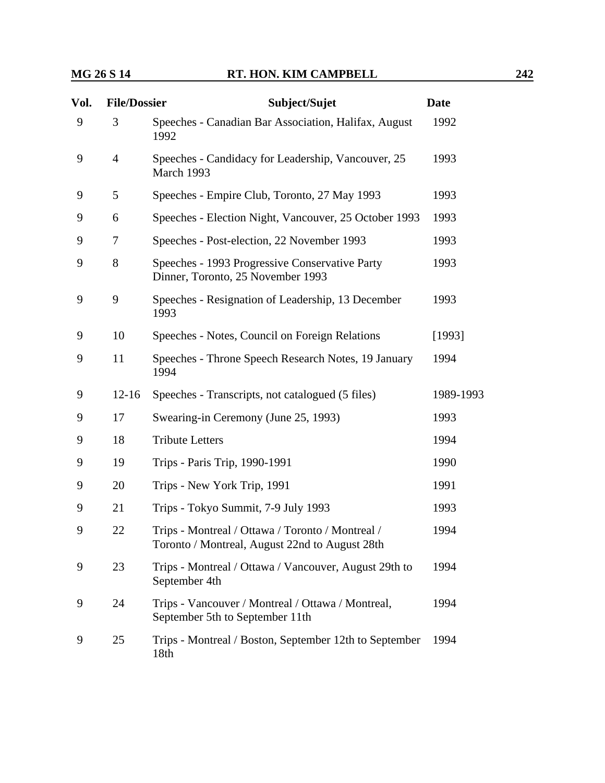| Vol. | <b>File/Dossier</b> | Subject/Sujet                                                                                      | <b>Date</b> |
|------|---------------------|----------------------------------------------------------------------------------------------------|-------------|
| 9    | 3                   | Speeches - Canadian Bar Association, Halifax, August<br>1992                                       | 1992        |
| 9    | $\overline{4}$      | Speeches - Candidacy for Leadership, Vancouver, 25<br>March 1993                                   | 1993        |
| 9    | 5                   | Speeches - Empire Club, Toronto, 27 May 1993                                                       | 1993        |
| 9    | 6                   | Speeches - Election Night, Vancouver, 25 October 1993                                              | 1993        |
| 9    | 7                   | Speeches - Post-election, 22 November 1993                                                         | 1993        |
| 9    | 8                   | Speeches - 1993 Progressive Conservative Party<br>Dinner, Toronto, 25 November 1993                | 1993        |
| 9    | 9                   | Speeches - Resignation of Leadership, 13 December<br>1993                                          | 1993        |
| 9    | 10                  | Speeches - Notes, Council on Foreign Relations                                                     | [1993]      |
| 9    | 11                  | Speeches - Throne Speech Research Notes, 19 January<br>1994                                        | 1994        |
| 9    | $12 - 16$           | Speeches - Transcripts, not catalogued (5 files)                                                   | 1989-1993   |
| 9    | 17                  | Swearing-in Ceremony (June 25, 1993)                                                               | 1993        |
| 9    | 18                  | <b>Tribute Letters</b>                                                                             | 1994        |
| 9    | 19                  | Trips - Paris Trip, 1990-1991                                                                      | 1990        |
| 9    | 20                  | Trips - New York Trip, 1991                                                                        | 1991        |
| 9    | 21                  | Trips - Tokyo Summit, 7-9 July 1993                                                                | 1993        |
| 9    | 22                  | Trips - Montreal / Ottawa / Toronto / Montreal /<br>Toronto / Montreal, August 22nd to August 28th | 1994        |
| 9    | 23                  | Trips - Montreal / Ottawa / Vancouver, August 29th to<br>September 4th                             | 1994        |
| 9    | 24                  | Trips - Vancouver / Montreal / Ottawa / Montreal,<br>September 5th to September 11th               | 1994        |
| 9    | 25                  | Trips - Montreal / Boston, September 12th to September<br>18th                                     | 1994        |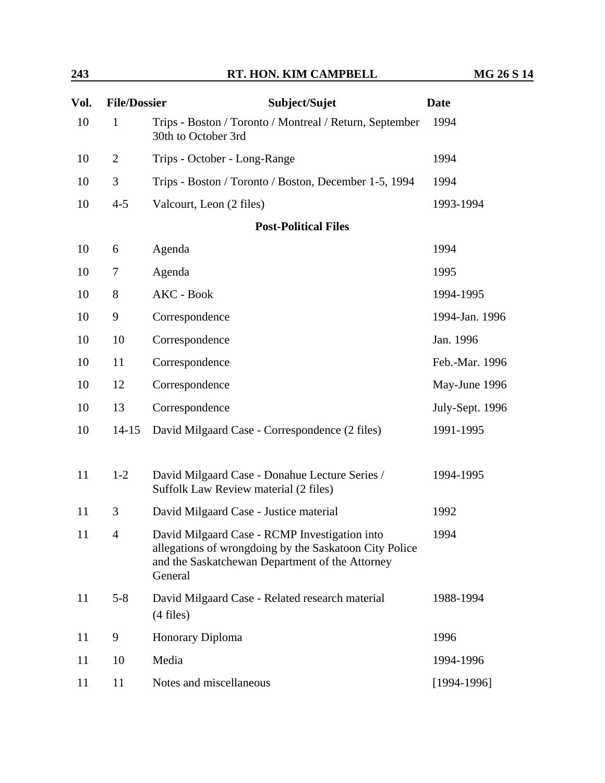| 243  |                     | RT. HON. KIM CAMPBELL                                                                                                                                                 | <b>MG 26 S 14</b> |  |
|------|---------------------|-----------------------------------------------------------------------------------------------------------------------------------------------------------------------|-------------------|--|
| Vol. | <b>File/Dossier</b> | Subject/Sujet                                                                                                                                                         | <b>Date</b>       |  |
| 10   | 1                   | Trips - Boston / Toronto / Montreal / Return, September<br>30th to October 3rd                                                                                        | 1994              |  |
| 10   | $\overline{2}$      | Trips - October - Long-Range                                                                                                                                          | 1994              |  |
| 10   | 3                   | Trips - Boston / Toronto / Boston, December 1-5, 1994                                                                                                                 | 1994              |  |
| 10   | $4 - 5$             | Valcourt, Leon (2 files)                                                                                                                                              | 1993-1994         |  |
|      |                     | <b>Post-Political Files</b>                                                                                                                                           |                   |  |
| 10   | 6                   | Agenda                                                                                                                                                                | 1994              |  |
| 10   | 7                   | Agenda                                                                                                                                                                | 1995              |  |
| 10   | 8                   | AKC - Book                                                                                                                                                            | 1994-1995         |  |
| 10   | 9                   | Correspondence                                                                                                                                                        | 1994-Jan. 1996    |  |
| 10   | 10                  | Correspondence                                                                                                                                                        | Jan. 1996         |  |
| 10   | 11                  | Correspondence                                                                                                                                                        | Feb.-Mar. 1996    |  |
| 10   | 12                  | Correspondence                                                                                                                                                        | May-June 1996     |  |
| 10   | 13                  | Correspondence                                                                                                                                                        | July-Sept. 1996   |  |
| 10   | $14 - 15$           | David Milgaard Case - Correspondence (2 files)                                                                                                                        | 1991-1995         |  |
| 11   | $1 - 2$             | David Milgaard Case - Donahue Lecture Series /<br>Suffolk Law Review material (2 files)                                                                               | 1994-1995         |  |
| 11   | 3                   | David Milgaard Case - Justice material                                                                                                                                | 1992              |  |
| 11   | $\overline{4}$      | David Milgaard Case - RCMP Investigation into<br>allegations of wrongdoing by the Saskatoon City Police<br>and the Saskatchewan Department of the Attorney<br>General | 1994              |  |
| 11   | $5 - 8$             | David Milgaard Case - Related research material<br>$(4$ files)                                                                                                        | 1988-1994         |  |
| 11   | 9                   | Honorary Diploma                                                                                                                                                      | 1996              |  |
| 11   | 10                  | Media                                                                                                                                                                 | 1994-1996         |  |
| 11   | 11                  | Notes and miscellaneous                                                                                                                                               | $[1994-1996]$     |  |